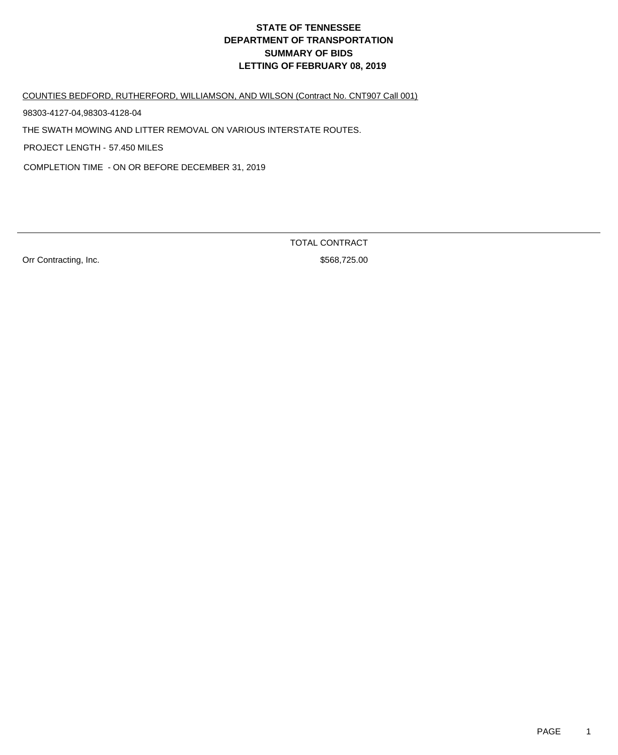COUNTIES BEDFORD, RUTHERFORD, WILLIAMSON, AND WILSON (Contract No. CNT907 Call 001)

98303-4127-04,98303-4128-04

THE SWATH MOWING AND LITTER REMOVAL ON VARIOUS INTERSTATE ROUTES.

PROJECT LENGTH - 57.450 MILES

COMPLETION TIME - ON OR BEFORE DECEMBER 31, 2019

Orr Contracting, Inc. 6. 2012 12:30 12:30 12:30 12:30 12:30 12:30 12:30 12:30 12:30 12:30 12:30 12:30 12:30 12:30 12:30 12:30 12:30 12:30 12:30 12:30 12:30 12:30 12:30 12:30 12:30 12:30 12:30 12:30 12:30 12:30 12:30 12:30

TOTAL CONTRACT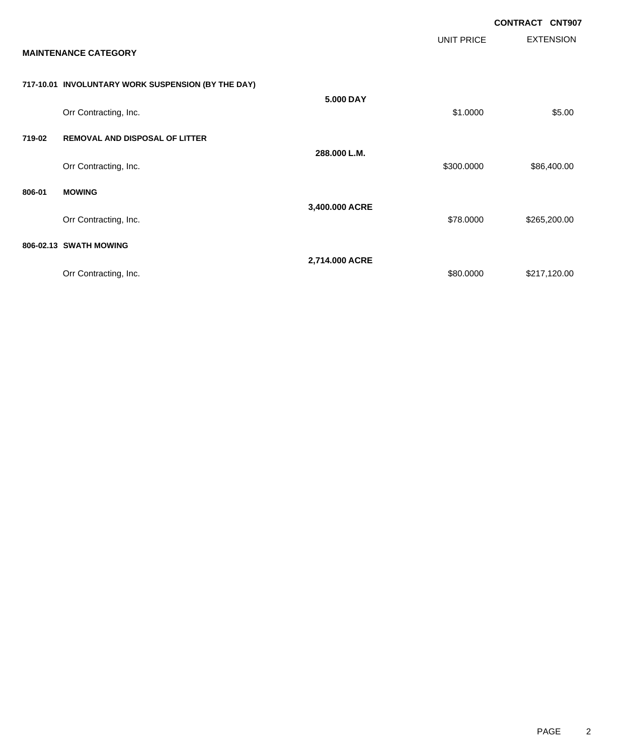|        |                                                    |                |                   | <b>CONTRACT CNT907</b> |                  |
|--------|----------------------------------------------------|----------------|-------------------|------------------------|------------------|
|        | <b>MAINTENANCE CATEGORY</b>                        |                | <b>UNIT PRICE</b> |                        | <b>EXTENSION</b> |
|        | 717-10.01 INVOLUNTARY WORK SUSPENSION (BY THE DAY) |                |                   |                        |                  |
|        | Orr Contracting, Inc.                              | 5.000 DAY      | \$1.0000          |                        | \$5.00           |
| 719-02 | <b>REMOVAL AND DISPOSAL OF LITTER</b>              |                |                   |                        |                  |
|        | Orr Contracting, Inc.                              | 288.000 L.M.   | \$300.0000        |                        | \$86,400.00      |
| 806-01 | <b>MOWING</b>                                      |                |                   |                        |                  |
|        | Orr Contracting, Inc.                              | 3,400.000 ACRE | \$78.0000         |                        | \$265,200.00     |
|        | 806-02.13 SWATH MOWING                             |                |                   |                        |                  |
|        | Orr Contracting, Inc.                              | 2,714.000 ACRE | \$80.0000         |                        | \$217,120.00     |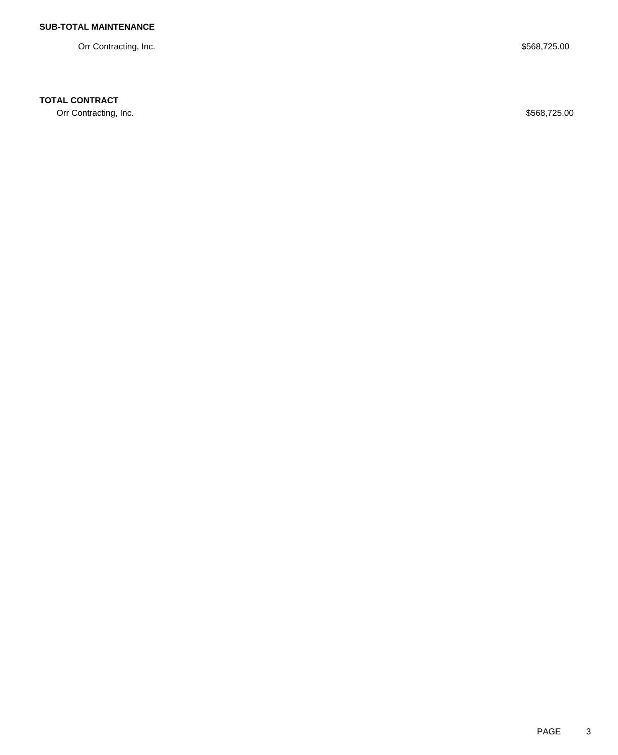Orr Contracting, Inc. \$568,725.00

## **TOTAL CONTRACT**

Orr Contracting, Inc. \$568,725.00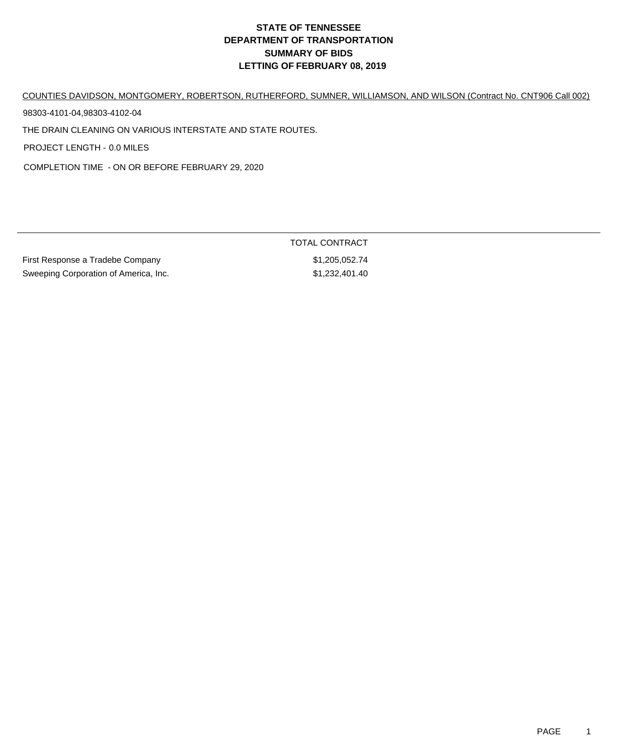COUNTIES DAVIDSON, MONTGOMERY, ROBERTSON, RUTHERFORD, SUMNER, WILLIAMSON, AND WILSON (Contract No. CNT906 Call 002)

98303-4101-04,98303-4102-04

THE DRAIN CLEANING ON VARIOUS INTERSTATE AND STATE ROUTES.

PROJECT LENGTH - 0.0 MILES

COMPLETION TIME - ON OR BEFORE FEBRUARY 29, 2020

| First Response a Tradebe Company      | \$1,205,052.74 |
|---------------------------------------|----------------|
| Sweeping Corporation of America, Inc. | \$1,232,401.40 |

TOTAL CONTRACT  $$1,205,052.74$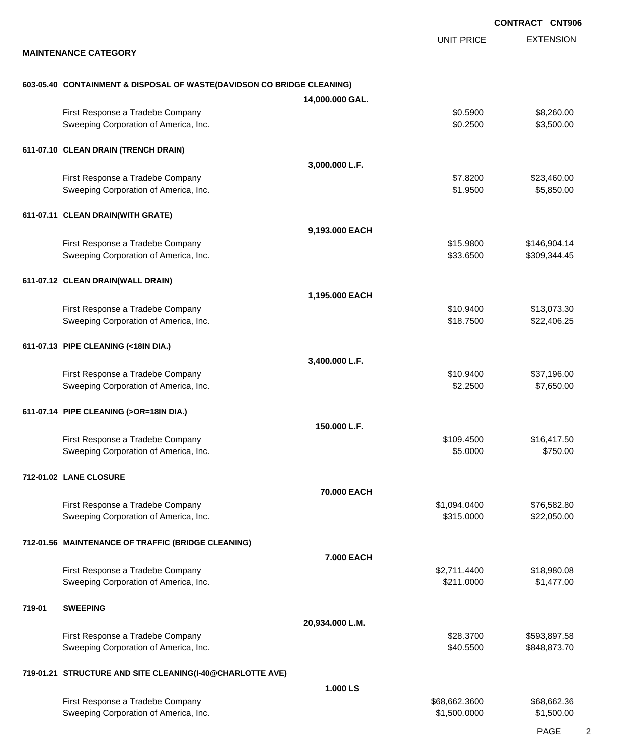|        |                                                                           |                 |                            | <b>CONTRACT CNT906</b>     |
|--------|---------------------------------------------------------------------------|-----------------|----------------------------|----------------------------|
|        | <b>MAINTENANCE CATEGORY</b>                                               |                 | <b>UNIT PRICE</b>          | <b>EXTENSION</b>           |
|        |                                                                           |                 |                            |                            |
|        | 603-05.40 CONTAINMENT & DISPOSAL OF WASTE(DAVIDSON CO BRIDGE CLEANING)    |                 |                            |                            |
|        |                                                                           | 14,000.000 GAL. |                            |                            |
|        | First Response a Tradebe Company<br>Sweeping Corporation of America, Inc. |                 | \$0.5900<br>\$0.2500       | \$8,260.00<br>\$3,500.00   |
|        | 611-07.10 CLEAN DRAIN (TRENCH DRAIN)                                      |                 |                            |                            |
|        |                                                                           | 3,000.000 L.F.  |                            |                            |
|        | First Response a Tradebe Company<br>Sweeping Corporation of America, Inc. |                 | \$7.8200<br>\$1.9500       | \$23,460.00<br>\$5,850.00  |
|        | 611-07.11 CLEAN DRAIN(WITH GRATE)                                         |                 |                            |                            |
|        |                                                                           | 9,193.000 EACH  |                            |                            |
|        | First Response a Tradebe Company                                          |                 | \$15.9800                  | \$146,904.14               |
|        | Sweeping Corporation of America, Inc.                                     |                 | \$33.6500                  | \$309,344.45               |
|        | 611-07.12 CLEAN DRAIN(WALL DRAIN)                                         |                 |                            |                            |
|        |                                                                           | 1,195.000 EACH  |                            |                            |
|        | First Response a Tradebe Company                                          |                 | \$10.9400                  | \$13,073.30                |
|        | Sweeping Corporation of America, Inc.                                     |                 | \$18.7500                  | \$22,406.25                |
|        | 611-07.13 PIPE CLEANING (<18IN DIA.)                                      |                 |                            |                            |
|        |                                                                           | 3,400.000 L.F.  |                            |                            |
|        | First Response a Tradebe Company                                          |                 | \$10.9400                  | \$37,196.00                |
|        | Sweeping Corporation of America, Inc.                                     |                 | \$2.2500                   | \$7,650.00                 |
|        | 611-07.14 PIPE CLEANING (>OR=18IN DIA.)                                   |                 |                            |                            |
|        |                                                                           | 150.000 L.F.    |                            |                            |
|        | First Response a Tradebe Company                                          |                 | \$109.4500                 | \$16,417.50                |
|        | Sweeping Corporation of America, Inc.                                     |                 | \$5.0000                   | \$750.00                   |
|        | 712-01.02 LANE CLOSURE                                                    |                 |                            |                            |
|        |                                                                           | 70.000 EACH     |                            |                            |
|        | First Response a Tradebe Company<br>Sweeping Corporation of America, Inc. |                 | \$1,094.0400<br>\$315.0000 | \$76,582.80<br>\$22,050.00 |
|        |                                                                           |                 |                            |                            |
|        | 712-01.56 MAINTENANCE OF TRAFFIC (BRIDGE CLEANING)                        |                 |                            |                            |
|        |                                                                           | 7.000 EACH      |                            |                            |
|        | First Response a Tradebe Company<br>Sweeping Corporation of America, Inc. |                 | \$2,711.4400<br>\$211.0000 | \$18,980.08<br>\$1,477.00  |
|        |                                                                           |                 |                            |                            |
| 719-01 | <b>SWEEPING</b>                                                           |                 |                            |                            |
|        | First Response a Tradebe Company                                          | 20,934.000 L.M. | \$28.3700                  | \$593,897.58               |
|        | Sweeping Corporation of America, Inc.                                     |                 | \$40.5500                  | \$848,873.70               |
|        | 719-01.21 STRUCTURE AND SITE CLEANING(I-40@CHARLOTTE AVE)                 |                 |                            |                            |
|        |                                                                           | 1.000 LS        |                            |                            |
|        | First Response a Tradebe Company                                          |                 | \$68,662.3600              | \$68,662.36                |
|        | Sweeping Corporation of America, Inc.                                     |                 | \$1,500.0000               | \$1,500.00                 |
|        |                                                                           |                 |                            |                            |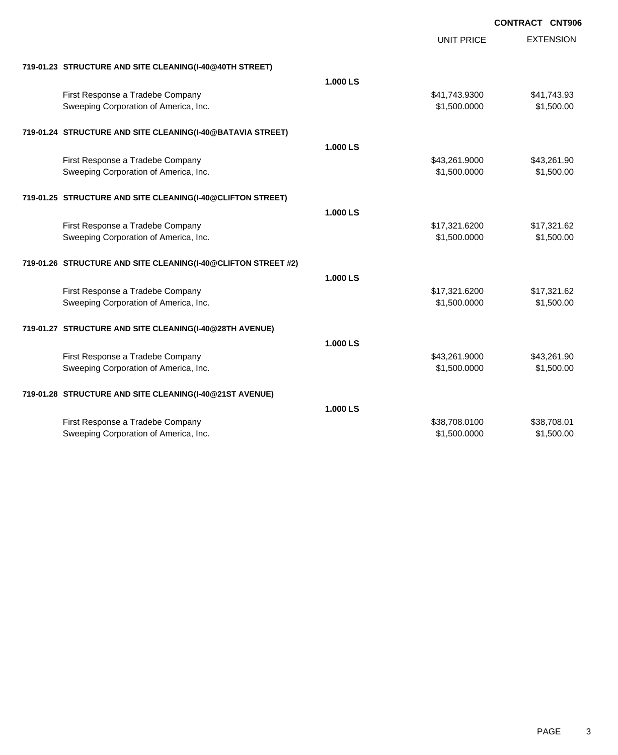|                                                               |          | <b>UNIT PRICE</b> | <b>EXTENSION</b> |
|---------------------------------------------------------------|----------|-------------------|------------------|
| 719-01.23 STRUCTURE AND SITE CLEANING(I-40@40TH STREET)       |          |                   |                  |
|                                                               | 1.000 LS |                   |                  |
| First Response a Tradebe Company                              |          | \$41,743.9300     | \$41,743.93      |
| Sweeping Corporation of America, Inc.                         |          | \$1,500.0000      | \$1,500.00       |
| 719-01.24 STRUCTURE AND SITE CLEANING(I-40@BATAVIA STREET)    |          |                   |                  |
|                                                               | 1.000 LS |                   |                  |
| First Response a Tradebe Company                              |          | \$43,261.9000     | \$43,261.90      |
| Sweeping Corporation of America, Inc.                         |          | \$1,500.0000      | \$1,500.00       |
| 719-01.25 STRUCTURE AND SITE CLEANING(I-40@CLIFTON STREET)    |          |                   |                  |
|                                                               | 1.000 LS |                   |                  |
| First Response a Tradebe Company                              |          | \$17,321.6200     | \$17,321.62      |
| Sweeping Corporation of America, Inc.                         |          | \$1,500.0000      | \$1,500.00       |
| 719-01.26 STRUCTURE AND SITE CLEANING(I-40@CLIFTON STREET #2) |          |                   |                  |
|                                                               | 1.000 LS |                   |                  |
| First Response a Tradebe Company                              |          | \$17,321.6200     | \$17,321.62      |
| Sweeping Corporation of America, Inc.                         |          | \$1,500.0000      | \$1,500.00       |
| 719-01.27 STRUCTURE AND SITE CLEANING(I-40@28TH AVENUE)       |          |                   |                  |
|                                                               | 1.000 LS |                   |                  |
| First Response a Tradebe Company                              |          | \$43,261.9000     | \$43,261.90      |
| Sweeping Corporation of America, Inc.                         |          | \$1,500.0000      | \$1,500.00       |
| 719-01.28 STRUCTURE AND SITE CLEANING(I-40@21ST AVENUE)       |          |                   |                  |
|                                                               | 1.000 LS |                   |                  |
| First Response a Tradebe Company                              |          | \$38,708.0100     | \$38,708.01      |
| Sweeping Corporation of America, Inc.                         |          | \$1,500.0000      | \$1,500.00       |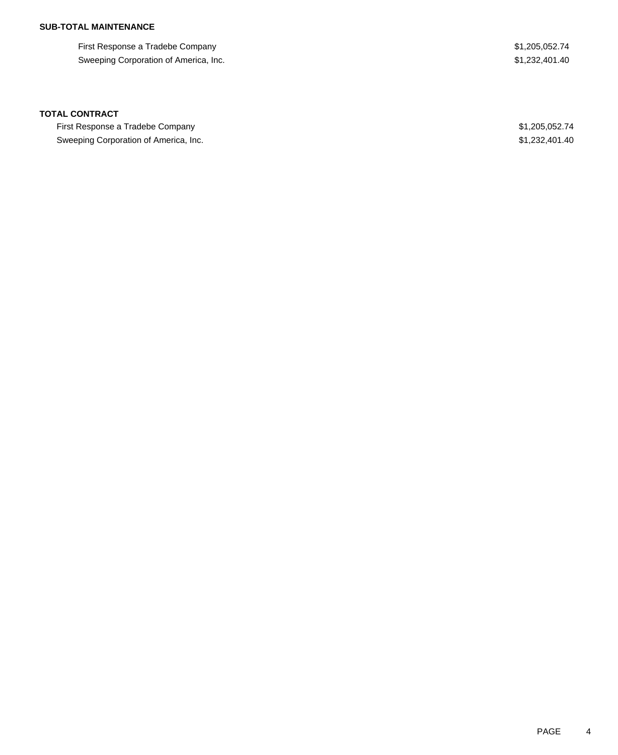### **SUB-TOTAL MAINTENANCE**

First Response a Tradebe Company **\$1,205,052.74** Sweeping Corporation of America, Inc. 631,232,401.40

### **TOTAL CONTRACT**

First Response a Tradebe Company **\$1,205,052.74** Sweeping Corporation of America, Inc. 6. The Superior of America, Inc. \$1,232,401.40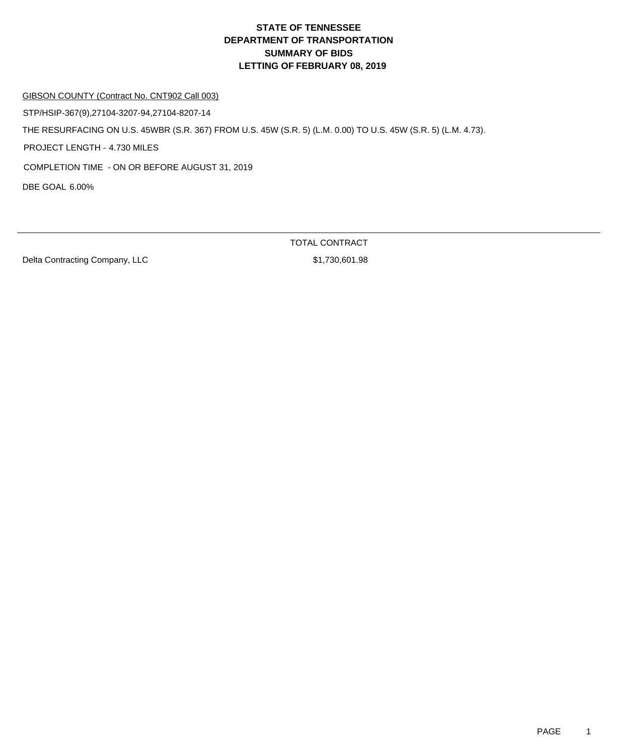### GIBSON COUNTY (Contract No. CNT902 Call 003)

STP/HSIP-367(9),27104-3207-94,27104-8207-14

THE RESURFACING ON U.S. 45WBR (S.R. 367) FROM U.S. 45W (S.R. 5) (L.M. 0.00) TO U.S. 45W (S.R. 5) (L.M. 4.73).

PROJECT LENGTH - 4.730 MILES

COMPLETION TIME - ON OR BEFORE AUGUST 31, 2019

DBE GOAL 6.00%

Delta Contracting Company, LLC \$1,730,601.98

TOTAL CONTRACT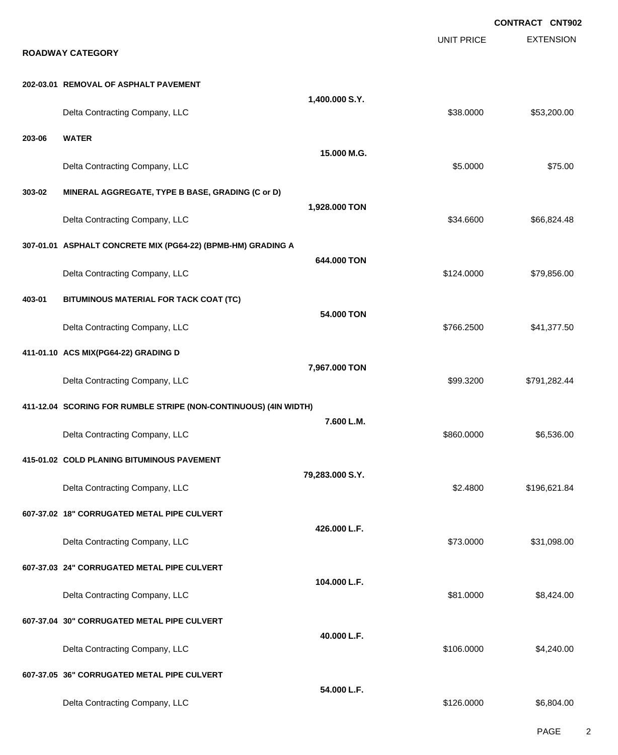|        |                                                                  |                 |                   | <b>CONTRACT CNT902</b> |
|--------|------------------------------------------------------------------|-----------------|-------------------|------------------------|
|        | <b>ROADWAY CATEGORY</b>                                          |                 | <b>UNIT PRICE</b> | <b>EXTENSION</b>       |
|        | 202-03.01 REMOVAL OF ASPHALT PAVEMENT                            |                 |                   |                        |
|        | Delta Contracting Company, LLC                                   | 1,400.000 S.Y.  | \$38.0000         | \$53,200.00            |
| 203-06 | <b>WATER</b>                                                     | 15.000 M.G.     |                   |                        |
|        | Delta Contracting Company, LLC                                   |                 | \$5.0000          | \$75.00                |
| 303-02 | MINERAL AGGREGATE, TYPE B BASE, GRADING (C or D)                 | 1,928.000 TON   |                   |                        |
|        | Delta Contracting Company, LLC                                   |                 | \$34.6600         | \$66,824.48            |
|        | 307-01.01 ASPHALT CONCRETE MIX (PG64-22) (BPMB-HM) GRADING A     |                 |                   |                        |
|        | Delta Contracting Company, LLC                                   | 644,000 TON     | \$124.0000        | \$79,856.00            |
| 403-01 | BITUMINOUS MATERIAL FOR TACK COAT (TC)                           | 54,000 TON      |                   |                        |
|        | Delta Contracting Company, LLC                                   |                 | \$766.2500        | \$41,377.50            |
|        | 411-01.10 ACS MIX(PG64-22) GRADING D                             |                 |                   |                        |
|        | Delta Contracting Company, LLC                                   | 7,967.000 TON   | \$99.3200         | \$791,282.44           |
|        | 411-12.04 SCORING FOR RUMBLE STRIPE (NON-CONTINUOUS) (4IN WIDTH) |                 |                   |                        |
|        | Delta Contracting Company, LLC                                   | 7.600 L.M.      | \$860.0000        | \$6,536.00             |
|        | 415-01.02 COLD PLANING BITUMINOUS PAVEMENT                       |                 |                   |                        |
|        | Delta Contracting Company, LLC                                   | 79,283.000 S.Y. | \$2.4800          | \$196,621.84           |
|        | 607-37.02 18" CORRUGATED METAL PIPE CULVERT                      |                 |                   |                        |
|        | Delta Contracting Company, LLC                                   | 426.000 L.F.    | \$73.0000         | \$31,098.00            |
|        | 607-37.03 24" CORRUGATED METAL PIPE CULVERT                      |                 |                   |                        |
|        | Delta Contracting Company, LLC                                   | 104.000 L.F.    | \$81.0000         | \$8,424.00             |
|        | 607-37.04 30" CORRUGATED METAL PIPE CULVERT                      |                 |                   |                        |
|        | Delta Contracting Company, LLC                                   | 40.000 L.F.     | \$106.0000        | \$4,240.00             |
|        | 607-37.05 36" CORRUGATED METAL PIPE CULVERT                      |                 |                   |                        |
|        | Delta Contracting Company, LLC                                   | 54.000 L.F.     | \$126.0000        | \$6,804.00             |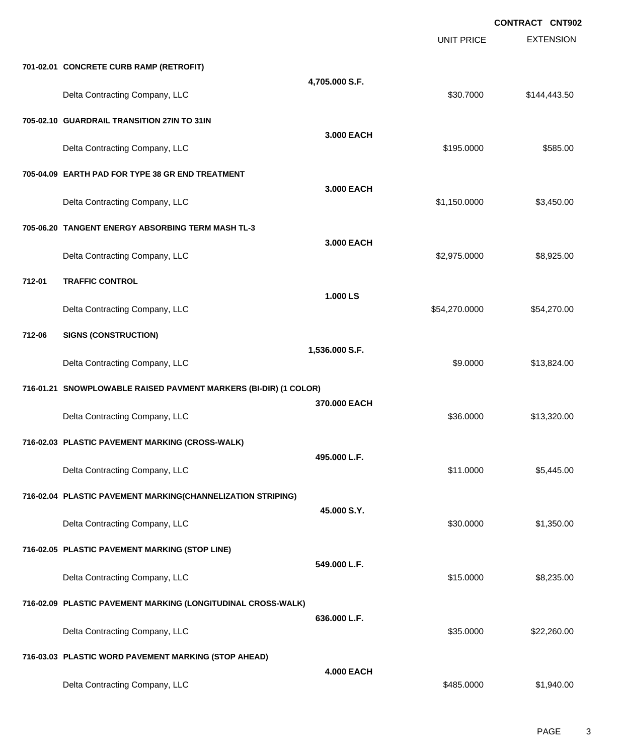|        |                                                                  |                   | <b>UNIT PRICE</b> | <b>CONTRACT CNT902</b><br><b>EXTENSION</b> |
|--------|------------------------------------------------------------------|-------------------|-------------------|--------------------------------------------|
|        | 701-02.01 CONCRETE CURB RAMP (RETROFIT)                          |                   |                   |                                            |
|        | Delta Contracting Company, LLC                                   | 4,705.000 S.F.    | \$30.7000         | \$144,443.50                               |
|        | 705-02.10 GUARDRAIL TRANSITION 27IN TO 31IN                      |                   |                   |                                            |
|        | Delta Contracting Company, LLC                                   | 3.000 EACH        | \$195.0000        | \$585.00                                   |
|        | 705-04.09 EARTH PAD FOR TYPE 38 GR END TREATMENT                 |                   |                   |                                            |
|        | Delta Contracting Company, LLC                                   | 3.000 EACH        | \$1,150.0000      | \$3,450.00                                 |
|        | 705-06.20 TANGENT ENERGY ABSORBING TERM MASH TL-3                |                   |                   |                                            |
|        | Delta Contracting Company, LLC                                   | 3.000 EACH        | \$2,975.0000      | \$8,925.00                                 |
| 712-01 | <b>TRAFFIC CONTROL</b>                                           |                   |                   |                                            |
|        | Delta Contracting Company, LLC                                   | 1.000 LS          | \$54,270.0000     | \$54,270.00                                |
| 712-06 | <b>SIGNS (CONSTRUCTION)</b>                                      |                   |                   |                                            |
|        | Delta Contracting Company, LLC                                   | 1,536.000 S.F.    | \$9.0000          | \$13,824.00                                |
|        | 716-01.21 SNOWPLOWABLE RAISED PAVMENT MARKERS (BI-DIR) (1 COLOR) |                   |                   |                                            |
|        | Delta Contracting Company, LLC                                   | 370.000 EACH      | \$36.0000         | \$13,320.00                                |
|        | 716-02.03 PLASTIC PAVEMENT MARKING (CROSS-WALK)                  |                   |                   |                                            |
|        | Delta Contracting Company, LLC                                   | 495.000 L.F.      | \$11.0000         | \$5,445.00                                 |
|        | 716-02.04 PLASTIC PAVEMENT MARKING(CHANNELIZATION STRIPING)      |                   |                   |                                            |
|        | Delta Contracting Company, LLC                                   | 45.000 S.Y.       | \$30.0000         | \$1,350.00                                 |
|        | 716-02.05 PLASTIC PAVEMENT MARKING (STOP LINE)                   |                   |                   |                                            |
|        | Delta Contracting Company, LLC                                   | 549.000 L.F.      | \$15.0000         | \$8,235.00                                 |
|        | 716-02.09 PLASTIC PAVEMENT MARKING (LONGITUDINAL CROSS-WALK)     |                   |                   |                                            |
|        | Delta Contracting Company, LLC                                   | 636.000 L.F.      | \$35.0000         | \$22,260.00                                |
|        | 716-03.03 PLASTIC WORD PAVEMENT MARKING (STOP AHEAD)             |                   |                   |                                            |
|        | Delta Contracting Company, LLC                                   | <b>4.000 EACH</b> | \$485.0000        | \$1,940.00                                 |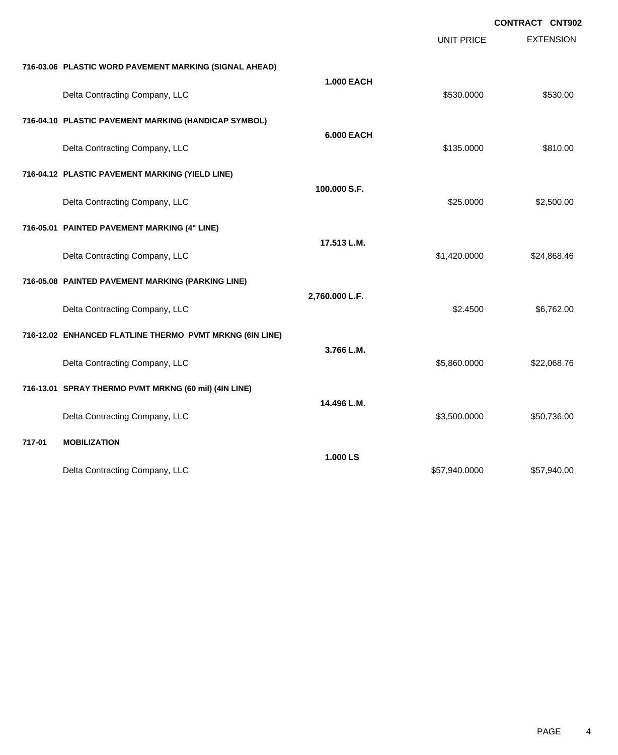|        |                                                          |                   |                   | <b>CONTRACT CNT902</b> |
|--------|----------------------------------------------------------|-------------------|-------------------|------------------------|
|        |                                                          |                   | <b>UNIT PRICE</b> | <b>EXTENSION</b>       |
|        | 716-03.06 PLASTIC WORD PAVEMENT MARKING (SIGNAL AHEAD)   |                   |                   |                        |
|        | Delta Contracting Company, LLC                           | <b>1.000 EACH</b> | \$530.0000        | \$530.00               |
|        | 716-04.10 PLASTIC PAVEMENT MARKING (HANDICAP SYMBOL)     |                   |                   |                        |
|        | Delta Contracting Company, LLC                           | <b>6.000 EACH</b> | \$135.0000        | \$810.00               |
|        | 716-04.12 PLASTIC PAVEMENT MARKING (YIELD LINE)          |                   |                   |                        |
|        | Delta Contracting Company, LLC                           | 100.000 S.F.      | \$25.0000         | \$2,500.00             |
|        | 716-05.01 PAINTED PAVEMENT MARKING (4" LINE)             |                   |                   |                        |
|        | Delta Contracting Company, LLC                           | 17.513 L.M.       | \$1,420.0000      | \$24,868.46            |
|        | 716-05.08 PAINTED PAVEMENT MARKING (PARKING LINE)        |                   |                   |                        |
|        | Delta Contracting Company, LLC                           | 2,760.000 L.F.    | \$2,4500          | \$6,762.00             |
|        | 716-12.02 ENHANCED FLATLINE THERMO PVMT MRKNG (6IN LINE) |                   |                   |                        |
|        | Delta Contracting Company, LLC                           | 3.766 L.M.        | \$5,860.0000      | \$22,068.76            |
|        | 716-13.01 SPRAY THERMO PVMT MRKNG (60 mil) (4IN LINE)    |                   |                   |                        |
|        | Delta Contracting Company, LLC                           | 14.496 L.M.       | \$3,500.0000      | \$50,736.00            |
| 717-01 | <b>MOBILIZATION</b>                                      |                   |                   |                        |
|        | Delta Contracting Company, LLC                           | 1.000 LS          | \$57,940.0000     | \$57,940.00            |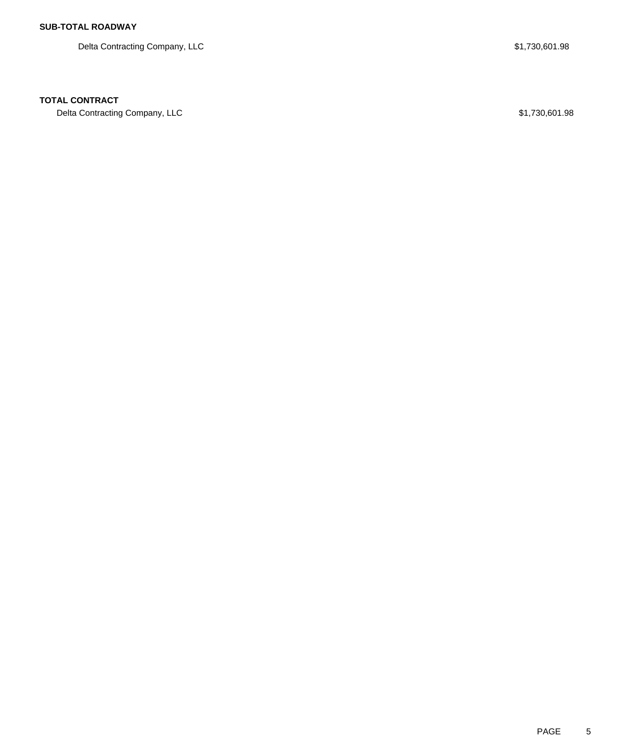Delta Contracting Company, LLC \$1,730,601.98

### **TOTAL CONTRACT**

Delta Contracting Company, LLC \$1,730,601.98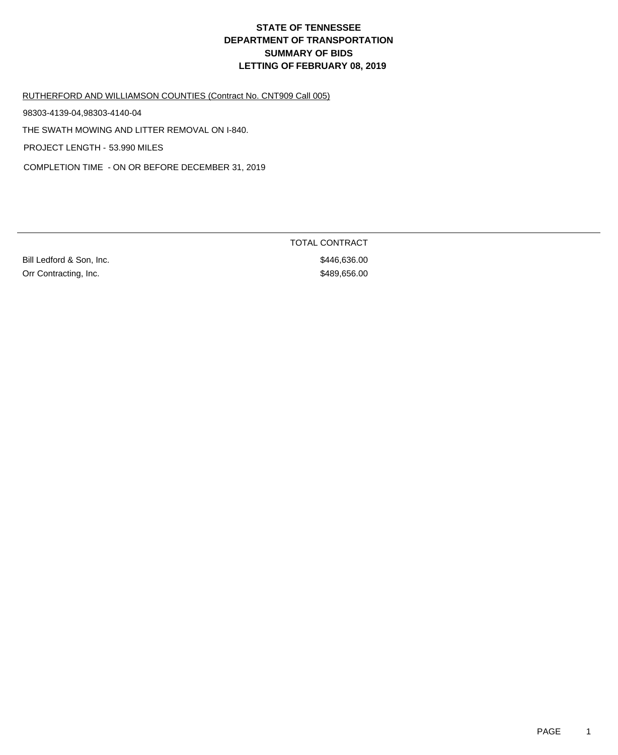RUTHERFORD AND WILLIAMSON COUNTIES (Contract No. CNT909 Call 005)

98303-4139-04,98303-4140-04

THE SWATH MOWING AND LITTER REMOVAL ON I-840.

PROJECT LENGTH - 53.990 MILES

COMPLETION TIME - ON OR BEFORE DECEMBER 31, 2019

Bill Ledford & Son, Inc. 636.000 6446,636.00 Orr Contracting, Inc. \$489,656.00

TOTAL CONTRACT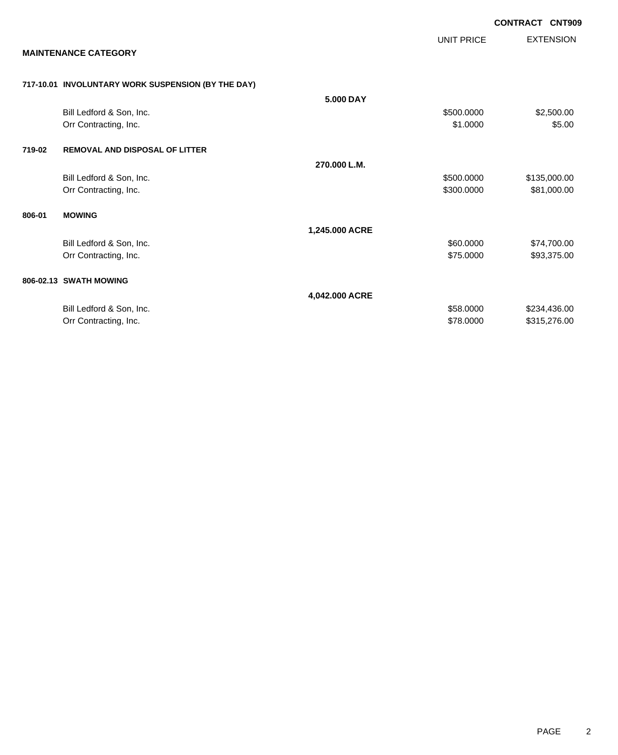|        |                                                    |                |                          | <b>CONTRACT CNT909</b>       |
|--------|----------------------------------------------------|----------------|--------------------------|------------------------------|
|        | <b>MAINTENANCE CATEGORY</b>                        |                | <b>UNIT PRICE</b>        | <b>EXTENSION</b>             |
|        | 717-10.01 INVOLUNTARY WORK SUSPENSION (BY THE DAY) |                |                          |                              |
|        | Bill Ledford & Son, Inc.<br>Orr Contracting, Inc.  | 5.000 DAY      | \$500.0000<br>\$1,0000   | \$2,500.00<br>\$5.00         |
| 719-02 | <b>REMOVAL AND DISPOSAL OF LITTER</b>              |                |                          |                              |
|        | Bill Ledford & Son, Inc.<br>Orr Contracting, Inc.  | 270.000 L.M.   | \$500,0000<br>\$300.0000 | \$135,000.00<br>\$81,000.00  |
| 806-01 | <b>MOWING</b>                                      |                |                          |                              |
|        | Bill Ledford & Son, Inc.<br>Orr Contracting, Inc.  | 1,245.000 ACRE | \$60.0000<br>\$75,0000   | \$74,700.00<br>\$93,375.00   |
|        | 806-02.13 SWATH MOWING                             |                |                          |                              |
|        | Bill Ledford & Son, Inc.<br>Orr Contracting, Inc.  | 4,042.000 ACRE | \$58.0000<br>\$78.0000   | \$234,436.00<br>\$315,276.00 |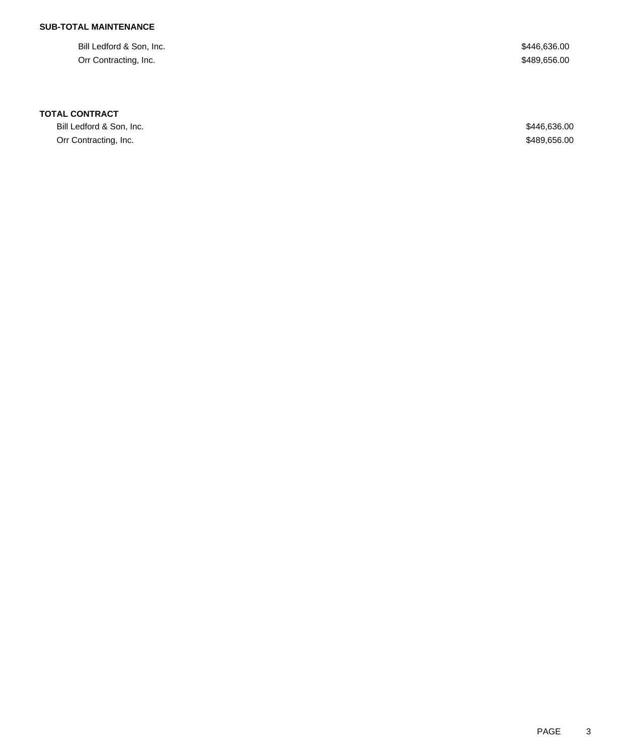## **SUB-TOTAL MAINTENANCE**

Bill Ledford & Son, Inc. \$446,636.00 Orr Contracting, Inc. \$489,656.00

### **TOTAL CONTRACT**

Bill Ledford & Son, Inc. \$446,636.00 Orr Contracting, Inc. \$489,656.00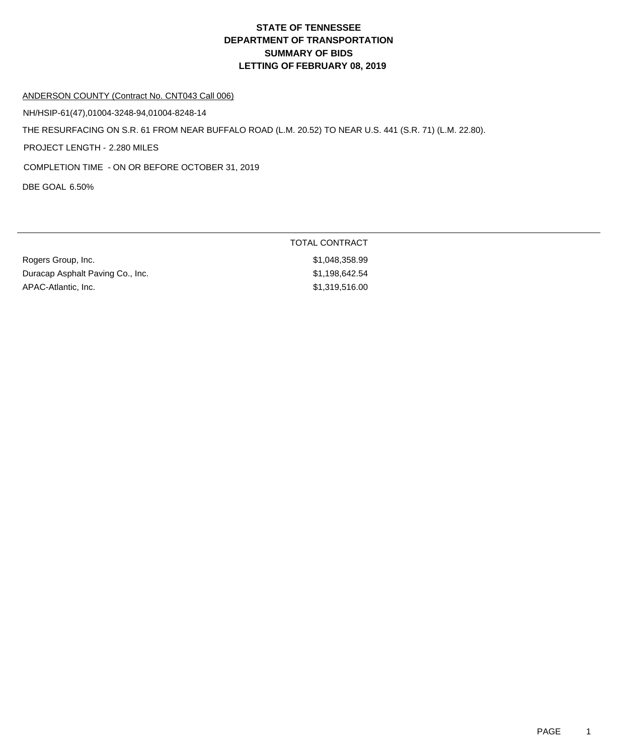### ANDERSON COUNTY (Contract No. CNT043 Call 006)

NH/HSIP-61(47),01004-3248-94,01004-8248-14

THE RESURFACING ON S.R. 61 FROM NEAR BUFFALO ROAD (L.M. 20.52) TO NEAR U.S. 441 (S.R. 71) (L.M. 22.80).

PROJECT LENGTH - 2.280 MILES

COMPLETION TIME - ON OR BEFORE OCTOBER 31, 2019

DBE GOAL 6.50%

|                                  | TOTAL CONTRACT |
|----------------------------------|----------------|
| Rogers Group, Inc.               | \$1,048,358.99 |
| Duracap Asphalt Paving Co., Inc. | \$1.198.642.54 |
| APAC-Atlantic, Inc.              | \$1,319,516.00 |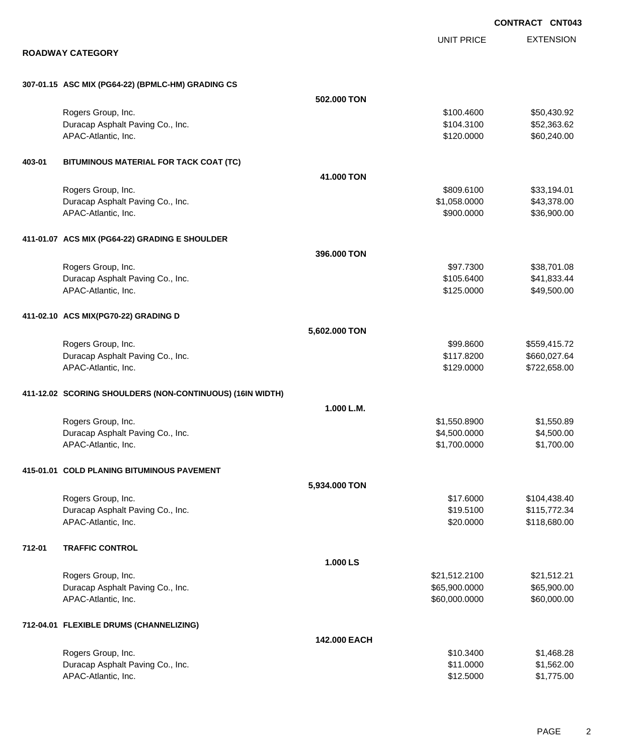EXTENSION **CONTRACT CNT043** UNIT PRICE **ROADWAY CATEGORY 307-01.15 ASC MIX (PG64-22) (BPMLC-HM) GRADING CS 502.000 TON** Rogers Group, Inc. \$100.4600 \$50,430.92 Duracap Asphalt Paving Co., Inc. 6. The Contract of the Contract of the State of the State of the State of the State of State of the State of State of State of State of State of the State of State of State of State of Stat APAC-Atlantic, Inc. \$60,240.00 \$60,240.00 \$60,240.00 \$60,240.00 \$60,240.00 \$60,240.00 **403-01 BITUMINOUS MATERIAL FOR TACK COAT (TC) 41.000 TON** Rogers Group, Inc. \$809.6100 \$33,194.01 Duracap Asphalt Paving Co., Inc. \$1,058.0000 \$43,378.00 APAC-Atlantic, Inc. \$900.000 \$36,900.00 **411-01.07 ACS MIX (PG64-22) GRADING E SHOULDER 396.000 TON** Rogers Group, Inc. \$97.7300 \$38,701.08 Duracap Asphalt Paving Co., Inc. 641,833.44 APAC-Atlantic, Inc. \$125.0000 \$49,500.00 **411-02.10 ACS MIX(PG70-22) GRADING D 5,602.000 TON** Rogers Group, Inc. \$99.8600 \$559,415.72 Duracap Asphalt Paving Co., Inc. 660,027.64 APAC-Atlantic, Inc. \$129.0000 \$722,658.00 **411-12.02 SCORING SHOULDERS (NON-CONTINUOUS) (16IN WIDTH) 1.000 L.M.** Rogers Group, Inc. \$1,550.8900 \$1,550.8900 \$1,550.8900 \$1,550.8900 \$1,550.8900 \$1,550.89 Duracap Asphalt Paving Co., Inc. \$4,500.000 \$4,500.000 \$4,500.000 \$4,500.000 APAC-Atlantic, Inc. \$1,700.000 \$1,700.000 \$1,700.000 \$1,700.000 \$1,700.000 \$1,700.000 \$1,700.00 \$1,700.00 \$1,700 **415-01.01 COLD PLANING BITUMINOUS PAVEMENT 5,934.000 TON** Rogers Group, Inc. \$104,438.40  $\sim$  \$17.6000 \$104,438.40 Duracap Asphalt Paving Co., Inc. \$19.5100 \$115,772.34 APAC-Atlantic, Inc. \$20.000 \$118,680.00 **712-01 TRAFFIC CONTROL 1.000 LS** Rogers Group, Inc. \$21,512.2100 \$21,512.2100 \$21,512.2100 \$21,512.21 Duracap Asphalt Paving Co., Inc. 665,900.000 \$65,900.000 \$65,900.000 \$65,900.000 APAC-Atlantic, Inc. \$60,000.000 \$60,000.000 \$60,000.000 \$60,000.000 \$60,000.000 \$60,000.00 **712-04.01 FLEXIBLE DRUMS (CHANNELIZING) 142.000 EACH** Rogers Group, Inc. \$1,468.28 Duracap Asphalt Paving Co., Inc. \$11.0000 \$1,562.00

APAC-Atlantic, Inc. \$1,775.00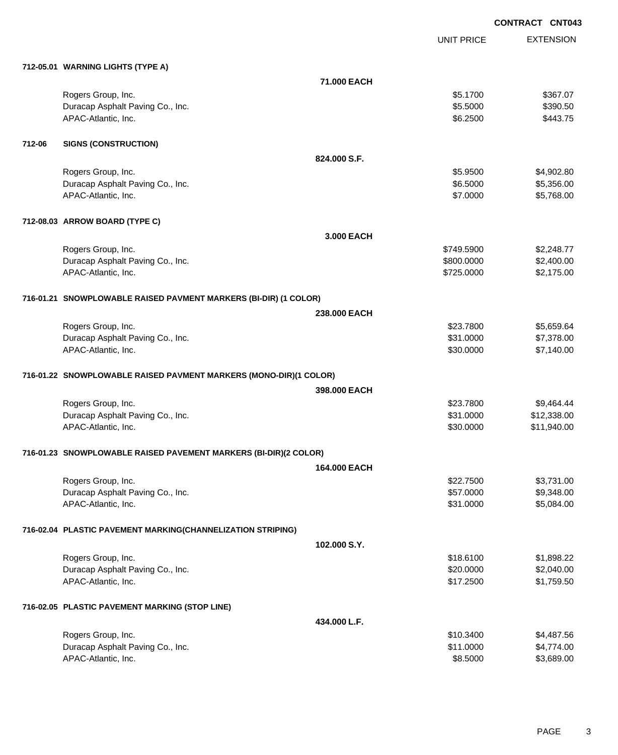EXTENSION UNIT PRICE **712-05.01 WARNING LIGHTS (TYPE A) 71.000 EACH** Rogers Group, Inc. \$367.07 \$3.1700 \$367.07 Duracap Asphalt Paving Co., Inc. 6.6000 \$390.50 APAC-Atlantic, Inc. \$443.75 **712-06 SIGNS (CONSTRUCTION) 824.000 S.F.** Rogers Group, Inc. \$4,902.80 Duracap Asphalt Paving Co., Inc. 6. 2012 12:356.00 \$5,356.00 \$5,356.00 APAC-Atlantic, Inc. \$5,768.00 \$5,768.00 \$5,768.00 \$5,768.00 \$5,768.00 \$5,768.00 \$5,768.00 \$5,768.00 \$5,768.00 \$5,768 **712-08.03 ARROW BOARD (TYPE C) 3.000 EACH** Rogers Group, Inc. \$2,248.77 Duracap Asphalt Paving Co., Inc. 6. The Contract of the Contract of the State of the State of the State of the State of the State of the State of the State of the State of the State of the State of the State of the State o APAC-Atlantic, Inc. \$2,175.00 \$2,175.00 \$2,175.00 \$2,175.00 \$2,175.00 \$2,175.00 \$2,175.00 \$2,175.00 \$2,175.00 \$2,175.00 \$2,175.00 \$2,175.00 \$2,175.00 \$2,175.00 \$2,175.00 \$2,175.00 \$2,175.00 \$2,175.00 \$2,175.00 \$2,175.00 \$2 **716-01.21 SNOWPLOWABLE RAISED PAVMENT MARKERS (BI-DIR) (1 COLOR) 238.000 EACH** Rogers Group, Inc. \$23.7800 \$5,659.64 Duracap Asphalt Paving Co., Inc. \$31.0000 \$7,378.00 APAC-Atlantic, Inc. \$30.0000 \$7,140.00 **716-01.22 SNOWPLOWABLE RAISED PAVMENT MARKERS (MONO-DIR)(1 COLOR) 398.000 EACH** Rogers Group, Inc. \$23.7800 \$9,464.44 Duracap Asphalt Paving Co., Inc. \$12,338.00 APAC-Atlantic, Inc. \$30.0000 \$11,940.00 **716-01.23 SNOWPLOWABLE RAISED PAVEMENT MARKERS (BI-DIR)(2 COLOR) 164.000 EACH** Rogers Group, Inc. \$2,731.00 \$3,731.00 \$3,731.00 \$3,731.00 \$3,731.00 \$3,731.00 \$3,731.00 Duracap Asphalt Paving Co., Inc. 6. The Contract of the Contract of the State of the State of the State of the State of the State of the State of the State of the State of the State of the State of the State of the State o APAC-Atlantic, Inc. \$3,084.00 \$5,084.00 \$5,084.00 \$5,084.00 \$5,084.00 \$5,084.00 \$5,084.00 **716-02.04 PLASTIC PAVEMENT MARKING(CHANNELIZATION STRIPING) 102.000 S.Y.** Rogers Group, Inc. \$1,898.22 Duracap Asphalt Paving Co., Inc. 6. The Contract of the Contract of the State of the State of the State of the State of the State of the State of the State of the State of the State of the State of the State of the State o APAC-Atlantic, Inc. \$1,759.50 **716-02.05 PLASTIC PAVEMENT MARKING (STOP LINE) 434.000 L.F.** Rogers Group, Inc. \$1,487.56 Duracap Asphalt Paving Co., Inc. \$1,774.00 \$4,774.00 \$4,774.00

APAC-Atlantic, Inc. \$8.5000 \$3,689.00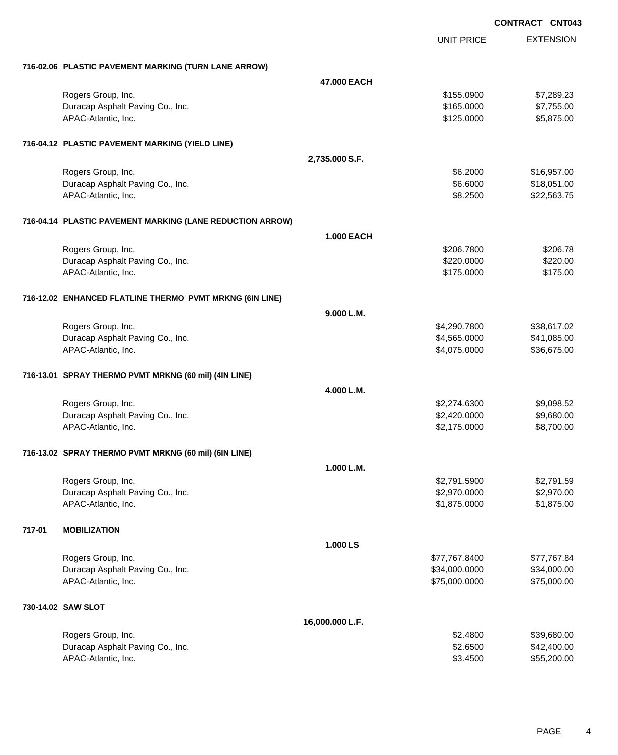|                                                           | UNIT PRICE        | <b>EXTENSION</b> |
|-----------------------------------------------------------|-------------------|------------------|
| 716-02.06 PLASTIC PAVEMENT MARKING (TURN LANE ARROW)      |                   |                  |
|                                                           | 47.000 EACH       |                  |
| Rogers Group, Inc.                                        | \$155.0900        | \$7,289.23       |
| Duracap Asphalt Paving Co., Inc.                          | \$165.0000        | \$7,755.00       |
| APAC-Atlantic, Inc.                                       | \$125.0000        | \$5,875.00       |
| 716-04.12 PLASTIC PAVEMENT MARKING (YIELD LINE)           |                   |                  |
|                                                           | 2,735.000 S.F.    |                  |
| Rogers Group, Inc.                                        | \$6.2000          | \$16,957.00      |
| Duracap Asphalt Paving Co., Inc.                          | \$6.6000          | \$18,051.00      |
| APAC-Atlantic, Inc.                                       | \$8.2500          | \$22,563.75      |
| 716-04.14 PLASTIC PAVEMENT MARKING (LANE REDUCTION ARROW) |                   |                  |
|                                                           | <b>1.000 EACH</b> |                  |
| Rogers Group, Inc.                                        | \$206.7800        | \$206.78         |
| Duracap Asphalt Paving Co., Inc.                          | \$220.0000        | \$220.00         |
| APAC-Atlantic, Inc.                                       | \$175.0000        | \$175.00         |
| 716-12.02 ENHANCED FLATLINE THERMO PVMT MRKNG (6IN LINE)  |                   |                  |
|                                                           | 9.000 L.M.        |                  |
| Rogers Group, Inc.                                        | \$4,290.7800      | \$38,617.02      |
| Duracap Asphalt Paving Co., Inc.                          | \$4,565.0000      | \$41,085.00      |
| APAC-Atlantic, Inc.                                       | \$4,075.0000      | \$36,675.00      |
| 716-13.01 SPRAY THERMO PVMT MRKNG (60 mil) (4IN LINE)     |                   |                  |
|                                                           | 4.000 L.M.        |                  |
| Rogers Group, Inc.                                        | \$2,274.6300      | \$9,098.52       |
| Duracap Asphalt Paving Co., Inc.                          | \$2,420.0000      | \$9,680.00       |
| APAC-Atlantic, Inc.                                       | \$2,175.0000      | \$8,700.00       |
| 716-13.02 SPRAY THERMO PVMT MRKNG (60 mil) (6IN LINE)     |                   |                  |
|                                                           | 1.000 L.M.        |                  |
| Rogers Group, Inc.                                        | \$2,791.5900      | \$2,791.59       |
| Duracap Asphalt Paving Co., Inc.                          | \$2,970.0000      | \$2,970.00       |
| APAC-Atlantic, Inc.                                       | \$1,875.0000      | \$1,875.00       |
| 717-01<br><b>MOBILIZATION</b>                             |                   |                  |
|                                                           | 1.000 LS          |                  |
| Rogers Group, Inc.                                        | \$77,767.8400     | \$77,767.84      |
| Duracap Asphalt Paving Co., Inc.                          | \$34,000.0000     | \$34,000.00      |
| APAC-Atlantic, Inc.                                       | \$75,000.0000     | \$75,000.00      |
| 730-14.02 SAW SLOT                                        |                   |                  |
|                                                           | 16,000.000 L.F.   |                  |
| Rogers Group, Inc.                                        | \$2.4800          | \$39,680.00      |
| Duracap Asphalt Paving Co., Inc.                          | \$2.6500          | \$42,400.00      |
| APAC-Atlantic, Inc.                                       | \$3.4500          | \$55,200.00      |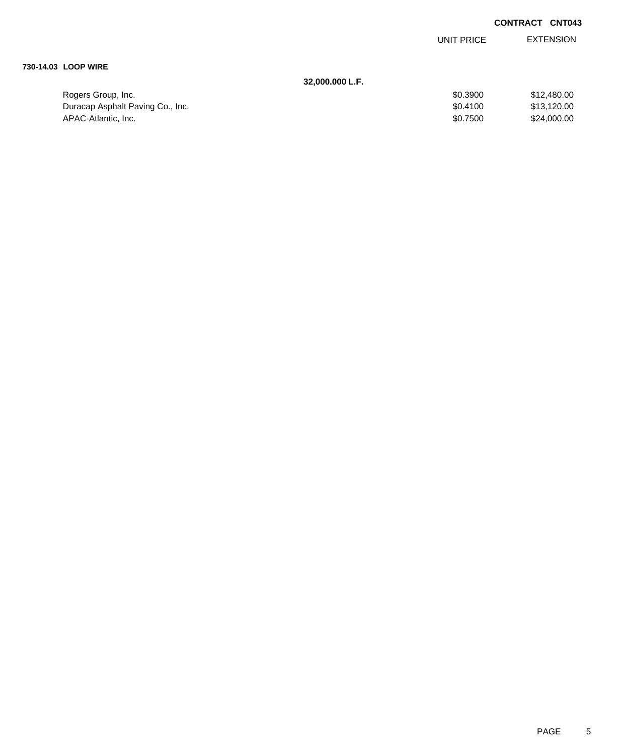EXTENSION UNIT PRICE

### **730-14.03 LOOP WIRE**

### **32,000.000 L.F.**

| Rogers Group, Inc.               | \$0.3900 | \$12,480,00 |
|----------------------------------|----------|-------------|
| Duracap Asphalt Paving Co., Inc. | \$0.4100 | \$13,120,00 |
| APAC-Atlantic, Inc.              | \$0.7500 | \$24,000.00 |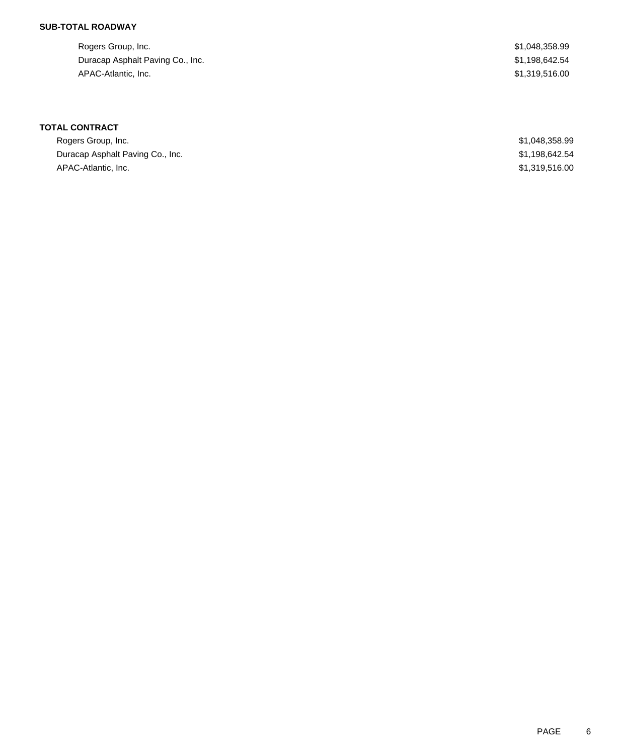### **SUB-TOTAL ROADWAY**

| Rogers Group, Inc.               | \$1,048,358.99 |
|----------------------------------|----------------|
| Duracap Asphalt Paving Co., Inc. | \$1,198,642.54 |
| APAC-Atlantic, Inc.              | \$1.319.516.00 |

# **TOTAL CONTRACT**

| Rogers Group, Inc.               | \$1,048,358.99 |
|----------------------------------|----------------|
| Duracap Asphalt Paving Co., Inc. | \$1.198.642.54 |
| APAC-Atlantic, Inc.              | \$1,319,516,00 |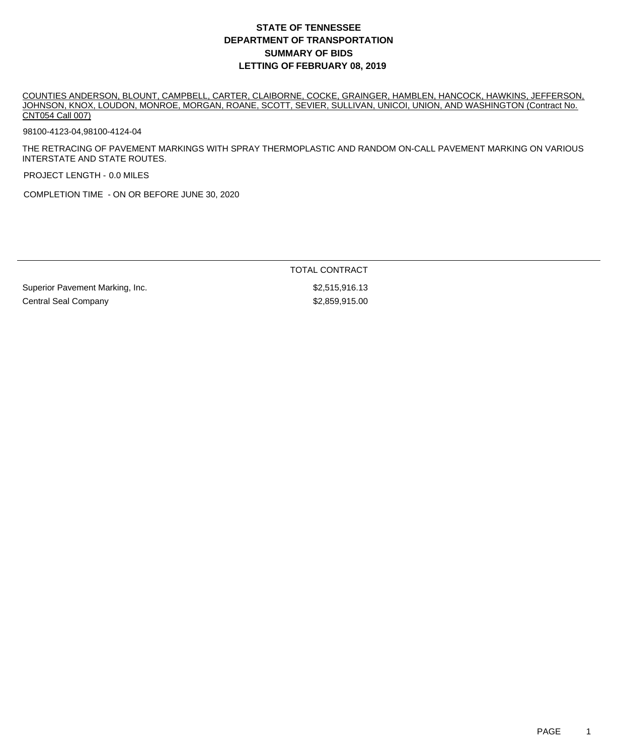COUNTIES ANDERSON, BLOUNT, CAMPBELL, CARTER, CLAIBORNE, COCKE, GRAINGER, HAMBLEN, HANCOCK, HAWKINS, JEFFERSON, JOHNSON, KNOX, LOUDON, MONROE, MORGAN, ROANE, SCOTT, SEVIER, SULLIVAN, UNICOI, UNION, AND WASHINGTON (Contract No. CNT054 Call 007)

98100-4123-04,98100-4124-04

THE RETRACING OF PAVEMENT MARKINGS WITH SPRAY THERMOPLASTIC AND RANDOM ON-CALL PAVEMENT MARKING ON VARIOUS INTERSTATE AND STATE ROUTES.

PROJECT LENGTH - 0.0 MILES

COMPLETION TIME - ON OR BEFORE JUNE 30, 2020

TOTAL CONTRACT

Superior Pavement Marking, Inc. \$2,515,916.13 Central Seal Company **\$2,859,915.00**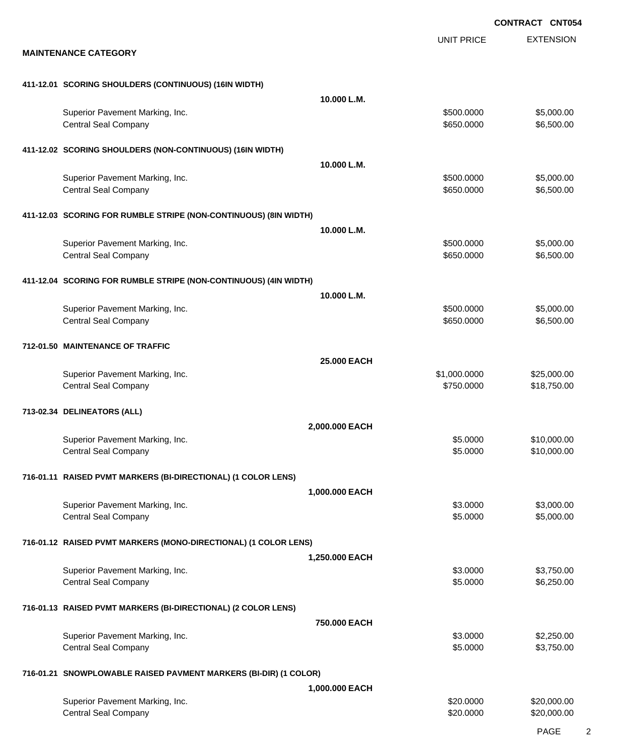EXTENSION **CONTRACT CNT054** UNIT PRICE **MAINTENANCE CATEGORY 411-12.01 SCORING SHOULDERS (CONTINUOUS) (16IN WIDTH) 10.000 L.M.** Superior Pavement Marking, Inc. 6. The Superior Pavement Marking, Inc. 6. The Superior Pavement Marking, Inc. 6. The Superior St. 6.000.000 \$5,000.000 \$5,000.00 Central Seal Company \$650.000 \$6,500.00 **411-12.02 SCORING SHOULDERS (NON-CONTINUOUS) (16IN WIDTH) 10.000 L.M.** Superior Pavement Marking, Inc. 6. The Superior Pavement Marking, Inc. 6. The Superior Pavement Marking, Inc. 6. The Superior St. 6.000.000 \$5,000.000 \$5,000.00 Central Seal Company \$650.000 \$6,500.00 **411-12.03 SCORING FOR RUMBLE STRIPE (NON-CONTINUOUS) (8IN WIDTH) 10.000 L.M.** Superior Pavement Marking, Inc. 6. The Superior Pavement Marking, Inc. 6. The Superior Pavement Marking, Inc. 6. The Superior St. 6.000.000 \$5,000.000 \$5,000.00 Central Seal Company \$650.000 \$6,500.00 **411-12.04 SCORING FOR RUMBLE STRIPE (NON-CONTINUOUS) (4IN WIDTH) 10.000 L.M.** Superior Pavement Marking, Inc. 6. The Superior Pavement Marking, Inc. 6. The Superior Pavement Marking, Inc. 6. The Superior St. 6.000.000 \$5,000.00 Central Seal Company \$650.000 \$6,500.00 **712-01.50 MAINTENANCE OF TRAFFIC 25.000 EACH** Superior Pavement Marking, Inc. 6. The Contract of Contract Contract Contract Contract Contract Contract Contract Contract Contract Contract Contract Contract Contract Contract Contract Contract Contract Contract Contract Central Seal Company \$18,750.000 \$18,750.000 \$18,750.000 \$18,750.000 \$18,750.000 \$18,750.000 \$18,750.00 \$18,750 **713-02.34 DELINEATORS (ALL) 2,000.000 EACH** Superior Pavement Marking, Inc. 6. The Superior Pavement Marking, Inc. 6. The Superior Pavement Marking, Inc. 6. The Superior Section 1.1 and Superior Pavement Marking, Inc. 6. The Superior Pavement Marking, Inc. 6. The Su Central Seal Company \$10,000.00 \$10,000.00 \$10,000.00 \$10,000.00 \$10,000.00 \$10,000.00 \$10,000.00 \$10,000.00 \$10,000 **716-01.11 RAISED PVMT MARKERS (BI-DIRECTIONAL) (1 COLOR LENS) 1,000.000 EACH** Superior Pavement Marking, Inc. 6. The Superior Pavement Marking, Inc. 6. The Superior Pavement Marking, Inc. 6. The Superior St. 6.0000 \$3,000.00 Central Seal Company \$5.000.00 \$5,000.00 \$5,000.00 \$5,000.00 \$5,000.00 \$5,000.00 \$5,000.00 \$5,000.00 \$5,000.00 **716-01.12 RAISED PVMT MARKERS (MONO-DIRECTIONAL) (1 COLOR LENS) 1,250.000 EACH** Superior Pavement Marking, Inc. 6. The Superior Pavement Marking, Inc. 6. The Superior Pavement Marking, Inc. 6. The Superior St. 6.000 \$3,750.00 Central Seal Company \$5.0000 \$6,250.00 **716-01.13 RAISED PVMT MARKERS (BI-DIRECTIONAL) (2 COLOR LENS) 750.000 EACH** Superior Pavement Marking, Inc. 6. The Superior Pavement Marking, Inc. 6. The Superior Pavement Marking, Inc. 6. The Superior Section 1.1 and Superior Pavement Marking, Inc. 6. The Superior Pavement Marking, Inc. 6. The Su Central Seal Company \$3,750.00 \$3,750.00 **716-01.21 SNOWPLOWABLE RAISED PAVMENT MARKERS (BI-DIR) (1 COLOR) 1,000.000 EACH** Superior Pavement Marking, Inc. 6. The Superior Pavement Marking, Inc. 6. The Superior Pavement Marking, Inc. 6. The Superior Section 1.1 and Superior Pavement Marking, Inc. Central Seal Company \$20,000.00 \$20,000.00 \$20,000.00 \$20,000.00 \$20,000.00 \$20,000.00 \$20,000.00 \$20,000.00 \$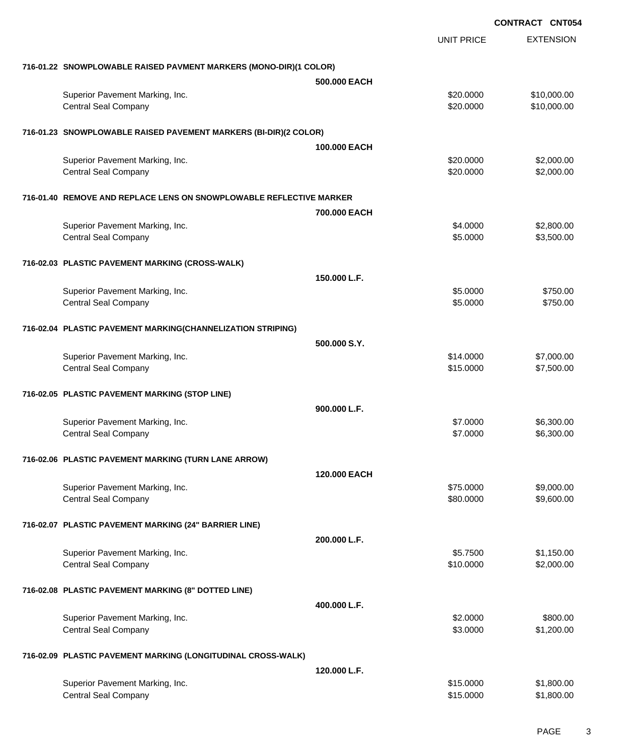|                                                                     |                        | <b>CONTRACT CNT054</b>     |
|---------------------------------------------------------------------|------------------------|----------------------------|
|                                                                     | <b>UNIT PRICE</b>      | <b>EXTENSION</b>           |
| 716-01.22 SNOWPLOWABLE RAISED PAVMENT MARKERS (MONO-DIR)(1 COLOR)   |                        |                            |
|                                                                     | 500.000 EACH           |                            |
| Superior Pavement Marking, Inc.<br><b>Central Seal Company</b>      | \$20.0000<br>\$20.0000 | \$10,000.00<br>\$10,000.00 |
| 716-01.23 SNOWPLOWABLE RAISED PAVEMENT MARKERS (BI-DIR)(2 COLOR)    |                        |                            |
|                                                                     | 100,000 EACH           |                            |
| Superior Pavement Marking, Inc.<br><b>Central Seal Company</b>      | \$20.0000<br>\$20.0000 | \$2,000.00<br>\$2,000.00   |
| 716-01.40 REMOVE AND REPLACE LENS ON SNOWPLOWABLE REFLECTIVE MARKER |                        |                            |
|                                                                     | 700,000 EACH           |                            |
| Superior Pavement Marking, Inc.<br><b>Central Seal Company</b>      | \$4.0000<br>\$5.0000   | \$2,800.00<br>\$3,500.00   |
| 716-02.03 PLASTIC PAVEMENT MARKING (CROSS-WALK)                     |                        |                            |
|                                                                     | 150,000 L.F.           |                            |
| Superior Pavement Marking, Inc.<br><b>Central Seal Company</b>      | \$5.0000<br>\$5.0000   | \$750.00<br>\$750.00       |
| 716-02.04 PLASTIC PAVEMENT MARKING(CHANNELIZATION STRIPING)         |                        |                            |
|                                                                     | 500.000 S.Y.           |                            |
| Superior Pavement Marking, Inc.<br><b>Central Seal Company</b>      | \$14.0000<br>\$15.0000 | \$7,000.00<br>\$7,500.00   |
| 716-02.05 PLASTIC PAVEMENT MARKING (STOP LINE)                      |                        |                            |
|                                                                     | 900.000 L.F.           |                            |
| Superior Pavement Marking, Inc.<br><b>Central Seal Company</b>      | \$7.0000<br>\$7.0000   | \$6,300.00<br>\$6,300.00   |
| 716-02.06 PLASTIC PAVEMENT MARKING (TURN LANE ARROW)                |                        |                            |
|                                                                     | 120,000 EACH           |                            |
| Superior Pavement Marking, Inc.<br><b>Central Seal Company</b>      | \$75.0000<br>\$80.0000 | \$9,000.00<br>\$9,600.00   |
| 716-02.07 PLASTIC PAVEMENT MARKING (24" BARRIER LINE)               |                        |                            |
|                                                                     | 200.000 L.F.           |                            |
| Superior Pavement Marking, Inc.<br><b>Central Seal Company</b>      | \$5.7500<br>\$10.0000  | \$1,150.00<br>\$2,000.00   |
| 716-02.08 PLASTIC PAVEMENT MARKING (8" DOTTED LINE)                 |                        |                            |
|                                                                     | 400.000 L.F.           |                            |
| Superior Pavement Marking, Inc.<br><b>Central Seal Company</b>      | \$2.0000<br>\$3.0000   | \$800.00<br>\$1,200.00     |
| 716-02.09 PLASTIC PAVEMENT MARKING (LONGITUDINAL CROSS-WALK)        |                        |                            |
|                                                                     | 120,000 L.F.           |                            |
| Superior Pavement Marking, Inc.<br><b>Central Seal Company</b>      | \$15.0000<br>\$15.0000 | \$1,800.00<br>\$1,800.00   |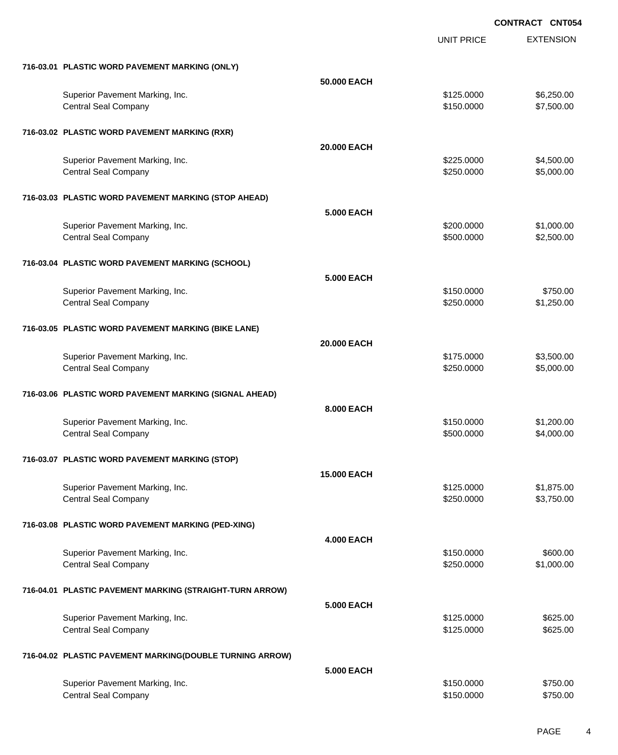|                                                          |                    | <b>UNIT PRICE</b> | <b>EXTENSION</b> |
|----------------------------------------------------------|--------------------|-------------------|------------------|
| 716-03.01 PLASTIC WORD PAVEMENT MARKING (ONLY)           |                    |                   |                  |
|                                                          | 50.000 EACH        |                   |                  |
| Superior Pavement Marking, Inc.                          |                    | \$125.0000        | \$6,250.00       |
| <b>Central Seal Company</b>                              |                    | \$150.0000        | \$7,500.00       |
| 716-03.02 PLASTIC WORD PAVEMENT MARKING (RXR)            |                    |                   |                  |
|                                                          | 20.000 EACH        |                   |                  |
| Superior Pavement Marking, Inc.                          |                    | \$225.0000        | \$4,500.00       |
| <b>Central Seal Company</b>                              |                    | \$250.0000        | \$5,000.00       |
| 716-03.03 PLASTIC WORD PAVEMENT MARKING (STOP AHEAD)     |                    |                   |                  |
|                                                          | <b>5.000 EACH</b>  |                   |                  |
| Superior Pavement Marking, Inc.                          |                    | \$200.0000        | \$1,000.00       |
| <b>Central Seal Company</b>                              |                    | \$500.0000        | \$2,500.00       |
| 716-03.04 PLASTIC WORD PAVEMENT MARKING (SCHOOL)         |                    |                   |                  |
|                                                          | 5.000 EACH         |                   |                  |
| Superior Pavement Marking, Inc.                          |                    | \$150.0000        | \$750.00         |
| <b>Central Seal Company</b>                              |                    | \$250.0000        | \$1,250.00       |
| 716-03.05 PLASTIC WORD PAVEMENT MARKING (BIKE LANE)      |                    |                   |                  |
|                                                          | 20.000 EACH        |                   |                  |
| Superior Pavement Marking, Inc.                          |                    | \$175.0000        | \$3,500.00       |
| <b>Central Seal Company</b>                              |                    | \$250.0000        | \$5,000.00       |
| 716-03.06 PLASTIC WORD PAVEMENT MARKING (SIGNAL AHEAD)   |                    |                   |                  |
|                                                          | 8.000 EACH         |                   |                  |
| Superior Pavement Marking, Inc.                          |                    | \$150.0000        | \$1,200.00       |
| <b>Central Seal Company</b>                              |                    | \$500.0000        | \$4,000.00       |
| 716-03.07 PLASTIC WORD PAVEMENT MARKING (STOP)           |                    |                   |                  |
|                                                          | <b>15.000 EACH</b> |                   |                  |
| Superior Pavement Marking, Inc.                          |                    | \$125.0000        | \$1,875.00       |
| <b>Central Seal Company</b>                              |                    | \$250.0000        | \$3,750.00       |
| 716-03.08 PLASTIC WORD PAVEMENT MARKING (PED-XING)       |                    |                   |                  |
|                                                          | <b>4.000 EACH</b>  |                   |                  |
| Superior Pavement Marking, Inc.                          |                    | \$150.0000        | \$600.00         |
| <b>Central Seal Company</b>                              |                    | \$250.0000        | \$1,000.00       |
| 716-04.01 PLASTIC PAVEMENT MARKING (STRAIGHT-TURN ARROW) |                    |                   |                  |
|                                                          | <b>5.000 EACH</b>  |                   |                  |
| Superior Pavement Marking, Inc.                          |                    | \$125.0000        | \$625.00         |
| <b>Central Seal Company</b>                              |                    | \$125.0000        | \$625.00         |
| 716-04.02 PLASTIC PAVEMENT MARKING(DOUBLE TURNING ARROW) |                    |                   |                  |
|                                                          | 5.000 EACH         |                   |                  |
| Superior Pavement Marking, Inc.                          |                    | \$150.0000        | \$750.00         |
| <b>Central Seal Company</b>                              |                    | \$150.0000        | \$750.00         |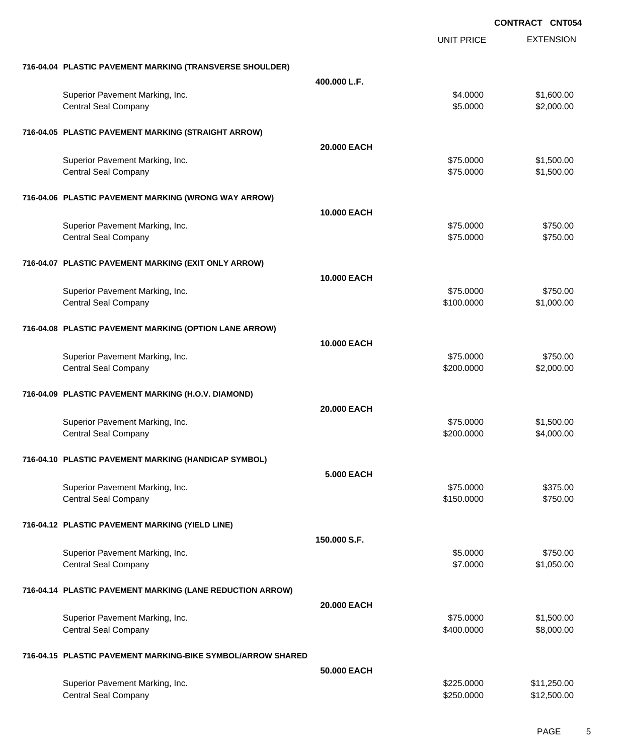|                                                                |                   | <b>UNIT PRICE</b>        | <b>EXTENSION</b>           |
|----------------------------------------------------------------|-------------------|--------------------------|----------------------------|
| 716-04.04 PLASTIC PAVEMENT MARKING (TRANSVERSE SHOULDER)       |                   |                          |                            |
|                                                                | 400.000 L.F.      |                          |                            |
| Superior Pavement Marking, Inc.<br><b>Central Seal Company</b> |                   | \$4.0000<br>\$5.0000     | \$1,600.00<br>\$2,000.00   |
| 716-04.05 PLASTIC PAVEMENT MARKING (STRAIGHT ARROW)            |                   |                          |                            |
|                                                                | 20,000 EACH       |                          |                            |
| Superior Pavement Marking, Inc.<br><b>Central Seal Company</b> |                   | \$75.0000<br>\$75.0000   | \$1,500.00<br>\$1,500.00   |
| 716-04.06 PLASTIC PAVEMENT MARKING (WRONG WAY ARROW)           |                   |                          |                            |
|                                                                | 10.000 EACH       |                          |                            |
| Superior Pavement Marking, Inc.<br><b>Central Seal Company</b> |                   | \$75.0000<br>\$75.0000   | \$750.00<br>\$750.00       |
| 716-04.07 PLASTIC PAVEMENT MARKING (EXIT ONLY ARROW)           |                   |                          |                            |
|                                                                | 10.000 EACH       |                          |                            |
| Superior Pavement Marking, Inc.<br><b>Central Seal Company</b> |                   | \$75.0000<br>\$100.0000  | \$750.00<br>\$1,000.00     |
| 716-04.08 PLASTIC PAVEMENT MARKING (OPTION LANE ARROW)         |                   |                          |                            |
|                                                                | 10.000 EACH       |                          |                            |
| Superior Pavement Marking, Inc.<br><b>Central Seal Company</b> |                   | \$75.0000<br>\$200.0000  | \$750.00<br>\$2,000.00     |
| 716-04.09 PLASTIC PAVEMENT MARKING (H.O.V. DIAMOND)            |                   |                          |                            |
|                                                                | 20.000 EACH       |                          |                            |
| Superior Pavement Marking, Inc.<br><b>Central Seal Company</b> |                   | \$75.0000<br>\$200.0000  | \$1,500.00<br>\$4,000.00   |
| 716-04.10 PLASTIC PAVEMENT MARKING (HANDICAP SYMBOL)           |                   |                          |                            |
|                                                                | <b>5.000 EACH</b> |                          |                            |
| Superior Pavement Marking, Inc.<br><b>Central Seal Company</b> |                   | \$75.0000<br>\$150.0000  | \$375.00<br>\$750.00       |
| 716-04.12 PLASTIC PAVEMENT MARKING (YIELD LINE)                |                   |                          |                            |
|                                                                | 150,000 S.F.      |                          |                            |
| Superior Pavement Marking, Inc.<br><b>Central Seal Company</b> |                   | \$5.0000<br>\$7.0000     | \$750.00<br>\$1,050.00     |
| 716-04.14 PLASTIC PAVEMENT MARKING (LANE REDUCTION ARROW)      |                   |                          |                            |
|                                                                | 20.000 EACH       |                          |                            |
| Superior Pavement Marking, Inc.<br><b>Central Seal Company</b> |                   | \$75.0000<br>\$400.0000  | \$1,500.00<br>\$8,000.00   |
| 716-04.15 PLASTIC PAVEMENT MARKING-BIKE SYMBOL/ARROW SHARED    |                   |                          |                            |
|                                                                | 50.000 EACH       |                          |                            |
| Superior Pavement Marking, Inc.<br><b>Central Seal Company</b> |                   | \$225.0000<br>\$250.0000 | \$11,250.00<br>\$12,500.00 |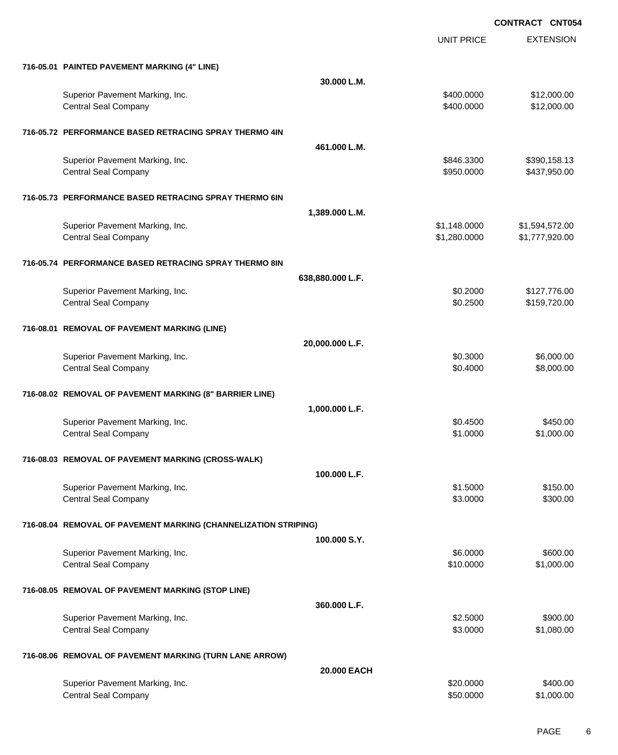UNIT PRICE

EXTENSION

| 716-05.01 PAINTED PAVEMENT MARKING (4" LINE) |  |
|----------------------------------------------|--|

| 716-05.01 PAINTED PAVEMENT MARKING (4" LINE)                    |                  |              |                |
|-----------------------------------------------------------------|------------------|--------------|----------------|
|                                                                 | 30.000 L.M.      |              |                |
| Superior Pavement Marking, Inc.                                 |                  | \$400,0000   | \$12,000.00    |
| <b>Central Seal Company</b>                                     |                  | \$400.0000   | \$12,000.00    |
|                                                                 |                  |              |                |
|                                                                 |                  |              |                |
| 716-05.72 PERFORMANCE BASED RETRACING SPRAY THERMO 4IN          |                  |              |                |
|                                                                 | 461.000 L.M.     |              |                |
| Superior Pavement Marking, Inc.                                 |                  | \$846.3300   | \$390,158.13   |
| <b>Central Seal Company</b>                                     |                  | \$950.0000   | \$437,950.00   |
|                                                                 |                  |              |                |
| 716-05.73 PERFORMANCE BASED RETRACING SPRAY THERMO 6IN          |                  |              |                |
|                                                                 | 1,389.000 L.M.   |              |                |
|                                                                 |                  |              |                |
| Superior Pavement Marking, Inc.                                 |                  | \$1,148.0000 | \$1,594,572.00 |
| <b>Central Seal Company</b>                                     |                  | \$1,280.0000 | \$1,777,920.00 |
|                                                                 |                  |              |                |
| 716-05.74 PERFORMANCE BASED RETRACING SPRAY THERMO 8IN          |                  |              |                |
|                                                                 | 638,880.000 L.F. |              |                |
| Superior Pavement Marking, Inc.                                 |                  | \$0.2000     | \$127,776.00   |
| <b>Central Seal Company</b>                                     |                  | \$0.2500     | \$159,720.00   |
|                                                                 |                  |              |                |
|                                                                 |                  |              |                |
| 716-08.01 REMOVAL OF PAVEMENT MARKING (LINE)                    |                  |              |                |
|                                                                 | 20,000.000 L.F.  |              |                |
| Superior Pavement Marking, Inc.                                 |                  | \$0.3000     | \$6,000.00     |
| <b>Central Seal Company</b>                                     |                  | \$0.4000     | \$8,000.00     |
|                                                                 |                  |              |                |
|                                                                 |                  |              |                |
| 716-08.02 REMOVAL OF PAVEMENT MARKING (8" BARRIER LINE)         |                  |              |                |
|                                                                 | 1,000.000 L.F.   |              |                |
| Superior Pavement Marking, Inc.                                 |                  | \$0.4500     | \$450.00       |
| <b>Central Seal Company</b>                                     |                  | \$1.0000     | \$1,000.00     |
|                                                                 |                  |              |                |
| 716-08.03 REMOVAL OF PAVEMENT MARKING (CROSS-WALK)              |                  |              |                |
|                                                                 |                  |              |                |
|                                                                 | 100.000 L.F.     |              |                |
| Superior Pavement Marking, Inc.                                 |                  | \$1.5000     | \$150.00       |
| <b>Central Seal Company</b>                                     |                  | \$3.0000     | \$300.00       |
|                                                                 |                  |              |                |
| 716-08.04 REMOVAL OF PAVEMENT MARKING (CHANNELIZATION STRIPING) |                  |              |                |
|                                                                 | 100.000 S.Y.     |              |                |
| Superior Pavement Marking, Inc.                                 |                  | \$6.0000     | \$600.00       |
|                                                                 |                  |              |                |
| <b>Central Seal Company</b>                                     |                  | \$10.0000    | \$1,000.00     |
|                                                                 |                  |              |                |
| 716-08.05 REMOVAL OF PAVEMENT MARKING (STOP LINE)               |                  |              |                |
|                                                                 | 360.000 L.F.     |              |                |
| Superior Pavement Marking, Inc.                                 |                  | \$2.5000     | \$900.00       |
| <b>Central Seal Company</b>                                     |                  | \$3.0000     | \$1,080.00     |
|                                                                 |                  |              |                |
|                                                                 |                  |              |                |
| 716-08.06 REMOVAL OF PAVEMENT MARKING (TURN LANE ARROW)         |                  |              |                |
|                                                                 | 20.000 EACH      |              |                |
| Superior Pavement Marking, Inc.                                 |                  | \$20.0000    | \$400.00       |
| <b>Central Seal Company</b>                                     |                  | \$50.0000    | \$1,000.00     |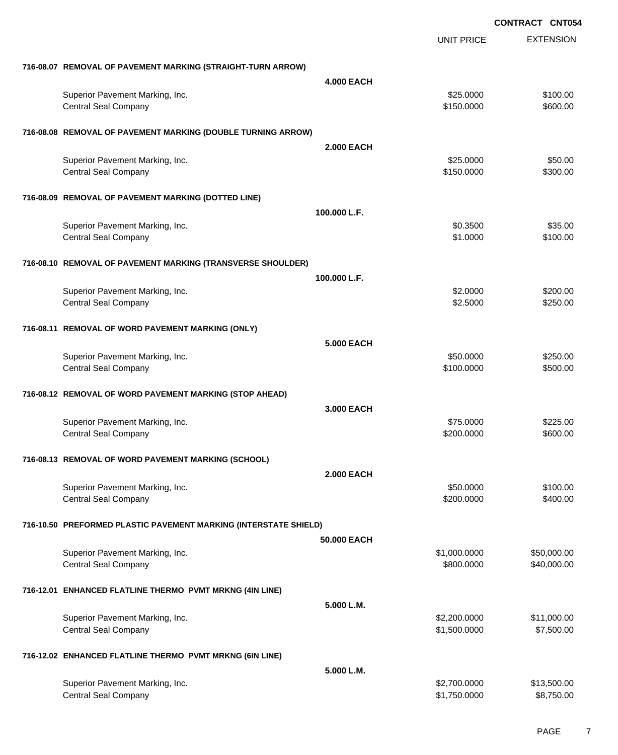|                                                                  |                   |                   | <b>CONTRACT CNT054</b> |
|------------------------------------------------------------------|-------------------|-------------------|------------------------|
|                                                                  |                   | <b>UNIT PRICE</b> | <b>EXTENSION</b>       |
| 716-08.07 REMOVAL OF PAVEMENT MARKING (STRAIGHT-TURN ARROW)      |                   |                   |                        |
|                                                                  | <b>4.000 EACH</b> |                   |                        |
| Superior Pavement Marking, Inc.                                  |                   | \$25.0000         | \$100.00               |
| <b>Central Seal Company</b>                                      |                   | \$150.0000        | \$600.00               |
| 716-08.08 REMOVAL OF PAVEMENT MARKING (DOUBLE TURNING ARROW)     |                   |                   |                        |
|                                                                  | <b>2.000 EACH</b> |                   |                        |
| Superior Pavement Marking, Inc.                                  |                   | \$25.0000         | \$50.00                |
| <b>Central Seal Company</b>                                      |                   | \$150.0000        | \$300.00               |
| 716-08.09 REMOVAL OF PAVEMENT MARKING (DOTTED LINE)              |                   |                   |                        |
|                                                                  | 100.000 L.F.      |                   |                        |
| Superior Pavement Marking, Inc.                                  |                   | \$0.3500          | \$35.00                |
| <b>Central Seal Company</b>                                      |                   | \$1.0000          | \$100.00               |
| 716-08.10 REMOVAL OF PAVEMENT MARKING (TRANSVERSE SHOULDER)      |                   |                   |                        |
|                                                                  | 100.000 L.F.      |                   |                        |
| Superior Pavement Marking, Inc.                                  |                   | \$2.0000          | \$200.00               |
| <b>Central Seal Company</b>                                      |                   | \$2.5000          | \$250.00               |
| 716-08.11 REMOVAL OF WORD PAVEMENT MARKING (ONLY)                |                   |                   |                        |
|                                                                  | <b>5.000 EACH</b> |                   |                        |
| Superior Pavement Marking, Inc.                                  |                   | \$50.0000         | \$250.00               |
| <b>Central Seal Company</b>                                      |                   | \$100.0000        | \$500.00               |
| 716-08.12 REMOVAL OF WORD PAVEMENT MARKING (STOP AHEAD)          |                   |                   |                        |
|                                                                  | 3.000 EACH        |                   |                        |
| Superior Pavement Marking, Inc.                                  |                   | \$75.0000         | \$225.00               |
| <b>Central Seal Company</b>                                      |                   | \$200,0000        | \$600.00               |
| 716-08.13 REMOVAL OF WORD PAVEMENT MARKING (SCHOOL)              |                   |                   |                        |
|                                                                  | <b>2.000 EACH</b> |                   |                        |
| Superior Pavement Marking, Inc.                                  |                   | \$50.0000         | \$100.00               |
| <b>Central Seal Company</b>                                      |                   | \$200.0000        | \$400.00               |
| 716-10.50 PREFORMED PLASTIC PAVEMENT MARKING (INTERSTATE SHIELD) |                   |                   |                        |
|                                                                  | 50,000 EACH       |                   |                        |
| Superior Pavement Marking, Inc.                                  |                   | \$1,000.0000      | \$50,000.00            |
| <b>Central Seal Company</b>                                      |                   | \$800.0000        | \$40,000.00            |
| 716-12.01 ENHANCED FLATLINE THERMO PVMT MRKNG (4IN LINE)         |                   |                   |                        |
|                                                                  | 5.000 L.M.        |                   |                        |
| Superior Pavement Marking, Inc.                                  |                   | \$2,200.0000      | \$11,000.00            |
| <b>Central Seal Company</b>                                      |                   | \$1,500.0000      | \$7,500.00             |
| 716-12.02 ENHANCED FLATLINE THERMO PVMT MRKNG (6IN LINE)         |                   |                   |                        |
|                                                                  | 5.000 L.M.        |                   |                        |
| Superior Pavement Marking, Inc.                                  |                   | \$2,700.0000      | \$13,500.00            |
| <b>Central Seal Company</b>                                      |                   | \$1,750.0000      | \$8,750.00             |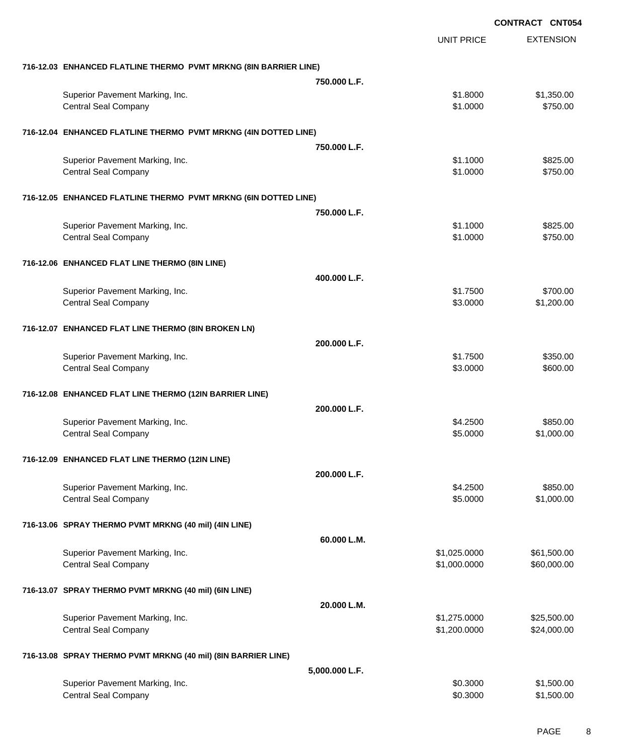|                                                                  |                |                   | <b>CONTRACT CNT054</b> |                  |
|------------------------------------------------------------------|----------------|-------------------|------------------------|------------------|
|                                                                  |                | <b>UNIT PRICE</b> |                        | <b>EXTENSION</b> |
| 716-12.03 ENHANCED FLATLINE THERMO PVMT MRKNG (8IN BARRIER LINE) |                |                   |                        |                  |
|                                                                  | 750,000 L.F.   |                   |                        |                  |
| Superior Pavement Marking, Inc.                                  |                | \$1.8000          |                        | \$1,350.00       |
| <b>Central Seal Company</b>                                      |                | \$1.0000          |                        | \$750.00         |
| 716-12.04 ENHANCED FLATLINE THERMO PVMT MRKNG (4IN DOTTED LINE)  |                |                   |                        |                  |
|                                                                  | 750.000 L.F.   |                   |                        |                  |
| Superior Pavement Marking, Inc.                                  |                | \$1.1000          |                        | \$825.00         |
| <b>Central Seal Company</b>                                      |                | \$1.0000          |                        | \$750.00         |
| 716-12.05 ENHANCED FLATLINE THERMO PVMT MRKNG (6IN DOTTED LINE)  |                |                   |                        |                  |
|                                                                  | 750,000 L.F.   |                   |                        |                  |
| Superior Pavement Marking, Inc.                                  |                | \$1.1000          |                        | \$825.00         |
| <b>Central Seal Company</b>                                      |                | \$1.0000          |                        | \$750.00         |
| 716-12.06 ENHANCED FLAT LINE THERMO (8IN LINE)                   |                |                   |                        |                  |
|                                                                  | 400.000 L.F.   |                   |                        |                  |
| Superior Pavement Marking, Inc.                                  |                | \$1.7500          |                        | \$700.00         |
| <b>Central Seal Company</b>                                      |                | \$3.0000          |                        | \$1,200.00       |
| 716-12.07 ENHANCED FLAT LINE THERMO (8IN BROKEN LN)              |                |                   |                        |                  |
|                                                                  | 200.000 L.F.   |                   |                        |                  |
| Superior Pavement Marking, Inc.                                  |                | \$1.7500          |                        | \$350.00         |
| <b>Central Seal Company</b>                                      |                | \$3.0000          |                        | \$600.00         |
| 716-12.08 ENHANCED FLAT LINE THERMO (12IN BARRIER LINE)          |                |                   |                        |                  |
|                                                                  | 200.000 L.F.   |                   |                        |                  |
| Superior Pavement Marking, Inc.                                  |                | \$4.2500          |                        | \$850.00         |
| <b>Central Seal Company</b>                                      |                | \$5.0000          |                        | \$1,000.00       |
| 716-12.09 ENHANCED FLAT LINE THERMO (12IN LINE)                  |                |                   |                        |                  |
|                                                                  | 200.000 L.F.   |                   |                        |                  |
| Superior Pavement Marking, Inc.                                  |                | \$4.2500          |                        | \$850.00         |
| <b>Central Seal Company</b>                                      |                | \$5.0000          |                        | \$1,000.00       |
| 716-13.06 SPRAY THERMO PVMT MRKNG (40 mil) (4IN LINE)            |                |                   |                        |                  |
|                                                                  | 60.000 L.M.    |                   |                        |                  |
| Superior Pavement Marking, Inc.                                  |                | \$1,025.0000      |                        | \$61,500.00      |
| <b>Central Seal Company</b>                                      |                | \$1,000.0000      |                        | \$60,000.00      |
| 716-13.07 SPRAY THERMO PVMT MRKNG (40 mil) (6IN LINE)            |                |                   |                        |                  |
|                                                                  | 20.000 L.M.    |                   |                        |                  |
| Superior Pavement Marking, Inc.                                  |                | \$1,275.0000      |                        | \$25,500.00      |
| <b>Central Seal Company</b>                                      |                | \$1,200.0000      |                        | \$24,000.00      |
| 716-13.08 SPRAY THERMO PVMT MRKNG (40 mil) (8IN BARRIER LINE)    |                |                   |                        |                  |
|                                                                  | 5,000.000 L.F. |                   |                        |                  |
| Superior Pavement Marking, Inc.                                  |                | \$0.3000          |                        | \$1,500.00       |
| <b>Central Seal Company</b>                                      |                | \$0.3000          |                        | \$1,500.00       |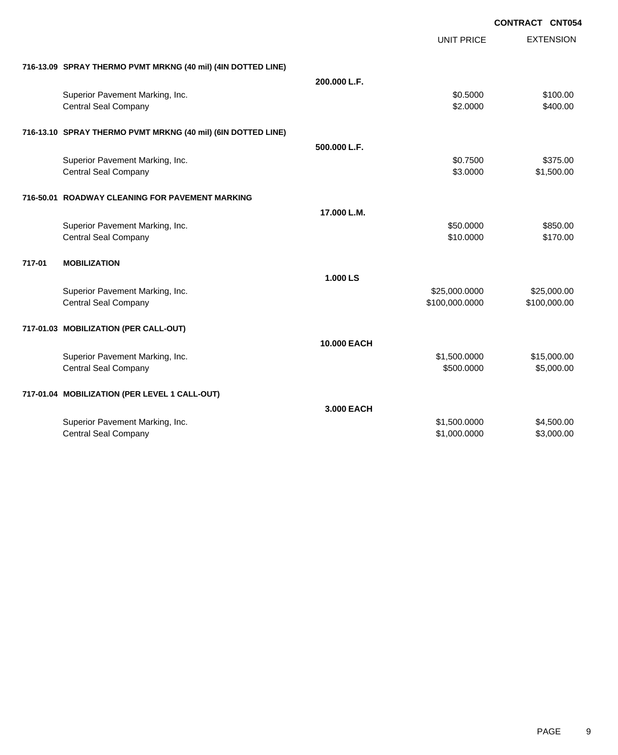|                                                              |              |                   | <b>CONTRACT CNT054</b> |
|--------------------------------------------------------------|--------------|-------------------|------------------------|
|                                                              |              | <b>UNIT PRICE</b> | <b>EXTENSION</b>       |
| 716-13.09 SPRAY THERMO PVMT MRKNG (40 mil) (4IN DOTTED LINE) |              |                   |                        |
|                                                              | 200.000 L.F. |                   |                        |
| Superior Pavement Marking, Inc.                              |              | \$0.5000          | \$100.00               |
| <b>Central Seal Company</b>                                  |              | \$2.0000          | \$400.00               |
| 716-13.10 SPRAY THERMO PVMT MRKNG (40 mil) (6IN DOTTED LINE) |              |                   |                        |
|                                                              | 500.000 L.F. |                   |                        |
| Superior Pavement Marking, Inc.                              |              | \$0.7500          | \$375.00               |
| <b>Central Seal Company</b>                                  |              | \$3.0000          | \$1,500.00             |
| 716-50.01 ROADWAY CLEANING FOR PAVEMENT MARKING              |              |                   |                        |
|                                                              | 17.000 L.M.  |                   |                        |
| Superior Pavement Marking, Inc.                              |              | \$50.0000         | \$850.00               |
| <b>Central Seal Company</b>                                  |              | \$10.0000         | \$170.00               |
| 717-01<br><b>MOBILIZATION</b>                                |              |                   |                        |
|                                                              | 1.000 LS     |                   |                        |
| Superior Pavement Marking, Inc.                              |              | \$25,000.0000     | \$25,000.00            |
| <b>Central Seal Company</b>                                  |              | \$100,000.0000    | \$100,000.00           |
| 717-01.03 MOBILIZATION (PER CALL-OUT)                        |              |                   |                        |
|                                                              | 10.000 EACH  |                   |                        |
| Superior Pavement Marking, Inc.                              |              | \$1,500.0000      | \$15,000.00            |
| <b>Central Seal Company</b>                                  |              | \$500.0000        | \$5,000.00             |
| 717-01.04 MOBILIZATION (PER LEVEL 1 CALL-OUT)                |              |                   |                        |
|                                                              | 3.000 EACH   |                   |                        |
| Superior Pavement Marking, Inc.                              |              | \$1,500.0000      | \$4,500.00             |
| Central Seal Company                                         |              | \$1,000.0000      | \$3,000.00             |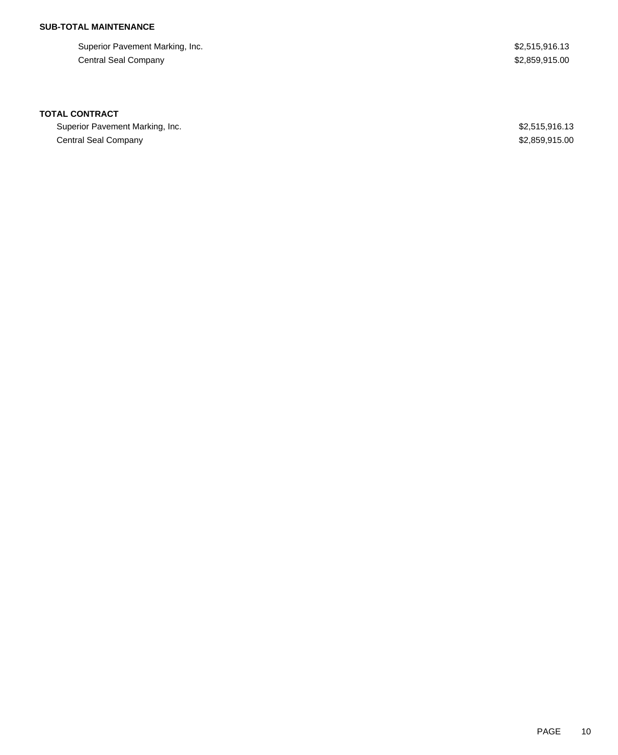## **SUB-TOTAL MAINTENANCE**

Superior Pavement Marking, Inc. 6. The Superior Pavement Marking, Inc. 6. The Superior Pavement Marking, Inc. Central Seal Company \$2,859,915.00

### **TOTAL CONTRACT**

Superior Pavement Marking, Inc. 6. The Superior Pavement Marking, Inc. 6. The Superior Pavement Marking, Inc. Central Seal Company \$2,859,915.00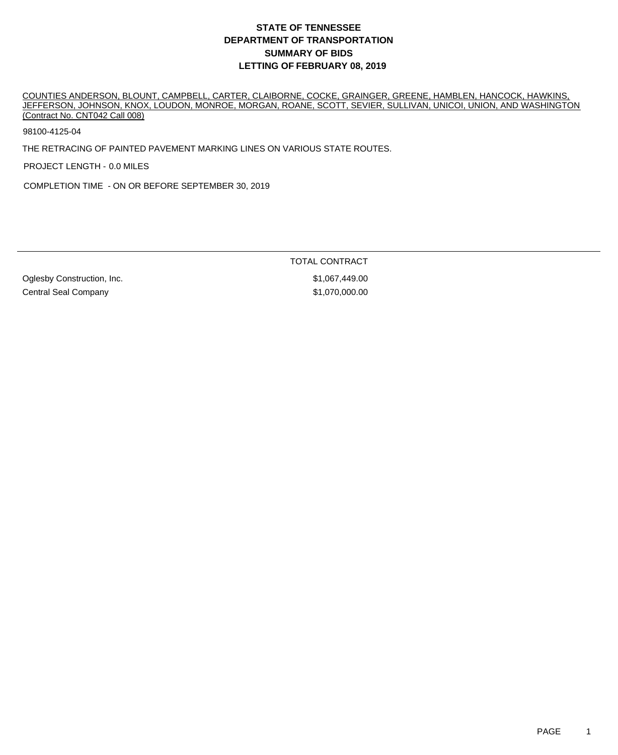COUNTIES ANDERSON, BLOUNT, CAMPBELL, CARTER, CLAIBORNE, COCKE, GRAINGER, GREENE, HAMBLEN, HANCOCK, HAWKINS, JEFFERSON, JOHNSON, KNOX, LOUDON, MONROE, MORGAN, ROANE, SCOTT, SEVIER, SULLIVAN, UNICOI, UNION, AND WASHINGTON (Contract No. CNT042 Call 008)

98100-4125-04

THE RETRACING OF PAINTED PAVEMENT MARKING LINES ON VARIOUS STATE ROUTES.

PROJECT LENGTH - 0.0 MILES

COMPLETION TIME - ON OR BEFORE SEPTEMBER 30, 2019

TOTAL CONTRACT

Oglesby Construction, Inc. 6. The Construction of the Construction, Inc. 61,067,449.00 Central Seal Company **61,070,000.00**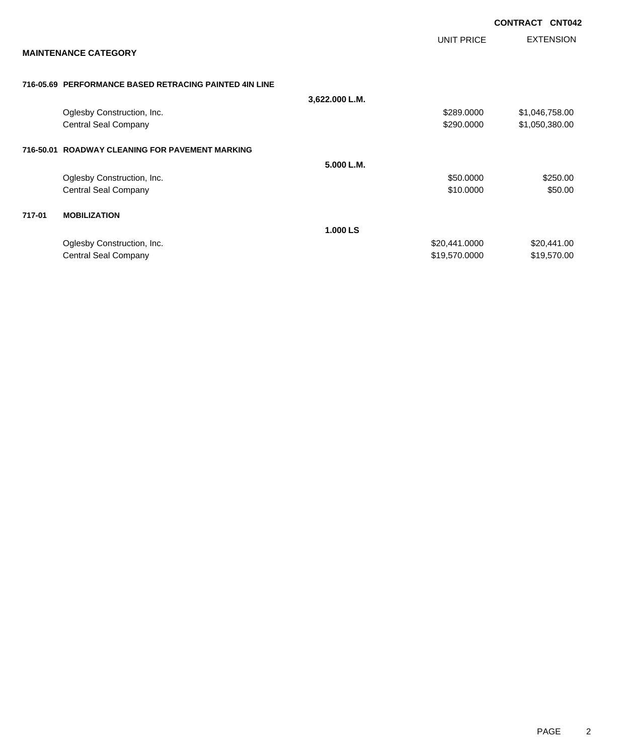|           |                                                        |                |                   | <b>CONTRACT</b> | <b>CNT042</b>    |
|-----------|--------------------------------------------------------|----------------|-------------------|-----------------|------------------|
|           | <b>MAINTENANCE CATEGORY</b>                            |                | <b>UNIT PRICE</b> |                 | <b>EXTENSION</b> |
|           |                                                        |                |                   |                 |                  |
|           | 716-05.69 PERFORMANCE BASED RETRACING PAINTED 4IN LINE |                |                   |                 |                  |
|           |                                                        | 3,622.000 L.M. |                   |                 |                  |
|           | Oglesby Construction, Inc.                             |                | \$289.0000        |                 | \$1,046,758.00   |
|           | Central Seal Company                                   |                | \$290.0000        |                 | \$1,050,380.00   |
| 716-50.01 | <b>ROADWAY CLEANING FOR PAVEMENT MARKING</b>           |                |                   |                 |                  |
|           |                                                        | 5.000 L.M.     |                   |                 |                  |
|           | Oglesby Construction, Inc.                             |                | \$50.0000         |                 | \$250.00         |
|           | <b>Central Seal Company</b>                            |                | \$10.0000         |                 | \$50.00          |
| 717-01    | <b>MOBILIZATION</b>                                    |                |                   |                 |                  |
|           |                                                        | 1.000 LS       |                   |                 |                  |
|           | Oglesby Construction, Inc.                             |                | \$20,441.0000     |                 | \$20,441.00      |
|           | Central Seal Company                                   |                | \$19,570.0000     |                 | \$19,570.00      |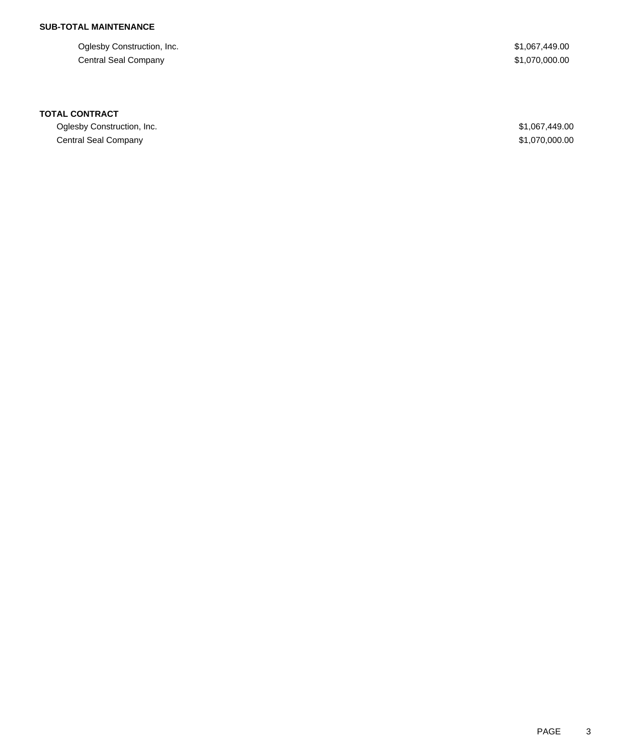## **SUB-TOTAL MAINTENANCE**

Oglesby Construction, Inc. 6. The Construction of the Construction, Inc. 6. The Construction, Inc. 6. The Const Central Seal Company \$1,070,000.00

### **TOTAL CONTRACT**

Oglesby Construction, Inc. \$1,067,449.00 Central Seal Company \$1,070,000.00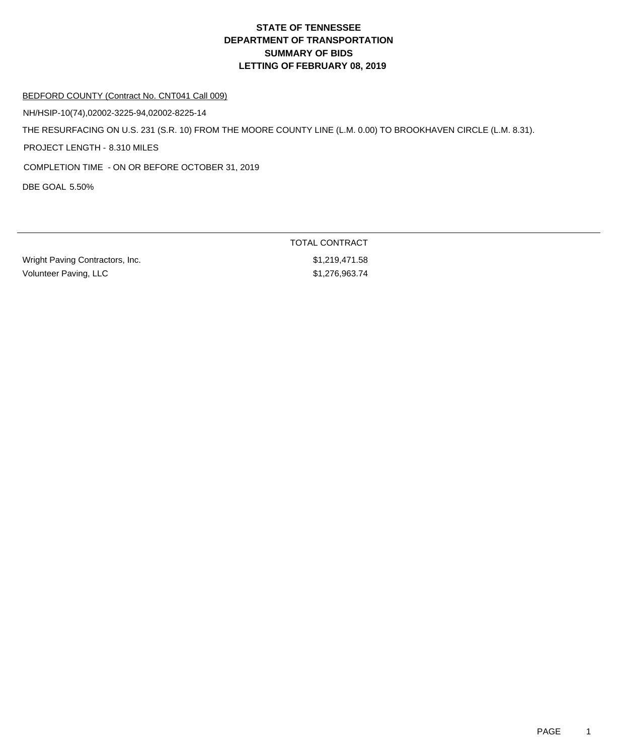### BEDFORD COUNTY (Contract No. CNT041 Call 009)

NH/HSIP-10(74),02002-3225-94,02002-8225-14

THE RESURFACING ON U.S. 231 (S.R. 10) FROM THE MOORE COUNTY LINE (L.M. 0.00) TO BROOKHAVEN CIRCLE (L.M. 8.31).

PROJECT LENGTH - 8.310 MILES

COMPLETION TIME - ON OR BEFORE OCTOBER 31, 2019

DBE GOAL 5.50%

| Wright Paving Contractors, Inc. |
|---------------------------------|
| Volunteer Paving, LLC           |

TOTAL CONTRACT  $$1,219,471.58$  $$1,276,963.74$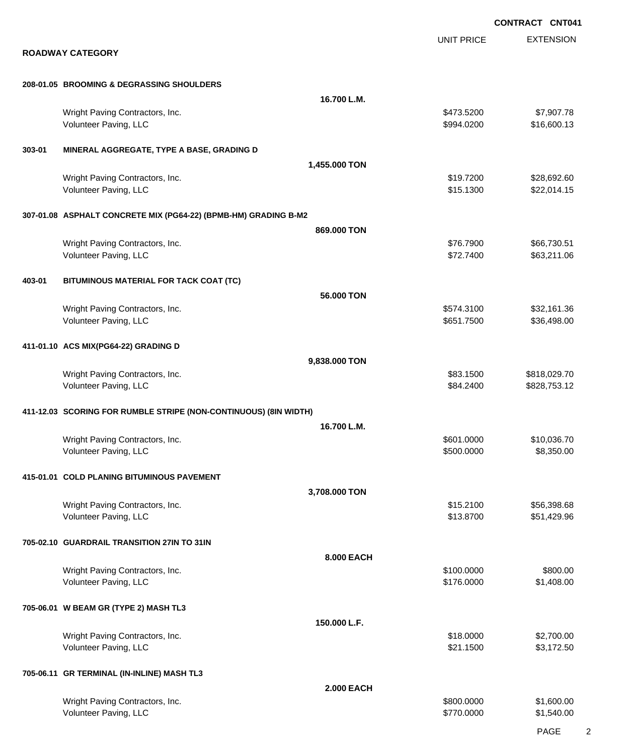EXTENSION **CONTRACT CNT041** UNIT PRICE **ROADWAY CATEGORY 208-01.05 BROOMING & DEGRASSING SHOULDERS 16.700 L.M.** Wright Paving Contractors, Inc. 66 and the contractors, Inc. 66 and the contractors, Inc. 667,907.78 Volunteer Paving, LLC 600.13 **303-01 MINERAL AGGREGATE, TYPE A BASE, GRADING D 1,455.000 TON** Wright Paving Contractors, Inc. 69.692.60 \$28,692.60 \$28,692.60 \$19.7200 \$28,692.60 Volunteer Paving, LLC **\$15.1300** \$22,014.15 **307-01.08 ASPHALT CONCRETE MIX (PG64-22) (BPMB-HM) GRADING B-M2 869.000 TON** Wright Paving Contractors, Inc. 666,730.51 and the contractors, Inc. \$76.7900 \$66,730.51 Volunteer Paving, LLC 663,211.06 **403-01 BITUMINOUS MATERIAL FOR TACK COAT (TC) 56.000 TON** Wright Paving Contractors, Inc. 632,161.36 and the contractors, Inc. 632,161.36 Volunteer Paving, LLC 6651.7500 \$36,498.00 **411-01.10 ACS MIX(PG64-22) GRADING D 9,838.000 TON** Wright Paving Contractors, Inc. 6. 2012 12:30 12:30 12:30 13:300 \$818,029.70 Volunteer Paving, LLC 6. 2008. The State of the State of the State of the State of the State of State of State of State of State of State of State of State of State of State of State of State of State of State of State of **411-12.03 SCORING FOR RUMBLE STRIPE (NON-CONTINUOUS) (8IN WIDTH) 16.700 L.M.** Wright Paving Contractors, Inc. 6. The Contractors of the Contractors, Inc. 6. The Contractors, Inc. 6. The Contractors, Inc. 6. The Contractors of the Contractors, Inc. 6. The Contractors of the Contractors, Inc. 6. The C Volunteer Paving, LLC 6. 2012 12:00 \$8,350.000 \$8,350.000 \$8,350.000 \$8,350.000 \$8,350.00 **415-01.01 COLD PLANING BITUMINOUS PAVEMENT 3,708.000 TON** Wright Paving Contractors, Inc. \$15.2100 \$56,398.68 Volunteer Paving, LLC **\$13.8700** \$51,429.96 **705-02.10 GUARDRAIL TRANSITION 27IN TO 31IN 8.000 EACH** Wright Paving Contractors, Inc. 6800.00 \$800.00 \$800.00 \$800.00 Volunteer Paving, LLC 61,408.00 **705-06.01 W BEAM GR (TYPE 2) MASH TL3 150.000 L.F.** Wright Paving Contractors, Inc. 6. 2012. The contractors of the contractors, Inc. 6. 2012. The contractors, Inc. 6. 2012. The contractors of the contractors, Inc. 6. 2012. The contractors of the contractors, Inc. 6. 2012. Volunteer Paving, LLC \$2,172.50 **705-06.11 GR TERMINAL (IN-INLINE) MASH TL3 2.000 EACH** Wright Paving Contractors, Inc. 6800.000 \$1,600.00 \$1,600.000 \$1,600.00 Volunteer Paving, LLC 61,540.000 \$1,540.00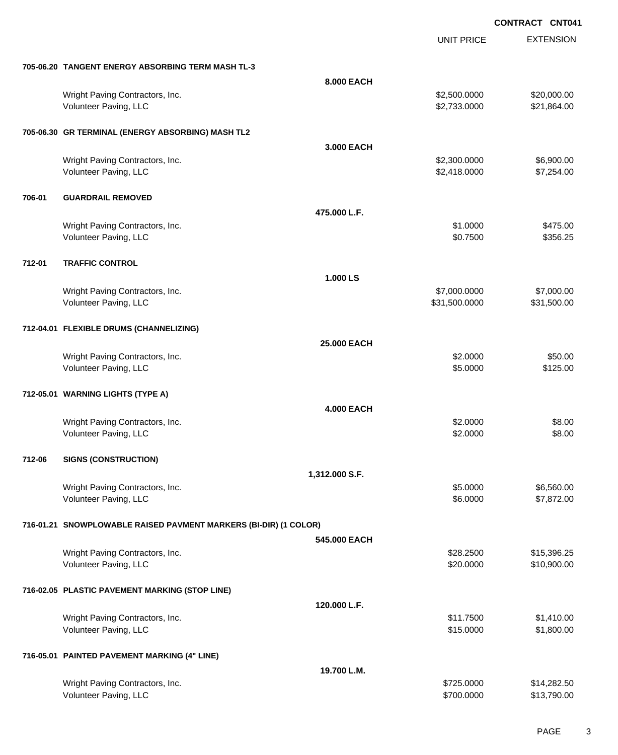|        |                                                                  |                   | <b>UNIT PRICE</b>             | <b>EXTENSION</b>           |
|--------|------------------------------------------------------------------|-------------------|-------------------------------|----------------------------|
|        | 705-06.20 TANGENT ENERGY ABSORBING TERM MASH TL-3                |                   |                               |                            |
|        |                                                                  | 8.000 EACH        |                               |                            |
|        | Wright Paving Contractors, Inc.<br>Volunteer Paving, LLC         |                   | \$2,500.0000<br>\$2,733.0000  | \$20,000.00<br>\$21,864.00 |
|        | 705-06.30 GR TERMINAL (ENERGY ABSORBING) MASH TL2                |                   |                               |                            |
|        |                                                                  | 3.000 EACH        |                               |                            |
|        | Wright Paving Contractors, Inc.<br>Volunteer Paving, LLC         |                   | \$2,300.0000<br>\$2,418.0000  | \$6,900.00<br>\$7,254.00   |
| 706-01 | <b>GUARDRAIL REMOVED</b>                                         |                   |                               |                            |
|        |                                                                  | 475.000 L.F.      |                               |                            |
|        | Wright Paving Contractors, Inc.<br>Volunteer Paving, LLC         |                   | \$1.0000<br>\$0.7500          | \$475.00<br>\$356.25       |
| 712-01 | <b>TRAFFIC CONTROL</b>                                           |                   |                               |                            |
|        |                                                                  | 1.000 LS          |                               |                            |
|        | Wright Paving Contractors, Inc.<br>Volunteer Paving, LLC         |                   | \$7,000.0000<br>\$31,500.0000 | \$7,000.00<br>\$31,500.00  |
|        | 712-04.01 FLEXIBLE DRUMS (CHANNELIZING)                          |                   |                               |                            |
|        |                                                                  | 25.000 EACH       |                               |                            |
|        | Wright Paving Contractors, Inc.<br>Volunteer Paving, LLC         |                   | \$2.0000<br>\$5.0000          | \$50.00<br>\$125.00        |
|        | 712-05.01 WARNING LIGHTS (TYPE A)                                |                   |                               |                            |
|        |                                                                  | <b>4.000 EACH</b> |                               |                            |
|        | Wright Paving Contractors, Inc.<br>Volunteer Paving, LLC         |                   | \$2.0000<br>\$2.0000          | \$8.00<br>\$8.00           |
| 712-06 | <b>SIGNS (CONSTRUCTION)</b>                                      |                   |                               |                            |
|        |                                                                  | 1,312.000 S.F.    |                               |                            |
|        | Wright Paving Contractors, Inc.<br>Volunteer Paving, LLC         |                   | \$5.0000<br>\$6.0000          | \$6,560.00<br>\$7,872.00   |
|        | 716-01.21 SNOWPLOWABLE RAISED PAVMENT MARKERS (BI-DIR) (1 COLOR) |                   |                               |                            |
|        |                                                                  | 545.000 EACH      |                               |                            |
|        | Wright Paving Contractors, Inc.<br>Volunteer Paving, LLC         |                   | \$28.2500<br>\$20.0000        | \$15,396.25<br>\$10,900.00 |
|        | 716-02.05 PLASTIC PAVEMENT MARKING (STOP LINE)                   |                   |                               |                            |
|        |                                                                  | 120.000 L.F.      |                               |                            |
|        | Wright Paving Contractors, Inc.<br>Volunteer Paving, LLC         |                   | \$11.7500<br>\$15.0000        | \$1,410.00<br>\$1,800.00   |
|        | 716-05.01 PAINTED PAVEMENT MARKING (4" LINE)                     |                   |                               |                            |
|        |                                                                  | 19.700 L.M.       |                               |                            |
|        | Wright Paving Contractors, Inc.<br>Volunteer Paving, LLC         |                   | \$725.0000<br>\$700.0000      | \$14,282.50<br>\$13,790.00 |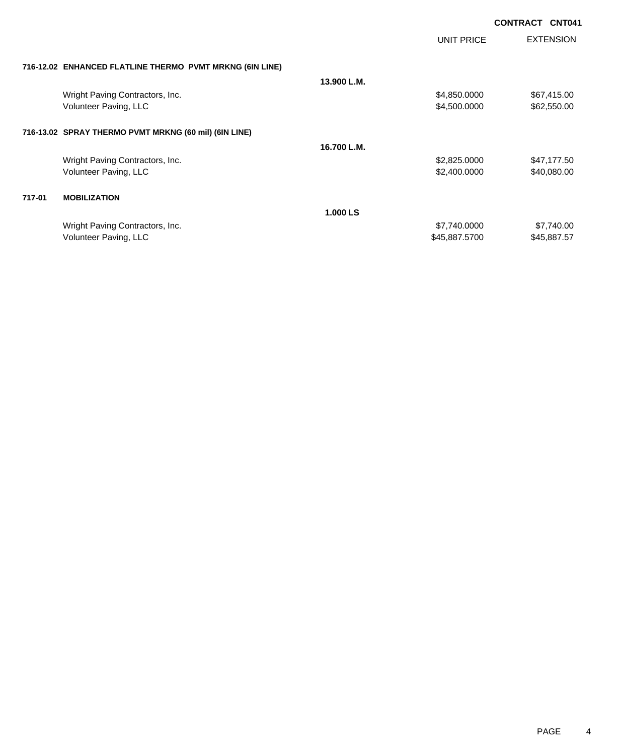|        |                                                          |             | UNIT PRICE    | <b>EXTENSION</b> |
|--------|----------------------------------------------------------|-------------|---------------|------------------|
|        | 716-12.02 ENHANCED FLATLINE THERMO PVMT MRKNG (6IN LINE) |             |               |                  |
|        |                                                          | 13.900 L.M. |               |                  |
|        | Wright Paving Contractors, Inc.                          |             | \$4,850,0000  | \$67,415.00      |
|        | Volunteer Paving, LLC                                    |             | \$4,500.0000  | \$62,550.00      |
|        | 716-13.02 SPRAY THERMO PVMT MRKNG (60 mil) (6IN LINE)    |             |               |                  |
|        |                                                          | 16.700 L.M. |               |                  |
|        | Wright Paving Contractors, Inc.                          |             | \$2,825.0000  | \$47,177.50      |
|        | Volunteer Paving, LLC                                    |             | \$2,400.0000  | \$40,080.00      |
| 717-01 | <b>MOBILIZATION</b>                                      |             |               |                  |
|        |                                                          | 1.000 LS    |               |                  |
|        | Wright Paving Contractors, Inc.                          |             | \$7,740.0000  | \$7,740.00       |
|        | Volunteer Paving, LLC                                    |             | \$45,887.5700 | \$45,887.57      |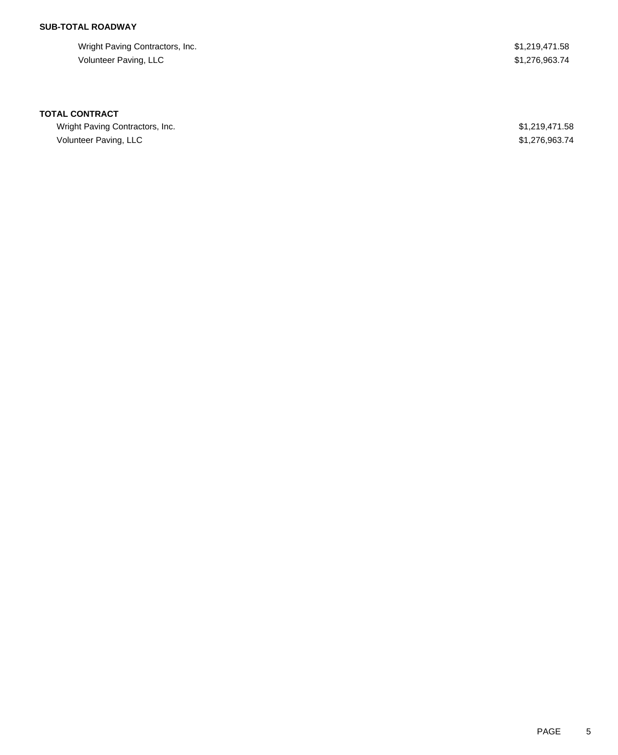### **SUB-TOTAL ROADWAY**

Wright Paving Contractors, Inc. 6. 2013. The St. 2004 St. 2014 of the St. 219,471.58 Volunteer Paving, LLC \$1,276,963.74

#### **TOTAL CONTRACT**

Wright Paving Contractors, Inc. 6. 2013, 2008. The state of the state of the state of the state of the state of the state of the state of the state of the state of the state of the state of the state of the state of the st Volunteer Paving, LLC \$1,276,963.74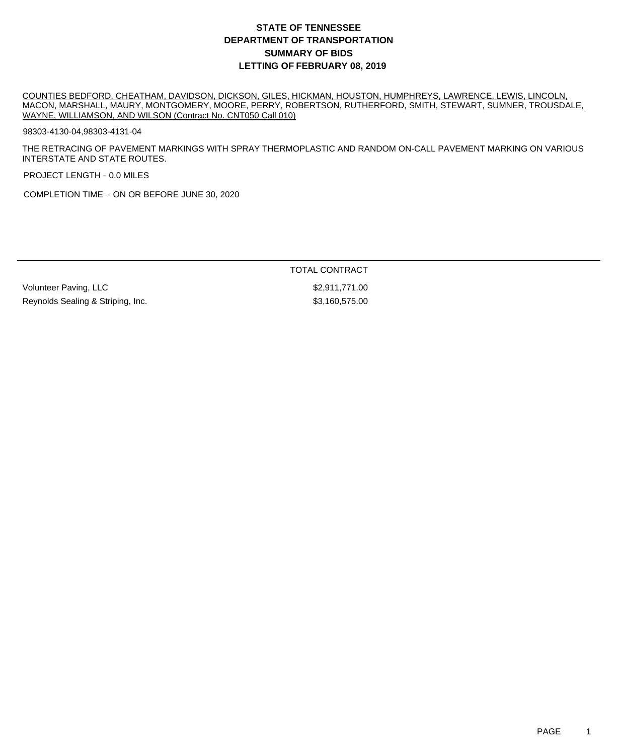COUNTIES BEDFORD, CHEATHAM, DAVIDSON, DICKSON, GILES, HICKMAN, HOUSTON, HUMPHREYS, LAWRENCE, LEWIS, LINCOLN, MACON, MARSHALL, MAURY, MONTGOMERY, MOORE, PERRY, ROBERTSON, RUTHERFORD, SMITH, STEWART, SUMNER, TROUSDALE, WAYNE, WILLIAMSON, AND WILSON (Contract No. CNT050 Call 010)

98303-4130-04,98303-4131-04

THE RETRACING OF PAVEMENT MARKINGS WITH SPRAY THERMOPLASTIC AND RANDOM ON-CALL PAVEMENT MARKING ON VARIOUS INTERSTATE AND STATE ROUTES.

PROJECT LENGTH - 0.0 MILES

COMPLETION TIME - ON OR BEFORE JUNE 30, 2020

Volunteer Paving, LLC **\$2,911,771.00** Reynolds Sealing & Striping, Inc. 6. The Strip Strip Strip S3,160,575.00

TOTAL CONTRACT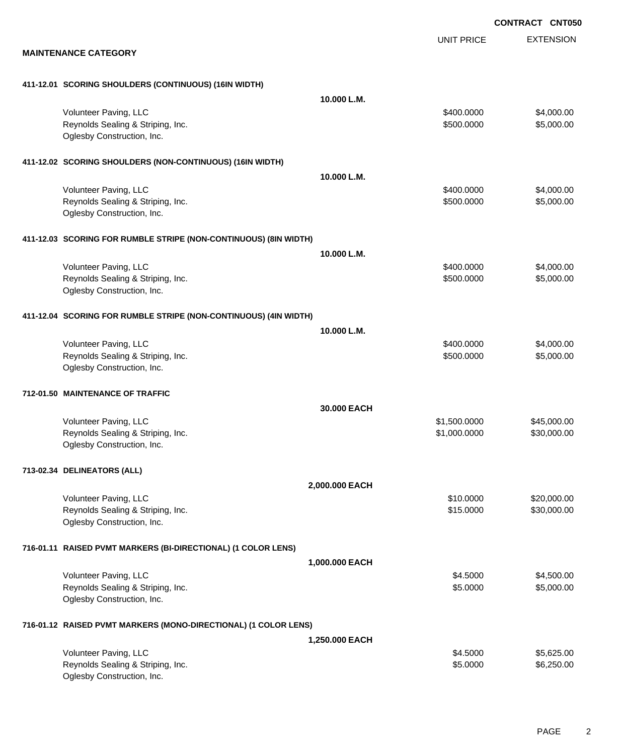|                                                                  |                   | <b>CONTRACT CNT050</b> |
|------------------------------------------------------------------|-------------------|------------------------|
|                                                                  | <b>UNIT PRICE</b> | <b>EXTENSION</b>       |
| <b>MAINTENANCE CATEGORY</b>                                      |                   |                        |
| 411-12.01 SCORING SHOULDERS (CONTINUOUS) (16IN WIDTH)            |                   |                        |
| 10.000 L.M.                                                      |                   |                        |
| Volunteer Paving, LLC                                            | \$400.0000        | \$4,000.00             |
| Reynolds Sealing & Striping, Inc.                                | \$500.0000        | \$5,000.00             |
| Oglesby Construction, Inc.                                       |                   |                        |
| 411-12.02 SCORING SHOULDERS (NON-CONTINUOUS) (16IN WIDTH)        |                   |                        |
| 10.000 L.M.                                                      |                   |                        |
| Volunteer Paving, LLC                                            | \$400.0000        | \$4,000.00             |
| Reynolds Sealing & Striping, Inc.                                | \$500.0000        | \$5,000.00             |
| Oglesby Construction, Inc.                                       |                   |                        |
| 411-12.03 SCORING FOR RUMBLE STRIPE (NON-CONTINUOUS) (8IN WIDTH) |                   |                        |
| 10.000 L.M.                                                      |                   |                        |
| Volunteer Paving, LLC                                            | \$400.0000        | \$4,000.00             |
| Reynolds Sealing & Striping, Inc.                                | \$500.0000        | \$5,000.00             |
| Oglesby Construction, Inc.                                       |                   |                        |
| 411-12.04 SCORING FOR RUMBLE STRIPE (NON-CONTINUOUS) (4IN WIDTH) |                   |                        |
| 10.000 L.M.                                                      |                   |                        |
| Volunteer Paving, LLC                                            | \$400.0000        | \$4,000.00             |
| Reynolds Sealing & Striping, Inc.                                | \$500.0000        | \$5,000.00             |
| Oglesby Construction, Inc.                                       |                   |                        |
| 712-01.50 MAINTENANCE OF TRAFFIC                                 |                   |                        |
| 30.000 EACH                                                      |                   |                        |
| Volunteer Paving, LLC                                            | \$1,500.0000      | \$45,000.00            |
| Reynolds Sealing & Striping, Inc.                                | \$1,000.0000      | \$30,000.00            |
| Oglesby Construction, Inc.                                       |                   |                        |
| 713-02.34 DELINEATORS (ALL)                                      |                   |                        |
| 2,000.000 EACH                                                   |                   |                        |
| Volunteer Paving, LLC                                            | \$10.0000         | \$20,000.00            |
| Reynolds Sealing & Striping, Inc.                                | \$15.0000         | \$30,000.00            |
| Oglesby Construction, Inc.                                       |                   |                        |
| 716-01.11 RAISED PVMT MARKERS (BI-DIRECTIONAL) (1 COLOR LENS)    |                   |                        |
| 1,000.000 EACH                                                   |                   |                        |
| Volunteer Paving, LLC                                            | \$4.5000          | \$4,500.00             |
| Reynolds Sealing & Striping, Inc.                                | \$5.0000          | \$5,000.00             |
| Oglesby Construction, Inc.                                       |                   |                        |
| 716-01.12 RAISED PVMT MARKERS (MONO-DIRECTIONAL) (1 COLOR LENS)  |                   |                        |
| 1,250.000 EACH                                                   |                   |                        |
| Volunteer Paving, LLC                                            | \$4.5000          | \$5,625.00             |
| Reynolds Sealing & Striping, Inc.                                | \$5.0000          | \$6,250.00             |
| Oglesby Construction, Inc.                                       |                   |                        |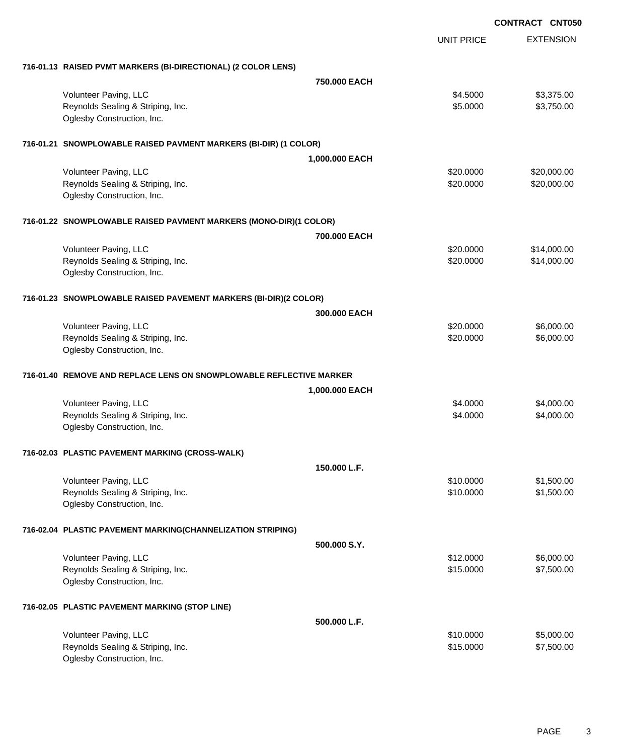|                                                                     |                |                   | <b>CONTRACT CNT050</b> |
|---------------------------------------------------------------------|----------------|-------------------|------------------------|
|                                                                     |                | <b>UNIT PRICE</b> | <b>EXTENSION</b>       |
| 716-01.13 RAISED PVMT MARKERS (BI-DIRECTIONAL) (2 COLOR LENS)       |                |                   |                        |
|                                                                     | 750.000 EACH   |                   |                        |
| Volunteer Paving, LLC                                               |                | \$4.5000          | \$3,375.00             |
| Reynolds Sealing & Striping, Inc.<br>Oglesby Construction, Inc.     |                | \$5.0000          | \$3,750.00             |
| 716-01.21 SNOWPLOWABLE RAISED PAVMENT MARKERS (BI-DIR) (1 COLOR)    |                |                   |                        |
|                                                                     | 1,000.000 EACH |                   |                        |
| Volunteer Paving, LLC                                               |                | \$20.0000         | \$20,000.00            |
| Reynolds Sealing & Striping, Inc.<br>Oglesby Construction, Inc.     |                | \$20.0000         | \$20,000.00            |
| 716-01.22 SNOWPLOWABLE RAISED PAVMENT MARKERS (MONO-DIR)(1 COLOR)   |                |                   |                        |
|                                                                     | 700.000 EACH   |                   |                        |
| Volunteer Paving, LLC                                               |                | \$20.0000         | \$14,000.00            |
| Reynolds Sealing & Striping, Inc.                                   |                | \$20.0000         | \$14,000.00            |
| Oglesby Construction, Inc.                                          |                |                   |                        |
| 716-01.23 SNOWPLOWABLE RAISED PAVEMENT MARKERS (BI-DIR)(2 COLOR)    |                |                   |                        |
|                                                                     | 300,000 EACH   |                   |                        |
| Volunteer Paving, LLC                                               |                | \$20.0000         | \$6,000.00             |
| Reynolds Sealing & Striping, Inc.                                   |                | \$20.0000         | \$6,000.00             |
| Oglesby Construction, Inc.                                          |                |                   |                        |
| 716-01.40 REMOVE AND REPLACE LENS ON SNOWPLOWABLE REFLECTIVE MARKER |                |                   |                        |
|                                                                     | 1,000.000 EACH |                   |                        |
| Volunteer Paving, LLC                                               |                | \$4.0000          | \$4,000.00             |
| Reynolds Sealing & Striping, Inc.<br>Oglesby Construction, Inc.     |                | \$4.0000          | \$4,000.00             |
| 716-02.03 PLASTIC PAVEMENT MARKING (CROSS-WALK)                     |                |                   |                        |
|                                                                     | 150.000 L.F.   |                   |                        |
| Volunteer Paving, LLC                                               |                | \$10.0000         | \$1,500.00             |
| Reynolds Sealing & Striping, Inc.                                   |                | \$10.0000         | \$1,500.00             |
| Oglesby Construction, Inc.                                          |                |                   |                        |
| 716-02.04 PLASTIC PAVEMENT MARKING(CHANNELIZATION STRIPING)         |                |                   |                        |
|                                                                     | 500.000 S.Y.   |                   |                        |
| Volunteer Paving, LLC                                               |                | \$12.0000         | \$6,000.00             |
| Reynolds Sealing & Striping, Inc.                                   |                | \$15.0000         | \$7,500.00             |
| Oglesby Construction, Inc.                                          |                |                   |                        |
| 716-02.05 PLASTIC PAVEMENT MARKING (STOP LINE)                      |                |                   |                        |
|                                                                     | 500.000 L.F.   |                   |                        |
| Volunteer Paving, LLC                                               |                | \$10.0000         | \$5,000.00             |
| Reynolds Sealing & Striping, Inc.<br>Oglesby Construction, Inc.     |                | \$15.0000         | \$7,500.00             |
|                                                                     |                |                   |                        |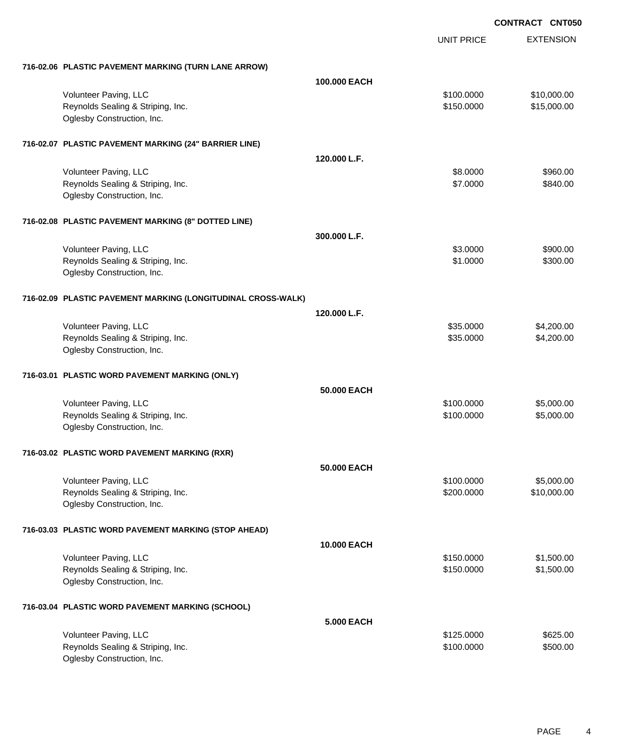|                                                              |                   | UNIT PRICE | <b>EXTENSION</b> |
|--------------------------------------------------------------|-------------------|------------|------------------|
| 716-02.06 PLASTIC PAVEMENT MARKING (TURN LANE ARROW)         |                   |            |                  |
|                                                              | 100,000 EACH      |            |                  |
| Volunteer Paving, LLC                                        |                   | \$100.0000 | \$10,000.00      |
| Reynolds Sealing & Striping, Inc.                            |                   | \$150.0000 | \$15,000.00      |
| Oglesby Construction, Inc.                                   |                   |            |                  |
| 716-02.07 PLASTIC PAVEMENT MARKING (24" BARRIER LINE)        |                   |            |                  |
|                                                              | 120.000 L.F.      |            |                  |
| Volunteer Paving, LLC                                        |                   | \$8.0000   | \$960.00         |
| Reynolds Sealing & Striping, Inc.                            |                   | \$7.0000   | \$840.00         |
| Oglesby Construction, Inc.                                   |                   |            |                  |
| 716-02.08 PLASTIC PAVEMENT MARKING (8" DOTTED LINE)          |                   |            |                  |
|                                                              | 300,000 L.F.      |            |                  |
| Volunteer Paving, LLC                                        |                   | \$3.0000   | \$900.00         |
| Reynolds Sealing & Striping, Inc.                            |                   | \$1.0000   | \$300.00         |
| Oglesby Construction, Inc.                                   |                   |            |                  |
| 716-02.09 PLASTIC PAVEMENT MARKING (LONGITUDINAL CROSS-WALK) |                   |            |                  |
|                                                              | 120.000 L.F.      |            |                  |
| Volunteer Paving, LLC                                        |                   | \$35.0000  | \$4,200.00       |
| Reynolds Sealing & Striping, Inc.                            |                   | \$35.0000  | \$4,200.00       |
| Oglesby Construction, Inc.                                   |                   |            |                  |
| 716-03.01 PLASTIC WORD PAVEMENT MARKING (ONLY)               |                   |            |                  |
|                                                              | 50,000 EACH       |            |                  |
| Volunteer Paving, LLC                                        |                   | \$100.0000 | \$5,000.00       |
| Reynolds Sealing & Striping, Inc.                            |                   | \$100.0000 | \$5,000.00       |
| Oglesby Construction, Inc.                                   |                   |            |                  |
| 716-03.02 PLASTIC WORD PAVEMENT MARKING (RXR)                |                   |            |                  |
|                                                              | 50.000 EACH       |            |                  |
| Volunteer Paving, LLC                                        |                   | \$100.0000 | \$5,000.00       |
| Reynolds Sealing & Striping, Inc.                            |                   | \$200.0000 | \$10,000.00      |
| Oglesby Construction, Inc.                                   |                   |            |                  |
| 716-03.03 PLASTIC WORD PAVEMENT MARKING (STOP AHEAD)         |                   |            |                  |
|                                                              | 10.000 EACH       |            |                  |
| Volunteer Paving, LLC                                        |                   | \$150.0000 | \$1,500.00       |
| Reynolds Sealing & Striping, Inc.                            |                   | \$150.0000 | \$1,500.00       |
| Oglesby Construction, Inc.                                   |                   |            |                  |
| 716-03.04 PLASTIC WORD PAVEMENT MARKING (SCHOOL)             |                   |            |                  |
|                                                              | <b>5.000 EACH</b> |            |                  |
| Volunteer Paving, LLC                                        |                   | \$125.0000 | \$625.00         |
| Reynolds Sealing & Striping, Inc.                            |                   | \$100.0000 | \$500.00         |
| Oglesby Construction, Inc.                                   |                   |            |                  |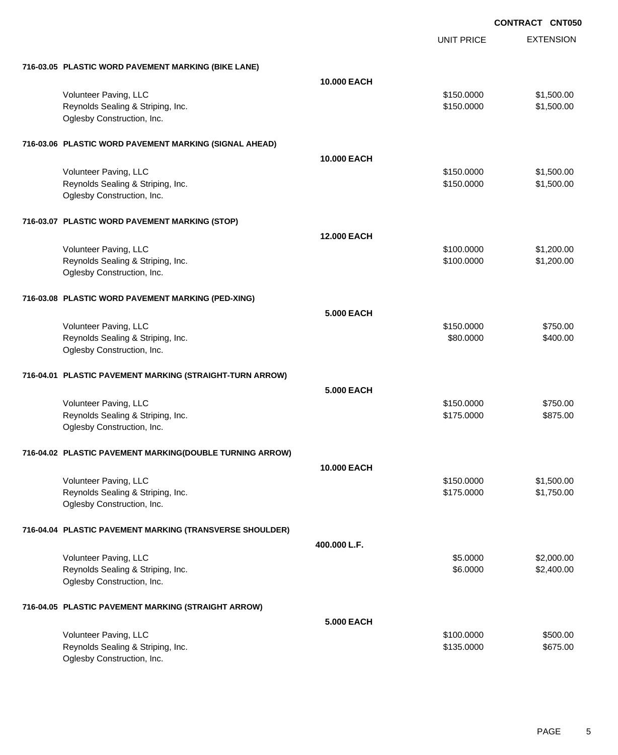|                                                          | <b>UNIT PRICE</b> | <b>EXTENSION</b> |
|----------------------------------------------------------|-------------------|------------------|
| 716-03.05 PLASTIC WORD PAVEMENT MARKING (BIKE LANE)      |                   |                  |
| <b>10.000 EACH</b>                                       |                   |                  |
| Volunteer Paving, LLC                                    | \$150.0000        | \$1,500.00       |
| Reynolds Sealing & Striping, Inc.                        | \$150.0000        | \$1,500.00       |
| Oglesby Construction, Inc.                               |                   |                  |
| 716-03.06 PLASTIC WORD PAVEMENT MARKING (SIGNAL AHEAD)   |                   |                  |
| <b>10.000 EACH</b>                                       |                   |                  |
| Volunteer Paving, LLC                                    | \$150.0000        | \$1,500.00       |
| Reynolds Sealing & Striping, Inc.                        | \$150.0000        | \$1,500.00       |
| Oglesby Construction, Inc.                               |                   |                  |
| 716-03.07 PLASTIC WORD PAVEMENT MARKING (STOP)           |                   |                  |
| <b>12.000 EACH</b>                                       |                   |                  |
| Volunteer Paving, LLC                                    | \$100.0000        | \$1,200.00       |
| Reynolds Sealing & Striping, Inc.                        | \$100.0000        | \$1,200.00       |
| Oglesby Construction, Inc.                               |                   |                  |
| 716-03.08 PLASTIC WORD PAVEMENT MARKING (PED-XING)       |                   |                  |
| <b>5.000 EACH</b>                                        |                   |                  |
| Volunteer Paving, LLC                                    | \$150.0000        | \$750.00         |
| Reynolds Sealing & Striping, Inc.                        | \$80.0000         | \$400.00         |
| Oglesby Construction, Inc.                               |                   |                  |
| 716-04.01 PLASTIC PAVEMENT MARKING (STRAIGHT-TURN ARROW) |                   |                  |
| <b>5.000 EACH</b>                                        |                   |                  |
| Volunteer Paving, LLC                                    | \$150.0000        | \$750.00         |
| Reynolds Sealing & Striping, Inc.                        | \$175.0000        | \$875.00         |
| Oglesby Construction, Inc.                               |                   |                  |
| 716-04.02 PLASTIC PAVEMENT MARKING(DOUBLE TURNING ARROW) |                   |                  |
| 10.000 EACH                                              |                   |                  |
| Volunteer Paving, LLC                                    | \$150.0000        | \$1,500.00       |
| Reynolds Sealing & Striping, Inc.                        | \$175.0000        | \$1,750.00       |
| Oglesby Construction, Inc.                               |                   |                  |
| 716-04.04 PLASTIC PAVEMENT MARKING (TRANSVERSE SHOULDER) |                   |                  |
| 400.000 L.F.                                             |                   |                  |
| Volunteer Paving, LLC                                    | \$5.0000          | \$2,000.00       |
| Reynolds Sealing & Striping, Inc.                        | \$6.0000          | \$2,400.00       |
| Oglesby Construction, Inc.                               |                   |                  |
| 716-04.05 PLASTIC PAVEMENT MARKING (STRAIGHT ARROW)      |                   |                  |
| <b>5.000 EACH</b>                                        |                   |                  |
| Volunteer Paving, LLC                                    | \$100.0000        | \$500.00         |
| Reynolds Sealing & Striping, Inc.                        | \$135.0000        | \$675.00         |
| Oglesby Construction, Inc.                               |                   |                  |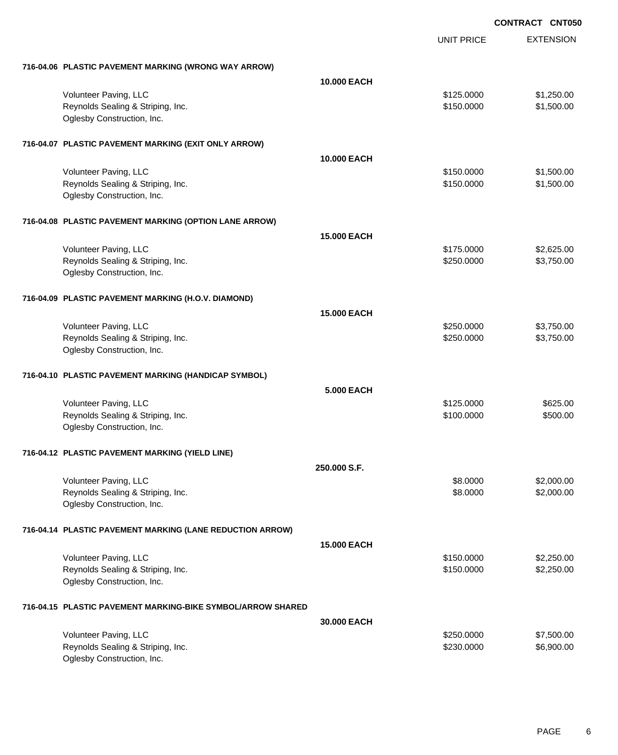|                                                                 | <b>UNIT PRICE</b> | <b>EXTENSION</b> |
|-----------------------------------------------------------------|-------------------|------------------|
| 716-04.06 PLASTIC PAVEMENT MARKING (WRONG WAY ARROW)            |                   |                  |
| <b>10.000 EACH</b>                                              |                   |                  |
| Volunteer Paving, LLC                                           | \$125.0000        | \$1,250.00       |
| Reynolds Sealing & Striping, Inc.<br>Oglesby Construction, Inc. | \$150.0000        | \$1,500.00       |
| 716-04.07 PLASTIC PAVEMENT MARKING (EXIT ONLY ARROW)            |                   |                  |
| 10.000 EACH                                                     |                   |                  |
| Volunteer Paving, LLC                                           | \$150.0000        | \$1,500.00       |
| Reynolds Sealing & Striping, Inc.<br>Oglesby Construction, Inc. | \$150.0000        | \$1,500.00       |
| 716-04.08 PLASTIC PAVEMENT MARKING (OPTION LANE ARROW)          |                   |                  |
| <b>15.000 EACH</b>                                              |                   |                  |
| Volunteer Paving, LLC                                           | \$175.0000        | \$2,625.00       |
| Reynolds Sealing & Striping, Inc.<br>Oglesby Construction, Inc. | \$250.0000        | \$3,750.00       |
| 716-04.09 PLASTIC PAVEMENT MARKING (H.O.V. DIAMOND)             |                   |                  |
| <b>15.000 EACH</b>                                              |                   |                  |
| Volunteer Paving, LLC                                           | \$250.0000        | \$3,750.00       |
| Reynolds Sealing & Striping, Inc.<br>Oglesby Construction, Inc. | \$250.0000        | \$3,750.00       |
| 716-04.10 PLASTIC PAVEMENT MARKING (HANDICAP SYMBOL)            |                   |                  |
| <b>5.000 EACH</b>                                               |                   |                  |
| Volunteer Paving, LLC                                           | \$125.0000        | \$625.00         |
| Reynolds Sealing & Striping, Inc.<br>Oglesby Construction, Inc. | \$100.0000        | \$500.00         |
| 716-04.12 PLASTIC PAVEMENT MARKING (YIELD LINE)                 |                   |                  |
| 250.000 S.F.                                                    |                   |                  |
| Volunteer Paving, LLC                                           | \$8.0000          | \$2,000.00       |
| Reynolds Sealing & Striping, Inc.<br>Oglesby Construction, Inc. | \$8.0000          | \$2,000.00       |
| 716-04.14 PLASTIC PAVEMENT MARKING (LANE REDUCTION ARROW)       |                   |                  |
| <b>15.000 EACH</b>                                              |                   |                  |
| Volunteer Paving, LLC                                           | \$150.0000        | \$2,250.00       |
| Reynolds Sealing & Striping, Inc.<br>Oglesby Construction, Inc. | \$150.0000        | \$2,250.00       |
| 716-04.15 PLASTIC PAVEMENT MARKING-BIKE SYMBOL/ARROW SHARED     |                   |                  |
| 30.000 EACH                                                     |                   |                  |
| Volunteer Paving, LLC                                           | \$250.0000        | \$7,500.00       |
| Reynolds Sealing & Striping, Inc.<br>Oglesby Construction, Inc. | \$230.0000        | \$6,900.00       |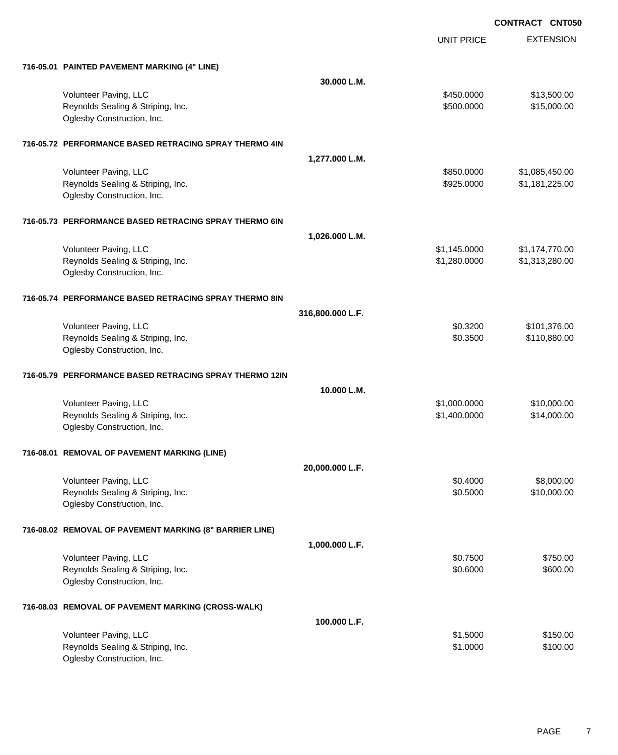UNIT PRICE

EXTENSION

| 716-05.01 PAINTED PAVEMENT MARKING (4" LINE)            |                  |              |                |
|---------------------------------------------------------|------------------|--------------|----------------|
|                                                         | 30.000 L.M.      |              |                |
| Volunteer Paving, LLC                                   |                  | \$450.0000   | \$13,500.00    |
| Reynolds Sealing & Striping, Inc.                       |                  | \$500.0000   | \$15,000.00    |
| Oglesby Construction, Inc.                              |                  |              |                |
|                                                         |                  |              |                |
| 716-05.72 PERFORMANCE BASED RETRACING SPRAY THERMO 4IN  |                  |              |                |
|                                                         | 1,277.000 L.M.   |              |                |
| Volunteer Paving, LLC                                   |                  | \$850.0000   | \$1,085,450.00 |
| Reynolds Sealing & Striping, Inc.                       |                  | \$925.0000   | \$1,181,225.00 |
| Oglesby Construction, Inc.                              |                  |              |                |
| 716-05.73 PERFORMANCE BASED RETRACING SPRAY THERMO 6IN  |                  |              |                |
|                                                         | 1,026.000 L.M.   |              |                |
| Volunteer Paving, LLC                                   |                  | \$1,145.0000 | \$1,174,770.00 |
| Reynolds Sealing & Striping, Inc.                       |                  | \$1,280.0000 | \$1,313,280.00 |
| Oglesby Construction, Inc.                              |                  |              |                |
| 716-05.74 PERFORMANCE BASED RETRACING SPRAY THERMO 8IN  |                  |              |                |
|                                                         | 316,800.000 L.F. |              |                |
| Volunteer Paving, LLC                                   |                  | \$0.3200     | \$101,376.00   |
| Reynolds Sealing & Striping, Inc.                       |                  | \$0.3500     | \$110,880.00   |
| Oglesby Construction, Inc.                              |                  |              |                |
|                                                         |                  |              |                |
| 716-05.79 PERFORMANCE BASED RETRACING SPRAY THERMO 12IN |                  |              |                |
|                                                         | 10.000 L.M.      |              |                |
| Volunteer Paving, LLC                                   |                  | \$1,000.0000 | \$10,000.00    |
| Reynolds Sealing & Striping, Inc.                       |                  | \$1,400.0000 | \$14,000.00    |
| Oglesby Construction, Inc.                              |                  |              |                |
| 716-08.01 REMOVAL OF PAVEMENT MARKING (LINE)            |                  |              |                |
|                                                         | 20,000.000 L.F.  |              |                |
| Volunteer Paving, LLC                                   |                  | \$0.4000     | \$8,000.00     |
| Reynolds Sealing & Striping, Inc.                       |                  | \$0.5000     | \$10,000.00    |
| Oglesby Construction, Inc.                              |                  |              |                |
| 716-08.02 REMOVAL OF PAVEMENT MARKING (8" BARRIER LINE) |                  |              |                |
|                                                         | 1,000.000 L.F.   |              |                |
| Volunteer Paving, LLC                                   |                  | \$0.7500     | \$750.00       |
| Reynolds Sealing & Striping, Inc.                       |                  | \$0.6000     | \$600.00       |
| Oglesby Construction, Inc.                              |                  |              |                |
| 716-08.03 REMOVAL OF PAVEMENT MARKING (CROSS-WALK)      |                  |              |                |
|                                                         | 100.000 L.F.     |              |                |
| Volunteer Paving, LLC                                   |                  | \$1.5000     | \$150.00       |
| Reynolds Sealing & Striping, Inc.                       |                  | \$1.0000     | \$100.00       |
| Oglesby Construction, Inc.                              |                  |              |                |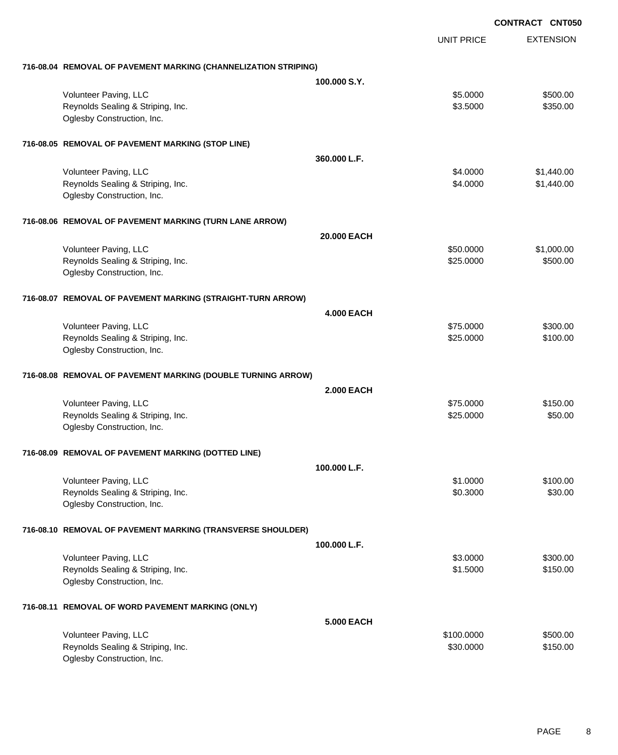|                                                                 |                   |                   | <b>CONTRACT CNT050</b> |
|-----------------------------------------------------------------|-------------------|-------------------|------------------------|
|                                                                 |                   | <b>UNIT PRICE</b> | <b>EXTENSION</b>       |
| 716-08.04 REMOVAL OF PAVEMENT MARKING (CHANNELIZATION STRIPING) |                   |                   |                        |
|                                                                 | 100,000 S.Y.      |                   |                        |
| Volunteer Paving, LLC                                           |                   | \$5.0000          | \$500.00               |
| Reynolds Sealing & Striping, Inc.<br>Oglesby Construction, Inc. |                   | \$3.5000          | \$350.00               |
| 716-08.05 REMOVAL OF PAVEMENT MARKING (STOP LINE)               |                   |                   |                        |
|                                                                 | 360.000 L.F.      |                   |                        |
| Volunteer Paving, LLC                                           |                   | \$4.0000          | \$1,440.00             |
| Reynolds Sealing & Striping, Inc.                               |                   | \$4.0000          | \$1,440.00             |
| Oglesby Construction, Inc.                                      |                   |                   |                        |
| 716-08.06 REMOVAL OF PAVEMENT MARKING (TURN LANE ARROW)         |                   |                   |                        |
|                                                                 | 20.000 EACH       |                   |                        |
| Volunteer Paving, LLC                                           |                   | \$50.0000         | \$1,000.00             |
| Reynolds Sealing & Striping, Inc.                               |                   | \$25.0000         | \$500.00               |
| Oglesby Construction, Inc.                                      |                   |                   |                        |
| 716-08.07 REMOVAL OF PAVEMENT MARKING (STRAIGHT-TURN ARROW)     |                   |                   |                        |
|                                                                 | <b>4.000 EACH</b> |                   |                        |
| Volunteer Paving, LLC                                           |                   | \$75.0000         | \$300.00               |
| Reynolds Sealing & Striping, Inc.                               |                   | \$25.0000         | \$100.00               |
| Oglesby Construction, Inc.                                      |                   |                   |                        |
| 716-08.08 REMOVAL OF PAVEMENT MARKING (DOUBLE TURNING ARROW)    |                   |                   |                        |
|                                                                 | <b>2.000 EACH</b> |                   |                        |
| Volunteer Paving, LLC                                           |                   | \$75.0000         | \$150.00               |
| Reynolds Sealing & Striping, Inc.<br>Oglesby Construction, Inc. |                   | \$25.0000         | \$50.00                |
| 716-08.09 REMOVAL OF PAVEMENT MARKING (DOTTED LINE)             |                   |                   |                        |
|                                                                 | 100.000 L.F.      |                   |                        |
| Volunteer Paving, LLC                                           |                   | \$1.0000          | \$100.00               |
| Reynolds Sealing & Striping, Inc.                               |                   | \$0.3000          | \$30.00                |
| Oglesby Construction, Inc.                                      |                   |                   |                        |
| 716-08.10 REMOVAL OF PAVEMENT MARKING (TRANSVERSE SHOULDER)     |                   |                   |                        |
|                                                                 | 100.000 L.F.      |                   |                        |
| Volunteer Paving, LLC                                           |                   | \$3.0000          | \$300.00               |
| Reynolds Sealing & Striping, Inc.                               |                   | \$1.5000          | \$150.00               |
| Oglesby Construction, Inc.                                      |                   |                   |                        |
| 716-08.11 REMOVAL OF WORD PAVEMENT MARKING (ONLY)               |                   |                   |                        |
|                                                                 | <b>5.000 EACH</b> |                   |                        |
| Volunteer Paving, LLC                                           |                   | \$100.0000        | \$500.00               |
| Reynolds Sealing & Striping, Inc.                               |                   | \$30.0000         | \$150.00               |
| Oglesby Construction, Inc.                                      |                   |                   |                        |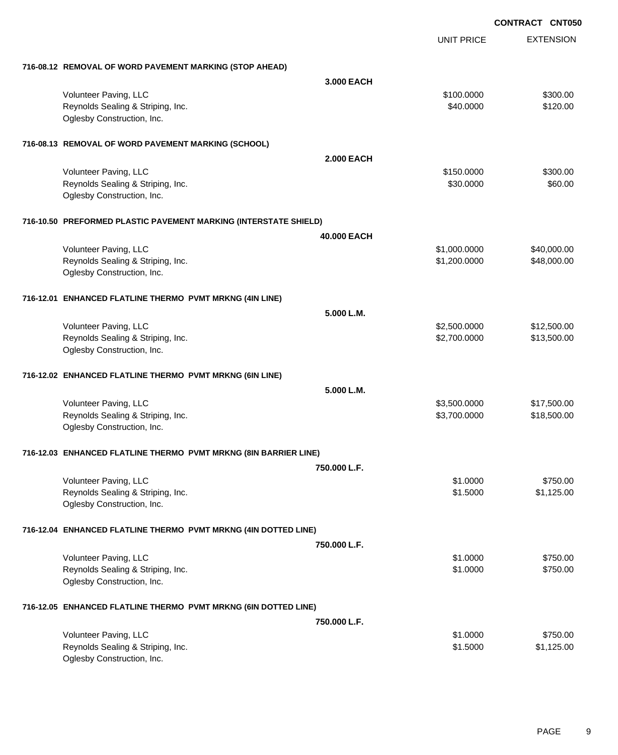|                                                                  |                   | UNIT PRICE   | <b>EXTENSION</b> |
|------------------------------------------------------------------|-------------------|--------------|------------------|
| 716-08.12 REMOVAL OF WORD PAVEMENT MARKING (STOP AHEAD)          |                   |              |                  |
|                                                                  | 3.000 EACH        |              |                  |
| Volunteer Paving, LLC                                            |                   | \$100.0000   | \$300.00         |
| Reynolds Sealing & Striping, Inc.                                |                   | \$40.0000    | \$120.00         |
| Oglesby Construction, Inc.                                       |                   |              |                  |
| 716-08.13 REMOVAL OF WORD PAVEMENT MARKING (SCHOOL)              |                   |              |                  |
|                                                                  | <b>2.000 EACH</b> |              |                  |
| Volunteer Paving, LLC                                            |                   | \$150.0000   | \$300.00         |
| Reynolds Sealing & Striping, Inc.                                |                   | \$30.0000    | \$60.00          |
| Oglesby Construction, Inc.                                       |                   |              |                  |
| 716-10.50 PREFORMED PLASTIC PAVEMENT MARKING (INTERSTATE SHIELD) |                   |              |                  |
|                                                                  | 40.000 EACH       |              |                  |
| Volunteer Paving, LLC                                            |                   | \$1,000.0000 | \$40,000.00      |
| Reynolds Sealing & Striping, Inc.                                |                   | \$1,200.0000 | \$48,000.00      |
| Oglesby Construction, Inc.                                       |                   |              |                  |
| 716-12.01 ENHANCED FLATLINE THERMO PVMT MRKNG (4IN LINE)         |                   |              |                  |
|                                                                  | 5.000 L.M.        |              |                  |
| Volunteer Paving, LLC                                            |                   | \$2,500.0000 | \$12,500.00      |
| Reynolds Sealing & Striping, Inc.                                |                   | \$2,700.0000 | \$13,500.00      |
| Oglesby Construction, Inc.                                       |                   |              |                  |
| 716-12.02 ENHANCED FLATLINE THERMO PVMT MRKNG (6IN LINE)         |                   |              |                  |
|                                                                  | 5.000 L.M.        |              |                  |
| Volunteer Paving, LLC                                            |                   | \$3,500.0000 | \$17,500.00      |
| Reynolds Sealing & Striping, Inc.                                |                   | \$3,700.0000 | \$18,500.00      |
| Oglesby Construction, Inc.                                       |                   |              |                  |
|                                                                  |                   |              |                  |
| 716-12.03 ENHANCED FLATLINE THERMO PVMT MRKNG (8IN BARRIER LINE) | 750.000 L.F.      |              |                  |
| Volunteer Paving, LLC                                            |                   | \$1.0000     | \$750.00         |
| Reynolds Sealing & Striping, Inc.                                |                   | \$1.5000     | \$1,125.00       |
| Oglesby Construction, Inc.                                       |                   |              |                  |
| 716-12.04 ENHANCED FLATLINE THERMO PVMT MRKNG (4IN DOTTED LINE)  |                   |              |                  |
|                                                                  | 750.000 L.F.      |              |                  |
| Volunteer Paving, LLC                                            |                   | \$1.0000     | \$750.00         |
| Reynolds Sealing & Striping, Inc.                                |                   | \$1.0000     | \$750.00         |
| Oglesby Construction, Inc.                                       |                   |              |                  |
| 716-12.05 ENHANCED FLATLINE THERMO PVMT MRKNG (6IN DOTTED LINE)  |                   |              |                  |
|                                                                  | 750,000 L.F.      |              |                  |
| Volunteer Paving, LLC                                            |                   | \$1.0000     | \$750.00         |
| Reynolds Sealing & Striping, Inc.                                |                   | \$1.5000     | \$1,125.00       |
| Oglesby Construction, Inc.                                       |                   |              |                  |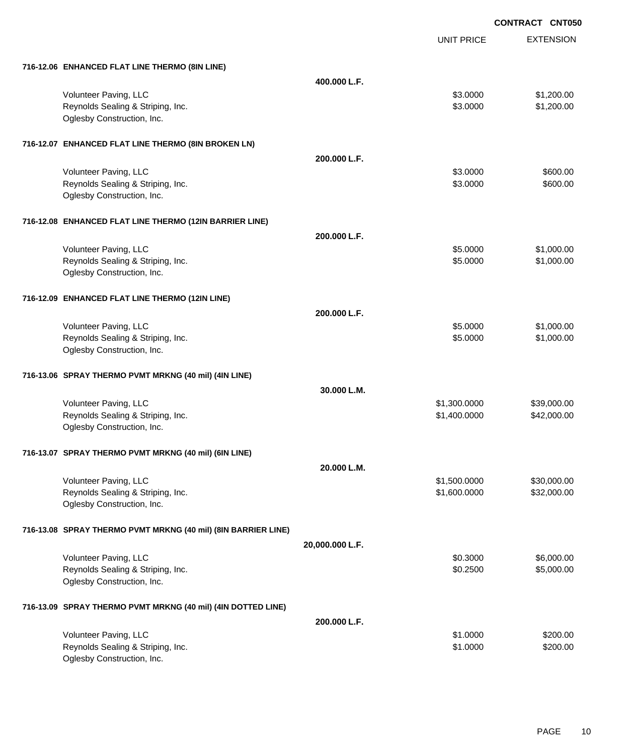EXTENSION **CONTRACT CNT050** UNIT PRICE **716-12.06 ENHANCED FLAT LINE THERMO (8IN LINE) 400.000 L.F.** Volunteer Paving, LLC 61,200.00 \$1,200.00 \$1,200.00 \$1,200.00 \$1,200.00 \$1,200.00 \$1,200.00 \$1,200.00 \$1,200.00 Reynolds Sealing & Striping, Inc. 6. The Strip of the Strip of the Strip of the Strip of the Strip of the Strip of Strip of the Strip of the Strip of the Strip of the Strip of the Strip of the Strip of the Strip of the Str Oglesby Construction, Inc. **716-12.07 ENHANCED FLAT LINE THERMO (8IN BROKEN LN) 200.000 L.F.** Volunteer Paving, LLC 600.00 \$600.00 \$600.00 \$600.00 \$600.00 \$600.00 \$600.00 \$600.00 \$600.00 \$600.00 \$600.00 \$ Reynolds Sealing & Striping, Inc. 6. The Strip of the Strip of the Strip of the Strip of the Strip of the Strip of the Strip of the Strip of the Strip of the Strip of the Strip of the Strip of the Strip of the Strip of the Oglesby Construction, Inc. **716-12.08 ENHANCED FLAT LINE THERMO (12IN BARRIER LINE) 200.000 L.F.** Volunteer Paving, LLC 61,000.00 \$1,000.00 \$1,000.00 \$1,000.00 \$1,000.00 \$1,000.00 \$1,000.00 \$1,000.00 \$1,000.00 Reynolds Sealing & Striping, Inc. 6. The Strip of the Strip of the Strip of the Strip of the Strip of the Strip of the Strip of the Strip of the Strip of the Strip of the Strip of the Strip of the Strip of the Strip of the Oglesby Construction, Inc. **716-12.09 ENHANCED FLAT LINE THERMO (12IN LINE) 200.000 L.F.** Volunteer Paving, LLC 61,000.00 \$1,000.00 \$1,000.00 \$1,000.00 \$1,000.00 \$1,000.00 \$1,000.00 \$1,000.00 \$1,000.00 Reynolds Sealing & Striping, Inc. 6. The Strip of the Strip of the Strip of the Strip of the Strip of the Strip of the Strip of the Strip of the Strip of the Strip of the Strip of the Strip of the Strip of the Strip of the Oglesby Construction, Inc. **716-13.06 SPRAY THERMO PVMT MRKNG (40 mil) (4IN LINE) 30.000 L.M.** Volunteer Paving, LLC 6. 2008. The state of the state of the state of the state of the state of the state of the state of the state of the state of the state of the state of the state of the state of the state of the state Reynolds Sealing & Striping, Inc.  $$42,000.00$   $$42,000.00$ Oglesby Construction, Inc. **716-13.07 SPRAY THERMO PVMT MRKNG (40 mil) (6IN LINE) 20.000 L.M.** Volunteer Paving, LLC 600000 \$30,000.00 \$1,500.0000 \$30,000.00 Reynolds Sealing & Striping, Inc. \$1,600.0000 \$32,000.000 \$32,000.000 \$1,600.000 \$32,000.00 Oglesby Construction, Inc. **716-13.08 SPRAY THERMO PVMT MRKNG (40 mil) (8IN BARRIER LINE) 20,000.000 L.F.** Volunteer Paving, LLC 6,000.00 \$6,000.00 \$6,000.00 \$6,000.00 \$6,000.00 \$6,000.00 \$6,000.00 \$6,000.00 \$6,000.00 Reynolds Sealing & Striping, Inc. 6. The Strip of the Sealing Sealing & Striping, Inc. \$0.2500 \$5,000.00 Oglesby Construction, Inc. **716-13.09 SPRAY THERMO PVMT MRKNG (40 mil) (4IN DOTTED LINE) 200.000 L.F.**

| Volunteer Paving, LLC             | \$1,0000 | \$200.00 |
|-----------------------------------|----------|----------|
| Reynolds Sealing & Striping, Inc. | \$1,0000 | \$200.00 |
| Oglesby Construction, Inc.        |          |          |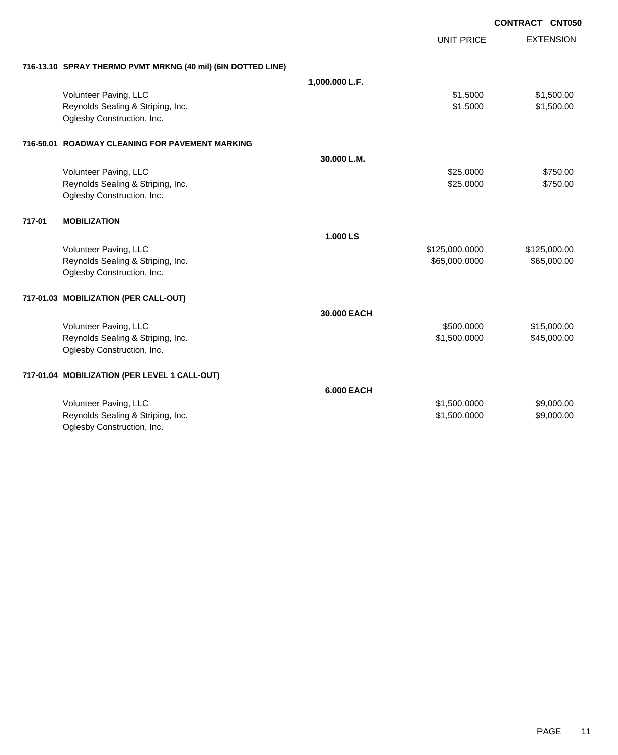|        |                                                              |                   |                   | <b>CONTRACT CNT050</b> |                  |
|--------|--------------------------------------------------------------|-------------------|-------------------|------------------------|------------------|
|        |                                                              |                   | <b>UNIT PRICE</b> |                        | <b>EXTENSION</b> |
|        | 716-13.10 SPRAY THERMO PVMT MRKNG (40 mil) (6IN DOTTED LINE) |                   |                   |                        |                  |
|        |                                                              | 1,000.000 L.F.    |                   |                        |                  |
|        | Volunteer Paving, LLC                                        |                   | \$1.5000          |                        | \$1,500.00       |
|        | Reynolds Sealing & Striping, Inc.                            |                   | \$1.5000          |                        | \$1,500.00       |
|        | Oglesby Construction, Inc.                                   |                   |                   |                        |                  |
|        | 716-50.01 ROADWAY CLEANING FOR PAVEMENT MARKING              |                   |                   |                        |                  |
|        |                                                              | 30.000 L.M.       |                   |                        |                  |
|        | Volunteer Paving, LLC                                        |                   | \$25.0000         |                        | \$750.00         |
|        | Reynolds Sealing & Striping, Inc.                            |                   | \$25.0000         |                        | \$750.00         |
|        | Oglesby Construction, Inc.                                   |                   |                   |                        |                  |
| 717-01 | <b>MOBILIZATION</b>                                          |                   |                   |                        |                  |
|        |                                                              | 1.000 LS          |                   |                        |                  |
|        | Volunteer Paving, LLC                                        |                   | \$125,000.0000    |                        | \$125,000.00     |
|        | Reynolds Sealing & Striping, Inc.                            |                   | \$65,000.0000     |                        | \$65,000.00      |
|        | Oglesby Construction, Inc.                                   |                   |                   |                        |                  |
|        | 717-01.03 MOBILIZATION (PER CALL-OUT)                        |                   |                   |                        |                  |
|        |                                                              | 30,000 EACH       |                   |                        |                  |
|        | Volunteer Paving, LLC                                        |                   | \$500.0000        |                        | \$15,000.00      |
|        | Reynolds Sealing & Striping, Inc.                            |                   | \$1,500.0000      |                        | \$45,000.00      |
|        | Oglesby Construction, Inc.                                   |                   |                   |                        |                  |
|        | 717-01.04 MOBILIZATION (PER LEVEL 1 CALL-OUT)                |                   |                   |                        |                  |
|        |                                                              | <b>6.000 EACH</b> |                   |                        |                  |
|        | Volunteer Paving, LLC                                        |                   | \$1,500.0000      |                        | \$9,000.00       |
|        | Reynolds Sealing & Striping, Inc.                            |                   | \$1,500.0000      |                        | \$9,000.00       |
|        | Oglesby Construction, Inc.                                   |                   |                   |                        |                  |
|        |                                                              |                   |                   |                        |                  |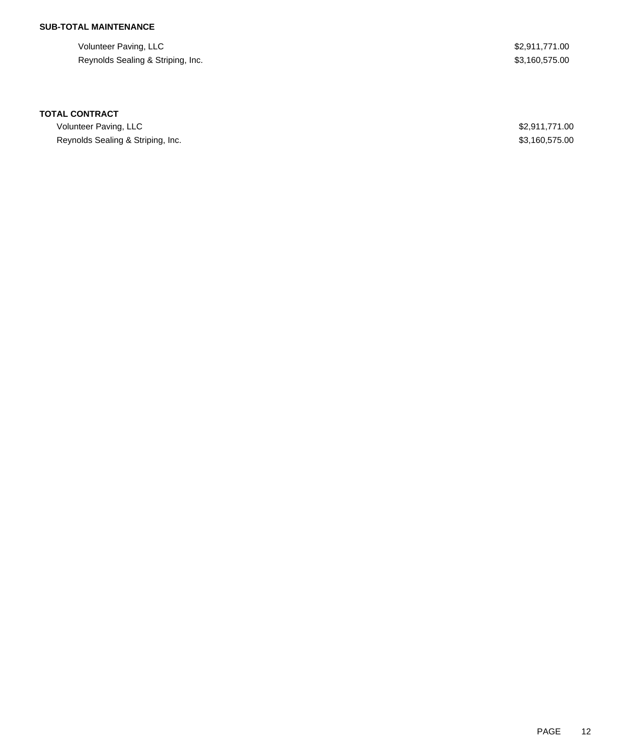## **SUB-TOTAL MAINTENANCE**

Volunteer Paving, LLC \$2,911,771.00 Reynolds Sealing & Striping, Inc. 6. The Striping of the Strip in the Strip in the Strip in the Strip in the Strip in the Strip in the Strip in the Strip in the Strip in the Strip in the Strip in the Strip in the Strip in

#### **TOTAL CONTRACT**

Volunteer Paving, LLC \$2,911,771.00 Reynolds Sealing & Striping, Inc. **\$3,160,575.00** \$3,160,575.00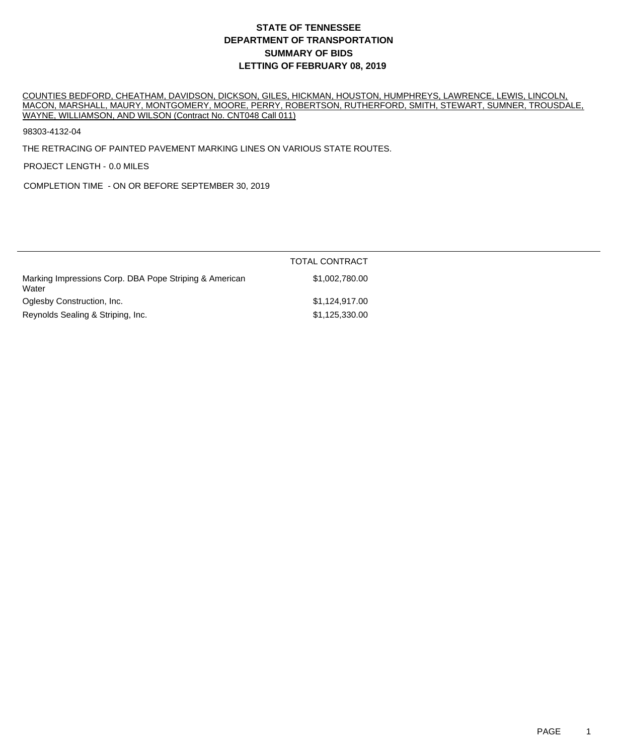COUNTIES BEDFORD, CHEATHAM, DAVIDSON, DICKSON, GILES, HICKMAN, HOUSTON, HUMPHREYS, LAWRENCE, LEWIS, LINCOLN, MACON, MARSHALL, MAURY, MONTGOMERY, MOORE, PERRY, ROBERTSON, RUTHERFORD, SMITH, STEWART, SUMNER, TROUSDALE, WAYNE, WILLIAMSON, AND WILSON (Contract No. CNT048 Call 011)

98303-4132-04

THE RETRACING OF PAINTED PAVEMENT MARKING LINES ON VARIOUS STATE ROUTES.

PROJECT LENGTH - 0.0 MILES

COMPLETION TIME - ON OR BEFORE SEPTEMBER 30, 2019

|                                                                 | <b>TOTAL CONTRACT</b> |
|-----------------------------------------------------------------|-----------------------|
| Marking Impressions Corp. DBA Pope Striping & American<br>Water | \$1,002,780,00        |
| Oglesby Construction, Inc.                                      | \$1,124,917.00        |
| Reynolds Sealing & Striping, Inc.                               | \$1,125,330.00        |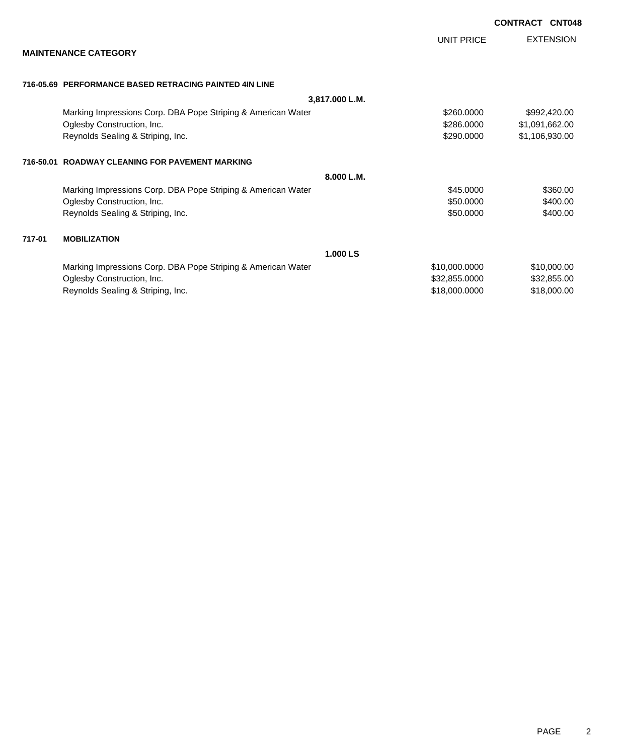|        |                                                              |               | <b>CONTRACT CNT048</b> |
|--------|--------------------------------------------------------------|---------------|------------------------|
|        |                                                              | UNIT PRICE    | <b>EXTENSION</b>       |
|        | <b>MAINTENANCE CATEGORY</b>                                  |               |                        |
|        | 716-05.69 PERFORMANCE BASED RETRACING PAINTED 4IN LINE       |               |                        |
|        | 3,817.000 L.M.                                               |               |                        |
|        | Marking Impressions Corp. DBA Pope Striping & American Water | \$260,0000    | \$992,420.00           |
|        | Oglesby Construction, Inc.                                   | \$286,0000    | \$1,091,662.00         |
|        | Reynolds Sealing & Striping, Inc.                            | \$290.0000    | \$1,106,930.00         |
|        | 716-50.01 ROADWAY CLEANING FOR PAVEMENT MARKING              |               |                        |
|        | 8.000 L.M.                                                   |               |                        |
|        | Marking Impressions Corp. DBA Pope Striping & American Water | \$45.0000     | \$360.00               |
|        | Oglesby Construction, Inc.                                   | \$50.0000     | \$400.00               |
|        | Reynolds Sealing & Striping, Inc.                            | \$50.0000     | \$400.00               |
| 717-01 | <b>MOBILIZATION</b>                                          |               |                        |
|        | 1.000 LS                                                     |               |                        |
|        | Marking Impressions Corp. DBA Pope Striping & American Water | \$10,000.0000 | \$10,000.00            |
|        | Oglesby Construction, Inc.                                   | \$32,855.0000 | \$32,855.00            |
|        | Reynolds Sealing & Striping, Inc.                            | \$18,000.0000 | \$18,000.00            |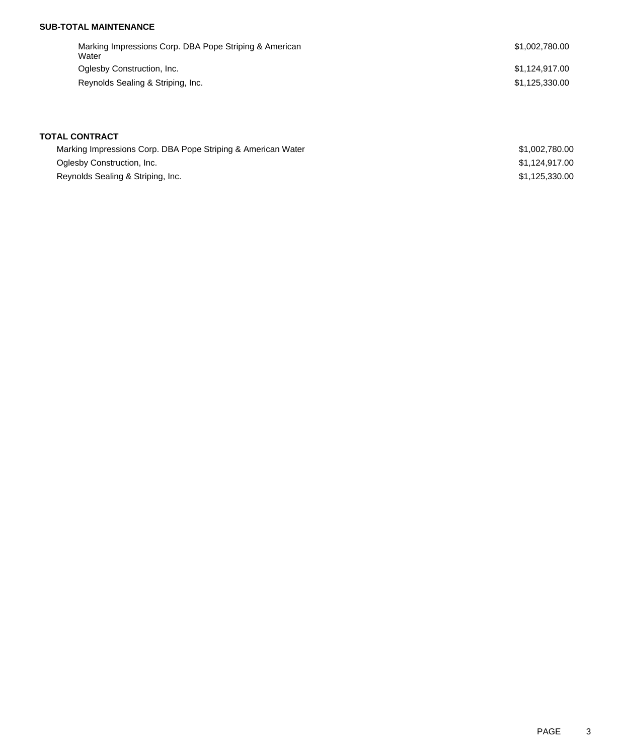#### **SUB-TOTAL MAINTENANCE**

Marking Impressions Corp. DBA Pope Striping & American Water Oglesby Construction, Inc. 6. The Superior of the State of the State of State of State of State of State of St Reynolds Sealing & Striping, Inc.  $$1,125,330.00$ 

**TOTAL CONTRACT**

| Marking Impressions Corp. DBA Pope Striping & American Water | \$1,002,780,00 |
|--------------------------------------------------------------|----------------|
| Oglesby Construction, Inc.                                   | \$1.124.917.00 |
| Reynolds Sealing & Striping, Inc.                            | \$1.125.330.00 |

\$1,002,780.00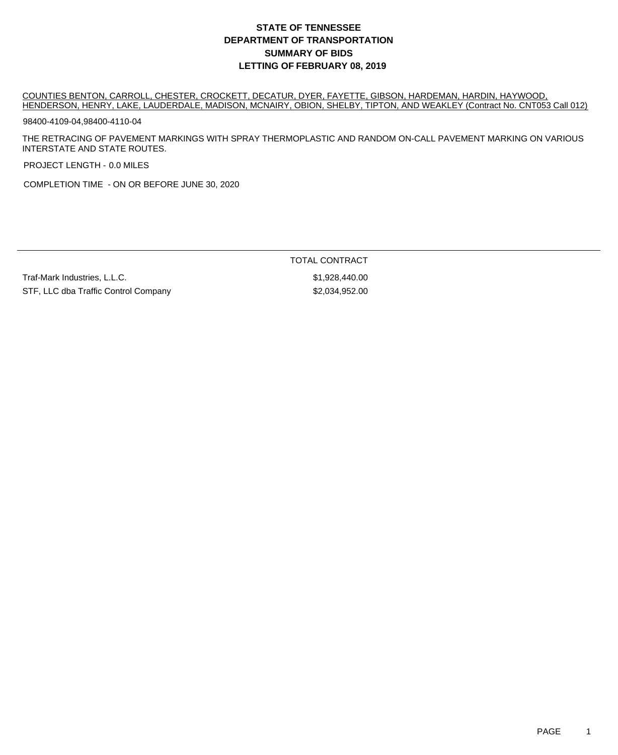COUNTIES BENTON, CARROLL, CHESTER, CROCKETT, DECATUR, DYER, FAYETTE, GIBSON, HARDEMAN, HARDIN, HAYWOOD, HENDERSON, HENRY, LAKE, LAUDERDALE, MADISON, MCNAIRY, OBION, SHELBY, TIPTON, AND WEAKLEY (Contract No. CNT053 Call 012)

98400-4109-04,98400-4110-04

THE RETRACING OF PAVEMENT MARKINGS WITH SPRAY THERMOPLASTIC AND RANDOM ON-CALL PAVEMENT MARKING ON VARIOUS INTERSTATE AND STATE ROUTES.

PROJECT LENGTH - 0.0 MILES

COMPLETION TIME - ON OR BEFORE JUNE 30, 2020

Traf-Mark Industries, L.L.C. \$1,928,440.00 STF, LLC dba Traffic Control Company \$2,034,952.00

TOTAL CONTRACT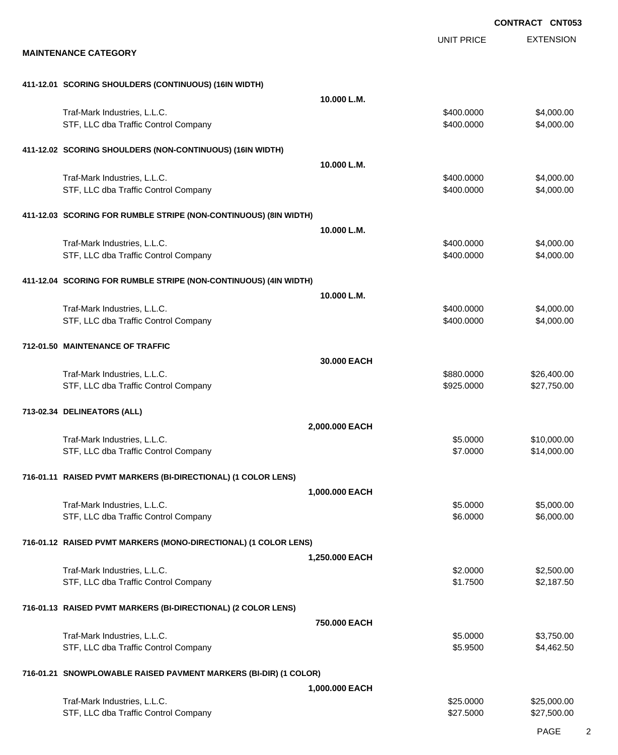EXTENSION **CONTRACT CNT053** UNIT PRICE **MAINTENANCE CATEGORY 411-12.01 SCORING SHOULDERS (CONTINUOUS) (16IN WIDTH) 10.000 L.M.** Traf-Mark Industries, L.L.C. \$400.0000 \$4,000.00 STF, LLC dba Traffic Control Company **\$400.000 \$4,000.000 \$4,000.00** \$4,000.00 **411-12.02 SCORING SHOULDERS (NON-CONTINUOUS) (16IN WIDTH) 10.000 L.M.** Traf-Mark Industries, L.L.C. \$400.0000 \$4,000.00 STF, LLC dba Traffic Control Company **\$400.000 \$4,000.000 \$4,000.00** \$4,000.00 **411-12.03 SCORING FOR RUMBLE STRIPE (NON-CONTINUOUS) (8IN WIDTH) 10.000 L.M.** Traf-Mark Industries, L.L.C. \$400.0000 \$4,000.00 STF, LLC dba Traffic Control Company **\$400.000 \$4,000.000 \$4,000.00** \$4,000.00 **411-12.04 SCORING FOR RUMBLE STRIPE (NON-CONTINUOUS) (4IN WIDTH) 10.000 L.M.** Traf-Mark Industries, L.L.C. \$400.0000 \$4,000.00 STF, LLC dba Traffic Control Company **\$400.000 \$4,000.000 \$4,000.00** \$4,000.00 **712-01.50 MAINTENANCE OF TRAFFIC 30.000 EACH** Traf-Mark Industries, L.L.C. \$880.0000 \$26,400.00 STF, LLC dba Traffic Control Company **\$925.000 \$27,750.00** \$27,750.00 **713-02.34 DELINEATORS (ALL) 2,000.000 EACH** Traf-Mark Industries, L.L.C. 610,000.00 \$10,000.00 \$10,000.00 STF, LLC dba Traffic Control Company **\$14,000.00** \$14,000.00 **716-01.11 RAISED PVMT MARKERS (BI-DIRECTIONAL) (1 COLOR LENS) 1,000.000 EACH** Traf-Mark Industries, L.L.C. **\$5.000.00** \$5,000.00 \$5,000.00 STF, LLC dba Traffic Control Company **\$6.000.00** \$6,000.00 \$6,000.00 **716-01.12 RAISED PVMT MARKERS (MONO-DIRECTIONAL) (1 COLOR LENS) 1,250.000 EACH** Traf-Mark Industries, L.L.C. \$2.0000 \$2,500.00 STF, LLC dba Traffic Control Company **\$1.7500** \$2,187.50 **716-01.13 RAISED PVMT MARKERS (BI-DIRECTIONAL) (2 COLOR LENS) 750.000 EACH** Traf-Mark Industries, L.L.C. 63,750.00 \$3,750.00 STF, LLC dba Traffic Control Company **\$5.9500** \$4,462.50 **716-01.21 SNOWPLOWABLE RAISED PAVMENT MARKERS (BI-DIR) (1 COLOR) 1,000.000 EACH** Traf-Mark Industries, L.L.C. 6. The state of the state of the state of the state of the state of the state of the state of the state of the state of the state of the state of the state of the state of the state of the stat STF, LLC dba Traffic Control Company **\$27.500.00** \$27.500.00 \$27,500.00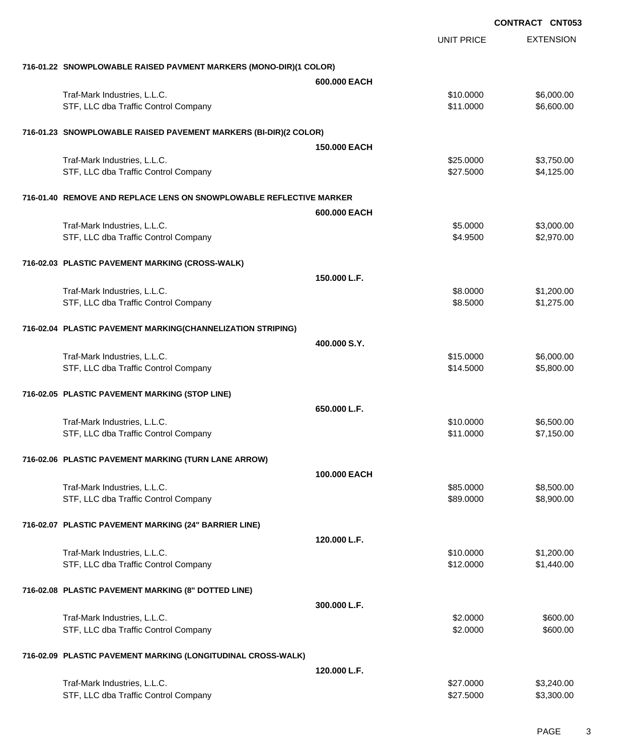|                                                                      |                        | <b>CONTRACT CNT053</b>   |
|----------------------------------------------------------------------|------------------------|--------------------------|
|                                                                      | <b>UNIT PRICE</b>      | <b>EXTENSION</b>         |
| 716-01.22 SNOWPLOWABLE RAISED PAVMENT MARKERS (MONO-DIR)(1 COLOR)    |                        |                          |
|                                                                      | 600.000 EACH           |                          |
| Traf-Mark Industries, L.L.C.                                         | \$10.0000              | \$6,000.00               |
| STF, LLC dba Traffic Control Company                                 | \$11.0000              | \$6,600.00               |
| 716-01.23 SNOWPLOWABLE RAISED PAVEMENT MARKERS (BI-DIR)(2 COLOR)     |                        |                          |
|                                                                      | 150,000 EACH           |                          |
| Traf-Mark Industries, L.L.C.                                         | \$25.0000              | \$3,750.00               |
| STF, LLC dba Traffic Control Company                                 | \$27.5000              | \$4,125.00               |
| 716-01.40 REMOVE AND REPLACE LENS ON SNOWPLOWABLE REFLECTIVE MARKER  |                        |                          |
|                                                                      | 600,000 EACH           |                          |
| Traf-Mark Industries, L.L.C.                                         | \$5.0000               | \$3,000.00               |
| STF, LLC dba Traffic Control Company                                 | \$4.9500               | \$2,970.00               |
| 716-02.03 PLASTIC PAVEMENT MARKING (CROSS-WALK)                      |                        |                          |
|                                                                      | 150.000 L.F.           |                          |
| Traf-Mark Industries, L.L.C.                                         | \$8.0000               | \$1,200.00               |
| STF, LLC dba Traffic Control Company                                 | \$8.5000               | \$1,275.00               |
| 716-02.04 PLASTIC PAVEMENT MARKING(CHANNELIZATION STRIPING)          |                        |                          |
|                                                                      | 400,000 S.Y.           |                          |
| Traf-Mark Industries, L.L.C.                                         | \$15.0000              | \$6,000.00               |
| STF, LLC dba Traffic Control Company                                 | \$14.5000              | \$5,800.00               |
| 716-02.05 PLASTIC PAVEMENT MARKING (STOP LINE)                       |                        |                          |
|                                                                      | 650.000 L.F.           |                          |
| Traf-Mark Industries, L.L.C.                                         | \$10.0000              | \$6,500.00               |
| STF, LLC dba Traffic Control Company                                 | \$11.0000              | \$7,150.00               |
| 716-02.06 PLASTIC PAVEMENT MARKING (TURN LANE ARROW)                 |                        |                          |
|                                                                      | 100.000 EACH           |                          |
| Traf-Mark Industries, L.L.C.                                         | \$85.0000              | \$8,500.00               |
| STF, LLC dba Traffic Control Company                                 | \$89,0000              | \$8,900.00               |
| 716-02.07 PLASTIC PAVEMENT MARKING (24" BARRIER LINE)                |                        |                          |
|                                                                      | 120.000 L.F.           |                          |
| Traf-Mark Industries, L.L.C.                                         | \$10.0000              | \$1,200.00               |
| STF, LLC dba Traffic Control Company                                 | \$12.0000              | \$1,440.00               |
| 716-02.08 PLASTIC PAVEMENT MARKING (8" DOTTED LINE)                  |                        |                          |
|                                                                      | 300,000 L.F.           |                          |
| Traf-Mark Industries, L.L.C.                                         | \$2.0000               | \$600.00                 |
| STF, LLC dba Traffic Control Company                                 | \$2.0000               | \$600.00                 |
| 716-02.09 PLASTIC PAVEMENT MARKING (LONGITUDINAL CROSS-WALK)         |                        |                          |
|                                                                      | 120.000 L.F.           |                          |
| Traf-Mark Industries, L.L.C.<br>STF, LLC dba Traffic Control Company | \$27.0000<br>\$27.5000 | \$3,240.00<br>\$3,300.00 |
|                                                                      |                        |                          |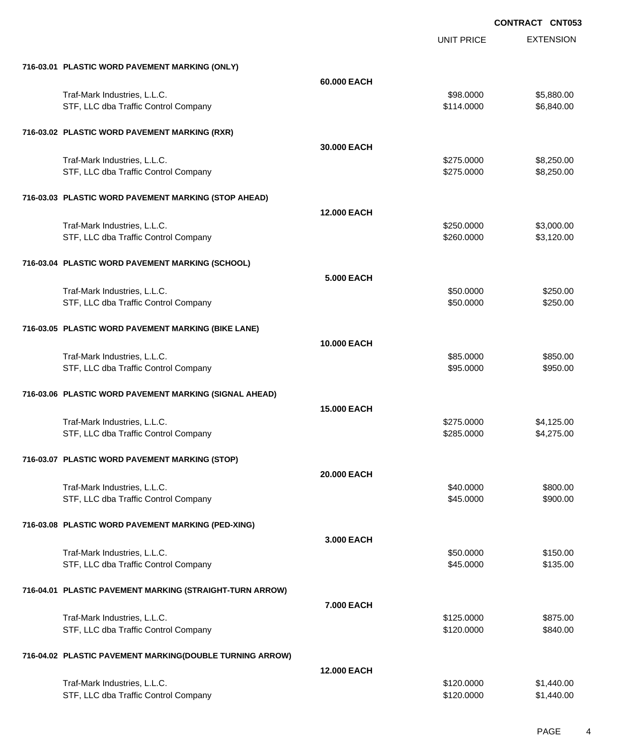|                                                          |                    | <b>UNIT PRICE</b> | <b>EXTENSION</b> |
|----------------------------------------------------------|--------------------|-------------------|------------------|
| 716-03.01 PLASTIC WORD PAVEMENT MARKING (ONLY)           |                    |                   |                  |
|                                                          | 60.000 EACH        |                   |                  |
| Traf-Mark Industries, L.L.C.                             |                    | \$98.0000         | \$5,880.00       |
| STF, LLC dba Traffic Control Company                     |                    | \$114.0000        | \$6,840.00       |
| 716-03.02 PLASTIC WORD PAVEMENT MARKING (RXR)            |                    |                   |                  |
|                                                          | 30.000 EACH        |                   |                  |
| Traf-Mark Industries, L.L.C.                             |                    | \$275.0000        | \$8,250.00       |
| STF, LLC dba Traffic Control Company                     |                    | \$275.0000        | \$8,250.00       |
| 716-03.03 PLASTIC WORD PAVEMENT MARKING (STOP AHEAD)     |                    |                   |                  |
|                                                          | <b>12.000 EACH</b> |                   |                  |
| Traf-Mark Industries, L.L.C.                             |                    | \$250.0000        | \$3,000.00       |
| STF, LLC dba Traffic Control Company                     |                    | \$260.0000        | \$3,120.00       |
| 716-03.04 PLASTIC WORD PAVEMENT MARKING (SCHOOL)         |                    |                   |                  |
|                                                          | <b>5.000 EACH</b>  |                   |                  |
| Traf-Mark Industries, L.L.C.                             |                    | \$50.0000         | \$250.00         |
| STF, LLC dba Traffic Control Company                     |                    | \$50.0000         | \$250.00         |
| 716-03.05 PLASTIC WORD PAVEMENT MARKING (BIKE LANE)      |                    |                   |                  |
|                                                          | 10.000 EACH        |                   |                  |
| Traf-Mark Industries, L.L.C.                             |                    | \$85.0000         | \$850.00         |
| STF, LLC dba Traffic Control Company                     |                    | \$95.0000         | \$950.00         |
| 716-03.06 PLASTIC WORD PAVEMENT MARKING (SIGNAL AHEAD)   |                    |                   |                  |
|                                                          | <b>15.000 EACH</b> |                   |                  |
| Traf-Mark Industries, L.L.C.                             |                    | \$275.0000        | \$4,125.00       |
| STF, LLC dba Traffic Control Company                     |                    | \$285.0000        | \$4,275.00       |
| 716-03.07 PLASTIC WORD PAVEMENT MARKING (STOP)           |                    |                   |                  |
|                                                          | 20.000 EACH        |                   |                  |
| Traf-Mark Industries, L.L.C.                             |                    | \$40.0000         | \$800.00         |
| STF, LLC dba Traffic Control Company                     |                    | \$45.0000         | \$900.00         |
| 716-03.08 PLASTIC WORD PAVEMENT MARKING (PED-XING)       |                    |                   |                  |
|                                                          | 3.000 EACH         |                   |                  |
| Traf-Mark Industries, L.L.C.                             |                    | \$50.0000         | \$150.00         |
| STF, LLC dba Traffic Control Company                     |                    | \$45.0000         | \$135.00         |
| 716-04.01 PLASTIC PAVEMENT MARKING (STRAIGHT-TURN ARROW) |                    |                   |                  |
|                                                          | 7.000 EACH         |                   |                  |
| Traf-Mark Industries, L.L.C.                             |                    | \$125.0000        | \$875.00         |
| STF, LLC dba Traffic Control Company                     |                    | \$120.0000        | \$840.00         |
| 716-04.02 PLASTIC PAVEMENT MARKING(DOUBLE TURNING ARROW) |                    |                   |                  |
|                                                          | <b>12.000 EACH</b> |                   |                  |
| Traf-Mark Industries, L.L.C.                             |                    | \$120.0000        | \$1,440.00       |
| STF, LLC dba Traffic Control Company                     |                    | \$120.0000        | \$1,440.00       |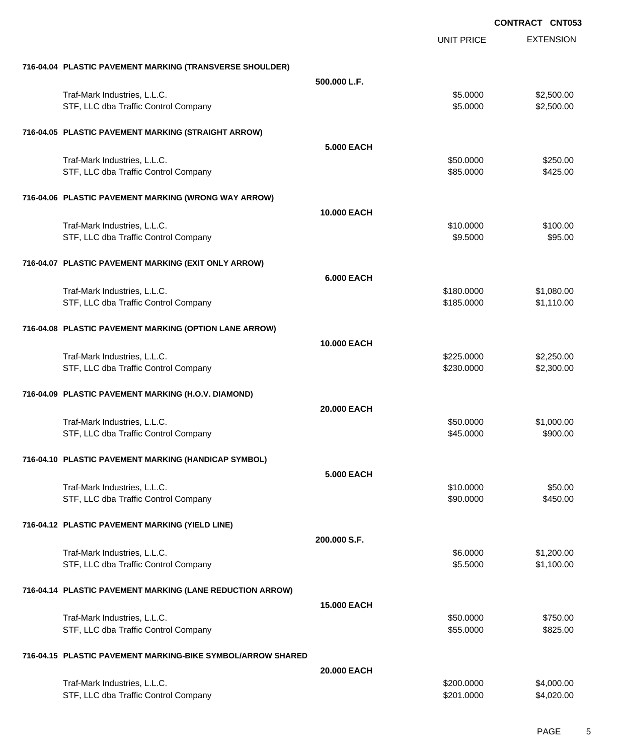|                                                             | <b>UNIT PRICE</b> | <b>EXTENSION</b> |
|-------------------------------------------------------------|-------------------|------------------|
| 716-04.04 PLASTIC PAVEMENT MARKING (TRANSVERSE SHOULDER)    |                   |                  |
| 500.000 L.F.                                                |                   |                  |
| Traf-Mark Industries, L.L.C.                                | \$5.0000          | \$2,500.00       |
| STF, LLC dba Traffic Control Company                        | \$5.0000          | \$2,500.00       |
| 716-04.05 PLASTIC PAVEMENT MARKING (STRAIGHT ARROW)         |                   |                  |
| <b>5.000 EACH</b>                                           |                   |                  |
| Traf-Mark Industries, L.L.C.                                | \$50.0000         | \$250.00         |
| STF, LLC dba Traffic Control Company                        | \$85.0000         | \$425.00         |
| 716-04.06 PLASTIC PAVEMENT MARKING (WRONG WAY ARROW)        |                   |                  |
| 10.000 EACH                                                 |                   |                  |
| Traf-Mark Industries, L.L.C.                                | \$10.0000         | \$100.00         |
| STF, LLC dba Traffic Control Company                        | \$9.5000          | \$95.00          |
| 716-04.07 PLASTIC PAVEMENT MARKING (EXIT ONLY ARROW)        |                   |                  |
| <b>6.000 EACH</b>                                           |                   |                  |
| Traf-Mark Industries, L.L.C.                                | \$180.0000        | \$1,080.00       |
| STF, LLC dba Traffic Control Company                        | \$185.0000        | \$1,110.00       |
| 716-04.08 PLASTIC PAVEMENT MARKING (OPTION LANE ARROW)      |                   |                  |
| 10.000 EACH                                                 |                   |                  |
| Traf-Mark Industries, L.L.C.                                | \$225.0000        | \$2,250.00       |
| STF, LLC dba Traffic Control Company                        | \$230.0000        | \$2,300.00       |
| 716-04.09 PLASTIC PAVEMENT MARKING (H.O.V. DIAMOND)         |                   |                  |
| 20.000 EACH                                                 |                   |                  |
| Traf-Mark Industries, L.L.C.                                | \$50.0000         | \$1,000.00       |
| STF, LLC dba Traffic Control Company                        | \$45.0000         | \$900.00         |
| 716-04.10 PLASTIC PAVEMENT MARKING (HANDICAP SYMBOL)        |                   |                  |
| <b>5.000 EACH</b>                                           |                   |                  |
| Traf-Mark Industries, L.L.C.                                | \$10.0000         | \$50.00          |
| STF, LLC dba Traffic Control Company                        | \$90.0000         | \$450.00         |
| 716-04.12 PLASTIC PAVEMENT MARKING (YIELD LINE)             |                   |                  |
| 200.000 S.F.                                                |                   |                  |
| Traf-Mark Industries, L.L.C.                                | \$6.0000          | \$1,200.00       |
| STF, LLC dba Traffic Control Company                        | \$5.5000          | \$1,100.00       |
| 716-04.14 PLASTIC PAVEMENT MARKING (LANE REDUCTION ARROW)   |                   |                  |
| <b>15.000 EACH</b>                                          |                   |                  |
| Traf-Mark Industries, L.L.C.                                | \$50.0000         | \$750.00         |
| STF, LLC dba Traffic Control Company                        | \$55.0000         | \$825.00         |
| 716-04.15 PLASTIC PAVEMENT MARKING-BIKE SYMBOL/ARROW SHARED |                   |                  |
| 20.000 EACH                                                 |                   |                  |
| Traf-Mark Industries, L.L.C.                                | \$200.0000        | \$4,000.00       |
| STF, LLC dba Traffic Control Company                        | \$201.0000        | \$4,020.00       |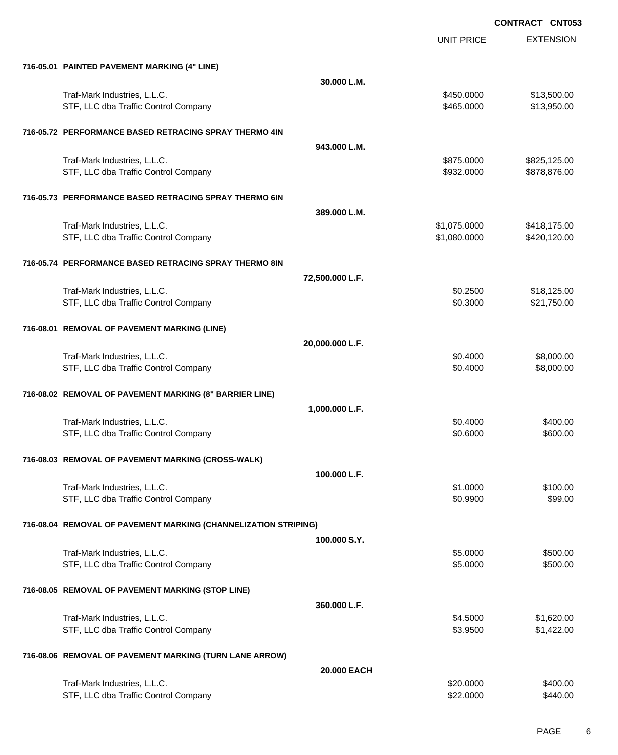|                                                                 | UNIT PRICE      | <b>EXTENSION</b> |
|-----------------------------------------------------------------|-----------------|------------------|
| 716-05.01 PAINTED PAVEMENT MARKING (4" LINE)                    |                 |                  |
|                                                                 | 30.000 L.M.     |                  |
| Traf-Mark Industries, L.L.C.                                    | \$450,0000      | \$13,500.00      |
| STF, LLC dba Traffic Control Company                            | \$465.0000      | \$13,950.00      |
| 716-05.72 PERFORMANCE BASED RETRACING SPRAY THERMO 4IN          |                 |                  |
|                                                                 | 943.000 L.M.    |                  |
| Traf-Mark Industries, L.L.C.                                    | \$875.0000      | \$825,125.00     |
| STF, LLC dba Traffic Control Company                            | \$932.0000      | \$878,876.00     |
| 716-05.73 PERFORMANCE BASED RETRACING SPRAY THERMO 6IN          |                 |                  |
|                                                                 | 389,000 L.M.    |                  |
| Traf-Mark Industries, L.L.C.                                    | \$1,075.0000    | \$418,175.00     |
| STF, LLC dba Traffic Control Company                            | \$1,080.0000    | \$420,120.00     |
| 716-05.74 PERFORMANCE BASED RETRACING SPRAY THERMO 8IN          |                 |                  |
|                                                                 | 72,500.000 L.F. |                  |
| Traf-Mark Industries, L.L.C.                                    | \$0.2500        | \$18,125.00      |
| STF, LLC dba Traffic Control Company                            | \$0.3000        | \$21,750.00      |
| 716-08.01 REMOVAL OF PAVEMENT MARKING (LINE)                    |                 |                  |
|                                                                 | 20,000.000 L.F. |                  |
| Traf-Mark Industries, L.L.C.                                    | \$0.4000        | \$8,000.00       |
| STF, LLC dba Traffic Control Company                            | \$0.4000        | \$8,000.00       |
| 716-08.02 REMOVAL OF PAVEMENT MARKING (8" BARRIER LINE)         |                 |                  |
|                                                                 | 1,000.000 L.F.  |                  |
| Traf-Mark Industries, L.L.C.                                    | \$0.4000        | \$400.00         |
| STF, LLC dba Traffic Control Company                            | \$0.6000        | \$600.00         |
| 716-08.03 REMOVAL OF PAVEMENT MARKING (CROSS-WALK)              |                 |                  |
|                                                                 | 100.000 L.F.    |                  |
| Traf-Mark Industries, L.L.C.                                    | \$1.0000        | \$100.00         |
| STF, LLC dba Traffic Control Company                            | \$0.9900        | \$99.00          |
| 716-08.04 REMOVAL OF PAVEMENT MARKING (CHANNELIZATION STRIPING) |                 |                  |
|                                                                 | 100,000 S.Y.    |                  |
| Traf-Mark Industries, L.L.C.                                    | \$5.0000        | \$500.00         |
| STF, LLC dba Traffic Control Company                            | \$5.0000        | \$500.00         |
| 716-08.05 REMOVAL OF PAVEMENT MARKING (STOP LINE)               |                 |                  |
|                                                                 | 360.000 L.F.    |                  |
| Traf-Mark Industries, L.L.C.                                    | \$4.5000        | \$1,620.00       |
| STF, LLC dba Traffic Control Company                            | \$3.9500        | \$1,422.00       |
| 716-08.06 REMOVAL OF PAVEMENT MARKING (TURN LANE ARROW)         |                 |                  |
|                                                                 | 20.000 EACH     |                  |
| Traf-Mark Industries, L.L.C.                                    | \$20.0000       | \$400.00         |
| STF, LLC dba Traffic Control Company                            | \$22.0000       | \$440.00         |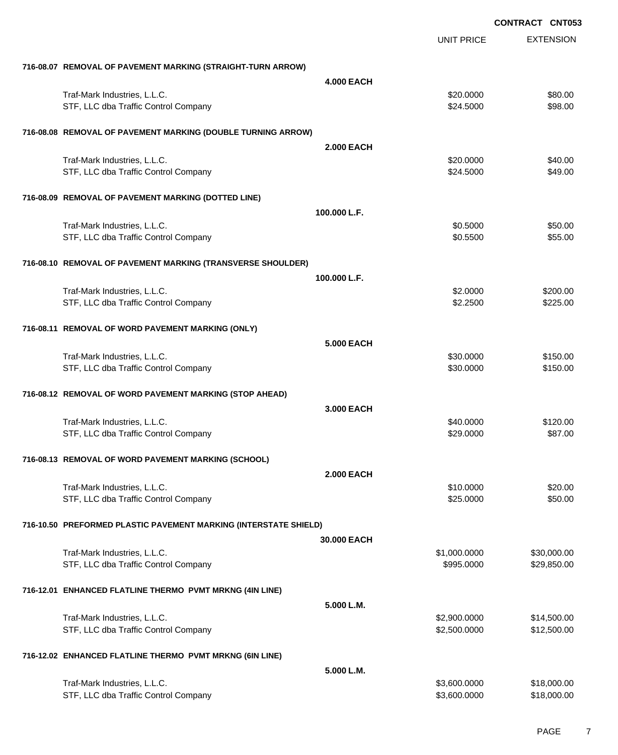|                                                                  |                    |                   | <b>CONTRACT CNT053</b> |
|------------------------------------------------------------------|--------------------|-------------------|------------------------|
|                                                                  |                    | <b>UNIT PRICE</b> | <b>EXTENSION</b>       |
| 716-08.07 REMOVAL OF PAVEMENT MARKING (STRAIGHT-TURN ARROW)      |                    |                   |                        |
|                                                                  | <b>4.000 EACH</b>  |                   |                        |
| Traf-Mark Industries, L.L.C.                                     |                    | \$20.0000         | \$80.00                |
| STF, LLC dba Traffic Control Company                             |                    | \$24.5000         | \$98.00                |
| 716-08.08 REMOVAL OF PAVEMENT MARKING (DOUBLE TURNING ARROW)     |                    |                   |                        |
|                                                                  | <b>2.000 EACH</b>  |                   |                        |
| Traf-Mark Industries, L.L.C.                                     |                    | \$20.0000         | \$40.00                |
| STF, LLC dba Traffic Control Company                             |                    | \$24.5000         | \$49.00                |
| 716-08.09 REMOVAL OF PAVEMENT MARKING (DOTTED LINE)              |                    |                   |                        |
|                                                                  | 100.000 L.F.       |                   |                        |
| Traf-Mark Industries, L.L.C.                                     |                    | \$0.5000          | \$50.00                |
| STF, LLC dba Traffic Control Company                             |                    | \$0.5500          | \$55.00                |
| 716-08.10 REMOVAL OF PAVEMENT MARKING (TRANSVERSE SHOULDER)      |                    |                   |                        |
|                                                                  | 100.000 L.F.       |                   |                        |
| Traf-Mark Industries, L.L.C.                                     |                    | \$2.0000          | \$200.00               |
| STF, LLC dba Traffic Control Company                             |                    | \$2.2500          | \$225.00               |
| 716-08.11 REMOVAL OF WORD PAVEMENT MARKING (ONLY)                |                    |                   |                        |
|                                                                  | 5,000 EACH         |                   |                        |
| Traf-Mark Industries, L.L.C.                                     |                    | \$30.0000         | \$150.00               |
| STF, LLC dba Traffic Control Company                             |                    | \$30.0000         | \$150.00               |
| 716-08.12 REMOVAL OF WORD PAVEMENT MARKING (STOP AHEAD)          |                    |                   |                        |
|                                                                  | 3.000 EACH         |                   |                        |
| Traf-Mark Industries, L.L.C.                                     |                    | \$40.0000         | \$120.00               |
| STF, LLC dba Traffic Control Company                             |                    | \$29.0000         | \$87.00                |
| 716-08.13 REMOVAL OF WORD PAVEMENT MARKING (SCHOOL)              |                    |                   |                        |
|                                                                  | <b>2.000 EACH</b>  |                   |                        |
| Traf-Mark Industries, L.L.C.                                     |                    | \$10.0000         | \$20.00                |
| STF, LLC dba Traffic Control Company                             |                    | \$25.0000         | \$50.00                |
| 716-10.50 PREFORMED PLASTIC PAVEMENT MARKING (INTERSTATE SHIELD) |                    |                   |                        |
|                                                                  | <b>30,000 EACH</b> |                   |                        |
| Traf-Mark Industries, L.L.C.                                     |                    | \$1,000.0000      | \$30,000.00            |
| STF, LLC dba Traffic Control Company                             |                    | \$995.0000        | \$29,850.00            |
| 716-12.01 ENHANCED FLATLINE THERMO PVMT MRKNG (4IN LINE)         |                    |                   |                        |
|                                                                  | 5.000 L.M.         |                   |                        |
| Traf-Mark Industries, L.L.C.                                     |                    | \$2,900.0000      | \$14,500.00            |
| STF, LLC dba Traffic Control Company                             |                    | \$2,500.0000      | \$12,500.00            |
| 716-12.02 ENHANCED FLATLINE THERMO PVMT MRKNG (6IN LINE)         |                    |                   |                        |
|                                                                  | 5.000 L.M.         |                   |                        |
| Traf-Mark Industries, L.L.C.                                     |                    | \$3,600.0000      | \$18,000.00            |
| STF, LLC dba Traffic Control Company                             |                    | \$3,600.0000      | \$18,000.00            |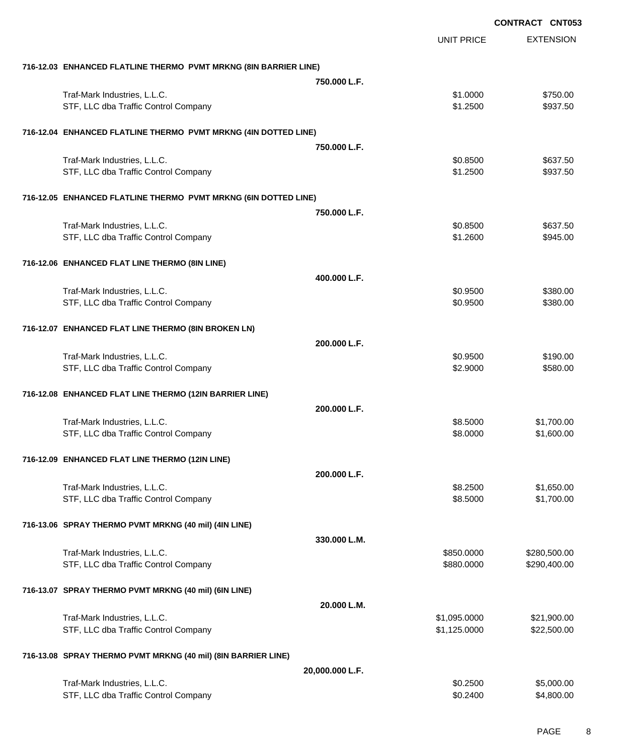|                                                                  |                 |                   | <b>CONTRACT CNT053</b> |                  |
|------------------------------------------------------------------|-----------------|-------------------|------------------------|------------------|
|                                                                  |                 | <b>UNIT PRICE</b> |                        | <b>EXTENSION</b> |
| 716-12.03 ENHANCED FLATLINE THERMO PVMT MRKNG (8IN BARRIER LINE) |                 |                   |                        |                  |
|                                                                  | 750,000 L.F.    |                   |                        |                  |
| Traf-Mark Industries, L.L.C.                                     |                 | \$1.0000          |                        | \$750.00         |
| STF, LLC dba Traffic Control Company                             |                 | \$1.2500          |                        | \$937.50         |
| 716-12.04 ENHANCED FLATLINE THERMO PVMT MRKNG (4IN DOTTED LINE)  |                 |                   |                        |                  |
|                                                                  | 750.000 L.F.    |                   |                        |                  |
| Traf-Mark Industries, L.L.C.                                     |                 | \$0.8500          |                        | \$637.50         |
| STF, LLC dba Traffic Control Company                             |                 | \$1.2500          |                        | \$937.50         |
| 716-12.05 ENHANCED FLATLINE THERMO PVMT MRKNG (6IN DOTTED LINE)  |                 |                   |                        |                  |
|                                                                  | 750.000 L.F.    |                   |                        |                  |
| Traf-Mark Industries, L.L.C.                                     |                 | \$0.8500          |                        | \$637.50         |
| STF, LLC dba Traffic Control Company                             |                 | \$1.2600          |                        | \$945.00         |
| 716-12.06 ENHANCED FLAT LINE THERMO (8IN LINE)                   |                 |                   |                        |                  |
|                                                                  | 400.000 L.F.    |                   |                        |                  |
| Traf-Mark Industries, L.L.C.                                     |                 | \$0.9500          |                        | \$380.00         |
| STF, LLC dba Traffic Control Company                             |                 | \$0.9500          |                        | \$380.00         |
| 716-12.07 ENHANCED FLAT LINE THERMO (8IN BROKEN LN)              |                 |                   |                        |                  |
|                                                                  | 200.000 L.F.    |                   |                        |                  |
| Traf-Mark Industries, L.L.C.                                     |                 | \$0.9500          |                        | \$190.00         |
| STF, LLC dba Traffic Control Company                             |                 | \$2.9000          |                        | \$580.00         |
| 716-12.08 ENHANCED FLAT LINE THERMO (12IN BARRIER LINE)          |                 |                   |                        |                  |
|                                                                  | 200.000 L.F.    |                   |                        |                  |
| Traf-Mark Industries, L.L.C.                                     |                 | \$8.5000          |                        | \$1,700.00       |
| STF, LLC dba Traffic Control Company                             |                 | \$8.0000          |                        | \$1,600.00       |
| 716-12.09 ENHANCED FLAT LINE THERMO (12IN LINE)                  |                 |                   |                        |                  |
|                                                                  | 200.000 L.F.    |                   |                        |                  |
| Traf-Mark Industries, L.L.C.                                     |                 | \$8.2500          |                        | \$1,650.00       |
| STF, LLC dba Traffic Control Company                             |                 | \$8.5000          |                        | \$1,700.00       |
| 716-13.06 SPRAY THERMO PVMT MRKNG (40 mil) (4IN LINE)            |                 |                   |                        |                  |
|                                                                  | 330.000 L.M.    |                   |                        |                  |
| Traf-Mark Industries, L.L.C.                                     |                 | \$850.0000        |                        | \$280,500.00     |
| STF, LLC dba Traffic Control Company                             |                 | \$880.0000        |                        | \$290,400.00     |
| 716-13.07 SPRAY THERMO PVMT MRKNG (40 mil) (6IN LINE)            |                 |                   |                        |                  |
|                                                                  | 20.000 L.M.     |                   |                        |                  |
| Traf-Mark Industries, L.L.C.                                     |                 | \$1,095.0000      |                        | \$21,900.00      |
| STF, LLC dba Traffic Control Company                             |                 | \$1,125.0000      |                        | \$22,500.00      |
| 716-13.08 SPRAY THERMO PVMT MRKNG (40 mil) (8IN BARRIER LINE)    |                 |                   |                        |                  |
|                                                                  | 20,000.000 L.F. |                   |                        |                  |
| Traf-Mark Industries, L.L.C.                                     |                 | \$0.2500          |                        | \$5,000.00       |
| STF, LLC dba Traffic Control Company                             |                 | \$0.2400          |                        | \$4,800.00       |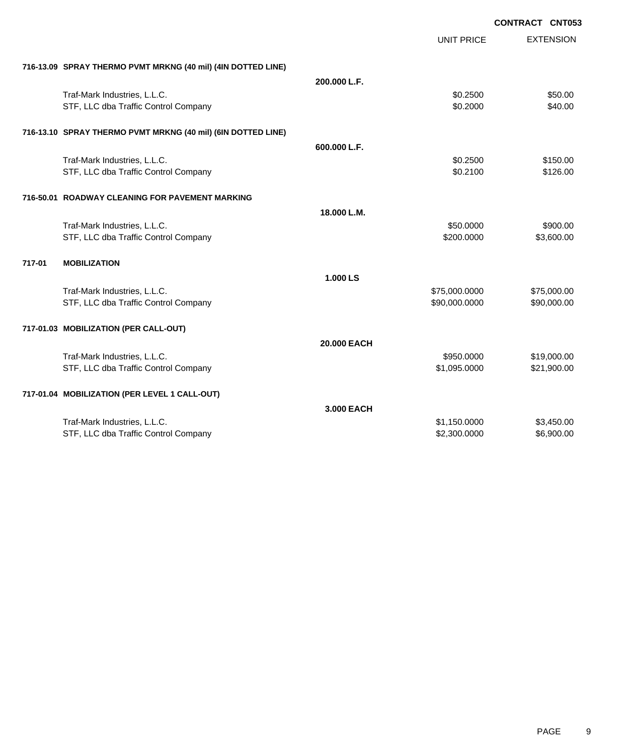|                                                              |              |                   | <b>CONTRACT CNT053</b> |
|--------------------------------------------------------------|--------------|-------------------|------------------------|
|                                                              |              | <b>UNIT PRICE</b> | <b>EXTENSION</b>       |
| 716-13.09 SPRAY THERMO PVMT MRKNG (40 mil) (4IN DOTTED LINE) |              |                   |                        |
|                                                              | 200.000 L.F. |                   |                        |
| Traf-Mark Industries, L.L.C.                                 |              | \$0.2500          | \$50.00                |
| STF, LLC dba Traffic Control Company                         |              | \$0.2000          | \$40.00                |
| 716-13.10 SPRAY THERMO PVMT MRKNG (40 mil) (6IN DOTTED LINE) |              |                   |                        |
|                                                              | 600.000 L.F. |                   |                        |
| Traf-Mark Industries, L.L.C.                                 |              | \$0.2500          | \$150.00               |
| STF, LLC dba Traffic Control Company                         |              | \$0.2100          | \$126.00               |
| 716-50.01 ROADWAY CLEANING FOR PAVEMENT MARKING              |              |                   |                        |
|                                                              | 18.000 L.M.  |                   |                        |
| Traf-Mark Industries, L.L.C.                                 |              | \$50,0000         | \$900.00               |
| STF, LLC dba Traffic Control Company                         |              | \$200.0000        | \$3,600.00             |
| 717-01<br><b>MOBILIZATION</b>                                |              |                   |                        |
|                                                              | 1.000 LS     |                   |                        |
| Traf-Mark Industries, L.L.C.                                 |              | \$75,000.0000     | \$75,000.00            |
| STF, LLC dba Traffic Control Company                         |              | \$90,000.0000     | \$90,000.00            |
| 717-01.03 MOBILIZATION (PER CALL-OUT)                        |              |                   |                        |
|                                                              | 20.000 EACH  |                   |                        |
| Traf-Mark Industries, L.L.C.                                 |              | \$950.0000        | \$19,000.00            |
| STF, LLC dba Traffic Control Company                         |              | \$1,095.0000      | \$21,900.00            |
| 717-01.04 MOBILIZATION (PER LEVEL 1 CALL-OUT)                |              |                   |                        |
|                                                              | 3.000 EACH   |                   |                        |
| Traf-Mark Industries, L.L.C.                                 |              | \$1,150.0000      | \$3,450.00             |
| STF, LLC dba Traffic Control Company                         |              | \$2,300.0000      | \$6,900.00             |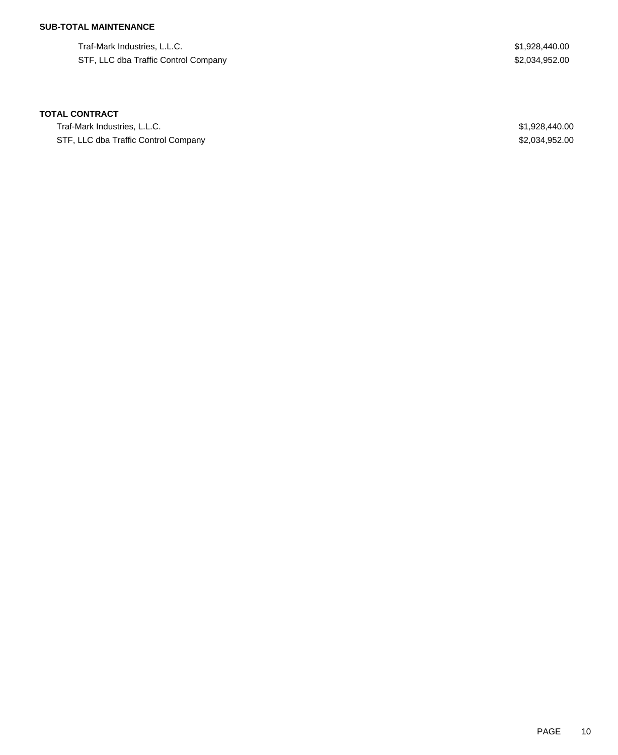### **SUB-TOTAL MAINTENANCE**

Traf-Mark Industries, L.L.C. \$1,928,440.00 STF, LLC dba Traffic Control Company \$2,034,952.00

## **TOTAL CONTRACT**

Traf-Mark Industries, L.L.C. \$1,928,440.00 STF, LLC dba Traffic Control Company **\$2,034,952.00** \$2,034,952.00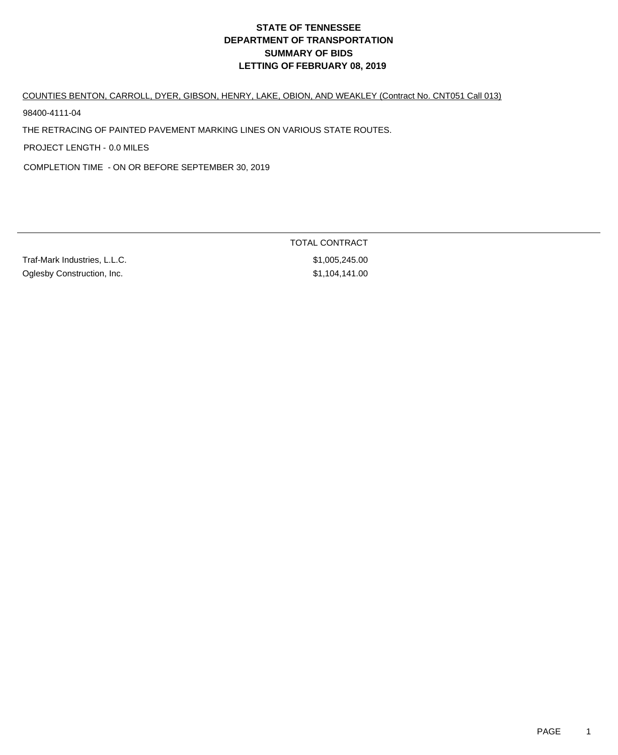#### COUNTIES BENTON, CARROLL, DYER, GIBSON, HENRY, LAKE, OBION, AND WEAKLEY (Contract No. CNT051 Call 013)

98400-4111-04

THE RETRACING OF PAINTED PAVEMENT MARKING LINES ON VARIOUS STATE ROUTES.

PROJECT LENGTH - 0.0 MILES

COMPLETION TIME - ON OR BEFORE SEPTEMBER 30, 2019

Traf-Mark Industries, L.L.C. \$1,005,245.00 Oglesby Construction, Inc. 6. The State of the State of State State State State State State State State State State State State State State State State State State State State State State State State State State State Stat

TOTAL CONTRACT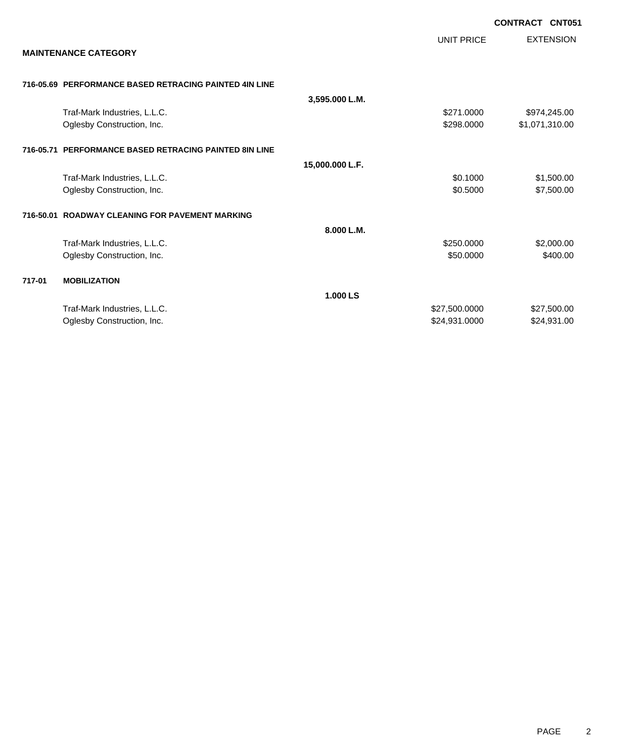|        |                                                        |                 |                   | <b>CONTRACT CNT051</b> |                  |
|--------|--------------------------------------------------------|-----------------|-------------------|------------------------|------------------|
|        | <b>MAINTENANCE CATEGORY</b>                            |                 | <b>UNIT PRICE</b> |                        | <b>EXTENSION</b> |
|        |                                                        |                 |                   |                        |                  |
|        | 716-05.69 PERFORMANCE BASED RETRACING PAINTED 4IN LINE | 3,595.000 L.M.  |                   |                        |                  |
|        | Traf-Mark Industries, L.L.C.                           |                 | \$271.0000        |                        | \$974,245.00     |
|        | Oglesby Construction, Inc.                             |                 | \$298.0000        |                        | \$1,071,310.00   |
|        | 716-05.71 PERFORMANCE BASED RETRACING PAINTED 8IN LINE |                 |                   |                        |                  |
|        |                                                        | 15,000.000 L.F. |                   |                        |                  |
|        | Traf-Mark Industries, L.L.C.                           |                 | \$0.1000          |                        | \$1,500.00       |
|        | Oglesby Construction, Inc.                             |                 | \$0.5000          |                        | \$7,500.00       |
|        | 716-50.01 ROADWAY CLEANING FOR PAVEMENT MARKING        |                 |                   |                        |                  |
|        |                                                        | 8.000 L.M.      |                   |                        |                  |
|        | Traf-Mark Industries, L.L.C.                           |                 | \$250,0000        |                        | \$2,000.00       |
|        | Oglesby Construction, Inc.                             |                 | \$50.0000         |                        | \$400.00         |
| 717-01 | <b>MOBILIZATION</b>                                    |                 |                   |                        |                  |
|        |                                                        | 1.000 LS        |                   |                        |                  |
|        | Traf-Mark Industries, L.L.C.                           |                 | \$27,500.0000     |                        | \$27,500.00      |
|        | Oglesby Construction, Inc.                             |                 | \$24,931.0000     |                        | \$24,931.00      |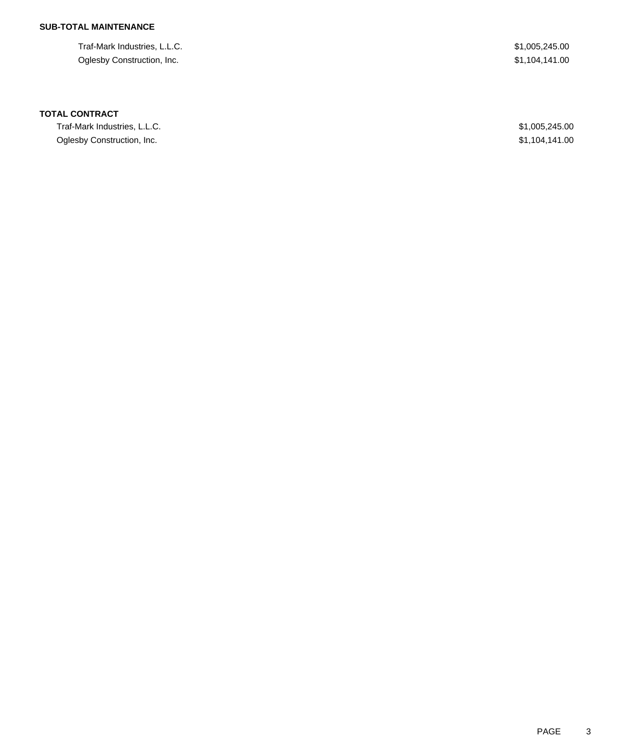### **SUB-TOTAL MAINTENANCE**

Traf-Mark Industries, L.L.C. \$1,005,245.00 Oglesby Construction, Inc. \$1,104,141.00

#### **TOTAL CONTRACT**

Traf-Mark Industries, L.L.C. \$1,005,245.00 Oglesby Construction, Inc. \$1,104,141.00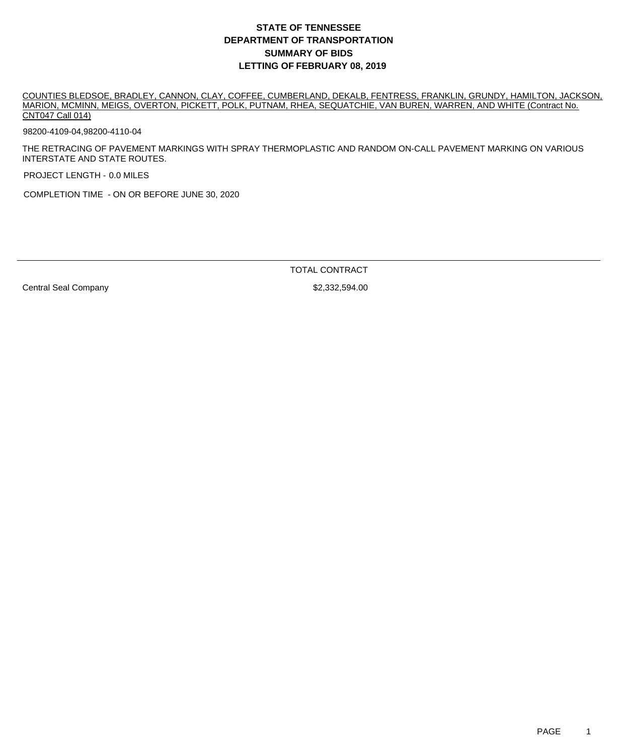COUNTIES BLEDSOE, BRADLEY, CANNON, CLAY, COFFEE, CUMBERLAND, DEKALB, FENTRESS, FRANKLIN, GRUNDY, HAMILTON, JACKSON, MARION, MCMINN, MEIGS, OVERTON, PICKETT, POLK, PUTNAM, RHEA, SEQUATCHIE, VAN BUREN, WARREN, AND WHITE (Contract No. CNT047 Call 014)

98200-4109-04,98200-4110-04

THE RETRACING OF PAVEMENT MARKINGS WITH SPRAY THERMOPLASTIC AND RANDOM ON-CALL PAVEMENT MARKING ON VARIOUS INTERSTATE AND STATE ROUTES.

PROJECT LENGTH - 0.0 MILES

COMPLETION TIME - ON OR BEFORE JUNE 30, 2020

TOTAL CONTRACT

Central Seal Company **62,332,594.00 \$2,332,594.00**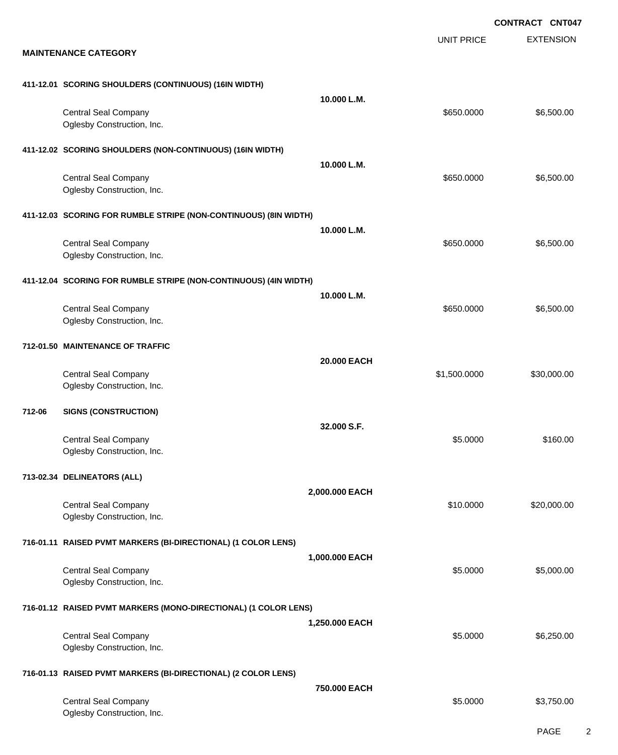EXTENSION **CONTRACT CNT047** UNIT PRICE **MAINTENANCE CATEGORY 411-12.01 SCORING SHOULDERS (CONTINUOUS) (16IN WIDTH) 10.000 L.M.** Central Seal Company \$650.000 \$6,500.00 Oglesby Construction, Inc. **411-12.02 SCORING SHOULDERS (NON-CONTINUOUS) (16IN WIDTH) 10.000 L.M.** Central Seal Company \$650.000 \$6,500.00 Oglesby Construction, Inc. **411-12.03 SCORING FOR RUMBLE STRIPE (NON-CONTINUOUS) (8IN WIDTH) 10.000 L.M.** Central Seal Company \$650.000 \$6,500.00 Oglesby Construction, Inc. **411-12.04 SCORING FOR RUMBLE STRIPE (NON-CONTINUOUS) (4IN WIDTH) 10.000 L.M.** Central Seal Company \$650.000 \$6,500.00 Oglesby Construction, Inc. **712-01.50 MAINTENANCE OF TRAFFIC 20.000 EACH** Central Seal Company \$1,500.000 \$30,000.00 Oglesby Construction, Inc. **712-06 SIGNS (CONSTRUCTION) 32.000 S.F.** Central Seal Company \$160.00 \$160.00 Oglesby Construction, Inc. **713-02.34 DELINEATORS (ALL) 2,000.000 EACH** Central Seal Company \$10.0000 \$20,000.00 Oglesby Construction, Inc. **716-01.11 RAISED PVMT MARKERS (BI-DIRECTIONAL) (1 COLOR LENS) 1,000.000 EACH** Central Seal Company \$5.000.00 \$5,000.00 \$5,000.00 \$5,000.00 \$5,000.00 \$5,000.00 \$5,000.00 \$5,000.00 \$5,000.00 Oglesby Construction, Inc. **716-01.12 RAISED PVMT MARKERS (MONO-DIRECTIONAL) (1 COLOR LENS) 1,250.000 EACH** Central Seal Company \$5.0000 \$6,250.00 Oglesby Construction, Inc. **716-01.13 RAISED PVMT MARKERS (BI-DIRECTIONAL) (2 COLOR LENS) 750.000 EACH** Central Seal Company \$3,750.00 \$3,750.00 Oglesby Construction, Inc.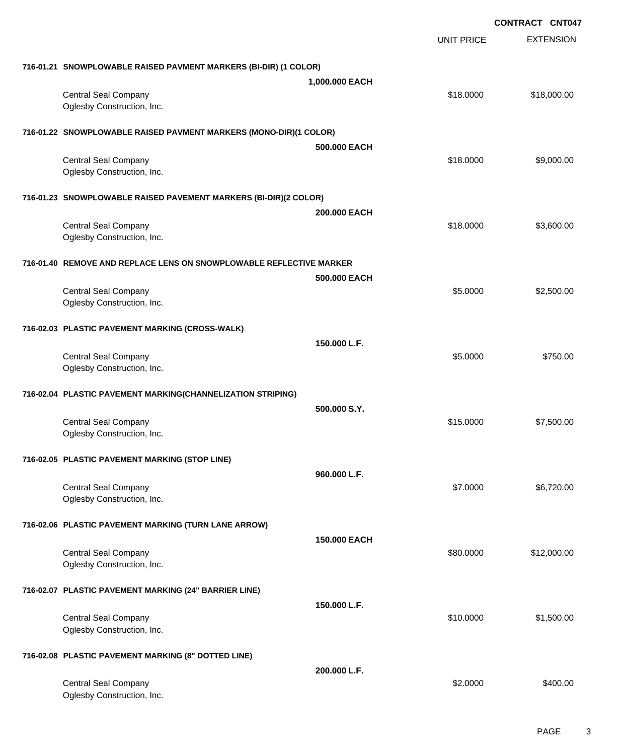|                                                                     | <b>CONTRACT CNT047</b> |                   |                  |
|---------------------------------------------------------------------|------------------------|-------------------|------------------|
|                                                                     |                        | <b>UNIT PRICE</b> | <b>EXTENSION</b> |
| 716-01.21 SNOWPLOWABLE RAISED PAVMENT MARKERS (BI-DIR) (1 COLOR)    |                        |                   |                  |
|                                                                     | 1,000.000 EACH         |                   |                  |
| <b>Central Seal Company</b><br>Oglesby Construction, Inc.           |                        | \$18.0000         | \$18,000.00      |
| 716-01.22 SNOWPLOWABLE RAISED PAVMENT MARKERS (MONO-DIR)(1 COLOR)   |                        |                   |                  |
|                                                                     | 500,000 EACH           |                   |                  |
| <b>Central Seal Company</b>                                         |                        | \$18.0000         | \$9,000.00       |
| Oglesby Construction, Inc.                                          |                        |                   |                  |
| 716-01.23 SNOWPLOWABLE RAISED PAVEMENT MARKERS (BI-DIR)(2 COLOR)    |                        |                   |                  |
|                                                                     | 200,000 EACH           |                   |                  |
| <b>Central Seal Company</b><br>Oglesby Construction, Inc.           |                        | \$18.0000         | \$3,600.00       |
| 716-01.40 REMOVE AND REPLACE LENS ON SNOWPLOWABLE REFLECTIVE MARKER |                        |                   |                  |
|                                                                     | 500.000 EACH           |                   |                  |
| <b>Central Seal Company</b><br>Oglesby Construction, Inc.           |                        | \$5.0000          | \$2,500.00       |
| 716-02.03 PLASTIC PAVEMENT MARKING (CROSS-WALK)                     |                        |                   |                  |
|                                                                     | 150,000 L.F.           |                   |                  |
| <b>Central Seal Company</b><br>Oglesby Construction, Inc.           |                        | \$5.0000          | \$750.00         |
| 716-02.04 PLASTIC PAVEMENT MARKING(CHANNELIZATION STRIPING)         |                        |                   |                  |
|                                                                     | 500.000 S.Y.           |                   |                  |
| <b>Central Seal Company</b><br>Oglesby Construction, Inc.           |                        | \$15.0000         | \$7,500.00       |
| 716-02.05 PLASTIC PAVEMENT MARKING (STOP LINE)                      |                        |                   |                  |
|                                                                     | 960.000 L.F.           |                   |                  |
| <b>Central Seal Company</b>                                         |                        | \$7.0000          | \$6,720.00       |
| Oglesby Construction, Inc.                                          |                        |                   |                  |
| 716-02.06 PLASTIC PAVEMENT MARKING (TURN LANE ARROW)                |                        |                   |                  |
|                                                                     | 150,000 EACH           |                   |                  |
| <b>Central Seal Company</b><br>Oglesby Construction, Inc.           |                        | \$80.0000         | \$12,000.00      |
| 716-02.07 PLASTIC PAVEMENT MARKING (24" BARRIER LINE)               |                        |                   |                  |
|                                                                     | 150,000 L.F.           |                   |                  |
| <b>Central Seal Company</b>                                         |                        | \$10.0000         | \$1,500.00       |
| Oglesby Construction, Inc.                                          |                        |                   |                  |
| 716-02.08 PLASTIC PAVEMENT MARKING (8" DOTTED LINE)                 |                        |                   |                  |
|                                                                     | 200.000 L.F.           |                   |                  |
| <b>Central Seal Company</b><br>Oglesby Construction, Inc.           |                        | \$2.0000          | \$400.00         |
|                                                                     |                        |                   |                  |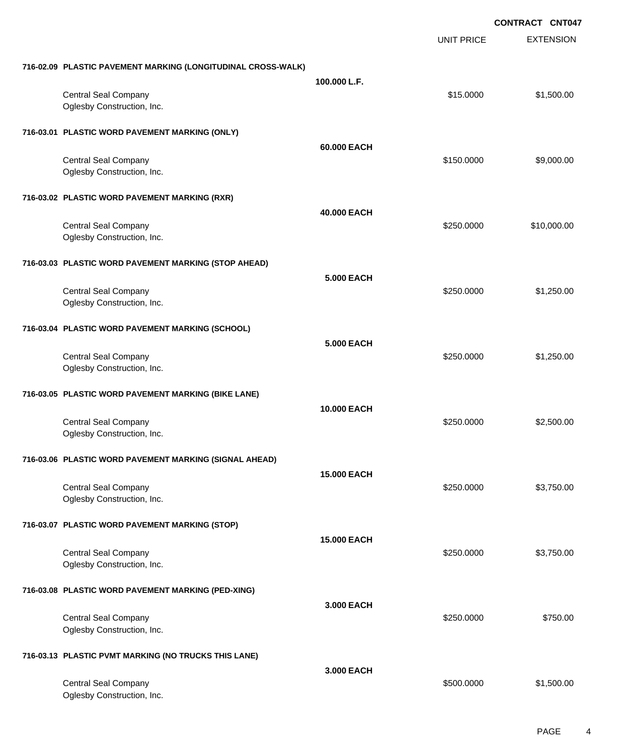|                                                              |                    |                   | <b>CONTRACT CNT047</b> |  |
|--------------------------------------------------------------|--------------------|-------------------|------------------------|--|
|                                                              |                    | <b>UNIT PRICE</b> | <b>EXTENSION</b>       |  |
| 716-02.09 PLASTIC PAVEMENT MARKING (LONGITUDINAL CROSS-WALK) |                    |                   |                        |  |
| <b>Central Seal Company</b><br>Oglesby Construction, Inc.    | 100.000 L.F.       | \$15.0000         | \$1,500.00             |  |
| 716-03.01 PLASTIC WORD PAVEMENT MARKING (ONLY)               |                    |                   |                        |  |
| <b>Central Seal Company</b><br>Oglesby Construction, Inc.    | 60,000 EACH        | \$150.0000        | \$9,000.00             |  |
| 716-03.02 PLASTIC WORD PAVEMENT MARKING (RXR)                |                    |                   |                        |  |
| <b>Central Seal Company</b><br>Oglesby Construction, Inc.    | 40.000 EACH        | \$250.0000        | \$10,000.00            |  |
| 716-03.03 PLASTIC WORD PAVEMENT MARKING (STOP AHEAD)         |                    |                   |                        |  |
| <b>Central Seal Company</b><br>Oglesby Construction, Inc.    | <b>5.000 EACH</b>  | \$250.0000        | \$1,250.00             |  |
| 716-03.04 PLASTIC WORD PAVEMENT MARKING (SCHOOL)             |                    |                   |                        |  |
| <b>Central Seal Company</b><br>Oglesby Construction, Inc.    | <b>5.000 EACH</b>  | \$250.0000        | \$1,250.00             |  |
| 716-03.05 PLASTIC WORD PAVEMENT MARKING (BIKE LANE)          |                    |                   |                        |  |
| <b>Central Seal Company</b><br>Oglesby Construction, Inc.    | <b>10.000 EACH</b> | \$250,0000        | \$2,500.00             |  |
| 716-03.06 PLASTIC WORD PAVEMENT MARKING (SIGNAL AHEAD)       |                    |                   |                        |  |
| <b>Central Seal Company</b><br>Oglesby Construction, Inc.    | <b>15.000 EACH</b> | \$250,0000        | \$3,750.00             |  |
| 716-03.07 PLASTIC WORD PAVEMENT MARKING (STOP)               |                    |                   |                        |  |
| <b>Central Seal Company</b><br>Oglesby Construction, Inc.    | <b>15.000 EACH</b> | \$250.0000        | \$3,750.00             |  |
| 716-03.08 PLASTIC WORD PAVEMENT MARKING (PED-XING)           |                    |                   |                        |  |
| <b>Central Seal Company</b><br>Oglesby Construction, Inc.    | 3,000 EACH         | \$250.0000        | \$750.00               |  |
| 716-03.13 PLASTIC PVMT MARKING (NO TRUCKS THIS LANE)         |                    |                   |                        |  |
| <b>Central Seal Company</b><br>Oglesby Construction, Inc.    | 3.000 EACH         | \$500.0000        | \$1,500.00             |  |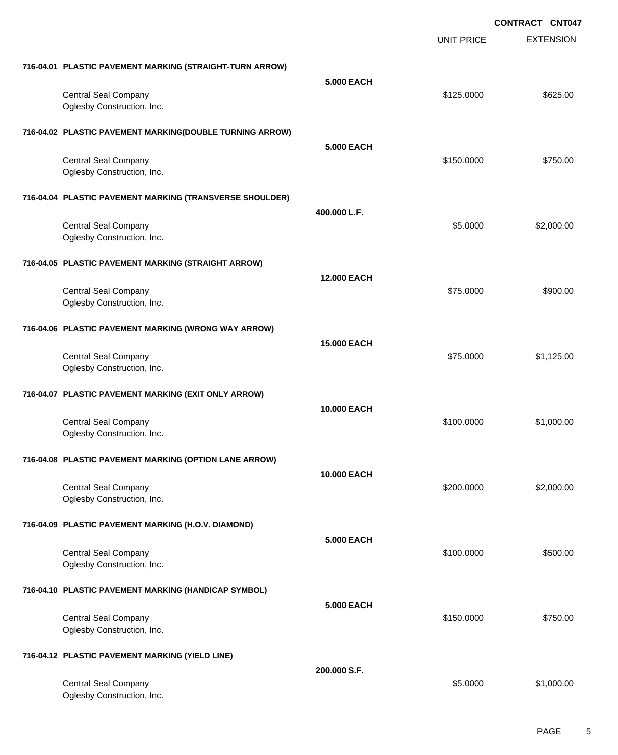EXTENSION **CONTRACT CNT047** UNIT PRICE **716-04.01 PLASTIC PAVEMENT MARKING (STRAIGHT-TURN ARROW) 5.000 EACH** Central Seal Company \$625.00 Oglesby Construction, Inc. **716-04.02 PLASTIC PAVEMENT MARKING(DOUBLE TURNING ARROW) 5.000 EACH** Central Seal Company \$150.000 \$750.00 Oglesby Construction, Inc. **716-04.04 PLASTIC PAVEMENT MARKING (TRANSVERSE SHOULDER) 400.000 L.F.** Central Seal Company \$2,000.00 \$2,000.00 \$2,000.00 \$2,000.00 \$2,000.00 \$2,000.00 \$2,000.00 \$2,000.00 \$2,000.00 Oglesby Construction, Inc. **716-04.05 PLASTIC PAVEMENT MARKING (STRAIGHT ARROW) 12.000 EACH** Central Seal Company \$900.00 \$900.00 \$900.00 \$900.00 \$900.00 \$900.00 \$900.00 \$900.00 \$900.00 \$900.00 \$900.00 \$900 Oglesby Construction, Inc. **716-04.06 PLASTIC PAVEMENT MARKING (WRONG WAY ARROW) 15.000 EACH** Central Seal Company \$1,125.00 Oglesby Construction, Inc. **716-04.07 PLASTIC PAVEMENT MARKING (EXIT ONLY ARROW) 10.000 EACH** Central Seal Company \$1,000.000 \$1,000.000 \$1,000.000 \$1,000.000 \$1,000.000 \$1,000.00 Oglesby Construction, Inc. **716-04.08 PLASTIC PAVEMENT MARKING (OPTION LANE ARROW) 10.000 EACH** Central Seal Company \$2,000.00 \$2,000.00 \$2,000.00 \$2,000.00 \$2,000.00 \$2,000.00 \$2,000.00 \$2,000.00 \$2,000.00 Oglesby Construction, Inc. **716-04.09 PLASTIC PAVEMENT MARKING (H.O.V. DIAMOND) 5.000 EACH** Central Seal Company \$100.0000 \$500.00 Oglesby Construction, Inc. **716-04.10 PLASTIC PAVEMENT MARKING (HANDICAP SYMBOL) 5.000 EACH** Central Seal Company \$150.000 \$750.00 Oglesby Construction, Inc. **716-04.12 PLASTIC PAVEMENT MARKING (YIELD LINE) 200.000 S.F.** Central Seal Company \$1,000.00 \$1,000.00 Oglesby Construction, Inc.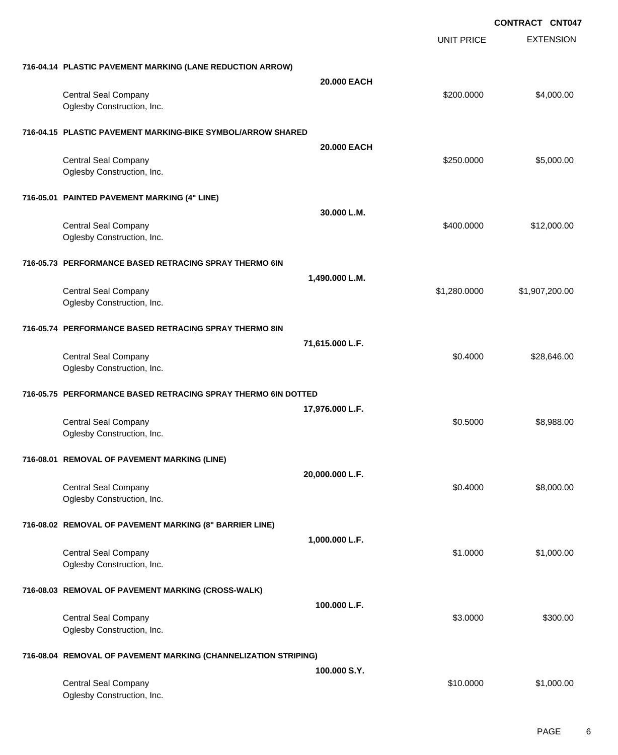EXTENSION **CONTRACT CNT047** UNIT PRICE **716-04.14 PLASTIC PAVEMENT MARKING (LANE REDUCTION ARROW) 20.000 EACH** Central Seal Company 64,000.00 \$4,000.00 \$4,000.00 \$4,000.00 \$4,000.00 \$4,000.00 \$4,000.00 \$4,000.00 \$4,000.00 Oglesby Construction, Inc. **716-04.15 PLASTIC PAVEMENT MARKING-BIKE SYMBOL/ARROW SHARED 20.000 EACH** Central Seal Company \$250.000 \$5,000.00 Oglesby Construction, Inc. **716-05.01 PAINTED PAVEMENT MARKING (4" LINE) 30.000 L.M.** Central Seal Company 612,000.00 \$12,000.00 \$12,000.00 \$12,000.00 \$12,000.00 \$12,000.00 \$12,000.00 \$12,000.00 \$ Oglesby Construction, Inc. **716-05.73 PERFORMANCE BASED RETRACING SPRAY THERMO 6IN 1,490.000 L.M.** Central Seal Company 61,907,200.00 \$1,907,200.00 \$1,907,200.00 Oglesby Construction, Inc. **716-05.74 PERFORMANCE BASED RETRACING SPRAY THERMO 8IN 71,615.000 L.F.** Central Seal Company \$28,646.00 Oglesby Construction, Inc. **716-05.75 PERFORMANCE BASED RETRACING SPRAY THERMO 6IN DOTTED 17,976.000 L.F.** Central Seal Company \$8,988.00 Oglesby Construction, Inc. **716-08.01 REMOVAL OF PAVEMENT MARKING (LINE) 20,000.000 L.F.** Central Seal Company \$8,000.00 \$8,000.00 \$8,000.00 \$8,000.00 \$8,000.00 \$8,000.00 \$8,000.00 \$8,000.00 \$8,000.00 Oglesby Construction, Inc. **716-08.02 REMOVAL OF PAVEMENT MARKING (8" BARRIER LINE) 1,000.000 L.F.** Central Seal Company \$1.000.00 \$1,000.00 \$1,000.00 \$1,000.00 \$1,000.00 \$1,000.00 \$1,000.00 \$1,000.00 \$1,000.00 Oglesby Construction, Inc. **716-08.03 REMOVAL OF PAVEMENT MARKING (CROSS-WALK) 100.000 L.F.** Central Seal Company \$3.0000 \$300.00 Oglesby Construction, Inc. **716-08.04 REMOVAL OF PAVEMENT MARKING (CHANNELIZATION STRIPING) 100.000 S.Y.** Central Seal Company \$1,000.00 \$1,000.00

Oglesby Construction, Inc.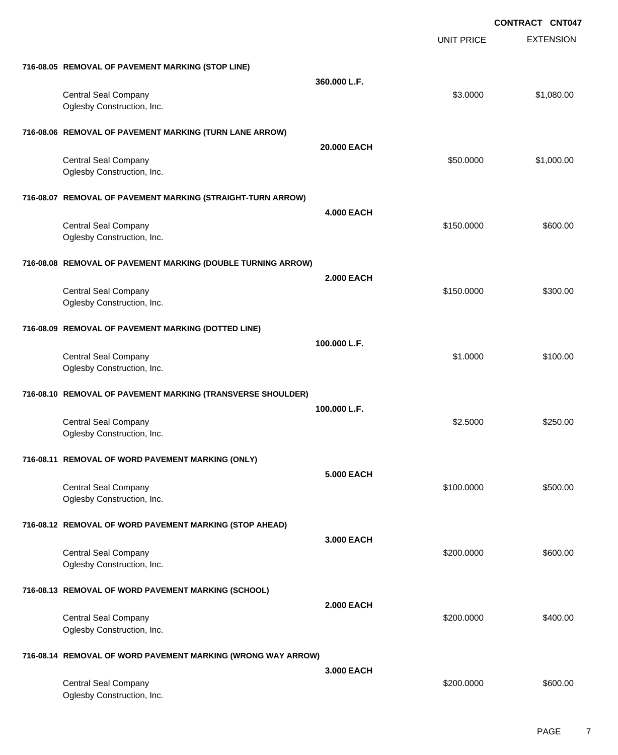EXTENSION **CONTRACT CNT047** UNIT PRICE **716-08.05 REMOVAL OF PAVEMENT MARKING (STOP LINE) 360.000 L.F.** Central Seal Company \$1,080.00 \$1,080.00 Oglesby Construction, Inc. **716-08.06 REMOVAL OF PAVEMENT MARKING (TURN LANE ARROW) 20.000 EACH** Central Seal Company \$1,000.00 \$1,000.00 Oglesby Construction, Inc. **716-08.07 REMOVAL OF PAVEMENT MARKING (STRAIGHT-TURN ARROW) 4.000 EACH** Central Seal Company \$600.00 \$600.00 \$600.00 \$600.00 \$600.00 \$600.00 \$600.00 \$600.00 \$ Oglesby Construction, Inc. **716-08.08 REMOVAL OF PAVEMENT MARKING (DOUBLE TURNING ARROW) 2.000 EACH** Central Seal Company \$300.00 \$300.00 \$300.00 \$300.00 \$300.00 \$300.00 \$300.00 \$300.00 \$300.00 \$300.00 \$300.00 \$ Oglesby Construction, Inc. **716-08.09 REMOVAL OF PAVEMENT MARKING (DOTTED LINE) 100.000 L.F.** Central Seal Company \$1.0000 \$100.00 Oglesby Construction, Inc. **716-08.10 REMOVAL OF PAVEMENT MARKING (TRANSVERSE SHOULDER) 100.000 L.F.** Central Seal Company \$2.5000 \$250.00 Oglesby Construction, Inc. **716-08.11 REMOVAL OF WORD PAVEMENT MARKING (ONLY) 5.000 EACH** Central Seal Company \$100.0000 \$500.00 Oglesby Construction, Inc. **716-08.12 REMOVAL OF WORD PAVEMENT MARKING (STOP AHEAD) 3.000 EACH** Central Seal Company \$600.00 \$600.00 \$600.00 \$600.00 \$600.00 \$600.00 \$600.00 \$600.00 \$600.00 \$600.00 \$600.00 \$ Oglesby Construction, Inc. **716-08.13 REMOVAL OF WORD PAVEMENT MARKING (SCHOOL) 2.000 EACH** Central Seal Company \$400.00 \$400.00 \$400.00 \$400.00 \$400.00 \$400.00 \$400.00 \$400.00 \$400.00 \$400.00 \$400.00 \$400 Oglesby Construction, Inc. **716-08.14 REMOVAL OF WORD PAVEMENT MARKING (WRONG WAY ARROW) 3.000 EACH** Central Seal Company \$600.00 Oglesby Construction, Inc.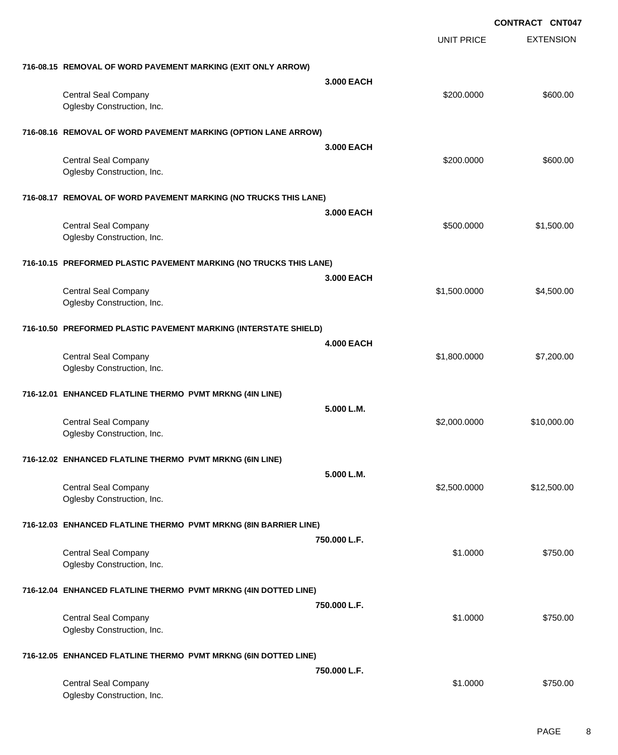|                                                                    |                   |                   | <b>CONTRACT CNT047</b> |
|--------------------------------------------------------------------|-------------------|-------------------|------------------------|
|                                                                    |                   | <b>UNIT PRICE</b> | <b>EXTENSION</b>       |
| 716-08.15 REMOVAL OF WORD PAVEMENT MARKING (EXIT ONLY ARROW)       |                   |                   |                        |
|                                                                    | 3.000 EACH        |                   |                        |
| <b>Central Seal Company</b><br>Oglesby Construction, Inc.          |                   | \$200.0000        | \$600.00               |
| 716-08.16 REMOVAL OF WORD PAVEMENT MARKING (OPTION LANE ARROW)     |                   |                   |                        |
|                                                                    | 3,000 EACH        |                   |                        |
| <b>Central Seal Company</b>                                        |                   | \$200.0000        | \$600.00               |
| Oglesby Construction, Inc.                                         |                   |                   |                        |
| 716-08.17 REMOVAL OF WORD PAVEMENT MARKING (NO TRUCKS THIS LANE)   |                   |                   |                        |
|                                                                    | 3.000 EACH        |                   |                        |
| <b>Central Seal Company</b><br>Oglesby Construction, Inc.          |                   | \$500.0000        | \$1,500.00             |
| 716-10.15 PREFORMED PLASTIC PAVEMENT MARKING (NO TRUCKS THIS LANE) |                   |                   |                        |
|                                                                    | 3.000 EACH        |                   |                        |
| <b>Central Seal Company</b>                                        |                   | \$1,500.0000      | \$4,500.00             |
| Oglesby Construction, Inc.                                         |                   |                   |                        |
| 716-10.50 PREFORMED PLASTIC PAVEMENT MARKING (INTERSTATE SHIELD)   |                   |                   |                        |
|                                                                    | <b>4.000 EACH</b> |                   |                        |
| <b>Central Seal Company</b>                                        |                   | \$1,800.0000      | \$7,200.00             |
| Oglesby Construction, Inc.                                         |                   |                   |                        |
| 716-12.01 ENHANCED FLATLINE THERMO PVMT MRKNG (4IN LINE)           |                   |                   |                        |
|                                                                    | 5.000 L.M.        |                   |                        |
| <b>Central Seal Company</b>                                        |                   | \$2,000.0000      | \$10,000.00            |
| Oglesby Construction, Inc.                                         |                   |                   |                        |
| 716-12.02 ENHANCED FLATLINE THERMO PVMT MRKNG (6IN LINE)           |                   |                   |                        |
|                                                                    | 5.000 L.M.        |                   |                        |
| <b>Central Seal Company</b>                                        |                   | \$2,500.0000      | \$12,500.00            |
| Oglesby Construction, Inc.                                         |                   |                   |                        |
| 716-12.03 ENHANCED FLATLINE THERMO PVMT MRKNG (8IN BARRIER LINE)   |                   |                   |                        |
|                                                                    | 750,000 L.F.      |                   |                        |
| <b>Central Seal Company</b><br>Oglesby Construction, Inc.          |                   | \$1.0000          | \$750.00               |
| 716-12.04 ENHANCED FLATLINE THERMO PVMT MRKNG (4IN DOTTED LINE)    |                   |                   |                        |
|                                                                    | 750.000 L.F.      |                   |                        |
| <b>Central Seal Company</b>                                        |                   | \$1.0000          | \$750.00               |
| Oglesby Construction, Inc.                                         |                   |                   |                        |
| 716-12.05 ENHANCED FLATLINE THERMO PVMT MRKNG (6IN DOTTED LINE)    |                   |                   |                        |
|                                                                    | 750.000 L.F.      |                   |                        |
| <b>Central Seal Company</b>                                        |                   | \$1.0000          | \$750.00               |
| Oglesby Construction, Inc.                                         |                   |                   |                        |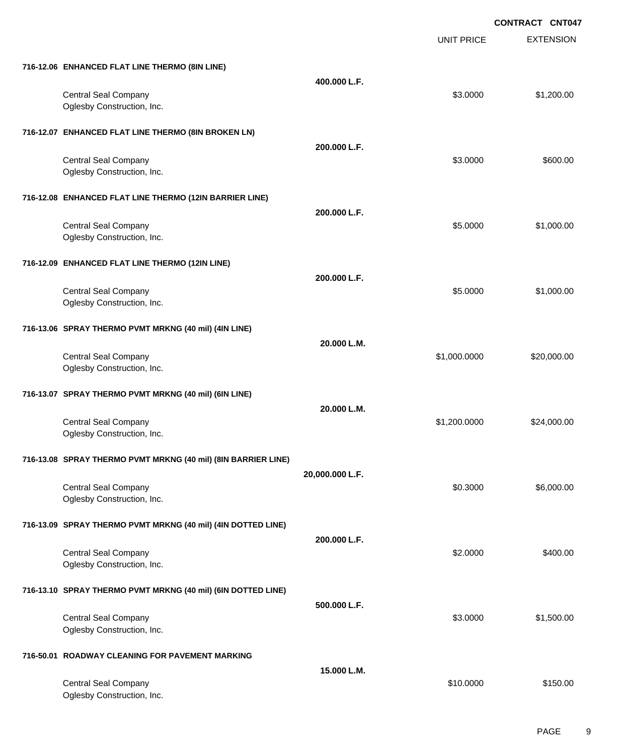**CONTRACT CNT047**

|                                                               |                 | <b>UNIT PRICE</b> | <b>EXTENSION</b> |
|---------------------------------------------------------------|-----------------|-------------------|------------------|
| 716-12.06 ENHANCED FLAT LINE THERMO (8IN LINE)                | 400.000 L.F.    |                   |                  |
| <b>Central Seal Company</b><br>Oglesby Construction, Inc.     |                 | \$3.0000          | \$1,200.00       |
| 716-12.07 ENHANCED FLAT LINE THERMO (8IN BROKEN LN)           |                 |                   |                  |
| <b>Central Seal Company</b><br>Oglesby Construction, Inc.     | 200.000 L.F.    | \$3.0000          | \$600.00         |
| 716-12.08 ENHANCED FLAT LINE THERMO (12IN BARRIER LINE)       | 200.000 L.F.    |                   |                  |
| <b>Central Seal Company</b><br>Oglesby Construction, Inc.     |                 | \$5.0000          | \$1,000.00       |
| 716-12.09 ENHANCED FLAT LINE THERMO (12IN LINE)               | 200.000 L.F.    |                   |                  |
| <b>Central Seal Company</b><br>Oglesby Construction, Inc.     |                 | \$5.0000          | \$1,000.00       |
| 716-13.06 SPRAY THERMO PVMT MRKNG (40 mil) (4IN LINE)         | 20.000 L.M.     |                   |                  |
| <b>Central Seal Company</b><br>Oglesby Construction, Inc.     |                 | \$1,000.0000      | \$20,000.00      |
| 716-13.07 SPRAY THERMO PVMT MRKNG (40 mil) (6IN LINE)         |                 |                   |                  |
| <b>Central Seal Company</b><br>Oglesby Construction, Inc.     | 20.000 L.M.     | \$1,200.0000      | \$24,000.00      |
| 716-13.08 SPRAY THERMO PVMT MRKNG (40 mil) (8IN BARRIER LINE) |                 |                   |                  |
| <b>Central Seal Company</b><br>Oglesby Construction, Inc.     | 20,000.000 L.F. | \$0.3000          | \$6,000.00       |
| 716-13.09 SPRAY THERMO PVMT MRKNG (40 mil) (4IN DOTTED LINE)  | 200.000 L.F.    |                   |                  |
| <b>Central Seal Company</b><br>Oglesby Construction, Inc.     |                 | \$2.0000          | \$400.00         |
| 716-13.10 SPRAY THERMO PVMT MRKNG (40 mil) (6IN DOTTED LINE)  | 500.000 L.F.    |                   |                  |
| <b>Central Seal Company</b><br>Oglesby Construction, Inc.     |                 | \$3.0000          | \$1,500.00       |
| 716-50.01 ROADWAY CLEANING FOR PAVEMENT MARKING               |                 |                   |                  |
| <b>Central Seal Company</b><br>Oglesby Construction, Inc.     | 15.000 L.M.     | \$10.0000         | \$150.00         |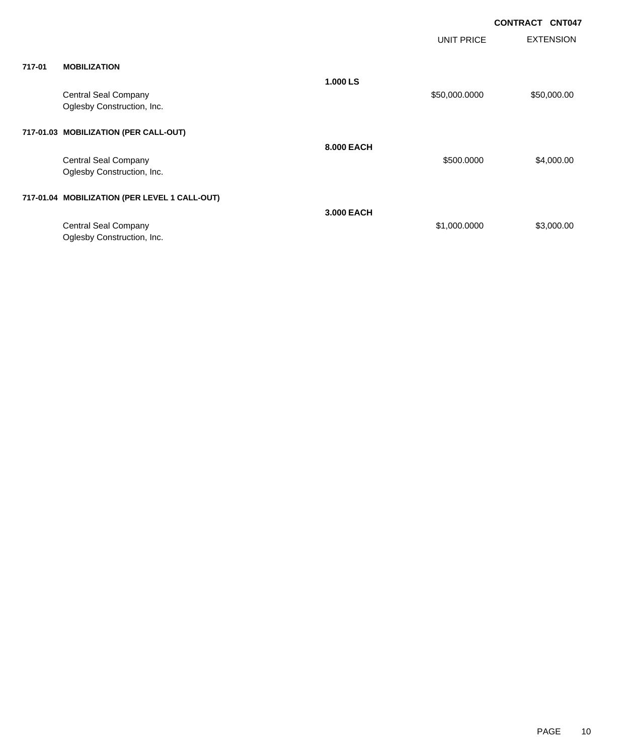| <b>CONTRACT CNT047</b> |  |
|------------------------|--|
|                        |  |

|        |                                                           |            | <b>UNIT PRICE</b> | <b>EXTENSION</b> |
|--------|-----------------------------------------------------------|------------|-------------------|------------------|
| 717-01 | <b>MOBILIZATION</b>                                       |            |                   |                  |
|        | <b>Central Seal Company</b><br>Oglesby Construction, Inc. | 1.000 LS   | \$50,000.0000     | \$50,000.00      |
|        | 717-01.03 MOBILIZATION (PER CALL-OUT)                     |            |                   |                  |
|        | <b>Central Seal Company</b><br>Oglesby Construction, Inc. | 8.000 EACH | \$500.0000        | \$4,000.00       |
|        | 717-01.04 MOBILIZATION (PER LEVEL 1 CALL-OUT)             |            |                   |                  |
|        | <b>Central Seal Company</b><br>Oglesby Construction, Inc. | 3,000 EACH | \$1,000.0000      | \$3,000.00       |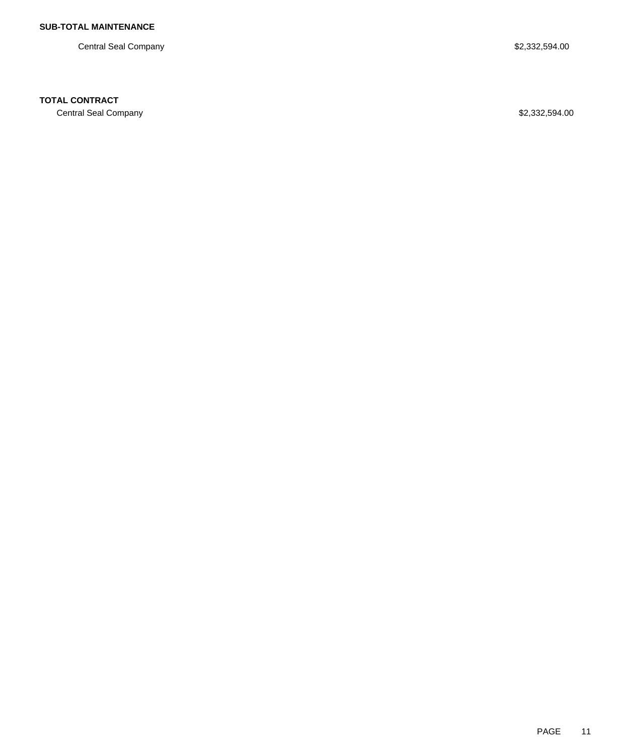Central Seal Company \$2,332,594.00

## **TOTAL CONTRACT**

Central Seal Company \$2,332,594.00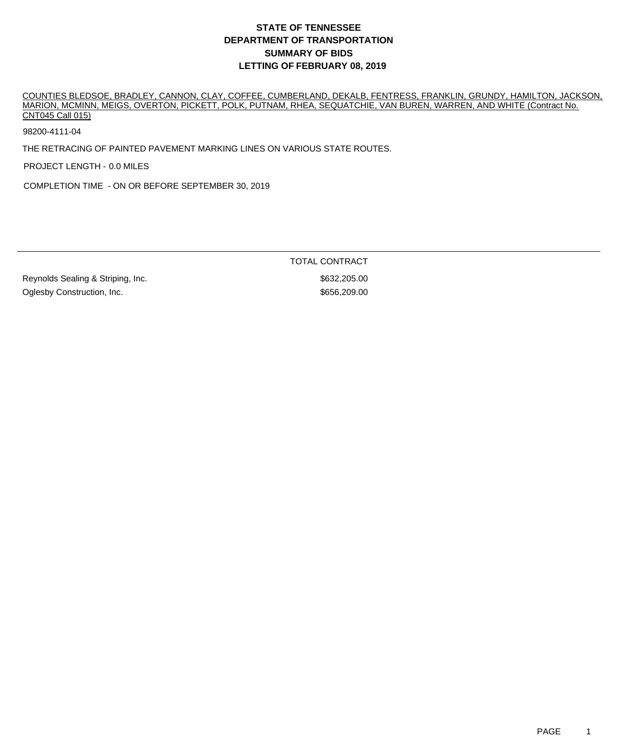COUNTIES BLEDSOE, BRADLEY, CANNON, CLAY, COFFEE, CUMBERLAND, DEKALB, FENTRESS, FRANKLIN, GRUNDY, HAMILTON, JACKSON, MARION, MCMINN, MEIGS, OVERTON, PICKETT, POLK, PUTNAM, RHEA, SEQUATCHIE, VAN BUREN, WARREN, AND WHITE (Contract No. CNT045 Call 015)

98200-4111-04

THE RETRACING OF PAINTED PAVEMENT MARKING LINES ON VARIOUS STATE ROUTES.

PROJECT LENGTH - 0.0 MILES

COMPLETION TIME - ON OR BEFORE SEPTEMBER 30, 2019

TOTAL CONTRACT

Reynolds Sealing & Striping, Inc.  $$632,205.00$ Oglesby Construction, Inc. 6. The Construction of the Construction of the Construction of the Construction of the Construction of the Construction of the Construction of the Construction of the Construction of the Construc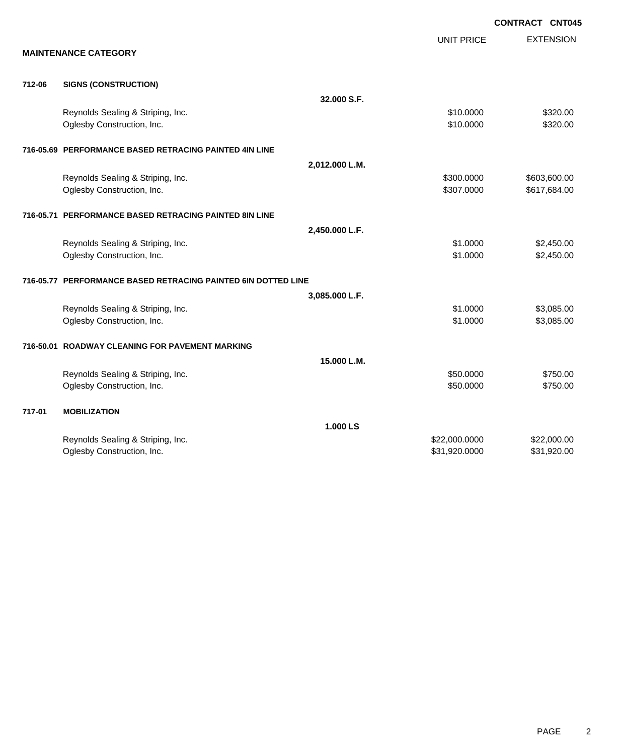|        |                                                               |                |                   | <b>CONTRACT CNT045</b> |
|--------|---------------------------------------------------------------|----------------|-------------------|------------------------|
|        |                                                               |                | <b>UNIT PRICE</b> | <b>EXTENSION</b>       |
|        | <b>MAINTENANCE CATEGORY</b>                                   |                |                   |                        |
| 712-06 | <b>SIGNS (CONSTRUCTION)</b>                                   |                |                   |                        |
|        |                                                               | 32.000 S.F.    |                   |                        |
|        | Reynolds Sealing & Striping, Inc.                             |                | \$10.0000         | \$320.00               |
|        | Oglesby Construction, Inc.                                    |                | \$10.0000         | \$320.00               |
|        | 716-05.69 PERFORMANCE BASED RETRACING PAINTED 4IN LINE        |                |                   |                        |
|        |                                                               | 2,012.000 L.M. |                   |                        |
|        | Reynolds Sealing & Striping, Inc.                             |                | \$300.0000        | \$603,600.00           |
|        | Oglesby Construction, Inc.                                    |                | \$307.0000        | \$617,684.00           |
|        | 716-05.71 PERFORMANCE BASED RETRACING PAINTED 8IN LINE        |                |                   |                        |
|        |                                                               | 2,450.000 L.F. |                   |                        |
|        | Reynolds Sealing & Striping, Inc.                             |                | \$1.0000          | \$2,450.00             |
|        | Oglesby Construction, Inc.                                    |                | \$1.0000          | \$2,450.00             |
|        | 716-05.77 PERFORMANCE BASED RETRACING PAINTED 6IN DOTTED LINE |                |                   |                        |
|        |                                                               | 3,085.000 L.F. |                   |                        |
|        | Reynolds Sealing & Striping, Inc.                             |                | \$1.0000          | \$3,085.00             |
|        | Oglesby Construction, Inc.                                    |                | \$1.0000          | \$3,085.00             |
|        | 716-50.01 ROADWAY CLEANING FOR PAVEMENT MARKING               |                |                   |                        |
|        |                                                               | 15.000 L.M.    |                   |                        |
|        | Reynolds Sealing & Striping, Inc.                             |                | \$50.0000         | \$750.00               |
|        | Oglesby Construction, Inc.                                    |                | \$50.0000         | \$750.00               |
| 717-01 | <b>MOBILIZATION</b>                                           |                |                   |                        |
|        |                                                               | 1.000 LS       |                   |                        |
|        | Reynolds Sealing & Striping, Inc.                             |                | \$22,000.0000     | \$22,000.00            |
|        | Oglesby Construction, Inc.                                    |                | \$31,920.0000     | \$31,920.00            |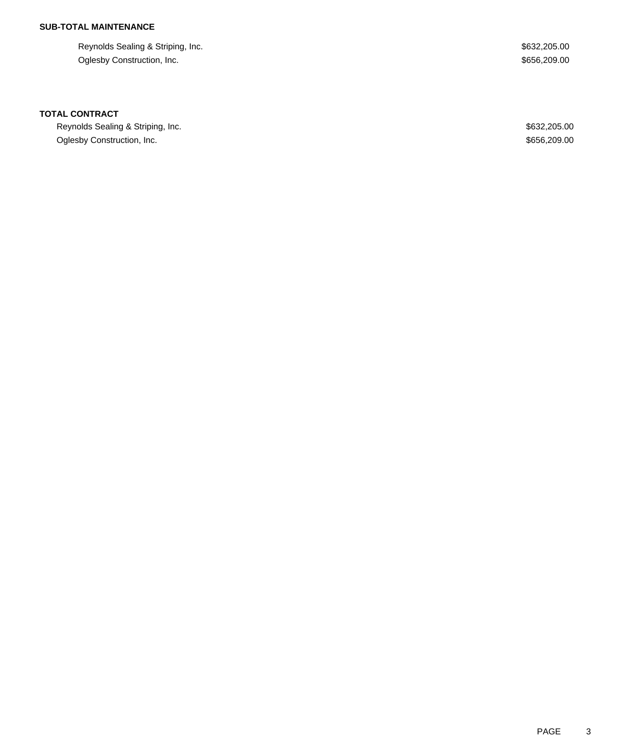# **SUB-TOTAL MAINTENANCE**

Reynolds Sealing & Striping, Inc.  $$632,205.00$ Oglesby Construction, Inc. 6656,209.00

### **TOTAL CONTRACT**

Reynolds Sealing & Striping, Inc. 6. The Second Second Second Second Second Second Second Second Second Second Second Second Second Second Second Second Second Second Second Second Second Second Second Second Second Second Oglesby Construction, Inc. 6656,209.00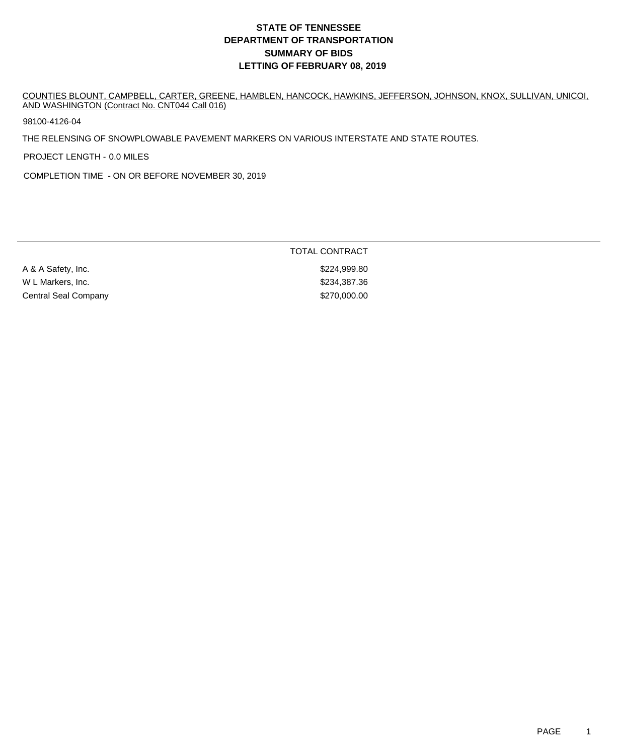COUNTIES BLOUNT, CAMPBELL, CARTER, GREENE, HAMBLEN, HANCOCK, HAWKINS, JEFFERSON, JOHNSON, KNOX, SULLIVAN, UNICOI, AND WASHINGTON (Contract No. CNT044 Call 016)

98100-4126-04

THE RELENSING OF SNOWPLOWABLE PAVEMENT MARKERS ON VARIOUS INTERSTATE AND STATE ROUTES.

PROJECT LENGTH - 0.0 MILES

COMPLETION TIME - ON OR BEFORE NOVEMBER 30, 2019

A & A Safety, Inc.  $$224,999.80$ W L Markers, Inc. 6. 234,387.36 Central Seal Company **\$270,000.00**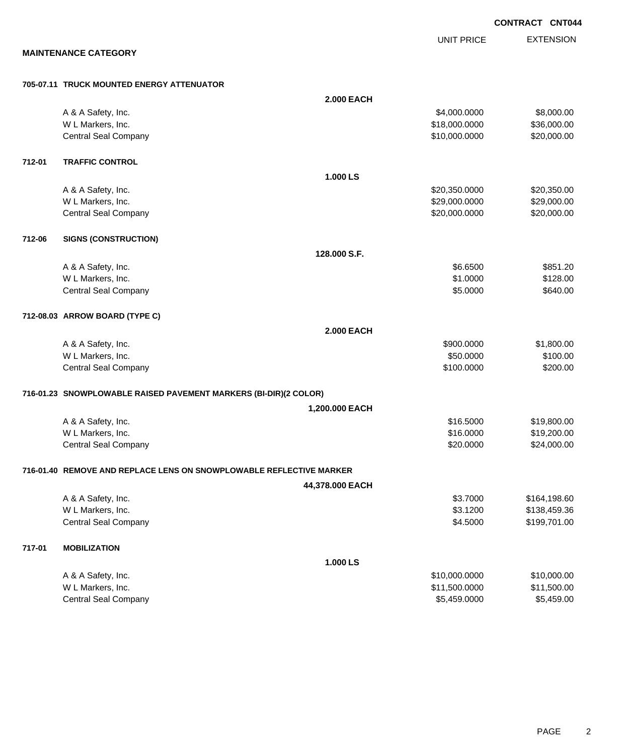**CONTRACT CNT044**

UNIT PRICE

EXTENSION

**MAINTENANCE CATEGORY**

#### **705-07.11 TRUCK MOUNTED ENERGY ATTENUATOR**

|        |                                                                     | <b>2.000 EACH</b> |               |              |
|--------|---------------------------------------------------------------------|-------------------|---------------|--------------|
|        | A & A Safety, Inc.                                                  |                   | \$4,000.0000  | \$8,000.00   |
|        | W L Markers, Inc.                                                   |                   | \$18,000.0000 | \$36,000.00  |
|        | <b>Central Seal Company</b>                                         |                   | \$10,000.0000 | \$20,000.00  |
| 712-01 | <b>TRAFFIC CONTROL</b>                                              |                   |               |              |
|        |                                                                     | 1.000 LS          |               |              |
|        | A & A Safety, Inc.                                                  |                   | \$20,350.0000 | \$20,350.00  |
|        | W L Markers, Inc.                                                   |                   | \$29,000.0000 | \$29,000.00  |
|        | <b>Central Seal Company</b>                                         |                   | \$20,000.0000 | \$20,000.00  |
| 712-06 | <b>SIGNS (CONSTRUCTION)</b>                                         |                   |               |              |
|        |                                                                     | 128.000 S.F.      |               |              |
|        | A & A Safety, Inc.                                                  |                   | \$6.6500      | \$851.20     |
|        | W L Markers, Inc.                                                   |                   | \$1.0000      | \$128.00     |
|        | <b>Central Seal Company</b>                                         |                   | \$5.0000      | \$640.00     |
|        | 712-08.03 ARROW BOARD (TYPE C)                                      |                   |               |              |
|        |                                                                     | <b>2.000 EACH</b> |               |              |
|        | A & A Safety, Inc.                                                  |                   | \$900.0000    | \$1,800.00   |
|        | W L Markers, Inc.                                                   |                   | \$50.0000     | \$100.00     |
|        | <b>Central Seal Company</b>                                         |                   | \$100.0000    | \$200.00     |
|        | 716-01.23 SNOWPLOWABLE RAISED PAVEMENT MARKERS (BI-DIR)(2 COLOR)    |                   |               |              |
|        |                                                                     | 1,200.000 EACH    |               |              |
|        | A & A Safety, Inc.                                                  |                   | \$16.5000     | \$19,800.00  |
|        | W L Markers, Inc.                                                   |                   | \$16.0000     | \$19,200.00  |
|        | <b>Central Seal Company</b>                                         |                   | \$20.0000     | \$24,000.00  |
|        | 716-01.40 REMOVE AND REPLACE LENS ON SNOWPLOWABLE REFLECTIVE MARKER |                   |               |              |
|        |                                                                     | 44,378.000 EACH   |               |              |
|        | A & A Safety, Inc.                                                  |                   | \$3.7000      | \$164,198.60 |
|        | W L Markers, Inc.                                                   |                   | \$3.1200      | \$138,459.36 |
|        | <b>Central Seal Company</b>                                         |                   | \$4.5000      | \$199,701.00 |
| 717-01 | <b>MOBILIZATION</b>                                                 |                   |               |              |
|        |                                                                     | 1.000 LS          |               |              |
|        | A & A Safety, Inc.                                                  |                   | \$10,000.0000 | \$10,000.00  |
|        | W L Markers, Inc.                                                   |                   | \$11,500.0000 | \$11,500.00  |
|        | <b>Central Seal Company</b>                                         |                   | \$5,459.0000  | \$5,459.00   |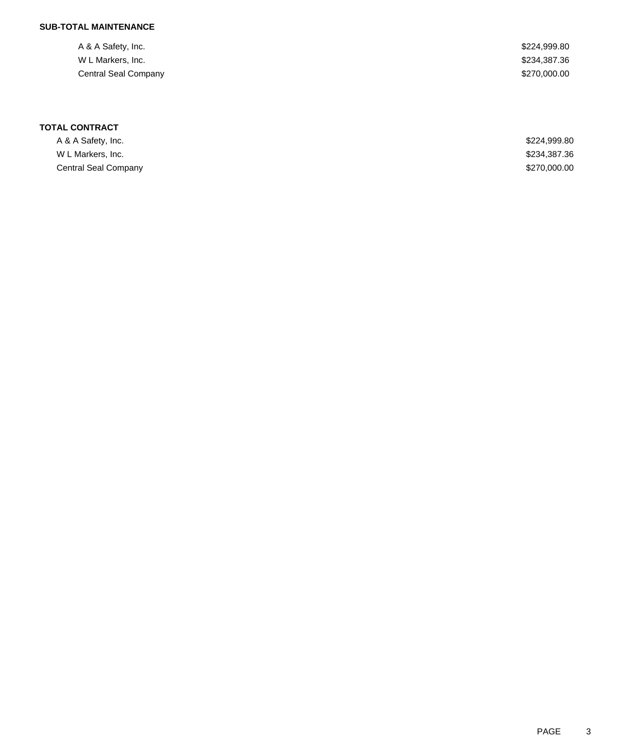# **SUB-TOTAL MAINTENANCE**

| A & A Safety, Inc.   | \$224,999.80 |
|----------------------|--------------|
| W L Markers, Inc.    | \$234,387.36 |
| Central Seal Company | \$270,000.00 |

| A & A Safety, Inc.   | \$224,999.80 |
|----------------------|--------------|
| W L Markers, Inc.    | \$234,387.36 |
| Central Seal Company | \$270,000.00 |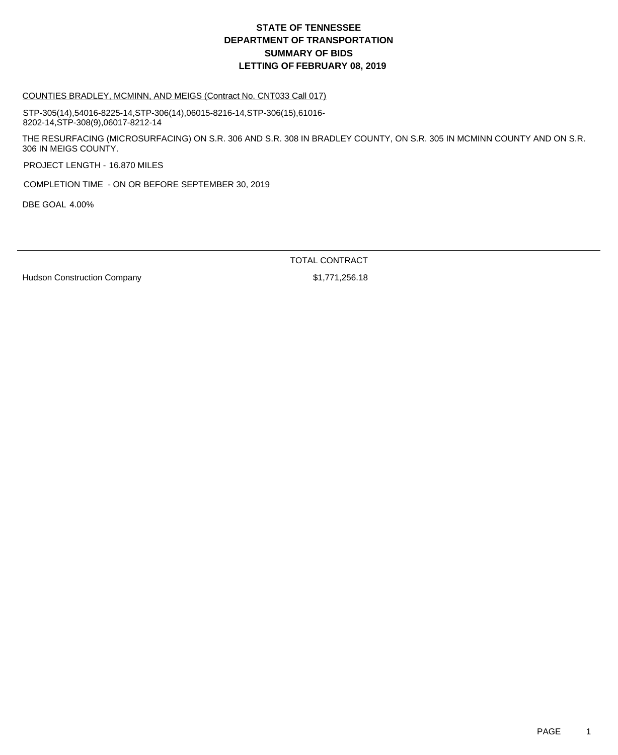#### COUNTIES BRADLEY, MCMINN, AND MEIGS (Contract No. CNT033 Call 017)

STP-305(14),54016-8225-14,STP-306(14),06015-8216-14,STP-306(15),61016- 8202-14,STP-308(9),06017-8212-14

THE RESURFACING (MICROSURFACING) ON S.R. 306 AND S.R. 308 IN BRADLEY COUNTY, ON S.R. 305 IN MCMINN COUNTY AND ON S.R. 306 IN MEIGS COUNTY.

PROJECT LENGTH - 16.870 MILES

COMPLETION TIME - ON OR BEFORE SEPTEMBER 30, 2019

DBE GOAL 4.00%

TOTAL CONTRACT

Hudson Construction Company **\$1,771,256.18**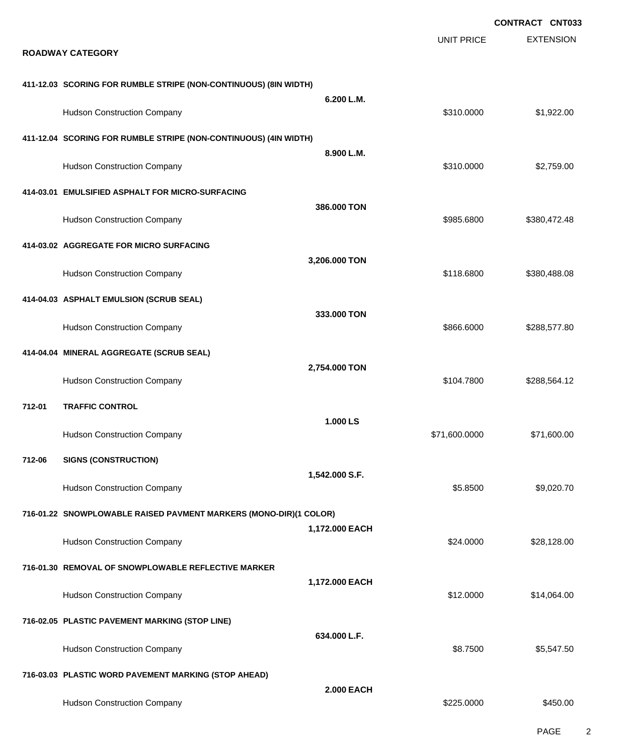|        |                                                                   |                   |                   | <b>CONTRACT CNT033</b> |
|--------|-------------------------------------------------------------------|-------------------|-------------------|------------------------|
|        | <b>ROADWAY CATEGORY</b>                                           |                   | <b>UNIT PRICE</b> | <b>EXTENSION</b>       |
|        | 411-12.03 SCORING FOR RUMBLE STRIPE (NON-CONTINUOUS) (8IN WIDTH)  | 6.200 L.M.        |                   |                        |
|        | <b>Hudson Construction Company</b>                                |                   | \$310.0000        | \$1,922.00             |
|        | 411-12.04 SCORING FOR RUMBLE STRIPE (NON-CONTINUOUS) (4IN WIDTH)  |                   |                   |                        |
|        | <b>Hudson Construction Company</b>                                | 8.900 L.M.        | \$310.0000        | \$2,759.00             |
|        | 414-03.01 EMULSIFIED ASPHALT FOR MICRO-SURFACING                  |                   |                   |                        |
|        | <b>Hudson Construction Company</b>                                | 386.000 TON       | \$985.6800        | \$380,472.48           |
|        | 414-03.02 AGGREGATE FOR MICRO SURFACING                           |                   |                   |                        |
|        | <b>Hudson Construction Company</b>                                | 3,206.000 TON     | \$118.6800        | \$380,488.08           |
|        | 414-04.03 ASPHALT EMULSION (SCRUB SEAL)                           |                   |                   |                        |
|        | <b>Hudson Construction Company</b>                                | 333.000 TON       | \$866.6000        | \$288,577.80           |
|        | 414-04.04 MINERAL AGGREGATE (SCRUB SEAL)                          |                   |                   |                        |
|        | <b>Hudson Construction Company</b>                                | 2,754.000 TON     | \$104.7800        | \$288,564.12           |
| 712-01 | <b>TRAFFIC CONTROL</b>                                            |                   |                   |                        |
|        | <b>Hudson Construction Company</b>                                | 1.000 LS          | \$71,600.0000     | \$71,600.00            |
| 712-06 | <b>SIGNS (CONSTRUCTION)</b>                                       |                   |                   |                        |
|        | <b>Hudson Construction Company</b>                                | 1,542.000 S.F.    | \$5.8500          | \$9,020.70             |
|        | 716-01.22 SNOWPLOWABLE RAISED PAVMENT MARKERS (MONO-DIR)(1 COLOR) |                   |                   |                        |
|        | <b>Hudson Construction Company</b>                                | 1,172.000 EACH    | \$24.0000         | \$28,128.00            |
|        | 716-01.30 REMOVAL OF SNOWPLOWABLE REFLECTIVE MARKER               |                   |                   |                        |
|        | <b>Hudson Construction Company</b>                                | 1,172.000 EACH    | \$12.0000         | \$14,064.00            |
|        | 716-02.05 PLASTIC PAVEMENT MARKING (STOP LINE)                    |                   |                   |                        |
|        | <b>Hudson Construction Company</b>                                | 634.000 L.F.      | \$8.7500          | \$5,547.50             |
|        | 716-03.03 PLASTIC WORD PAVEMENT MARKING (STOP AHEAD)              |                   |                   |                        |
|        | <b>Hudson Construction Company</b>                                | <b>2.000 EACH</b> | \$225.0000        | \$450.00               |
|        |                                                                   |                   |                   |                        |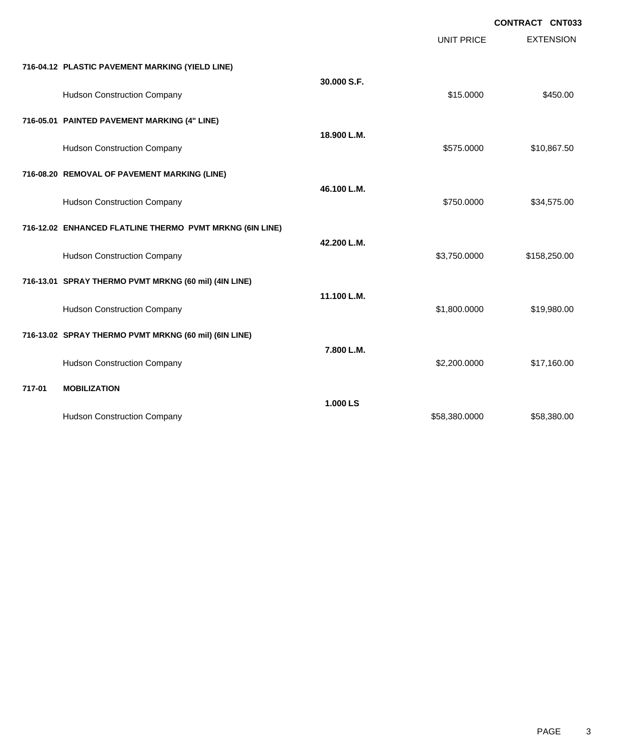**CONTRACT CNT033**

|                                                          |             | <b>UNIT PRICE</b> | <b>EXTENSION</b> |
|----------------------------------------------------------|-------------|-------------------|------------------|
| 716-04.12 PLASTIC PAVEMENT MARKING (YIELD LINE)          |             |                   |                  |
| <b>Hudson Construction Company</b>                       | 30.000 S.F. | \$15.0000         | \$450.00         |
| 716-05.01 PAINTED PAVEMENT MARKING (4" LINE)             |             |                   |                  |
| <b>Hudson Construction Company</b>                       | 18.900 L.M. | \$575.0000        | \$10,867.50      |
| 716-08.20 REMOVAL OF PAVEMENT MARKING (LINE)             |             |                   |                  |
| <b>Hudson Construction Company</b>                       | 46.100 L.M. | \$750.0000        | \$34,575.00      |
| 716-12.02 ENHANCED FLATLINE THERMO PVMT MRKNG (6IN LINE) |             |                   |                  |
| <b>Hudson Construction Company</b>                       | 42.200 L.M. | \$3,750.0000      | \$158,250.00     |
| 716-13.01 SPRAY THERMO PVMT MRKNG (60 mil) (4IN LINE)    |             |                   |                  |
| <b>Hudson Construction Company</b>                       | 11.100 L.M. | \$1,800.0000      | \$19,980.00      |
| 716-13.02 SPRAY THERMO PVMT MRKNG (60 mil) (6IN LINE)    |             |                   |                  |
| <b>Hudson Construction Company</b>                       | 7.800 L.M.  | \$2,200.0000      | \$17,160.00      |
| 717-01<br><b>MOBILIZATION</b>                            |             |                   |                  |
| <b>Hudson Construction Company</b>                       | 1.000 LS    | \$58,380.0000     | \$58,380.00      |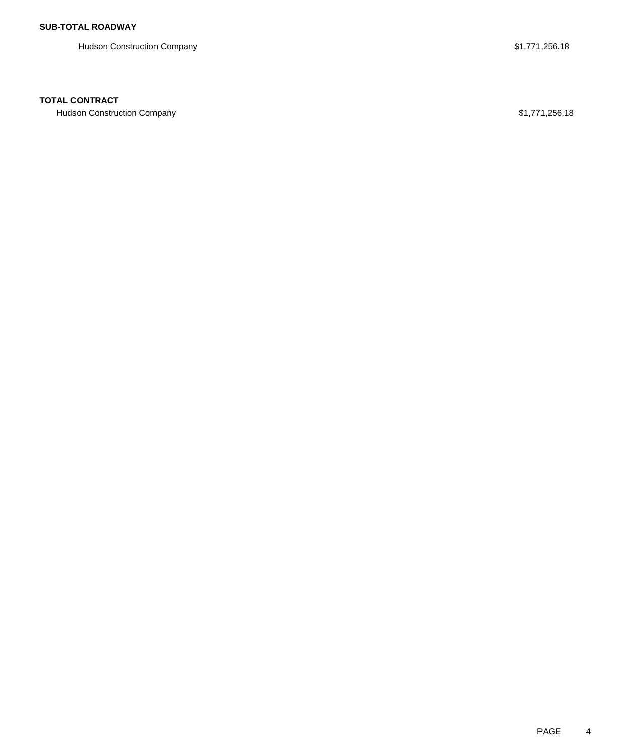Hudson Construction Company **\$1,771,256.18** 

## **TOTAL CONTRACT**

Hudson Construction Company **\$1,771,256.18**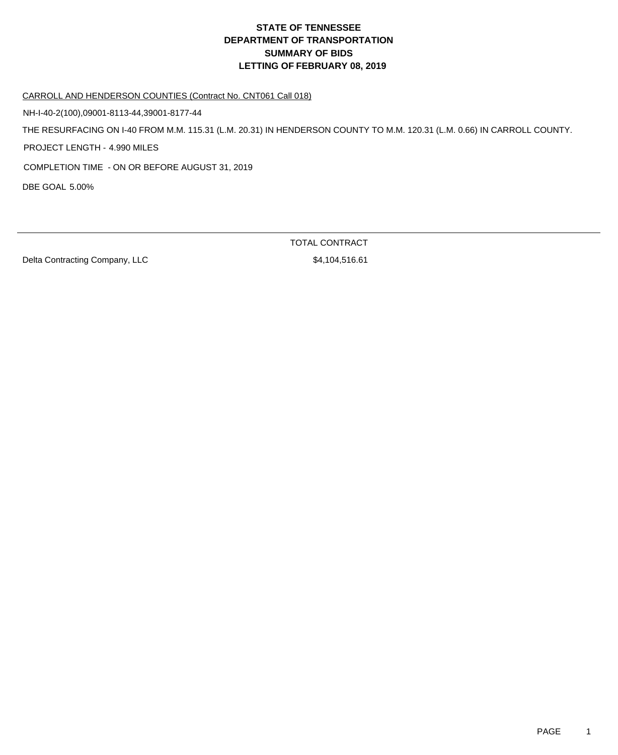#### CARROLL AND HENDERSON COUNTIES (Contract No. CNT061 Call 018)

NH-I-40-2(100),09001-8113-44,39001-8177-44

THE RESURFACING ON I-40 FROM M.M. 115.31 (L.M. 20.31) IN HENDERSON COUNTY TO M.M. 120.31 (L.M. 0.66) IN CARROLL COUNTY.

PROJECT LENGTH - 4.990 MILES

COMPLETION TIME - ON OR BEFORE AUGUST 31, 2019

DBE GOAL 5.00%

Delta Contracting Company, LLC \$4,104,516.61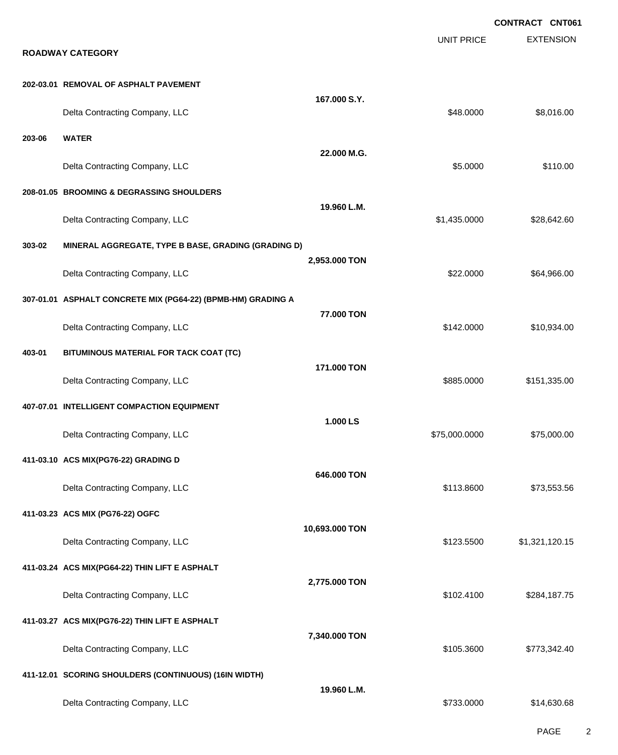|        |                                                              |                |                   | <b>CONTRACT CNT061</b> |
|--------|--------------------------------------------------------------|----------------|-------------------|------------------------|
|        | <b>ROADWAY CATEGORY</b>                                      |                | <b>UNIT PRICE</b> | <b>EXTENSION</b>       |
|        |                                                              |                |                   |                        |
|        | 202-03.01 REMOVAL OF ASPHALT PAVEMENT                        | 167.000 S.Y.   |                   |                        |
|        | Delta Contracting Company, LLC                               |                | \$48.0000         | \$8,016.00             |
| 203-06 | <b>WATER</b>                                                 |                |                   |                        |
|        | Delta Contracting Company, LLC                               | 22.000 M.G.    | \$5.0000          | \$110.00               |
|        | 208-01.05 BROOMING & DEGRASSING SHOULDERS                    |                |                   |                        |
|        | Delta Contracting Company, LLC                               | 19.960 L.M.    | \$1,435.0000      | \$28,642.60            |
| 303-02 | MINERAL AGGREGATE, TYPE B BASE, GRADING (GRADING D)          |                |                   |                        |
|        | Delta Contracting Company, LLC                               | 2,953.000 TON  | \$22,0000         | \$64,966.00            |
|        | 307-01.01 ASPHALT CONCRETE MIX (PG64-22) (BPMB-HM) GRADING A |                |                   |                        |
|        | Delta Contracting Company, LLC                               | 77.000 TON     | \$142.0000        | \$10,934.00            |
| 403-01 | BITUMINOUS MATERIAL FOR TACK COAT (TC)                       |                |                   |                        |
|        | Delta Contracting Company, LLC                               | 171.000 TON    | \$885.0000        | \$151,335.00           |
|        | 407-07.01 INTELLIGENT COMPACTION EQUIPMENT                   |                |                   |                        |
|        | Delta Contracting Company, LLC                               | 1.000LS        | \$75,000.0000     | \$75,000.00            |
|        | 411-03.10 ACS MIX(PG76-22) GRADING D                         |                |                   |                        |
|        | Delta Contracting Company, LLC                               | 646.000 TON    | \$113.8600        | \$73,553.56            |
|        | 411-03.23 ACS MIX (PG76-22) OGFC                             |                |                   |                        |
|        | Delta Contracting Company, LLC                               | 10,693.000 TON | \$123.5500        | \$1,321,120.15         |
|        | 411-03.24 ACS MIX(PG64-22) THIN LIFT E ASPHALT               |                |                   |                        |
|        | Delta Contracting Company, LLC                               | 2,775.000 TON  | \$102.4100        | \$284,187.75           |
|        | 411-03.27 ACS MIX(PG76-22) THIN LIFT E ASPHALT               |                |                   |                        |
|        | Delta Contracting Company, LLC                               | 7,340.000 TON  | \$105.3600        | \$773,342.40           |
|        | 411-12.01 SCORING SHOULDERS (CONTINUOUS) (16IN WIDTH)        |                |                   |                        |
|        | Delta Contracting Company, LLC                               | 19.960 L.M.    | \$733.0000        | \$14,630.68            |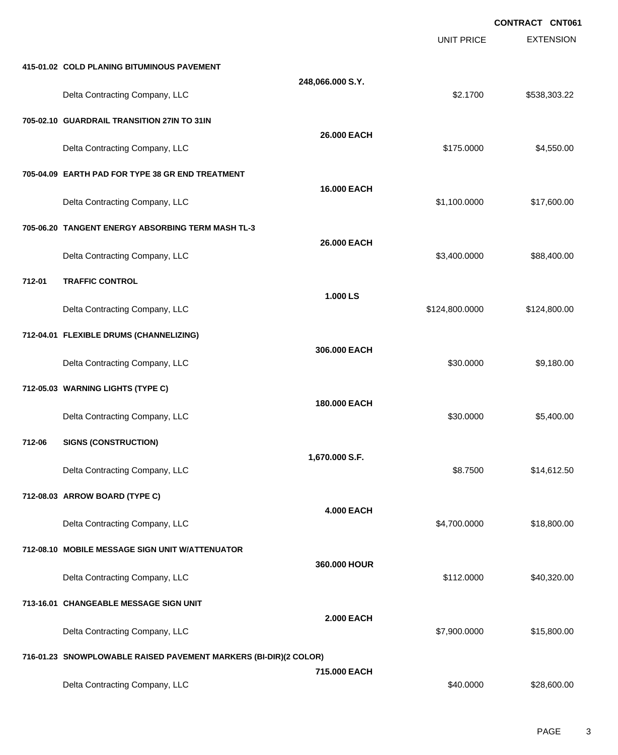|        |                                                                  |                   |                   | <b>CONTRACT CNT061</b> |
|--------|------------------------------------------------------------------|-------------------|-------------------|------------------------|
|        |                                                                  |                   | <b>UNIT PRICE</b> | <b>EXTENSION</b>       |
|        | 415-01.02 COLD PLANING BITUMINOUS PAVEMENT                       |                   |                   |                        |
|        | Delta Contracting Company, LLC                                   | 248,066.000 S.Y.  | \$2.1700          | \$538,303.22           |
|        | 705-02.10 GUARDRAIL TRANSITION 27IN TO 31IN                      |                   |                   |                        |
|        | Delta Contracting Company, LLC                                   | 26.000 EACH       | \$175.0000        | \$4,550.00             |
|        | 705-04.09 EARTH PAD FOR TYPE 38 GR END TREATMENT                 |                   |                   |                        |
|        | Delta Contracting Company, LLC                                   | 16.000 EACH       | \$1,100.0000      | \$17,600.00            |
|        | 705-06.20 TANGENT ENERGY ABSORBING TERM MASH TL-3                |                   |                   |                        |
|        | Delta Contracting Company, LLC                                   | 26.000 EACH       | \$3,400.0000      | \$88,400.00            |
| 712-01 | <b>TRAFFIC CONTROL</b>                                           |                   |                   |                        |
|        | Delta Contracting Company, LLC                                   | 1.000 LS          | \$124,800.0000    | \$124,800.00           |
|        | 712-04.01 FLEXIBLE DRUMS (CHANNELIZING)                          |                   |                   |                        |
|        | Delta Contracting Company, LLC                                   | 306.000 EACH      | \$30.0000         | \$9,180.00             |
|        | 712-05.03 WARNING LIGHTS (TYPE C)                                |                   |                   |                        |
|        | Delta Contracting Company, LLC                                   | 180.000 EACH      | \$30.0000         | \$5,400.00             |
| 712-06 | <b>SIGNS (CONSTRUCTION)</b>                                      |                   |                   |                        |
|        | Delta Contracting Company, LLC                                   | 1,670.000 S.F.    | \$8.7500          | \$14,612.50            |
|        | 712-08.03 ARROW BOARD (TYPE C)                                   |                   |                   |                        |
|        | Delta Contracting Company, LLC                                   | <b>4.000 EACH</b> | \$4,700.0000      | \$18,800.00            |
|        | 712-08.10 MOBILE MESSAGE SIGN UNIT W/ATTENUATOR                  |                   |                   |                        |
|        | Delta Contracting Company, LLC                                   | 360.000 HOUR      | \$112.0000        | \$40,320.00            |
|        | 713-16.01 CHANGEABLE MESSAGE SIGN UNIT                           |                   |                   |                        |
|        | Delta Contracting Company, LLC                                   | <b>2.000 EACH</b> | \$7,900.0000      | \$15,800.00            |
|        | 716-01.23 SNOWPLOWABLE RAISED PAVEMENT MARKERS (BI-DIR)(2 COLOR) |                   |                   |                        |
|        | Delta Contracting Company, LLC                                   | 715.000 EACH      | \$40.0000         | \$28,600.00            |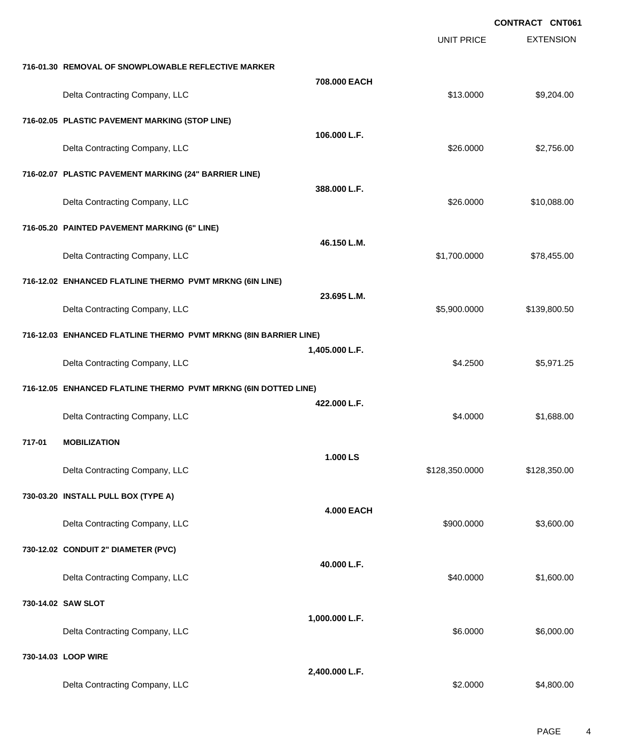**CONTRACT CNT061**

|                                                                 |                                                                  |                   | <b>UNIT PRICE</b> | <b>EXTENSION</b> |
|-----------------------------------------------------------------|------------------------------------------------------------------|-------------------|-------------------|------------------|
|                                                                 | 716-01.30 REMOVAL OF SNOWPLOWABLE REFLECTIVE MARKER              |                   |                   |                  |
|                                                                 | Delta Contracting Company, LLC                                   | 708.000 EACH      | \$13.0000         | \$9,204.00       |
|                                                                 | 716-02.05 PLASTIC PAVEMENT MARKING (STOP LINE)                   |                   |                   |                  |
|                                                                 | Delta Contracting Company, LLC                                   | 106.000 L.F.      | \$26.0000         | \$2,756.00       |
|                                                                 | 716-02.07 PLASTIC PAVEMENT MARKING (24" BARRIER LINE)            |                   |                   |                  |
|                                                                 | Delta Contracting Company, LLC                                   | 388,000 L.F.      | \$26.0000         | \$10,088.00      |
|                                                                 | 716-05.20 PAINTED PAVEMENT MARKING (6" LINE)                     |                   |                   |                  |
|                                                                 | Delta Contracting Company, LLC                                   | 46.150 L.M.       | \$1,700.0000      | \$78,455.00      |
|                                                                 | 716-12.02 ENHANCED FLATLINE THERMO PVMT MRKNG (6IN LINE)         |                   |                   |                  |
|                                                                 | Delta Contracting Company, LLC                                   | 23.695 L.M.       | \$5,900.0000      | \$139,800.50     |
|                                                                 | 716-12.03 ENHANCED FLATLINE THERMO PVMT MRKNG (8IN BARRIER LINE) |                   |                   |                  |
|                                                                 | Delta Contracting Company, LLC                                   | 1,405.000 L.F.    | \$4.2500          | \$5,971.25       |
| 716-12.05 ENHANCED FLATLINE THERMO PVMT MRKNG (6IN DOTTED LINE) |                                                                  |                   |                   |                  |
|                                                                 | Delta Contracting Company, LLC                                   | 422.000 L.F.      | \$4.0000          | \$1,688.00       |
| 717-01                                                          | <b>MOBILIZATION</b>                                              |                   |                   |                  |
|                                                                 | Delta Contracting Company, LLC                                   | 1.000 LS          | \$128,350.0000    | \$128,350.00     |
|                                                                 | 730-03.20 INSTALL PULL BOX (TYPE A)                              |                   |                   |                  |
|                                                                 | Delta Contracting Company, LLC                                   | <b>4.000 EACH</b> | \$900.0000        | \$3,600.00       |
|                                                                 | 730-12.02 CONDUIT 2" DIAMETER (PVC)                              |                   |                   |                  |
|                                                                 | Delta Contracting Company, LLC                                   | 40.000 L.F.       | \$40.0000         | \$1,600.00       |
|                                                                 | 730-14.02 SAW SLOT                                               |                   |                   |                  |
|                                                                 | Delta Contracting Company, LLC                                   | 1,000.000 L.F.    | \$6.0000          | \$6,000.00       |
|                                                                 | 730-14.03 LOOP WIRE                                              |                   |                   |                  |
|                                                                 | Delta Contracting Company, LLC                                   | 2,400.000 L.F.    | \$2.0000          | \$4,800.00       |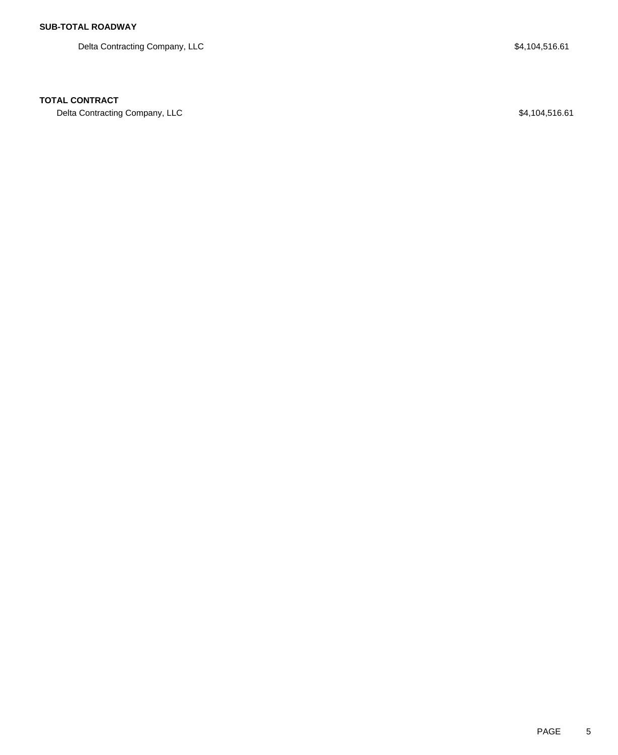Delta Contracting Company, LLC 64,104,516.61

## **TOTAL CONTRACT**

Delta Contracting Company, LLC 61 and the UC of the UC of the S4,104,516.61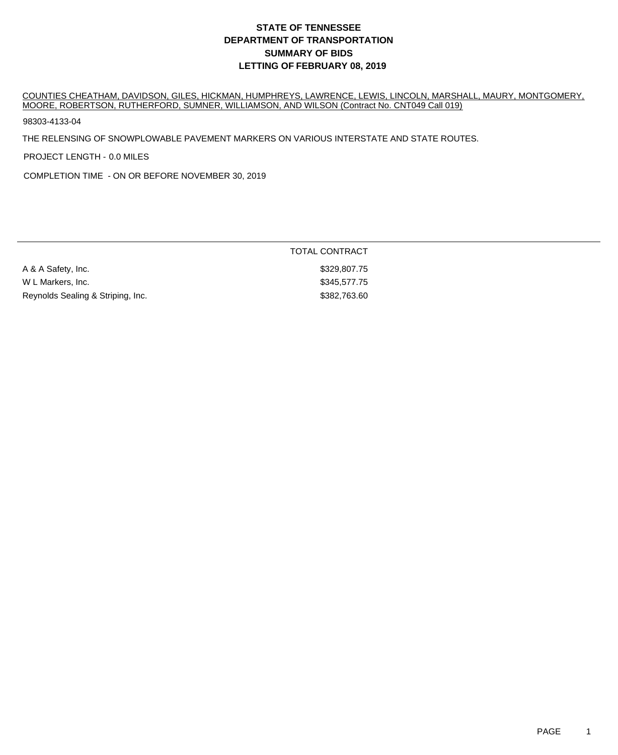COUNTIES CHEATHAM, DAVIDSON, GILES, HICKMAN, HUMPHREYS, LAWRENCE, LEWIS, LINCOLN, MARSHALL, MAURY, MONTGOMERY, MOORE, ROBERTSON, RUTHERFORD, SUMNER, WILLIAMSON, AND WILSON (Contract No. CNT049 Call 019)

98303-4133-04

THE RELENSING OF SNOWPLOWABLE PAVEMENT MARKERS ON VARIOUS INTERSTATE AND STATE ROUTES.

PROJECT LENGTH - 0.0 MILES

COMPLETION TIME - ON OR BEFORE NOVEMBER 30, 2019

|                                   | TOTAL CONTRACT |  |
|-----------------------------------|----------------|--|
| A & A Safety, Inc.                | \$329,807.75   |  |
| W L Markers, Inc.                 | \$345,577.75   |  |
| Reynolds Sealing & Striping, Inc. | \$382,763.60   |  |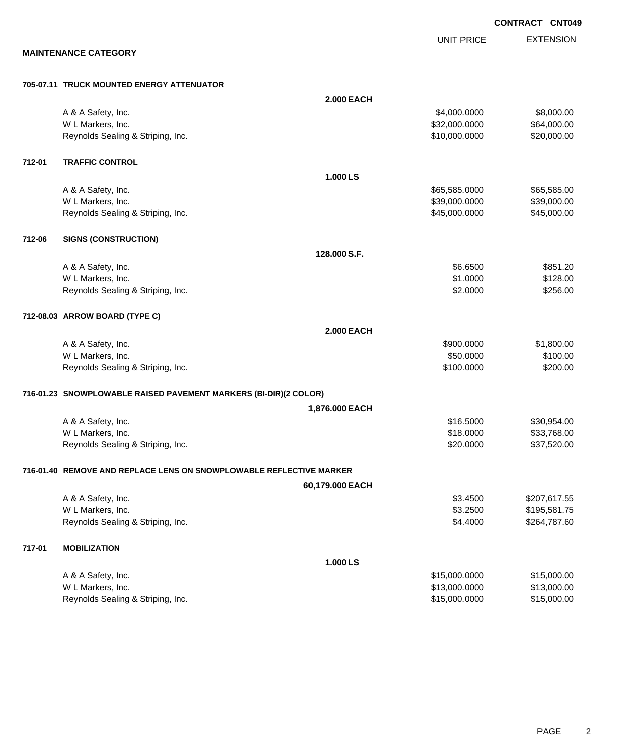EXTENSION **CONTRACT CNT049** UNIT PRICE **2.000 EACH**

#### **MAINTENANCE CATEGORY**

#### **705-07.11 TRUCK MOUNTED ENERGY ATTENUATOR**

|        | A & A Safety, Inc.                                                  |                   | \$4,000.0000  | \$8,000.00   |
|--------|---------------------------------------------------------------------|-------------------|---------------|--------------|
|        | W L Markers, Inc.                                                   |                   | \$32,000.0000 | \$64,000.00  |
|        | Reynolds Sealing & Striping, Inc.                                   |                   | \$10,000.0000 | \$20,000.00  |
| 712-01 | <b>TRAFFIC CONTROL</b>                                              |                   |               |              |
|        |                                                                     | 1.000 LS          |               |              |
|        | A & A Safety, Inc.                                                  |                   | \$65,585.0000 | \$65,585.00  |
|        | W L Markers, Inc.                                                   |                   | \$39,000.0000 | \$39,000.00  |
|        | Reynolds Sealing & Striping, Inc.                                   |                   | \$45,000.0000 | \$45,000.00  |
| 712-06 | <b>SIGNS (CONSTRUCTION)</b>                                         |                   |               |              |
|        |                                                                     | 128,000 S.F.      |               |              |
|        | A & A Safety, Inc.                                                  |                   | \$6.6500      | \$851.20     |
|        | W L Markers, Inc.                                                   |                   | \$1.0000      | \$128.00     |
|        | Reynolds Sealing & Striping, Inc.                                   |                   | \$2.0000      | \$256.00     |
|        | 712-08.03 ARROW BOARD (TYPE C)                                      |                   |               |              |
|        |                                                                     | <b>2.000 EACH</b> |               |              |
|        | A & A Safety, Inc.                                                  |                   | \$900.0000    | \$1,800.00   |
|        | W L Markers, Inc.                                                   |                   | \$50.0000     | \$100.00     |
|        | Reynolds Sealing & Striping, Inc.                                   |                   | \$100.0000    | \$200.00     |
|        | 716-01.23 SNOWPLOWABLE RAISED PAVEMENT MARKERS (BI-DIR)(2 COLOR)    |                   |               |              |
|        |                                                                     | 1,876.000 EACH    |               |              |
|        | A & A Safety, Inc.                                                  |                   | \$16.5000     | \$30,954.00  |
|        | W L Markers, Inc.                                                   |                   | \$18.0000     | \$33,768.00  |
|        | Reynolds Sealing & Striping, Inc.                                   |                   | \$20.0000     | \$37,520.00  |
|        | 716-01.40 REMOVE AND REPLACE LENS ON SNOWPLOWABLE REFLECTIVE MARKER |                   |               |              |
|        |                                                                     | 60,179.000 EACH   |               |              |
|        | A & A Safety, Inc.                                                  |                   | \$3.4500      | \$207,617.55 |
|        | W L Markers, Inc.                                                   |                   | \$3.2500      | \$195,581.75 |
|        | Reynolds Sealing & Striping, Inc.                                   |                   | \$4.4000      | \$264,787.60 |
| 717-01 | <b>MOBILIZATION</b>                                                 |                   |               |              |
|        |                                                                     | 1.000 LS          |               |              |
|        | A & A Safety, Inc.                                                  |                   | \$15,000.0000 | \$15,000.00  |
|        | W L Markers, Inc.                                                   |                   | \$13,000.0000 | \$13,000.00  |
|        | Reynolds Sealing & Striping, Inc.                                   |                   | \$15,000.0000 | \$15,000.00  |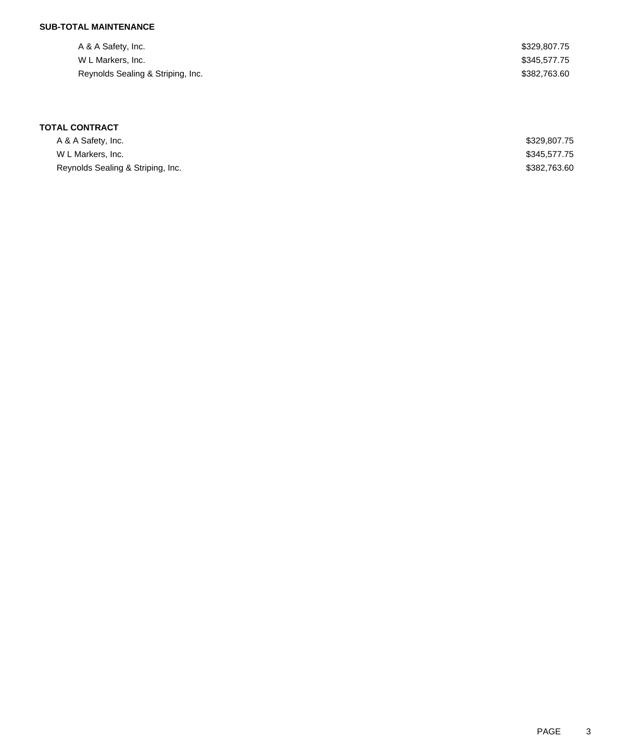## **SUB-TOTAL MAINTENANCE**

| A & A Safety, Inc.                | \$329,807.75 |
|-----------------------------------|--------------|
| W L Markers, Inc.                 | \$345,577.75 |
| Reynolds Sealing & Striping, Inc. | \$382,763.60 |

| A & A Safety, Inc.                | \$329,807.75 |
|-----------------------------------|--------------|
| W L Markers, Inc.                 | \$345,577.75 |
| Reynolds Sealing & Striping, Inc. | \$382,763.60 |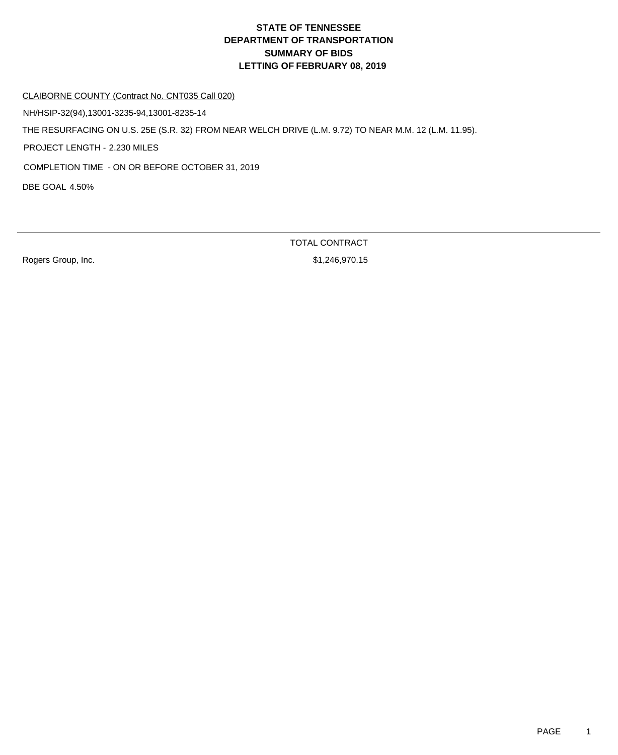CLAIBORNE COUNTY (Contract No. CNT035 Call 020)

NH/HSIP-32(94),13001-3235-94,13001-8235-14

THE RESURFACING ON U.S. 25E (S.R. 32) FROM NEAR WELCH DRIVE (L.M. 9.72) TO NEAR M.M. 12 (L.M. 11.95).

PROJECT LENGTH - 2.230 MILES

COMPLETION TIME - ON OR BEFORE OCTOBER 31, 2019

DBE GOAL 4.50%

Rogers Group, Inc. 6. The Contract of the State of the State of St. 246,970.15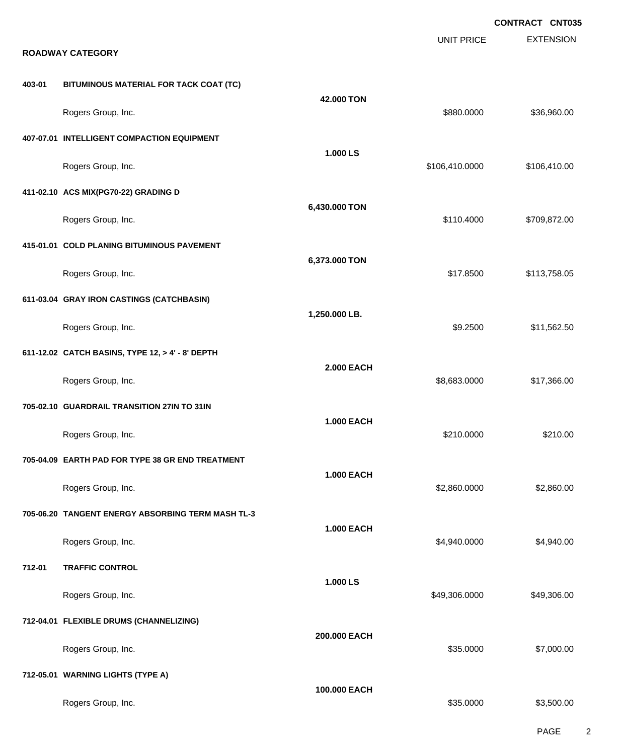**EXTENSION CONTRACT CNT035** UNIT PRICE **ROADWAY CATEGORY 403-01 BITUMINOUS MATERIAL FOR TACK COAT (TC) 42.000 TON** Rogers Group, Inc. \$880.000 \$36,960.00 \$36,960.00 \$36,960.00 \$36,960.00 \$36,960.00 \$536,960.00 **407-07.01 INTELLIGENT COMPACTION EQUIPMENT 1.000 LS** Rogers Group, Inc. \$106,410.000 \$106,410.000 \$106,410.000 \$106,410.000 \$106,410.000 \$106,410.00 **411-02.10 ACS MIX(PG70-22) GRADING D 6,430.000 TON** Rogers Group, Inc. 6. 2010. The State of the State of the State of the State of State of State of State of State of State of State of State of State of State of State of State of State of State of State of State of State o **415-01.01 COLD PLANING BITUMINOUS PAVEMENT 6,373.000 TON** Rogers Group, Inc. \$113,758.05 **611-03.04 GRAY IRON CASTINGS (CATCHBASIN) 1,250.000 LB.** Rogers Group, Inc. \$9.2500 \$11,562.50 **611-12.02 CATCH BASINS, TYPE 12, > 4' - 8' DEPTH 2.000 EACH** Rogers Group, Inc. \$8,683.0000 \$17,366.00 **705-02.10 GUARDRAIL TRANSITION 27IN TO 31IN 1.000 EACH** Rogers Group, Inc. \$210.000 \$210.000 \$210.000 \$210.000 \$210.000 \$210.000 \$210.000 \$210.00 \$210.00 \$210.00 \$210 **705-04.09 EARTH PAD FOR TYPE 38 GR END TREATMENT 1.000 EACH** Rogers Group, Inc. \$2,860.000 \$2,860.000 \$2,860.000 \$2,860.000 \$2,860.000 \$2,860.000 \$2,860.00 \$2,860.00 \$2,860 **705-06.20 TANGENT ENERGY ABSORBING TERM MASH TL-3 1.000 EACH** Rogers Group, Inc. \$4,940.000 \$4,940.000 \$4,940.000 \$4,940.000 \$4,940.000 \$4,940.000 \$4,940.00 **712-01 TRAFFIC CONTROL 1.000 LS** Rogers Group, Inc. \$49,306.000 \$49,306.000 \$49,306.000 \$49,306.000 \$49,306.000 \$49,306.00 **712-04.01 FLEXIBLE DRUMS (CHANNELIZING) 200.000 EACH** Rogers Group, Inc. \$35.0000 \$7,000.00 **712-05.01 WARNING LIGHTS (TYPE A) 100.000 EACH** Rogers Group, Inc. \$35.0000 \$3,500.00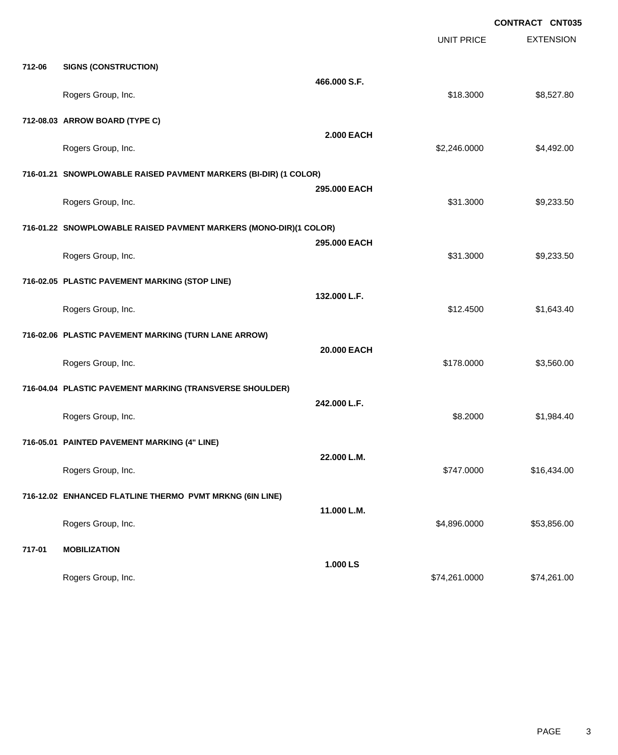**CONTRACT CNT035**

|        |                                                                   |                   | UNIT PRICE    | <b>EXTENSION</b> |
|--------|-------------------------------------------------------------------|-------------------|---------------|------------------|
| 712-06 | <b>SIGNS (CONSTRUCTION)</b>                                       |                   |               |                  |
|        | Rogers Group, Inc.                                                | 466.000 S.F.      | \$18.3000     | \$8,527.80       |
|        | 712-08.03 ARROW BOARD (TYPE C)                                    |                   |               |                  |
|        | Rogers Group, Inc.                                                | <b>2.000 EACH</b> | \$2,246.0000  | \$4,492.00       |
|        | 716-01.21 SNOWPLOWABLE RAISED PAVMENT MARKERS (BI-DIR) (1 COLOR)  |                   |               |                  |
|        | Rogers Group, Inc.                                                | 295,000 EACH      | \$31.3000     | \$9,233.50       |
|        | 716-01.22 SNOWPLOWABLE RAISED PAVMENT MARKERS (MONO-DIR)(1 COLOR) |                   |               |                  |
|        | Rogers Group, Inc.                                                | 295.000 EACH      | \$31.3000     | \$9,233.50       |
|        | 716-02.05 PLASTIC PAVEMENT MARKING (STOP LINE)                    |                   |               |                  |
|        | Rogers Group, Inc.                                                | 132.000 L.F.      | \$12.4500     | \$1,643.40       |
|        | 716-02.06 PLASTIC PAVEMENT MARKING (TURN LANE ARROW)              |                   |               |                  |
|        | Rogers Group, Inc.                                                | 20.000 EACH       | \$178.0000    | \$3,560.00       |
|        | 716-04.04 PLASTIC PAVEMENT MARKING (TRANSVERSE SHOULDER)          |                   |               |                  |
|        | Rogers Group, Inc.                                                | 242.000 L.F.      | \$8.2000      | \$1,984.40       |
|        | 716-05.01 PAINTED PAVEMENT MARKING (4" LINE)                      |                   |               |                  |
|        | Rogers Group, Inc.                                                | 22.000 L.M.       | \$747.0000    | \$16,434.00      |
|        | 716-12.02 ENHANCED FLATLINE THERMO PVMT MRKNG (6IN LINE)          |                   |               |                  |
|        | Rogers Group, Inc.                                                | 11.000 L.M.       | \$4,896.0000  | \$53,856.00      |
| 717-01 | <b>MOBILIZATION</b>                                               |                   |               |                  |
|        | Rogers Group, Inc.                                                | 1.000 LS          | \$74,261.0000 | \$74,261.00      |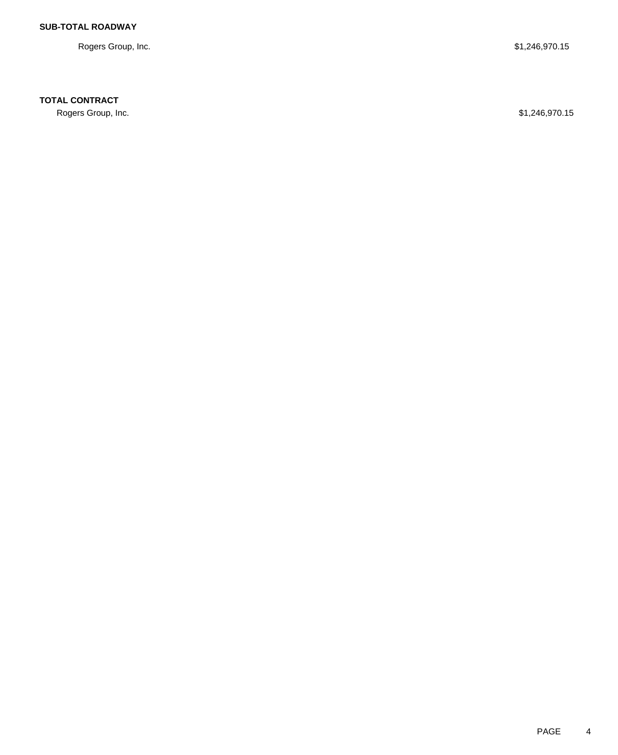Rogers Group, Inc. \$1,246,970.15

# **TOTAL CONTRACT**

Rogers Group, Inc. \$1,246,970.15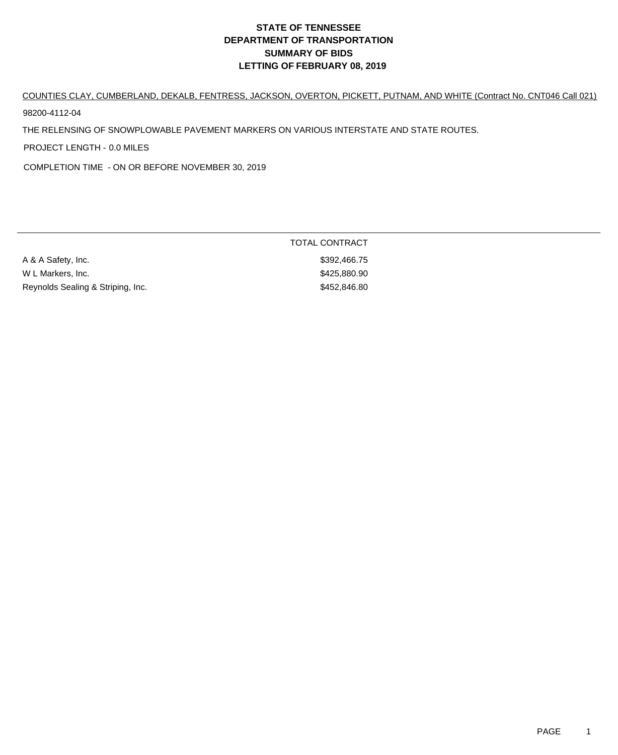# COUNTIES CLAY, CUMBERLAND, DEKALB, FENTRESS, JACKSON, OVERTON, PICKETT, PUTNAM, AND WHITE (Contract No. CNT046 Call 021)

98200-4112-04

THE RELENSING OF SNOWPLOWABLE PAVEMENT MARKERS ON VARIOUS INTERSTATE AND STATE ROUTES.

PROJECT LENGTH - 0.0 MILES

COMPLETION TIME - ON OR BEFORE NOVEMBER 30, 2019

| A & A Safety, Inc.                | \$392,466.75 |
|-----------------------------------|--------------|
| W L Markers, Inc.                 | \$425,880.90 |
| Reynolds Sealing & Striping, Inc. | \$452,846.80 |

TOTAL CONTRACT \$392,466.75 \$425,880.90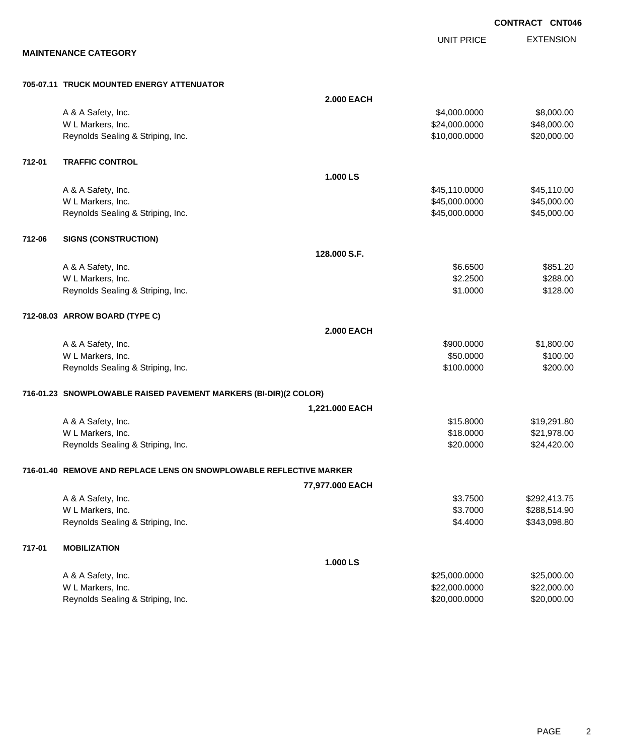**MAINTENANCE CATEGORY 705-07.11 TRUCK MOUNTED ENERGY ATTENUATOR 2.000 EACH** A & A Safety, Inc. \$4,000.000 \$8,000.00 W L Markers, Inc. \$48,000.000 \$48,000.000 \$48,000.000 \$48,000.000 \$48,000.000 \$48,000.00 Reynolds Sealing & Striping, Inc. \$20,000.000 \$20,000.000 \$20,000.000 \$20,000.000 **712-01 TRAFFIC CONTROL 1.000 LS** A & A Safety, Inc. \$45,110.000 \$45,110.000 \$45,110.000 W L Markers, Inc. 645,000.000 \$45,000.000 \$45,000.000 \$45,000.000 \$45,000.000 \$45,000.000 \$45,000.00 Reynolds Sealing & Striping, Inc. \$45,000.000 \$45,000.000 \$45,000.000 \$45,000.000 **712-06 SIGNS (CONSTRUCTION) 128.000 S.F.** A & A Safety, Inc. \$851.20 W L Markers, Inc. \$288.00 \$2.2500 \$288.00 Reynolds Sealing & Striping, Inc. 6. The Strip of the Strip of the Strip of the Strip of the Strip of the Strip of Strip of the Strip of the Strip of the Strip of the Strip of the Strip of the Strip of the Strip of the Str **712-08.03 ARROW BOARD (TYPE C) 2.000 EACH** A & A Safety, Inc. \$900.000 \$1,800.00 W L Markers, Inc. \$100.00 \$100.00 \$100.00 \$100.00 \$100.00 \$100.00 \$100.00 \$100.00 \$100.00 \$100.00 \$100.00 \$100 Reynolds Sealing & Striping, Inc. 6. The Strip of the Strip of the Strip of the Strip of the Strip of the Strip of Strip of the Strip of Strip of Strip of Strip of Strip of Strip of Strip of Strip of Strip of Strip of Stri **716-01.23 SNOWPLOWABLE RAISED PAVEMENT MARKERS (BI-DIR)(2 COLOR) 1,221.000 EACH** A & A Safety, Inc. \$19,291.80 W L Markers, Inc. \$21,978.00 Reynolds Sealing & Striping, Inc. \$24,420.00 \$24,420.00 \$24,420.00 **716-01.40 REMOVE AND REPLACE LENS ON SNOWPLOWABLE REFLECTIVE MARKER 77,977.000 EACH** A & A Safety, Inc. \$3.7500 \$292,413.75 W L Markers, Inc. \$3.7000 \$288,514.90 Reynolds Sealing & Striping, Inc. 6. The Strip of the Strip of the Strip of the Strip of the Strip of the Strip of the Strip of the Strip of the Strip of the Strip of the Strip of the Strip of the Strip of the Strip of the **717-01 MOBILIZATION 1.000 LS** A & A Safety, Inc. \$25,000.000 \$25,000.000 \$25,000.000 \$25,000.000 \$25,000.000 \$25,000.00 W L Markers, Inc. \$22,000.000 \$22,000.000 \$22,000.000 \$22,000.000 \$22,000.000 \$22,000.00

Reynolds Sealing & Striping, Inc. \$20,000.000 \$20,000.000 \$20,000.000 \$20,000.000

**EXTENSION** 

**CONTRACT CNT046**

UNIT PRICE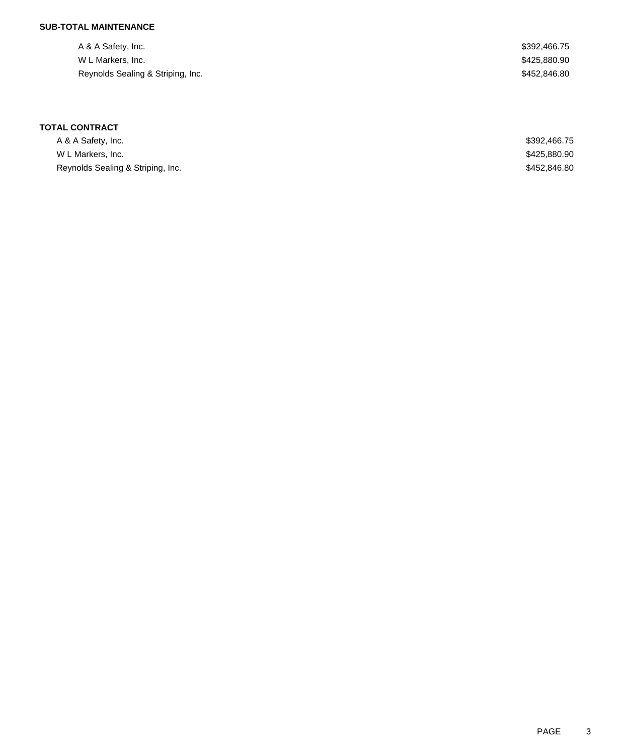# **SUB-TOTAL MAINTENANCE**

| A & A Safety, Inc.                | \$392,466.75 |
|-----------------------------------|--------------|
| W L Markers, Inc.                 | \$425,880.90 |
| Reynolds Sealing & Striping, Inc. | \$452,846.80 |

| A & A Safety, Inc.                | \$392,466.75 |
|-----------------------------------|--------------|
| W L Markers, Inc.                 | \$425,880.90 |
| Reynolds Sealing & Striping, Inc. | \$452,846.80 |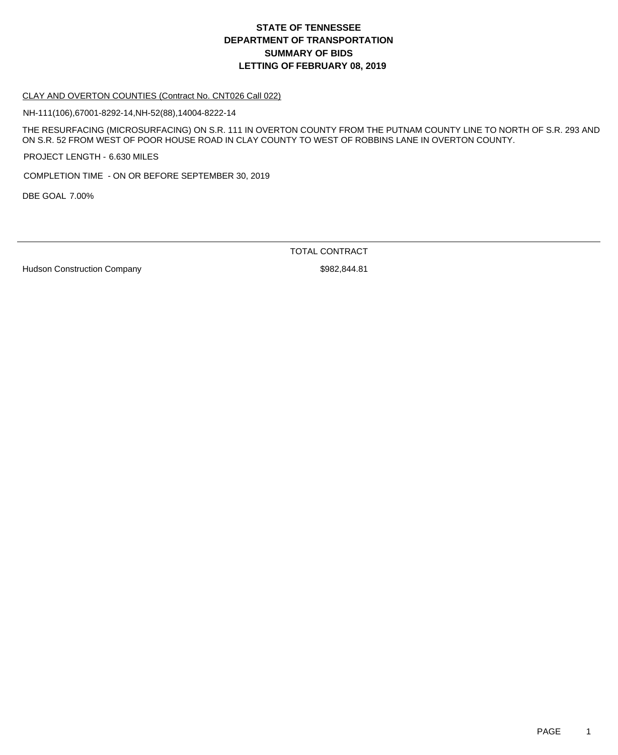#### CLAY AND OVERTON COUNTIES (Contract No. CNT026 Call 022)

NH-111(106),67001-8292-14,NH-52(88),14004-8222-14

THE RESURFACING (MICROSURFACING) ON S.R. 111 IN OVERTON COUNTY FROM THE PUTNAM COUNTY LINE TO NORTH OF S.R. 293 AND ON S.R. 52 FROM WEST OF POOR HOUSE ROAD IN CLAY COUNTY TO WEST OF ROBBINS LANE IN OVERTON COUNTY.

PROJECT LENGTH - 6.630 MILES

COMPLETION TIME - ON OR BEFORE SEPTEMBER 30, 2019

DBE GOAL 7.00%

TOTAL CONTRACT

Hudson Construction Company **\$982,844.81**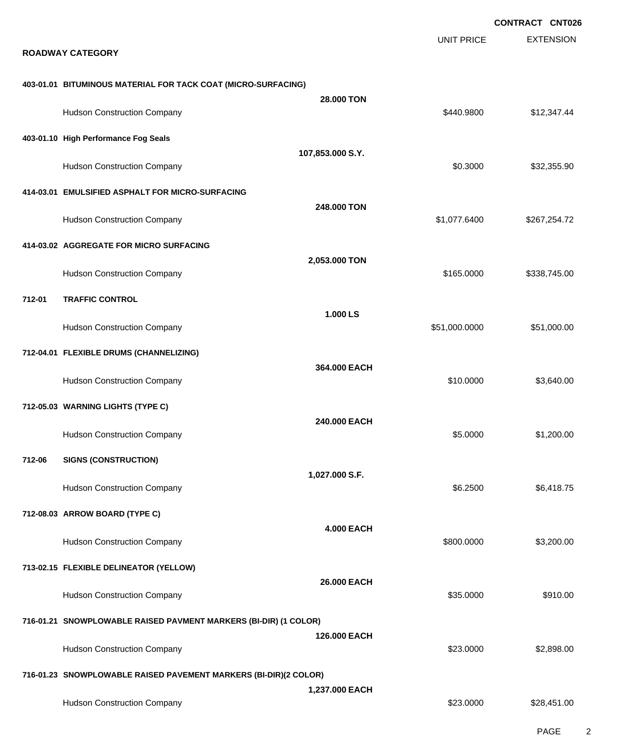|        |                                                                  |                   |                   | <b>CONTRACT CNT026</b> |
|--------|------------------------------------------------------------------|-------------------|-------------------|------------------------|
|        | <b>ROADWAY CATEGORY</b>                                          |                   | <b>UNIT PRICE</b> | <b>EXTENSION</b>       |
|        | 403-01.01 BITUMINOUS MATERIAL FOR TACK COAT (MICRO-SURFACING)    |                   |                   |                        |
|        | <b>Hudson Construction Company</b>                               | 28.000 TON        | \$440.9800        | \$12,347.44            |
|        | 403-01.10 High Performance Fog Seals                             | 107,853.000 S.Y.  |                   |                        |
|        | <b>Hudson Construction Company</b>                               |                   | \$0.3000          | \$32,355.90            |
|        | 414-03.01 EMULSIFIED ASPHALT FOR MICRO-SURFACING                 |                   |                   |                        |
|        | <b>Hudson Construction Company</b>                               | 248,000 TON       | \$1,077.6400      | \$267,254.72           |
|        | 414-03.02 AGGREGATE FOR MICRO SURFACING                          |                   |                   |                        |
|        | <b>Hudson Construction Company</b>                               | 2,053.000 TON     | \$165.0000        | \$338,745.00           |
| 712-01 | <b>TRAFFIC CONTROL</b>                                           |                   |                   |                        |
|        | <b>Hudson Construction Company</b>                               | 1.000 LS          | \$51,000.0000     | \$51,000.00            |
|        | 712-04.01 FLEXIBLE DRUMS (CHANNELIZING)                          |                   |                   |                        |
|        | <b>Hudson Construction Company</b>                               | 364.000 EACH      | \$10.0000         | \$3,640.00             |
|        | 712-05.03 WARNING LIGHTS (TYPE C)                                |                   |                   |                        |
|        | <b>Hudson Construction Company</b>                               | 240.000 EACH      | \$5.0000          | \$1,200.00             |
| 712-06 | <b>SIGNS (CONSTRUCTION)</b>                                      |                   |                   |                        |
|        | <b>Hudson Construction Company</b>                               | 1,027.000 S.F.    | \$6.2500          | \$6,418.75             |
|        | 712-08.03 ARROW BOARD (TYPE C)                                   |                   |                   |                        |
|        | <b>Hudson Construction Company</b>                               | <b>4.000 EACH</b> | \$800.0000        | \$3,200.00             |
|        | 713-02.15 FLEXIBLE DELINEATOR (YELLOW)                           |                   |                   |                        |
|        | <b>Hudson Construction Company</b>                               | 26.000 EACH       | \$35.0000         | \$910.00               |
|        | 716-01.21 SNOWPLOWABLE RAISED PAVMENT MARKERS (BI-DIR) (1 COLOR) |                   |                   |                        |
|        | <b>Hudson Construction Company</b>                               | 126,000 EACH      | \$23.0000         | \$2,898.00             |
|        | 716-01.23 SNOWPLOWABLE RAISED PAVEMENT MARKERS (BI-DIR)(2 COLOR) |                   |                   |                        |
|        | <b>Hudson Construction Company</b>                               | 1,237.000 EACH    | \$23.0000         | \$28,451.00            |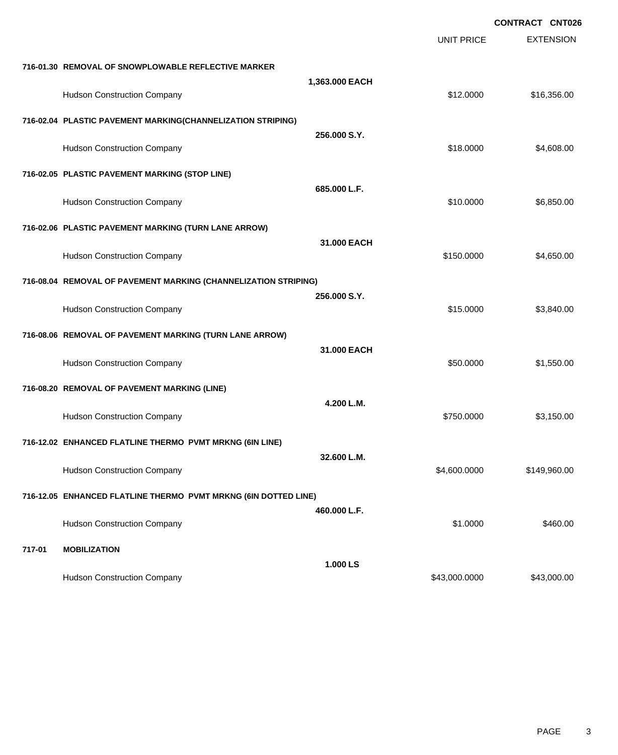|        |                                                                 |                |                   | <b>CONTRACT CNT026</b> |
|--------|-----------------------------------------------------------------|----------------|-------------------|------------------------|
|        |                                                                 |                | <b>UNIT PRICE</b> | <b>EXTENSION</b>       |
|        | 716-01.30 REMOVAL OF SNOWPLOWABLE REFLECTIVE MARKER             |                |                   |                        |
|        | <b>Hudson Construction Company</b>                              | 1,363.000 EACH | \$12.0000         | \$16,356.00            |
|        | 716-02.04 PLASTIC PAVEMENT MARKING(CHANNELIZATION STRIPING)     |                |                   |                        |
|        | <b>Hudson Construction Company</b>                              | 256.000 S.Y.   | \$18.0000         | \$4,608.00             |
|        | 716-02.05 PLASTIC PAVEMENT MARKING (STOP LINE)                  |                |                   |                        |
|        | <b>Hudson Construction Company</b>                              | 685.000 L.F.   | \$10.0000         | \$6,850.00             |
|        | 716-02.06 PLASTIC PAVEMENT MARKING (TURN LANE ARROW)            |                |                   |                        |
|        | <b>Hudson Construction Company</b>                              | 31.000 EACH    | \$150.0000        | \$4,650.00             |
|        | 716-08.04 REMOVAL OF PAVEMENT MARKING (CHANNELIZATION STRIPING) |                |                   |                        |
|        | <b>Hudson Construction Company</b>                              | 256.000 S.Y.   | \$15.0000         | \$3,840.00             |
|        | 716-08.06 REMOVAL OF PAVEMENT MARKING (TURN LANE ARROW)         |                |                   |                        |
|        | <b>Hudson Construction Company</b>                              | 31.000 EACH    | \$50.0000         | \$1,550.00             |
|        | 716-08.20 REMOVAL OF PAVEMENT MARKING (LINE)                    |                |                   |                        |
|        | <b>Hudson Construction Company</b>                              | 4.200 L.M.     | \$750.0000        | \$3,150.00             |
|        | 716-12.02 ENHANCED FLATLINE THERMO PVMT MRKNG (6IN LINE)        |                |                   |                        |
|        | <b>Hudson Construction Company</b>                              | 32.600 L.M.    | \$4,600.0000      | \$149,960.00           |
|        | 716-12.05 ENHANCED FLATLINE THERMO PVMT MRKNG (6IN DOTTED LINE) |                |                   |                        |
|        | <b>Hudson Construction Company</b>                              | 460.000 L.F.   | \$1.0000          | \$460.00               |
| 717-01 | <b>MOBILIZATION</b>                                             |                |                   |                        |
|        |                                                                 | 1.000 LS       |                   |                        |
|        | <b>Hudson Construction Company</b>                              |                | \$43,000.0000     | \$43,000.00            |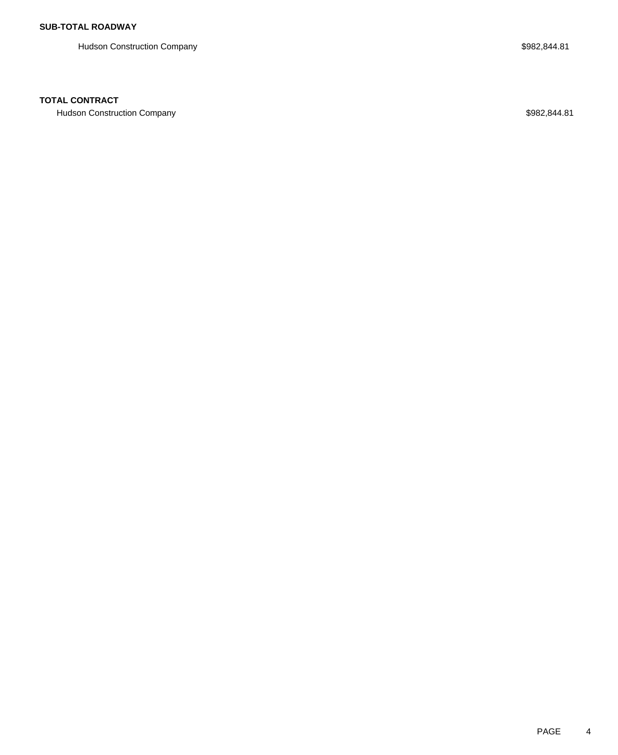Hudson Construction Company **\$982,844.81** 

## **TOTAL CONTRACT**

Hudson Construction Company **\$982,844.81**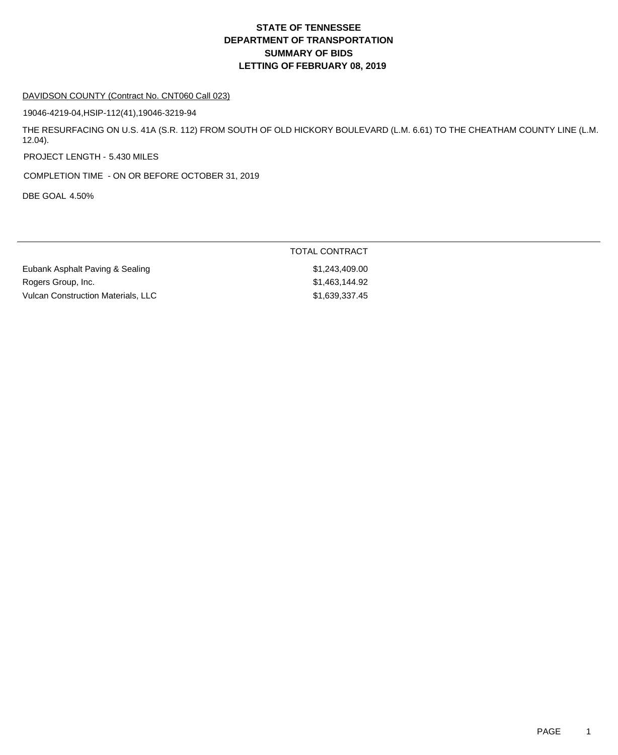#### DAVIDSON COUNTY (Contract No. CNT060 Call 023)

19046-4219-04,HSIP-112(41),19046-3219-94

THE RESURFACING ON U.S. 41A (S.R. 112) FROM SOUTH OF OLD HICKORY BOULEVARD (L.M. 6.61) TO THE CHEATHAM COUNTY LINE (L.M. 12.04).

PROJECT LENGTH - 5.430 MILES

COMPLETION TIME - ON OR BEFORE OCTOBER 31, 2019

DBE GOAL 4.50%

|                                    | TOTAL CONTRACT |
|------------------------------------|----------------|
| Eubank Asphalt Paving & Sealing    | \$1.243.409.00 |
| Rogers Group, Inc.                 | \$1.463.144.92 |
| Vulcan Construction Materials, LLC | \$1,639,337.45 |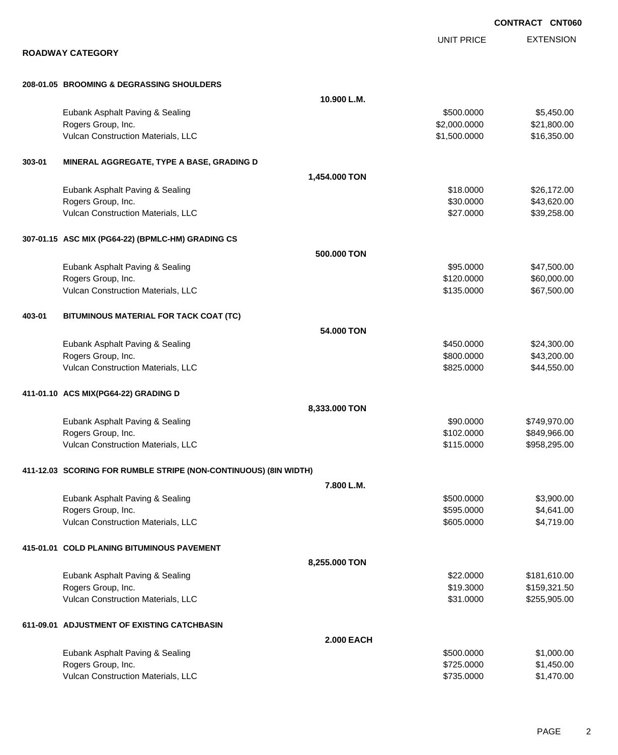EXTENSION UNIT PRICE **ROADWAY CATEGORY 208-01.05 BROOMING & DEGRASSING SHOULDERS 10.900 L.M.** Eubank Asphalt Paving & Sealing \$500.000 \$5,450.00 Rogers Group, Inc. \$21,800.000 \$2,000.0000 \$21,800.000 \$21,800.000 \$25,000 \$21,800.00 \$221,800.00 \$221,800.00 Vulcan Construction Materials, LLC 60000 \$16,350.000 \$16,350.000 \$16,350.00 **303-01 MINERAL AGGREGATE, TYPE A BASE, GRADING D 1,454.000 TON** Eubank Asphalt Paving & Sealing \$18.0000 \$26,172.00 Rogers Group, Inc. \$43,620.00 Vulcan Construction Materials, LLC 60000 \$39,258.00 **307-01.15 ASC MIX (PG64-22) (BPMLC-HM) GRADING CS 500.000 TON** Eubank Asphalt Paving & Sealing \$95.0000 \$47,500.00 Rogers Group, Inc. \$60,000.00 \$60,000.00 \$60,000.00 \$60,000.00 \$60,000.00 \$60,000.00 \$60,000.00 \$60,000.00 \$60 Vulcan Construction Materials, LLC 667,500.00 \$67,500.00 \$67,500.00 **403-01 BITUMINOUS MATERIAL FOR TACK COAT (TC) 54.000 TON** Eubank Asphalt Paving & Sealing \$450.000 \$24,300.00 Rogers Group, Inc. \$800.000 \$43,200.00 Vulcan Construction Materials, LLC 60000 \$44,550.00 **411-01.10 ACS MIX(PG64-22) GRADING D 8,333.000 TON** Eubank Asphalt Paving & Sealing \$90.000 \$749,970.00 Rogers Group, Inc. 66 and the state of the state of the state of the state of the state of the state of the state of the state of the state of the state of the state of the state of the state of the state of the state of t Vulcan Construction Materials, LLC 6. 2002 12:00 12:00 \$115.0000 \$958,295.00 **411-12.03 SCORING FOR RUMBLE STRIPE (NON-CONTINUOUS) (8IN WIDTH) 7.800 L.M.** Eubank Asphalt Paving & Sealing \$500.000 \$3,900.00 Rogers Group, Inc. \$595.0000 \$4,641.00 Vulcan Construction Materials, LLC 60000 \$4,719.00 **415-01.01 COLD PLANING BITUMINOUS PAVEMENT 8,255.000 TON** Eubank Asphalt Paving & Sealing \$25 and \$181,610.00 Rogers Group, Inc. \$159,321.50 Vulcan Construction Materials, LLC 60000 \$255,905.00 **611-09.01 ADJUSTMENT OF EXISTING CATCHBASIN 2.000 EACH** Eubank Asphalt Paving & Sealing \$500.0000 \$1,000.00 Rogers Group, Inc. \$1,450.00 \$1,450.00

Vulcan Construction Materials, LLC 60000 \$1,470.00

PAGE 2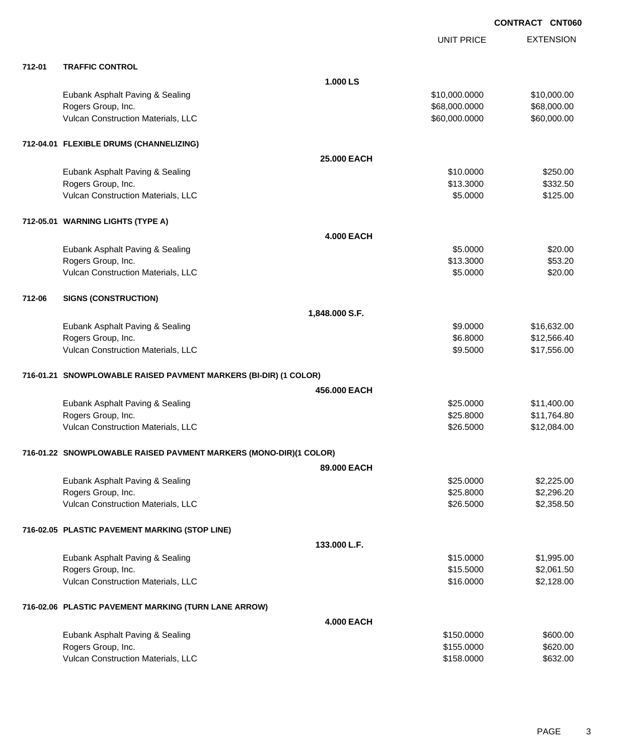|        |                                                                   |                    | <b>UNIT PRICE</b> | <b>EXTENSION</b> |
|--------|-------------------------------------------------------------------|--------------------|-------------------|------------------|
| 712-01 | <b>TRAFFIC CONTROL</b>                                            |                    |                   |                  |
|        |                                                                   | 1.000 LS           |                   |                  |
|        | Eubank Asphalt Paving & Sealing                                   |                    | \$10,000.0000     | \$10,000.00      |
|        | Rogers Group, Inc.                                                |                    | \$68,000.0000     | \$68,000.00      |
|        | Vulcan Construction Materials, LLC                                |                    | \$60,000.0000     | \$60,000.00      |
|        | 712-04.01 FLEXIBLE DRUMS (CHANNELIZING)                           |                    |                   |                  |
|        |                                                                   | <b>25.000 EACH</b> |                   |                  |
|        | Eubank Asphalt Paving & Sealing                                   |                    | \$10.0000         | \$250.00         |
|        | Rogers Group, Inc.                                                |                    | \$13.3000         | \$332.50         |
|        | Vulcan Construction Materials, LLC                                |                    | \$5.0000          | \$125.00         |
|        | 712-05.01 WARNING LIGHTS (TYPE A)                                 |                    |                   |                  |
|        |                                                                   | <b>4.000 EACH</b>  |                   |                  |
|        | Eubank Asphalt Paving & Sealing                                   |                    | \$5.0000          | \$20.00          |
|        | Rogers Group, Inc.                                                |                    | \$13.3000         | \$53.20          |
|        | Vulcan Construction Materials, LLC                                |                    | \$5.0000          | \$20.00          |
| 712-06 | <b>SIGNS (CONSTRUCTION)</b>                                       |                    |                   |                  |
|        |                                                                   | 1,848.000 S.F.     |                   |                  |
|        | Eubank Asphalt Paving & Sealing                                   |                    | \$9.0000          | \$16,632.00      |
|        | Rogers Group, Inc.                                                |                    | \$6.8000          | \$12,566.40      |
|        | Vulcan Construction Materials, LLC                                |                    | \$9.5000          | \$17,556.00      |
|        | 716-01.21 SNOWPLOWABLE RAISED PAVMENT MARKERS (BI-DIR) (1 COLOR)  |                    |                   |                  |
|        |                                                                   | 456,000 EACH       |                   |                  |
|        | Eubank Asphalt Paving & Sealing                                   |                    | \$25.0000         | \$11,400.00      |
|        | Rogers Group, Inc.                                                |                    | \$25.8000         | \$11,764.80      |
|        | Vulcan Construction Materials, LLC                                |                    | \$26.5000         | \$12,084.00      |
|        | 716-01.22 SNOWPLOWABLE RAISED PAVMENT MARKERS (MONO-DIR)(1 COLOR) |                    |                   |                  |
|        |                                                                   | 89.000 EACH        |                   |                  |
|        | Eubank Asphalt Paving & Sealing                                   |                    | \$25.0000         | \$2,225.00       |
|        | Rogers Group, Inc.                                                |                    | \$25.8000         | \$2,296.20       |
|        | Vulcan Construction Materials, LLC                                |                    | \$26.5000         | \$2,358.50       |
|        | 716-02.05 PLASTIC PAVEMENT MARKING (STOP LINE)                    |                    |                   |                  |
|        |                                                                   | 133.000 L.F.       |                   |                  |
|        | Eubank Asphalt Paving & Sealing                                   |                    | \$15.0000         | \$1,995.00       |
|        | Rogers Group, Inc.                                                |                    | \$15.5000         | \$2,061.50       |
|        | Vulcan Construction Materials, LLC                                |                    | \$16.0000         | \$2,128.00       |
|        | 716-02.06 PLASTIC PAVEMENT MARKING (TURN LANE ARROW)              |                    |                   |                  |
|        |                                                                   | <b>4.000 EACH</b>  |                   |                  |
|        | Eubank Asphalt Paving & Sealing                                   |                    | \$150.0000        | \$600.00         |
|        | Rogers Group, Inc.                                                |                    | \$155.0000        | \$620.00         |
|        | Vulcan Construction Materials, LLC                                |                    | \$158.0000        | \$632.00         |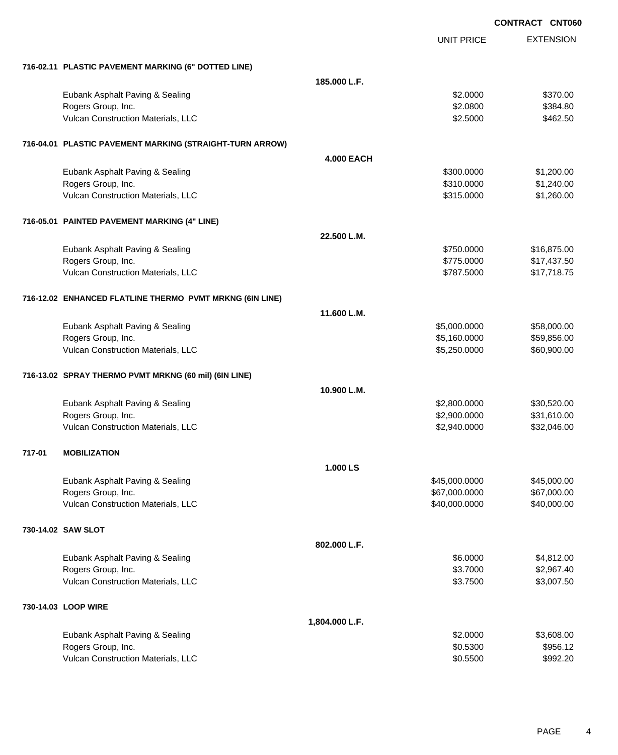|        |                                                          |                   |                   | <b>CONTRACT CNT060</b> |
|--------|----------------------------------------------------------|-------------------|-------------------|------------------------|
|        |                                                          |                   | <b>UNIT PRICE</b> | <b>EXTENSION</b>       |
|        | 716-02.11 PLASTIC PAVEMENT MARKING (6" DOTTED LINE)      |                   |                   |                        |
|        |                                                          | 185.000 L.F.      |                   |                        |
|        | Eubank Asphalt Paving & Sealing                          |                   | \$2.0000          | \$370.00               |
|        | Rogers Group, Inc.                                       |                   | \$2.0800          | \$384.80               |
|        | Vulcan Construction Materials, LLC                       |                   | \$2.5000          | \$462.50               |
|        | 716-04.01 PLASTIC PAVEMENT MARKING (STRAIGHT-TURN ARROW) |                   |                   |                        |
|        |                                                          | <b>4.000 EACH</b> |                   |                        |
|        | Eubank Asphalt Paving & Sealing                          |                   | \$300.0000        | \$1,200.00             |
|        | Rogers Group, Inc.                                       |                   | \$310.0000        | \$1,240.00             |
|        | Vulcan Construction Materials, LLC                       |                   | \$315.0000        | \$1,260.00             |
|        | 716-05.01 PAINTED PAVEMENT MARKING (4" LINE)             |                   |                   |                        |
|        |                                                          | 22.500 L.M.       |                   |                        |
|        | Eubank Asphalt Paving & Sealing                          |                   | \$750.0000        | \$16,875.00            |
|        | Rogers Group, Inc.                                       |                   | \$775.0000        | \$17,437.50            |
|        | Vulcan Construction Materials, LLC                       |                   | \$787.5000        | \$17,718.75            |
|        | 716-12.02 ENHANCED FLATLINE THERMO PVMT MRKNG (6IN LINE) |                   |                   |                        |
|        |                                                          | 11.600 L.M.       |                   |                        |
|        | Eubank Asphalt Paving & Sealing                          |                   | \$5,000.0000      | \$58,000.00            |
|        | Rogers Group, Inc.                                       |                   | \$5,160.0000      | \$59,856.00            |
|        | Vulcan Construction Materials, LLC                       |                   | \$5,250.0000      | \$60,900.00            |
|        | 716-13.02 SPRAY THERMO PVMT MRKNG (60 mil) (6IN LINE)    |                   |                   |                        |
|        |                                                          | 10.900 L.M.       |                   |                        |
|        | Eubank Asphalt Paving & Sealing                          |                   | \$2,800.0000      | \$30,520.00            |
|        | Rogers Group, Inc.                                       |                   | \$2,900.0000      | \$31,610.00            |
|        | Vulcan Construction Materials, LLC                       |                   | \$2,940.0000      | \$32,046.00            |
| 717-01 | <b>MOBILIZATION</b>                                      |                   |                   |                        |
|        |                                                          | 1.000 LS          |                   |                        |
|        | Eubank Asphalt Paving & Sealing                          |                   | \$45,000.0000     | \$45,000.00            |
|        | Rogers Group, Inc.                                       |                   | \$67,000.0000     | \$67,000.00            |
|        | Vulcan Construction Materials, LLC                       |                   | \$40,000.0000     | \$40,000.00            |
|        | 730-14.02 SAW SLOT                                       |                   |                   |                        |
|        |                                                          | 802.000 L.F.      |                   |                        |
|        | Eubank Asphalt Paving & Sealing                          |                   | \$6.0000          | \$4,812.00             |
|        | Rogers Group, Inc.                                       |                   | \$3.7000          | \$2,967.40             |
|        | Vulcan Construction Materials, LLC                       |                   | \$3.7500          | \$3,007.50             |
|        | 730-14.03 LOOP WIRE                                      |                   |                   |                        |
|        |                                                          | 1,804.000 L.F.    |                   |                        |
|        | Eubank Asphalt Paving & Sealing                          |                   | \$2.0000          | \$3,608.00             |
|        | Rogers Group, Inc.                                       |                   | \$0.5300          | \$956.12               |
|        | Vulcan Construction Materials, LLC                       |                   | \$0.5500          | \$992.20               |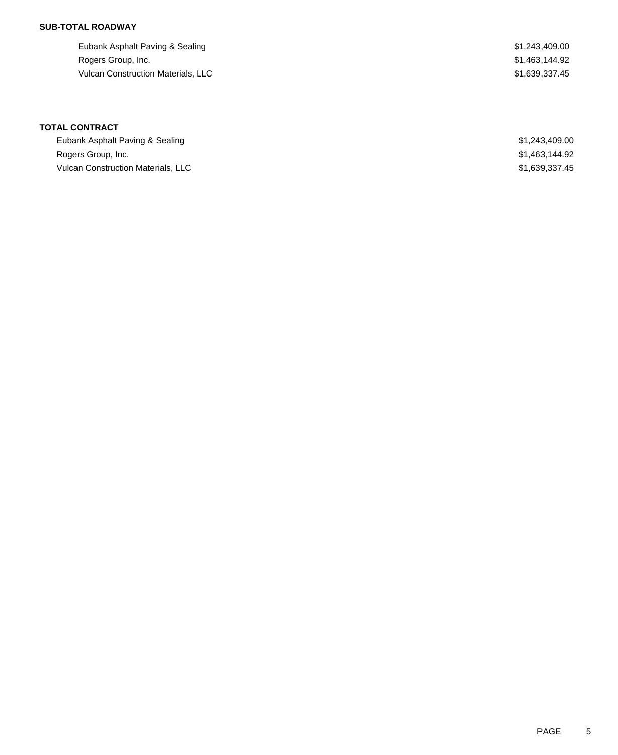## **SUB-TOTAL ROADWAY**

Eubank Asphalt Paving & Sealing  $$1,243,409.00$ Rogers Group, Inc. \$1,463,144.92 Vulcan Construction Materials, LLC 639,337.45

# **TOTAL CONTRACT**

| Eubank Asphalt Paving & Sealing           | \$1,243,409.00 |
|-------------------------------------------|----------------|
| Rogers Group, Inc.                        | \$1,463,144.92 |
| <b>Vulcan Construction Materials, LLC</b> | \$1,639,337.45 |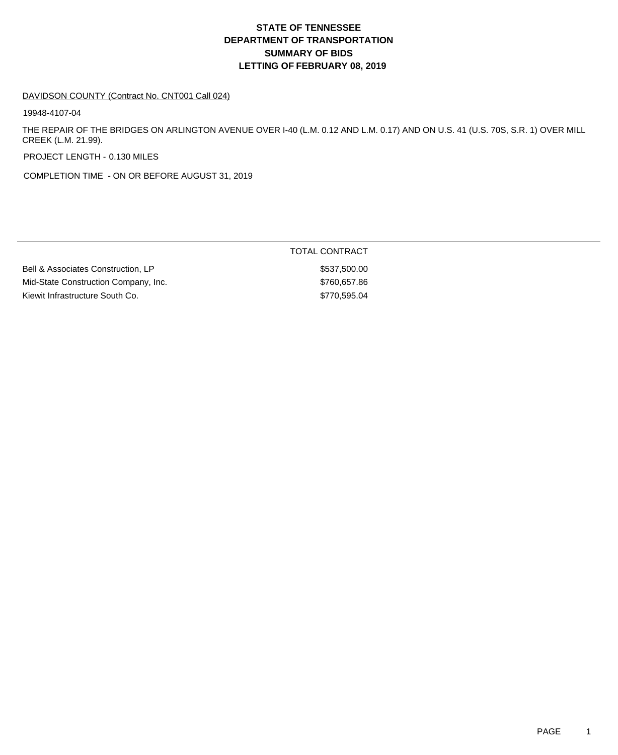#### DAVIDSON COUNTY (Contract No. CNT001 Call 024)

19948-4107-04

THE REPAIR OF THE BRIDGES ON ARLINGTON AVENUE OVER I-40 (L.M. 0.12 AND L.M. 0.17) AND ON U.S. 41 (U.S. 70S, S.R. 1) OVER MILL CREEK (L.M. 21.99).

PROJECT LENGTH - 0.130 MILES

COMPLETION TIME - ON OR BEFORE AUGUST 31, 2019

|                                      | TOTAL CONTRACT |
|--------------------------------------|----------------|
| Bell & Associates Construction, LP   | \$537,500.00   |
| Mid-State Construction Company, Inc. | \$760,657.86   |
| Kiewit Infrastructure South Co.      | \$770,595.04   |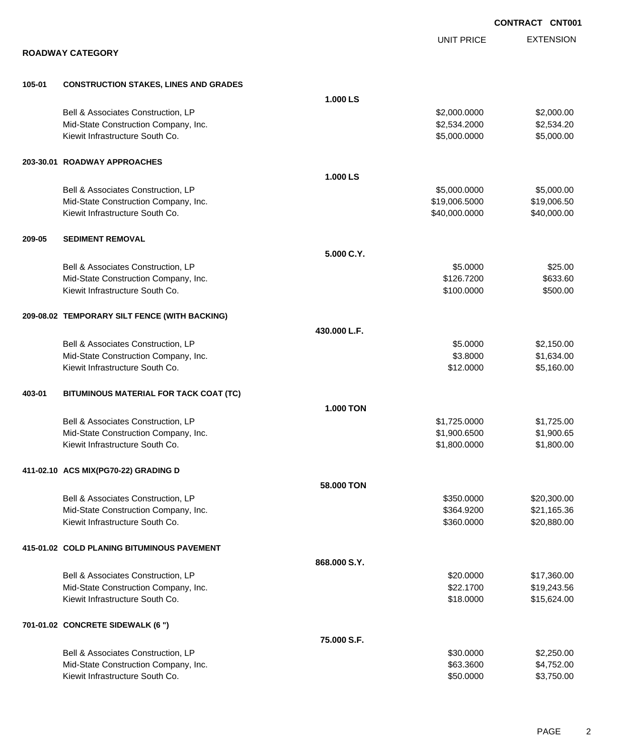|        |                                               |                  |                   | <b>CONTRACT CNT001</b> |
|--------|-----------------------------------------------|------------------|-------------------|------------------------|
|        |                                               |                  | <b>UNIT PRICE</b> | <b>EXTENSION</b>       |
|        | <b>ROADWAY CATEGORY</b>                       |                  |                   |                        |
| 105-01 | <b>CONSTRUCTION STAKES, LINES AND GRADES</b>  |                  |                   |                        |
|        |                                               | 1.000 LS         |                   |                        |
|        | Bell & Associates Construction, LP            |                  | \$2,000.0000      | \$2,000.00             |
|        | Mid-State Construction Company, Inc.          |                  | \$2,534.2000      | \$2,534.20             |
|        | Kiewit Infrastructure South Co.               |                  | \$5,000.0000      | \$5,000.00             |
|        | 203-30.01 ROADWAY APPROACHES                  |                  |                   |                        |
|        |                                               | 1.000 LS         |                   |                        |
|        | Bell & Associates Construction, LP            |                  | \$5,000.0000      | \$5,000.00             |
|        | Mid-State Construction Company, Inc.          |                  | \$19,006.5000     | \$19,006.50            |
|        | Kiewit Infrastructure South Co.               |                  | \$40,000.0000     | \$40,000.00            |
| 209-05 | <b>SEDIMENT REMOVAL</b>                       |                  |                   |                        |
|        |                                               | 5.000 C.Y.       |                   |                        |
|        | Bell & Associates Construction, LP            |                  | \$5.0000          | \$25.00                |
|        | Mid-State Construction Company, Inc.          |                  | \$126.7200        | \$633.60               |
|        | Kiewit Infrastructure South Co.               |                  | \$100.0000        | \$500.00               |
|        | 209-08.02 TEMPORARY SILT FENCE (WITH BACKING) |                  |                   |                        |
|        |                                               | 430.000 L.F.     |                   |                        |
|        | Bell & Associates Construction, LP            |                  | \$5.0000          | \$2,150.00             |
|        | Mid-State Construction Company, Inc.          |                  | \$3.8000          | \$1,634.00             |
|        | Kiewit Infrastructure South Co.               |                  | \$12.0000         | \$5,160.00             |
| 403-01 | BITUMINOUS MATERIAL FOR TACK COAT (TC)        |                  |                   |                        |
|        |                                               | <b>1.000 TON</b> |                   |                        |
|        | Bell & Associates Construction, LP            |                  | \$1,725.0000      | \$1,725.00             |
|        | Mid-State Construction Company, Inc.          |                  | \$1,900.6500      | \$1,900.65             |
|        | Kiewit Infrastructure South Co.               |                  | \$1,800.0000      | \$1,800.00             |
|        | 411-02.10 ACS MIX(PG70-22) GRADING D          |                  |                   |                        |
|        |                                               | 58.000 TON       |                   |                        |
|        | Bell & Associates Construction, LP            |                  | \$350.0000        | \$20,300.00            |
|        | Mid-State Construction Company, Inc.          |                  | \$364.9200        | \$21,165.36            |
|        | Kiewit Infrastructure South Co.               |                  | \$360.0000        | \$20,880.00            |
|        | 415-01.02 COLD PLANING BITUMINOUS PAVEMENT    |                  |                   |                        |
|        |                                               | 868.000 S.Y.     |                   |                        |
|        | Bell & Associates Construction, LP            |                  | \$20.0000         | \$17,360.00            |
|        | Mid-State Construction Company, Inc.          |                  | \$22.1700         | \$19,243.56            |
|        | Kiewit Infrastructure South Co.               |                  | \$18.0000         | \$15,624.00            |
|        | 701-01.02 CONCRETE SIDEWALK (6 ")             |                  |                   |                        |
|        |                                               | 75.000 S.F.      |                   |                        |
|        | Bell & Associates Construction, LP            |                  | \$30.0000         | \$2,250.00             |
|        | Mid-State Construction Company, Inc.          |                  | \$63.3600         | \$4,752.00             |
|        | Kiewit Infrastructure South Co.               |                  | \$50.0000         | \$3,750.00             |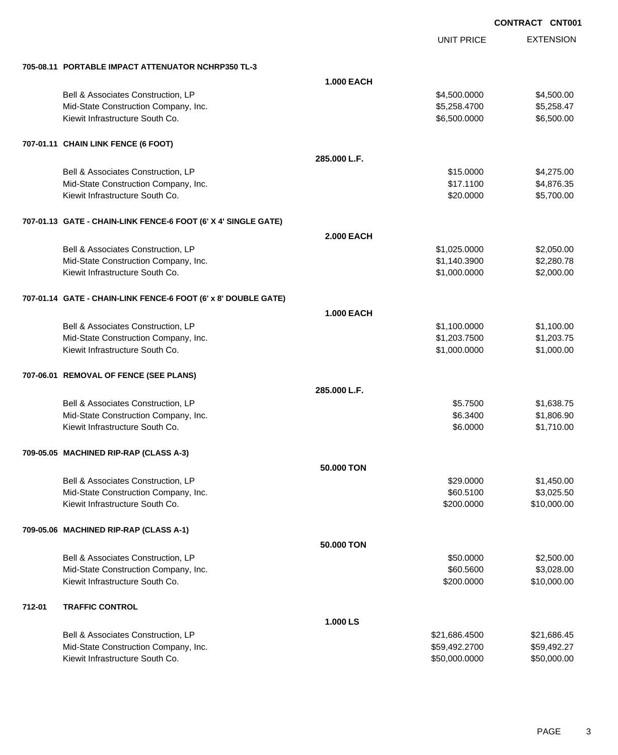|        |                                                                |                   | <b>UNIT PRICE</b> | <b>EXTENSION</b> |
|--------|----------------------------------------------------------------|-------------------|-------------------|------------------|
|        | 705-08.11 PORTABLE IMPACT ATTENUATOR NCHRP350 TL-3             |                   |                   |                  |
|        |                                                                | <b>1.000 EACH</b> |                   |                  |
|        | Bell & Associates Construction, LP                             |                   | \$4,500.0000      | \$4,500.00       |
|        | Mid-State Construction Company, Inc.                           |                   | \$5,258.4700      | \$5,258.47       |
|        | Kiewit Infrastructure South Co.                                |                   | \$6,500.0000      | \$6,500.00       |
|        | 707-01.11 CHAIN LINK FENCE (6 FOOT)                            |                   |                   |                  |
|        |                                                                | 285.000 L.F.      |                   |                  |
|        | Bell & Associates Construction, LP                             |                   | \$15.0000         | \$4,275.00       |
|        | Mid-State Construction Company, Inc.                           |                   | \$17.1100         | \$4,876.35       |
|        | Kiewit Infrastructure South Co.                                |                   | \$20.0000         | \$5,700.00       |
|        | 707-01.13 GATE - CHAIN-LINK FENCE-6 FOOT (6' X 4' SINGLE GATE) |                   |                   |                  |
|        |                                                                | <b>2.000 EACH</b> |                   |                  |
|        | Bell & Associates Construction, LP                             |                   | \$1,025.0000      | \$2,050.00       |
|        | Mid-State Construction Company, Inc.                           |                   | \$1,140.3900      | \$2,280.78       |
|        | Kiewit Infrastructure South Co.                                |                   | \$1,000.0000      | \$2,000.00       |
|        | 707-01.14 GATE - CHAIN-LINK FENCE-6 FOOT (6' x 8' DOUBLE GATE) |                   |                   |                  |
|        |                                                                | <b>1.000 EACH</b> |                   |                  |
|        | Bell & Associates Construction, LP                             |                   | \$1,100.0000      | \$1,100.00       |
|        | Mid-State Construction Company, Inc.                           |                   | \$1,203.7500      | \$1,203.75       |
|        | Kiewit Infrastructure South Co.                                |                   | \$1,000.0000      | \$1,000.00       |
|        | 707-06.01 REMOVAL OF FENCE (SEE PLANS)                         |                   |                   |                  |
|        |                                                                | 285.000 L.F.      |                   |                  |
|        | Bell & Associates Construction, LP                             |                   | \$5.7500          | \$1,638.75       |
|        | Mid-State Construction Company, Inc.                           |                   | \$6.3400          | \$1,806.90       |
|        | Kiewit Infrastructure South Co.                                |                   | \$6.0000          | \$1,710.00       |
|        | 709-05.05 MACHINED RIP-RAP (CLASS A-3)                         |                   |                   |                  |
|        |                                                                | 50,000 TON        |                   |                  |
|        | Bell & Associates Construction, LP                             |                   | \$29.0000         | \$1,450.00       |
|        | Mid-State Construction Company, Inc.                           |                   | \$60.5100         | \$3,025.50       |
|        | Kiewit Infrastructure South Co.                                |                   | \$200.0000        | \$10,000.00      |
|        | 709-05.06 MACHINED RIP-RAP (CLASS A-1)                         |                   |                   |                  |
|        |                                                                | 50.000 TON        |                   |                  |
|        | Bell & Associates Construction, LP                             |                   | \$50.0000         | \$2,500.00       |
|        | Mid-State Construction Company, Inc.                           |                   | \$60.5600         | \$3,028.00       |
|        | Kiewit Infrastructure South Co.                                |                   | \$200.0000        | \$10,000.00      |
| 712-01 | <b>TRAFFIC CONTROL</b>                                         |                   |                   |                  |
|        |                                                                | 1.000 LS          |                   |                  |
|        | Bell & Associates Construction, LP                             |                   | \$21,686.4500     | \$21,686.45      |
|        | Mid-State Construction Company, Inc.                           |                   | \$59,492.2700     | \$59,492.27      |
|        | Kiewit Infrastructure South Co.                                |                   | \$50,000.0000     | \$50,000.00      |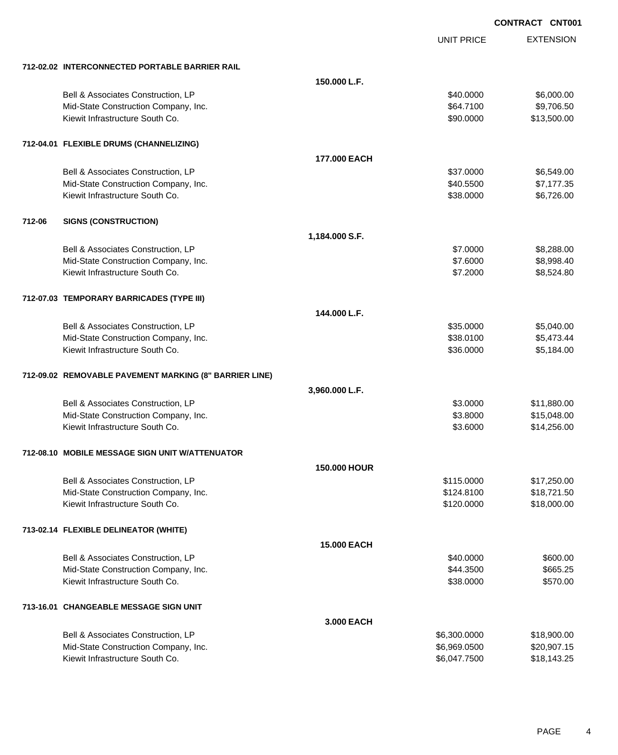EXTENSION **CONTRACT CNT001** UNIT PRICE **712-02.02 INTERCONNECTED PORTABLE BARRIER RAIL 150.000 L.F.** Bell & Associates Construction, LP 6,000.00 \$6,000.00 \$6,000.00 Mid-State Construction Company, Inc. 664.7100 \$9,706.50 Kiewit Infrastructure South Co. **\$90.000 \$13,500.00** \$13,500.00 **712-04.01 FLEXIBLE DRUMS (CHANNELIZING) 177.000 EACH** Bell & Associates Construction, LP 6,549.00 Mid-State Construction Company, Inc. 6. The Construction Company, Inc. 6. The Construction Company, Inc. 6. The Construction Company, Inc. 6. The Construction Company, Inc. 6. The Construction Company, Inc. 6. The Construc Kiewit Infrastructure South Co. **\$38.0000 \$6,726.00** \$6,726.00 **712-06 SIGNS (CONSTRUCTION) 1,184.000 S.F.** Bell & Associates Construction, LP 68,288.00 Mid-State Construction Company, Inc. 6. The Construction Company, Inc. 6. The Construction Company, Inc. 6. The Construction Company, Inc. 6. The Construction Company, Inc. 6. The Construction Company, Inc. 6. The Construc Kiewit Infrastructure South Co. **68,524.80** \$8,524.80 **712-07.03 TEMPORARY BARRICADES (TYPE III) 144.000 L.F.** Bell & Associates Construction, LP 66 and the state of the state of the state of the state of the state of the state of the state of the state of the state of the state of the state of the state of the state of the state o Mid-State Construction Company, Inc. 6. The Construction Company, Inc. 6. The Construction Company, Inc. 6. The Construction Company, Inc. 6. The Construction Company, Inc. 6. The Construction Company, Inc. 6. The Construc Kiewit Infrastructure South Co. **\$36.0000** \$5,184.00 **712-09.02 REMOVABLE PAVEMENT MARKING (8" BARRIER LINE) 3,960.000 L.F.** Bell & Associates Construction, LP 611,880.00 Mid-State Construction Company, Inc. 6. The Construction Company, Inc. 6. The Construction Company, Inc. 6. The Construction Company, Inc. 6. The Construction Company, Inc. 6. The Construction Company, Inc. 6. The Construc Kiewit Infrastructure South Co. **\$14,256.00** \$14,256.00 **712-08.10 MOBILE MESSAGE SIGN UNIT W/ATTENUATOR 150.000 HOUR** Bell & Associates Construction, LP **\$115.0000** \$17,250.00 Mid-State Construction Company, Inc.  $$124.8100$   $$18,721.50$ Kiewit Infrastructure South Co. **\$120.0000 \$18,000.00** \$18,000.00 **713-02.14 FLEXIBLE DELINEATOR (WHITE) 15.000 EACH** Bell & Associates Construction, LP 600.00 \$600.00 Mid-State Construction Company, Inc. 665.25 and the state of the state of the state Construction Company, Inc. Kiewit Infrastructure South Co. **\$570.00** \$38.0000 \$570.00 **713-16.01 CHANGEABLE MESSAGE SIGN UNIT 3.000 EACH** Bell & Associates Construction, LP 6,300,000 \$18,900.000 \$18,900.00 Mid-State Construction Company, Inc. 6.6969.0500 \$20,907.15 Kiewit Infrastructure South Co. **\$6,047.7500** \$18,143.25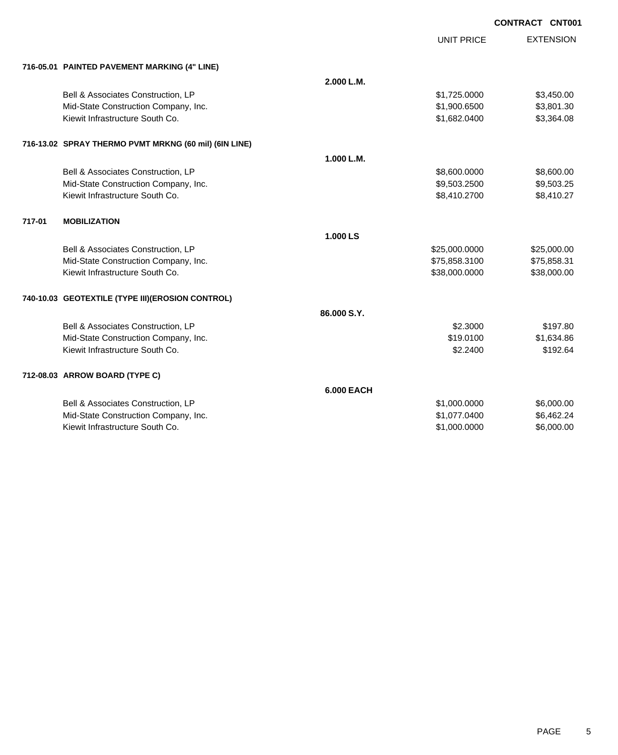UNIT PRICE

EXTENSION

| 716-05.01 PAINTED PAVEMENT MARKING (4" LINE) |  |
|----------------------------------------------|--|

|        | 716-05.01 PAINTED PAVEMENT MARKING (4" LINE)          |                   |               |             |
|--------|-------------------------------------------------------|-------------------|---------------|-------------|
|        |                                                       | 2.000 L.M.        |               |             |
|        | Bell & Associates Construction, LP                    |                   | \$1,725.0000  | \$3,450.00  |
|        | Mid-State Construction Company, Inc.                  |                   | \$1,900.6500  | \$3,801.30  |
|        | Kiewit Infrastructure South Co.                       |                   | \$1,682.0400  | \$3,364.08  |
|        | 716-13.02 SPRAY THERMO PVMT MRKNG (60 mil) (6IN LINE) |                   |               |             |
|        |                                                       | 1.000 L.M.        |               |             |
|        | Bell & Associates Construction, LP                    |                   | \$8,600.0000  | \$8,600.00  |
|        | Mid-State Construction Company, Inc.                  |                   | \$9,503.2500  | \$9,503.25  |
|        | Kiewit Infrastructure South Co.                       |                   | \$8,410.2700  | \$8,410.27  |
| 717-01 | <b>MOBILIZATION</b>                                   |                   |               |             |
|        |                                                       | 1.000 LS          |               |             |
|        | Bell & Associates Construction, LP                    |                   | \$25,000.0000 | \$25,000.00 |
|        | Mid-State Construction Company, Inc.                  |                   | \$75,858.3100 | \$75,858.31 |
|        | Kiewit Infrastructure South Co.                       |                   | \$38,000.0000 | \$38,000.00 |
|        | 740-10.03 GEOTEXTILE (TYPE III)(EROSION CONTROL)      |                   |               |             |
|        |                                                       | 86.000 S.Y.       |               |             |
|        | Bell & Associates Construction, LP                    |                   | \$2.3000      | \$197.80    |
|        | Mid-State Construction Company, Inc.                  |                   | \$19,0100     | \$1,634.86  |
|        | Kiewit Infrastructure South Co.                       |                   | \$2,2400      | \$192.64    |
|        | 712-08.03 ARROW BOARD (TYPE C)                        |                   |               |             |
|        |                                                       | <b>6.000 EACH</b> |               |             |
|        | Bell & Associates Construction, LP                    |                   | \$1,000.0000  | \$6,000.00  |
|        | Mid-State Construction Company, Inc.                  |                   | \$1,077.0400  | \$6,462.24  |
|        | Kiewit Infrastructure South Co.                       |                   | \$1,000.0000  | \$6,000.00  |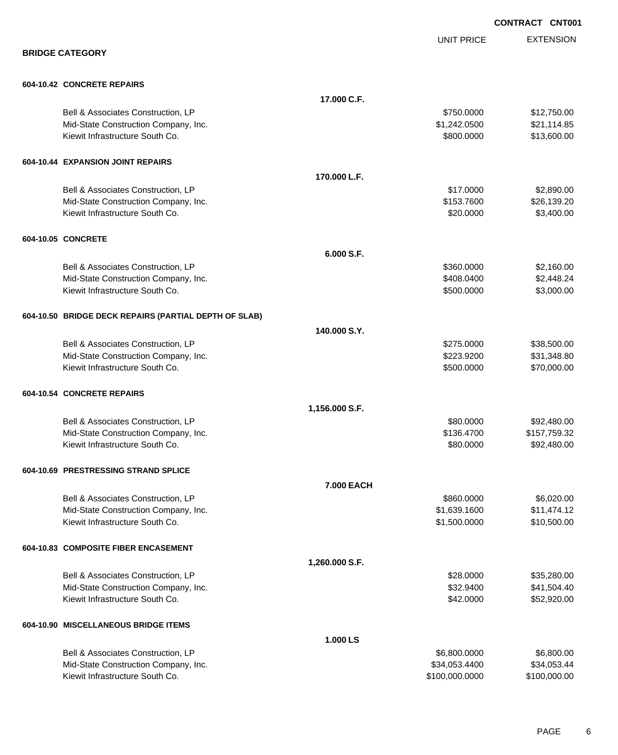|                                                       |                |                   | <b>CONTRACT CNT001</b> |
|-------------------------------------------------------|----------------|-------------------|------------------------|
|                                                       |                | <b>UNIT PRICE</b> | <b>EXTENSION</b>       |
| <b>BRIDGE CATEGORY</b>                                |                |                   |                        |
| 604-10.42 CONCRETE REPAIRS                            |                |                   |                        |
|                                                       | 17.000 C.F.    |                   |                        |
| Bell & Associates Construction, LP                    |                | \$750.0000        | \$12,750.00            |
| Mid-State Construction Company, Inc.                  |                | \$1,242.0500      | \$21,114.85            |
| Kiewit Infrastructure South Co.                       |                | \$800.0000        | \$13,600.00            |
| 604-10.44 EXPANSION JOINT REPAIRS                     |                |                   |                        |
|                                                       | 170.000 L.F.   |                   |                        |
| Bell & Associates Construction, LP                    |                | \$17.0000         | \$2,890.00             |
| Mid-State Construction Company, Inc.                  |                | \$153.7600        | \$26,139.20            |
| Kiewit Infrastructure South Co.                       |                | \$20.0000         | \$3,400.00             |
| 604-10.05 CONCRETE                                    |                |                   |                        |
|                                                       | 6.000 S.F.     |                   |                        |
| Bell & Associates Construction, LP                    |                | \$360.0000        | \$2,160.00             |
| Mid-State Construction Company, Inc.                  |                | \$408.0400        | \$2,448.24             |
| Kiewit Infrastructure South Co.                       |                | \$500.0000        | \$3,000.00             |
| 604-10.50 BRIDGE DECK REPAIRS (PARTIAL DEPTH OF SLAB) |                |                   |                        |
|                                                       | 140.000 S.Y.   |                   |                        |
| Bell & Associates Construction, LP                    |                | \$275.0000        | \$38,500.00            |
| Mid-State Construction Company, Inc.                  |                | \$223.9200        | \$31,348.80            |
| Kiewit Infrastructure South Co.                       |                | \$500.0000        | \$70,000.00            |
| 604-10.54 CONCRETE REPAIRS                            |                |                   |                        |
|                                                       | 1,156.000 S.F. |                   |                        |
| Bell & Associates Construction, LP                    |                | \$80,0000         | \$92,480.00            |
| Mid-State Construction Company, Inc.                  |                | \$136.4700        | \$157,759.32           |
| Kiewit Infrastructure South Co.                       |                | \$80.0000         | \$92,480.00            |
| 604-10.69 PRESTRESSING STRAND SPLICE                  |                |                   |                        |
|                                                       | 7.000 EACH     |                   |                        |
| Bell & Associates Construction, LP                    |                | \$860.0000        | \$6,020.00             |
| Mid-State Construction Company, Inc.                  |                | \$1,639.1600      | \$11,474.12            |
| Kiewit Infrastructure South Co.                       |                | \$1,500.0000      | \$10,500.00            |
| 604-10.83 COMPOSITE FIBER ENCASEMENT                  |                |                   |                        |
|                                                       | 1,260.000 S.F. |                   |                        |
| Bell & Associates Construction, LP                    |                | \$28.0000         | \$35,280.00            |
| Mid-State Construction Company, Inc.                  |                | \$32.9400         | \$41,504.40            |
| Kiewit Infrastructure South Co.                       |                | \$42.0000         | \$52,920.00            |
| 604-10.90 MISCELLANEOUS BRIDGE ITEMS                  |                |                   |                        |
|                                                       | 1.000 LS       |                   |                        |
| Bell & Associates Construction, LP                    |                | \$6,800.0000      | \$6,800.00             |
| Mid-State Construction Company, Inc.                  |                | \$34,053.4400     | \$34,053.44            |
| Kiewit Infrastructure South Co.                       |                | \$100,000.0000    | \$100,000.00           |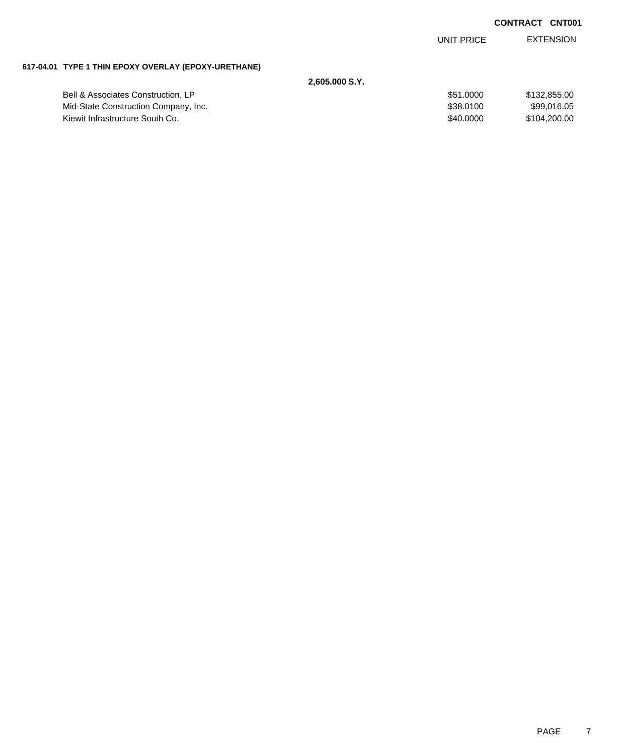UNIT PRICE EXTENSION

## **617-04.01 TYPE 1 THIN EPOXY OVERLAY (EPOXY-URETHANE)**

| 2.605.000 S.Y.                       |           |              |
|--------------------------------------|-----------|--------------|
| Bell & Associates Construction, LP   | \$51,0000 | \$132.855.00 |
| Mid-State Construction Company, Inc. | \$38,0100 | \$99.016.05  |
| Kiewit Infrastructure South Co.      | \$40,0000 | \$104.200.00 |
|                                      |           |              |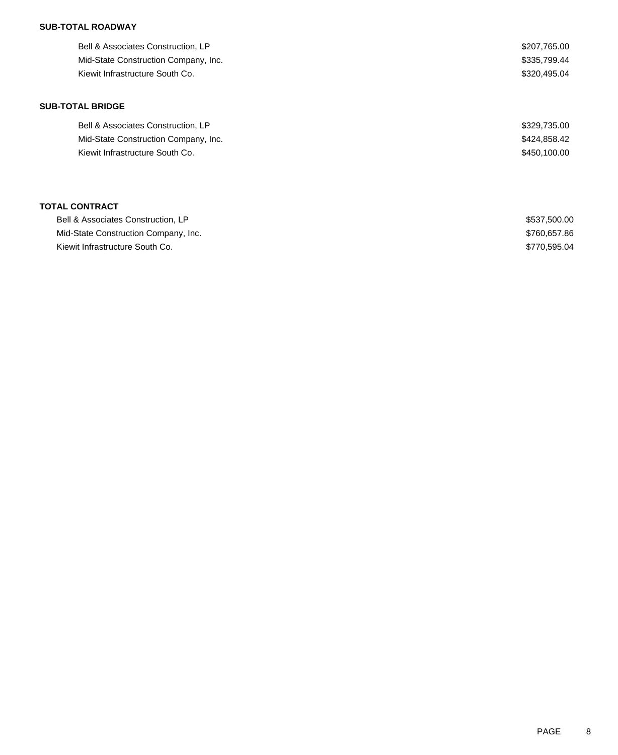### **SUB-TOTAL ROADWAY**

| Bell & Associates Construction, LP   | \$207,765.00 |
|--------------------------------------|--------------|
| Mid-State Construction Company, Inc. | \$335,799.44 |
| Kiewit Infrastructure South Co.      | \$320,495.04 |
|                                      |              |
| <b>SUB-TOTAL BRIDGE</b>              |              |

| Bell & Associates Construction, LP   | \$329,735.00 |
|--------------------------------------|--------------|
| Mid-State Construction Company, Inc. | \$424.858.42 |
| Kiewit Infrastructure South Co.      | \$450,100,00 |

## **TOTAL CONTRACT**

| Bell & Associates Construction, LP   | \$537,500.00 |
|--------------------------------------|--------------|
| Mid-State Construction Company, Inc. | \$760,657,86 |
| Kiewit Infrastructure South Co.      | \$770.595.04 |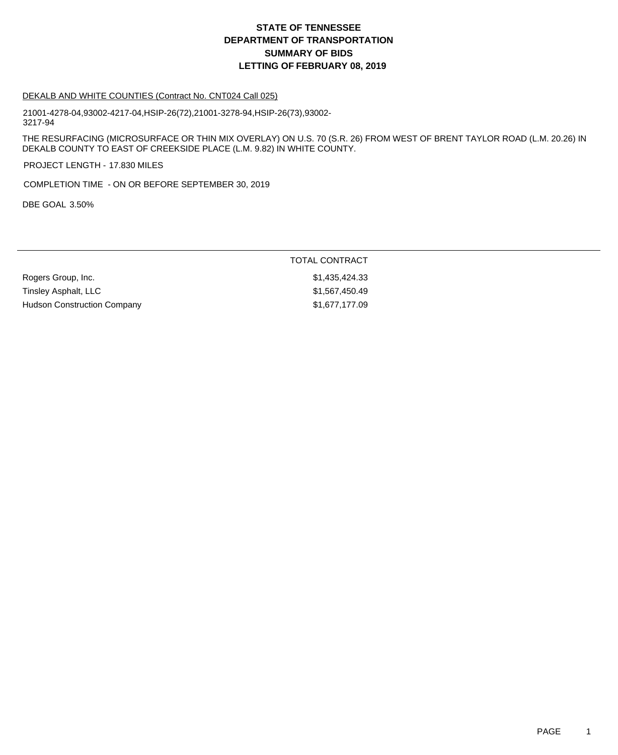#### DEKALB AND WHITE COUNTIES (Contract No. CNT024 Call 025)

21001-4278-04,93002-4217-04,HSIP-26(72),21001-3278-94,HSIP-26(73),93002- 3217-94

THE RESURFACING (MICROSURFACE OR THIN MIX OVERLAY) ON U.S. 70 (S.R. 26) FROM WEST OF BRENT TAYLOR ROAD (L.M. 20.26) IN DEKALB COUNTY TO EAST OF CREEKSIDE PLACE (L.M. 9.82) IN WHITE COUNTY.

PROJECT LENGTH - 17.830 MILES

COMPLETION TIME - ON OR BEFORE SEPTEMBER 30, 2019

DBE GOAL 3.50%

#### TOTAL CONTRACT

Rogers Group, Inc. 6. 2010 12:33 1.435,424.33 Tinsley Asphalt, LLC \$1,567,450.49 Hudson Construction Company 61,677,177.09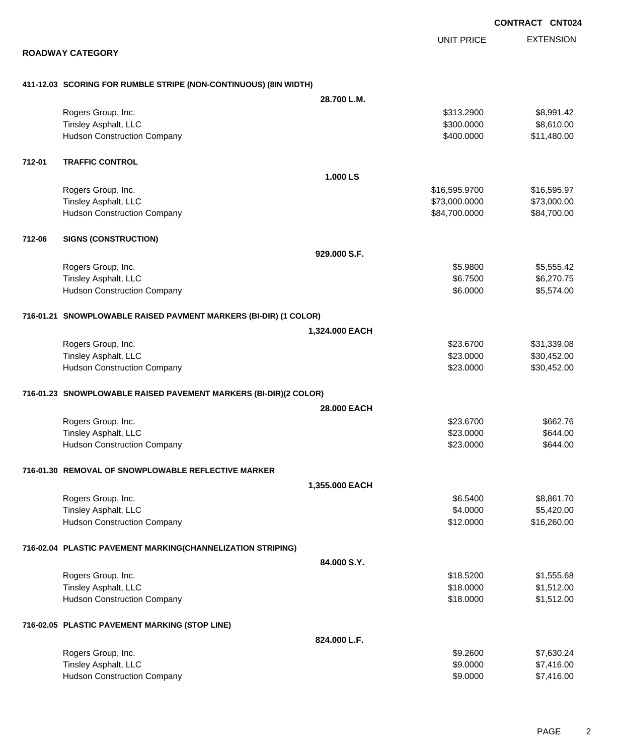EXTENSION UNIT PRICE

#### **ROADWAY CATEGORY**

# **411-12.03 SCORING FOR RUMBLE STRIPE (NON-CONTINUOUS) (8IN WIDTH)**

|        |                                                                  | 28.700 L.M.    |               |             |
|--------|------------------------------------------------------------------|----------------|---------------|-------------|
|        | Rogers Group, Inc.                                               |                | \$313.2900    | \$8,991.42  |
|        | Tinsley Asphalt, LLC                                             |                | \$300.0000    | \$8,610.00  |
|        | <b>Hudson Construction Company</b>                               |                | \$400.0000    | \$11,480.00 |
| 712-01 | <b>TRAFFIC CONTROL</b>                                           |                |               |             |
|        |                                                                  | 1.000 LS       |               |             |
|        | Rogers Group, Inc.                                               |                | \$16,595.9700 | \$16,595.97 |
|        | Tinsley Asphalt, LLC                                             |                | \$73,000.0000 | \$73,000.00 |
|        | <b>Hudson Construction Company</b>                               |                | \$84,700.0000 | \$84,700.00 |
| 712-06 | <b>SIGNS (CONSTRUCTION)</b>                                      |                |               |             |
|        |                                                                  | 929.000 S.F.   |               |             |
|        | Rogers Group, Inc.                                               |                | \$5.9800      | \$5,555.42  |
|        | Tinsley Asphalt, LLC                                             |                | \$6.7500      | \$6,270.75  |
|        | <b>Hudson Construction Company</b>                               |                | \$6.0000      | \$5,574.00  |
|        | 716-01.21 SNOWPLOWABLE RAISED PAVMENT MARKERS (BI-DIR) (1 COLOR) |                |               |             |
|        |                                                                  | 1,324.000 EACH |               |             |
|        | Rogers Group, Inc.                                               |                | \$23.6700     | \$31,339.08 |
|        | <b>Tinsley Asphalt, LLC</b>                                      |                | \$23.0000     | \$30,452.00 |
|        | <b>Hudson Construction Company</b>                               |                | \$23.0000     | \$30,452.00 |
|        |                                                                  |                |               |             |
|        | 716-01.23 SNOWPLOWABLE RAISED PAVEMENT MARKERS (BI-DIR)(2 COLOR) |                |               |             |
|        |                                                                  | 28.000 EACH    |               |             |
|        | Rogers Group, Inc.                                               |                | \$23.6700     | \$662.76    |
|        | Tinsley Asphalt, LLC                                             |                | \$23.0000     | \$644.00    |
|        | <b>Hudson Construction Company</b>                               |                | \$23.0000     | \$644.00    |
|        | 716-01.30 REMOVAL OF SNOWPLOWABLE REFLECTIVE MARKER              |                |               |             |
|        |                                                                  | 1,355.000 EACH |               |             |
|        | Rogers Group, Inc.                                               |                | \$6.5400      | \$8,861.70  |
|        | <b>Tinsley Asphalt, LLC</b>                                      |                | \$4.0000      | \$5,420.00  |
|        | <b>Hudson Construction Company</b>                               |                | \$12.0000     | \$16,260.00 |
|        | 716-02.04 PLASTIC PAVEMENT MARKING(CHANNELIZATION STRIPING)      |                |               |             |
|        |                                                                  | 84.000 S.Y.    |               |             |
|        | Rogers Group, Inc.                                               |                | \$18.5200     | \$1,555.68  |
|        | Tinsley Asphalt, LLC                                             |                | \$18.0000     | \$1,512.00  |
|        | <b>Hudson Construction Company</b>                               |                | \$18.0000     | \$1,512.00  |
|        | 716-02.05 PLASTIC PAVEMENT MARKING (STOP LINE)                   |                |               |             |
|        |                                                                  | 824.000 L.F.   |               |             |
|        | Rogers Group, Inc.                                               |                | \$9.2600      | \$7,630.24  |
|        | Tinsley Asphalt, LLC                                             |                | \$9.0000      | \$7,416.00  |
|        | <b>Hudson Construction Company</b>                               |                | \$9.0000      | \$7,416.00  |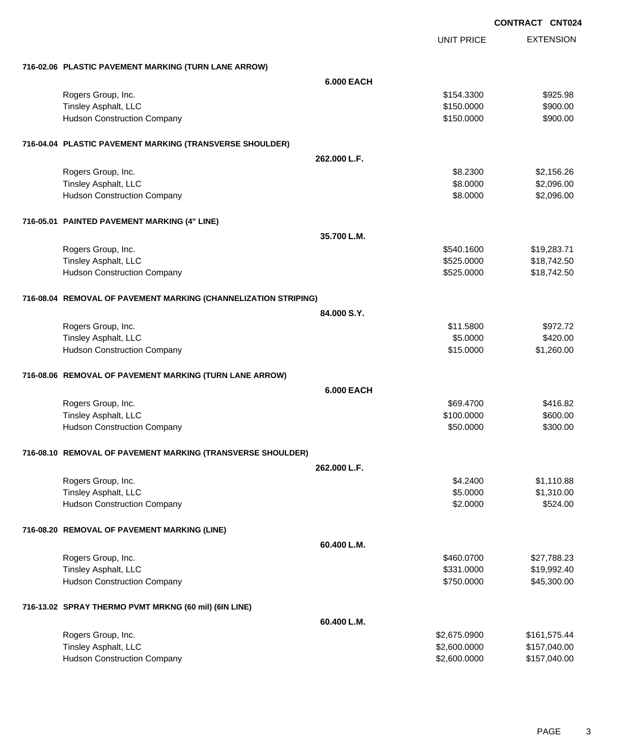|                                                                 | <b>UNIT PRICE</b> | <b>EXTENSION</b> |
|-----------------------------------------------------------------|-------------------|------------------|
| 716-02.06 PLASTIC PAVEMENT MARKING (TURN LANE ARROW)            |                   |                  |
| <b>6.000 EACH</b>                                               |                   |                  |
| Rogers Group, Inc.                                              | \$154.3300        | \$925.98         |
| Tinsley Asphalt, LLC                                            | \$150.0000        | \$900.00         |
| <b>Hudson Construction Company</b>                              | \$150.0000        | \$900.00         |
| 716-04.04 PLASTIC PAVEMENT MARKING (TRANSVERSE SHOULDER)        |                   |                  |
| 262.000 L.F.                                                    |                   |                  |
| Rogers Group, Inc.                                              | \$8.2300          | \$2,156.26       |
| Tinsley Asphalt, LLC                                            | \$8.0000          | \$2,096.00       |
| <b>Hudson Construction Company</b>                              | \$8.0000          | \$2,096.00       |
| 716-05.01 PAINTED PAVEMENT MARKING (4" LINE)                    |                   |                  |
| 35.700 L.M.                                                     |                   |                  |
| Rogers Group, Inc.                                              | \$540.1600        | \$19,283.71      |
| Tinsley Asphalt, LLC                                            | \$525.0000        | \$18,742.50      |
| <b>Hudson Construction Company</b>                              | \$525.0000        | \$18,742.50      |
| 716-08.04 REMOVAL OF PAVEMENT MARKING (CHANNELIZATION STRIPING) |                   |                  |
| 84.000 S.Y.                                                     |                   |                  |
| Rogers Group, Inc.                                              | \$11.5800         | \$972.72         |
| Tinsley Asphalt, LLC                                            | \$5.0000          | \$420.00         |
| <b>Hudson Construction Company</b>                              | \$15.0000         | \$1,260.00       |
| 716-08.06 REMOVAL OF PAVEMENT MARKING (TURN LANE ARROW)         |                   |                  |
| <b>6.000 EACH</b>                                               |                   |                  |
| Rogers Group, Inc.                                              | \$69.4700         | \$416.82         |
| Tinsley Asphalt, LLC                                            | \$100.0000        | \$600.00         |
| <b>Hudson Construction Company</b>                              | \$50.0000         | \$300.00         |
| 716-08.10 REMOVAL OF PAVEMENT MARKING (TRANSVERSE SHOULDER)     |                   |                  |
| 262.000 L.F.                                                    |                   |                  |
| Rogers Group, Inc.                                              | \$4.2400          | \$1,110.88       |
| Tinsley Asphalt, LLC                                            | \$5.0000          | \$1,310.00       |
| <b>Hudson Construction Company</b>                              | \$2.0000          | \$524.00         |
| 716-08.20 REMOVAL OF PAVEMENT MARKING (LINE)                    |                   |                  |
| 60.400 L.M.                                                     |                   |                  |
| Rogers Group, Inc.                                              | \$460.0700        | \$27,788.23      |
| Tinsley Asphalt, LLC                                            | \$331.0000        | \$19,992.40      |
| <b>Hudson Construction Company</b>                              | \$750.0000        | \$45,300.00      |
| 716-13.02 SPRAY THERMO PVMT MRKNG (60 mil) (6IN LINE)           |                   |                  |
| 60.400 L.M.                                                     |                   |                  |
| Rogers Group, Inc.                                              | \$2,675.0900      | \$161,575.44     |
| Tinsley Asphalt, LLC                                            | \$2,600.0000      | \$157,040.00     |
| <b>Hudson Construction Company</b>                              | \$2,600.0000      | \$157,040.00     |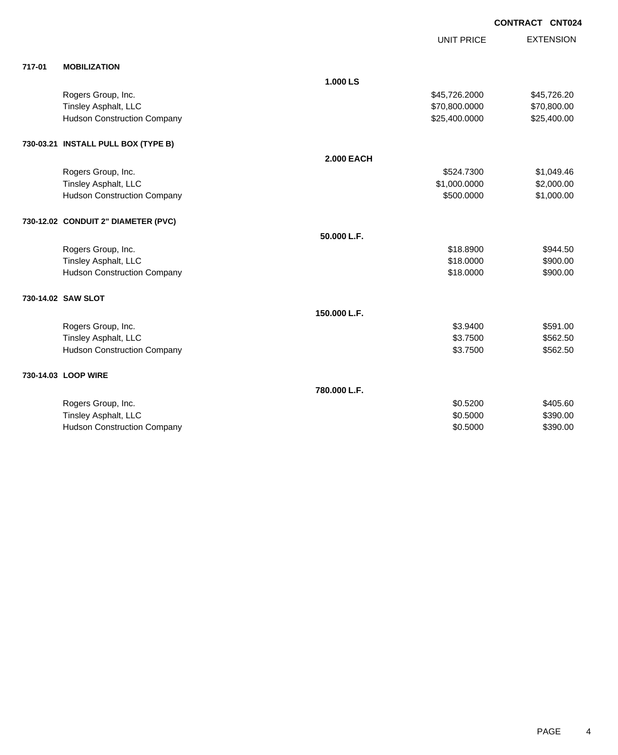| 717-01<br><b>MOBILIZATION</b>                       |             |
|-----------------------------------------------------|-------------|
|                                                     |             |
| 1.000 LS                                            |             |
| Rogers Group, Inc.<br>\$45,726.2000                 | \$45,726.20 |
| Tinsley Asphalt, LLC<br>\$70,800.0000               | \$70,800.00 |
| <b>Hudson Construction Company</b><br>\$25,400.0000 | \$25,400.00 |
| 730-03.21 INSTALL PULL BOX (TYPE B)                 |             |
| <b>2.000 EACH</b>                                   |             |
| Rogers Group, Inc.<br>\$524.7300                    | \$1,049.46  |
| Tinsley Asphalt, LLC<br>\$1,000.0000                | \$2,000.00  |
| \$500.0000<br><b>Hudson Construction Company</b>    | \$1,000.00  |
| 730-12.02 CONDUIT 2" DIAMETER (PVC)                 |             |
| 50.000 L.F.                                         |             |
| \$18.8900<br>Rogers Group, Inc.                     | \$944.50    |
| Tinsley Asphalt, LLC<br>\$18.0000                   | \$900.00    |
| <b>Hudson Construction Company</b><br>\$18.0000     | \$900.00    |
| 730-14.02 SAW SLOT                                  |             |
| 150.000 L.F.                                        |             |
| Rogers Group, Inc.<br>\$3.9400                      | \$591.00    |
| Tinsley Asphalt, LLC<br>\$3.7500                    | \$562.50    |
| <b>Hudson Construction Company</b><br>\$3.7500      | \$562.50    |
| 730-14.03 LOOP WIRE                                 |             |
| 780.000 L.F.                                        |             |
| Rogers Group, Inc.<br>\$0.5200                      | \$405.60    |
| Tinsley Asphalt, LLC<br>\$0.5000                    | \$390.00    |
| \$0.5000<br><b>Hudson Construction Company</b>      | \$390.00    |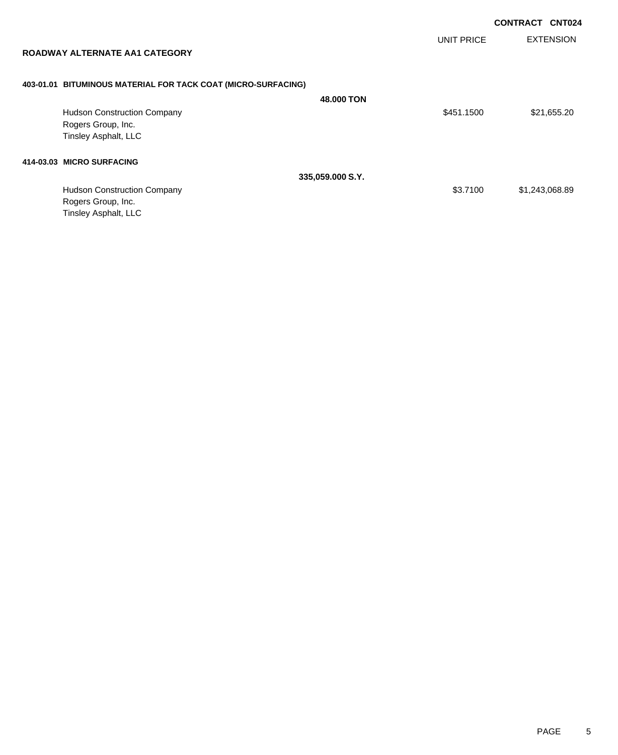UNIT PRICE

EXTENSION

| ROADWAY ALTERNATE AA1 CATEGORY |  |
|--------------------------------|--|
|                                |  |

## **403-01.01 BITUMINOUS MATERIAL FOR TACK COAT (MICRO-SURFACING)**

|                                    | 48,000 TON       |            |                |
|------------------------------------|------------------|------------|----------------|
| <b>Hudson Construction Company</b> |                  | \$451.1500 | \$21,655.20    |
| Rogers Group, Inc.                 |                  |            |                |
| Tinsley Asphalt, LLC               |                  |            |                |
| 414-03.03 MICRO SURFACING          |                  |            |                |
|                                    | 335,059.000 S.Y. |            |                |
| <b>Hudson Construction Company</b> |                  | \$3.7100   | \$1,243,068.89 |
| Rogers Group, Inc.                 |                  |            |                |
| Tinsley Asphalt, LLC               |                  |            |                |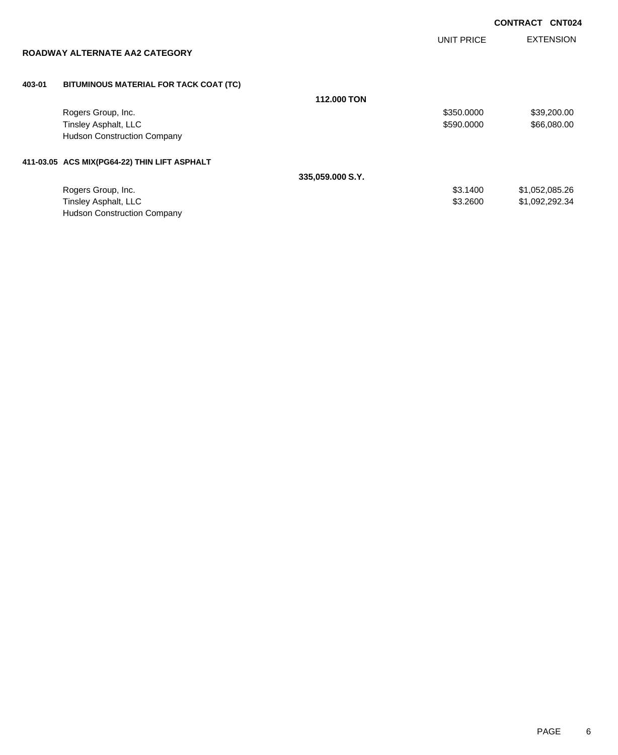UNIT PRICE

EXTENSION

## **ROADWAY ALTERNATE AA2 CATEGORY**

### **403-01 BITUMINOUS MATERIAL FOR TACK COAT (TC)**

|                                              | <b>112,000 TON</b> |            |                |
|----------------------------------------------|--------------------|------------|----------------|
| Rogers Group, Inc.                           |                    | \$350.0000 | \$39,200.00    |
| Tinsley Asphalt, LLC                         |                    | \$590,0000 | \$66,080.00    |
| <b>Hudson Construction Company</b>           |                    |            |                |
| 411-03.05 ACS MIX(PG64-22) THIN LIFT ASPHALT |                    |            |                |
|                                              | 335,059.000 S.Y.   |            |                |
| Rogers Group, Inc.                           |                    | \$3,1400   | \$1,052,085.26 |
| Tinsley Asphalt, LLC                         |                    | \$3.2600   | \$1,092,292.34 |
| <b>Hudson Construction Company</b>           |                    |            |                |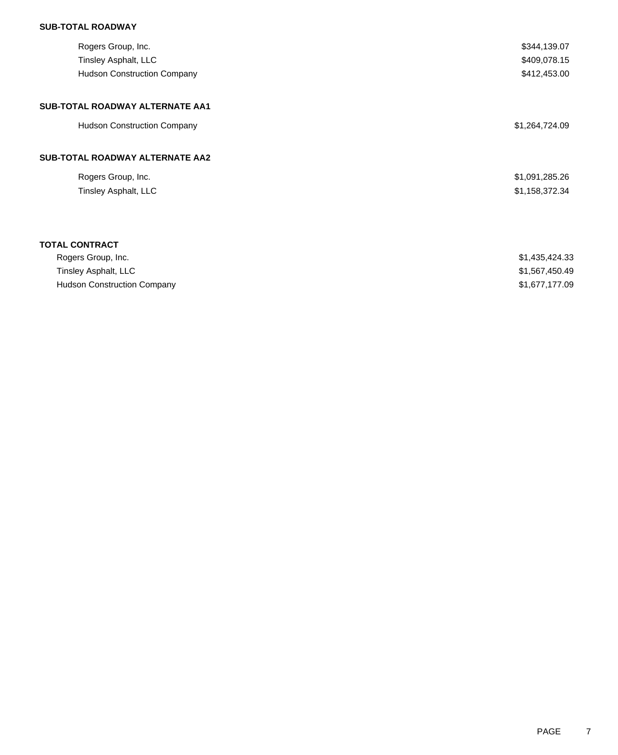## **SUB-TOTAL ROADWAY**

| Rogers Group, Inc.<br>Tinsley Asphalt, LLC<br><b>Hudson Construction Company</b> | \$344,139.07<br>\$409,078.15<br>\$412,453.00 |
|----------------------------------------------------------------------------------|----------------------------------------------|
| SUB-TOTAL ROADWAY ALTERNATE AA1                                                  |                                              |
| <b>Hudson Construction Company</b>                                               | \$1,264,724.09                               |
| SUB-TOTAL ROADWAY ALTERNATE AA2                                                  |                                              |
| Rogers Group, Inc.                                                               | \$1,091,285.26                               |
| Tinsley Asphalt, LLC                                                             | \$1,158,372.34                               |
|                                                                                  |                                              |
| <b>TOTAL CONTRACT</b>                                                            |                                              |
| Rogers Group, Inc.                                                               | \$1,435,424.33                               |
| Tinsley Asphalt, LLC                                                             | \$1,567,450.49                               |
| <b>Hudson Construction Company</b>                                               | \$1,677,177.09                               |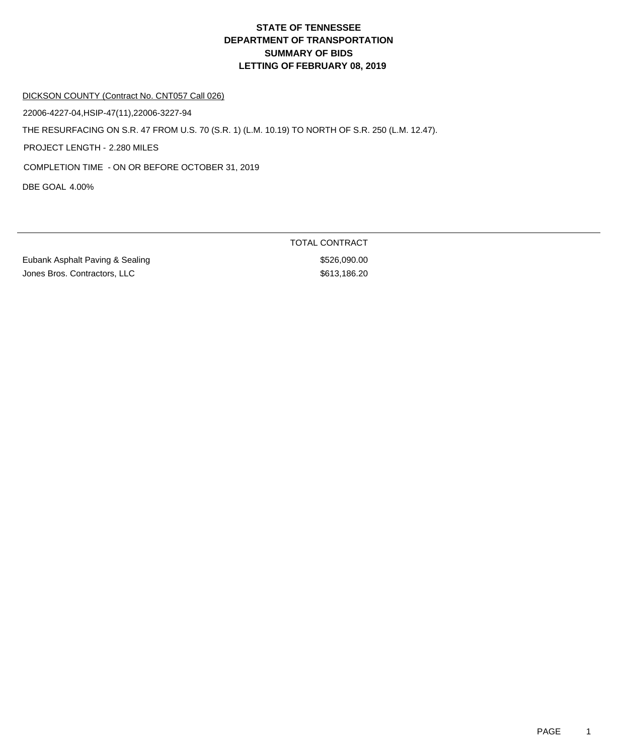#### DICKSON COUNTY (Contract No. CNT057 Call 026)

22006-4227-04,HSIP-47(11),22006-3227-94

THE RESURFACING ON S.R. 47 FROM U.S. 70 (S.R. 1) (L.M. 10.19) TO NORTH OF S.R. 250 (L.M. 12.47).

PROJECT LENGTH - 2.280 MILES

COMPLETION TIME - ON OR BEFORE OCTOBER 31, 2019

DBE GOAL 4.00%

Eubank Asphalt Paving & Sealing \$526,090.00 Jones Bros. Contractors, LLC \$613,186.20

TOTAL CONTRACT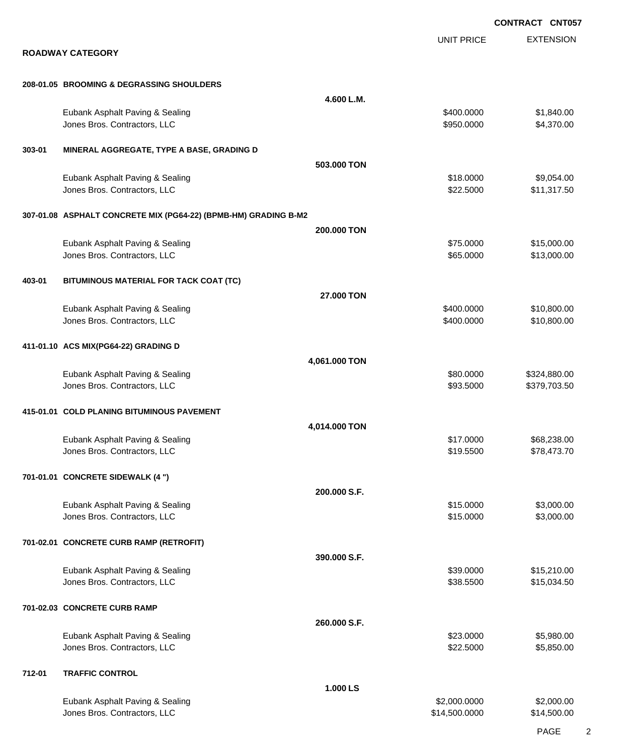EXTENSION **CONTRACT CNT057** UNIT PRICE **ROADWAY CATEGORY 208-01.05 BROOMING & DEGRASSING SHOULDERS 4.600 L.M.** Eubank Asphalt Paving & Sealing \$400.000 \$1,840.00 Jones Bros. Contractors, LLC \$950.0000 \$4,370.00 **303-01 MINERAL AGGREGATE, TYPE A BASE, GRADING D 503.000 TON** Eubank Asphalt Paving & Sealing \$18.0000 \$9,054.00 Jones Bros. Contractors, LLC \$22.5000 \$11,317.50 **307-01.08 ASPHALT CONCRETE MIX (PG64-22) (BPMB-HM) GRADING B-M2 200.000 TON** Eubank Asphalt Paving & Sealing \$75.0000 \$15,000.00 versions and the set of the set of the set of the set of the set of the set of the set of the set of the set of the set of the set of the set of the set of the set of the set of the set of the set of the set of the set of **403-01 BITUMINOUS MATERIAL FOR TACK COAT (TC) 27.000 TON** Eubank Asphalt Paving & Sealing \$400.000 \$10,800.00 Jones Bros. Contractors, LLC \$400.0000 \$10,800.00 **411-01.10 ACS MIX(PG64-22) GRADING D 4,061.000 TON** Eubank Asphalt Paving & Sealing \$80.000 \$324,880.00 Jones Bros. Contractors, LLC \$93.5000 \$379,703.50 **415-01.01 COLD PLANING BITUMINOUS PAVEMENT 4,014.000 TON** Eubank Asphalt Paving & Sealing \$17.0000 \$68,238.00 Jones Bros. Contractors, LLC \$19.5500 \$78,473.70 **701-01.01 CONCRETE SIDEWALK (4 ") 200.000 S.F.** Eubank Asphalt Paving & Sealing \$15.0000 \$3,000.00 Jones Bros. Contractors, LLC \$15.0000 \$3,000.00 **701-02.01 CONCRETE CURB RAMP (RETROFIT) 390.000 S.F.** Eubank Asphalt Paving & Sealing \$39.0000 \$15,210.00 Jones Bros. Contractors, LLC \$38.5500 \$15,034.50 **701-02.03 CONCRETE CURB RAMP 260.000 S.F.** Eubank Asphalt Paving & Sealing \$23.0000 \$5,980.00 Jones Bros. Contractors, LLC 6. 2012 10:00:00 \$5,850.00 \$5,850.00 \$5,850.00 \$5,850.00 **712-01 TRAFFIC CONTROL 1.000 LS** Eubank Asphalt Paving & Sealing \$2,000.000 \$2,000.000 \$2,000.000 \$2,000.000 \$2,000.000 \$2,000.00 Jones Bros. Contractors, LLC \$14,500.0000 \$14,500.00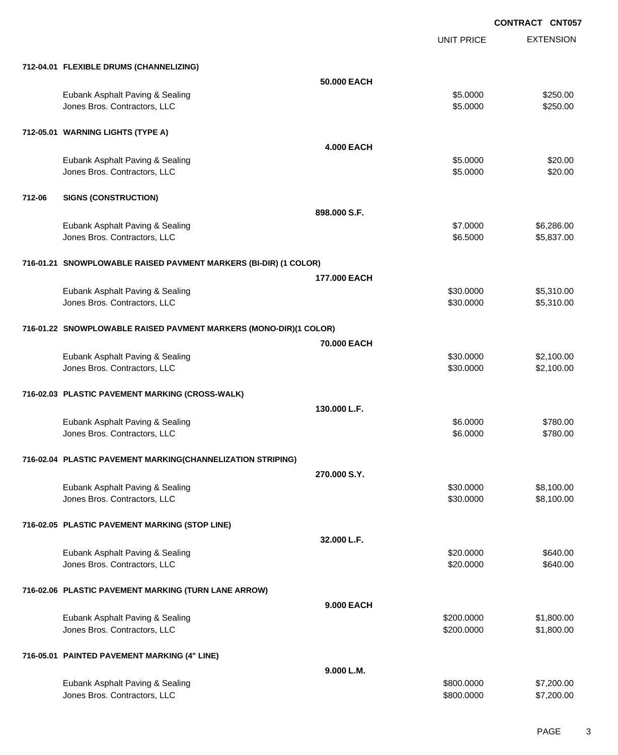UNIT PRICE

EXTENSION

|        | 712-04.01 FLEXIBLE DRUMS (CHANNELIZING)                           |                   |                      |                      |
|--------|-------------------------------------------------------------------|-------------------|----------------------|----------------------|
|        |                                                                   | 50.000 EACH       |                      |                      |
|        | Eubank Asphalt Paving & Sealing<br>Jones Bros. Contractors, LLC   |                   | \$5.0000<br>\$5.0000 | \$250.00<br>\$250.00 |
|        | 712-05.01 WARNING LIGHTS (TYPE A)                                 |                   |                      |                      |
|        |                                                                   | <b>4.000 EACH</b> |                      |                      |
|        | Eubank Asphalt Paving & Sealing<br>Jones Bros. Contractors, LLC   |                   | \$5.0000<br>\$5.0000 | \$20.00<br>\$20.00   |
| 712-06 | <b>SIGNS (CONSTRUCTION)</b>                                       |                   |                      |                      |
|        |                                                                   | 898,000 S.F.      |                      |                      |
|        | Eubank Asphalt Paving & Sealing                                   |                   | \$7.0000             | \$6,286.00           |
|        | Jones Bros. Contractors, LLC                                      |                   | \$6.5000             | \$5,837.00           |
|        | 716-01.21 SNOWPLOWABLE RAISED PAVMENT MARKERS (BI-DIR) (1 COLOR)  |                   |                      |                      |
|        |                                                                   | 177.000 EACH      |                      |                      |
|        | Eubank Asphalt Paving & Sealing                                   |                   | \$30.0000            | \$5,310.00           |
|        | Jones Bros. Contractors, LLC                                      |                   | \$30.0000            | \$5,310.00           |
|        | 716-01.22 SNOWPLOWABLE RAISED PAVMENT MARKERS (MONO-DIR)(1 COLOR) |                   |                      |                      |
|        |                                                                   | 70.000 EACH       |                      |                      |
|        | Eubank Asphalt Paving & Sealing                                   |                   | \$30.0000            | \$2,100.00           |
|        | Jones Bros. Contractors, LLC                                      |                   | \$30.0000            | \$2,100.00           |
|        |                                                                   |                   |                      |                      |
|        | 716-02.03 PLASTIC PAVEMENT MARKING (CROSS-WALK)                   |                   |                      |                      |
|        |                                                                   | 130.000 L.F.      |                      |                      |
|        | Eubank Asphalt Paving & Sealing                                   |                   | \$6.0000             | \$780.00             |
|        | Jones Bros. Contractors, LLC                                      |                   | \$6.0000             | \$780.00             |
|        | 716-02.04 PLASTIC PAVEMENT MARKING(CHANNELIZATION STRIPING)       |                   |                      |                      |
|        |                                                                   | 270.000 S.Y.      |                      |                      |
|        | Eubank Asphalt Paving & Sealing                                   |                   | \$30.0000            | \$8,100.00           |
|        | Jones Bros. Contractors, LLC                                      |                   | \$30.0000            | \$8,100.00           |
|        | 716-02.05 PLASTIC PAVEMENT MARKING (STOP LINE)                    |                   |                      |                      |
|        |                                                                   | 32.000 L.F.       |                      |                      |
|        | Eubank Asphalt Paving & Sealing                                   |                   | \$20.0000            | \$640.00             |
|        | Jones Bros. Contractors, LLC                                      |                   | \$20.0000            | \$640.00             |
|        |                                                                   |                   |                      |                      |
|        | 716-02.06 PLASTIC PAVEMENT MARKING (TURN LANE ARROW)              | 9.000 EACH        |                      |                      |
|        | Eubank Asphalt Paving & Sealing                                   |                   | \$200.0000           | \$1,800.00           |
|        | Jones Bros. Contractors, LLC                                      |                   | \$200.0000           | \$1,800.00           |
|        |                                                                   |                   |                      |                      |
|        | 716-05.01 PAINTED PAVEMENT MARKING (4" LINE)                      |                   |                      |                      |
|        |                                                                   | 9.000 L.M.        |                      |                      |
|        | Eubank Asphalt Paving & Sealing                                   |                   | \$800.0000           | \$7,200.00           |
|        | Jones Bros. Contractors, LLC                                      |                   | \$800.0000           | \$7,200.00           |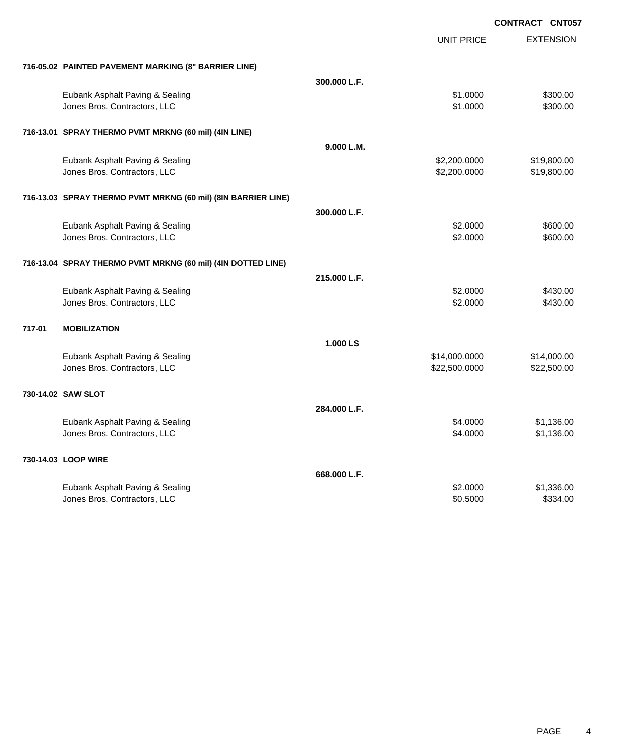|                                                               |              |                   | <b>CONTRACT CNT057</b> |
|---------------------------------------------------------------|--------------|-------------------|------------------------|
|                                                               |              | <b>UNIT PRICE</b> | <b>EXTENSION</b>       |
| 716-05.02 PAINTED PAVEMENT MARKING (8" BARRIER LINE)          |              |                   |                        |
|                                                               | 300.000 L.F. |                   |                        |
| Eubank Asphalt Paving & Sealing                               |              | \$1.0000          | \$300.00               |
| Jones Bros. Contractors, LLC                                  |              | \$1.0000          | \$300.00               |
| 716-13.01 SPRAY THERMO PVMT MRKNG (60 mil) (4IN LINE)         |              |                   |                        |
|                                                               | 9.000 L.M.   |                   |                        |
| Eubank Asphalt Paving & Sealing                               |              | \$2,200.0000      | \$19,800.00            |
| Jones Bros. Contractors, LLC                                  |              | \$2,200.0000      | \$19,800.00            |
| 716-13.03 SPRAY THERMO PVMT MRKNG (60 mil) (8IN BARRIER LINE) |              |                   |                        |
|                                                               | 300,000 L.F. |                   |                        |
| Eubank Asphalt Paving & Sealing                               |              | \$2.0000          | \$600.00               |
| Jones Bros. Contractors, LLC                                  |              | \$2.0000          | \$600.00               |
| 716-13.04 SPRAY THERMO PVMT MRKNG (60 mil) (4IN DOTTED LINE)  |              |                   |                        |
|                                                               | 215.000 L.F. |                   |                        |
| Eubank Asphalt Paving & Sealing                               |              | \$2.0000          | \$430.00               |
| Jones Bros. Contractors, LLC                                  |              | \$2.0000          | \$430.00               |
| 717-01<br><b>MOBILIZATION</b>                                 |              |                   |                        |
|                                                               | 1.000 LS     |                   |                        |
| Eubank Asphalt Paving & Sealing                               |              | \$14,000.0000     | \$14,000.00            |
| Jones Bros. Contractors, LLC                                  |              | \$22,500.0000     | \$22,500.00            |
| 730-14.02 SAW SLOT                                            |              |                   |                        |
|                                                               | 284.000 L.F. |                   |                        |
| Eubank Asphalt Paving & Sealing                               |              | \$4.0000          | \$1,136.00             |
| Jones Bros. Contractors, LLC                                  |              | \$4.0000          | \$1,136.00             |
| 730-14.03 LOOP WIRE                                           |              |                   |                        |
|                                                               | 668.000 L.F. |                   |                        |
| Eubank Asphalt Paving & Sealing                               |              | \$2.0000          | \$1,336.00             |
| Jones Bros. Contractors, LLC                                  |              | \$0.5000          | \$334.00               |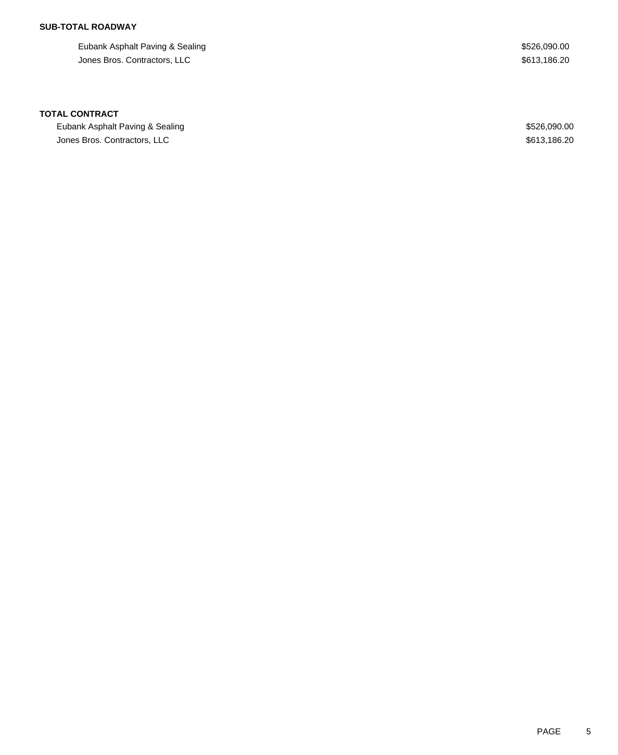## **SUB-TOTAL ROADWAY**

Eubank Asphalt Paving & Sealing \$526,090.00 Jones Bros. Contractors, LLC \$613,186.20

#### **TOTAL CONTRACT**

Eubank Asphalt Paving & Sealing  $$526,090.00$ Jones Bros. Contractors, LLC \$613,186.20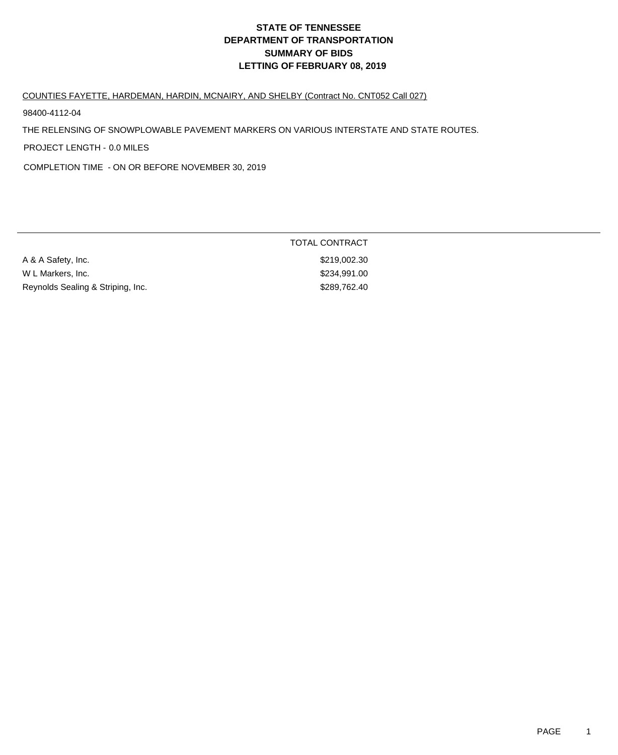#### COUNTIES FAYETTE, HARDEMAN, HARDIN, MCNAIRY, AND SHELBY (Contract No. CNT052 Call 027)

98400-4112-04

THE RELENSING OF SNOWPLOWABLE PAVEMENT MARKERS ON VARIOUS INTERSTATE AND STATE ROUTES.

PROJECT LENGTH - 0.0 MILES

COMPLETION TIME - ON OR BEFORE NOVEMBER 30, 2019

| A & A Safety, Inc.                | \$219,002.30 |
|-----------------------------------|--------------|
| W L Markers, Inc.                 | \$234,991.00 |
| Reynolds Sealing & Striping, Inc. | \$289,762,40 |

TOTAL CONTRACT \$219,002.30 \$234,991.00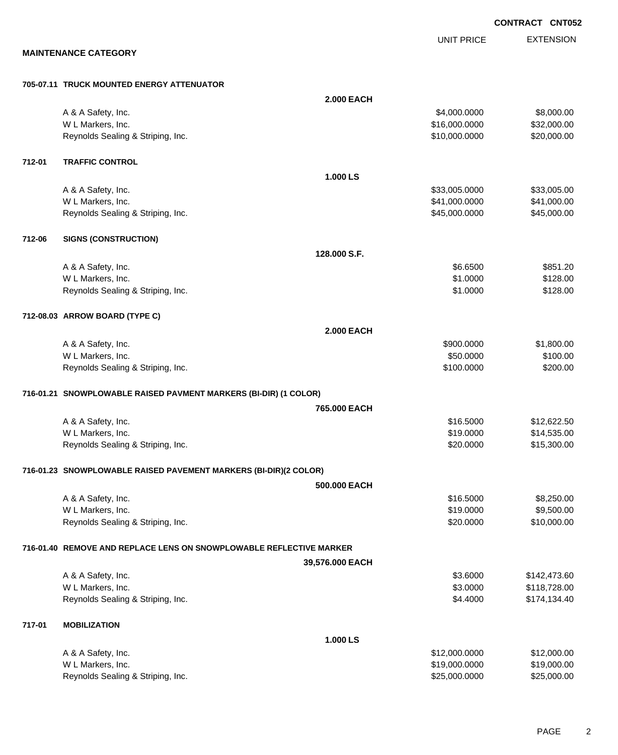EXTENSION UNIT PRICE **MAINTENANCE CATEGORY 705-07.11 TRUCK MOUNTED ENERGY ATTENUATOR 2.000 EACH** A & A Safety, Inc. \$4,000.000 \$8,000.00 W L Markers, Inc. \$32,000.000 \$32,000.000 \$32,000.000 \$32,000.000 \$32,000.000 \$32,000.00 Reynolds Sealing & Striping, Inc. \$20,000.000 \$20,000.000 \$20,000.000 \$20,000.000 **712-01 TRAFFIC CONTROL 1.000 LS** A & A Safety, Inc. \$33,005.000 \$33,005.000 \$33,005.000 \$33,005.000 \$33,005.000 \$33,005.00 W L Markers, Inc. \$41,000.000 \$41,000.000 \$41,000.000 \$41,000.000 \$41,000.000 \$41,000.00 Reynolds Sealing & Striping, Inc. 6. The Contract of the Contract of the S45,000.0000 \$45,000.000 \$45,000.00 **712-06 SIGNS (CONSTRUCTION) 128.000 S.F.** A & A Safety, Inc. \$851.20 W L Markers, Inc. \$128.00 Reynolds Sealing & Striping, Inc. 6. The Strip of the Strip of the Strip of the Strip of the Strip of the Strip of Strip of the Strip of Strip of Strip of Strip of Strip of Strip of Strip of Strip of Strip of Strip of Stri **712-08.03 ARROW BOARD (TYPE C) 2.000 EACH** A & A Safety, Inc. \$900.000 \$1,800.00 W L Markers, Inc. \$100.00 \$100.00 \$100.00 \$100.00 \$100.00 \$100.00 \$100.00 \$100.00 \$100.00 \$100.00 \$100.00 \$100 Reynolds Sealing & Striping, Inc.  $$200.00$ **716-01.21 SNOWPLOWABLE RAISED PAVMENT MARKERS (BI-DIR) (1 COLOR) 765.000 EACH** A & A Safety, Inc. \$12,622.50 W L Markers, Inc. \$14,535.00 Reynolds Sealing & Striping, Inc. \$20.000 \$15,300.00 **716-01.23 SNOWPLOWABLE RAISED PAVEMENT MARKERS (BI-DIR)(2 COLOR) 500.000 EACH** A & A Safety, Inc. \$16.5000 \$8,250.00 W L Markers, Inc. \$19.0000 \$9,500.00 Reynolds Sealing & Striping, Inc. \$20.0000 \$10,000.00 **716-01.40 REMOVE AND REPLACE LENS ON SNOWPLOWABLE REFLECTIVE MARKER 39,576.000 EACH** A & A Safety, Inc. \$142,473.60 W L Markers, Inc. 6. 2010. The state of the state of the state of the state of the state of the state of the state of the state of the state of the state of the state of the state of the state of the state of the state of Reynolds Sealing & Striping, Inc. 6.4.4000 \$174,134.40 **717-01 MOBILIZATION 1.000 LS** A & A Safety, Inc. \$12,000.000 \$12,000.000 \$12,000.000 \$12,000.000 \$12,000.000 \$12,000.00

W L Markers, Inc. \$19,000.000 \$19,000.000 \$19,000.000 \$19,000.000 \$19,000.000 \$19,000.00 \$19,000.00 \$19,000.00 Reynolds Sealing & Striping, Inc. 6. The Strip of the Strip of the Strip of the Strip of the Strip of the Strip of the Strip of the Strip of the Strip of the Strip of the Strip of the Strip of the Strip of the Strip of the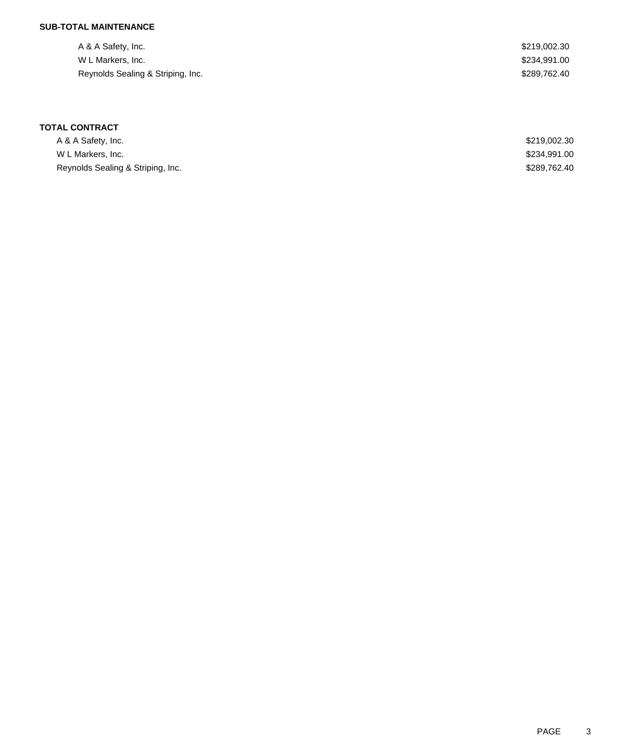## **SUB-TOTAL MAINTENANCE**

| A & A Safety, Inc.                | \$219,002.30 |
|-----------------------------------|--------------|
| W L Markers, Inc.                 | \$234,991.00 |
| Reynolds Sealing & Striping, Inc. | \$289,762.40 |

## **TOTAL CONTRACT**

| A & A Safety, Inc.                | \$219,002.30 |
|-----------------------------------|--------------|
| W L Markers, Inc.                 | \$234,991.00 |
| Reynolds Sealing & Striping, Inc. | \$289,762.40 |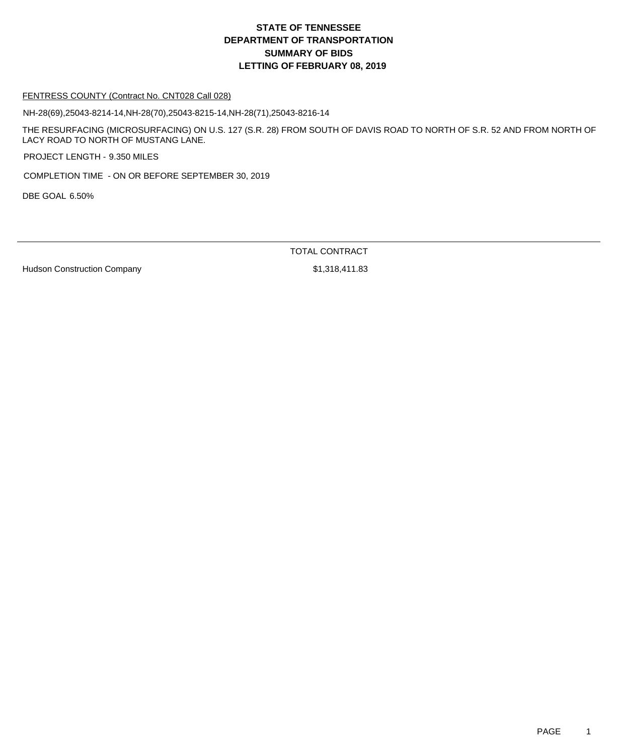#### FENTRESS COUNTY (Contract No. CNT028 Call 028)

NH-28(69),25043-8214-14,NH-28(70),25043-8215-14,NH-28(71),25043-8216-14

THE RESURFACING (MICROSURFACING) ON U.S. 127 (S.R. 28) FROM SOUTH OF DAVIS ROAD TO NORTH OF S.R. 52 AND FROM NORTH OF LACY ROAD TO NORTH OF MUSTANG LANE.

PROJECT LENGTH - 9.350 MILES

COMPLETION TIME - ON OR BEFORE SEPTEMBER 30, 2019

DBE GOAL 6.50%

TOTAL CONTRACT

Hudson Construction Company **\$1,318,411.83**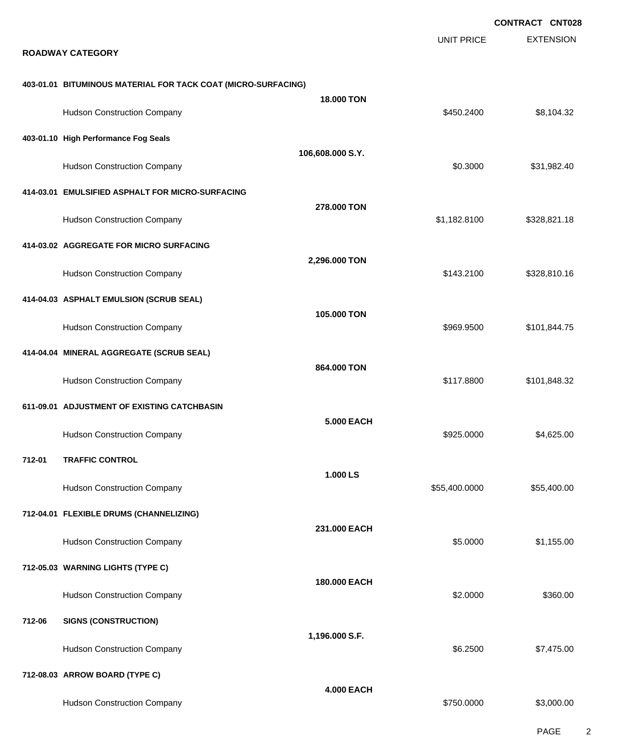|        |                                                               |                   |                   | <b>CONTRACT CNT028</b> |
|--------|---------------------------------------------------------------|-------------------|-------------------|------------------------|
|        | <b>ROADWAY CATEGORY</b>                                       |                   | <b>UNIT PRICE</b> | <b>EXTENSION</b>       |
|        | 403-01.01 BITUMINOUS MATERIAL FOR TACK COAT (MICRO-SURFACING) | <b>18,000 TON</b> |                   |                        |
|        | <b>Hudson Construction Company</b>                            |                   | \$450.2400        | \$8,104.32             |
|        | 403-01.10 High Performance Fog Seals                          |                   |                   |                        |
|        | <b>Hudson Construction Company</b>                            | 106,608.000 S.Y.  | \$0.3000          | \$31,982.40            |
|        | 414-03.01 EMULSIFIED ASPHALT FOR MICRO-SURFACING              |                   |                   |                        |
|        | <b>Hudson Construction Company</b>                            | 278.000 TON       | \$1,182.8100      | \$328,821.18           |
|        | 414-03.02 AGGREGATE FOR MICRO SURFACING                       |                   |                   |                        |
|        | <b>Hudson Construction Company</b>                            | 2,296.000 TON     | \$143.2100        | \$328,810.16           |
|        | 414-04.03 ASPHALT EMULSION (SCRUB SEAL)                       |                   |                   |                        |
|        | <b>Hudson Construction Company</b>                            | 105.000 TON       | \$969.9500        | \$101,844.75           |
|        | 414-04.04 MINERAL AGGREGATE (SCRUB SEAL)                      |                   |                   |                        |
|        | <b>Hudson Construction Company</b>                            | 864.000 TON       | \$117.8800        | \$101,848.32           |
|        | 611-09.01 ADJUSTMENT OF EXISTING CATCHBASIN                   |                   |                   |                        |
|        | <b>Hudson Construction Company</b>                            | <b>5.000 EACH</b> | \$925.0000        | \$4,625.00             |
| 712-01 | <b>TRAFFIC CONTROL</b>                                        |                   |                   |                        |
|        | <b>Hudson Construction Company</b>                            | 1.000 LS          | \$55,400.0000     | \$55,400.00            |
|        | 712-04.01 FLEXIBLE DRUMS (CHANNELIZING)                       |                   |                   |                        |
|        | <b>Hudson Construction Company</b>                            | 231,000 EACH      | \$5.0000          | \$1,155.00             |
|        | 712-05.03 WARNING LIGHTS (TYPE C)                             |                   |                   |                        |
|        | <b>Hudson Construction Company</b>                            | 180,000 EACH      | \$2.0000          | \$360.00               |
| 712-06 | <b>SIGNS (CONSTRUCTION)</b>                                   |                   |                   |                        |
|        | <b>Hudson Construction Company</b>                            | 1,196.000 S.F.    | \$6.2500          | \$7,475.00             |
|        | 712-08.03 ARROW BOARD (TYPE C)                                |                   |                   |                        |
|        | <b>Hudson Construction Company</b>                            | <b>4.000 EACH</b> | \$750.0000        | \$3,000.00             |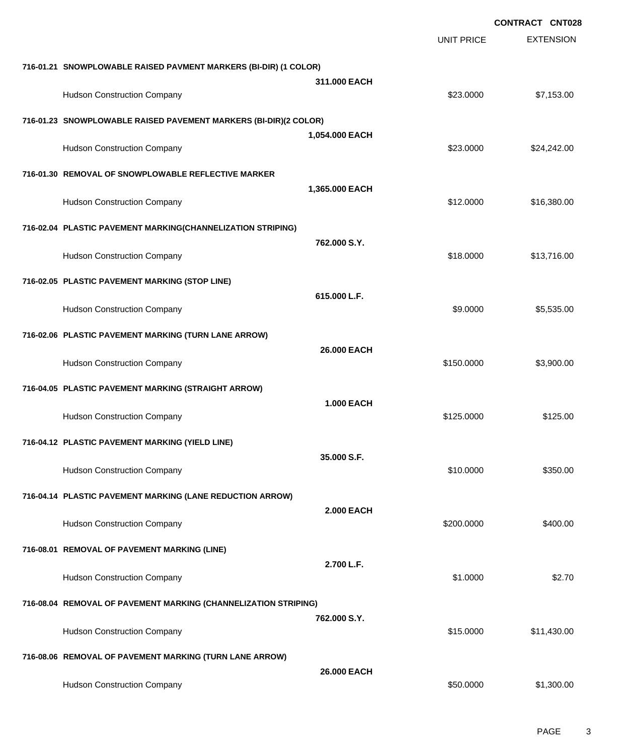|                                                                  |                   |                   | <b>CONTRACT CNT028</b> |
|------------------------------------------------------------------|-------------------|-------------------|------------------------|
|                                                                  |                   | <b>UNIT PRICE</b> | <b>EXTENSION</b>       |
| 716-01.21 SNOWPLOWABLE RAISED PAVMENT MARKERS (BI-DIR) (1 COLOR) |                   |                   |                        |
| <b>Hudson Construction Company</b>                               | 311.000 EACH      | \$23.0000         | \$7,153.00             |
| 716-01.23 SNOWPLOWABLE RAISED PAVEMENT MARKERS (BI-DIR)(2 COLOR) |                   |                   |                        |
| <b>Hudson Construction Company</b>                               | 1,054.000 EACH    | \$23.0000         | \$24,242.00            |
| 716-01.30 REMOVAL OF SNOWPLOWABLE REFLECTIVE MARKER              |                   |                   |                        |
| <b>Hudson Construction Company</b>                               | 1,365.000 EACH    | \$12.0000         | \$16,380.00            |
| 716-02.04 PLASTIC PAVEMENT MARKING(CHANNELIZATION STRIPING)      |                   |                   |                        |
| <b>Hudson Construction Company</b>                               | 762.000 S.Y.      | \$18.0000         | \$13,716.00            |
| 716-02.05 PLASTIC PAVEMENT MARKING (STOP LINE)                   |                   |                   |                        |
| <b>Hudson Construction Company</b>                               | 615.000 L.F.      | \$9.0000          | \$5,535.00             |
| 716-02.06 PLASTIC PAVEMENT MARKING (TURN LANE ARROW)             |                   |                   |                        |
| <b>Hudson Construction Company</b>                               | 26.000 EACH       | \$150.0000        | \$3,900.00             |
| 716-04.05 PLASTIC PAVEMENT MARKING (STRAIGHT ARROW)              |                   |                   |                        |
| <b>Hudson Construction Company</b>                               | <b>1.000 EACH</b> | \$125.0000        | \$125.00               |
| 716-04.12 PLASTIC PAVEMENT MARKING (YIELD LINE)                  |                   |                   |                        |
| <b>Hudson Construction Company</b>                               | 35,000 S.F.       | \$10.0000         | \$350.00               |
| 716-04.14 PLASTIC PAVEMENT MARKING (LANE REDUCTION ARROW)        |                   |                   |                        |
| <b>Hudson Construction Company</b>                               | <b>2.000 EACH</b> | \$200.0000        | \$400.00               |
| 716-08.01 REMOVAL OF PAVEMENT MARKING (LINE)                     |                   |                   |                        |
| <b>Hudson Construction Company</b>                               | 2.700 L.F.        | \$1.0000          | \$2.70                 |
| 716-08.04 REMOVAL OF PAVEMENT MARKING (CHANNELIZATION STRIPING)  |                   |                   |                        |
| <b>Hudson Construction Company</b>                               | 762,000 S.Y.      | \$15.0000         | \$11,430.00            |
| 716-08.06 REMOVAL OF PAVEMENT MARKING (TURN LANE ARROW)          |                   |                   |                        |
| <b>Hudson Construction Company</b>                               | 26.000 EACH       | \$50.0000         | \$1,300.00             |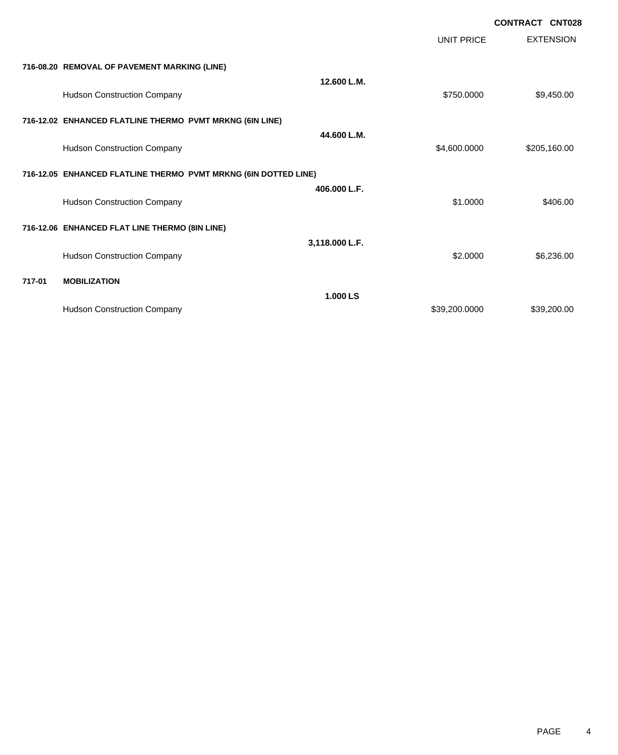|        |                                                                 |                |                   | <b>CONTRACT CNT028</b> |
|--------|-----------------------------------------------------------------|----------------|-------------------|------------------------|
|        |                                                                 |                | <b>UNIT PRICE</b> | <b>EXTENSION</b>       |
|        | 716-08.20 REMOVAL OF PAVEMENT MARKING (LINE)                    |                |                   |                        |
|        | <b>Hudson Construction Company</b>                              | 12.600 L.M.    | \$750.0000        | \$9,450.00             |
|        | 716-12.02 ENHANCED FLATLINE THERMO PVMT MRKNG (6IN LINE)        |                |                   |                        |
|        | <b>Hudson Construction Company</b>                              | 44.600 L.M.    | \$4,600.0000      | \$205,160.00           |
|        | 716-12.05 ENHANCED FLATLINE THERMO PVMT MRKNG (6IN DOTTED LINE) |                |                   |                        |
|        | <b>Hudson Construction Company</b>                              | 406.000 L.F.   | \$1,0000          | \$406.00               |
|        | 716-12.06 ENHANCED FLAT LINE THERMO (8IN LINE)                  |                |                   |                        |
|        | <b>Hudson Construction Company</b>                              | 3,118.000 L.F. | \$2.0000          | \$6,236.00             |
| 717-01 | <b>MOBILIZATION</b>                                             |                |                   |                        |
|        | <b>Hudson Construction Company</b>                              | 1.000 LS       | \$39,200.0000     | \$39,200.00            |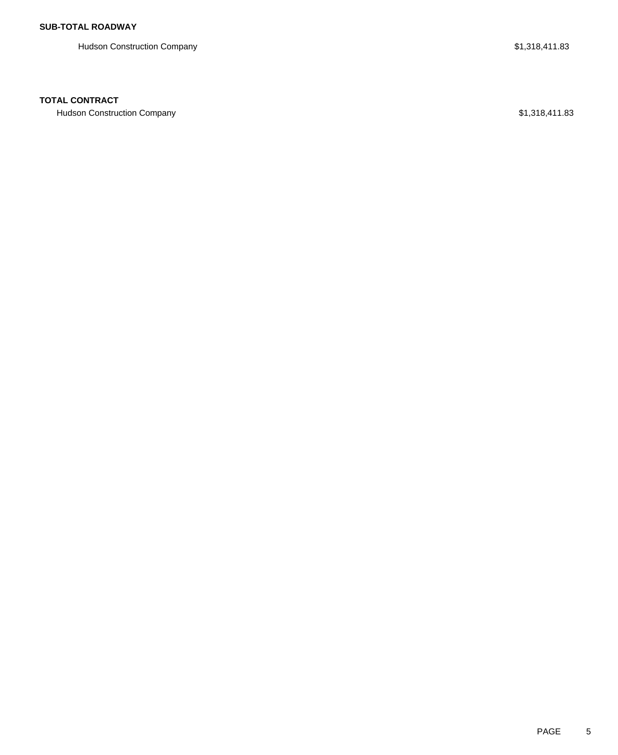Hudson Construction Company **\$1,318,411.83** 

### **TOTAL CONTRACT**

Hudson Construction Company **\$1,318,411.83**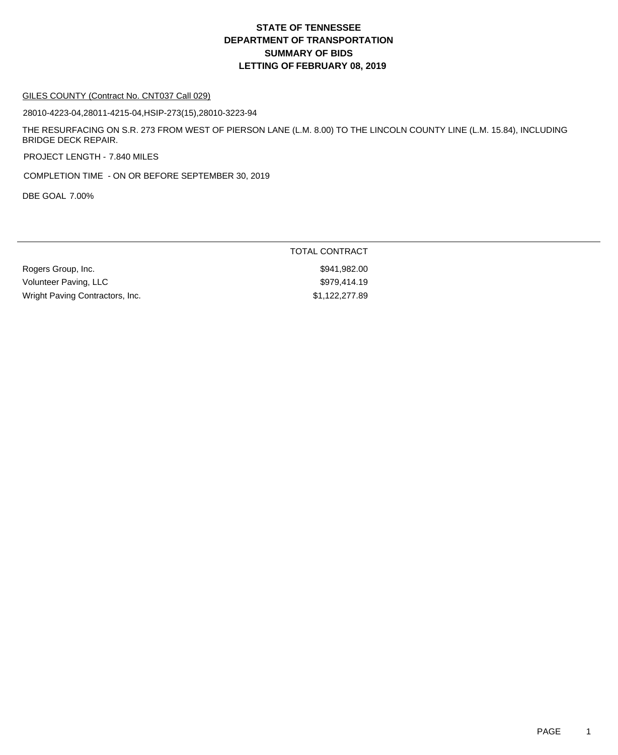#### GILES COUNTY (Contract No. CNT037 Call 029)

28010-4223-04,28011-4215-04,HSIP-273(15),28010-3223-94

THE RESURFACING ON S.R. 273 FROM WEST OF PIERSON LANE (L.M. 8.00) TO THE LINCOLN COUNTY LINE (L.M. 15.84), INCLUDING BRIDGE DECK REPAIR.

PROJECT LENGTH - 7.840 MILES

COMPLETION TIME - ON OR BEFORE SEPTEMBER 30, 2019

DBE GOAL 7.00%

|                                 | TOTAL CONTRACT |
|---------------------------------|----------------|
| Rogers Group, Inc.              | \$941.982.00   |
| Volunteer Paving, LLC           | \$979.414.19   |
| Wright Paving Contractors, Inc. | \$1,122,277.89 |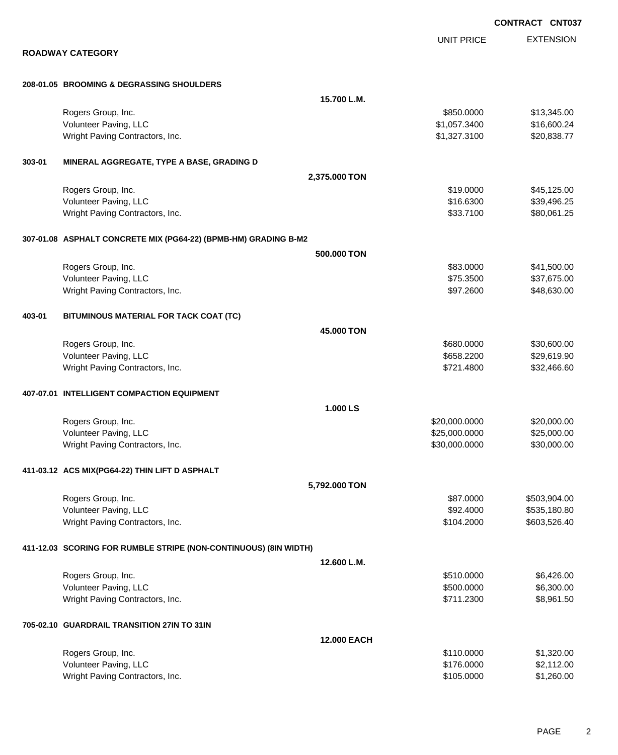|        |                                                                  |                    |                   | <b>CONTRACT CNT03</b> |
|--------|------------------------------------------------------------------|--------------------|-------------------|-----------------------|
|        |                                                                  |                    | <b>UNIT PRICE</b> | <b>EXTENSION</b>      |
|        | <b>ROADWAY CATEGORY</b>                                          |                    |                   |                       |
|        | 208-01.05 BROOMING & DEGRASSING SHOULDERS                        |                    |                   |                       |
|        |                                                                  | 15.700 L.M.        |                   |                       |
|        | Rogers Group, Inc.                                               |                    | \$850.0000        | \$13,345.00           |
|        | Volunteer Paving, LLC                                            |                    | \$1,057.3400      | \$16,600.24           |
|        | Wright Paving Contractors, Inc.                                  |                    | \$1,327.3100      | \$20,838.77           |
| 303-01 | MINERAL AGGREGATE, TYPE A BASE, GRADING D                        |                    |                   |                       |
|        |                                                                  | 2,375.000 TON      |                   |                       |
|        | Rogers Group, Inc.                                               |                    | \$19.0000         | \$45,125.00           |
|        | Volunteer Paving, LLC                                            |                    | \$16.6300         | \$39,496.25           |
|        | Wright Paving Contractors, Inc.                                  |                    | \$33.7100         | \$80,061.25           |
|        | 307-01.08 ASPHALT CONCRETE MIX (PG64-22) (BPMB-HM) GRADING B-M2  |                    |                   |                       |
|        |                                                                  | 500.000 TON        |                   |                       |
|        | Rogers Group, Inc.                                               |                    | \$83.0000         | \$41,500.00           |
|        | Volunteer Paving, LLC                                            |                    | \$75.3500         | \$37,675.00           |
|        | Wright Paving Contractors, Inc.                                  |                    | \$97.2600         | \$48,630.00           |
| 403-01 | BITUMINOUS MATERIAL FOR TACK COAT (TC)                           |                    |                   |                       |
|        |                                                                  | 45.000 TON         |                   |                       |
|        | Rogers Group, Inc.                                               |                    | \$680.0000        | \$30,600.00           |
|        | Volunteer Paving, LLC                                            |                    | \$658.2200        | \$29,619.90           |
|        | Wright Paving Contractors, Inc.                                  |                    | \$721.4800        | \$32,466.60           |
|        | 407-07.01 INTELLIGENT COMPACTION EQUIPMENT                       |                    |                   |                       |
|        |                                                                  | 1.000LS            |                   |                       |
|        | Rogers Group, Inc.                                               |                    | \$20,000.0000     | \$20,000.00           |
|        | Volunteer Paving, LLC                                            |                    | \$25,000.0000     | \$25,000.00           |
|        | Wright Paving Contractors, Inc.                                  |                    | \$30,000.0000     | \$30,000.00           |
|        | 411-03.12 ACS MIX(PG64-22) THIN LIFT D ASPHALT                   |                    |                   |                       |
|        |                                                                  | 5,792.000 TON      |                   |                       |
|        | Rogers Group, Inc.                                               |                    | \$87.0000         | \$503,904.00          |
|        | Volunteer Paving, LLC                                            |                    | \$92.4000         | \$535,180.80          |
|        | Wright Paving Contractors, Inc.                                  |                    | \$104.2000        | \$603,526.40          |
|        | 411-12.03 SCORING FOR RUMBLE STRIPE (NON-CONTINUOUS) (8IN WIDTH) |                    |                   |                       |
|        |                                                                  | 12.600 L.M.        |                   |                       |
|        | Rogers Group, Inc.                                               |                    | \$510.0000        | \$6,426.00            |
|        | Volunteer Paving, LLC                                            |                    | \$500.0000        | \$6,300.00            |
|        | Wright Paving Contractors, Inc.                                  |                    | \$711.2300        | \$8,961.50            |
|        | 705-02.10 GUARDRAIL TRANSITION 27IN TO 31IN                      |                    |                   |                       |
|        |                                                                  | <b>12.000 EACH</b> |                   |                       |
|        | Rogers Group, Inc.                                               |                    | \$110.0000        | \$1,320.00            |
|        | Volunteer Paving, LLC                                            |                    | \$176.0000        | \$2,112.00            |
|        | Wright Paving Contractors, Inc.                                  |                    | \$105.0000        | \$1,260.00            |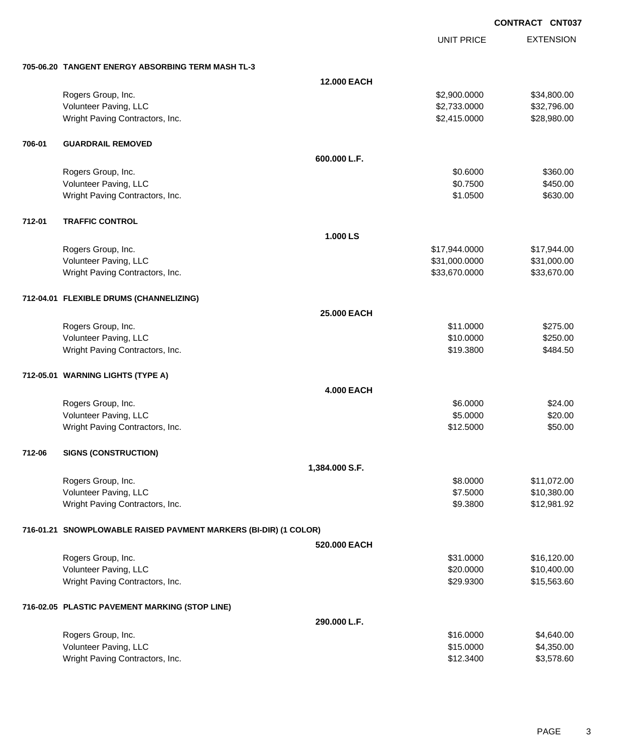UNIT PRICE

EXTENSION

|        | 705-06.20 TANGENT ENERGY ABSORBING TERM MASH TL-3                |                    |               |             |
|--------|------------------------------------------------------------------|--------------------|---------------|-------------|
|        |                                                                  | <b>12.000 EACH</b> |               |             |
|        | Rogers Group, Inc.                                               |                    | \$2,900.0000  | \$34,800.00 |
|        | Volunteer Paving, LLC                                            |                    | \$2,733.0000  | \$32,796.00 |
|        | Wright Paving Contractors, Inc.                                  |                    | \$2,415.0000  | \$28,980.00 |
| 706-01 | <b>GUARDRAIL REMOVED</b>                                         |                    |               |             |
|        |                                                                  | 600.000 L.F.       |               |             |
|        | Rogers Group, Inc.                                               |                    | \$0.6000      | \$360.00    |
|        | Volunteer Paving, LLC                                            |                    | \$0.7500      | \$450.00    |
|        | Wright Paving Contractors, Inc.                                  |                    | \$1.0500      | \$630.00    |
| 712-01 | <b>TRAFFIC CONTROL</b>                                           |                    |               |             |
|        |                                                                  | 1.000 LS           |               |             |
|        | Rogers Group, Inc.                                               |                    | \$17,944.0000 | \$17,944.00 |
|        | Volunteer Paving, LLC                                            |                    | \$31,000.0000 | \$31,000.00 |
|        | Wright Paving Contractors, Inc.                                  |                    | \$33,670.0000 | \$33,670.00 |
|        | 712-04.01 FLEXIBLE DRUMS (CHANNELIZING)                          |                    |               |             |
|        |                                                                  | <b>25.000 EACH</b> |               |             |
|        | Rogers Group, Inc.                                               |                    | \$11.0000     | \$275.00    |
|        | Volunteer Paving, LLC                                            |                    | \$10.0000     | \$250.00    |
|        | Wright Paving Contractors, Inc.                                  |                    | \$19.3800     | \$484.50    |
|        | 712-05.01 WARNING LIGHTS (TYPE A)                                |                    |               |             |
|        |                                                                  | <b>4.000 EACH</b>  |               |             |
|        | Rogers Group, Inc.                                               |                    | \$6.0000      | \$24.00     |
|        | Volunteer Paving, LLC                                            |                    | \$5.0000      | \$20.00     |
|        | Wright Paving Contractors, Inc.                                  |                    | \$12.5000     | \$50.00     |
| 712-06 | <b>SIGNS (CONSTRUCTION)</b>                                      |                    |               |             |
|        |                                                                  | 1,384.000 S.F.     |               |             |
|        | Rogers Group, Inc.                                               |                    | \$8.0000      | \$11,072.00 |
|        | Volunteer Paving, LLC                                            |                    | \$7.5000      | \$10,380.00 |
|        | Wright Paving Contractors, Inc.                                  |                    | \$9.3800      | \$12,981.92 |
|        | 716-01.21 SNOWPLOWABLE RAISED PAVMENT MARKERS (BI-DIR) (1 COLOR) |                    |               |             |
|        |                                                                  | 520.000 EACH       |               |             |
|        | Rogers Group, Inc.                                               |                    | \$31.0000     | \$16,120.00 |
|        | Volunteer Paving, LLC                                            |                    | \$20.0000     | \$10,400.00 |
|        | Wright Paving Contractors, Inc.                                  |                    | \$29.9300     | \$15,563.60 |
|        | 716-02.05 PLASTIC PAVEMENT MARKING (STOP LINE)                   |                    |               |             |
|        |                                                                  | 290.000 L.F.       |               |             |
|        | Rogers Group, Inc.                                               |                    | \$16.0000     | \$4,640.00  |
|        | Volunteer Paving, LLC                                            |                    | \$15.0000     | \$4,350.00  |
|        | Wright Paving Contractors, Inc.                                  |                    | \$12.3400     | \$3,578.60  |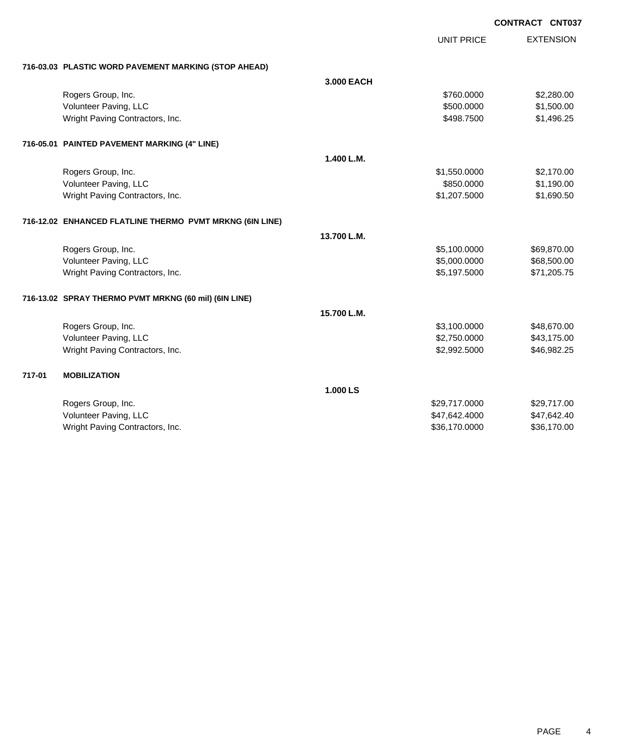|        |                                                          |             | <b>UNIT PRICE</b> | <b>EXTENSION</b> |
|--------|----------------------------------------------------------|-------------|-------------------|------------------|
|        | 716-03.03 PLASTIC WORD PAVEMENT MARKING (STOP AHEAD)     |             |                   |                  |
|        |                                                          | 3.000 EACH  |                   |                  |
|        | Rogers Group, Inc.                                       |             | \$760.0000        | \$2,280.00       |
|        | Volunteer Paving, LLC                                    |             | \$500.0000        | \$1,500.00       |
|        | Wright Paving Contractors, Inc.                          |             | \$498.7500        | \$1,496.25       |
|        | 716-05.01 PAINTED PAVEMENT MARKING (4" LINE)             |             |                   |                  |
|        |                                                          | 1.400 L.M.  |                   |                  |
|        | Rogers Group, Inc.                                       |             | \$1,550.0000      | \$2,170.00       |
|        | Volunteer Paving, LLC                                    |             | \$850.0000        | \$1,190.00       |
|        | Wright Paving Contractors, Inc.                          |             | \$1,207.5000      | \$1,690.50       |
|        | 716-12.02 ENHANCED FLATLINE THERMO PVMT MRKNG (6IN LINE) |             |                   |                  |
|        |                                                          | 13.700 L.M. |                   |                  |
|        | Rogers Group, Inc.                                       |             | \$5,100.0000      | \$69,870.00      |
|        | Volunteer Paving, LLC                                    |             | \$5,000.0000      | \$68,500.00      |
|        | Wright Paving Contractors, Inc.                          |             | \$5,197.5000      | \$71,205.75      |
|        | 716-13.02 SPRAY THERMO PVMT MRKNG (60 mil) (6IN LINE)    |             |                   |                  |
|        |                                                          | 15.700 L.M. |                   |                  |
|        | Rogers Group, Inc.                                       |             | \$3,100.0000      | \$48,670.00      |
|        | Volunteer Paving, LLC                                    |             | \$2,750.0000      | \$43,175.00      |
|        | Wright Paving Contractors, Inc.                          |             | \$2,992.5000      | \$46,982.25      |
| 717-01 | <b>MOBILIZATION</b>                                      |             |                   |                  |
|        |                                                          | 1.000 LS    |                   |                  |
|        | Rogers Group, Inc.                                       |             | \$29,717.0000     | \$29,717.00      |
|        | Volunteer Paving, LLC                                    |             | \$47,642.4000     | \$47,642.40      |
|        | Wright Paving Contractors, Inc.                          |             | \$36,170.0000     | \$36,170.00      |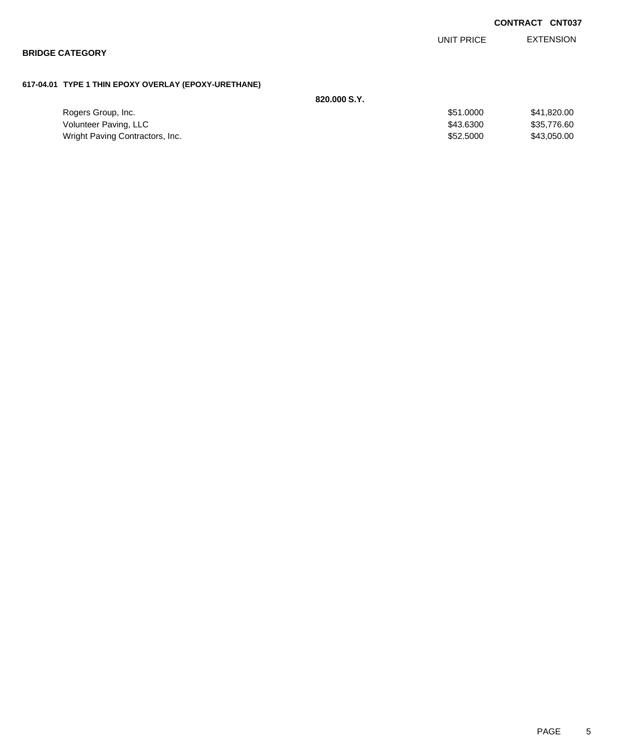|                                                      |              |            | <b>CONTRACT CNT037</b> |
|------------------------------------------------------|--------------|------------|------------------------|
|                                                      |              | UNIT PRICE | <b>EXTENSION</b>       |
| <b>BRIDGE CATEGORY</b>                               |              |            |                        |
|                                                      |              |            |                        |
| 617-04.01 TYPE 1 THIN EPOXY OVERLAY (EPOXY-URETHANE) |              |            |                        |
|                                                      | 820,000 S.Y. |            |                        |
| Rogers Group, Inc.                                   |              | \$51.0000  | \$41,820.00            |

Volunteer Paving, LLC \$43.6300 \$35,776.60 Wright Paving Contractors, Inc. 6. The Contractors of the Contractors, Inc. 6. The Contractors, Inc. 6. The Contractors of the Contractors of the Contractors, Inc. 6. The Contractors of the Contractors, Inc. 6. The Contrac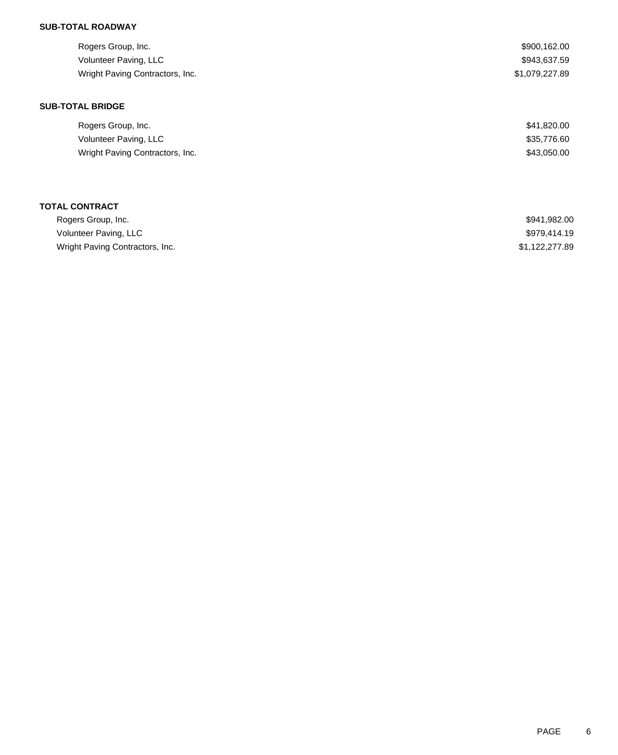## **SUB-TOTAL ROADWAY**

| Rogers Group, Inc.<br>Volunteer Paving, LLC<br>Wright Paving Contractors, Inc. | \$900,162.00<br>\$943,637.59<br>\$1,079,227.89 |
|--------------------------------------------------------------------------------|------------------------------------------------|
| <b>SUB-TOTAL BRIDGE</b><br>Rogers Group, Inc.                                  | \$41,820.00                                    |
| Volunteer Paving, LLC                                                          | \$35,776.60                                    |
| Wright Paving Contractors, Inc.                                                | \$43,050.00                                    |
|                                                                                |                                                |
|                                                                                |                                                |

# **TOTAL CONTRACT**

| Rogers Group, Inc.              | \$941.982.00   |
|---------------------------------|----------------|
| Volunteer Paving, LLC           | \$979.414.19   |
| Wright Paving Contractors, Inc. | \$1,122,277.89 |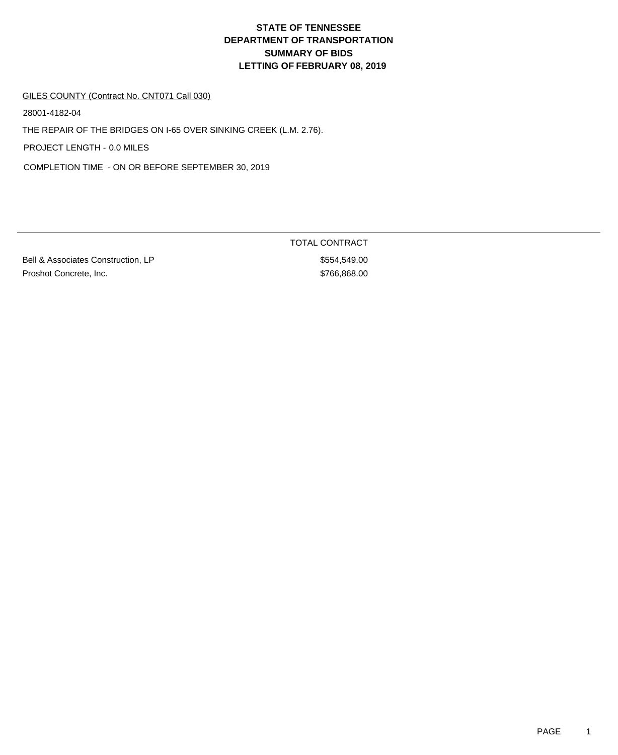#### GILES COUNTY (Contract No. CNT071 Call 030)

28001-4182-04

THE REPAIR OF THE BRIDGES ON I-65 OVER SINKING CREEK (L.M. 2.76).

PROJECT LENGTH - 0.0 MILES

COMPLETION TIME - ON OR BEFORE SEPTEMBER 30, 2019

Bell & Associates Construction, LP \$554,549.00 Proshot Concrete, Inc. 6. The State of the State of the State of the State of State of the State of State of State of State of State of State of State of State of State of State of State of State of State of State of State

TOTAL CONTRACT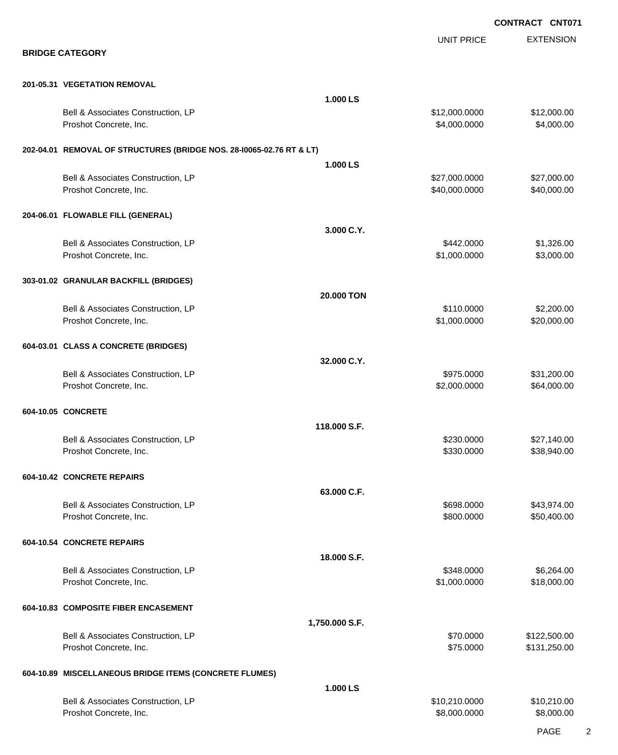EXTENSION **CONTRACT CNT071** UNIT PRICE **BRIDGE CATEGORY 201-05.31 VEGETATION REMOVAL 1.000 LS** Bell & Associates Construction, LP 612,000.000 \$12,000.000 \$12,000.000 \$12,000.000 Proshot Concrete, Inc. \$4,000.000 \$4,000.000 \$4,000.000 \$4,000.000 \$4,000.000 \$4,000.00 **202-04.01 REMOVAL OF STRUCTURES (BRIDGE NOS. 28-I0065-02.76 RT & LT) 1.000 LS** Bell & Associates Construction, LP 627,000.000 \$27,000.000 \$27,000.000 \$27,000.000 Proshot Concrete, Inc. \$40,000.000 \$40,000.000 \$40,000.000 \$40,000.000 \$40,000.00 **204-06.01 FLOWABLE FILL (GENERAL) 3.000 C.Y.** Bell & Associates Construction, LP 6842.0000 \$1,326.00 Proshot Concrete, Inc. \$1,000.000 \$3,000.000 \$3,000.00 **303-01.02 GRANULAR BACKFILL (BRIDGES) 20.000 TON** Bell & Associates Construction, LP 6. 200.00 \$2,200.00 Proshot Concrete, Inc. \$1,000.0000 \$20,000.000 \$20,000.000 \$20,000.000 \$20,000.00 **604-03.01 CLASS A CONCRETE (BRIDGES) 32.000 C.Y.** Bell & Associates Construction, LP 631,200.00 \$31,200.00 Proshot Concrete, Inc. \$2,000.000 \$64,000.00 \$64,000.00 **604-10.05 CONCRETE 118.000 S.F.** Bell & Associates Construction, LP 627,140.00 Proshot Concrete, Inc. \$33,940.00 \$330.000 \$38,940.00 **604-10.42 CONCRETE REPAIRS 63.000 C.F.** Bell & Associates Construction, LP 643,974.00 Proshot Concrete, Inc. \$800.000 \$50,400.00 **604-10.54 CONCRETE REPAIRS 18.000 S.F.** Bell & Associates Construction, LP 6,264.00 Proshot Concrete, Inc. \$18,000.000 \$18,000.000 \$18,000.000 \$18,000.000 **604-10.83 COMPOSITE FIBER ENCASEMENT 1,750.000 S.F.** Bell & Associates Construction, LP 6. The state of the state of the state of the state of the state of the state of the state of the state of the state of the state of the state of the state of the state of the state of th Proshot Concrete, Inc. \$75.000 \$131,250.00 **604-10.89 MISCELLANEOUS BRIDGE ITEMS (CONCRETE FLUMES) 1.000 LS** Bell & Associates Construction, LP 610,210.000 \$10,210.000 \$10,210.000 Proshot Concrete, Inc. \$8,000.000 \$8,000.000 \$8,000.000 \$8,000.000 \$8,000.000 \$8,000.00 \$8,000.00 \$8,000.00 \$8,000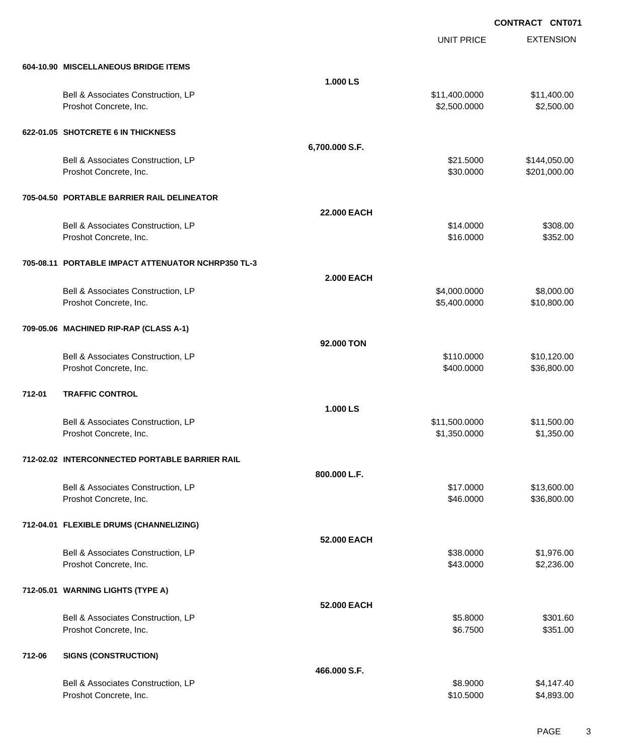|        |                                                              |                    | <b>UNIT PRICE</b>             | <b>EXTENSION</b>          |
|--------|--------------------------------------------------------------|--------------------|-------------------------------|---------------------------|
|        | 604-10.90 MISCELLANEOUS BRIDGE ITEMS                         |                    |                               |                           |
|        |                                                              | 1.000 LS           |                               |                           |
|        | Bell & Associates Construction, LP<br>Proshot Concrete, Inc. |                    | \$11,400.0000<br>\$2,500.0000 | \$11,400.00<br>\$2,500.00 |
|        |                                                              |                    |                               |                           |
|        | 622-01.05 SHOTCRETE 6 IN THICKNESS                           |                    |                               |                           |
|        |                                                              | 6,700.000 S.F.     |                               |                           |
|        | Bell & Associates Construction, LP                           |                    | \$21.5000                     | \$144,050.00              |
|        | Proshot Concrete, Inc.                                       |                    | \$30.0000                     | \$201,000.00              |
|        | 705-04.50 PORTABLE BARRIER RAIL DELINEATOR                   |                    |                               |                           |
|        |                                                              | <b>22.000 EACH</b> |                               |                           |
|        | Bell & Associates Construction, LP                           |                    | \$14.0000                     | \$308.00                  |
|        | Proshot Concrete, Inc.                                       |                    | \$16.0000                     | \$352.00                  |
|        | 705-08.11 PORTABLE IMPACT ATTENUATOR NCHRP350 TL-3           |                    |                               |                           |
|        |                                                              | <b>2.000 EACH</b>  |                               |                           |
|        |                                                              |                    | \$4,000.0000                  | \$8,000.00                |
|        | Bell & Associates Construction, LP<br>Proshot Concrete, Inc. |                    | \$5,400.0000                  | \$10,800.00               |
|        |                                                              |                    |                               |                           |
|        | 709-05.06 MACHINED RIP-RAP (CLASS A-1)                       |                    |                               |                           |
|        |                                                              | 92,000 TON         |                               |                           |
|        | Bell & Associates Construction, LP                           |                    | \$110.0000                    | \$10,120.00               |
|        | Proshot Concrete, Inc.                                       |                    | \$400.0000                    | \$36,800.00               |
| 712-01 | <b>TRAFFIC CONTROL</b>                                       |                    |                               |                           |
|        |                                                              | 1.000 LS           |                               |                           |
|        | Bell & Associates Construction, LP                           |                    | \$11,500.0000                 | \$11,500.00               |
|        | Proshot Concrete, Inc.                                       |                    | \$1,350.0000                  | \$1,350.00                |
|        | 712-02.02 INTERCONNECTED PORTABLE BARRIER RAIL               |                    |                               |                           |
|        |                                                              | 800.000 L.F.       |                               |                           |
|        | Bell & Associates Construction, LP                           |                    | \$17.0000                     | \$13,600.00               |
|        | Proshot Concrete, Inc.                                       |                    | \$46.0000                     | \$36,800.00               |
|        |                                                              |                    |                               |                           |
|        | 712-04.01 FLEXIBLE DRUMS (CHANNELIZING)                      |                    |                               |                           |
|        |                                                              | 52.000 EACH        |                               |                           |
|        | Bell & Associates Construction, LP<br>Proshot Concrete, Inc. |                    | \$38.0000<br>\$43.0000        | \$1,976.00<br>\$2,236.00  |
|        |                                                              |                    |                               |                           |
|        | 712-05.01 WARNING LIGHTS (TYPE A)                            |                    |                               |                           |
|        |                                                              | 52,000 EACH        |                               |                           |
|        | Bell & Associates Construction, LP                           |                    | \$5.8000                      | \$301.60                  |
|        | Proshot Concrete, Inc.                                       |                    | \$6.7500                      | \$351.00                  |
| 712-06 | <b>SIGNS (CONSTRUCTION)</b>                                  |                    |                               |                           |
|        |                                                              | 466.000 S.F.       |                               |                           |
|        | Bell & Associates Construction, LP                           |                    | \$8.9000                      | \$4,147.40                |
|        | Proshot Concrete, Inc.                                       |                    | \$10.5000                     | \$4,893.00                |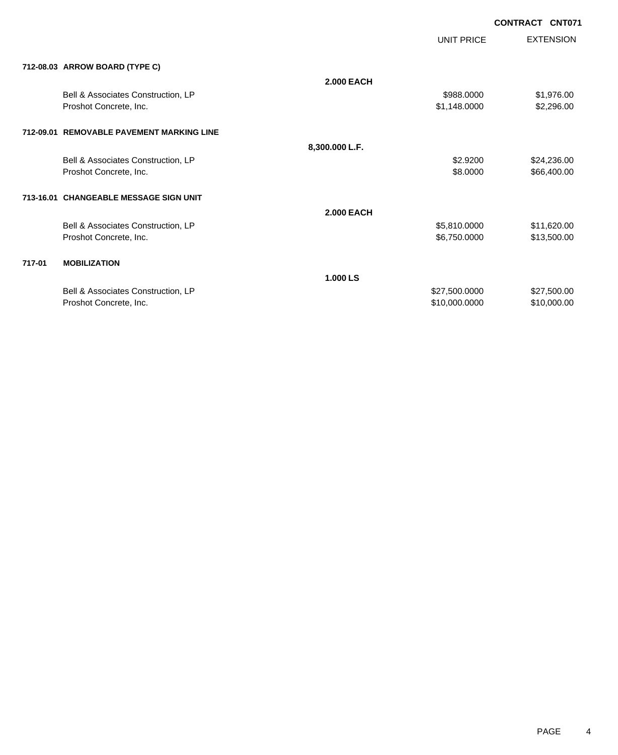|        |                                           |                   |                   | <b>UUNIKAUL UNIVII</b> |
|--------|-------------------------------------------|-------------------|-------------------|------------------------|
|        |                                           |                   | <b>UNIT PRICE</b> | <b>EXTENSION</b>       |
|        | 712-08.03 ARROW BOARD (TYPE C)            |                   |                   |                        |
|        |                                           | <b>2.000 EACH</b> |                   |                        |
|        | Bell & Associates Construction, LP        |                   | \$988.0000        | \$1,976.00             |
|        | Proshot Concrete, Inc.                    |                   | \$1,148.0000      | \$2,296.00             |
|        | 712-09.01 REMOVABLE PAVEMENT MARKING LINE |                   |                   |                        |
|        |                                           | 8,300.000 L.F.    |                   |                        |
|        | Bell & Associates Construction, LP        |                   | \$2.9200          | \$24,236.00            |
|        | Proshot Concrete, Inc.                    |                   | \$8.0000          | \$66,400.00            |
|        |                                           |                   |                   |                        |
|        | 713-16.01 CHANGEABLE MESSAGE SIGN UNIT    |                   |                   |                        |
|        |                                           | <b>2.000 EACH</b> |                   |                        |
|        | Bell & Associates Construction, LP        |                   | \$5,810.0000      | \$11,620.00            |
|        | Proshot Concrete, Inc.                    |                   | \$6,750.0000      | \$13,500.00            |
|        |                                           |                   |                   |                        |
| 717-01 | <b>MOBILIZATION</b>                       |                   |                   |                        |
|        |                                           | 1.000 LS          |                   |                        |
|        | Bell & Associates Construction, LP        |                   | \$27,500.0000     | \$27,500.00            |
|        | Proshot Concrete, Inc.                    |                   | \$10,000.0000     | \$10,000.00            |
|        |                                           |                   |                   |                        |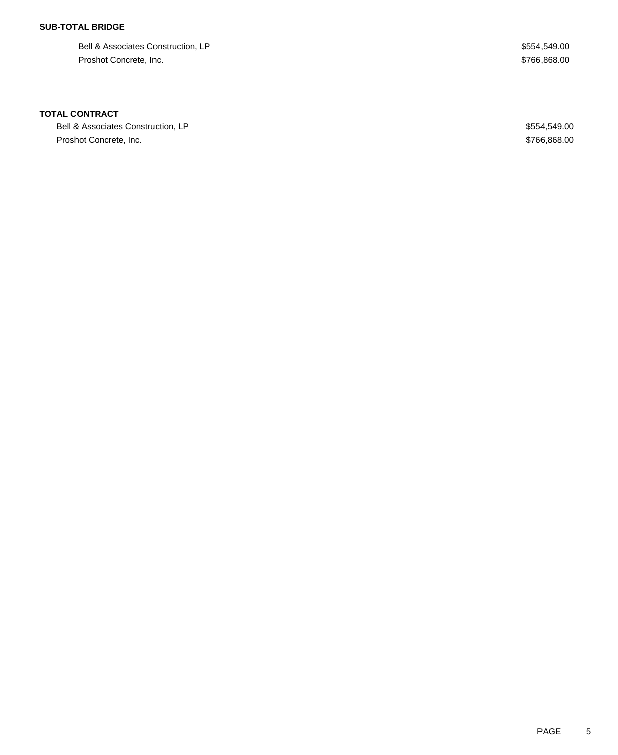## **SUB-TOTAL BRIDGE**

Bell & Associates Construction, LP  $$554,549.00$ Proshot Concrete, Inc. \$766,868.00

### **TOTAL CONTRACT**

Bell & Associates Construction, LP  $$554,549.00$ Proshot Concrete, Inc. \$766,868.00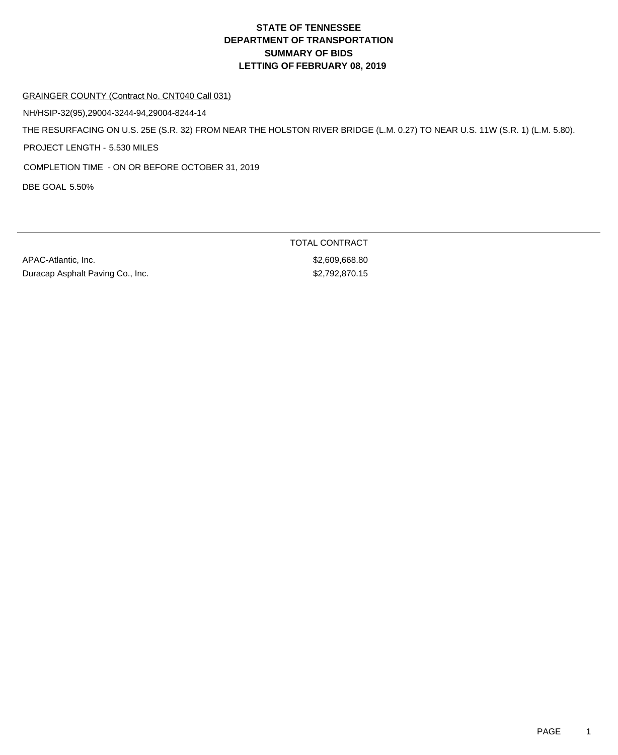### GRAINGER COUNTY (Contract No. CNT040 Call 031)

NH/HSIP-32(95),29004-3244-94,29004-8244-14

THE RESURFACING ON U.S. 25E (S.R. 32) FROM NEAR THE HOLSTON RIVER BRIDGE (L.M. 0.27) TO NEAR U.S. 11W (S.R. 1) (L.M. 5.80).

PROJECT LENGTH - 5.530 MILES

COMPLETION TIME - ON OR BEFORE OCTOBER 31, 2019

DBE GOAL 5.50%

APAC-Atlantic, Inc. 688.80 Duracap Asphalt Paving Co., Inc. 6. \$2,792,870.15

TOTAL CONTRACT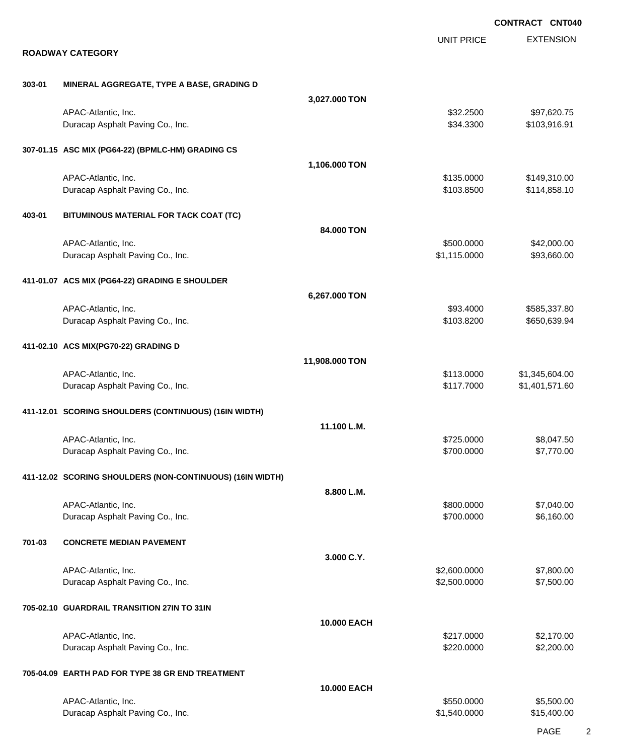|        |                                                           |                |                            | <b>CONTRACT CNT040</b>           |
|--------|-----------------------------------------------------------|----------------|----------------------------|----------------------------------|
|        | <b>ROADWAY CATEGORY</b>                                   |                | <b>UNIT PRICE</b>          | <b>EXTENSION</b>                 |
|        |                                                           |                |                            |                                  |
| 303-01 | MINERAL AGGREGATE, TYPE A BASE, GRADING D                 | 3,027.000 TON  |                            |                                  |
|        | APAC-Atlantic, Inc.<br>Duracap Asphalt Paving Co., Inc.   |                | \$32.2500<br>\$34.3300     | \$97,620.75<br>\$103,916.91      |
|        | 307-01.15 ASC MIX (PG64-22) (BPMLC-HM) GRADING CS         |                |                            |                                  |
|        |                                                           | 1,106.000 TON  |                            |                                  |
|        | APAC-Atlantic, Inc.<br>Duracap Asphalt Paving Co., Inc.   |                | \$135.0000<br>\$103.8500   | \$149,310.00<br>\$114,858.10     |
| 403-01 | BITUMINOUS MATERIAL FOR TACK COAT (TC)                    |                |                            |                                  |
|        |                                                           | 84.000 TON     |                            |                                  |
|        | APAC-Atlantic, Inc.<br>Duracap Asphalt Paving Co., Inc.   |                | \$500.0000<br>\$1,115.0000 | \$42,000.00<br>\$93,660.00       |
|        | 411-01.07 ACS MIX (PG64-22) GRADING E SHOULDER            |                |                            |                                  |
|        |                                                           | 6,267.000 TON  |                            |                                  |
|        | APAC-Atlantic, Inc.                                       |                | \$93.4000<br>\$103.8200    | \$585,337.80<br>\$650,639.94     |
|        | Duracap Asphalt Paving Co., Inc.                          |                |                            |                                  |
|        | 411-02.10 ACS MIX(PG70-22) GRADING D                      |                |                            |                                  |
|        |                                                           | 11,908.000 TON |                            |                                  |
|        | APAC-Atlantic, Inc.<br>Duracap Asphalt Paving Co., Inc.   |                | \$113.0000<br>\$117.7000   | \$1,345,604.00<br>\$1,401,571.60 |
|        | 411-12.01 SCORING SHOULDERS (CONTINUOUS) (16IN WIDTH)     |                |                            |                                  |
|        |                                                           | 11.100 L.M.    |                            |                                  |
|        | APAC-Atlantic, Inc.                                       |                | \$725.0000                 | \$8,047.50                       |
|        | Duracap Asphalt Paving Co., Inc.                          |                | \$700.0000                 | \$7,770.00                       |
|        | 411-12.02 SCORING SHOULDERS (NON-CONTINUOUS) (16IN WIDTH) |                |                            |                                  |
|        | APAC-Atlantic, Inc.                                       | 8.800 L.M.     | \$800.0000                 | \$7,040.00                       |
|        | Duracap Asphalt Paving Co., Inc.                          |                | \$700.0000                 | \$6,160.00                       |
| 701-03 | <b>CONCRETE MEDIAN PAVEMENT</b>                           |                |                            |                                  |
|        |                                                           | 3.000 C.Y.     |                            |                                  |
|        | APAC-Atlantic, Inc.                                       |                | \$2,600.0000               | \$7,800.00                       |
|        | Duracap Asphalt Paving Co., Inc.                          |                | \$2,500.0000               | \$7,500.00                       |
|        | 705-02.10 GUARDRAIL TRANSITION 27IN TO 31IN               |                |                            |                                  |
|        |                                                           | 10.000 EACH    |                            |                                  |
|        | APAC-Atlantic, Inc.<br>Duracap Asphalt Paving Co., Inc.   |                | \$217.0000<br>\$220.0000   | \$2,170.00<br>\$2,200.00         |
|        | 705-04.09 EARTH PAD FOR TYPE 38 GR END TREATMENT          |                |                            |                                  |
|        |                                                           | 10.000 EACH    |                            |                                  |
|        | APAC-Atlantic, Inc.                                       |                | \$550.0000                 | \$5,500.00                       |
|        | Duracap Asphalt Paving Co., Inc.                          |                | \$1,540.0000               | \$15,400.00                      |

PAGE 2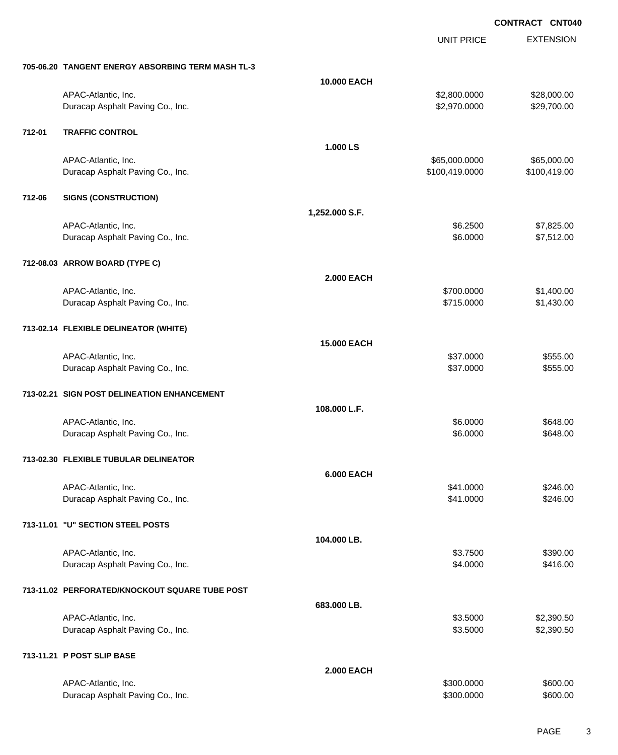UNIT PRICE

EXTENSION

|        | 705-06.20 TANGENT ENERGY ABSORBING TERM MASH TL-3       |                    |                                 |                             |
|--------|---------------------------------------------------------|--------------------|---------------------------------|-----------------------------|
|        |                                                         | 10.000 EACH        |                                 |                             |
|        | APAC-Atlantic, Inc.<br>Duracap Asphalt Paving Co., Inc. |                    | \$2,800.0000<br>\$2,970.0000    | \$28,000.00<br>\$29,700.00  |
| 712-01 | <b>TRAFFIC CONTROL</b>                                  |                    |                                 |                             |
|        |                                                         | 1.000 LS           |                                 |                             |
|        | APAC-Atlantic, Inc.<br>Duracap Asphalt Paving Co., Inc. |                    | \$65,000.0000<br>\$100,419.0000 | \$65,000.00<br>\$100,419.00 |
|        |                                                         |                    |                                 |                             |
| 712-06 | <b>SIGNS (CONSTRUCTION)</b>                             |                    |                                 |                             |
|        |                                                         | 1,252.000 S.F.     |                                 |                             |
|        | APAC-Atlantic, Inc.                                     |                    | \$6.2500                        | \$7,825.00                  |
|        | Duracap Asphalt Paving Co., Inc.                        |                    | \$6.0000                        | \$7,512.00                  |
|        | 712-08.03 ARROW BOARD (TYPE C)                          |                    |                                 |                             |
|        |                                                         | <b>2.000 EACH</b>  |                                 |                             |
|        | APAC-Atlantic, Inc.                                     |                    | \$700.0000                      | \$1,400.00                  |
|        | Duracap Asphalt Paving Co., Inc.                        |                    | \$715.0000                      | \$1,430.00                  |
|        | 713-02.14 FLEXIBLE DELINEATOR (WHITE)                   |                    |                                 |                             |
|        |                                                         | <b>15.000 EACH</b> |                                 |                             |
|        | APAC-Atlantic, Inc.                                     |                    | \$37.0000                       | \$555.00                    |
|        | Duracap Asphalt Paving Co., Inc.                        |                    | \$37.0000                       | \$555.00                    |
|        | 713-02.21 SIGN POST DELINEATION ENHANCEMENT             |                    |                                 |                             |
|        |                                                         | 108.000 L.F.       |                                 |                             |
|        | APAC-Atlantic, Inc.                                     |                    | \$6.0000                        | \$648.00                    |
|        | Duracap Asphalt Paving Co., Inc.                        |                    | \$6.0000                        | \$648.00                    |
|        | 713-02.30 FLEXIBLE TUBULAR DELINEATOR                   |                    |                                 |                             |
|        |                                                         | <b>6.000 EACH</b>  |                                 |                             |
|        | APAC-Atlantic, Inc.                                     |                    | \$41.0000                       | \$246.00                    |
|        | Duracap Asphalt Paving Co., Inc.                        |                    | \$41.0000                       | \$246.00                    |
|        | 713-11.01 "U" SECTION STEEL POSTS                       |                    |                                 |                             |
|        |                                                         | 104.000 LB.        |                                 |                             |
|        | APAC-Atlantic, Inc.                                     |                    | \$3.7500                        | \$390.00                    |
|        | Duracap Asphalt Paving Co., Inc.                        |                    | \$4.0000                        | \$416.00                    |
|        | 713-11.02 PERFORATED/KNOCKOUT SQUARE TUBE POST          |                    |                                 |                             |
|        |                                                         | 683.000 LB.        |                                 |                             |
|        | APAC-Atlantic, Inc.                                     |                    | \$3.5000                        | \$2,390.50                  |
|        | Duracap Asphalt Paving Co., Inc.                        |                    | \$3.5000                        | \$2,390.50                  |
|        | 713-11.21 P POST SLIP BASE                              |                    |                                 |                             |
|        |                                                         | <b>2.000 EACH</b>  |                                 |                             |
|        | APAC-Atlantic, Inc.                                     |                    | \$300.0000                      | \$600.00                    |
|        | Duracap Asphalt Paving Co., Inc.                        |                    | \$300.0000                      | \$600.00                    |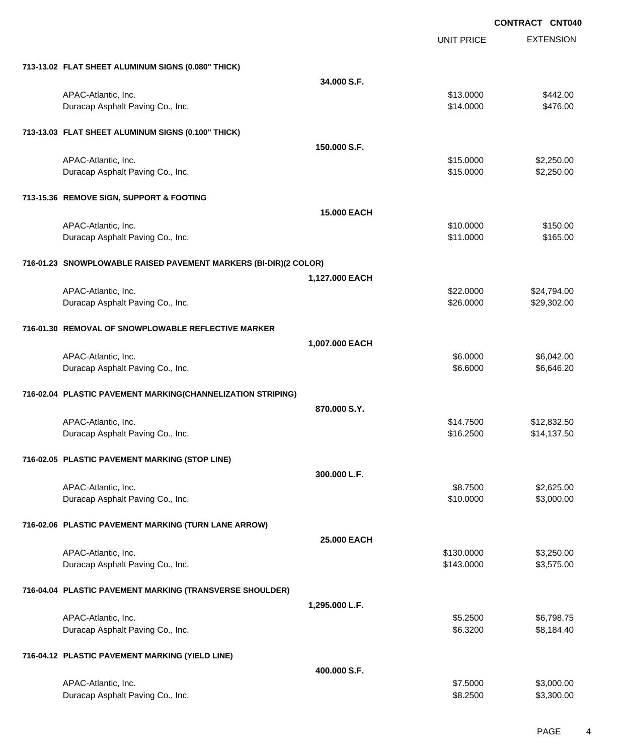EXTENSION **CONTRACT CNT040** UNIT PRICE **713-13.02 FLAT SHEET ALUMINUM SIGNS (0.080" THICK) 34.000 S.F.** APAC-Atlantic, Inc. \$13.0000 \$442.00 Duracap Asphalt Paving Co., Inc. 6476.00 **713-13.03 FLAT SHEET ALUMINUM SIGNS (0.100" THICK) 150.000 S.F.** APAC-Atlantic, Inc. \$15.0000 \$2,250.00 Duracap Asphalt Paving Co., Inc. \$15.000 \$2,250.00 **713-15.36 REMOVE SIGN, SUPPORT & FOOTING 15.000 EACH** APAC-Atlantic, Inc. \$150.00 \$150.00 \$150.00 \$150.00 \$150.00 \$150.00 \$150.00 \$150.00 \$150.00 \$150.00 \$150.00 \$1 Duracap Asphalt Paving Co., Inc. 665.00 \$165.00 **716-01.23 SNOWPLOWABLE RAISED PAVEMENT MARKERS (BI-DIR)(2 COLOR) 1,127.000 EACH** APAC-Atlantic, Inc. \$24,794.00 \$24,794.00 Duracap Asphalt Paving Co., Inc. 6. The Contract of Contract Contract of the State of State Section 4. The State Section 4. The State Section 4. The State Section 4. The State Section 4. The State Section 4. The State Sect **716-01.30 REMOVAL OF SNOWPLOWABLE REFLECTIVE MARKER 1,007.000 EACH** APAC-Atlantic, Inc. \$6.0000 \$6,042.00 Duracap Asphalt Paving Co., Inc. 66.6000 \$6,646.20 **716-02.04 PLASTIC PAVEMENT MARKING(CHANNELIZATION STRIPING) 870.000 S.Y.** APAC-Atlantic, Inc. \$12,832.50 Duracap Asphalt Paving Co., Inc. \$16.2500 \$14,137.50 **716-02.05 PLASTIC PAVEMENT MARKING (STOP LINE) 300.000 L.F.** APAC-Atlantic, Inc. \$8.7500 \$2,625.00 Duracap Asphalt Paving Co., Inc. \$10.0000 \$3,000.00 **716-02.06 PLASTIC PAVEMENT MARKING (TURN LANE ARROW) 25.000 EACH** APAC-Atlantic, Inc. \$130.0000 \$3,250.00 Duracap Asphalt Paving Co., Inc. 63,575.00 \$3,575.00 \$3,575.00 **716-04.04 PLASTIC PAVEMENT MARKING (TRANSVERSE SHOULDER) 1,295.000 L.F.** APAC-Atlantic, Inc. \$6,798.75 Duracap Asphalt Paving Co., Inc. 66.3200 \$8,184.40 **716-04.12 PLASTIC PAVEMENT MARKING (YIELD LINE) 400.000 S.F.** APAC-Atlantic, Inc. \$3,000.00 \$3,000.00 \$3,000.00 \$3,000.00 \$3,000.00 \$3,000.00 \$3,000.00 \$3,000.00 \$3,000.00 \$3,000 Duracap Asphalt Paving Co., Inc. 66 and the contract of the contract of the contract of the state of the state of the state of the state of the state of the state of the state of the state of the state of the state of the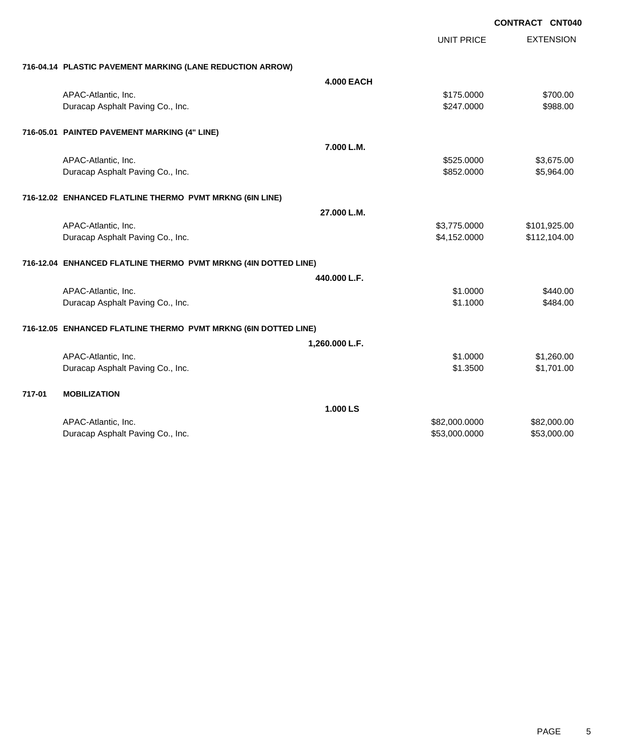|        |                                                                 |                   | <b>UNIT PRICE</b> | <b>EXTENSION</b> |
|--------|-----------------------------------------------------------------|-------------------|-------------------|------------------|
|        | 716-04.14 PLASTIC PAVEMENT MARKING (LANE REDUCTION ARROW)       |                   |                   |                  |
|        |                                                                 | <b>4.000 EACH</b> |                   |                  |
|        | APAC-Atlantic, Inc.                                             |                   | \$175.0000        | \$700.00         |
|        | Duracap Asphalt Paving Co., Inc.                                |                   | \$247.0000        | \$988.00         |
|        | 716-05.01 PAINTED PAVEMENT MARKING (4" LINE)                    |                   |                   |                  |
|        |                                                                 | 7.000 L.M.        |                   |                  |
|        | APAC-Atlantic, Inc.                                             |                   | \$525.0000        | \$3,675.00       |
|        | Duracap Asphalt Paving Co., Inc.                                |                   | \$852.0000        | \$5,964.00       |
|        | 716-12.02 ENHANCED FLATLINE THERMO PVMT MRKNG (6IN LINE)        |                   |                   |                  |
|        |                                                                 | 27.000 L.M.       |                   |                  |
|        | APAC-Atlantic, Inc.                                             |                   | \$3,775.0000      | \$101,925.00     |
|        | Duracap Asphalt Paving Co., Inc.                                |                   | \$4,152.0000      | \$112,104.00     |
|        | 716-12.04 ENHANCED FLATLINE THERMO PVMT MRKNG (4IN DOTTED LINE) |                   |                   |                  |
|        |                                                                 | 440.000 L.F.      |                   |                  |
|        | APAC-Atlantic, Inc.                                             |                   | \$1,0000          | \$440.00         |
|        | Duracap Asphalt Paving Co., Inc.                                |                   | \$1.1000          | \$484.00         |
|        | 716-12.05 ENHANCED FLATLINE THERMO PVMT MRKNG (6IN DOTTED LINE) |                   |                   |                  |
|        |                                                                 | 1,260.000 L.F.    |                   |                  |
|        | APAC-Atlantic, Inc.                                             |                   | \$1,0000          | \$1,260.00       |
|        | Duracap Asphalt Paving Co., Inc.                                |                   | \$1.3500          | \$1,701.00       |
| 717-01 | <b>MOBILIZATION</b>                                             |                   |                   |                  |
|        |                                                                 | 1.000 LS          |                   |                  |
|        | APAC-Atlantic, Inc.                                             |                   | \$82,000.0000     | \$82,000.00      |
|        | Duracap Asphalt Paving Co., Inc.                                |                   | \$53,000.0000     | \$53,000.00      |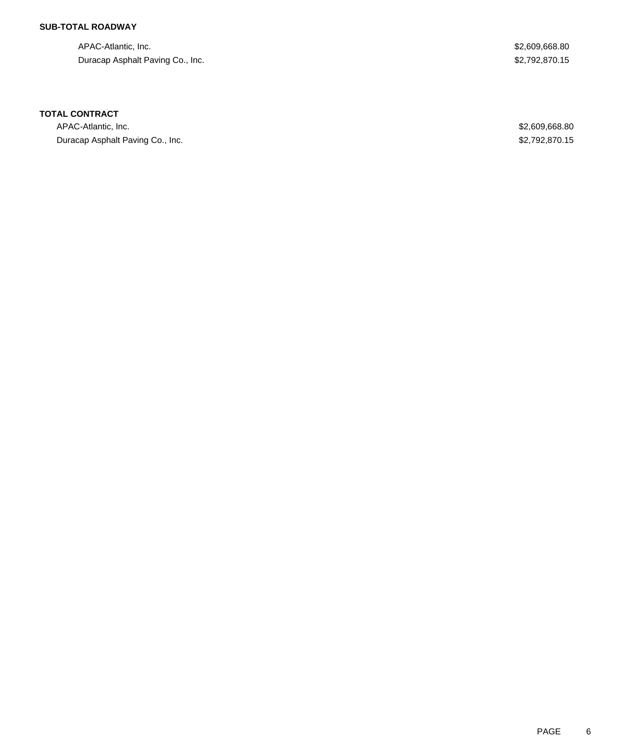## **SUB-TOTAL ROADWAY**

APAC-Atlantic, Inc. \$2,609,668.80 Duracap Asphalt Paving Co., Inc. 6. 2012 12:30 12:30 12:30 12:30 12:30 12:30 12:30 12:30 12:30 12:30 12:30 12:30 12:30 12:30 12:30 12:30 12:30 12:30 12:30 12:30 12:30 12:30 12:30 12:30 12:30 12:30 12:30 12:30 12:30 12:30 1

### **TOTAL CONTRACT**

APAC-Atlantic, Inc. \$2,609,668.80 Duracap Asphalt Paving Co., Inc. 6. The Contract of the Contract of the Contract of the Contract of the S2,792,870.15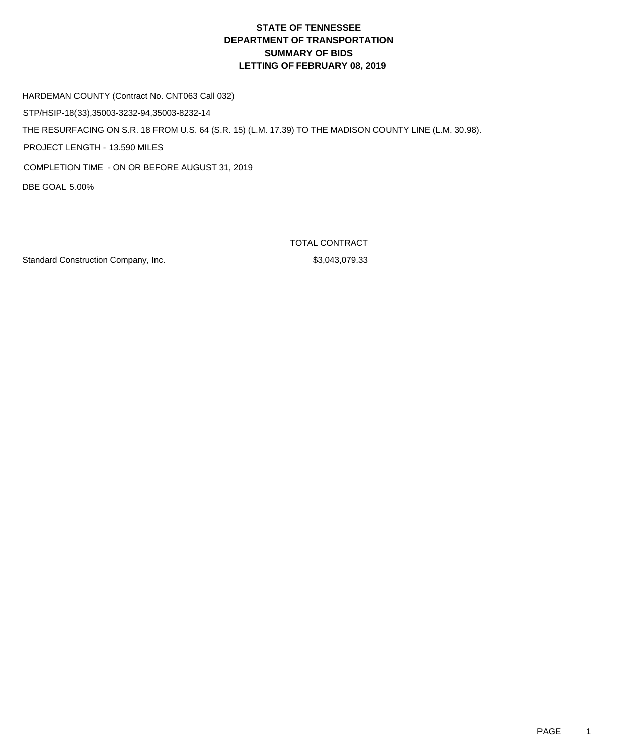#### HARDEMAN COUNTY (Contract No. CNT063 Call 032)

STP/HSIP-18(33),35003-3232-94,35003-8232-14

THE RESURFACING ON S.R. 18 FROM U.S. 64 (S.R. 15) (L.M. 17.39) TO THE MADISON COUNTY LINE (L.M. 30.98).

PROJECT LENGTH - 13.590 MILES

COMPLETION TIME - ON OR BEFORE AUGUST 31, 2019

DBE GOAL 5.00%

Standard Construction Company, Inc. 63,043,079.33

TOTAL CONTRACT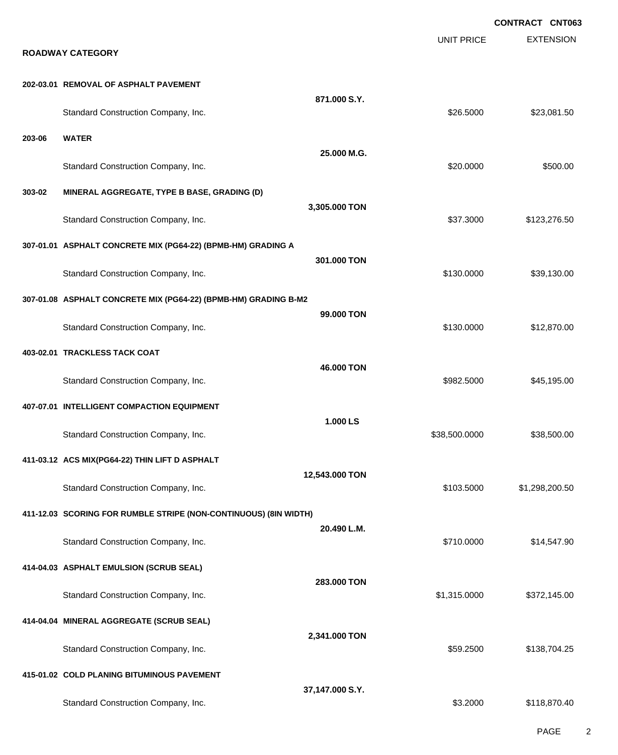|        |                                                                  |                 |                   | <b>CONTRACT CNT063</b> |
|--------|------------------------------------------------------------------|-----------------|-------------------|------------------------|
|        | <b>ROADWAY CATEGORY</b>                                          |                 | <b>UNIT PRICE</b> | <b>EXTENSION</b>       |
|        | 202-03.01 REMOVAL OF ASPHALT PAVEMENT                            |                 |                   |                        |
|        | Standard Construction Company, Inc.                              | 871.000 S.Y.    | \$26.5000         | \$23,081.50            |
| 203-06 | <b>WATER</b>                                                     | 25,000 M.G.     |                   |                        |
|        | Standard Construction Company, Inc.                              |                 | \$20.0000         | \$500.00               |
| 303-02 | MINERAL AGGREGATE, TYPE B BASE, GRADING (D)                      |                 |                   |                        |
|        | Standard Construction Company, Inc.                              | 3,305.000 TON   | \$37.3000         | \$123,276.50           |
|        | 307-01.01 ASPHALT CONCRETE MIX (PG64-22) (BPMB-HM) GRADING A     |                 |                   |                        |
|        | Standard Construction Company, Inc.                              | 301.000 TON     | \$130.0000        | \$39,130.00            |
|        | 307-01.08 ASPHALT CONCRETE MIX (PG64-22) (BPMB-HM) GRADING B-M2  |                 |                   |                        |
|        | Standard Construction Company, Inc.                              | 99,000 TON      | \$130.0000        | \$12,870.00            |
|        | 403-02.01 TRACKLESS TACK COAT                                    |                 |                   |                        |
|        | Standard Construction Company, Inc.                              | 46,000 TON      | \$982.5000        | \$45,195.00            |
|        | 407-07.01 INTELLIGENT COMPACTION EQUIPMENT                       |                 |                   |                        |
|        | Standard Construction Company, Inc.                              | 1.000 LS        | \$38,500.0000     | \$38,500.00            |
|        | 411-03.12 ACS MIX(PG64-22) THIN LIFT D ASPHALT                   |                 |                   |                        |
|        | Standard Construction Company, Inc.                              | 12,543.000 TON  | \$103.5000        | \$1,298,200.50         |
|        | 411-12.03 SCORING FOR RUMBLE STRIPE (NON-CONTINUOUS) (8IN WIDTH) |                 |                   |                        |
|        | Standard Construction Company, Inc.                              | 20.490 L.M.     | \$710.0000        | \$14,547.90            |
|        | 414-04.03 ASPHALT EMULSION (SCRUB SEAL)                          |                 |                   |                        |
|        | Standard Construction Company, Inc.                              | 283,000 TON     | \$1,315.0000      | \$372,145.00           |
|        | 414-04.04 MINERAL AGGREGATE (SCRUB SEAL)                         |                 |                   |                        |
|        | Standard Construction Company, Inc.                              | 2,341.000 TON   | \$59.2500         | \$138,704.25           |
|        | 415-01.02 COLD PLANING BITUMINOUS PAVEMENT                       |                 |                   |                        |
|        | Standard Construction Company, Inc.                              | 37,147.000 S.Y. | \$3.2000          | \$118,870.40           |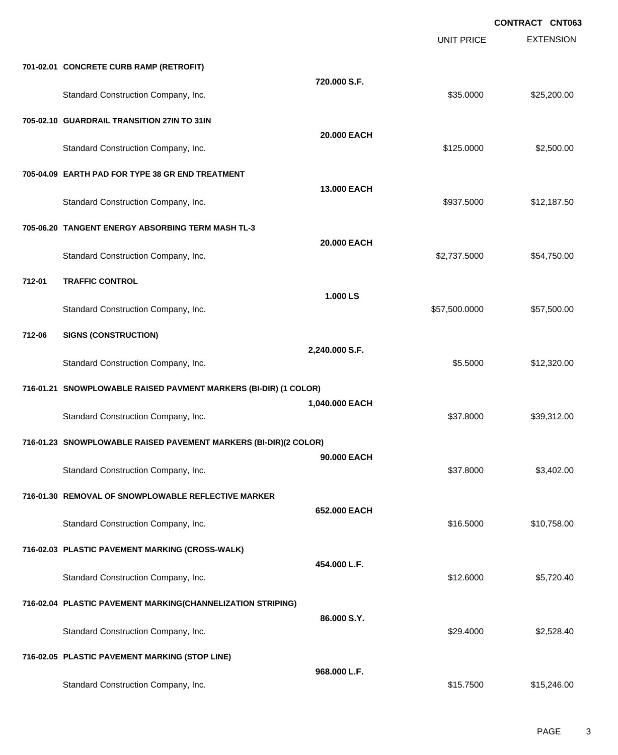EXTENSION **CONTRACT CNT063** UNIT PRICE **701-02.01 CONCRETE CURB RAMP (RETROFIT) 720.000 S.F.** Standard Construction Company, Inc. 6. The Construction Company, Inc. 6. The Construction Company, Inc. 6. The Construction Company, Inc. 6. The Construction Company, Inc. 6. The Construction Company, Inc. 6. The Construct **705-02.10 GUARDRAIL TRANSITION 27IN TO 31IN 20.000 EACH** Standard Construction Company, Inc. 6. The Construction Company, Inc. 6. The Construction Company, Inc. 6. The Construction Company, Inc. 6. The Construction Company, Inc. 6. The Construction Company, Inc. 6. The Construct **705-04.09 EARTH PAD FOR TYPE 38 GR END TREATMENT 13.000 EACH** Standard Construction Company, Inc. 6. The Standard Construction Company, Inc. 6. The Standard Construction Company, Inc. 6. The Standard Standard Standard Standard Standard Standard Standard Standard Standard Standard Sta **705-06.20 TANGENT ENERGY ABSORBING TERM MASH TL-3 20.000 EACH** Standard Construction Company, Inc. 6. The Construction Company, Inc. 6. The Construction Company, Inc. 6. The Construction Company, Inc. 6. The Construction Company, Inc. 6. The Construction Company, Inc. 6. The Construct **712-01 TRAFFIC CONTROL 1.000 LS** Standard Construction Company, Inc. 6. The Construction Company, Inc. 6. The Construction Company, Inc. 6. The Construction Company, Inc. 6. The Construction Company, Inc. 6. The Construction Company, Inc. 6. The Construct **712-06 SIGNS (CONSTRUCTION) 2,240.000 S.F.** Standard Construction Company, Inc. 6. The Standard Construction Company, Inc. 6. The Standard Construction Company, Inc. 6. The Standard Standard Standard Standard Standard Standard Standard Standard Standard Standard Sta **716-01.21 SNOWPLOWABLE RAISED PAVMENT MARKERS (BI-DIR) (1 COLOR) 1,040.000 EACH** Standard Construction Company, Inc. 6. The Construction Company, Inc. 6. The Construction Company, Inc. 6. The Construction Company, Inc. 6. The Construction Company, Inc. 6. The Construction Company, Inc. 6. The Construct **716-01.23 SNOWPLOWABLE RAISED PAVEMENT MARKERS (BI-DIR)(2 COLOR) 90.000 EACH** Standard Construction Company, Inc. 6. The Construction Company, Inc. 6. The Construction Company, Inc. 6. The Construction Company, Inc. 6. The Construction Company, Inc. 6. The Construction Company, Inc. 6. The Construct **716-01.30 REMOVAL OF SNOWPLOWABLE REFLECTIVE MARKER 652.000 EACH** Standard Construction Company, Inc. 6. The Construction Company, Inc. \$16.5000 \$10,758.00 **716-02.03 PLASTIC PAVEMENT MARKING (CROSS-WALK) 454.000 L.F.** Standard Construction Company, Inc. 6. The Standard Construction Company, Inc. 6. The Standard Construction Company, Inc. 6. The Standard Standard Standard Standard Standard Standard Standard Standard Standard Standard Sta **716-02.04 PLASTIC PAVEMENT MARKING(CHANNELIZATION STRIPING) 86.000 S.Y.** Standard Construction Company, Inc. 6. The Construction Company, Inc. 6. The Construction Company, Inc. 6. The Construction Company, Inc. 6. The Construction Company, Inc. 6. The Construction Company, Inc. 6. The Construct **716-02.05 PLASTIC PAVEMENT MARKING (STOP LINE) 968.000 L.F.** Standard Construction Company, Inc. 6. The Standard Construction Company, Inc. 6. The Standard Construction Company, Inc. 6. The Standard Construction Company, Inc. 6. The Standard Construction Company, Inc. 6. The Standar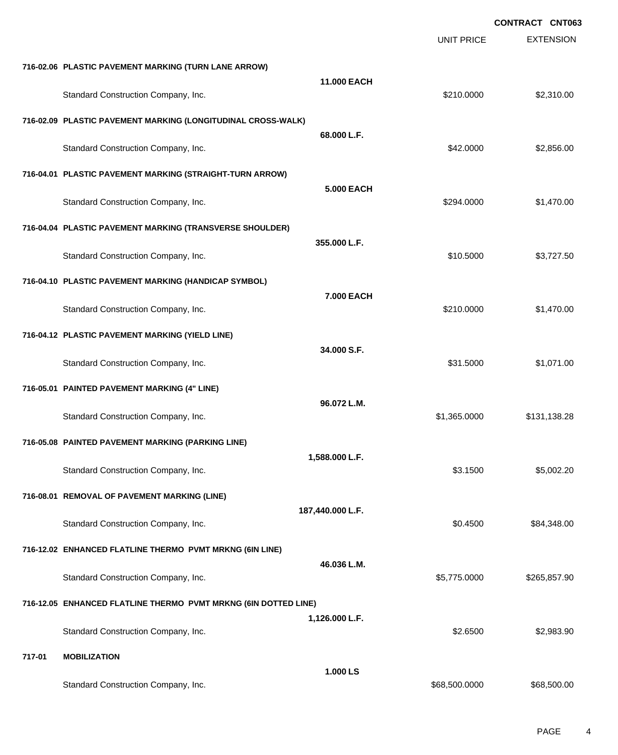|        |                                                                 |                  |                   | <b>CONTRACT CNT063</b> |
|--------|-----------------------------------------------------------------|------------------|-------------------|------------------------|
|        |                                                                 |                  | <b>UNIT PRICE</b> | <b>EXTENSION</b>       |
|        | 716-02.06 PLASTIC PAVEMENT MARKING (TURN LANE ARROW)            |                  |                   |                        |
|        | Standard Construction Company, Inc.                             | 11.000 EACH      | \$210.0000        | \$2,310.00             |
|        | 716-02.09 PLASTIC PAVEMENT MARKING (LONGITUDINAL CROSS-WALK)    |                  |                   |                        |
|        | Standard Construction Company, Inc.                             | 68.000 L.F.      | \$42.0000         | \$2,856.00             |
|        | 716-04.01 PLASTIC PAVEMENT MARKING (STRAIGHT-TURN ARROW)        |                  |                   |                        |
|        | Standard Construction Company, Inc.                             | 5,000 EACH       | \$294.0000        | \$1,470.00             |
|        | 716-04.04 PLASTIC PAVEMENT MARKING (TRANSVERSE SHOULDER)        |                  |                   |                        |
|        | Standard Construction Company, Inc.                             | 355.000 L.F.     | \$10.5000         | \$3,727.50             |
|        | 716-04.10 PLASTIC PAVEMENT MARKING (HANDICAP SYMBOL)            |                  |                   |                        |
|        | Standard Construction Company, Inc.                             | 7.000 EACH       | \$210.0000        | \$1,470.00             |
|        | 716-04.12 PLASTIC PAVEMENT MARKING (YIELD LINE)                 |                  |                   |                        |
|        | Standard Construction Company, Inc.                             | 34.000 S.F.      | \$31.5000         | \$1,071.00             |
|        | 716-05.01 PAINTED PAVEMENT MARKING (4" LINE)                    |                  |                   |                        |
|        | Standard Construction Company, Inc.                             | 96.072 L.M.      | \$1,365.0000      | \$131,138.28           |
|        | 716-05.08 PAINTED PAVEMENT MARKING (PARKING LINE)               |                  |                   |                        |
|        | Standard Construction Company, Inc.                             | 1,588.000 L.F.   | \$3.1500          | \$5,002.20             |
|        | 716-08.01 REMOVAL OF PAVEMENT MARKING (LINE)                    |                  |                   |                        |
|        | Standard Construction Company, Inc.                             | 187,440.000 L.F. | \$0.4500          | \$84,348.00            |
|        | 716-12.02 ENHANCED FLATLINE THERMO PVMT MRKNG (6IN LINE)        |                  |                   |                        |
|        | Standard Construction Company, Inc.                             | 46.036 L.M.      | \$5,775.0000      | \$265,857.90           |
|        | 716-12.05 ENHANCED FLATLINE THERMO PVMT MRKNG (6IN DOTTED LINE) |                  |                   |                        |
|        | Standard Construction Company, Inc.                             | 1,126.000 L.F.   | \$2.6500          | \$2,983.90             |
| 717-01 | <b>MOBILIZATION</b>                                             |                  |                   |                        |
|        | Standard Construction Company, Inc.                             | 1.000 LS         | \$68,500.0000     | \$68,500.00            |
|        |                                                                 |                  |                   |                        |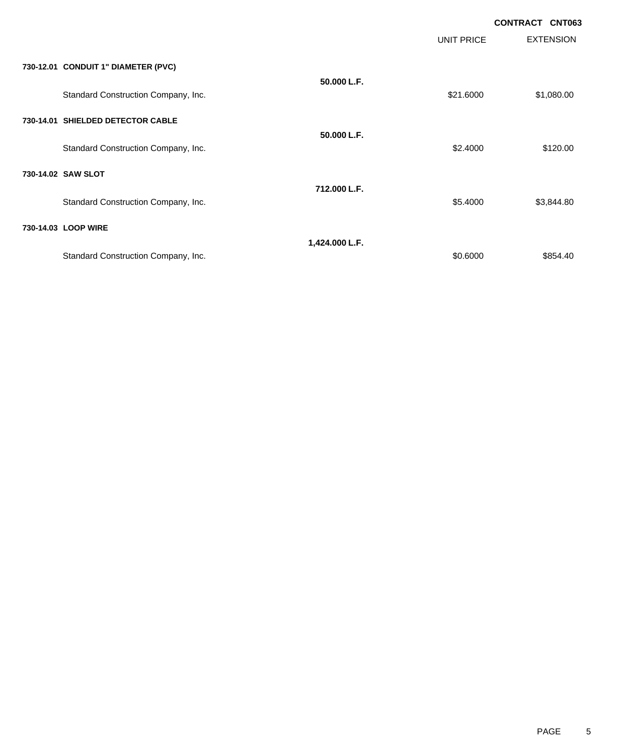|                                     |                |            | <b>CONTRACT CNT063</b> |  |
|-------------------------------------|----------------|------------|------------------------|--|
|                                     |                | UNIT PRICE | <b>EXTENSION</b>       |  |
| 730-12.01 CONDUIT 1" DIAMETER (PVC) |                |            |                        |  |
| Standard Construction Company, Inc. | 50.000 L.F.    | \$21.6000  | \$1,080.00             |  |
| 730-14.01 SHIELDED DETECTOR CABLE   |                |            |                        |  |
| Standard Construction Company, Inc. | 50.000 L.F.    | \$2.4000   | \$120.00               |  |
| 730-14.02 SAW SLOT                  |                |            |                        |  |
| Standard Construction Company, Inc. | 712.000 L.F.   | \$5.4000   | \$3,844.80             |  |
| 730-14.03 LOOP WIRE                 |                |            |                        |  |
| Standard Construction Company, Inc. | 1,424.000 L.F. | \$0.6000   | \$854.40               |  |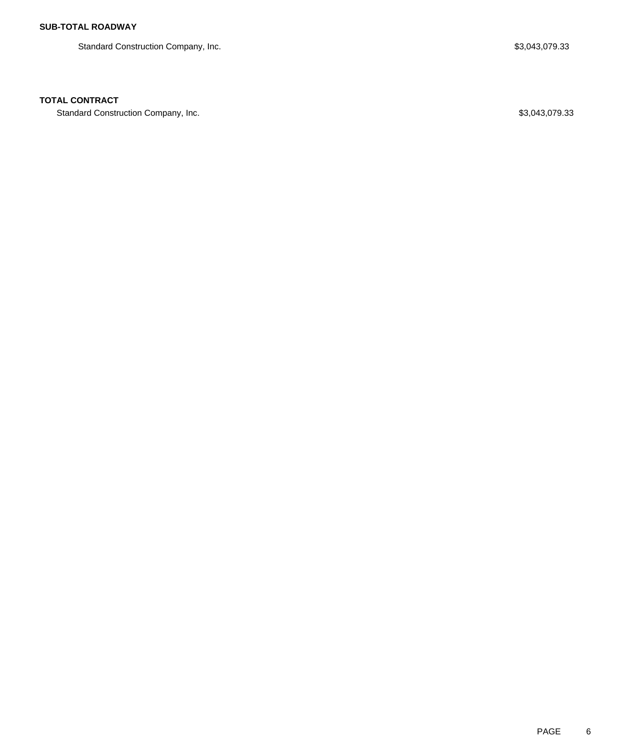Standard Construction Company, Inc. 6. The Standard Construction Company, Inc. 6. The Standard Construction Company, Inc.

# **TOTAL CONTRACT**

Standard Construction Company, Inc. 6. The Standard Construction Company, Inc. 6. The Standard Construction Company, Inc.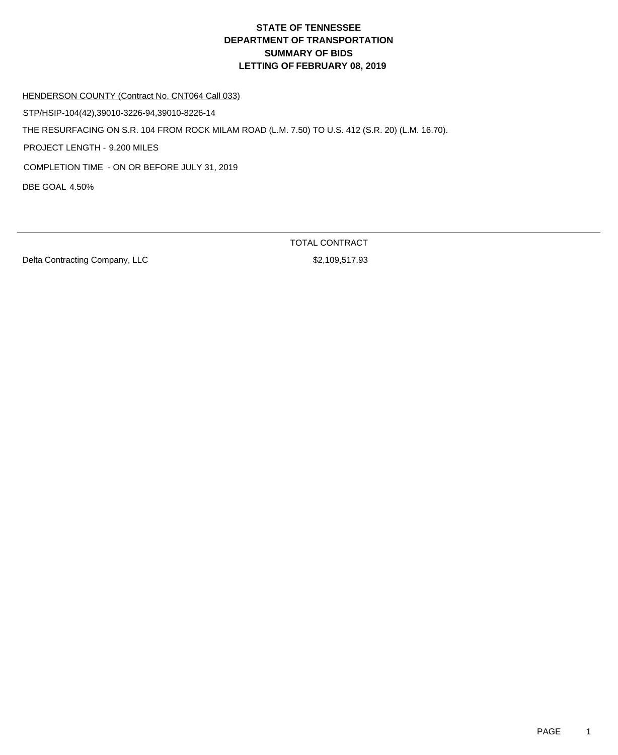HENDERSON COUNTY (Contract No. CNT064 Call 033)

STP/HSIP-104(42),39010-3226-94,39010-8226-14

THE RESURFACING ON S.R. 104 FROM ROCK MILAM ROAD (L.M. 7.50) TO U.S. 412 (S.R. 20) (L.M. 16.70).

PROJECT LENGTH - 9.200 MILES

COMPLETION TIME - ON OR BEFORE JULY 31, 2019

DBE GOAL 4.50%

Delta Contracting Company, LLC \$2,109,517.93

TOTAL CONTRACT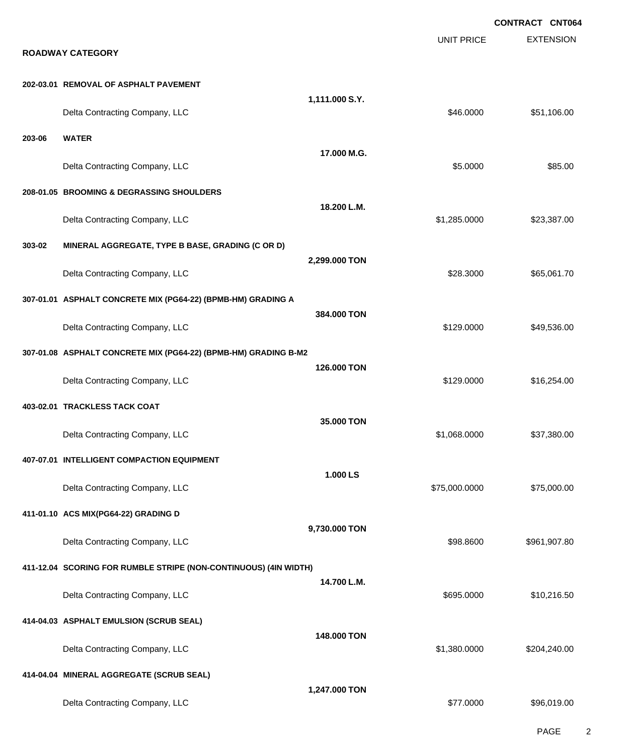|        |                                                                  |                |                   | <b>CONTRACT CNT064</b> |
|--------|------------------------------------------------------------------|----------------|-------------------|------------------------|
|        | <b>ROADWAY CATEGORY</b>                                          |                | <b>UNIT PRICE</b> | <b>EXTENSION</b>       |
|        | 202-03.01 REMOVAL OF ASPHALT PAVEMENT                            |                |                   |                        |
|        | Delta Contracting Company, LLC                                   | 1,111.000 S.Y. | \$46.0000         | \$51,106.00            |
| 203-06 | <b>WATER</b>                                                     | 17.000 M.G.    |                   |                        |
|        | Delta Contracting Company, LLC                                   |                | \$5.0000          | \$85.00                |
|        | 208-01.05 BROOMING & DEGRASSING SHOULDERS                        |                |                   |                        |
|        | Delta Contracting Company, LLC                                   | 18.200 L.M.    | \$1,285.0000      | \$23,387.00            |
| 303-02 | MINERAL AGGREGATE, TYPE B BASE, GRADING (C OR D)                 |                |                   |                        |
|        | Delta Contracting Company, LLC                                   | 2,299.000 TON  | \$28.3000         | \$65,061.70            |
|        | 307-01.01 ASPHALT CONCRETE MIX (PG64-22) (BPMB-HM) GRADING A     |                |                   |                        |
|        | Delta Contracting Company, LLC                                   | 384.000 TON    | \$129.0000        | \$49,536.00            |
|        | 307-01.08 ASPHALT CONCRETE MIX (PG64-22) (BPMB-HM) GRADING B-M2  |                |                   |                        |
|        | Delta Contracting Company, LLC                                   | 126,000 TON    | \$129.0000        | \$16,254.00            |
|        | 403-02.01 TRACKLESS TACK COAT                                    |                |                   |                        |
|        | Delta Contracting Company, LLC                                   | 35.000 TON     | \$1,068.0000      | \$37,380.00            |
|        | 407-07.01 INTELLIGENT COMPACTION EQUIPMENT                       |                |                   |                        |
|        | Delta Contracting Company, LLC                                   | 1.000 LS       | \$75,000.0000     | \$75,000.00            |
|        | 411-01.10 ACS MIX(PG64-22) GRADING D                             |                |                   |                        |
|        | Delta Contracting Company, LLC                                   | 9,730.000 TON  | \$98.8600         | \$961,907.80           |
|        | 411-12.04 SCORING FOR RUMBLE STRIPE (NON-CONTINUOUS) (4IN WIDTH) |                |                   |                        |
|        | Delta Contracting Company, LLC                                   | 14.700 L.M.    | \$695.0000        | \$10,216.50            |
|        | 414-04.03 ASPHALT EMULSION (SCRUB SEAL)                          |                |                   |                        |
|        | Delta Contracting Company, LLC                                   | 148.000 TON    | \$1,380.0000      | \$204,240.00           |
|        | 414-04.04 MINERAL AGGREGATE (SCRUB SEAL)                         |                |                   |                        |
|        | Delta Contracting Company, LLC                                   | 1,247.000 TON  | \$77.0000         | \$96,019.00            |

PAGE 2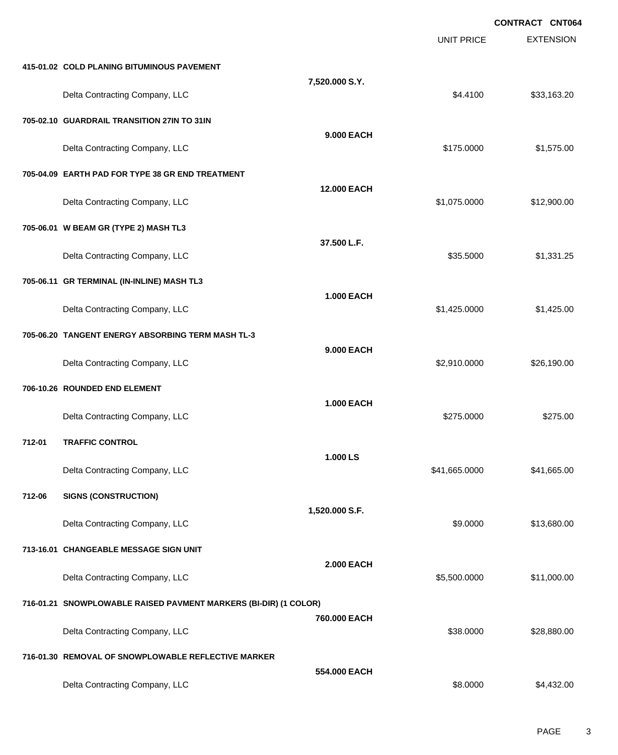|        |                                                                  |                    |                   | <b>CONTRACT CNT064</b> |
|--------|------------------------------------------------------------------|--------------------|-------------------|------------------------|
|        |                                                                  |                    | <b>UNIT PRICE</b> | <b>EXTENSION</b>       |
|        | 415-01.02 COLD PLANING BITUMINOUS PAVEMENT                       |                    |                   |                        |
|        | Delta Contracting Company, LLC                                   | 7,520.000 S.Y.     | \$4.4100          | \$33,163.20            |
|        | 705-02.10 GUARDRAIL TRANSITION 27IN TO 31IN                      |                    |                   |                        |
|        | Delta Contracting Company, LLC                                   | 9.000 EACH         | \$175.0000        | \$1,575.00             |
|        | 705-04.09 EARTH PAD FOR TYPE 38 GR END TREATMENT                 |                    |                   |                        |
|        | Delta Contracting Company, LLC                                   | <b>12.000 EACH</b> | \$1,075.0000      | \$12,900.00            |
|        | 705-06.01 W BEAM GR (TYPE 2) MASH TL3                            |                    |                   |                        |
|        | Delta Contracting Company, LLC                                   | 37.500 L.F.        | \$35.5000         | \$1,331.25             |
|        | 705-06.11 GR TERMINAL (IN-INLINE) MASH TL3                       |                    |                   |                        |
|        | Delta Contracting Company, LLC                                   | <b>1.000 EACH</b>  | \$1,425.0000      | \$1,425.00             |
|        | 705-06.20 TANGENT ENERGY ABSORBING TERM MASH TL-3                |                    |                   |                        |
|        | Delta Contracting Company, LLC                                   | 9.000 EACH         | \$2,910.0000      | \$26,190.00            |
|        | 706-10.26 ROUNDED END ELEMENT                                    |                    |                   |                        |
|        | Delta Contracting Company, LLC                                   | <b>1.000 EACH</b>  | \$275.0000        | \$275.00               |
| 712-01 | <b>TRAFFIC CONTROL</b>                                           |                    |                   |                        |
|        | Delta Contracting Company, LLC                                   | 1.000 LS           | \$41,665.0000     | \$41,665.00            |
| 712-06 | <b>SIGNS (CONSTRUCTION)</b>                                      |                    |                   |                        |
|        | Delta Contracting Company, LLC                                   | 1,520.000 S.F.     | \$9.0000          | \$13,680.00            |
|        | 713-16.01 CHANGEABLE MESSAGE SIGN UNIT                           |                    |                   |                        |
|        | Delta Contracting Company, LLC                                   | <b>2.000 EACH</b>  | \$5,500.0000      | \$11,000.00            |
|        | 716-01.21 SNOWPLOWABLE RAISED PAVMENT MARKERS (BI-DIR) (1 COLOR) |                    |                   |                        |
|        | Delta Contracting Company, LLC                                   | 760.000 EACH       | \$38.0000         | \$28,880.00            |
|        | 716-01.30 REMOVAL OF SNOWPLOWABLE REFLECTIVE MARKER              |                    |                   |                        |
|        | Delta Contracting Company, LLC                                   | 554.000 EACH       | \$8.0000          | \$4,432.00             |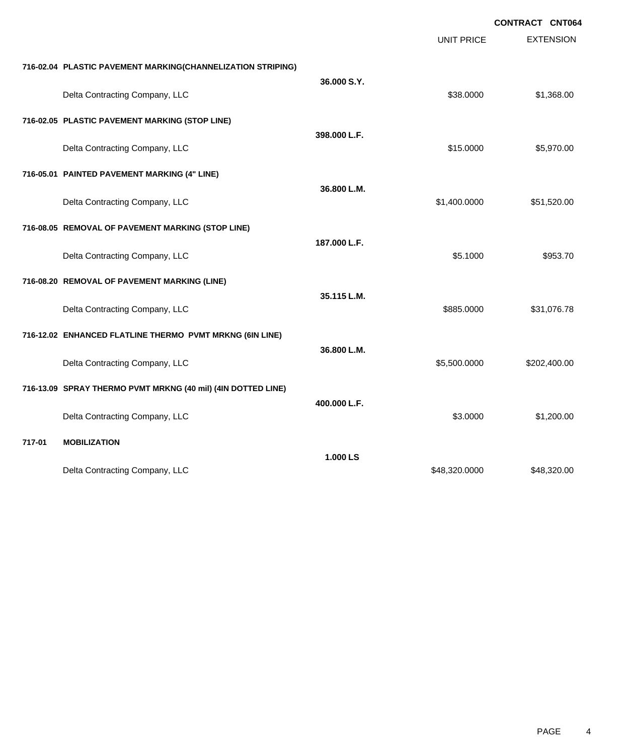|        |                                                              |              |                   | <b>CONTRACT CNT064</b> |
|--------|--------------------------------------------------------------|--------------|-------------------|------------------------|
|        |                                                              |              | <b>UNIT PRICE</b> | <b>EXTENSION</b>       |
|        | 716-02.04 PLASTIC PAVEMENT MARKING(CHANNELIZATION STRIPING)  |              |                   |                        |
|        | Delta Contracting Company, LLC                               | 36,000 S.Y.  | \$38.0000         | \$1,368.00             |
|        | 716-02.05 PLASTIC PAVEMENT MARKING (STOP LINE)               |              |                   |                        |
|        | Delta Contracting Company, LLC                               | 398.000 L.F. | \$15.0000         | \$5,970.00             |
|        | 716-05.01 PAINTED PAVEMENT MARKING (4" LINE)                 |              |                   |                        |
|        | Delta Contracting Company, LLC                               | 36.800 L.M.  | \$1,400.0000      | \$51,520.00            |
|        | 716-08.05 REMOVAL OF PAVEMENT MARKING (STOP LINE)            |              |                   |                        |
|        | Delta Contracting Company, LLC                               | 187.000 L.F. | \$5.1000          | \$953.70               |
|        | 716-08.20 REMOVAL OF PAVEMENT MARKING (LINE)                 |              |                   |                        |
|        | Delta Contracting Company, LLC                               | 35.115 L.M.  | \$885.0000        | \$31,076.78            |
|        | 716-12.02 ENHANCED FLATLINE THERMO PVMT MRKNG (6IN LINE)     |              |                   |                        |
|        | Delta Contracting Company, LLC                               | 36.800 L.M.  | \$5,500.0000      | \$202,400.00           |
|        | 716-13.09 SPRAY THERMO PVMT MRKNG (40 mil) (4IN DOTTED LINE) |              |                   |                        |
|        | Delta Contracting Company, LLC                               | 400.000 L.F. | \$3.0000          | \$1,200.00             |
| 717-01 | <b>MOBILIZATION</b>                                          |              |                   |                        |
|        | Delta Contracting Company, LLC                               | 1.000 LS     | \$48,320.0000     | \$48,320.00            |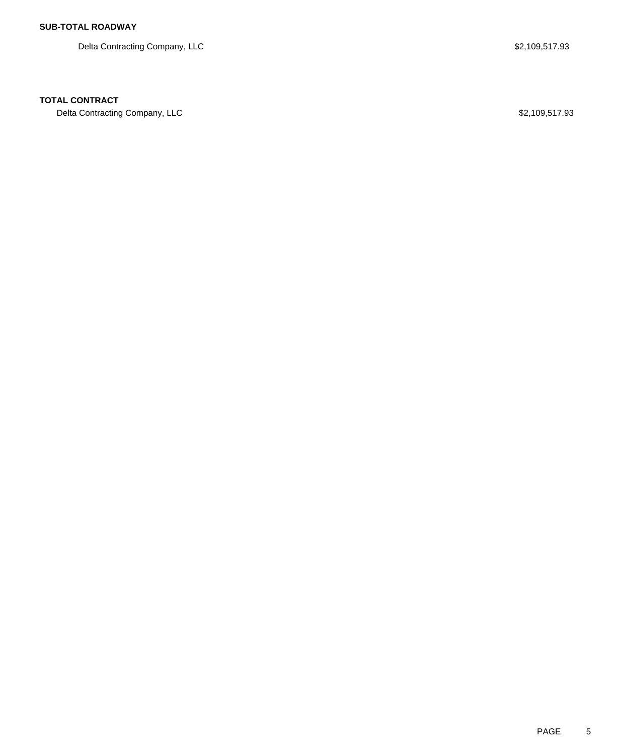Delta Contracting Company, LLC 6. The set of the set of the set of the set of the set of the set of the set of the set of the set of the set of the set of the set of the set of the set of the set of the set of the set of t

### **TOTAL CONTRACT**

Delta Contracting Company, LLC **\$2,109,517.93**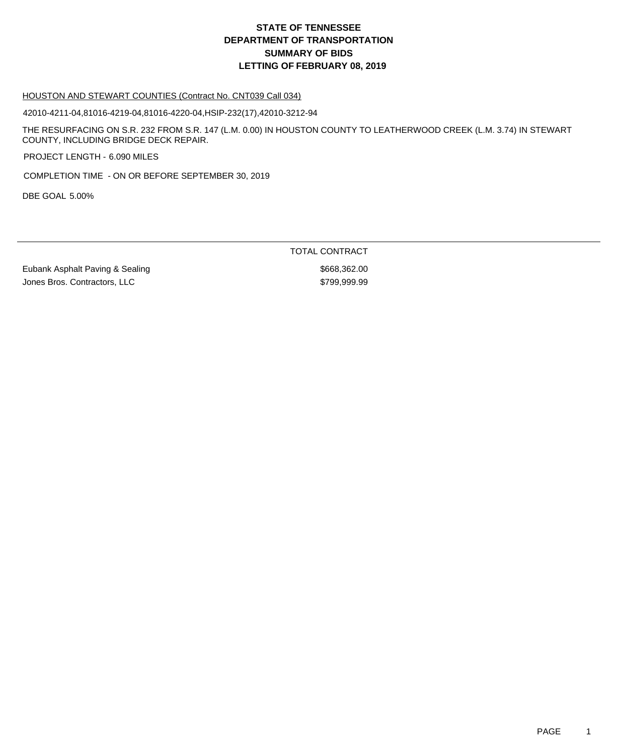### HOUSTON AND STEWART COUNTIES (Contract No. CNT039 Call 034)

42010-4211-04,81016-4219-04,81016-4220-04,HSIP-232(17),42010-3212-94

THE RESURFACING ON S.R. 232 FROM S.R. 147 (L.M. 0.00) IN HOUSTON COUNTY TO LEATHERWOOD CREEK (L.M. 3.74) IN STEWART COUNTY, INCLUDING BRIDGE DECK REPAIR.

PROJECT LENGTH - 6.090 MILES

COMPLETION TIME - ON OR BEFORE SEPTEMBER 30, 2019

DBE GOAL 5.00%

TOTAL CONTRACT

Eubank Asphalt Paving & Sealing \$668,362.00 Jones Bros. Contractors, LLC \$799,999.99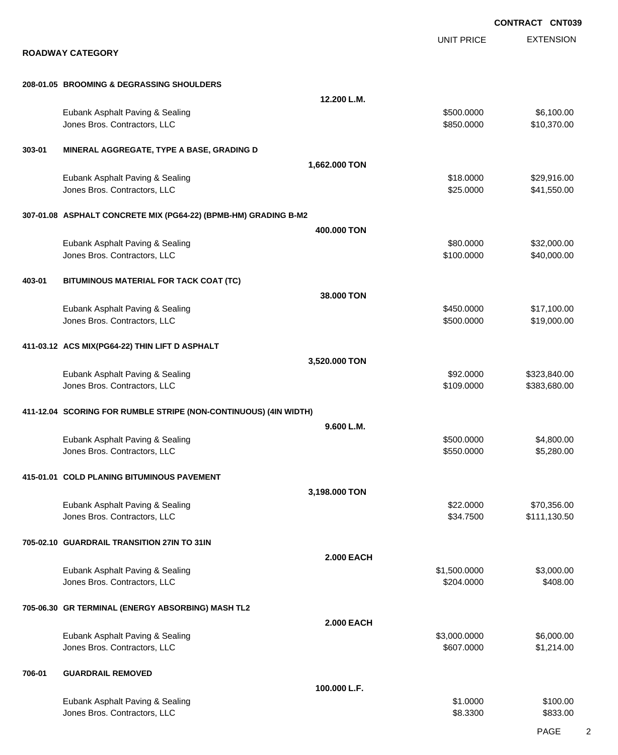EXTENSION **CONTRACT CNT039** UNIT PRICE **ROADWAY CATEGORY 208-01.05 BROOMING & DEGRASSING SHOULDERS 12.200 L.M.** Eubank Asphalt Paving & Sealing \$500.0000 \$6,100.00 Jones Bros. Contractors, LLC \$850.0000 \$10,370.00 **303-01 MINERAL AGGREGATE, TYPE A BASE, GRADING D 1,662.000 TON** Eubank Asphalt Paving & Sealing \$18.000 \$29,916.00 Jones Bros. Contractors, LLC \$25.0000 \$41,550.00 **307-01.08 ASPHALT CONCRETE MIX (PG64-22) (BPMB-HM) GRADING B-M2 400.000 TON** Eubank Asphalt Paving & Sealing \$80.0000 \$32,000.00 Jones Bros. Contractors, LLC \$100.0000 \$40,000.00 **403-01 BITUMINOUS MATERIAL FOR TACK COAT (TC) 38.000 TON** Eubank Asphalt Paving & Sealing \$450.0000 \$17,100.00 versions and the state of the state of the state of the state of the state of the state of the state of the state of the state of the state of the state of the state of the state of the state of the state of the state of t **411-03.12 ACS MIX(PG64-22) THIN LIFT D ASPHALT 3,520.000 TON** Eubank Asphalt Paving & Sealing \$92.000 \$323,840.00 Jones Bros. Contractors, LLC \$109.0000 \$383,680.00 **411-12.04 SCORING FOR RUMBLE STRIPE (NON-CONTINUOUS) (4IN WIDTH) 9.600 L.M.** Eubank Asphalt Paving & Sealing \$500.0000 \$4,800.000 \$4,800.000 dones Bros. Contractors, LLC 6. 2009 6.0000 \$5,280.000 \$5,280.000 \$5,280.000 \$5,280.00 **415-01.01 COLD PLANING BITUMINOUS PAVEMENT 3,198.000 TON** Eubank Asphalt Paving & Sealing \$22.0000 \$70,356.00 Jones Bros. Contractors, LLC \$34.7500 \$111,130.50 **705-02.10 GUARDRAIL TRANSITION 27IN TO 31IN 2.000 EACH** Eubank Asphalt Paving & Sealing \$1,500.000 \$3,000.00 Jones Bros. Contractors, LLC \$204.0000 \$408.00 **705-06.30 GR TERMINAL (ENERGY ABSORBING) MASH TL2 2.000 EACH** Eubank Asphalt Paving & Sealing \$3,000.000 \$6,000.000 \$6,000.000 \$6,000.000 \$6,000.000 \$6,000.00 Jones Bros. Contractors, LLC \$607.0000 \$1,214.00 **706-01 GUARDRAIL REMOVED 100.000 L.F.** Eubank Asphalt Paving & Sealing \$1.0000 \$100.00 Jones Bros. Contractors, LLC 6833.00 \$833.00

PAGE 2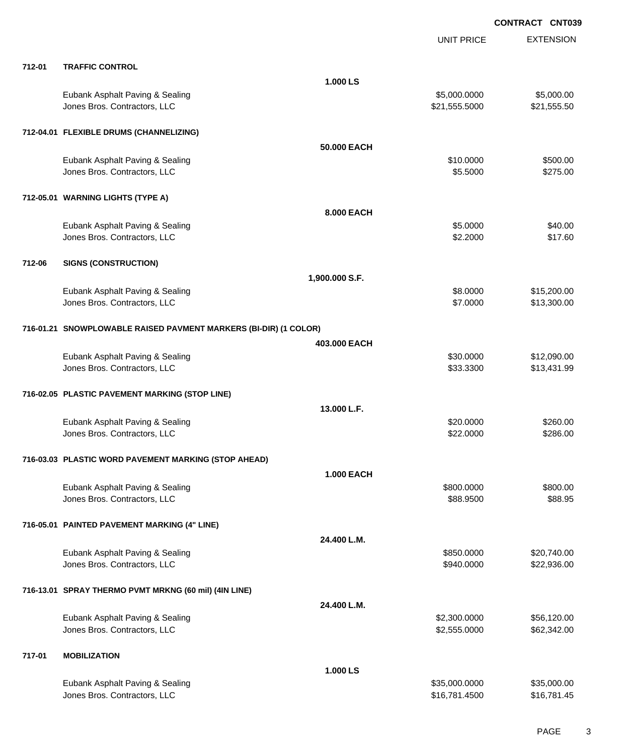|        |                                                                  |                   | <b>UNIT PRICE</b> | <b>EXTENSION</b> |
|--------|------------------------------------------------------------------|-------------------|-------------------|------------------|
| 712-01 | <b>TRAFFIC CONTROL</b>                                           |                   |                   |                  |
|        |                                                                  | 1.000 LS          |                   |                  |
|        | Eubank Asphalt Paving & Sealing                                  |                   | \$5,000.0000      | \$5,000.00       |
|        | Jones Bros. Contractors, LLC                                     |                   | \$21,555.5000     | \$21,555.50      |
|        | 712-04.01 FLEXIBLE DRUMS (CHANNELIZING)                          |                   |                   |                  |
|        |                                                                  | 50,000 EACH       |                   |                  |
|        | Eubank Asphalt Paving & Sealing                                  |                   | \$10.0000         | \$500.00         |
|        | Jones Bros. Contractors, LLC                                     |                   | \$5.5000          | \$275.00         |
|        | 712-05.01 WARNING LIGHTS (TYPE A)                                |                   |                   |                  |
|        |                                                                  | 8.000 EACH        |                   |                  |
|        | Eubank Asphalt Paving & Sealing                                  |                   | \$5.0000          | \$40.00          |
|        | Jones Bros. Contractors, LLC                                     |                   | \$2.2000          | \$17.60          |
| 712-06 | <b>SIGNS (CONSTRUCTION)</b>                                      |                   |                   |                  |
|        |                                                                  | 1,900.000 S.F.    |                   |                  |
|        | Eubank Asphalt Paving & Sealing                                  |                   | \$8.0000          | \$15,200.00      |
|        | Jones Bros. Contractors, LLC                                     |                   | \$7.0000          | \$13,300.00      |
|        | 716-01.21 SNOWPLOWABLE RAISED PAVMENT MARKERS (BI-DIR) (1 COLOR) |                   |                   |                  |
|        |                                                                  | 403,000 EACH      |                   |                  |
|        | Eubank Asphalt Paving & Sealing                                  |                   | \$30.0000         | \$12,090.00      |
|        | Jones Bros. Contractors, LLC                                     |                   | \$33.3300         | \$13,431.99      |
|        | 716-02.05 PLASTIC PAVEMENT MARKING (STOP LINE)                   |                   |                   |                  |
|        |                                                                  | 13.000 L.F.       |                   |                  |
|        | Eubank Asphalt Paving & Sealing                                  |                   | \$20.0000         | \$260.00         |
|        | Jones Bros. Contractors, LLC                                     |                   | \$22.0000         | \$286.00         |
|        | 716-03.03 PLASTIC WORD PAVEMENT MARKING (STOP AHEAD)             |                   |                   |                  |
|        |                                                                  | <b>1.000 EACH</b> |                   |                  |
|        | Eubank Asphalt Paving & Sealing                                  |                   | \$800.0000        | \$800.00         |
|        | Jones Bros. Contractors, LLC                                     |                   | \$88.9500         | \$88.95          |
|        | 716-05.01 PAINTED PAVEMENT MARKING (4" LINE)                     |                   |                   |                  |
|        |                                                                  | 24.400 L.M.       |                   |                  |
|        | Eubank Asphalt Paving & Sealing                                  |                   | \$850.0000        | \$20,740.00      |
|        | Jones Bros. Contractors, LLC                                     |                   | \$940.0000        | \$22,936.00      |
|        | 716-13.01 SPRAY THERMO PVMT MRKNG (60 mil) (4IN LINE)            |                   |                   |                  |
|        |                                                                  | 24.400 L.M.       |                   |                  |
|        | Eubank Asphalt Paving & Sealing                                  |                   | \$2,300.0000      | \$56,120.00      |
|        | Jones Bros. Contractors, LLC                                     |                   | \$2,555.0000      | \$62,342.00      |
| 717-01 | <b>MOBILIZATION</b>                                              |                   |                   |                  |
|        |                                                                  | 1.000 LS          |                   |                  |
|        | Eubank Asphalt Paving & Sealing                                  |                   | \$35,000.0000     | \$35,000.00      |
|        | Jones Bros. Contractors, LLC                                     |                   | \$16,781.4500     | \$16,781.45      |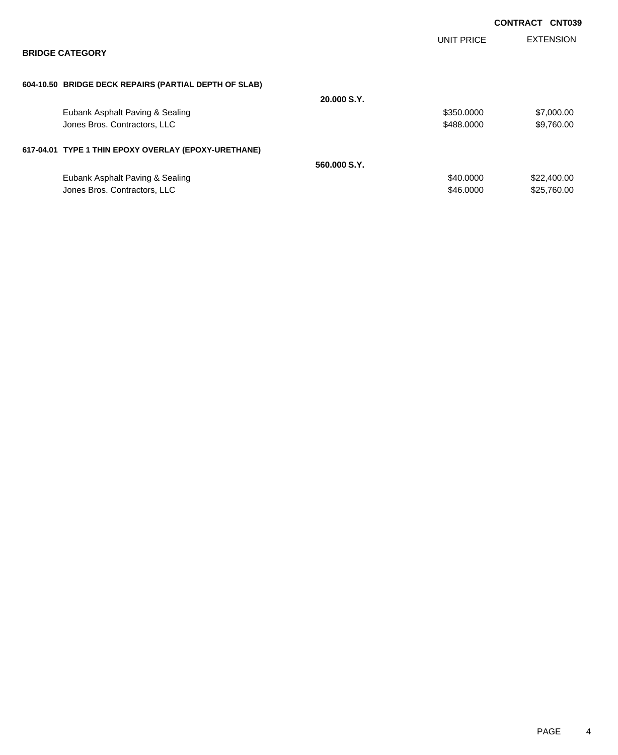|                                                       |              |                   | <b>CONTRACT CNT039</b> |                  |
|-------------------------------------------------------|--------------|-------------------|------------------------|------------------|
|                                                       |              | <b>UNIT PRICE</b> |                        | <b>EXTENSION</b> |
| <b>BRIDGE CATEGORY</b>                                |              |                   |                        |                  |
|                                                       |              |                   |                        |                  |
| 604-10.50 BRIDGE DECK REPAIRS (PARTIAL DEPTH OF SLAB) |              |                   |                        |                  |
|                                                       | 20.000 S.Y.  |                   |                        |                  |
| Eubank Asphalt Paving & Sealing                       |              | \$350.0000        |                        | \$7,000.00       |
| Jones Bros. Contractors, LLC                          |              | \$488,0000        |                        | \$9,760.00       |
| 617-04.01 TYPE 1 THIN EPOXY OVERLAY (EPOXY-URETHANE)  |              |                   |                        |                  |
|                                                       | 560,000 S.Y. |                   |                        |                  |
| Eubank Asphalt Paving & Sealing                       |              | \$40.0000         |                        | \$22,400.00      |
| Jones Bros. Contractors, LLC                          |              | \$46,0000         |                        | \$25,760,00      |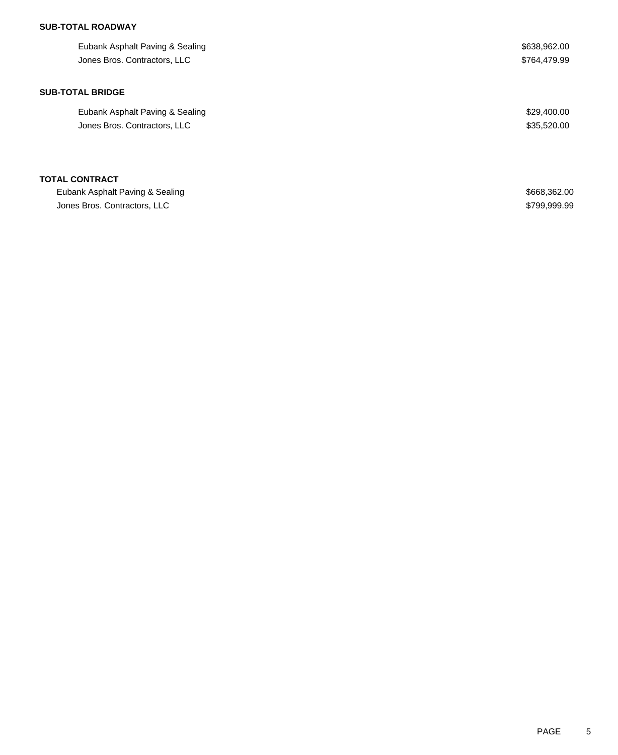## **SUB-TOTAL ROADWAY**

| Eubank Asphalt Paving & Sealing | \$638,962.00 |
|---------------------------------|--------------|
| Jones Bros. Contractors, LLC    | \$764,479.99 |
|                                 |              |
| <b>SUB-TOTAL BRIDGE</b>         |              |
| Eubank Asphalt Paving & Sealing | \$29,400.00  |
| Jones Bros. Contractors, LLC    | \$35,520.00  |
|                                 |              |
| <b>TOTAL CONTRACT</b>           |              |
| Eubank Asphalt Paving & Sealing | \$668,362.00 |
| Jones Bros. Contractors, LLC    | \$799,999.99 |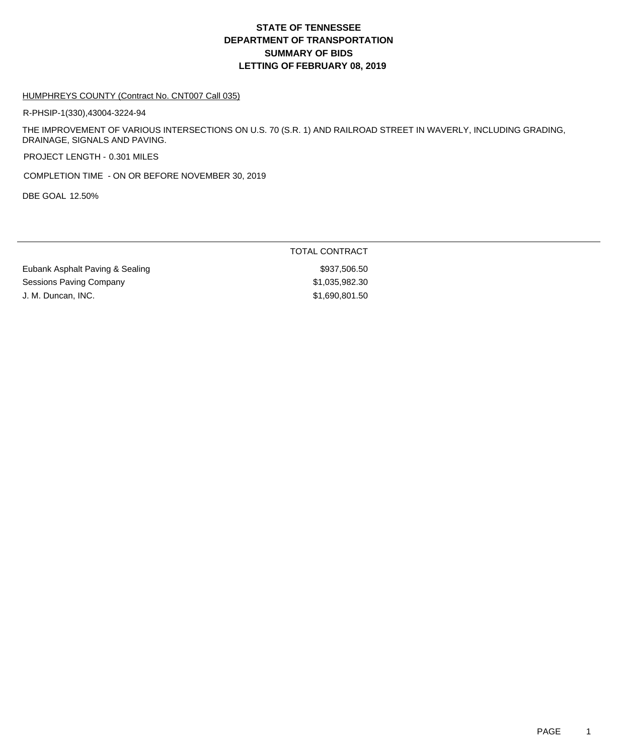### HUMPHREYS COUNTY (Contract No. CNT007 Call 035)

R-PHSIP-1(330),43004-3224-94

THE IMPROVEMENT OF VARIOUS INTERSECTIONS ON U.S. 70 (S.R. 1) AND RAILROAD STREET IN WAVERLY, INCLUDING GRADING, DRAINAGE, SIGNALS AND PAVING.

PROJECT LENGTH - 0.301 MILES

COMPLETION TIME - ON OR BEFORE NOVEMBER 30, 2019

DBE GOAL 12.50%

TOTAL CONTRACT

Eubank Asphalt Paving & Sealing \$937,506.50 Sessions Paving Company **\$1,035,982.30** J. M. Duncan, INC. 690,801.50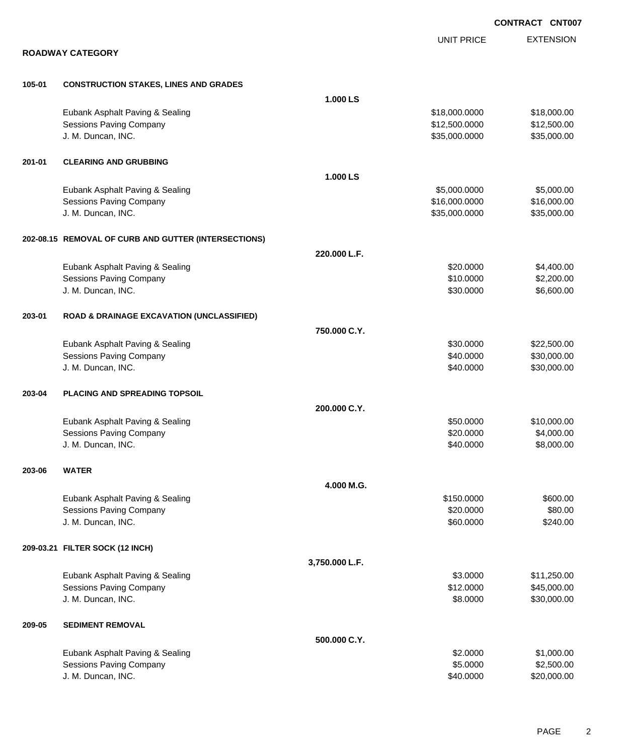|        |                                                      |                |                   | CONTRACT CNT007  |
|--------|------------------------------------------------------|----------------|-------------------|------------------|
|        |                                                      |                | <b>UNIT PRICE</b> | <b>EXTENSION</b> |
|        | <b>ROADWAY CATEGORY</b>                              |                |                   |                  |
| 105-01 | <b>CONSTRUCTION STAKES, LINES AND GRADES</b>         |                |                   |                  |
|        |                                                      | 1.000 LS       |                   |                  |
|        | Eubank Asphalt Paving & Sealing                      |                | \$18,000.0000     | \$18,000.00      |
|        | <b>Sessions Paving Company</b>                       |                | \$12,500.0000     | \$12,500.00      |
|        | J. M. Duncan, INC.                                   |                | \$35,000.0000     | \$35,000.00      |
| 201-01 | <b>CLEARING AND GRUBBING</b>                         |                |                   |                  |
|        |                                                      | 1.000 LS       |                   |                  |
|        | Eubank Asphalt Paving & Sealing                      |                | \$5,000.0000      | \$5,000.00       |
|        | <b>Sessions Paving Company</b>                       |                | \$16,000.0000     | \$16,000.00      |
|        | J. M. Duncan, INC.                                   |                | \$35,000.0000     | \$35,000.00      |
|        | 202-08.15 REMOVAL OF CURB AND GUTTER (INTERSECTIONS) |                |                   |                  |
|        |                                                      | 220.000 L.F.   |                   |                  |
|        | Eubank Asphalt Paving & Sealing                      |                | \$20.0000         | \$4,400.00       |
|        | <b>Sessions Paving Company</b>                       |                | \$10.0000         | \$2,200.00       |
|        | J. M. Duncan, INC.                                   |                | \$30.0000         | \$6,600.00       |
| 203-01 | <b>ROAD &amp; DRAINAGE EXCAVATION (UNCLASSIFIED)</b> |                |                   |                  |
|        |                                                      | 750.000 C.Y.   |                   |                  |
|        | Eubank Asphalt Paving & Sealing                      |                | \$30.0000         | \$22,500.00      |
|        | <b>Sessions Paving Company</b>                       |                | \$40.0000         | \$30,000.00      |
|        | J. M. Duncan, INC.                                   |                | \$40.0000         | \$30,000.00      |
| 203-04 | PLACING AND SPREADING TOPSOIL                        |                |                   |                  |
|        |                                                      | 200.000 C.Y.   |                   |                  |
|        | Eubank Asphalt Paving & Sealing                      |                | \$50.0000         | \$10,000.00      |
|        | <b>Sessions Paving Company</b>                       |                | \$20.0000         | \$4,000.00       |
|        | J. M. Duncan, INC.                                   |                | \$40.0000         | \$8,000.00       |
| 203-06 | <b>WATER</b>                                         |                |                   |                  |
|        |                                                      | 4.000 M.G.     |                   |                  |
|        | Eubank Asphalt Paving & Sealing                      |                | \$150.0000        | \$600.00         |
|        | Sessions Paving Company                              |                | \$20.0000         | \$80.00          |
|        | J. M. Duncan, INC.                                   |                | \$60.0000         | \$240.00         |
|        | 209-03.21 FILTER SOCK (12 INCH)                      |                |                   |                  |
|        |                                                      | 3,750.000 L.F. |                   |                  |
|        | Eubank Asphalt Paving & Sealing                      |                | \$3.0000          | \$11,250.00      |
|        | Sessions Paving Company                              |                | \$12.0000         | \$45,000.00      |
|        | J. M. Duncan, INC.                                   |                | \$8.0000          | \$30,000.00      |
| 209-05 | <b>SEDIMENT REMOVAL</b>                              |                |                   |                  |
|        |                                                      | 500.000 C.Y.   |                   |                  |
|        | Eubank Asphalt Paving & Sealing                      |                | \$2.0000          | \$1,000.00       |
|        | <b>Sessions Paving Company</b>                       |                | \$5.0000          | \$2,500.00       |
|        | J. M. Duncan, INC.                                   |                | \$40.0000         | \$20,000.00      |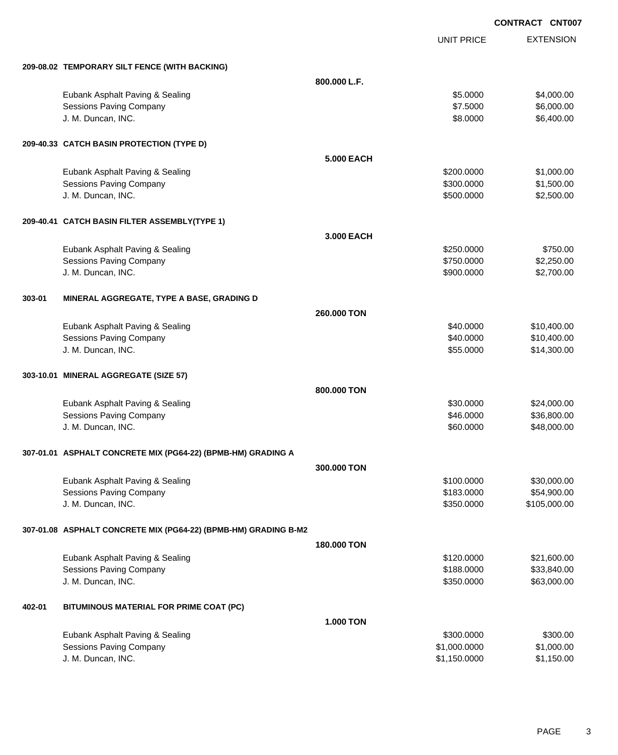EXTENSION **CONTRACT CNT007** UNIT PRICE **209-08.02 TEMPORARY SILT FENCE (WITH BACKING) 800.000 L.F.** Eubank Asphalt Paving & Sealing \$5.0000 \$4,000.00 Sessions Paving Company **\$1.5000 \$6,000.00** \$6,000.00 \$6,000.00 \$6,000.00 \$6,000.00 \$6,000.00 \$6,000.00 \$6,000 J. M. Duncan, INC. \$8.0000 \$6,400.00 **209-40.33 CATCH BASIN PROTECTION (TYPE D) 5.000 EACH** Eubank Asphalt Paving & Sealing \$200.000 \$1,000.00 Sessions Paving Company 61,500.000 \$1,500.000 \$1,500.000 \$1,500.000 J. M. Duncan, INC. \$500.000 \$2,500.00 **209-40.41 CATCH BASIN FILTER ASSEMBLY(TYPE 1) 3.000 EACH** Eubank Asphalt Paving & Sealing \$250.000 \$750.00 Sessions Paving Company \$750.0000 \$2,250.00 J. M. Duncan, INC. \$900.0000 \$2,700.00 **303-01 MINERAL AGGREGATE, TYPE A BASE, GRADING D 260.000 TON** Eubank Asphalt Paving & Sealing \$40.0000 \$10,400.00 Sessions Paving Company 6. The second state of the sessions Paving Company 6. The sessions of the session of the session of the session of the session of the session of the session of the session of the session of the sess J. M. Duncan, INC. \$55.0000 \$14,300.00 **303-10.01 MINERAL AGGREGATE (SIZE 57) 800.000 TON** Eubank Asphalt Paving & Sealing \$30.0000 \$24,000.00 Sessions Paving Company \$46.0000 \$36,800.00 J. M. Duncan, INC. \$60.0000 \$48,000.00 **307-01.01 ASPHALT CONCRETE MIX (PG64-22) (BPMB-HM) GRADING A 300.000 TON** Eubank Asphalt Paving & Sealing \$100.0000 \$30,000.00 Sessions Paving Company **\$183.0000** \$54,900.00 J. M. Duncan, INC. \$350.0000 \$105,000.00 **307-01.08 ASPHALT CONCRETE MIX (PG64-22) (BPMB-HM) GRADING B-M2 180.000 TON** Eubank Asphalt Paving & Sealing \$120.0000 \$21,600.00 Sessions Paving Company **\$188.0000 \$33,840.00** \$33,840.00 J. M. Duncan, INC. \$350.0000 \$63,000.00 **402-01 BITUMINOUS MATERIAL FOR PRIME COAT (PC) 1.000 TON** Eubank Asphalt Paving & Sealing \$300.000 \$300.000 \$300.000 \$300.000 \$300.000 \$300.000 \$300.00 Sessions Paving Company 61,000,000 \$1,000,000 \$1,000,000 \$1,000,000 \$1,000,000 \$1,000,000 \$1,000,00 J. M. Duncan, INC. \$1,150.0000 \$1,150.00

PAGE 3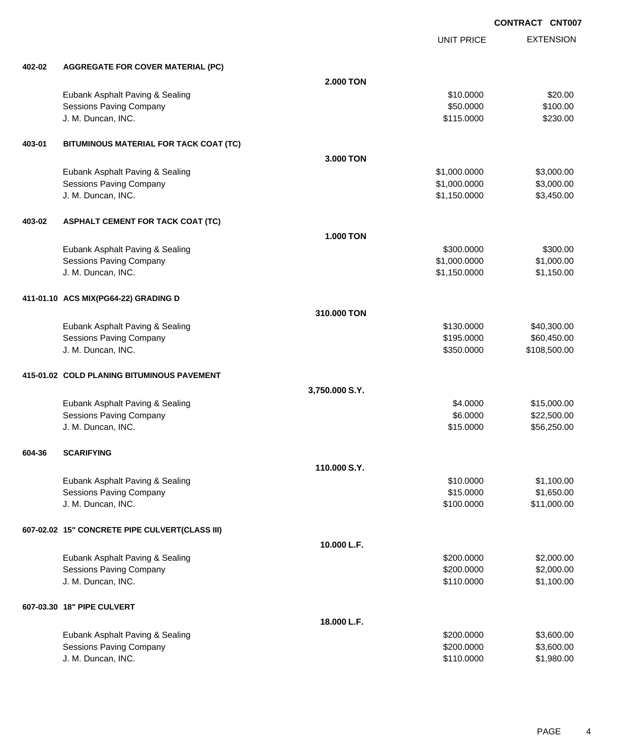|        |                                                |                  | <b>UNIT PRICE</b> | <b>EXTENSION</b> |
|--------|------------------------------------------------|------------------|-------------------|------------------|
| 402-02 | <b>AGGREGATE FOR COVER MATERIAL (PC)</b>       |                  |                   |                  |
|        |                                                | <b>2.000 TON</b> |                   |                  |
|        | Eubank Asphalt Paving & Sealing                |                  | \$10.0000         | \$20.00          |
|        | <b>Sessions Paving Company</b>                 |                  | \$50.0000         | \$100.00         |
|        | J. M. Duncan, INC.                             |                  | \$115.0000        | \$230.00         |
| 403-01 | BITUMINOUS MATERIAL FOR TACK COAT (TC)         |                  |                   |                  |
|        |                                                | 3.000 TON        |                   |                  |
|        | Eubank Asphalt Paving & Sealing                |                  | \$1,000.0000      | \$3,000.00       |
|        | <b>Sessions Paving Company</b>                 |                  | \$1,000.0000      | \$3,000.00       |
|        | J. M. Duncan, INC.                             |                  | \$1,150.0000      | \$3,450.00       |
| 403-02 | <b>ASPHALT CEMENT FOR TACK COAT (TC)</b>       |                  |                   |                  |
|        |                                                | <b>1.000 TON</b> |                   |                  |
|        | Eubank Asphalt Paving & Sealing                |                  | \$300.0000        | \$300.00         |
|        | <b>Sessions Paving Company</b>                 |                  | \$1,000.0000      | \$1,000.00       |
|        | J. M. Duncan, INC.                             |                  | \$1,150.0000      | \$1,150.00       |
|        | 411-01.10 ACS MIX(PG64-22) GRADING D           |                  |                   |                  |
|        |                                                | 310.000 TON      |                   |                  |
|        | Eubank Asphalt Paving & Sealing                |                  | \$130.0000        | \$40,300.00      |
|        | <b>Sessions Paving Company</b>                 |                  | \$195.0000        | \$60,450.00      |
|        | J. M. Duncan, INC.                             |                  | \$350.0000        | \$108,500.00     |
|        | 415-01.02 COLD PLANING BITUMINOUS PAVEMENT     |                  |                   |                  |
|        |                                                | 3,750.000 S.Y.   |                   |                  |
|        | Eubank Asphalt Paving & Sealing                |                  | \$4.0000          | \$15,000.00      |
|        | Sessions Paving Company                        |                  | \$6.0000          | \$22,500.00      |
|        | J. M. Duncan, INC.                             |                  | \$15.0000         | \$56,250.00      |
| 604-36 | <b>SCARIFYING</b>                              |                  |                   |                  |
|        |                                                | 110.000 S.Y.     |                   |                  |
|        | Eubank Asphalt Paving & Sealing                |                  | \$10.0000         | \$1,100.00       |
|        | <b>Sessions Paving Company</b>                 |                  | \$15.0000         | \$1,650.00       |
|        | J. M. Duncan, INC.                             |                  | \$100.0000        | \$11,000.00      |
|        | 607-02.02 15" CONCRETE PIPE CULVERT(CLASS III) |                  |                   |                  |
|        |                                                | 10.000 L.F.      |                   |                  |
|        | Eubank Asphalt Paving & Sealing                |                  | \$200.0000        | \$2,000.00       |
|        | <b>Sessions Paving Company</b>                 |                  | \$200.0000        | \$2,000.00       |
|        | J. M. Duncan, INC.                             |                  | \$110.0000        | \$1,100.00       |
|        | 607-03.30 18" PIPE CULVERT                     |                  |                   |                  |
|        |                                                | 18.000 L.F.      |                   |                  |
|        | Eubank Asphalt Paving & Sealing                |                  | \$200.0000        | \$3,600.00       |
|        | <b>Sessions Paving Company</b>                 |                  | \$200.0000        | \$3,600.00       |
|        | J. M. Duncan, INC.                             |                  | \$110.0000        | \$1,980.00       |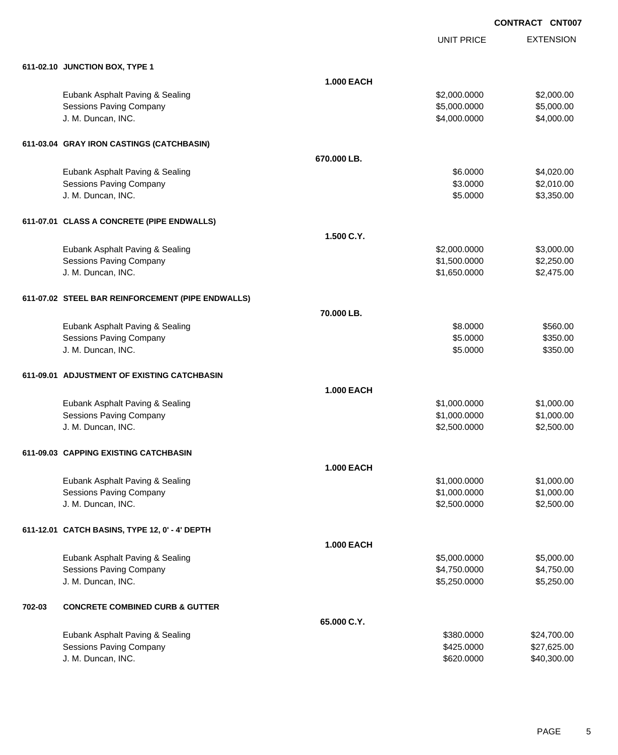UNIT PRICE EXTENSION

|        | 611-02.10 JUNCTION BOX, TYPE 1                    |                   |              |             |
|--------|---------------------------------------------------|-------------------|--------------|-------------|
|        |                                                   | <b>1.000 EACH</b> |              |             |
|        | Eubank Asphalt Paving & Sealing                   |                   | \$2,000.0000 | \$2,000.00  |
|        | <b>Sessions Paving Company</b>                    |                   | \$5,000.0000 | \$5,000.00  |
|        | J. M. Duncan, INC.                                |                   | \$4,000.0000 | \$4,000.00  |
|        | 611-03.04 GRAY IRON CASTINGS (CATCHBASIN)         |                   |              |             |
|        |                                                   | 670.000 LB.       |              |             |
|        | Eubank Asphalt Paving & Sealing                   |                   | \$6.0000     | \$4,020.00  |
|        | <b>Sessions Paving Company</b>                    |                   | \$3.0000     | \$2,010.00  |
|        | J. M. Duncan, INC.                                |                   | \$5.0000     | \$3,350.00  |
|        | 611-07.01 CLASS A CONCRETE (PIPE ENDWALLS)        |                   |              |             |
|        |                                                   | 1.500 C.Y.        |              |             |
|        | Eubank Asphalt Paving & Sealing                   |                   | \$2,000.0000 | \$3,000.00  |
|        | <b>Sessions Paving Company</b>                    |                   | \$1,500.0000 | \$2,250.00  |
|        | J. M. Duncan, INC.                                |                   | \$1,650.0000 | \$2,475.00  |
|        | 611-07.02 STEEL BAR REINFORCEMENT (PIPE ENDWALLS) |                   |              |             |
|        |                                                   | 70.000 LB.        |              |             |
|        | Eubank Asphalt Paving & Sealing                   |                   | \$8.0000     | \$560.00    |
|        | <b>Sessions Paving Company</b>                    |                   | \$5.0000     | \$350.00    |
|        | J. M. Duncan, INC.                                |                   | \$5.0000     | \$350.00    |
|        | 611-09.01 ADJUSTMENT OF EXISTING CATCHBASIN       |                   |              |             |
|        |                                                   | <b>1.000 EACH</b> |              |             |
|        | Eubank Asphalt Paving & Sealing                   |                   | \$1,000.0000 | \$1,000.00  |
|        | <b>Sessions Paving Company</b>                    |                   | \$1,000.0000 | \$1,000.00  |
|        | J. M. Duncan, INC.                                |                   | \$2,500.0000 | \$2,500.00  |
|        | 611-09.03 CAPPING EXISTING CATCHBASIN             |                   |              |             |
|        |                                                   | <b>1.000 EACH</b> |              |             |
|        | Eubank Asphalt Paving & Sealing                   |                   | \$1,000.0000 | \$1,000.00  |
|        | Sessions Paving Company                           |                   | \$1,000.0000 | \$1,000.00  |
|        | J. M. Duncan, INC.                                |                   | \$2,500.0000 | \$2,500.00  |
|        | 611-12.01 CATCH BASINS, TYPE 12, 0' - 4' DEPTH    |                   |              |             |
|        |                                                   | <b>1.000 EACH</b> |              |             |
|        | Eubank Asphalt Paving & Sealing                   |                   | \$5,000.0000 | \$5,000.00  |
|        | <b>Sessions Paving Company</b>                    |                   | \$4,750.0000 | \$4,750.00  |
|        | J. M. Duncan, INC.                                |                   | \$5,250.0000 | \$5,250.00  |
| 702-03 | <b>CONCRETE COMBINED CURB &amp; GUTTER</b>        |                   |              |             |
|        |                                                   | 65.000 C.Y.       |              |             |
|        | Eubank Asphalt Paving & Sealing                   |                   | \$380.0000   | \$24,700.00 |
|        | <b>Sessions Paving Company</b>                    |                   | \$425.0000   | \$27,625.00 |
|        | J. M. Duncan, INC.                                |                   | \$620.0000   | \$40,300.00 |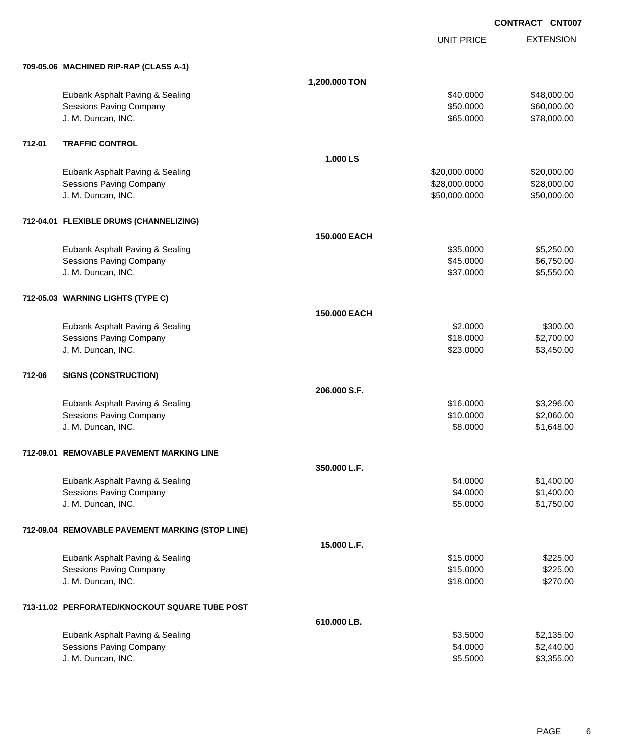|        |                                                  |               | <b>UNIT PRICE</b> | <b>EXTENSION</b> |
|--------|--------------------------------------------------|---------------|-------------------|------------------|
|        | 709-05.06 MACHINED RIP-RAP (CLASS A-1)           |               |                   |                  |
|        |                                                  | 1,200.000 TON |                   |                  |
|        | Eubank Asphalt Paving & Sealing                  |               | \$40.0000         | \$48,000.00      |
|        | <b>Sessions Paving Company</b>                   |               | \$50.0000         | \$60,000.00      |
|        | J. M. Duncan, INC.                               |               | \$65.0000         | \$78,000.00      |
| 712-01 | <b>TRAFFIC CONTROL</b>                           |               |                   |                  |
|        |                                                  | 1.000 LS      |                   |                  |
|        | Eubank Asphalt Paving & Sealing                  |               | \$20,000.0000     | \$20,000.00      |
|        | Sessions Paving Company                          |               | \$28,000.0000     | \$28,000.00      |
|        | J. M. Duncan, INC.                               |               | \$50,000.0000     | \$50,000.00      |
|        | 712-04.01 FLEXIBLE DRUMS (CHANNELIZING)          |               |                   |                  |
|        |                                                  | 150,000 EACH  |                   |                  |
|        | Eubank Asphalt Paving & Sealing                  |               | \$35.0000         | \$5,250.00       |
|        | Sessions Paving Company                          |               | \$45.0000         | \$6,750.00       |
|        | J. M. Duncan, INC.                               |               | \$37.0000         | \$5,550.00       |
|        | 712-05.03 WARNING LIGHTS (TYPE C)                |               |                   |                  |
|        |                                                  | 150.000 EACH  |                   |                  |
|        | Eubank Asphalt Paving & Sealing                  |               | \$2.0000          | \$300.00         |
|        | <b>Sessions Paving Company</b>                   |               | \$18.0000         | \$2,700.00       |
|        | J. M. Duncan, INC.                               |               | \$23.0000         | \$3,450.00       |
| 712-06 | <b>SIGNS (CONSTRUCTION)</b>                      |               |                   |                  |
|        |                                                  | 206,000 S.F.  |                   |                  |
|        | Eubank Asphalt Paving & Sealing                  |               | \$16.0000         | \$3,296.00       |
|        | Sessions Paving Company                          |               | \$10.0000         | \$2,060.00       |
|        | J. M. Duncan, INC.                               |               | \$8.0000          | \$1,648.00       |
|        | 712-09.01 REMOVABLE PAVEMENT MARKING LINE        |               |                   |                  |
|        |                                                  | 350.000 L.F.  |                   |                  |
|        | Eubank Asphalt Paving & Sealing                  |               | \$4.0000          | \$1,400.00       |
|        | <b>Sessions Paving Company</b>                   |               | \$4.0000          | \$1,400.00       |
|        | J. M. Duncan, INC.                               |               | \$5.0000          | \$1,750.00       |
|        | 712-09.04 REMOVABLE PAVEMENT MARKING (STOP LINE) |               |                   |                  |
|        |                                                  | 15.000 L.F.   |                   |                  |
|        | Eubank Asphalt Paving & Sealing                  |               | \$15.0000         | \$225.00         |
|        | Sessions Paving Company                          |               | \$15.0000         | \$225.00         |
|        | J. M. Duncan, INC.                               |               | \$18.0000         | \$270.00         |
|        | 713-11.02 PERFORATED/KNOCKOUT SQUARE TUBE POST   |               |                   |                  |
|        |                                                  | 610.000 LB.   |                   |                  |
|        | Eubank Asphalt Paving & Sealing                  |               | \$3.5000          | \$2,135.00       |
|        | <b>Sessions Paving Company</b>                   |               | \$4.0000          | \$2,440.00       |
|        | J. M. Duncan, INC.                               |               | \$5.5000          | \$3,355.00       |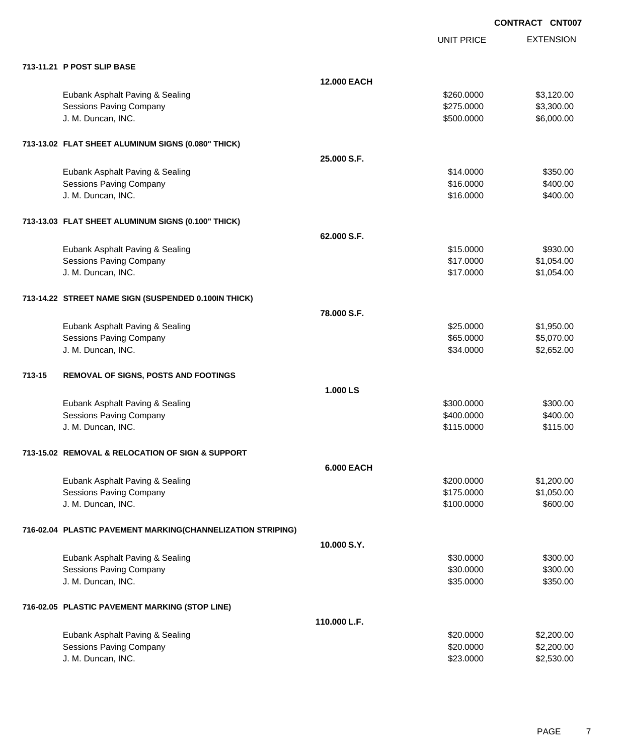|                                                             |                    | <b>UNIT PRICE</b>      | <b>EXTENSION</b>         |
|-------------------------------------------------------------|--------------------|------------------------|--------------------------|
| 713-11.21 P POST SLIP BASE                                  |                    |                        |                          |
|                                                             | <b>12.000 EACH</b> |                        |                          |
| Eubank Asphalt Paving & Sealing                             |                    | \$260,0000             | \$3,120.00               |
| Sessions Paving Company                                     |                    | \$275.0000             | \$3,300.00               |
| J. M. Duncan, INC.                                          |                    | \$500.0000             | \$6,000.00               |
| 713-13.02 FLAT SHEET ALUMINUM SIGNS (0.080" THICK)          |                    |                        |                          |
|                                                             | 25,000 S.F.        |                        |                          |
| Eubank Asphalt Paving & Sealing                             |                    | \$14.0000              | \$350.00                 |
| Sessions Paving Company                                     |                    | \$16.0000              | \$400.00                 |
| J. M. Duncan, INC.                                          |                    | \$16.0000              | \$400.00                 |
| 713-13.03 FLAT SHEET ALUMINUM SIGNS (0.100" THICK)          |                    |                        |                          |
|                                                             | 62.000 S.F.        |                        |                          |
| Eubank Asphalt Paving & Sealing                             |                    | \$15.0000              | \$930.00                 |
| <b>Sessions Paving Company</b>                              |                    | \$17.0000              | \$1,054.00               |
| J. M. Duncan, INC.                                          |                    | \$17.0000              | \$1,054.00               |
|                                                             |                    |                        |                          |
| 713-14.22 STREET NAME SIGN (SUSPENDED 0.100IN THICK)        |                    |                        |                          |
|                                                             | 78,000 S.F.        |                        |                          |
| Eubank Asphalt Paving & Sealing                             |                    | \$25.0000              | \$1,950.00               |
| <b>Sessions Paving Company</b>                              |                    | \$65.0000              | \$5,070.00               |
| J. M. Duncan, INC.                                          |                    | \$34.0000              | \$2,652.00               |
| 713-15<br>REMOVAL OF SIGNS, POSTS AND FOOTINGS              |                    |                        |                          |
|                                                             | 1.000 LS           |                        |                          |
| Eubank Asphalt Paving & Sealing                             |                    | \$300.0000             | \$300.00                 |
| Sessions Paving Company                                     |                    | \$400.0000             | \$400.00                 |
| J. M. Duncan, INC.                                          |                    | \$115.0000             | \$115.00                 |
|                                                             |                    |                        |                          |
| 713-15.02 REMOVAL & RELOCATION OF SIGN & SUPPORT            | <b>6.000 EACH</b>  |                        |                          |
| Eubank Asphalt Paving & Sealing                             |                    | \$200.0000             | \$1,200.00               |
| Sessions Paving Company                                     |                    | \$175.0000             | \$1,050.00               |
| J. M. Duncan, INC.                                          |                    | \$100.0000             | \$600.00                 |
|                                                             |                    |                        |                          |
| 716-02.04 PLASTIC PAVEMENT MARKING(CHANNELIZATION STRIPING) |                    |                        |                          |
|                                                             | 10.000 S.Y.        |                        |                          |
| Eubank Asphalt Paving & Sealing<br>Sessions Paving Company  |                    | \$30.0000<br>\$30.0000 | \$300.00<br>\$300.00     |
| J. M. Duncan, INC.                                          |                    | \$35.0000              | \$350.00                 |
|                                                             |                    |                        |                          |
| 716-02.05 PLASTIC PAVEMENT MARKING (STOP LINE)              |                    |                        |                          |
|                                                             | 110.000 L.F.       |                        |                          |
| Eubank Asphalt Paving & Sealing                             |                    | \$20.0000              | \$2,200.00               |
| Sessions Paving Company<br>J. M. Duncan, INC.               |                    | \$20.0000<br>\$23.0000 | \$2,200.00<br>\$2,530.00 |
|                                                             |                    |                        |                          |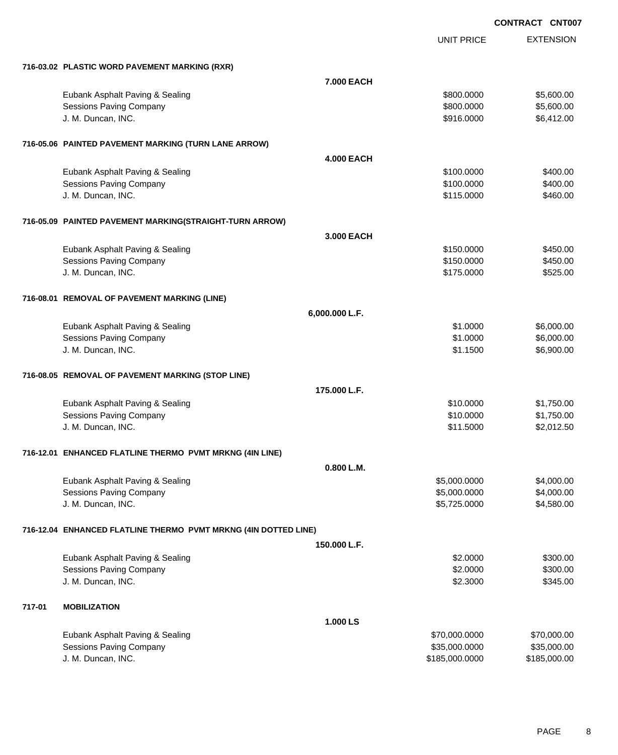UNIT PRICE

|        | 716-03.02 PLASTIC WORD PAVEMENT MARKING (RXR)                   |                   |                              |              |
|--------|-----------------------------------------------------------------|-------------------|------------------------------|--------------|
|        |                                                                 | 7.000 EACH        |                              |              |
|        | Eubank Asphalt Paving & Sealing                                 |                   | \$800.0000                   | \$5,600.00   |
|        | <b>Sessions Paving Company</b>                                  |                   | \$800.0000                   | \$5,600.00   |
|        | J. M. Duncan, INC.                                              |                   | \$916.0000                   | \$6,412.00   |
|        |                                                                 |                   |                              |              |
|        | 716-05.06 PAINTED PAVEMENT MARKING (TURN LANE ARROW)            |                   |                              |              |
|        |                                                                 | <b>4.000 EACH</b> |                              |              |
|        | Eubank Asphalt Paving & Sealing                                 |                   | \$100.0000                   | \$400.00     |
|        | <b>Sessions Paving Company</b>                                  |                   | \$100.0000                   | \$400.00     |
|        | J. M. Duncan, INC.                                              |                   | \$115.0000                   | \$460.00     |
|        | 716-05.09 PAINTED PAVEMENT MARKING(STRAIGHT-TURN ARROW)         |                   |                              |              |
|        |                                                                 | 3,000 EACH        |                              |              |
|        | Eubank Asphalt Paving & Sealing                                 |                   | \$150.0000                   | \$450.00     |
|        | <b>Sessions Paving Company</b>                                  |                   | \$150.0000                   | \$450.00     |
|        | J. M. Duncan, INC.                                              |                   | \$175.0000                   | \$525.00     |
|        | 716-08.01 REMOVAL OF PAVEMENT MARKING (LINE)                    |                   |                              |              |
|        |                                                                 | 6,000.000 L.F.    |                              |              |
|        | Eubank Asphalt Paving & Sealing                                 |                   | \$1.0000                     | \$6,000.00   |
|        | <b>Sessions Paving Company</b>                                  |                   | \$1.0000                     | \$6,000.00   |
|        | J. M. Duncan, INC.                                              |                   | \$1.1500                     | \$6,900.00   |
|        | 716-08.05 REMOVAL OF PAVEMENT MARKING (STOP LINE)               |                   |                              |              |
|        |                                                                 | 175,000 L.F.      |                              |              |
|        | Eubank Asphalt Paving & Sealing                                 |                   | \$10.0000                    | \$1,750.00   |
|        | <b>Sessions Paving Company</b>                                  |                   | \$10.0000                    | \$1,750.00   |
|        | J. M. Duncan, INC.                                              |                   | \$11.5000                    | \$2,012.50   |
|        | 716-12.01 ENHANCED FLATLINE THERMO PVMT MRKNG (4IN LINE)        |                   |                              |              |
|        |                                                                 |                   |                              |              |
|        |                                                                 | 0.800 L.M.        |                              | \$4,000.00   |
|        | Eubank Asphalt Paving & Sealing<br>Sessions Paving Company      |                   | \$5,000.0000<br>\$5,000.0000 | \$4,000.00   |
|        | J. M. Duncan, INC.                                              |                   | \$5,725.0000                 | \$4,580.00   |
|        |                                                                 |                   |                              |              |
|        | 716-12.04 ENHANCED FLATLINE THERMO PVMT MRKNG (4IN DOTTED LINE) |                   |                              |              |
|        |                                                                 | 150,000 L.F.      |                              |              |
|        | Eubank Asphalt Paving & Sealing                                 |                   | \$2.0000                     | \$300.00     |
|        | Sessions Paving Company                                         |                   | \$2.0000                     | \$300.00     |
|        | J. M. Duncan, INC.                                              |                   | \$2.3000                     | \$345.00     |
| 717-01 | <b>MOBILIZATION</b>                                             |                   |                              |              |
|        |                                                                 | 1.000 LS          |                              |              |
|        | Eubank Asphalt Paving & Sealing                                 |                   | \$70,000.0000                | \$70,000.00  |
|        | Sessions Paving Company                                         |                   | \$35,000.0000                | \$35,000.00  |
|        | J. M. Duncan, INC.                                              |                   | \$185,000.0000               | \$185,000.00 |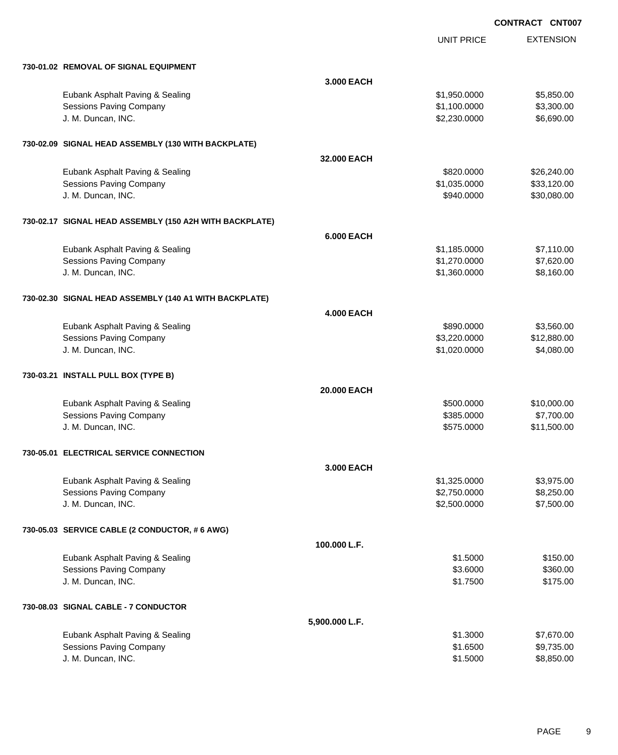UNIT PRICE

| 730-01.02 REMOVAL OF SIGNAL EQUIPMENT                   |                   |              |             |
|---------------------------------------------------------|-------------------|--------------|-------------|
|                                                         | 3,000 EACH        |              |             |
| Eubank Asphalt Paving & Sealing                         |                   | \$1,950.0000 | \$5,850.00  |
| <b>Sessions Paving Company</b>                          |                   | \$1,100.0000 | \$3,300.00  |
| J. M. Duncan, INC.                                      |                   | \$2,230.0000 | \$6,690.00  |
| 730-02.09 SIGNAL HEAD ASSEMBLY (130 WITH BACKPLATE)     |                   |              |             |
|                                                         | 32.000 EACH       |              |             |
| Eubank Asphalt Paving & Sealing                         |                   | \$820.0000   | \$26,240.00 |
| <b>Sessions Paving Company</b>                          |                   | \$1,035.0000 | \$33,120.00 |
| J. M. Duncan, INC.                                      |                   | \$940.0000   | \$30,080.00 |
| 730-02.17 SIGNAL HEAD ASSEMBLY (150 A2H WITH BACKPLATE) |                   |              |             |
|                                                         | <b>6.000 EACH</b> |              |             |
| Eubank Asphalt Paving & Sealing                         |                   | \$1,185.0000 | \$7,110.00  |
| <b>Sessions Paving Company</b>                          |                   | \$1,270.0000 | \$7,620.00  |
| J. M. Duncan, INC.                                      |                   | \$1,360.0000 | \$8,160.00  |
| 730-02.30 SIGNAL HEAD ASSEMBLY (140 A1 WITH BACKPLATE)  |                   |              |             |
|                                                         | <b>4.000 EACH</b> |              |             |
| Eubank Asphalt Paving & Sealing                         |                   | \$890.0000   | \$3,560.00  |
| <b>Sessions Paving Company</b>                          |                   | \$3,220.0000 | \$12,880.00 |
| J. M. Duncan, INC.                                      |                   | \$1,020.0000 | \$4,080.00  |
| 730-03.21 INSTALL PULL BOX (TYPE B)                     |                   |              |             |
|                                                         | 20.000 EACH       |              |             |
| Eubank Asphalt Paving & Sealing                         |                   | \$500.0000   | \$10,000.00 |
| <b>Sessions Paving Company</b>                          |                   | \$385.0000   | \$7,700.00  |
| J. M. Duncan, INC.                                      |                   | \$575.0000   | \$11,500.00 |
| 730-05.01 ELECTRICAL SERVICE CONNECTION                 |                   |              |             |
|                                                         | 3,000 EACH        |              |             |
| Eubank Asphalt Paving & Sealing                         |                   | \$1,325.0000 | \$3,975.00  |
| Sessions Paving Company                                 |                   | \$2,750.0000 | \$8,250.00  |
| J. M. Duncan, INC.                                      |                   | \$2,500.0000 | \$7,500.00  |
| 730-05.03 SERVICE CABLE (2 CONDUCTOR, # 6 AWG)          |                   |              |             |
|                                                         | 100.000 L.F.      |              |             |
| Eubank Asphalt Paving & Sealing                         |                   | \$1.5000     | \$150.00    |
| <b>Sessions Paving Company</b>                          |                   | \$3.6000     | \$360.00    |
| J. M. Duncan, INC.                                      |                   | \$1.7500     | \$175.00    |
| 730-08.03 SIGNAL CABLE - 7 CONDUCTOR                    |                   |              |             |
|                                                         | 5,900.000 L.F.    |              |             |
| Eubank Asphalt Paving & Sealing                         |                   | \$1.3000     | \$7,670.00  |
| <b>Sessions Paving Company</b>                          |                   | \$1.6500     | \$9,735.00  |
| J. M. Duncan, INC.                                      |                   | \$1.5000     | \$8,850.00  |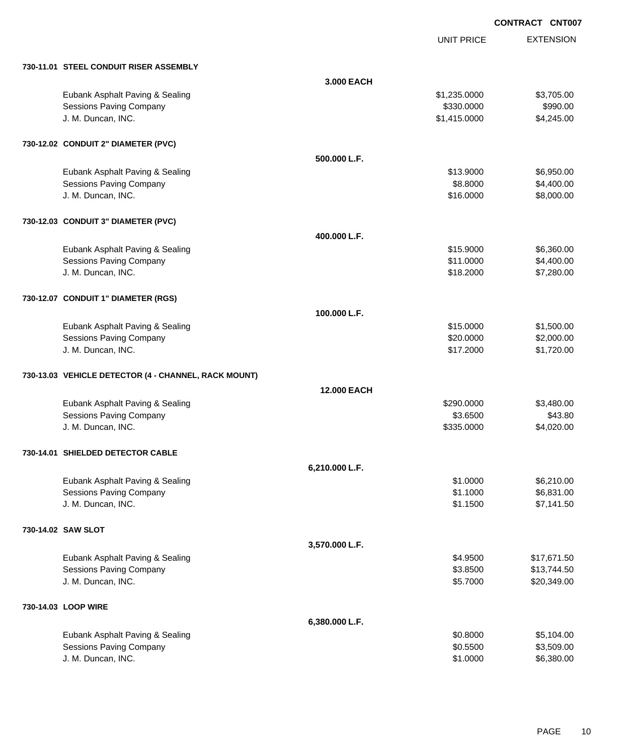UNIT PRICE

|  |  | 730-11.01 STEEL CONDUIT RISER ASSEMBLY |  |
|--|--|----------------------------------------|--|

| 730-11.01 STEEL CONDUIT RISER ASSEMBLY               |                    |              |             |
|------------------------------------------------------|--------------------|--------------|-------------|
|                                                      | 3.000 EACH         |              |             |
| Eubank Asphalt Paving & Sealing                      |                    | \$1,235.0000 | \$3,705.00  |
| <b>Sessions Paving Company</b>                       |                    | \$330.0000   | \$990.00    |
| J. M. Duncan, INC.                                   |                    | \$1,415.0000 | \$4,245.00  |
| 730-12.02 CONDUIT 2" DIAMETER (PVC)                  |                    |              |             |
|                                                      | 500.000 L.F.       |              |             |
| Eubank Asphalt Paving & Sealing                      |                    | \$13.9000    | \$6,950.00  |
| Sessions Paving Company                              |                    | \$8.8000     | \$4,400.00  |
| J. M. Duncan, INC.                                   |                    | \$16.0000    | \$8,000.00  |
| 730-12.03 CONDUIT 3" DIAMETER (PVC)                  |                    |              |             |
|                                                      | 400.000 L.F.       |              |             |
| Eubank Asphalt Paving & Sealing                      |                    | \$15.9000    | \$6,360.00  |
| <b>Sessions Paving Company</b>                       |                    | \$11.0000    | \$4,400.00  |
| J. M. Duncan, INC.                                   |                    | \$18.2000    | \$7,280.00  |
| 730-12.07 CONDUIT 1" DIAMETER (RGS)                  |                    |              |             |
|                                                      | 100.000 L.F.       |              |             |
| Eubank Asphalt Paving & Sealing                      |                    | \$15.0000    | \$1,500.00  |
| <b>Sessions Paving Company</b>                       |                    | \$20.0000    | \$2,000.00  |
| J. M. Duncan, INC.                                   |                    | \$17.2000    | \$1,720.00  |
| 730-13.03 VEHICLE DETECTOR (4 - CHANNEL, RACK MOUNT) |                    |              |             |
|                                                      | <b>12,000 EACH</b> |              |             |
| Eubank Asphalt Paving & Sealing                      |                    | \$290.0000   | \$3,480.00  |
| <b>Sessions Paving Company</b>                       |                    | \$3.6500     | \$43.80     |
| J. M. Duncan, INC.                                   |                    | \$335.0000   | \$4,020.00  |
| 730-14.01 SHIELDED DETECTOR CABLE                    |                    |              |             |
|                                                      | 6,210.000 L.F.     |              |             |
| Eubank Asphalt Paving & Sealing                      |                    | \$1,0000     | \$6,210.00  |
| Sessions Paving Company                              |                    | \$1.1000     | \$6,831.00  |
| J. M. Duncan, INC.                                   |                    | \$1.1500     | \$7,141.50  |
| 730-14.02 SAW SLOT                                   |                    |              |             |
|                                                      | 3,570.000 L.F.     |              |             |
| Eubank Asphalt Paving & Sealing                      |                    | \$4.9500     | \$17,671.50 |
| <b>Sessions Paving Company</b>                       |                    | \$3.8500     | \$13,744.50 |
| J. M. Duncan, INC.                                   |                    | \$5.7000     | \$20,349.00 |
| 730-14.03 LOOP WIRE                                  |                    |              |             |
|                                                      | 6,380.000 L.F.     |              |             |
| Eubank Asphalt Paving & Sealing                      |                    | \$0.8000     | \$5,104.00  |
| <b>Sessions Paving Company</b>                       |                    | \$0.5500     | \$3,509.00  |
| J. M. Duncan, INC.                                   |                    | \$1.0000     | \$6,380.00  |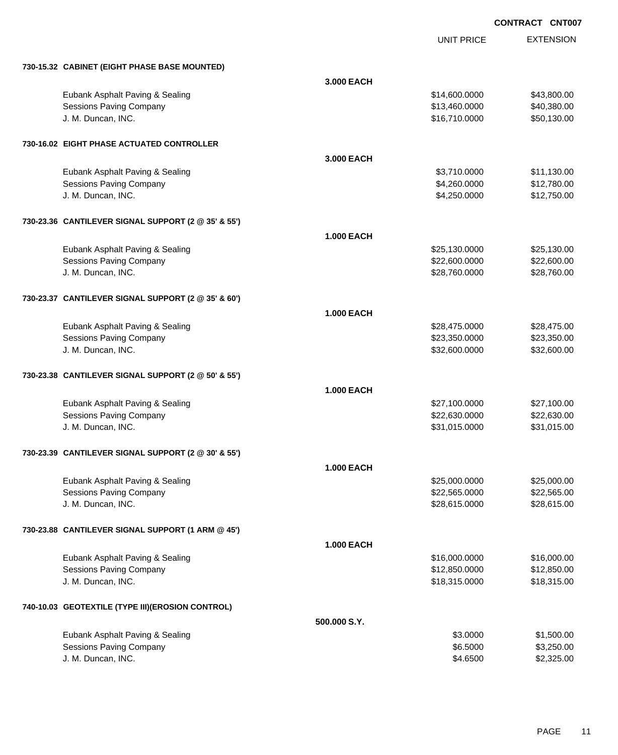UNIT PRICE

|  |  | 730-15.32 CABINET (EIGHT PHASE BASE MOUNTED) |
|--|--|----------------------------------------------|
|  |  |                                              |

| 730-15.32 CABINET (EIGHT PHASE BASE MOUNTED)        |                   |               |             |
|-----------------------------------------------------|-------------------|---------------|-------------|
|                                                     | 3.000 EACH        |               |             |
| Eubank Asphalt Paving & Sealing                     |                   | \$14,600.0000 | \$43,800.00 |
| <b>Sessions Paving Company</b>                      |                   | \$13,460.0000 | \$40,380.00 |
| J. M. Duncan, INC.                                  |                   | \$16,710.0000 | \$50,130.00 |
|                                                     |                   |               |             |
| 730-16.02 EIGHT PHASE ACTUATED CONTROLLER           |                   |               |             |
|                                                     | 3,000 EACH        |               |             |
| Eubank Asphalt Paving & Sealing                     |                   | \$3,710.0000  | \$11,130.00 |
| Sessions Paving Company                             |                   | \$4,260.0000  | \$12,780.00 |
| J. M. Duncan, INC.                                  |                   | \$4,250.0000  | \$12,750.00 |
| 730-23.36 CANTILEVER SIGNAL SUPPORT (2 @ 35' & 55') |                   |               |             |
|                                                     | <b>1.000 EACH</b> |               |             |
| Eubank Asphalt Paving & Sealing                     |                   | \$25,130.0000 | \$25,130.00 |
| Sessions Paving Company                             |                   | \$22,600.0000 | \$22,600.00 |
| J. M. Duncan, INC.                                  |                   | \$28,760.0000 | \$28,760.00 |
| 730-23.37 CANTILEVER SIGNAL SUPPORT (2 @ 35' & 60') |                   |               |             |
|                                                     | <b>1.000 EACH</b> |               |             |
| Eubank Asphalt Paving & Sealing                     |                   | \$28,475.0000 | \$28,475.00 |
| <b>Sessions Paving Company</b>                      |                   | \$23,350.0000 | \$23,350.00 |
| J. M. Duncan, INC.                                  |                   | \$32,600.0000 | \$32,600.00 |
| 730-23.38 CANTILEVER SIGNAL SUPPORT (2 @ 50' & 55') |                   |               |             |
|                                                     | <b>1.000 EACH</b> |               |             |
| Eubank Asphalt Paving & Sealing                     |                   | \$27,100.0000 | \$27,100.00 |
| <b>Sessions Paving Company</b>                      |                   | \$22,630.0000 | \$22,630.00 |
| J. M. Duncan, INC.                                  |                   | \$31,015.0000 | \$31,015.00 |
| 730-23.39 CANTILEVER SIGNAL SUPPORT (2 @ 30' & 55') |                   |               |             |
|                                                     | <b>1.000 EACH</b> |               |             |
| Eubank Asphalt Paving & Sealing                     |                   | \$25,000.0000 | \$25,000.00 |
| <b>Sessions Paving Company</b>                      |                   | \$22,565.0000 | \$22,565.00 |
| J. M. Duncan, INC.                                  |                   | \$28,615.0000 | \$28,615.00 |
|                                                     |                   |               |             |
| 730-23.88 CANTILEVER SIGNAL SUPPORT (1 ARM @ 45')   |                   |               |             |
|                                                     | 1.000 EACH        |               |             |
| Eubank Asphalt Paving & Sealing                     |                   | \$16,000.0000 | \$16,000.00 |
| <b>Sessions Paving Company</b>                      |                   | \$12,850.0000 | \$12,850.00 |
| J. M. Duncan, INC.                                  |                   | \$18,315.0000 | \$18,315.00 |
| 740-10.03 GEOTEXTILE (TYPE III) (EROSION CONTROL)   |                   |               |             |
|                                                     | 500.000 S.Y.      |               |             |
| Eubank Asphalt Paving & Sealing                     |                   | \$3.0000      | \$1,500.00  |
| Sessions Paving Company                             |                   | \$6.5000      | \$3,250.00  |
| J. M. Duncan, INC.                                  |                   | \$4.6500      | \$2,325.00  |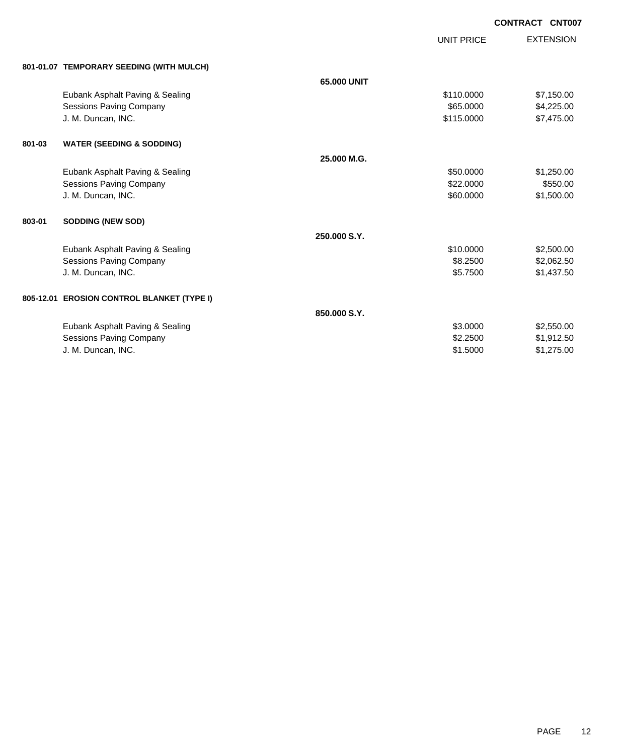UNIT PRICE

| 801-01.07 TEMPORARY SEEDING (WITH MULCH) |  |
|------------------------------------------|--|
|                                          |  |

|                                      | 65.000 UNIT                                                                            |            |            |
|--------------------------------------|----------------------------------------------------------------------------------------|------------|------------|
| Eubank Asphalt Paving & Sealing      |                                                                                        | \$110.0000 | \$7,150.00 |
| Sessions Paving Company              |                                                                                        | \$65,0000  | \$4,225.00 |
| J. M. Duncan, INC.                   |                                                                                        | \$115.0000 | \$7,475.00 |
| <b>WATER (SEEDING &amp; SODDING)</b> |                                                                                        |            |            |
|                                      | 25.000 M.G.                                                                            |            |            |
| Eubank Asphalt Paving & Sealing      |                                                                                        | \$50.0000  | \$1,250.00 |
| Sessions Paving Company              |                                                                                        | \$22.0000  | \$550.00   |
| J. M. Duncan, INC.                   |                                                                                        | \$60.0000  | \$1,500.00 |
| <b>SODDING (NEW SOD)</b>             |                                                                                        |            |            |
|                                      | 250,000 S.Y.                                                                           |            |            |
| Eubank Asphalt Paving & Sealing      |                                                                                        | \$10.0000  | \$2,500.00 |
| Sessions Paving Company              |                                                                                        | \$8.2500   | \$2,062.50 |
| J. M. Duncan, INC.                   |                                                                                        | \$5.7500   | \$1,437.50 |
|                                      |                                                                                        |            |            |
|                                      | 850.000 S.Y.                                                                           |            |            |
| Eubank Asphalt Paving & Sealing      |                                                                                        | \$3.0000   | \$2,550.00 |
| Sessions Paving Company              |                                                                                        | \$2,2500   | \$1,912.50 |
| J. M. Duncan, INC.                   |                                                                                        | \$1.5000   | \$1,275.00 |
|                                      | 801-01.07 TEMPORARY SEEDING (WITH MULCH)<br>805-12.01 EROSION CONTROL BLANKET (TYPE I) |            |            |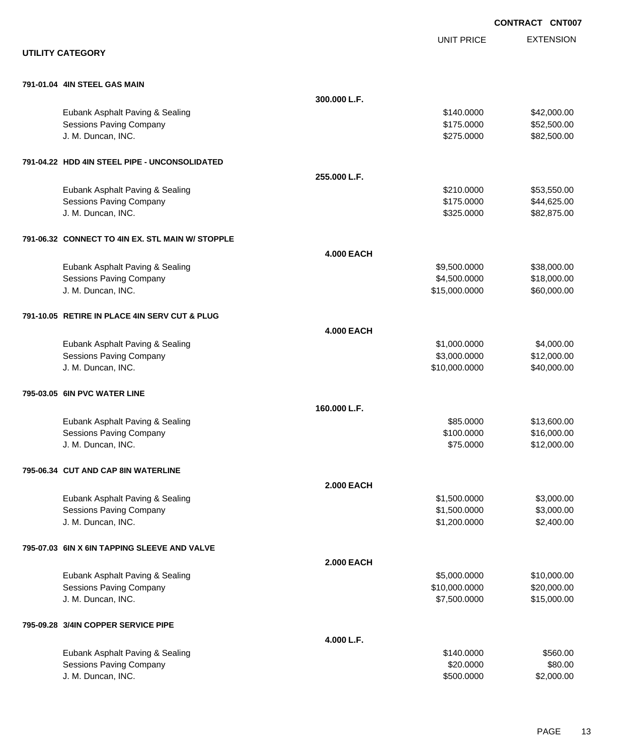|                                                  |                   |                   | <b>CONTRACT CNT007</b> |
|--------------------------------------------------|-------------------|-------------------|------------------------|
|                                                  |                   | <b>UNIT PRICE</b> | <b>EXTENSION</b>       |
| <b>UTILITY CATEGORY</b>                          |                   |                   |                        |
| 791-01.04 4IN STEEL GAS MAIN                     |                   |                   |                        |
|                                                  | 300.000 L.F.      |                   |                        |
| Eubank Asphalt Paving & Sealing                  |                   | \$140.0000        | \$42,000.00            |
| <b>Sessions Paving Company</b>                   |                   | \$175.0000        | \$52,500.00            |
| J. M. Duncan, INC.                               |                   | \$275.0000        | \$82,500.00            |
| 791-04.22 HDD 4IN STEEL PIPE - UNCONSOLIDATED    |                   |                   |                        |
|                                                  | 255.000 L.F.      |                   |                        |
| Eubank Asphalt Paving & Sealing                  |                   | \$210.0000        | \$53,550.00            |
| <b>Sessions Paving Company</b>                   |                   | \$175.0000        | \$44,625.00            |
| J. M. Duncan, INC.                               |                   | \$325.0000        | \$82,875.00            |
| 791-06.32 CONNECT TO 4IN EX. STL MAIN W/ STOPPLE |                   |                   |                        |
|                                                  | <b>4.000 EACH</b> |                   |                        |
| Eubank Asphalt Paving & Sealing                  |                   | \$9,500.0000      | \$38,000.00            |
| <b>Sessions Paving Company</b>                   |                   | \$4,500.0000      | \$18,000.00            |
| J. M. Duncan, INC.                               |                   | \$15,000.0000     | \$60,000.00            |
| 791-10.05 RETIRE IN PLACE 4IN SERV CUT & PLUG    |                   |                   |                        |
|                                                  | <b>4.000 EACH</b> |                   |                        |
| Eubank Asphalt Paving & Sealing                  |                   | \$1,000.0000      | \$4,000.00             |
| <b>Sessions Paving Company</b>                   |                   | \$3,000.0000      | \$12,000.00            |
| J. M. Duncan, INC.                               |                   | \$10,000.0000     | \$40,000.00            |
| 795-03.05 6IN PVC WATER LINE                     |                   |                   |                        |
|                                                  | 160.000 L.F.      |                   |                        |
| Eubank Asphalt Paving & Sealing                  |                   | \$85.0000         | \$13,600.00            |
| Sessions Paving Company                          |                   | \$100.0000        | \$16,000.00            |
| J. M. Duncan, INC.                               |                   | \$75.0000         | \$12,000.00            |
| 795-06.34 CUT AND CAP 8IN WATERLINE              |                   |                   |                        |
|                                                  | <b>2.000 EACH</b> |                   |                        |
| Eubank Asphalt Paving & Sealing                  |                   | \$1,500.0000      | \$3,000.00             |
| <b>Sessions Paving Company</b>                   |                   | \$1,500.0000      | \$3,000.00             |
| J. M. Duncan, INC.                               |                   | \$1,200.0000      | \$2,400.00             |
| 795-07.03 6IN X 6IN TAPPING SLEEVE AND VALVE     |                   |                   |                        |
|                                                  | <b>2.000 EACH</b> |                   |                        |
| Eubank Asphalt Paving & Sealing                  |                   | \$5,000.0000      | \$10,000.00            |
| Sessions Paving Company                          |                   | \$10,000.0000     | \$20,000.00            |
| J. M. Duncan, INC.                               |                   | \$7,500.0000      | \$15,000.00            |
| 795-09.28 3/4IN COPPER SERVICE PIPE              |                   |                   |                        |
|                                                  | 4.000 L.F.        |                   |                        |
| Eubank Asphalt Paving & Sealing                  |                   | \$140.0000        | \$560.00               |
| <b>Sessions Paving Company</b>                   |                   | \$20.0000         | \$80.00                |
| J. M. Duncan, INC.                               |                   | \$500.0000        | \$2,000.00             |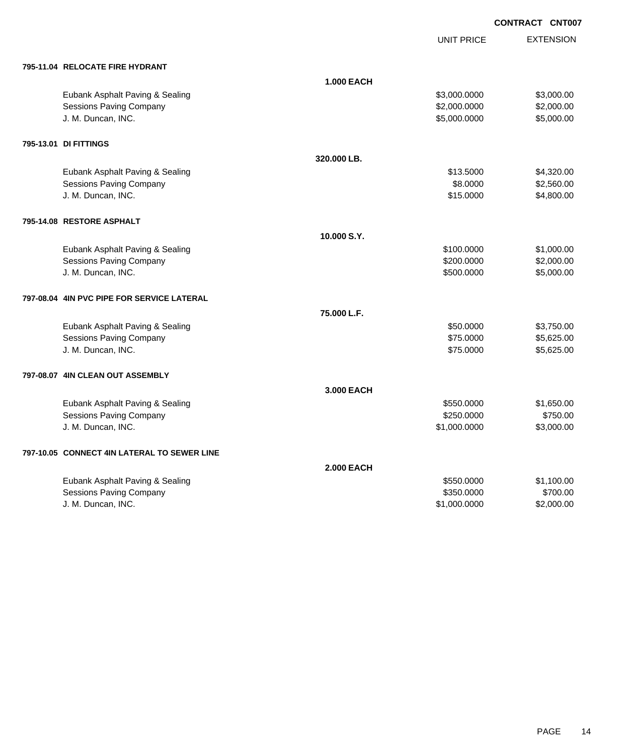UNIT PRICE

|  | 795-11.04 RELOCATE FIRE HYDRANT |
|--|---------------------------------|
|  |                                 |

| 795-11.04 RELOCATE FIRE HYDRANT             |                   |              |            |
|---------------------------------------------|-------------------|--------------|------------|
|                                             | <b>1.000 EACH</b> |              |            |
| Eubank Asphalt Paving & Sealing             |                   | \$3,000.0000 | \$3,000.00 |
| <b>Sessions Paving Company</b>              |                   | \$2,000.0000 | \$2,000.00 |
| J. M. Duncan, INC.                          |                   | \$5,000.0000 | \$5,000.00 |
| 795-13.01 DI FITTINGS                       |                   |              |            |
|                                             | 320.000 LB.       |              |            |
| Eubank Asphalt Paving & Sealing             |                   | \$13,5000    | \$4,320.00 |
| <b>Sessions Paving Company</b>              |                   | \$8.0000     | \$2,560.00 |
| J. M. Duncan, INC.                          |                   | \$15.0000    | \$4,800.00 |
| 795-14.08 RESTORE ASPHALT                   |                   |              |            |
|                                             | 10.000 S.Y.       |              |            |
| Eubank Asphalt Paving & Sealing             |                   | \$100.0000   | \$1,000.00 |
| <b>Sessions Paving Company</b>              |                   | \$200.0000   | \$2,000.00 |
| J. M. Duncan, INC.                          |                   | \$500.0000   | \$5,000.00 |
| 797-08.04 4IN PVC PIPE FOR SERVICE LATERAL  |                   |              |            |
|                                             | 75.000 L.F.       |              |            |
| Eubank Asphalt Paving & Sealing             |                   | \$50.0000    | \$3,750.00 |
| <b>Sessions Paving Company</b>              |                   | \$75.0000    | \$5,625.00 |
| J. M. Duncan, INC.                          |                   | \$75.0000    | \$5,625.00 |
| 797-08.07 4IN CLEAN OUT ASSEMBLY            |                   |              |            |
|                                             | 3.000 EACH        |              |            |
| Eubank Asphalt Paving & Sealing             |                   | \$550.0000   | \$1,650.00 |
| <b>Sessions Paving Company</b>              |                   | \$250.0000   | \$750.00   |
| J. M. Duncan, INC.                          |                   | \$1,000.0000 | \$3,000.00 |
| 797-10.05 CONNECT 4IN LATERAL TO SEWER LINE |                   |              |            |
|                                             | <b>2.000 EACH</b> |              |            |
| Eubank Asphalt Paving & Sealing             |                   | \$550.0000   | \$1,100.00 |
| <b>Sessions Paving Company</b>              |                   | \$350.0000   | \$700.00   |
| J. M. Duncan, INC.                          |                   | \$1,000.0000 | \$2,000.00 |
|                                             |                   |              |            |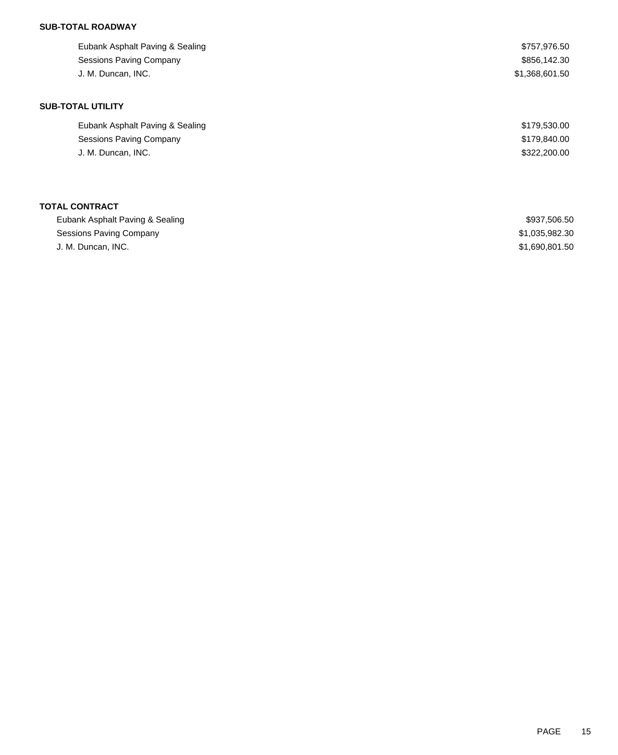## **SUB-TOTAL ROADWAY**

| Eubank Asphalt Paving & Sealing | \$757,976.50   |
|---------------------------------|----------------|
| <b>Sessions Paving Company</b>  | \$856,142.30   |
| J. M. Duncan, INC.              | \$1,368,601.50 |
|                                 |                |
| <b>SUB-TOTAL UTILITY</b>        |                |
| Eubank Asphalt Paving & Sealing | \$179,530.00   |
| Sessions Paving Company         | \$179,840.00   |
| J. M. Duncan, INC.              | \$322,200.00   |
|                                 |                |
|                                 |                |

# **TOTAL CONTRACT**

| Eubank Asphalt Paving & Sealing | \$937,506.50   |
|---------------------------------|----------------|
| Sessions Paving Company         | \$1,035,982.30 |
| J. M. Duncan. INC.              | \$1.690.801.50 |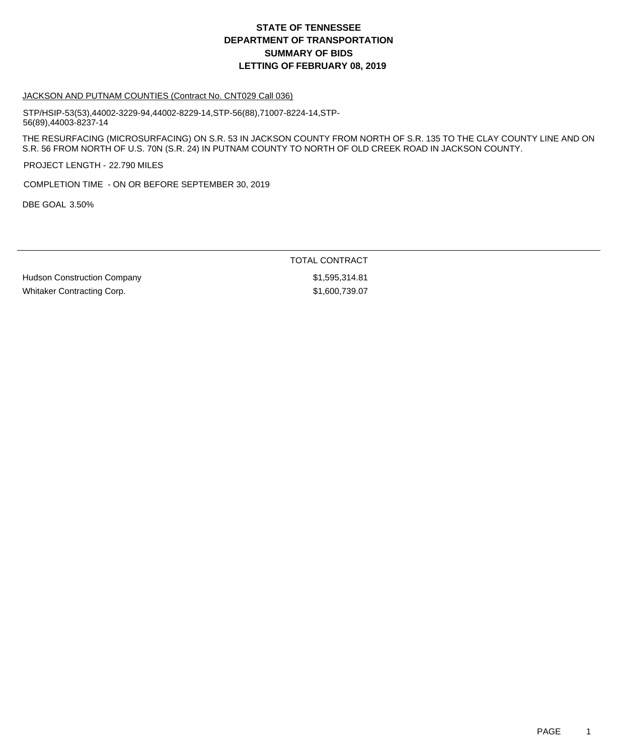# **DEPARTMENT OF TRANSPORTATION SUMMARY OF BIDS LETTING OF FEBRUARY 08, 2019 STATE OF TENNESSEE**

#### JACKSON AND PUTNAM COUNTIES (Contract No. CNT029 Call 036)

STP/HSIP-53(53),44002-3229-94,44002-8229-14,STP-56(88),71007-8224-14,STP-56(89),44003-8237-14

THE RESURFACING (MICROSURFACING) ON S.R. 53 IN JACKSON COUNTY FROM NORTH OF S.R. 135 TO THE CLAY COUNTY LINE AND ON S.R. 56 FROM NORTH OF U.S. 70N (S.R. 24) IN PUTNAM COUNTY TO NORTH OF OLD CREEK ROAD IN JACKSON COUNTY.

PROJECT LENGTH - 22.790 MILES

COMPLETION TIME - ON OR BEFORE SEPTEMBER 30, 2019

DBE GOAL 3.50%

TOTAL CONTRACT

Hudson Construction Company by the state of the state  $$1,595,314.81$ Whitaker Contracting Corp.  $$1,600,739.07$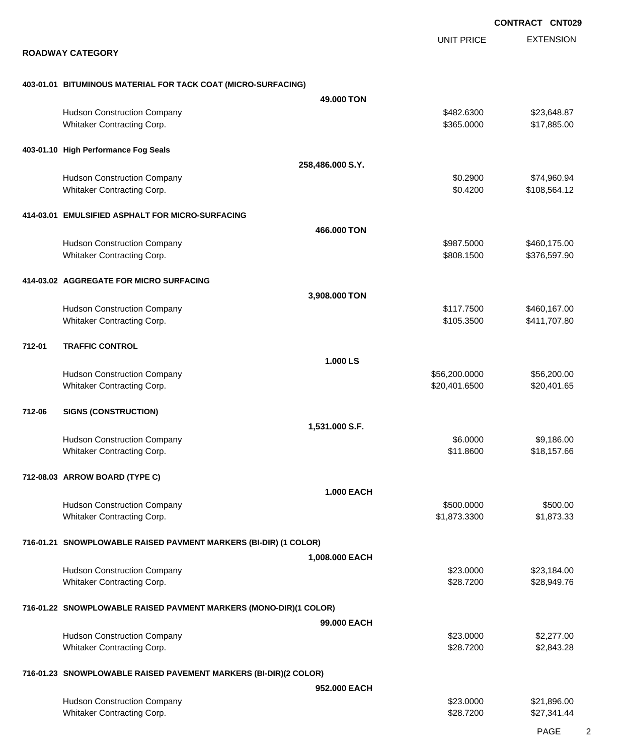EXTENSION UNIT PRICE

#### **ROADWAY CATEGORY**

### **403-01.01 BITUMINOUS MATERIAL FOR TACK COAT (MICRO-SURFACING)**

|        |                                                                   | 49.000 TON        |                          |                              |
|--------|-------------------------------------------------------------------|-------------------|--------------------------|------------------------------|
|        | <b>Hudson Construction Company</b><br>Whitaker Contracting Corp.  |                   | \$482.6300<br>\$365.0000 | \$23,648.87<br>\$17,885.00   |
|        | 403-01.10 High Performance Fog Seals                              |                   |                          |                              |
|        |                                                                   | 258,486.000 S.Y.  |                          |                              |
|        | <b>Hudson Construction Company</b>                                |                   | \$0.2900                 | \$74,960.94                  |
|        | Whitaker Contracting Corp.                                        |                   | \$0.4200                 | \$108,564.12                 |
|        | 414-03.01 EMULSIFIED ASPHALT FOR MICRO-SURFACING                  |                   |                          |                              |
|        |                                                                   | 466.000 TON       |                          |                              |
|        | <b>Hudson Construction Company</b>                                |                   | \$987.5000               | \$460,175.00                 |
|        | Whitaker Contracting Corp.                                        |                   | \$808.1500               | \$376,597.90                 |
|        | 414-03.02 AGGREGATE FOR MICRO SURFACING                           |                   |                          |                              |
|        |                                                                   | 3,908.000 TON     |                          |                              |
|        | <b>Hudson Construction Company</b>                                |                   | \$117.7500<br>\$105.3500 | \$460,167.00<br>\$411,707.80 |
|        | Whitaker Contracting Corp.                                        |                   |                          |                              |
| 712-01 | <b>TRAFFIC CONTROL</b>                                            |                   |                          |                              |
|        |                                                                   | 1.000 LS          |                          |                              |
|        | <b>Hudson Construction Company</b>                                |                   | \$56,200.0000            | \$56,200.00                  |
|        | Whitaker Contracting Corp.                                        |                   | \$20,401.6500            | \$20,401.65                  |
| 712-06 | <b>SIGNS (CONSTRUCTION)</b>                                       |                   |                          |                              |
|        |                                                                   | 1,531.000 S.F.    |                          |                              |
|        | <b>Hudson Construction Company</b>                                |                   | \$6.0000                 | \$9,186.00                   |
|        | Whitaker Contracting Corp.                                        |                   | \$11.8600                | \$18,157.66                  |
|        | 712-08.03 ARROW BOARD (TYPE C)                                    |                   |                          |                              |
|        |                                                                   | <b>1.000 EACH</b> |                          |                              |
|        | <b>Hudson Construction Company</b>                                |                   | \$500.0000               | \$500.00                     |
|        | Whitaker Contracting Corp.                                        |                   | \$1,873.3300             | \$1,873.33                   |
|        | 716-01.21 SNOWPLOWABLE RAISED PAVMENT MARKERS (BI-DIR) (1 COLOR)  |                   |                          |                              |
|        |                                                                   | 1,008.000 EACH    |                          |                              |
|        | <b>Hudson Construction Company</b>                                |                   | \$23.0000                | \$23,184.00                  |
|        | Whitaker Contracting Corp.                                        |                   | \$28.7200                | \$28,949.76                  |
|        | 716-01.22 SNOWPLOWABLE RAISED PAVMENT MARKERS (MONO-DIR)(1 COLOR) |                   |                          |                              |
|        |                                                                   | 99,000 EACH       |                          |                              |
|        | <b>Hudson Construction Company</b>                                |                   | \$23.0000                | \$2,277.00                   |
|        | Whitaker Contracting Corp.                                        |                   | \$28.7200                | \$2,843.28                   |
|        | 716-01.23 SNOWPLOWABLE RAISED PAVEMENT MARKERS (BI-DIR)(2 COLOR)  |                   |                          |                              |
|        |                                                                   | 952,000 EACH      |                          |                              |
|        | <b>Hudson Construction Company</b>                                |                   | \$23.0000                | \$21,896.00                  |
|        | Whitaker Contracting Corp.                                        |                   | \$28.7200                | \$27,341.44                  |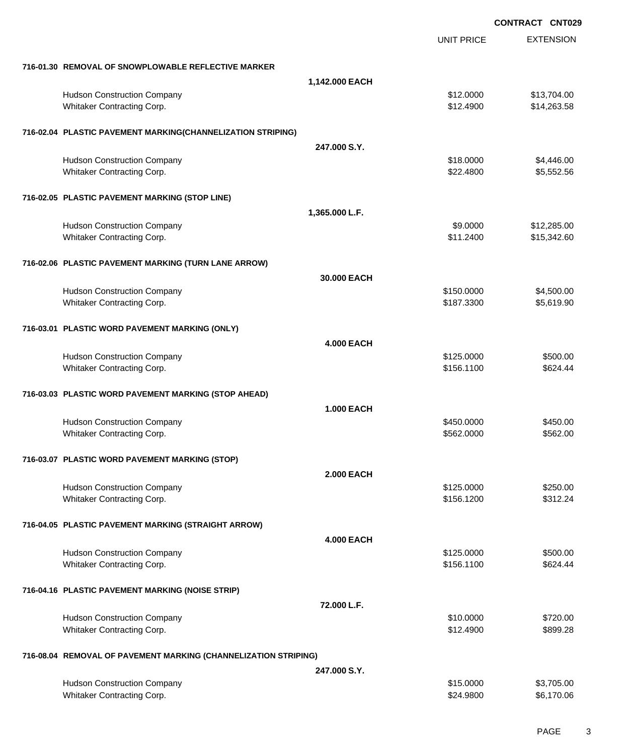|                                                                 |                   |                   | <b>CONTRACT CNT029</b> |
|-----------------------------------------------------------------|-------------------|-------------------|------------------------|
|                                                                 |                   | <b>UNIT PRICE</b> | <b>EXTENSION</b>       |
| 716-01.30 REMOVAL OF SNOWPLOWABLE REFLECTIVE MARKER             |                   |                   |                        |
|                                                                 | 1,142.000 EACH    |                   |                        |
| <b>Hudson Construction Company</b>                              |                   | \$12.0000         | \$13,704.00            |
| Whitaker Contracting Corp.                                      |                   | \$12.4900         | \$14,263.58            |
| 716-02.04 PLASTIC PAVEMENT MARKING(CHANNELIZATION STRIPING)     |                   |                   |                        |
|                                                                 | 247.000 S.Y.      |                   |                        |
| <b>Hudson Construction Company</b>                              |                   | \$18.0000         | \$4,446.00             |
| Whitaker Contracting Corp.                                      |                   | \$22.4800         | \$5,552.56             |
| 716-02.05 PLASTIC PAVEMENT MARKING (STOP LINE)                  |                   |                   |                        |
|                                                                 | 1,365.000 L.F.    |                   |                        |
| <b>Hudson Construction Company</b>                              |                   | \$9.0000          | \$12,285.00            |
| Whitaker Contracting Corp.                                      |                   | \$11.2400         | \$15,342.60            |
| 716-02.06 PLASTIC PAVEMENT MARKING (TURN LANE ARROW)            |                   |                   |                        |
|                                                                 | 30.000 EACH       |                   |                        |
| <b>Hudson Construction Company</b>                              |                   | \$150.0000        | \$4,500.00             |
| Whitaker Contracting Corp.                                      |                   | \$187.3300        | \$5,619.90             |
| 716-03.01 PLASTIC WORD PAVEMENT MARKING (ONLY)                  |                   |                   |                        |
|                                                                 | <b>4.000 EACH</b> |                   |                        |
| <b>Hudson Construction Company</b>                              |                   | \$125.0000        | \$500.00               |
| Whitaker Contracting Corp.                                      |                   | \$156.1100        | \$624.44               |
| 716-03.03 PLASTIC WORD PAVEMENT MARKING (STOP AHEAD)            |                   |                   |                        |
|                                                                 | <b>1.000 EACH</b> |                   |                        |
| <b>Hudson Construction Company</b>                              |                   | \$450.0000        | \$450.00               |
| Whitaker Contracting Corp.                                      |                   | \$562.0000        | \$562.00               |
| 716-03.07 PLASTIC WORD PAVEMENT MARKING (STOP)                  |                   |                   |                        |
|                                                                 | <b>2.000 EACH</b> |                   |                        |
| <b>Hudson Construction Company</b>                              |                   | \$125.0000        | \$250.00               |
| Whitaker Contracting Corp.                                      |                   | \$156.1200        | \$312.24               |
| 716-04.05 PLASTIC PAVEMENT MARKING (STRAIGHT ARROW)             |                   |                   |                        |
|                                                                 | <b>4.000 EACH</b> |                   |                        |
| <b>Hudson Construction Company</b>                              |                   | \$125.0000        | \$500.00               |
| Whitaker Contracting Corp.                                      |                   | \$156.1100        | \$624.44               |
| 716-04.16 PLASTIC PAVEMENT MARKING (NOISE STRIP)                |                   |                   |                        |
|                                                                 | 72.000 L.F.       |                   |                        |
| <b>Hudson Construction Company</b>                              |                   | \$10.0000         | \$720.00               |
| Whitaker Contracting Corp.                                      |                   | \$12.4900         | \$899.28               |
| 716-08.04 REMOVAL OF PAVEMENT MARKING (CHANNELIZATION STRIPING) |                   |                   |                        |
|                                                                 | 247,000 S.Y.      |                   |                        |
| <b>Hudson Construction Company</b>                              |                   | \$15.0000         | \$3,705.00             |
| Whitaker Contracting Corp.                                      |                   | \$24.9800         | \$6,170.06             |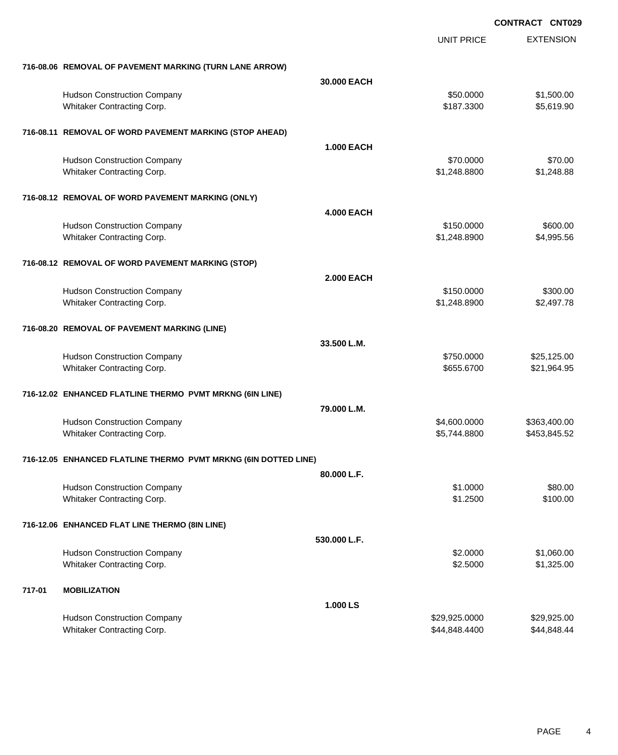|        |                                                                  |                   | <b>UNIT PRICE</b>              | <b>EXTENSION</b>             |
|--------|------------------------------------------------------------------|-------------------|--------------------------------|------------------------------|
|        | 716-08.06 REMOVAL OF PAVEMENT MARKING (TURN LANE ARROW)          |                   |                                |                              |
|        |                                                                  | 30.000 EACH       |                                |                              |
|        | <b>Hudson Construction Company</b><br>Whitaker Contracting Corp. |                   | \$50.0000<br>\$187.3300        | \$1,500.00<br>\$5,619.90     |
|        | 716-08.11 REMOVAL OF WORD PAVEMENT MARKING (STOP AHEAD)          |                   |                                |                              |
|        |                                                                  | <b>1.000 EACH</b> |                                |                              |
|        | <b>Hudson Construction Company</b><br>Whitaker Contracting Corp. |                   | \$70.0000<br>\$1,248.8800      | \$70.00<br>\$1,248.88        |
|        | 716-08.12 REMOVAL OF WORD PAVEMENT MARKING (ONLY)                |                   |                                |                              |
|        |                                                                  | <b>4.000 EACH</b> |                                |                              |
|        | <b>Hudson Construction Company</b><br>Whitaker Contracting Corp. |                   | \$150.0000<br>\$1,248.8900     | \$600.00<br>\$4,995.56       |
|        | 716-08.12 REMOVAL OF WORD PAVEMENT MARKING (STOP)                |                   |                                |                              |
|        |                                                                  | <b>2.000 EACH</b> |                                |                              |
|        | <b>Hudson Construction Company</b><br>Whitaker Contracting Corp. |                   | \$150.0000<br>\$1,248.8900     | \$300.00<br>\$2,497.78       |
|        | 716-08.20 REMOVAL OF PAVEMENT MARKING (LINE)                     |                   |                                |                              |
|        |                                                                  | 33.500 L.M.       |                                |                              |
|        | <b>Hudson Construction Company</b><br>Whitaker Contracting Corp. |                   | \$750.0000<br>\$655.6700       | \$25,125.00<br>\$21,964.95   |
|        | 716-12.02 ENHANCED FLATLINE THERMO PVMT MRKNG (6IN LINE)         |                   |                                |                              |
|        |                                                                  | 79.000 L.M.       |                                |                              |
|        | <b>Hudson Construction Company</b><br>Whitaker Contracting Corp. |                   | \$4,600.0000<br>\$5,744.8800   | \$363,400.00<br>\$453,845.52 |
|        | 716-12.05 ENHANCED FLATLINE THERMO PVMT MRKNG (6IN DOTTED LINE)  |                   |                                |                              |
|        |                                                                  | 80.000 L.F.       |                                |                              |
|        | <b>Hudson Construction Company</b><br>Whitaker Contracting Corp. |                   | \$1.0000<br>\$1.2500           | \$80.00<br>\$100.00          |
|        | 716-12.06 ENHANCED FLAT LINE THERMO (8IN LINE)                   |                   |                                |                              |
|        |                                                                  | 530.000 L.F.      |                                |                              |
|        | <b>Hudson Construction Company</b><br>Whitaker Contracting Corp. |                   | \$2.0000<br>\$2.5000           | \$1,060.00<br>\$1,325.00     |
| 717-01 | <b>MOBILIZATION</b>                                              |                   |                                |                              |
|        |                                                                  | 1.000 LS          |                                |                              |
|        | <b>Hudson Construction Company</b><br>Whitaker Contracting Corp. |                   | \$29,925.0000<br>\$44,848.4400 | \$29,925.00<br>\$44,848.44   |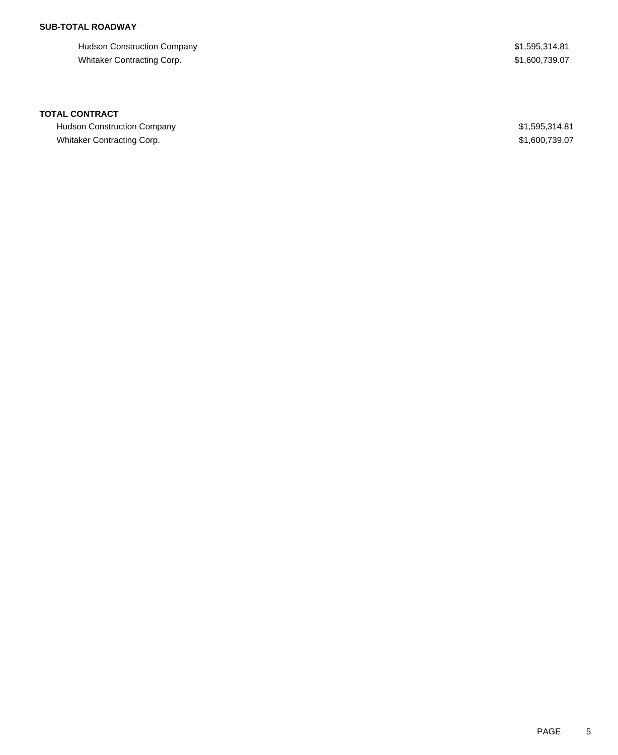# **SUB-TOTAL ROADWAY**

Hudson Construction Company **\$1,595,314.81** Whitaker Contracting Corp.  $$1,600,739.07$ 

## **TOTAL CONTRACT**

Hudson Construction Company **\$1,595,314.81** Whitaker Contracting Corp. 61,600,739.07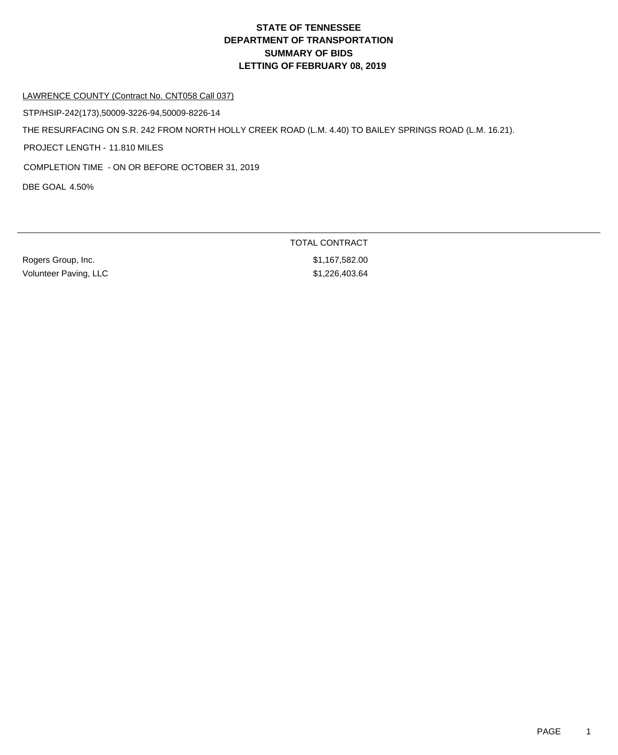# **DEPARTMENT OF TRANSPORTATION SUMMARY OF BIDS LETTING OF FEBRUARY 08, 2019 STATE OF TENNESSEE**

#### LAWRENCE COUNTY (Contract No. CNT058 Call 037)

STP/HSIP-242(173),50009-3226-94,50009-8226-14

THE RESURFACING ON S.R. 242 FROM NORTH HOLLY CREEK ROAD (L.M. 4.40) TO BAILEY SPRINGS ROAD (L.M. 16.21).

PROJECT LENGTH - 11.810 MILES

COMPLETION TIME - ON OR BEFORE OCTOBER 31, 2019

DBE GOAL 4.50%

Rogers Group, Inc. 6. 2010 12:30 12:30 12:30 12:30 12:30 12:30 12:30 12:30 12:30 12:30 12:30 12:30 12:30 12:30 Volunteer Paving, LLC \$1,226,403.64

TOTAL CONTRACT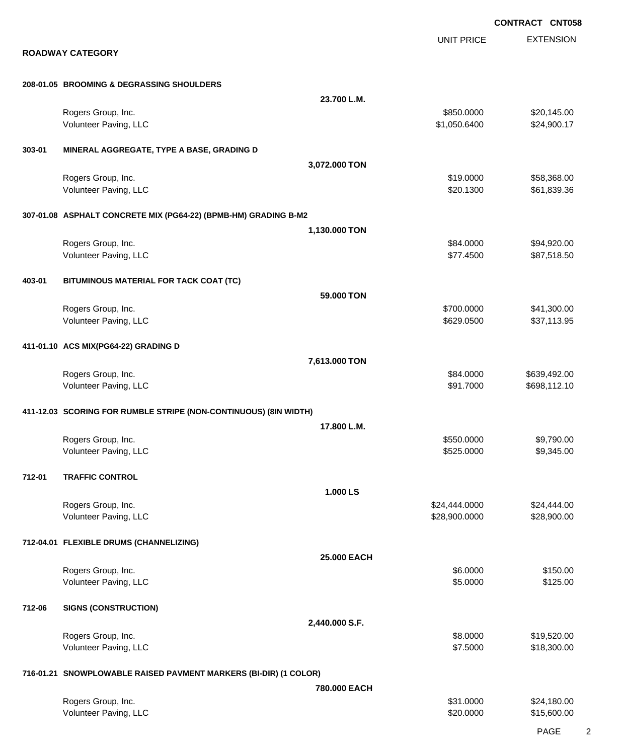EXTENSION **CONTRACT CNT058** UNIT PRICE **ROADWAY CATEGORY 208-01.05 BROOMING & DEGRASSING SHOULDERS 23.700 L.M.** Rogers Group, Inc. \$850.0000 \$20,145.00 Volunteer Paving, LLC 624,900.17 **303-01 MINERAL AGGREGATE, TYPE A BASE, GRADING D 3,072.000 TON** Rogers Group, Inc. \$19.0000 \$58,368.00 Volunteer Paving, LLC 6. The Secret Assembly to the Secret Assembly to the Secret Assembly to the Secret Assembly to the Secret Assembly to the Secret Assembly to the Secret Assembly to the Secret Assembly to the Secret As **307-01.08 ASPHALT CONCRETE MIX (PG64-22) (BPMB-HM) GRADING B-M2 1,130.000 TON** Rogers Group, Inc. \$84.0000 \$94,920.00 Volunteer Paving, LLC 687,518.50 **403-01 BITUMINOUS MATERIAL FOR TACK COAT (TC) 59.000 TON** Rogers Group, Inc. \$41,300.00 \$41,300.00 \$41,300.00 \$41,300.00 \$500.000 \$500.000 \$41,300.00 \$41,300.00 \$500.00 Volunteer Paving, LLC 637,113.95 **411-01.10 ACS MIX(PG64-22) GRADING D 7,613.000 TON** Rogers Group, Inc. \$839,492.00 \$639,492.00 \$639,492.00 \$639,492.00 \$639,492.00 Volunteer Paving, LLC **\$91.7000** \$698,112.10 **411-12.03 SCORING FOR RUMBLE STRIPE (NON-CONTINUOUS) (8IN WIDTH) 17.800 L.M.** Rogers Group, Inc. \$550.0000 \$9,790.00 Volunteer Paving, LLC 6. The state of the state of the state of the state of the state of the state of the state of the state of the state of the state of the state of the state of the state of the state of the state of th **712-01 TRAFFIC CONTROL 1.000 LS** Rogers Group, Inc. \$24,444.000 \$24,444.000 \$24,444.000 \$24,444.000 \$24,444.000 \$24,444.00 Volunteer Paving, LLC 6. 28,900.000 \$28,900.000 \$28,900.000 \$28,900.000 \$28,900.000 \$28,900.00 **712-04.01 FLEXIBLE DRUMS (CHANNELIZING) 25.000 EACH** Rogers Group, Inc. \$150.00 \$150.00 \$150.00 \$150.00 \$150.00 \$150.00 \$150.00 \$150.00 \$150.00 \$150.00 \$150.00 \$150 Volunteer Paving, LLC \$125.00 **712-06 SIGNS (CONSTRUCTION) 2,440.000 S.F.** Rogers Group, Inc. \$19,520.00 \$19,520.00 \$19,520.00 \$19,520.00 \$19,520.00 \$19,520.00 \$19,520.00 \$19,520.00 \$19,520.00 \$19,520.00 \$19,520.00 \$19,520.00 \$19,520.00 \$19,520.00 \$19,520.00 \$19,520.00 \$19,520.00 \$19,520.00 \$19,5 Volunteer Paving, LLC 618,300.00 \$18,300.00 \$18,300.00 \$18,300.00 \$18,300.00 \$18,300.00 \$18,300.00 \$18,300.00 **716-01.21 SNOWPLOWABLE RAISED PAVMENT MARKERS (BI-DIR) (1 COLOR) 780.000 EACH** Rogers Group, Inc. \$31.0000 \$24,180.00 Volunteer Paving, LLC 60000 \$15,600.00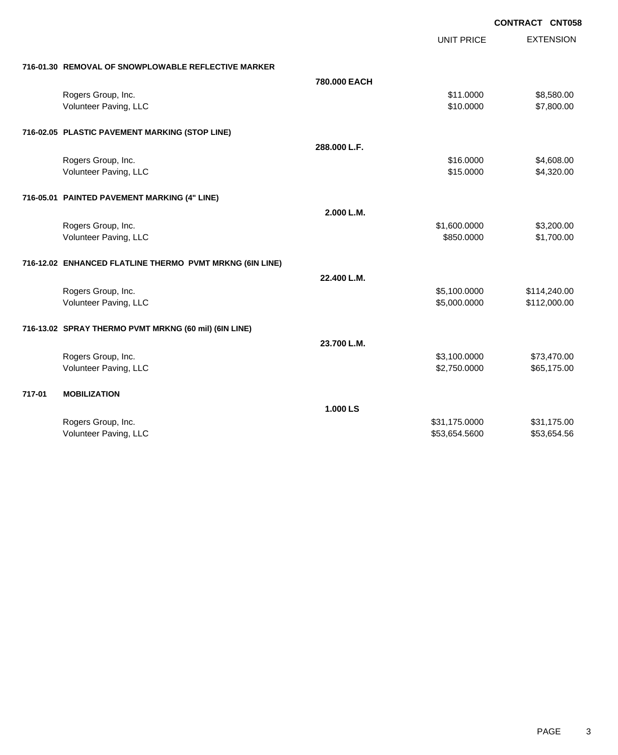|        |                                                          |              | <b>UNIT PRICE</b> | <b>EXTENSION</b> |
|--------|----------------------------------------------------------|--------------|-------------------|------------------|
|        | 716-01.30 REMOVAL OF SNOWPLOWABLE REFLECTIVE MARKER      |              |                   |                  |
|        |                                                          | 780,000 EACH |                   |                  |
|        | Rogers Group, Inc.                                       |              | \$11.0000         | \$8,580.00       |
|        | Volunteer Paving, LLC                                    |              | \$10.0000         | \$7,800.00       |
|        | 716-02.05 PLASTIC PAVEMENT MARKING (STOP LINE)           |              |                   |                  |
|        |                                                          | 288.000 L.F. |                   |                  |
|        | Rogers Group, Inc.                                       |              | \$16.0000         | \$4,608.00       |
|        | Volunteer Paving, LLC                                    |              | \$15.0000         | \$4,320.00       |
|        | 716-05.01 PAINTED PAVEMENT MARKING (4" LINE)             |              |                   |                  |
|        |                                                          | 2.000 L.M.   |                   |                  |
|        | Rogers Group, Inc.                                       |              | \$1,600.0000      | \$3,200.00       |
|        | Volunteer Paving, LLC                                    |              | \$850.0000        | \$1,700.00       |
|        | 716-12.02 ENHANCED FLATLINE THERMO PVMT MRKNG (6IN LINE) |              |                   |                  |
|        |                                                          | 22.400 L.M.  |                   |                  |
|        | Rogers Group, Inc.                                       |              | \$5,100.0000      | \$114,240.00     |
|        | Volunteer Paving, LLC                                    |              | \$5,000.0000      | \$112,000.00     |
|        | 716-13.02 SPRAY THERMO PVMT MRKNG (60 mil) (6IN LINE)    |              |                   |                  |
|        |                                                          | 23.700 L.M.  |                   |                  |
|        | Rogers Group, Inc.                                       |              | \$3,100.0000      | \$73,470.00      |
|        | Volunteer Paving, LLC                                    |              | \$2,750.0000      | \$65,175.00      |
| 717-01 | <b>MOBILIZATION</b>                                      |              |                   |                  |
|        |                                                          | 1.000 LS     |                   |                  |
|        | Rogers Group, Inc.                                       |              | \$31,175.0000     | \$31,175.00      |
|        | Volunteer Paving, LLC                                    |              | \$53,654.5600     | \$53,654.56      |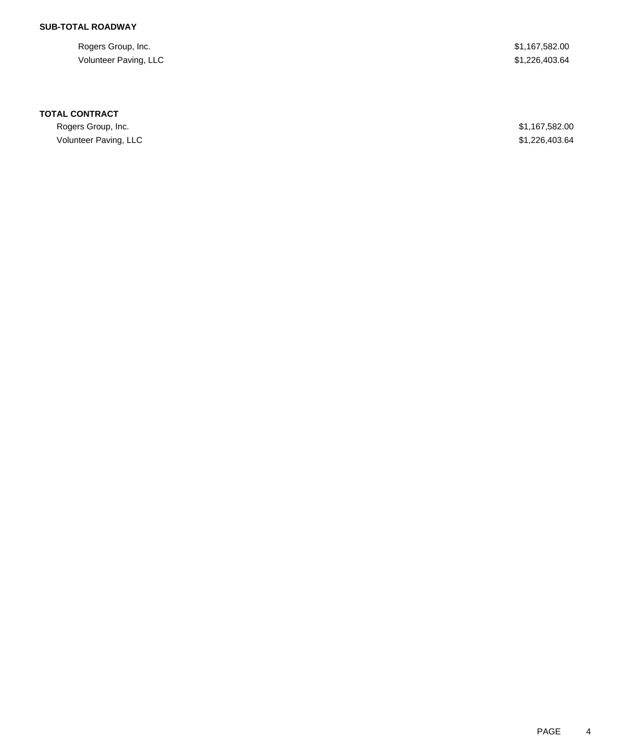# **SUB-TOTAL ROADWAY**

Rogers Group, Inc. \$1,167,582.00 Volunteer Paving, LLC \$1,226,403.64

### **TOTAL CONTRACT**

Rogers Group, Inc. \$1,167,582.00 Volunteer Paving, LLC \$1,226,403.64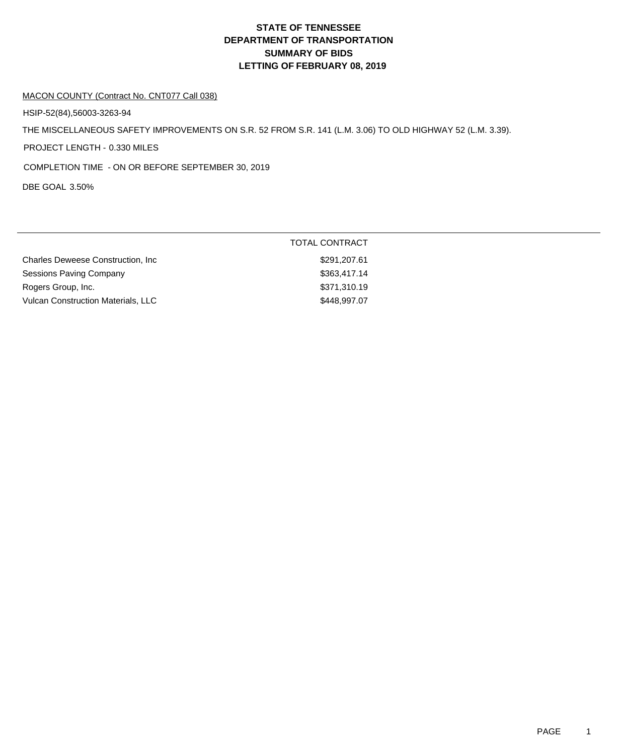# **DEPARTMENT OF TRANSPORTATION SUMMARY OF BIDS LETTING OF FEBRUARY 08, 2019 STATE OF TENNESSEE**

#### MACON COUNTY (Contract No. CNT077 Call 038)

HSIP-52(84),56003-3263-94

THE MISCELLANEOUS SAFETY IMPROVEMENTS ON S.R. 52 FROM S.R. 141 (L.M. 3.06) TO OLD HIGHWAY 52 (L.M. 3.39).

PROJECT LENGTH - 0.330 MILES

COMPLETION TIME - ON OR BEFORE SEPTEMBER 30, 2019

DBE GOAL 3.50%

|                                           | TOTAL CONTRACT |
|-------------------------------------------|----------------|
| <b>Charles Deweese Construction, Inc.</b> | \$291,207.61   |
| Sessions Paving Company                   | \$363,417.14   |
| Rogers Group, Inc.                        | \$371,310.19   |
| Vulcan Construction Materials, LLC        | \$448,997.07   |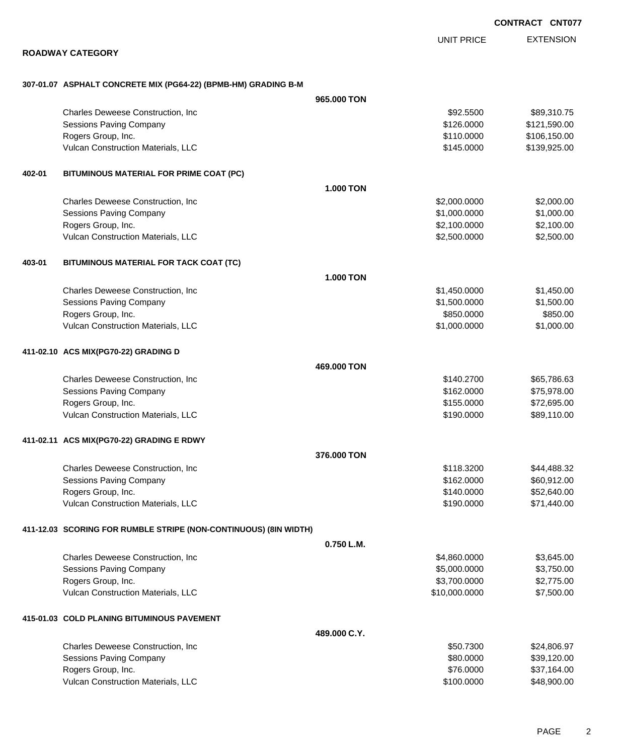EXTENSION UNIT PRICE

#### **ROADWAY CATEGORY**

### **307-01.07 ASPHALT CONCRETE MIX (PG64-22) (BPMB-HM) GRADING B-M**

|        |                                                                  | 965.000 TON      |               |              |
|--------|------------------------------------------------------------------|------------------|---------------|--------------|
|        | Charles Deweese Construction, Inc.                               |                  | \$92.5500     | \$89,310.75  |
|        | <b>Sessions Paving Company</b>                                   |                  | \$126.0000    | \$121,590.00 |
|        | Rogers Group, Inc.                                               |                  | \$110.0000    | \$106,150.00 |
|        | Vulcan Construction Materials, LLC                               |                  | \$145.0000    | \$139,925.00 |
| 402-01 | BITUMINOUS MATERIAL FOR PRIME COAT (PC)                          |                  |               |              |
|        |                                                                  | <b>1.000 TON</b> |               |              |
|        | Charles Deweese Construction, Inc                                |                  | \$2,000.0000  | \$2,000.00   |
|        | Sessions Paving Company                                          |                  | \$1,000.0000  | \$1,000.00   |
|        | Rogers Group, Inc.                                               |                  | \$2,100.0000  | \$2,100.00   |
|        | Vulcan Construction Materials, LLC                               |                  | \$2,500.0000  | \$2,500.00   |
| 403-01 | BITUMINOUS MATERIAL FOR TACK COAT (TC)                           |                  |               |              |
|        |                                                                  | <b>1.000 TON</b> |               |              |
|        | Charles Deweese Construction, Inc                                |                  | \$1,450.0000  | \$1,450.00   |
|        | <b>Sessions Paving Company</b>                                   |                  | \$1,500.0000  | \$1,500.00   |
|        | Rogers Group, Inc.                                               |                  | \$850.0000    | \$850.00     |
|        | Vulcan Construction Materials, LLC                               |                  | \$1,000.0000  | \$1,000.00   |
|        | 411-02.10 ACS MIX(PG70-22) GRADING D                             |                  |               |              |
|        |                                                                  | 469.000 TON      |               |              |
|        | Charles Deweese Construction, Inc                                |                  | \$140.2700    | \$65,786.63  |
|        | Sessions Paving Company                                          |                  | \$162.0000    | \$75,978.00  |
|        | Rogers Group, Inc.                                               |                  | \$155.0000    | \$72,695.00  |
|        | Vulcan Construction Materials, LLC                               |                  | \$190.0000    | \$89,110.00  |
|        | 411-02.11 ACS MIX(PG70-22) GRADING E RDWY                        |                  |               |              |
|        |                                                                  | 376,000 TON      |               |              |
|        | Charles Deweese Construction, Inc.                               |                  | \$118.3200    | \$44,488.32  |
|        | Sessions Paving Company                                          |                  | \$162.0000    | \$60,912.00  |
|        | Rogers Group, Inc.                                               |                  | \$140.0000    | \$52,640.00  |
|        | Vulcan Construction Materials, LLC                               |                  | \$190.0000    | \$71,440.00  |
|        | 411-12.03 SCORING FOR RUMBLE STRIPE (NON-CONTINUOUS) (8IN WIDTH) |                  |               |              |
|        |                                                                  | 0.750 L.M.       |               |              |
|        | Charles Deweese Construction, Inc                                |                  | \$4,860.0000  | \$3,645.00   |
|        | Sessions Paving Company                                          |                  | \$5,000.0000  | \$3,750.00   |
|        | Rogers Group, Inc.                                               |                  | \$3,700.0000  | \$2,775.00   |
|        | Vulcan Construction Materials, LLC                               |                  | \$10,000.0000 | \$7,500.00   |
|        | 415-01.03 COLD PLANING BITUMINOUS PAVEMENT                       |                  |               |              |
|        |                                                                  | 489,000 C.Y.     |               |              |
|        | Charles Deweese Construction, Inc                                |                  | \$50.7300     | \$24,806.97  |
|        | Sessions Paving Company                                          |                  | \$80.0000     | \$39,120.00  |
|        | Rogers Group, Inc.                                               |                  | \$76.0000     | \$37,164.00  |
|        | Vulcan Construction Materials, LLC                               |                  | \$100.0000    | \$48,900.00  |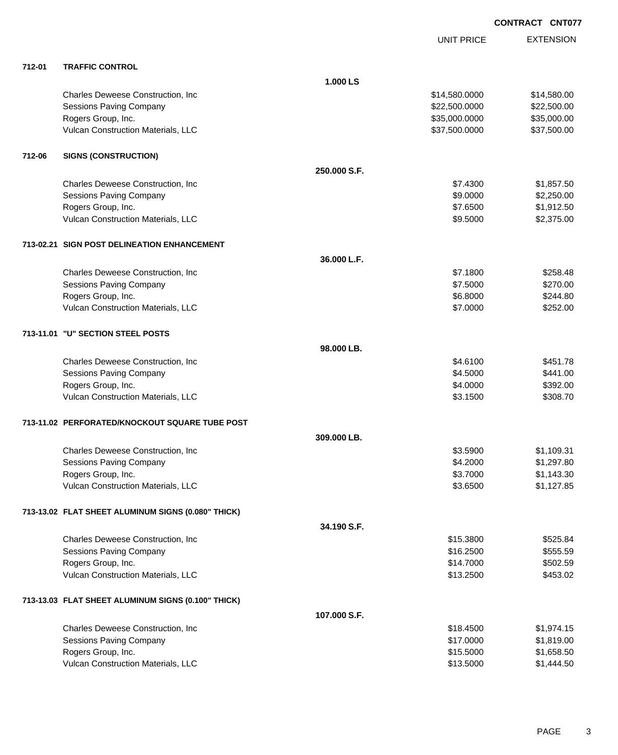|        |                                                    |              | UNIT PRICE    | <b>EXTENSION</b> |
|--------|----------------------------------------------------|--------------|---------------|------------------|
|        |                                                    |              |               |                  |
| 712-01 | <b>TRAFFIC CONTROL</b>                             | 1.000 LS     |               |                  |
|        | Charles Deweese Construction, Inc                  |              | \$14,580.0000 | \$14,580.00      |
|        | <b>Sessions Paving Company</b>                     |              | \$22,500.0000 | \$22,500.00      |
|        | Rogers Group, Inc.                                 |              | \$35,000.0000 | \$35,000.00      |
|        | Vulcan Construction Materials, LLC                 |              | \$37,500.0000 | \$37,500.00      |
| 712-06 | <b>SIGNS (CONSTRUCTION)</b>                        |              |               |                  |
|        |                                                    | 250,000 S.F. |               |                  |
|        | Charles Deweese Construction, Inc                  |              | \$7.4300      | \$1,857.50       |
|        | <b>Sessions Paving Company</b>                     |              | \$9.0000      | \$2,250.00       |
|        | Rogers Group, Inc.                                 |              | \$7.6500      | \$1,912.50       |
|        | Vulcan Construction Materials, LLC                 |              | \$9.5000      | \$2,375.00       |
|        | 713-02.21 SIGN POST DELINEATION ENHANCEMENT        |              |               |                  |
|        |                                                    | 36.000 L.F.  |               |                  |
|        | Charles Deweese Construction, Inc                  |              | \$7.1800      | \$258.48         |
|        | <b>Sessions Paving Company</b>                     |              | \$7.5000      | \$270.00         |
|        | Rogers Group, Inc.                                 |              | \$6.8000      | \$244.80         |
|        | Vulcan Construction Materials, LLC                 |              | \$7.0000      | \$252.00         |
|        | 713-11.01 "U" SECTION STEEL POSTS                  |              |               |                  |
|        |                                                    | 98.000 LB.   |               |                  |
|        | Charles Deweese Construction, Inc                  |              | \$4.6100      | \$451.78         |
|        | <b>Sessions Paving Company</b>                     |              | \$4.5000      | \$441.00         |
|        | Rogers Group, Inc.                                 |              | \$4.0000      | \$392.00         |
|        | Vulcan Construction Materials, LLC                 |              | \$3.1500      | \$308.70         |
|        | 713-11.02 PERFORATED/KNOCKOUT SQUARE TUBE POST     |              |               |                  |
|        |                                                    | 309.000 LB.  |               |                  |
|        | Charles Deweese Construction, Inc.                 |              | \$3.5900      | \$1,109.31       |
|        | <b>Sessions Paving Company</b>                     |              | \$4.2000      | \$1,297.80       |
|        | Rogers Group, Inc.                                 |              | \$3.7000      | \$1,143.30       |
|        | Vulcan Construction Materials, LLC                 |              | \$3.6500      | \$1,127.85       |
|        | 713-13.02 FLAT SHEET ALUMINUM SIGNS (0.080" THICK) |              |               |                  |
|        |                                                    | 34.190 S.F.  |               |                  |
|        | Charles Deweese Construction, Inc                  |              | \$15.3800     | \$525.84         |
|        | <b>Sessions Paving Company</b>                     |              | \$16.2500     | \$555.59         |
|        | Rogers Group, Inc.                                 |              | \$14.7000     | \$502.59         |
|        | Vulcan Construction Materials, LLC                 |              | \$13.2500     | \$453.02         |
|        | 713-13.03 FLAT SHEET ALUMINUM SIGNS (0.100" THICK) |              |               |                  |
|        |                                                    | 107.000 S.F. |               |                  |
|        | Charles Deweese Construction, Inc                  |              | \$18.4500     | \$1,974.15       |
|        | <b>Sessions Paving Company</b>                     |              | \$17.0000     | \$1,819.00       |
|        | Rogers Group, Inc.                                 |              | \$15.5000     | \$1,658.50       |
|        | Vulcan Construction Materials, LLC                 |              | \$13.5000     | \$1,444.50       |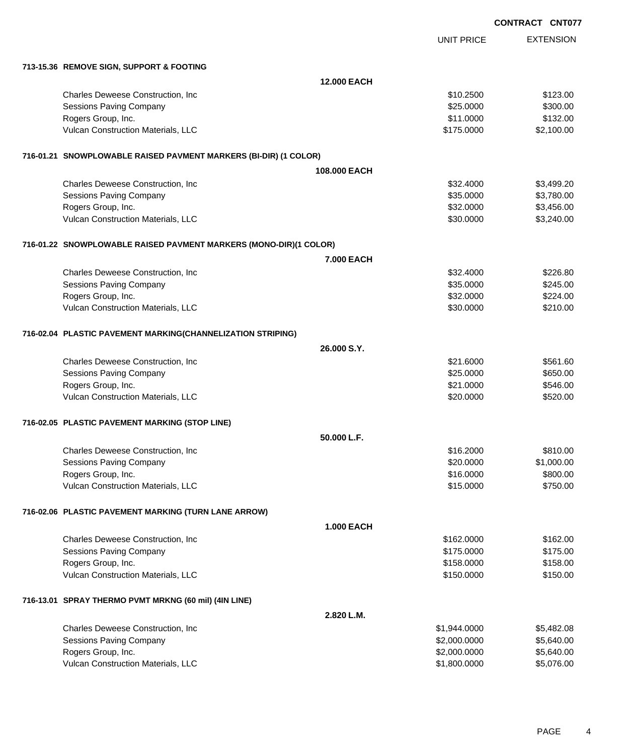|                                                                   |                    |                   | <b>CONTRACT CNT077</b> |
|-------------------------------------------------------------------|--------------------|-------------------|------------------------|
|                                                                   |                    | <b>UNIT PRICE</b> | <b>EXTENSION</b>       |
| 713-15.36 REMOVE SIGN, SUPPORT & FOOTING                          |                    |                   |                        |
|                                                                   | <b>12.000 EACH</b> |                   |                        |
| Charles Deweese Construction, Inc                                 |                    | \$10.2500         | \$123.00               |
| Sessions Paving Company                                           |                    | \$25.0000         | \$300.00               |
| Rogers Group, Inc.                                                |                    | \$11.0000         | \$132.00               |
| Vulcan Construction Materials, LLC                                |                    | \$175.0000        | \$2,100.00             |
| 716-01.21 SNOWPLOWABLE RAISED PAVMENT MARKERS (BI-DIR) (1 COLOR)  |                    |                   |                        |
|                                                                   | 108,000 EACH       |                   |                        |
| Charles Deweese Construction, Inc                                 |                    | \$32,4000         | \$3,499.20             |
| Sessions Paving Company                                           |                    | \$35.0000         | \$3,780.00             |
| Rogers Group, Inc.                                                |                    | \$32.0000         | \$3,456.00             |
| Vulcan Construction Materials, LLC                                |                    | \$30.0000         | \$3,240.00             |
| 716-01.22 SNOWPLOWABLE RAISED PAVMENT MARKERS (MONO-DIR)(1 COLOR) |                    |                   |                        |
|                                                                   | 7.000 EACH         |                   |                        |
| Charles Deweese Construction, Inc                                 |                    | \$32,4000         | \$226.80               |
| <b>Sessions Paving Company</b>                                    |                    | \$35.0000         | \$245.00               |
| Rogers Group, Inc.                                                |                    | \$32.0000         | \$224.00               |
| Vulcan Construction Materials, LLC                                |                    | \$30.0000         | \$210.00               |
| 716-02.04 PLASTIC PAVEMENT MARKING(CHANNELIZATION STRIPING)       |                    |                   |                        |
|                                                                   | 26.000 S.Y.        |                   |                        |
| Charles Deweese Construction, Inc                                 |                    | \$21.6000         | \$561.60               |
| Sessions Paving Company                                           |                    | \$25.0000         | \$650.00               |
| Rogers Group, Inc.                                                |                    | \$21.0000         | \$546.00               |
| Vulcan Construction Materials, LLC                                |                    | \$20,0000         | \$520.00               |
| 716-02.05 PLASTIC PAVEMENT MARKING (STOP LINE)                    |                    |                   |                        |
|                                                                   | 50.000 L.F.        |                   |                        |
| Charles Deweese Construction, Inc                                 |                    | \$16.2000         | \$810.00               |
| Sessions Paving Company                                           |                    | \$20.0000         | \$1,000.00             |
| Rogers Group, Inc.                                                |                    | \$16.0000         | \$800.00               |
| Vulcan Construction Materials, LLC                                |                    | \$15.0000         | \$750.00               |
| 716-02.06 PLASTIC PAVEMENT MARKING (TURN LANE ARROW)              |                    |                   |                        |
|                                                                   | 1.000 EACH         |                   |                        |
| Charles Deweese Construction, Inc                                 |                    | \$162.0000        | \$162.00               |
| Sessions Paving Company                                           |                    | \$175.0000        | \$175.00               |
| Rogers Group, Inc.                                                |                    | \$158.0000        | \$158.00               |
| Vulcan Construction Materials, LLC                                |                    | \$150.0000        | \$150.00               |
| 716-13.01 SPRAY THERMO PVMT MRKNG (60 mil) (4IN LINE)             |                    |                   |                        |
|                                                                   | 2.820 L.M.         |                   |                        |
| Charles Deweese Construction, Inc                                 |                    | \$1,944.0000      | \$5,482.08             |
| Sessions Paving Company                                           |                    | \$2,000.0000      | \$5,640.00             |
| Rogers Group, Inc.                                                |                    | \$2,000.0000      | \$5,640.00             |
| Vulcan Construction Materials, LLC                                |                    | \$1,800.0000      | \$5,076.00             |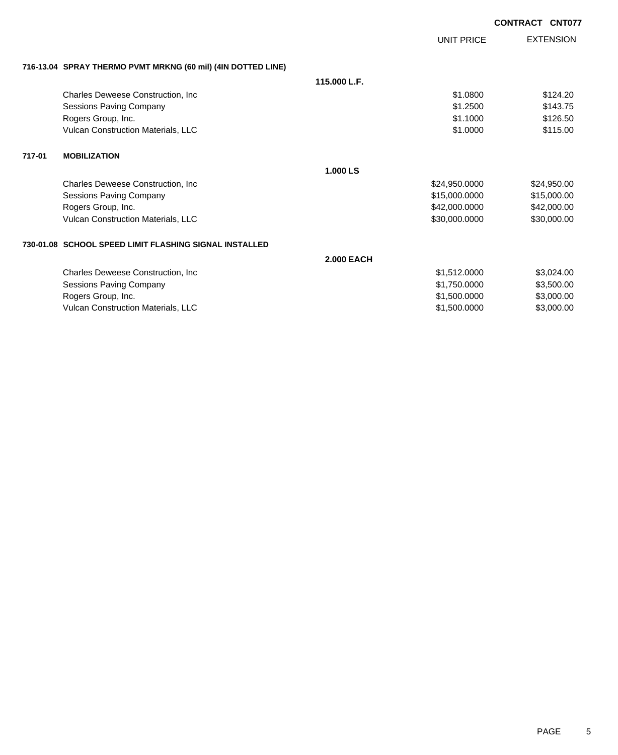|        |                                                              |                   |                   | <b>CONTRACT CNT077</b> |                  |
|--------|--------------------------------------------------------------|-------------------|-------------------|------------------------|------------------|
|        |                                                              |                   | <b>UNIT PRICE</b> |                        | <b>EXTENSION</b> |
|        | 716-13.04 SPRAY THERMO PVMT MRKNG (60 mil) (4IN DOTTED LINE) |                   |                   |                        |                  |
|        |                                                              | 115,000 L.F.      |                   |                        |                  |
|        | Charles Deweese Construction, Inc.                           |                   | \$1.0800          |                        | \$124.20         |
|        | <b>Sessions Paving Company</b>                               |                   | \$1,2500          |                        | \$143.75         |
|        | Rogers Group, Inc.                                           |                   | \$1.1000          |                        | \$126.50         |
|        | <b>Vulcan Construction Materials, LLC</b>                    |                   | \$1.0000          |                        | \$115.00         |
| 717-01 | <b>MOBILIZATION</b>                                          |                   |                   |                        |                  |
|        |                                                              | 1.000 LS          |                   |                        |                  |
|        | <b>Charles Deweese Construction, Inc.</b>                    |                   | \$24,950.0000     |                        | \$24,950.00      |
|        | Sessions Paving Company                                      |                   | \$15,000.0000     |                        | \$15,000.00      |
|        | Rogers Group, Inc.                                           |                   | \$42,000.0000     |                        | \$42,000.00      |
|        | Vulcan Construction Materials, LLC                           |                   | \$30,000.0000     |                        | \$30,000.00      |
|        | 730-01.08 SCHOOL SPEED LIMIT FLASHING SIGNAL INSTALLED       |                   |                   |                        |                  |
|        |                                                              | <b>2.000 EACH</b> |                   |                        |                  |
|        | Charles Deweese Construction, Inc.                           |                   | \$1,512.0000      |                        | \$3,024.00       |
|        | Sessions Paving Company                                      |                   | \$1,750.0000      |                        | \$3,500.00       |
|        | Rogers Group, Inc.                                           |                   | \$1,500.0000      |                        | \$3,000.00       |
|        | <b>Vulcan Construction Materials, LLC</b>                    |                   | \$1,500.0000      |                        | \$3,000.00       |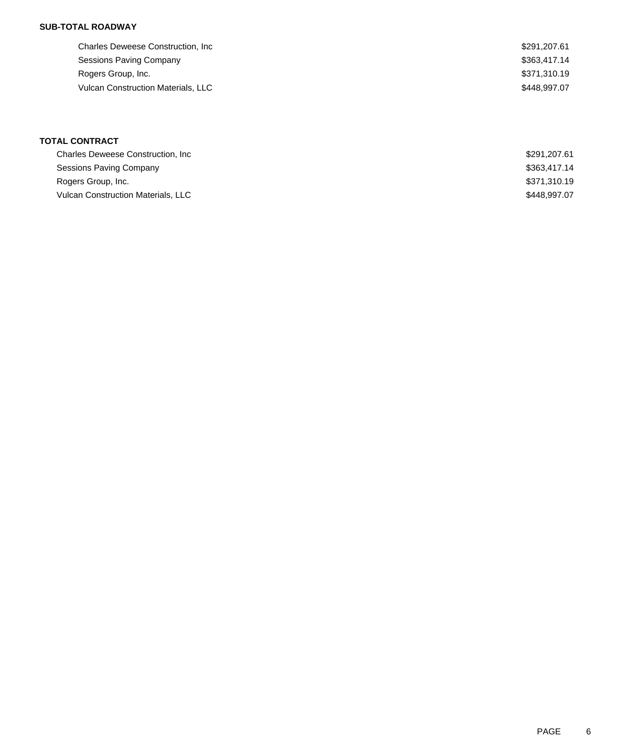## **SUB-TOTAL ROADWAY**

| <b>Charles Deweese Construction, Inc.</b> | \$291,207.61 |
|-------------------------------------------|--------------|
| Sessions Paving Company                   | \$363,417.14 |
| Rogers Group, Inc.                        | \$371,310.19 |
| <b>Vulcan Construction Materials, LLC</b> | \$448.997.07 |
|                                           |              |

# **TOTAL CONTRACT**

| <b>Charles Deweese Construction, Inc.</b> | \$291,207.61 |
|-------------------------------------------|--------------|
| Sessions Paving Company                   | \$363,417,14 |
| Rogers Group, Inc.                        | \$371.310.19 |
| <b>Vulcan Construction Materials, LLC</b> | \$448.997.07 |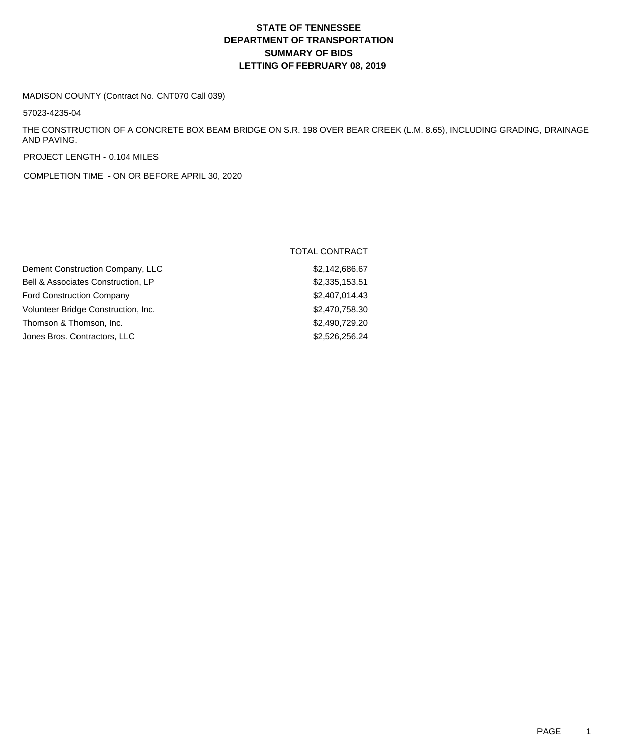# **DEPARTMENT OF TRANSPORTATION SUMMARY OF BIDS LETTING OF FEBRUARY 08, 2019 STATE OF TENNESSEE**

#### MADISON COUNTY (Contract No. CNT070 Call 039)

57023-4235-04

THE CONSTRUCTION OF A CONCRETE BOX BEAM BRIDGE ON S.R. 198 OVER BEAR CREEK (L.M. 8.65), INCLUDING GRADING, DRAINAGE AND PAVING.

PROJECT LENGTH - 0.104 MILES

COMPLETION TIME - ON OR BEFORE APRIL 30, 2020

|                                     | <b>TOTAL CONTRACT</b> |
|-------------------------------------|-----------------------|
| Dement Construction Company, LLC    | \$2,142,686.67        |
| Bell & Associates Construction, LP  | \$2,335,153.51        |
| <b>Ford Construction Company</b>    | \$2,407,014.43        |
| Volunteer Bridge Construction, Inc. | \$2,470,758.30        |
| Thomson & Thomson, Inc.             | \$2,490,729.20        |
| Jones Bros. Contractors, LLC        | \$2,526,256.24        |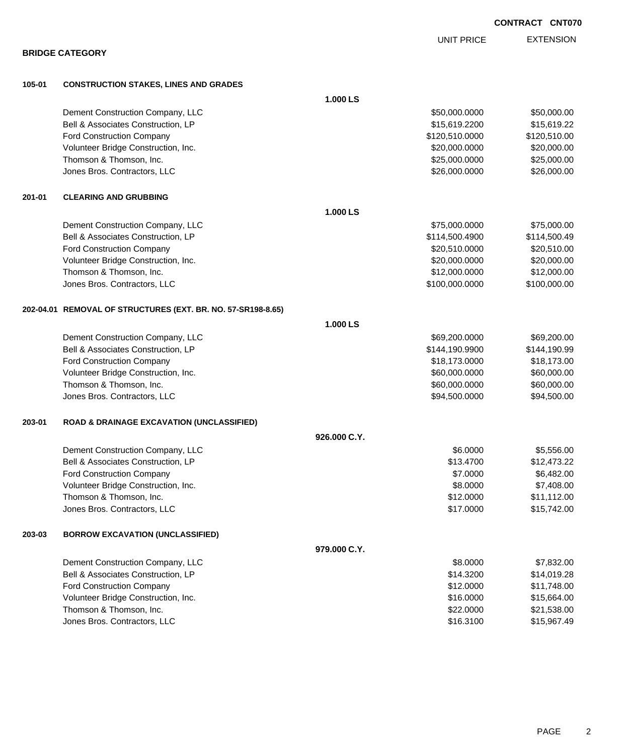|        |                                                              |              | UNII PRIUE     | EATENOIUI    |
|--------|--------------------------------------------------------------|--------------|----------------|--------------|
|        | <b>BRIDGE CATEGORY</b>                                       |              |                |              |
| 105-01 | <b>CONSTRUCTION STAKES, LINES AND GRADES</b>                 |              |                |              |
|        |                                                              | 1.000 LS     |                |              |
|        | Dement Construction Company, LLC                             |              | \$50,000.0000  | \$50,000.00  |
|        | Bell & Associates Construction, LP                           |              | \$15,619.2200  | \$15,619.22  |
|        | Ford Construction Company                                    |              | \$120,510.0000 | \$120,510.00 |
|        | Volunteer Bridge Construction, Inc.                          |              | \$20,000.0000  | \$20,000.00  |
|        | Thomson & Thomson, Inc.                                      |              | \$25,000.0000  | \$25,000.00  |
|        | Jones Bros. Contractors, LLC                                 |              | \$26,000.0000  | \$26,000.00  |
| 201-01 | <b>CLEARING AND GRUBBING</b>                                 |              |                |              |
|        |                                                              | 1.000 LS     |                |              |
|        | Dement Construction Company, LLC                             |              | \$75,000.0000  | \$75,000.00  |
|        | Bell & Associates Construction, LP                           |              | \$114,500.4900 | \$114,500.49 |
|        | Ford Construction Company                                    |              | \$20,510.0000  | \$20,510.00  |
|        | Volunteer Bridge Construction, Inc.                          |              | \$20,000.0000  | \$20,000.00  |
|        | Thomson & Thomson, Inc.                                      |              | \$12,000.0000  | \$12,000.00  |
|        | Jones Bros. Contractors, LLC                                 |              | \$100,000.0000 | \$100,000.00 |
|        | 202-04.01 REMOVAL OF STRUCTURES (EXT. BR. NO. 57-SR198-8.65) |              |                |              |
|        |                                                              | 1.000 LS     |                |              |
|        | Dement Construction Company, LLC                             |              | \$69,200.0000  | \$69,200.00  |
|        | Bell & Associates Construction, LP                           |              | \$144,190.9900 | \$144,190.99 |
|        | Ford Construction Company                                    |              | \$18,173.0000  | \$18,173.00  |
|        | Volunteer Bridge Construction, Inc.                          |              | \$60,000.0000  | \$60,000.00  |
|        | Thomson & Thomson, Inc.                                      |              | \$60,000.0000  | \$60,000.00  |
|        | Jones Bros. Contractors, LLC                                 |              | \$94,500.0000  | \$94,500.00  |
| 203-01 | <b>ROAD &amp; DRAINAGE EXCAVATION (UNCLASSIFIED)</b>         |              |                |              |
|        |                                                              | 926.000 C.Y. |                |              |
|        | Dement Construction Company, LLC                             |              | \$6.0000       | \$5,556.00   |
|        | Bell & Associates Construction, LP                           |              | \$13.4700      | \$12,473.22  |
|        | Ford Construction Company                                    |              | \$7.0000       | \$6,482.00   |
|        | Volunteer Bridge Construction, Inc.                          |              | \$8.0000       | \$7,408.00   |
|        | Thomson & Thomson, Inc.                                      |              | \$12.0000      | \$11,112.00  |
|        | Jones Bros. Contractors, LLC                                 |              | \$17.0000      | \$15,742.00  |
| 203-03 | <b>BORROW EXCAVATION (UNCLASSIFIED)</b>                      |              |                |              |
|        |                                                              | 979.000 C.Y. |                |              |
|        | Dement Construction Company, LLC                             |              | \$8.0000       | \$7,832.00   |
|        | Bell & Associates Construction, LP                           |              | \$14.3200      | \$14,019.28  |
|        | Ford Construction Company                                    |              | \$12.0000      | \$11,748.00  |
|        | Volunteer Bridge Construction, Inc.                          |              | \$16.0000      | \$15,664.00  |
|        | Thomson & Thomson, Inc.                                      |              | \$22.0000      | \$21,538.00  |
|        | Jones Bros. Contractors, LLC                                 |              | \$16.3100      | \$15,967.49  |

EXTENSION UNIT PRICE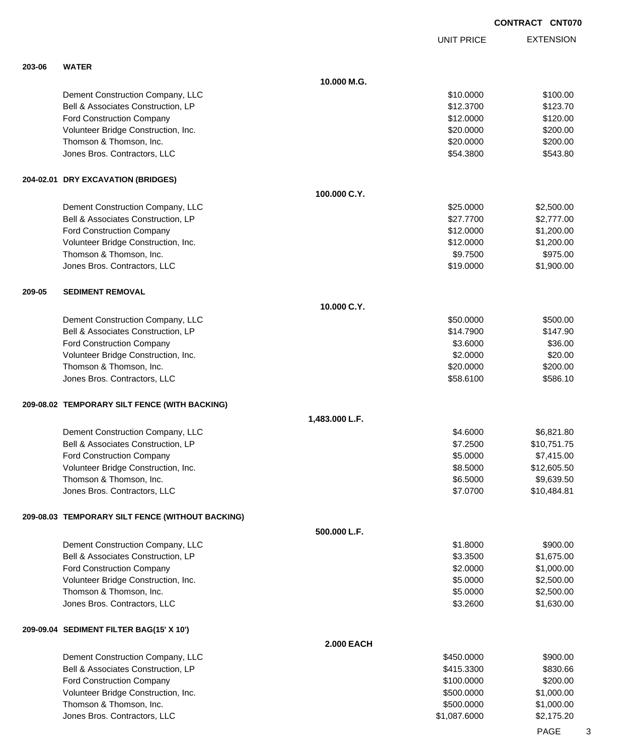|        |                                                  |                   | <b>UNIT PRICE</b> | <b>EXTENSION</b> |
|--------|--------------------------------------------------|-------------------|-------------------|------------------|
| 203-06 | <b>WATER</b>                                     |                   |                   |                  |
|        |                                                  | 10.000 M.G.       |                   |                  |
|        | Dement Construction Company, LLC                 |                   | \$10.0000         | \$100.00         |
|        | Bell & Associates Construction, LP               |                   | \$12.3700         | \$123.70         |
|        | Ford Construction Company                        |                   | \$12.0000         | \$120.00         |
|        | Volunteer Bridge Construction, Inc.              |                   | \$20.0000         | \$200.00         |
|        | Thomson & Thomson, Inc.                          |                   | \$20.0000         | \$200.00         |
|        | Jones Bros. Contractors, LLC                     |                   | \$54.3800         | \$543.80         |
|        | 204-02.01 DRY EXCAVATION (BRIDGES)               |                   |                   |                  |
|        |                                                  | 100.000 C.Y.      |                   |                  |
|        | Dement Construction Company, LLC                 |                   | \$25.0000         | \$2,500.00       |
|        | Bell & Associates Construction, LP               |                   | \$27.7700         | \$2,777.00       |
|        | Ford Construction Company                        |                   | \$12.0000         | \$1,200.00       |
|        | Volunteer Bridge Construction, Inc.              |                   | \$12.0000         | \$1,200.00       |
|        | Thomson & Thomson, Inc.                          |                   | \$9.7500          | \$975.00         |
|        | Jones Bros. Contractors, LLC                     |                   | \$19.0000         | \$1,900.00       |
| 209-05 | <b>SEDIMENT REMOVAL</b>                          |                   |                   |                  |
|        |                                                  | 10.000 C.Y.       |                   |                  |
|        | Dement Construction Company, LLC                 |                   | \$50.0000         | \$500.00         |
|        | Bell & Associates Construction, LP               |                   | \$14.7900         | \$147.90         |
|        | Ford Construction Company                        |                   | \$3.6000          | \$36.00          |
|        | Volunteer Bridge Construction, Inc.              |                   | \$2.0000          | \$20.00          |
|        | Thomson & Thomson, Inc.                          |                   | \$20.0000         | \$200.00         |
|        | Jones Bros. Contractors, LLC                     |                   | \$58.6100         | \$586.10         |
|        | 209-08.02 TEMPORARY SILT FENCE (WITH BACKING)    |                   |                   |                  |
|        |                                                  | 1,483.000 L.F.    |                   |                  |
|        | Dement Construction Company, LLC                 |                   | \$4.6000          | \$6,821.80       |
|        | Bell & Associates Construction, LP               |                   | \$7.2500          | \$10,751.75      |
|        | Ford Construction Company                        |                   | \$5.0000          | \$7,415.00       |
|        | Volunteer Bridge Construction, Inc.              |                   | \$8.5000          | \$12,605.50      |
|        | Thomson & Thomson, Inc.                          |                   | \$6.5000          | \$9,639.50       |
|        | Jones Bros. Contractors, LLC                     |                   | \$7.0700          | \$10,484.81      |
|        | 209-08.03 TEMPORARY SILT FENCE (WITHOUT BACKING) |                   |                   |                  |
|        |                                                  | 500.000 L.F.      |                   |                  |
|        | Dement Construction Company, LLC                 |                   | \$1.8000          | \$900.00         |
|        | Bell & Associates Construction, LP               |                   | \$3.3500          | \$1,675.00       |
|        | Ford Construction Company                        |                   | \$2.0000          | \$1,000.00       |
|        | Volunteer Bridge Construction, Inc.              |                   | \$5.0000          | \$2,500.00       |
|        | Thomson & Thomson, Inc.                          |                   | \$5.0000          | \$2,500.00       |
|        | Jones Bros. Contractors, LLC                     |                   | \$3.2600          | \$1,630.00       |
|        | 209-09.04 SEDIMENT FILTER BAG(15' X 10')         |                   |                   |                  |
|        |                                                  | <b>2.000 EACH</b> |                   |                  |
|        | Dement Construction Company, LLC                 |                   | \$450.0000        | \$900.00         |
|        | Bell & Associates Construction, LP               |                   | \$415.3300        | \$830.66         |
|        | Ford Construction Company                        |                   | \$100.0000        | \$200.00         |
|        | Volunteer Bridge Construction, Inc.              |                   | \$500.0000        | \$1,000.00       |
|        | Thomson & Thomson, Inc.                          |                   | \$500.0000        | \$1,000.00       |
|        | Jones Bros. Contractors, LLC                     |                   | \$1,087.6000      | \$2,175.20       |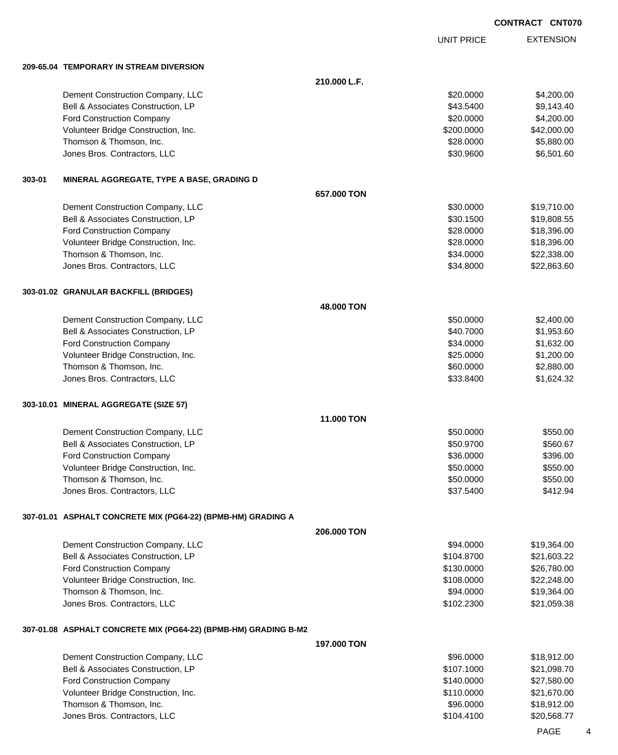EXTENSION **CONTRACT CNT070** UNIT PRICE **210.000 L.F.** Dement Construction Company, LLC 60000 \$4,200.00

**209-65.04 TEMPORARY IN STREAM DIVERSION**

|        | Bell & Associates Construction, LP                              |             | \$43.5400  | \$9,143.40  |
|--------|-----------------------------------------------------------------|-------------|------------|-------------|
|        | <b>Ford Construction Company</b>                                |             | \$20.0000  | \$4,200.00  |
|        | Volunteer Bridge Construction, Inc.                             |             | \$200.0000 | \$42,000.00 |
|        | Thomson & Thomson, Inc.                                         |             | \$28.0000  | \$5,880.00  |
|        | Jones Bros. Contractors, LLC                                    |             | \$30.9600  | \$6,501.60  |
|        |                                                                 |             |            |             |
| 303-01 | MINERAL AGGREGATE, TYPE A BASE, GRADING D                       |             |            |             |
|        |                                                                 | 657.000 TON |            |             |
|        | Dement Construction Company, LLC                                |             | \$30.0000  | \$19,710.00 |
|        | Bell & Associates Construction, LP                              |             | \$30.1500  | \$19,808.55 |
|        | <b>Ford Construction Company</b>                                |             | \$28.0000  | \$18,396.00 |
|        | Volunteer Bridge Construction, Inc.                             |             | \$28.0000  | \$18,396.00 |
|        | Thomson & Thomson, Inc.                                         |             | \$34.0000  | \$22,338.00 |
|        | Jones Bros. Contractors, LLC                                    |             | \$34.8000  | \$22,863.60 |
|        | 303-01.02 GRANULAR BACKFILL (BRIDGES)                           |             |            |             |
|        |                                                                 | 48.000 TON  |            |             |
|        | Dement Construction Company, LLC                                |             | \$50.0000  | \$2,400.00  |
|        | Bell & Associates Construction, LP                              |             | \$40.7000  | \$1,953.60  |
|        | <b>Ford Construction Company</b>                                |             | \$34.0000  | \$1,632.00  |
|        | Volunteer Bridge Construction, Inc.                             |             | \$25.0000  | \$1,200.00  |
|        | Thomson & Thomson, Inc.                                         |             | \$60.0000  | \$2,880.00  |
|        | Jones Bros. Contractors, LLC                                    |             | \$33.8400  | \$1,624.32  |
|        | 303-10.01 MINERAL AGGREGATE (SIZE 57)                           |             |            |             |
|        |                                                                 | 11.000 TON  |            |             |
|        | Dement Construction Company, LLC                                |             | \$50.0000  | \$550.00    |
|        | Bell & Associates Construction, LP                              |             | \$50.9700  | \$560.67    |
|        | <b>Ford Construction Company</b>                                |             | \$36.0000  | \$396.00    |
|        | Volunteer Bridge Construction, Inc.                             |             | \$50.0000  | \$550.00    |
|        | Thomson & Thomson, Inc.                                         |             | \$50.0000  | \$550.00    |
|        | Jones Bros. Contractors, LLC                                    |             | \$37.5400  | \$412.94    |
|        | 307-01.01 ASPHALT CONCRETE MIX (PG64-22) (BPMB-HM) GRADING A    |             |            |             |
|        |                                                                 | 206.000 TON |            |             |
|        | Dement Construction Company, LLC                                |             | \$94.0000  | \$19,364.00 |
|        | Bell & Associates Construction, LP                              |             | \$104.8700 | \$21,603.22 |
|        | <b>Ford Construction Company</b>                                |             | \$130.0000 | \$26,780.00 |
|        | Volunteer Bridge Construction, Inc.                             |             | \$108.0000 | \$22,248.00 |
|        | Thomson & Thomson, Inc.                                         |             | \$94.0000  | \$19,364.00 |
|        | Jones Bros. Contractors, LLC                                    |             | \$102.2300 | \$21,059.38 |
|        | 307-01.08 ASPHALT CONCRETE MIX (PG64-22) (BPMB-HM) GRADING B-M2 |             |            |             |
|        |                                                                 | 197.000 TON |            |             |
|        | Dement Construction Company, LLC                                |             | \$96.0000  | \$18,912.00 |
|        | Bell & Associates Construction, LP                              |             | \$107.1000 | \$21,098.70 |
|        | <b>Ford Construction Company</b>                                |             | \$140.0000 | \$27,580.00 |
|        | Volunteer Bridge Construction, Inc.                             |             | \$110.0000 | \$21,670.00 |
|        | Thomson & Thomson, Inc.                                         |             | \$96.0000  | \$18,912.00 |

Jones Bros. Contractors, LLC \$104.4100 \$20,568.77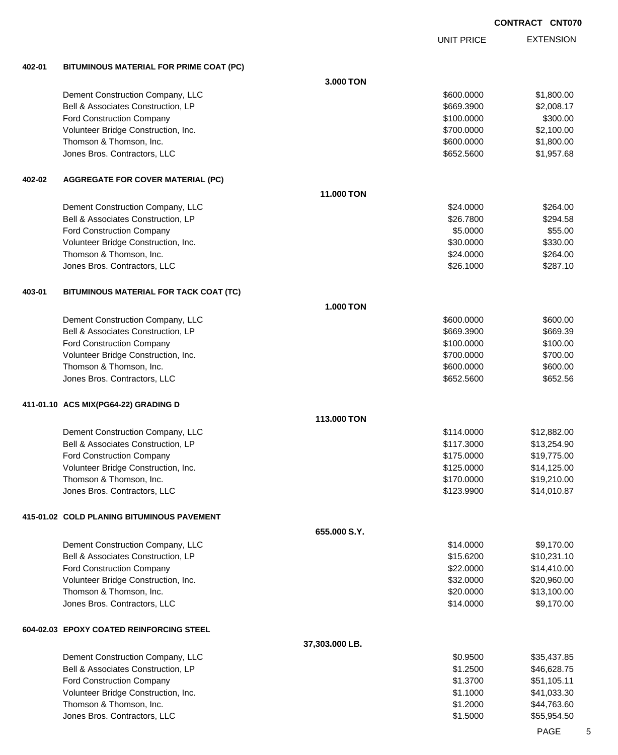EXTENSION UNIT PRICE **402-01 BITUMINOUS MATERIAL FOR PRIME COAT (PC) 3.000 TON** Dement Construction Company, LLC 600000 \$1,800.000 \$1,800.000 \$1,800.000 Bell & Associates Construction, LP 669.3900 \$2,008.17 Ford Construction Company 6300.00 \$300.00 \$300.00 \$300.00 \$300.00 \$300.00 \$300.00 \$300.00 \$300.00 \$300.00 \$300 Volunteer Bridge Construction, Inc. 6. 2012 10:00 \$2,100.000 \$2,100.00 Thomson & Thomson, Inc. 6. The matrix of the state of the state of the state of the state of the state of the state of the state of the state of the state of the state of the state of the state of the state of the state of Jones Bros. Contractors, LLC \$652.5600 \$1,957.68 **402-02 AGGREGATE FOR COVER MATERIAL (PC) 11.000 TON** Dement Construction Company, LLC 6 and the set of the set of the set of the set of the set of the set of the set of the set of the set of the set of the set of the set of the set of the set of the set of the set of the set Bell & Associates Construction, LP 6294.58 Ford Construction Company 655.000 \$55.000 \$55.000 \$55.000 \$55.000 \$55.000 \$55.000 \$55.000 \$55.000 \$55.00 \$55.00 Volunteer Bridge Construction, Inc. 6330.000 \$330.00 \$330.000 \$330.00 Thomson & Thomson, Inc. 6. The Contract of the Contract of the Contract of the Contract of the Contract of the Contract of the Contract of the Contract of the Contract of the Contract of the Contract of the Contract of the Jones Bros. Contractors, LLC 6. 2000 \$287.10 **403-01 BITUMINOUS MATERIAL FOR TACK COAT (TC) 1.000 TON** Dement Construction Company, LLC 600.000 \$600.000 \$600.000 \$600.000 \$600.000 Bell & Associates Construction, LP 669.3900 \$669.3900 \$669.3900 \$669.3900 Ford Construction Company 6100.000 \$100.000 \$100.000 \$100.000 \$100.000 \$100.000 \$100.00 Volunteer Bridge Construction, Inc. 6700.000 \$700.000 \$700.000 \$700.000 \$700.000 \$700.00 Thomson & Thomson, Inc. 6600.000 \$600.000 \$600.000 \$600.000 \$600.000 \$600.000 \$600.00 Jones Bros. Contractors, LLC 6652.5600 \$652.5600 \$652.5600 \$652.5600 **411-01.10 ACS MIX(PG64-22) GRADING D 113.000 TON** Dement Construction Company, LLC **but a struction Company, LLC**  $$114.0000$  \$12,882.00 Bell & Associates Construction, LP 613,254.90 Ford Construction Company \$175.0000 \$19,775.00 Volunteer Bridge Construction, Inc. 614,125.000 \$14,125.000 \$14,125.00 Thomson & Thomson, Inc. 6. The matrix of the state of the state of the state of the state of the state of the state of the state of the state of the state of the state of the state of the state of the state of the state of Jones Bros. Contractors, LLC \$123.9900 \$14,010.87 **415-01.02 COLD PLANING BITUMINOUS PAVEMENT 655.000 S.Y.** Dement Construction Company, LLC 6 and the state of the state of the state of the state of the state of the state of the state of the state of the state of the state of the state of the state of the state of the state of t Bell & Associates Construction, LP **\$10,231.10** \$15.6200 \$10,231.10 Ford Construction Company 614,410.00 Volunteer Bridge Construction, Inc. 6. The Construction of the Construction of the Construction, Inc. 632.0000 \$20,960.00 Thomson & Thomson, Inc. 6. The matrix of the state of the state of the state of the state of the state of the state of the state of the state of the state of the state of the state of the state of the state of the state of Jones Bros. Contractors, LLC 6. The state of the state of the state of the state of the state of the state of the state of the state of the state of the state of the state of the state of the state of the state of the stat **604-02.03 EPOXY COATED REINFORCING STEEL 37,303.000 LB.** Dement Construction Company, LLC 60 and the state of the state of the state of the state of the state of the state  $$0.9500$  \$35,437.85 Bell & Associates Construction, LP 646,628.75 Ford Construction Company 651,105.11 and 551,105.11 and 51.3700 \$51,105.11 and 51.3700 \$51,105.11 Volunteer Bridge Construction, Inc. 641,033.30 Thomson & Thomson, Inc. \$1.2000 \$44,763.60

Jones Bros. Contractors, LLC \$1.5000 \$55,954.50

PAGE 5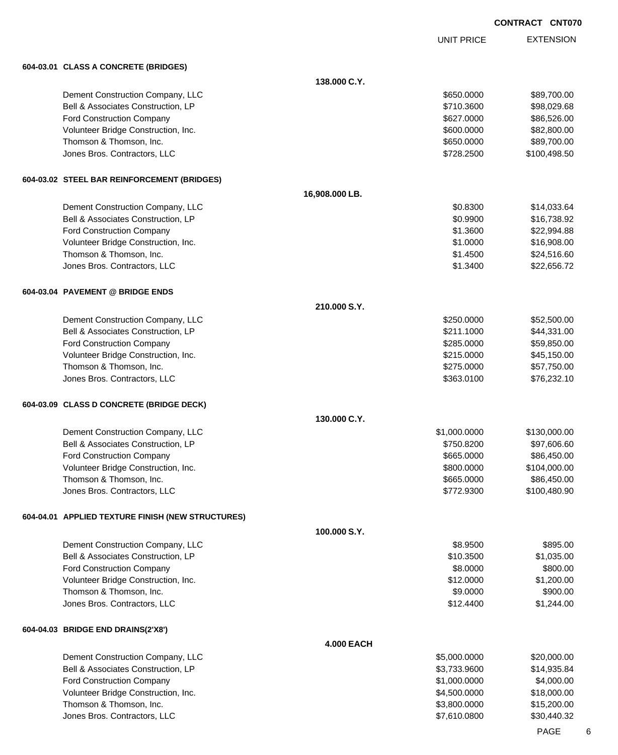UNIT PRICE EXTENSION

| 604-03.01 CLASS A CONCRETE (BRIDGES)                    |                                                                                                                                                                                                                                                                                                                                                                                                                                                                                                                                                                                                                                                                                          |                                                                                                                                                                                                                                                                                                                        |
|---------------------------------------------------------|------------------------------------------------------------------------------------------------------------------------------------------------------------------------------------------------------------------------------------------------------------------------------------------------------------------------------------------------------------------------------------------------------------------------------------------------------------------------------------------------------------------------------------------------------------------------------------------------------------------------------------------------------------------------------------------|------------------------------------------------------------------------------------------------------------------------------------------------------------------------------------------------------------------------------------------------------------------------------------------------------------------------|
|                                                         | 138.000 C.Y.                                                                                                                                                                                                                                                                                                                                                                                                                                                                                                                                                                                                                                                                             |                                                                                                                                                                                                                                                                                                                        |
|                                                         |                                                                                                                                                                                                                                                                                                                                                                                                                                                                                                                                                                                                                                                                                          | \$89,700.00                                                                                                                                                                                                                                                                                                            |
|                                                         |                                                                                                                                                                                                                                                                                                                                                                                                                                                                                                                                                                                                                                                                                          | \$98,029.68                                                                                                                                                                                                                                                                                                            |
|                                                         |                                                                                                                                                                                                                                                                                                                                                                                                                                                                                                                                                                                                                                                                                          | \$86,526.00                                                                                                                                                                                                                                                                                                            |
|                                                         |                                                                                                                                                                                                                                                                                                                                                                                                                                                                                                                                                                                                                                                                                          | \$82,800.00                                                                                                                                                                                                                                                                                                            |
|                                                         |                                                                                                                                                                                                                                                                                                                                                                                                                                                                                                                                                                                                                                                                                          | \$89,700.00                                                                                                                                                                                                                                                                                                            |
| Jones Bros. Contractors, LLC                            |                                                                                                                                                                                                                                                                                                                                                                                                                                                                                                                                                                                                                                                                                          | \$100,498.50                                                                                                                                                                                                                                                                                                           |
|                                                         |                                                                                                                                                                                                                                                                                                                                                                                                                                                                                                                                                                                                                                                                                          |                                                                                                                                                                                                                                                                                                                        |
|                                                         | 16,908.000 LB.                                                                                                                                                                                                                                                                                                                                                                                                                                                                                                                                                                                                                                                                           |                                                                                                                                                                                                                                                                                                                        |
|                                                         |                                                                                                                                                                                                                                                                                                                                                                                                                                                                                                                                                                                                                                                                                          | \$14,033.64                                                                                                                                                                                                                                                                                                            |
| Bell & Associates Construction, LP                      |                                                                                                                                                                                                                                                                                                                                                                                                                                                                                                                                                                                                                                                                                          | \$16,738.92                                                                                                                                                                                                                                                                                                            |
|                                                         |                                                                                                                                                                                                                                                                                                                                                                                                                                                                                                                                                                                                                                                                                          | \$22,994.88                                                                                                                                                                                                                                                                                                            |
|                                                         |                                                                                                                                                                                                                                                                                                                                                                                                                                                                                                                                                                                                                                                                                          | \$16,908.00                                                                                                                                                                                                                                                                                                            |
| Thomson & Thomson, Inc.                                 |                                                                                                                                                                                                                                                                                                                                                                                                                                                                                                                                                                                                                                                                                          | \$24,516.60                                                                                                                                                                                                                                                                                                            |
| Jones Bros. Contractors, LLC                            |                                                                                                                                                                                                                                                                                                                                                                                                                                                                                                                                                                                                                                                                                          | \$22,656.72                                                                                                                                                                                                                                                                                                            |
|                                                         |                                                                                                                                                                                                                                                                                                                                                                                                                                                                                                                                                                                                                                                                                          |                                                                                                                                                                                                                                                                                                                        |
|                                                         | 210.000 S.Y.                                                                                                                                                                                                                                                                                                                                                                                                                                                                                                                                                                                                                                                                             |                                                                                                                                                                                                                                                                                                                        |
|                                                         |                                                                                                                                                                                                                                                                                                                                                                                                                                                                                                                                                                                                                                                                                          | \$52,500.00                                                                                                                                                                                                                                                                                                            |
|                                                         |                                                                                                                                                                                                                                                                                                                                                                                                                                                                                                                                                                                                                                                                                          | \$44,331.00                                                                                                                                                                                                                                                                                                            |
|                                                         |                                                                                                                                                                                                                                                                                                                                                                                                                                                                                                                                                                                                                                                                                          | \$59,850.00                                                                                                                                                                                                                                                                                                            |
|                                                         |                                                                                                                                                                                                                                                                                                                                                                                                                                                                                                                                                                                                                                                                                          | \$45,150.00                                                                                                                                                                                                                                                                                                            |
|                                                         |                                                                                                                                                                                                                                                                                                                                                                                                                                                                                                                                                                                                                                                                                          | \$57,750.00                                                                                                                                                                                                                                                                                                            |
|                                                         |                                                                                                                                                                                                                                                                                                                                                                                                                                                                                                                                                                                                                                                                                          | \$76,232.10                                                                                                                                                                                                                                                                                                            |
|                                                         |                                                                                                                                                                                                                                                                                                                                                                                                                                                                                                                                                                                                                                                                                          |                                                                                                                                                                                                                                                                                                                        |
|                                                         |                                                                                                                                                                                                                                                                                                                                                                                                                                                                                                                                                                                                                                                                                          |                                                                                                                                                                                                                                                                                                                        |
| Dement Construction Company, LLC                        |                                                                                                                                                                                                                                                                                                                                                                                                                                                                                                                                                                                                                                                                                          | \$130,000.00                                                                                                                                                                                                                                                                                                           |
|                                                         |                                                                                                                                                                                                                                                                                                                                                                                                                                                                                                                                                                                                                                                                                          | \$97,606.60                                                                                                                                                                                                                                                                                                            |
|                                                         |                                                                                                                                                                                                                                                                                                                                                                                                                                                                                                                                                                                                                                                                                          | \$86,450.00                                                                                                                                                                                                                                                                                                            |
| Volunteer Bridge Construction, Inc.                     |                                                                                                                                                                                                                                                                                                                                                                                                                                                                                                                                                                                                                                                                                          | \$104,000.00                                                                                                                                                                                                                                                                                                           |
|                                                         |                                                                                                                                                                                                                                                                                                                                                                                                                                                                                                                                                                                                                                                                                          |                                                                                                                                                                                                                                                                                                                        |
| Thomson & Thomson, Inc.                                 | \$665.0000                                                                                                                                                                                                                                                                                                                                                                                                                                                                                                                                                                                                                                                                               | \$86,450.00                                                                                                                                                                                                                                                                                                            |
| Jones Bros. Contractors, LLC                            | \$772.9300                                                                                                                                                                                                                                                                                                                                                                                                                                                                                                                                                                                                                                                                               | \$100,480.90                                                                                                                                                                                                                                                                                                           |
| 604-04.01 APPLIED TEXTURE FINISH (NEW STRUCTURES)       |                                                                                                                                                                                                                                                                                                                                                                                                                                                                                                                                                                                                                                                                                          |                                                                                                                                                                                                                                                                                                                        |
|                                                         | 100.000 S.Y.                                                                                                                                                                                                                                                                                                                                                                                                                                                                                                                                                                                                                                                                             |                                                                                                                                                                                                                                                                                                                        |
| Dement Construction Company, LLC                        | \$8.9500                                                                                                                                                                                                                                                                                                                                                                                                                                                                                                                                                                                                                                                                                 | \$895.00                                                                                                                                                                                                                                                                                                               |
| Bell & Associates Construction, LP                      | \$10.3500                                                                                                                                                                                                                                                                                                                                                                                                                                                                                                                                                                                                                                                                                | \$1,035.00                                                                                                                                                                                                                                                                                                             |
| Ford Construction Company                               | \$8.0000                                                                                                                                                                                                                                                                                                                                                                                                                                                                                                                                                                                                                                                                                 | \$800.00                                                                                                                                                                                                                                                                                                               |
| Volunteer Bridge Construction, Inc.                     | \$12.0000                                                                                                                                                                                                                                                                                                                                                                                                                                                                                                                                                                                                                                                                                | \$1,200.00                                                                                                                                                                                                                                                                                                             |
| Thomson & Thomson, Inc.                                 | \$9.0000                                                                                                                                                                                                                                                                                                                                                                                                                                                                                                                                                                                                                                                                                 | \$900.00                                                                                                                                                                                                                                                                                                               |
| Jones Bros. Contractors, LLC                            | \$12.4400                                                                                                                                                                                                                                                                                                                                                                                                                                                                                                                                                                                                                                                                                | \$1,244.00                                                                                                                                                                                                                                                                                                             |
| 604-04.03 BRIDGE END DRAINS(2'X8')                      |                                                                                                                                                                                                                                                                                                                                                                                                                                                                                                                                                                                                                                                                                          |                                                                                                                                                                                                                                                                                                                        |
|                                                         | <b>4.000 EACH</b>                                                                                                                                                                                                                                                                                                                                                                                                                                                                                                                                                                                                                                                                        |                                                                                                                                                                                                                                                                                                                        |
| Dement Construction Company, LLC                        | \$5,000.0000                                                                                                                                                                                                                                                                                                                                                                                                                                                                                                                                                                                                                                                                             | \$20,000.00                                                                                                                                                                                                                                                                                                            |
| Bell & Associates Construction, LP                      | \$3,733.9600                                                                                                                                                                                                                                                                                                                                                                                                                                                                                                                                                                                                                                                                             | \$14,935.84                                                                                                                                                                                                                                                                                                            |
| Ford Construction Company                               | \$1,000.0000                                                                                                                                                                                                                                                                                                                                                                                                                                                                                                                                                                                                                                                                             | \$4,000.00                                                                                                                                                                                                                                                                                                             |
| Volunteer Bridge Construction, Inc.                     | \$4,500.0000                                                                                                                                                                                                                                                                                                                                                                                                                                                                                                                                                                                                                                                                             | \$18,000.00                                                                                                                                                                                                                                                                                                            |
| Thomson & Thomson, Inc.<br>Jones Bros. Contractors, LLC | \$3,800.0000<br>\$7,610.0800                                                                                                                                                                                                                                                                                                                                                                                                                                                                                                                                                                                                                                                             | \$15,200.00<br>\$30,440.32                                                                                                                                                                                                                                                                                             |
|                                                         | Dement Construction Company, LLC<br>Bell & Associates Construction, LP<br>Ford Construction Company<br>Volunteer Bridge Construction, Inc.<br>Thomson & Thomson, Inc.<br>604-03.02 STEEL BAR REINFORCEMENT (BRIDGES)<br>Dement Construction Company, LLC<br>Ford Construction Company<br>Volunteer Bridge Construction, Inc.<br>604-03.04 PAVEMENT @ BRIDGE ENDS<br>Dement Construction Company, LLC<br>Bell & Associates Construction, LP<br>Ford Construction Company<br>Volunteer Bridge Construction, Inc.<br>Thomson & Thomson, Inc.<br>Jones Bros. Contractors, LLC<br>604-03.09 CLASS D CONCRETE (BRIDGE DECK)<br>Bell & Associates Construction, LP<br>Ford Construction Company | \$650.0000<br>\$710.3600<br>\$627.0000<br>\$600.0000<br>\$650.0000<br>\$728.2500<br>\$0.8300<br>\$0.9900<br>\$1.3600<br>\$1.0000<br>\$1.4500<br>\$1.3400<br>\$250.0000<br>\$211.1000<br>\$285.0000<br>\$215.0000<br>\$275.0000<br>\$363.0100<br>130.000 C.Y.<br>\$1,000.0000<br>\$750.8200<br>\$665.0000<br>\$800.0000 |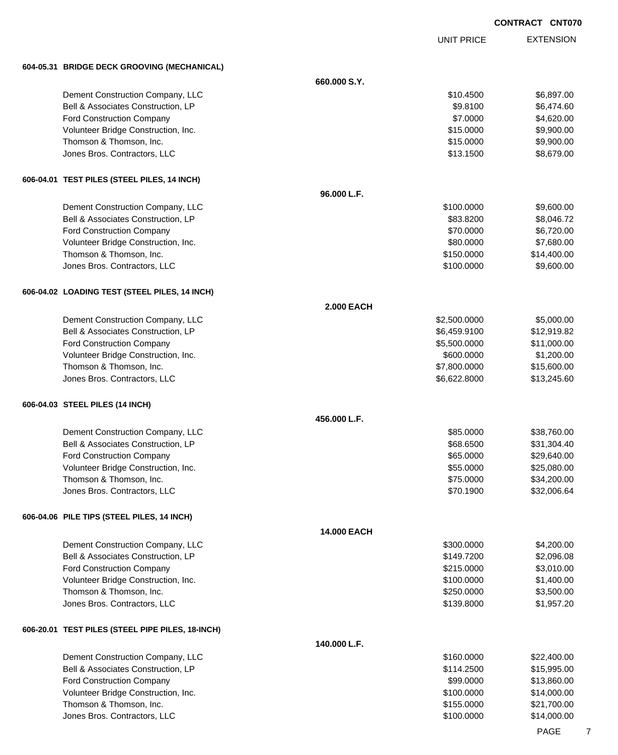UNIT PRICE

EXTENSION

**604-05.31 BRIDGE DECK GROOVING (MECHANICAL)**

| 004-03.31 BNDGE DECK GROOVING (IWECHANICAE)      |                   |              |             |
|--------------------------------------------------|-------------------|--------------|-------------|
|                                                  | 660.000 S.Y.      |              |             |
| Dement Construction Company, LLC                 |                   | \$10.4500    | \$6,897.00  |
| Bell & Associates Construction, LP               |                   | \$9.8100     | \$6,474.60  |
| <b>Ford Construction Company</b>                 |                   | \$7.0000     | \$4,620.00  |
| Volunteer Bridge Construction, Inc.              |                   | \$15.0000    | \$9,900.00  |
| Thomson & Thomson, Inc.                          |                   | \$15.0000    | \$9,900.00  |
| Jones Bros. Contractors, LLC                     |                   | \$13.1500    | \$8,679.00  |
| 606-04.01 TEST PILES (STEEL PILES, 14 INCH)      |                   |              |             |
|                                                  | 96.000 L.F.       |              |             |
| Dement Construction Company, LLC                 |                   | \$100.0000   | \$9,600.00  |
| Bell & Associates Construction, LP               |                   | \$83.8200    | \$8,046.72  |
| <b>Ford Construction Company</b>                 |                   | \$70.0000    | \$6,720.00  |
| Volunteer Bridge Construction, Inc.              |                   | \$80.0000    | \$7,680.00  |
| Thomson & Thomson, Inc.                          |                   | \$150.0000   | \$14,400.00 |
| Jones Bros. Contractors, LLC                     |                   | \$100.0000   | \$9,600.00  |
| 606-04.02 LOADING TEST (STEEL PILES, 14 INCH)    |                   |              |             |
|                                                  | <b>2.000 EACH</b> |              |             |
| Dement Construction Company, LLC                 |                   | \$2,500.0000 | \$5,000.00  |
| Bell & Associates Construction, LP               |                   | \$6,459.9100 | \$12,919.82 |
| Ford Construction Company                        |                   | \$5,500.0000 | \$11,000.00 |
| Volunteer Bridge Construction, Inc.              |                   | \$600.0000   | \$1,200.00  |
| Thomson & Thomson, Inc.                          |                   | \$7,800.0000 | \$15,600.00 |
| Jones Bros. Contractors, LLC                     |                   | \$6,622.8000 | \$13,245.60 |
| 606-04.03 STEEL PILES (14 INCH)                  |                   |              |             |
|                                                  | 456.000 L.F.      |              |             |
| Dement Construction Company, LLC                 |                   | \$85.0000    | \$38,760.00 |
| Bell & Associates Construction, LP               |                   | \$68.6500    | \$31,304.40 |
| <b>Ford Construction Company</b>                 |                   | \$65.0000    | \$29,640.00 |
| Volunteer Bridge Construction, Inc.              |                   | \$55.0000    | \$25,080.00 |
| Thomson & Thomson, Inc.                          |                   | \$75.0000    | \$34,200.00 |
| Jones Bros. Contractors, LLC                     |                   | \$70.1900    | \$32,006.64 |
| 606-04.06 PILE TIPS (STEEL PILES, 14 INCH)       |                   |              |             |
|                                                  | 14.000 EACH       |              |             |
| Dement Construction Company, LLC                 |                   | \$300.0000   | \$4,200.00  |
| Bell & Associates Construction, LP               |                   | \$149.7200   | \$2,096.08  |
| <b>Ford Construction Company</b>                 |                   | \$215.0000   | \$3,010.00  |
| Volunteer Bridge Construction, Inc.              |                   | \$100.0000   | \$1,400.00  |
| Thomson & Thomson, Inc.                          |                   | \$250.0000   | \$3,500.00  |
| Jones Bros. Contractors, LLC                     |                   | \$139.8000   | \$1,957.20  |
| 606-20.01 TEST PILES (STEEL PIPE PILES, 18-INCH) |                   |              |             |
|                                                  | 140.000 L.F.      |              |             |
| Dement Construction Company, LLC                 |                   | \$160.0000   | \$22,400.00 |
| Bell & Associates Construction, LP               |                   | \$114.2500   | \$15,995.00 |
| Ford Construction Company                        |                   | \$99.0000    | \$13,860.00 |
| Volunteer Bridge Construction, Inc.              |                   | \$100.0000   | \$14,000.00 |
| Thomson & Thomson, Inc.                          |                   | \$155.0000   | \$21,700.00 |
| Jones Bros. Contractors, LLC                     |                   | \$100.0000   | \$14,000.00 |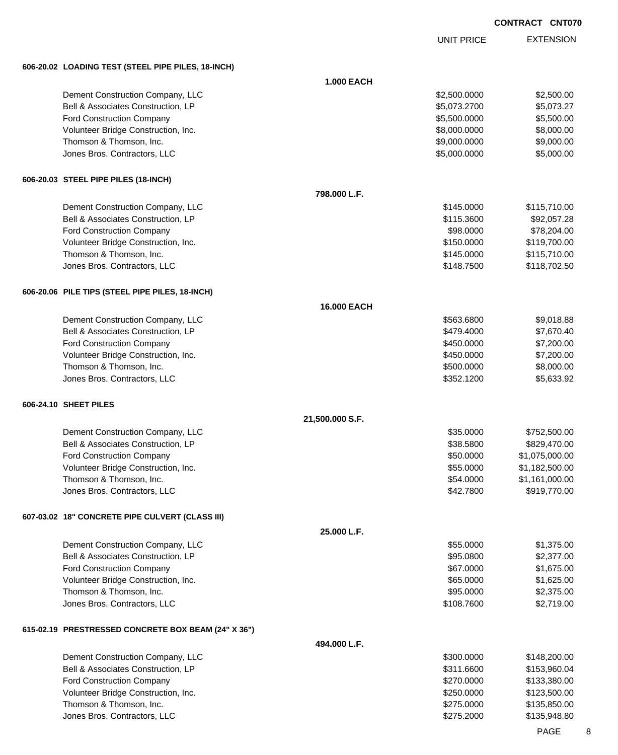UNIT PRICE EXTENSION

**606-20.02 LOADING TEST (STEEL PIPE PILES, 18-INCH)**

| 000-20.02 LUADING TEST (STEEL PIPE PILES, TO-INGH)  |                   |              |                |
|-----------------------------------------------------|-------------------|--------------|----------------|
|                                                     | <b>1.000 EACH</b> |              |                |
| Dement Construction Company, LLC                    |                   | \$2,500.0000 | \$2,500.00     |
| Bell & Associates Construction, LP                  |                   | \$5,073.2700 | \$5,073.27     |
| <b>Ford Construction Company</b>                    |                   | \$5,500.0000 | \$5,500.00     |
| Volunteer Bridge Construction, Inc.                 |                   | \$8,000.0000 | \$8,000.00     |
| Thomson & Thomson, Inc.                             |                   | \$9,000.0000 | \$9,000.00     |
| Jones Bros. Contractors, LLC                        |                   | \$5,000.0000 | \$5,000.00     |
|                                                     |                   |              |                |
| 606-20.03 STEEL PIPE PILES (18-INCH)                |                   |              |                |
|                                                     | 798.000 L.F.      |              |                |
| Dement Construction Company, LLC                    |                   | \$145.0000   | \$115,710.00   |
| Bell & Associates Construction, LP                  |                   | \$115.3600   | \$92,057.28    |
| <b>Ford Construction Company</b>                    |                   | \$98.0000    | \$78,204.00    |
| Volunteer Bridge Construction, Inc.                 |                   | \$150.0000   | \$119,700.00   |
| Thomson & Thomson, Inc.                             |                   | \$145.0000   | \$115,710.00   |
| Jones Bros. Contractors, LLC                        |                   | \$148.7500   | \$118,702.50   |
| 606-20.06 PILE TIPS (STEEL PIPE PILES, 18-INCH)     |                   |              |                |
|                                                     | 16.000 EACH       |              |                |
| Dement Construction Company, LLC                    |                   | \$563.6800   | \$9,018.88     |
| Bell & Associates Construction, LP                  |                   | \$479.4000   | \$7,670.40     |
| <b>Ford Construction Company</b>                    |                   | \$450.0000   | \$7,200.00     |
| Volunteer Bridge Construction, Inc.                 |                   | \$450.0000   | \$7,200.00     |
| Thomson & Thomson, Inc.                             |                   | \$500.0000   | \$8,000.00     |
| Jones Bros. Contractors, LLC                        |                   | \$352.1200   | \$5,633.92     |
| 606-24.10 SHEET PILES                               |                   |              |                |
|                                                     | 21,500.000 S.F.   |              |                |
| Dement Construction Company, LLC                    |                   | \$35.0000    | \$752,500.00   |
| Bell & Associates Construction, LP                  |                   | \$38.5800    | \$829,470.00   |
| Ford Construction Company                           |                   | \$50.0000    | \$1,075,000.00 |
| Volunteer Bridge Construction, Inc.                 |                   | \$55.0000    | \$1,182,500.00 |
| Thomson & Thomson, Inc.                             |                   | \$54.0000    | \$1,161,000.00 |
| Jones Bros. Contractors, LLC                        |                   | \$42.7800    | \$919,770.00   |
| 607-03.02 18" CONCRETE PIPE CULVERT (CLASS III)     |                   |              |                |
|                                                     | 25.000 L.F.       |              |                |
| Dement Construction Company, LLC                    |                   | \$55.0000    | \$1,375.00     |
| Bell & Associates Construction, LP                  |                   | \$95.0800    | \$2,377.00     |
| Ford Construction Company                           |                   | \$67.0000    | \$1,675.00     |
| Volunteer Bridge Construction, Inc.                 |                   | \$65.0000    | \$1,625.00     |
| Thomson & Thomson, Inc.                             |                   | \$95.0000    | \$2,375.00     |
| Jones Bros. Contractors, LLC                        |                   | \$108.7600   | \$2,719.00     |
| 615-02.19 PRESTRESSED CONCRETE BOX BEAM (24" X 36") |                   |              |                |
|                                                     | 494.000 L.F.      |              |                |
| Dement Construction Company, LLC                    |                   | \$300.0000   | \$148,200.00   |
| Bell & Associates Construction, LP                  |                   | \$311.6600   | \$153,960.04   |
| Ford Construction Company                           |                   | \$270.0000   | \$133,380.00   |
| Volunteer Bridge Construction, Inc.                 |                   | \$250.0000   | \$123,500.00   |
| Thomson & Thomson, Inc.                             |                   | \$275.0000   | \$135,850.00   |
| Jones Bros. Contractors, LLC                        |                   | \$275.2000   | \$135,948.80   |
|                                                     |                   |              |                |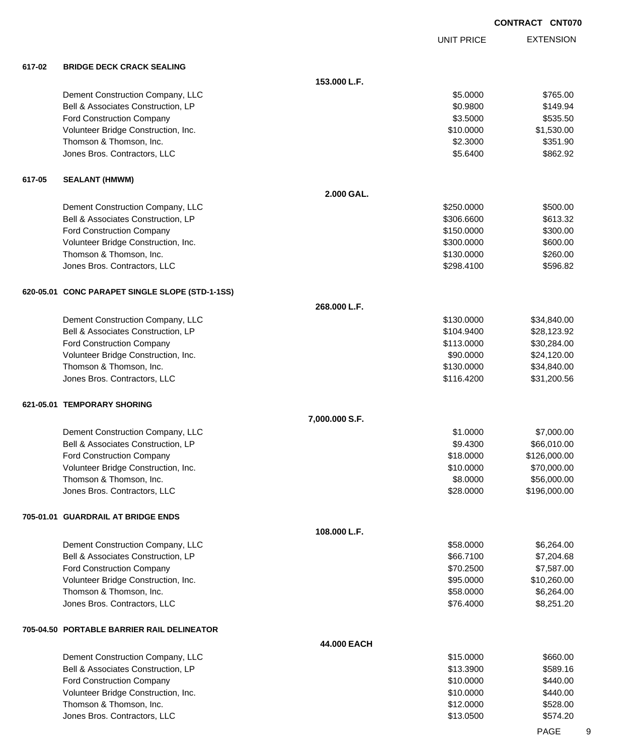|        |                                                                        |                |                        | <b>CONTRACT CNT07</b>       |
|--------|------------------------------------------------------------------------|----------------|------------------------|-----------------------------|
|        |                                                                        |                | <b>UNIT PRICE</b>      | <b>EXTENSION</b>            |
| 617-02 | <b>BRIDGE DECK CRACK SEALING</b>                                       |                |                        |                             |
|        |                                                                        | 153.000 L.F.   |                        |                             |
|        | Dement Construction Company, LLC                                       |                | \$5.0000               | \$765.00                    |
|        | Bell & Associates Construction, LP                                     |                | \$0.9800               | \$149.94                    |
|        | <b>Ford Construction Company</b>                                       |                | \$3.5000               | \$535.50                    |
|        | Volunteer Bridge Construction, Inc.                                    |                | \$10.0000              | \$1,530.00                  |
|        | Thomson & Thomson, Inc.                                                |                | \$2.3000               | \$351.90                    |
|        | Jones Bros. Contractors, LLC                                           |                | \$5.6400               | \$862.92                    |
| 617-05 | <b>SEALANT (HMWM)</b>                                                  |                |                        |                             |
|        |                                                                        | 2.000 GAL.     |                        |                             |
|        | Dement Construction Company, LLC                                       |                | \$250.0000             | \$500.00                    |
|        | Bell & Associates Construction, LP                                     |                | \$306.6600             | \$613.32                    |
|        | <b>Ford Construction Company</b>                                       |                | \$150.0000             | \$300.00                    |
|        | Volunteer Bridge Construction, Inc.                                    |                | \$300.0000             | \$600.00                    |
|        | Thomson & Thomson, Inc.                                                |                | \$130.0000             | \$260.00                    |
|        | Jones Bros. Contractors, LLC                                           |                | \$298.4100             | \$596.82                    |
|        | 620-05.01 CONC PARAPET SINGLE SLOPE (STD-1-1SS)                        |                |                        |                             |
|        |                                                                        | 268.000 L.F.   |                        |                             |
|        | Dement Construction Company, LLC                                       |                | \$130.0000             | \$34,840.00                 |
|        | Bell & Associates Construction, LP                                     |                | \$104.9400             | \$28,123.92                 |
|        | <b>Ford Construction Company</b>                                       |                | \$113.0000             | \$30,284.00                 |
|        | Volunteer Bridge Construction, Inc.                                    |                | \$90.0000              | \$24,120.00                 |
|        | Thomson & Thomson, Inc.                                                |                | \$130.0000             | \$34,840.00                 |
|        | Jones Bros. Contractors, LLC                                           |                | \$116.4200             | \$31,200.56                 |
|        | 621-05.01 TEMPORARY SHORING                                            |                |                        |                             |
|        |                                                                        | 7,000.000 S.F. |                        |                             |
|        | Dement Construction Company, LLC                                       |                | \$1.0000               | \$7,000.00                  |
|        | Bell & Associates Construction, LP                                     |                | \$9.4300               | \$66,010.00                 |
|        | <b>Ford Construction Company</b>                                       |                | \$18.0000              | \$126,000.00                |
|        | Volunteer Bridge Construction, Inc.                                    |                | \$10.0000              | \$70,000.00                 |
|        | Thomson & Thomson, Inc.<br>Jones Bros. Contractors, LLC                |                | \$8.0000<br>\$28.0000  | \$56,000.00<br>\$196,000.00 |
|        |                                                                        |                |                        |                             |
|        | 705-01.01 GUARDRAIL AT BRIDGE ENDS                                     | 108.000 L.F.   |                        |                             |
|        |                                                                        |                |                        |                             |
|        | Dement Construction Company, LLC<br>Bell & Associates Construction, LP |                | \$58.0000<br>\$66.7100 | \$6,264.00                  |
|        | <b>Ford Construction Company</b>                                       |                | \$70.2500              | \$7,204.68<br>\$7,587.00    |
|        | Volunteer Bridge Construction, Inc.                                    |                | \$95.0000              | \$10,260.00                 |
|        | Thomson & Thomson, Inc.                                                |                | \$58.0000              | \$6,264.00                  |
|        | Jones Bros. Contractors, LLC                                           |                | \$76.4000              | \$8,251.20                  |
|        | 705-04.50 PORTABLE BARRIER RAIL DELINEATOR                             |                |                        |                             |
|        |                                                                        | 44.000 EACH    |                        |                             |
|        | Dement Construction Company, LLC                                       |                | \$15.0000              | \$660.00                    |
|        | Bell & Associates Construction, LP                                     |                | \$13.3900              | \$589.16                    |
|        | <b>Ford Construction Company</b>                                       |                | \$10.0000              | \$440.00                    |
|        | Volunteer Bridge Construction, Inc.                                    |                | \$10.0000              | \$440.00                    |
|        | Thomson & Thomson, Inc.                                                |                | \$12.0000              | \$528.00                    |

Jones Bros. Contractors, LLC 6574.20

PAGE 9

## **CONTRACT CNT070**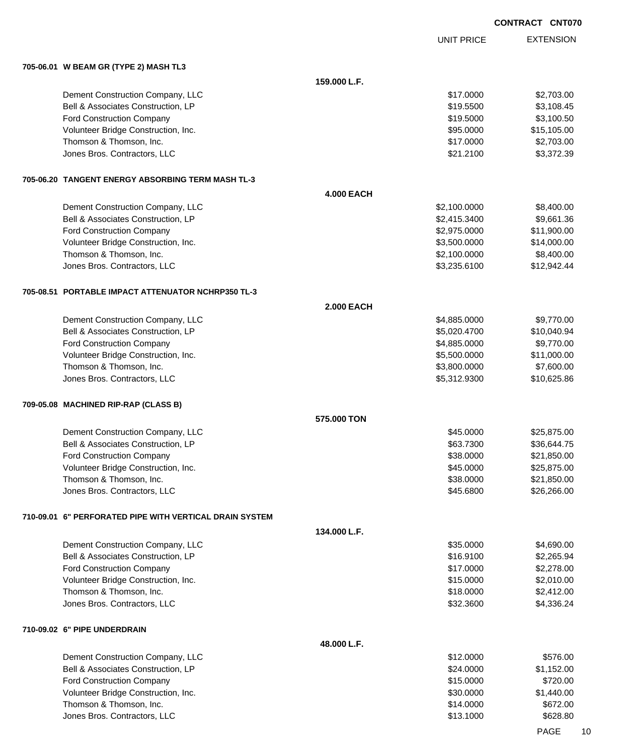|                                                         |                   |                              | <b>CONTRACT CNT07</b>     |
|---------------------------------------------------------|-------------------|------------------------------|---------------------------|
|                                                         |                   | <b>UNIT PRICE</b>            | <b>EXTENSION</b>          |
| 705-06.01 W BEAM GR (TYPE 2) MASH TL3                   |                   |                              |                           |
|                                                         | 159.000 L.F.      |                              |                           |
| Dement Construction Company, LLC                        |                   | \$17.0000                    | \$2,703.00                |
| Bell & Associates Construction, LP                      |                   | \$19.5500                    | \$3,108.45                |
| <b>Ford Construction Company</b>                        |                   | \$19.5000                    | \$3,100.50                |
| Volunteer Bridge Construction, Inc.                     |                   | \$95.0000                    | \$15,105.00               |
| Thomson & Thomson, Inc.<br>Jones Bros. Contractors, LLC |                   | \$17.0000<br>\$21.2100       | \$2,703.00<br>\$3,372.39  |
| 705-06.20   TANGENT ENERGY ABSORBING TERM MASH TL-3     |                   |                              |                           |
|                                                         | <b>4.000 EACH</b> |                              |                           |
| Dement Construction Company, LLC                        |                   | \$2,100.0000                 | \$8,400.00                |
| Bell & Associates Construction, LP                      |                   | \$2,415.3400                 | \$9,661.36                |
| Ford Construction Company                               |                   | \$2,975.0000                 | \$11,900.00               |
| Volunteer Bridge Construction, Inc.                     |                   | \$3,500.0000                 | \$14,000.00               |
| Thomson & Thomson, Inc.                                 |                   | \$2,100.0000                 | \$8,400.00                |
| Jones Bros. Contractors, LLC                            |                   | \$3,235.6100                 | \$12,942.44               |
| 705-08.51 PORTABLE IMPACT ATTENUATOR NCHRP350 TL-3      |                   |                              |                           |
|                                                         | <b>2.000 EACH</b> |                              |                           |
| Dement Construction Company, LLC                        |                   | \$4,885.0000                 | \$9,770.00                |
| Bell & Associates Construction, LP                      |                   | \$5,020.4700                 | \$10,040.94               |
| <b>Ford Construction Company</b>                        |                   | \$4,885.0000                 | \$9,770.00                |
| Volunteer Bridge Construction, Inc.                     |                   | \$5,500.0000                 | \$11,000.00               |
| Thomson & Thomson, Inc.<br>Jones Bros. Contractors, LLC |                   | \$3,800.0000<br>\$5,312.9300 | \$7,600.00<br>\$10,625.86 |
| 709-05.08 MACHINED RIP-RAP (CLASS B)                    |                   |                              |                           |
|                                                         | 575.000 TON       |                              |                           |
| Dement Construction Company, LLC                        |                   | \$45.0000                    | \$25,875.00               |
| Bell & Associates Construction, LP                      |                   | \$63.7300                    | \$36,644.75               |
| <b>Ford Construction Company</b>                        |                   | \$38.0000                    | \$21,850.00               |
| Volunteer Bridge Construction, Inc.                     |                   | \$45.0000                    | \$25,875.00               |
| Thomson & Thomson, Inc.                                 |                   | \$38.0000                    | \$21,850.00               |
| Jones Bros. Contractors, LLC                            |                   | \$45.6800                    | \$26,266.00               |
| 710-09.01 6" PERFORATED PIPE WITH VERTICAL DRAIN SYSTEM |                   |                              |                           |
|                                                         | 134.000 L.F.      |                              |                           |
| Dement Construction Company, LLC                        |                   | \$35.0000                    | \$4,690.00                |
| Bell & Associates Construction, LP                      |                   | \$16.9100                    | \$2,265.94                |
| <b>Ford Construction Company</b>                        |                   | \$17.0000                    | \$2,278.00                |
| Volunteer Bridge Construction, Inc.                     |                   | \$15.0000                    | \$2,010.00                |
| Thomson & Thomson, Inc.                                 |                   | \$18.0000                    | \$2,412.00                |
| Jones Bros. Contractors, LLC                            |                   | \$32.3600                    | \$4,336.24                |
| 710-09.02 6" PIPE UNDERDRAIN                            |                   |                              |                           |
|                                                         | 48.000 L.F.       |                              |                           |
| Dement Construction Company, LLC                        |                   | \$12.0000                    | \$576.00                  |
| Bell & Associates Construction, LP                      |                   | \$24.0000                    | \$1,152.00                |
| <b>Ford Construction Company</b>                        |                   | \$15.0000                    | \$720.00                  |
| Volunteer Bridge Construction, Inc.                     |                   | \$30.0000                    | \$1,440.00                |
| Thomson & Thomson, Inc.                                 |                   | \$14.0000                    | \$672.00                  |

Jones Bros. Contractors, LLC 6628.80

PAGE 10

070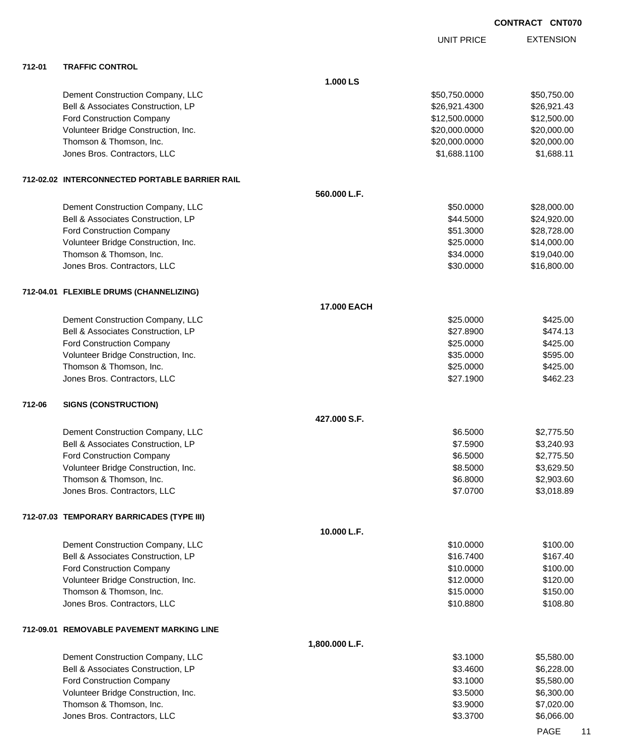|        |                                                |                    | <b>UNIT PRICE</b> | <b>EXTENSION</b>         |
|--------|------------------------------------------------|--------------------|-------------------|--------------------------|
| 712-01 | <b>TRAFFIC CONTROL</b>                         |                    |                   |                          |
|        |                                                | 1.000 LS           |                   |                          |
|        | Dement Construction Company, LLC               |                    | \$50,750.0000     | \$50,750.00              |
|        | Bell & Associates Construction, LP             |                    | \$26,921.4300     | \$26,921.43              |
|        | <b>Ford Construction Company</b>               |                    | \$12,500.0000     | \$12,500.00              |
|        | Volunteer Bridge Construction, Inc.            |                    | \$20,000.0000     | \$20,000.00              |
|        | Thomson & Thomson, Inc.                        |                    | \$20,000.0000     | \$20,000.00              |
|        | Jones Bros. Contractors, LLC                   |                    | \$1,688.1100      | \$1,688.11               |
|        | 712-02.02 INTERCONNECTED PORTABLE BARRIER RAIL |                    |                   |                          |
|        |                                                | 560.000 L.F.       |                   |                          |
|        | Dement Construction Company, LLC               |                    | \$50.0000         | \$28,000.00              |
|        | Bell & Associates Construction, LP             |                    | \$44.5000         | \$24,920.00              |
|        | <b>Ford Construction Company</b>               |                    | \$51.3000         | \$28,728.00              |
|        | Volunteer Bridge Construction, Inc.            |                    | \$25.0000         | \$14,000.00              |
|        | Thomson & Thomson, Inc.                        |                    | \$34.0000         | \$19,040.00              |
|        | Jones Bros. Contractors, LLC                   |                    | \$30.0000         | \$16,800.00              |
|        | 712-04.01 FLEXIBLE DRUMS (CHANNELIZING)        |                    |                   |                          |
|        |                                                | <b>17.000 EACH</b> |                   |                          |
|        | Dement Construction Company, LLC               |                    | \$25.0000         | \$425.00                 |
|        | Bell & Associates Construction, LP             |                    | \$27.8900         | \$474.13                 |
|        | <b>Ford Construction Company</b>               |                    | \$25.0000         | \$425.00                 |
|        | Volunteer Bridge Construction, Inc.            |                    | \$35.0000         | \$595.00                 |
|        | Thomson & Thomson, Inc.                        |                    | \$25.0000         | \$425.00                 |
|        | Jones Bros. Contractors, LLC                   |                    | \$27.1900         | \$462.23                 |
| 712-06 | <b>SIGNS (CONSTRUCTION)</b>                    |                    |                   |                          |
|        |                                                | 427.000 S.F.       |                   |                          |
|        | Dement Construction Company, LLC               |                    | \$6.5000          | \$2,775.50               |
|        | Bell & Associates Construction, LP             |                    | \$7.5900          | \$3,240.93               |
|        | <b>Ford Construction Company</b>               |                    | \$6.5000          | \$2,775.50               |
|        | Volunteer Bridge Construction, Inc.            |                    | \$8.5000          | \$3,629.50               |
|        | Thomson & Thomson, Inc.                        |                    | \$6.8000          | \$2,903.60<br>\$3,018.89 |
|        | Jones Bros. Contractors, LLC                   |                    | \$7.0700          |                          |
|        | 712-07.03 TEMPORARY BARRICADES (TYPE III)      |                    |                   |                          |
|        |                                                | 10.000 L.F.        |                   |                          |
|        | Dement Construction Company, LLC               |                    | \$10.0000         | \$100.00                 |
|        | Bell & Associates Construction, LP             |                    | \$16.7400         | \$167.40                 |
|        | <b>Ford Construction Company</b>               |                    | \$10.0000         | \$100.00                 |
|        | Volunteer Bridge Construction, Inc.            |                    | \$12.0000         | \$120.00                 |
|        | Thomson & Thomson, Inc.                        |                    | \$15.0000         | \$150.00                 |
|        | Jones Bros. Contractors, LLC                   |                    | \$10.8800         | \$108.80                 |
|        | 712-09.01 REMOVABLE PAVEMENT MARKING LINE      |                    |                   |                          |
|        |                                                | 1,800.000 L.F.     |                   |                          |
|        | Dement Construction Company, LLC               |                    | \$3.1000          | \$5,580.00               |
|        | Bell & Associates Construction, LP             |                    | \$3.4600          | \$6,228.00               |
|        | <b>Ford Construction Company</b>               |                    | \$3.1000          | \$5,580.00               |
|        | Volunteer Bridge Construction, Inc.            |                    | \$3.5000          | \$6,300.00               |
|        | Thomson & Thomson, Inc.                        |                    | \$3.9000          | \$7,020.00               |
|        | Jones Bros. Contractors, LLC                   |                    | \$3.3700          | \$6,066.00               |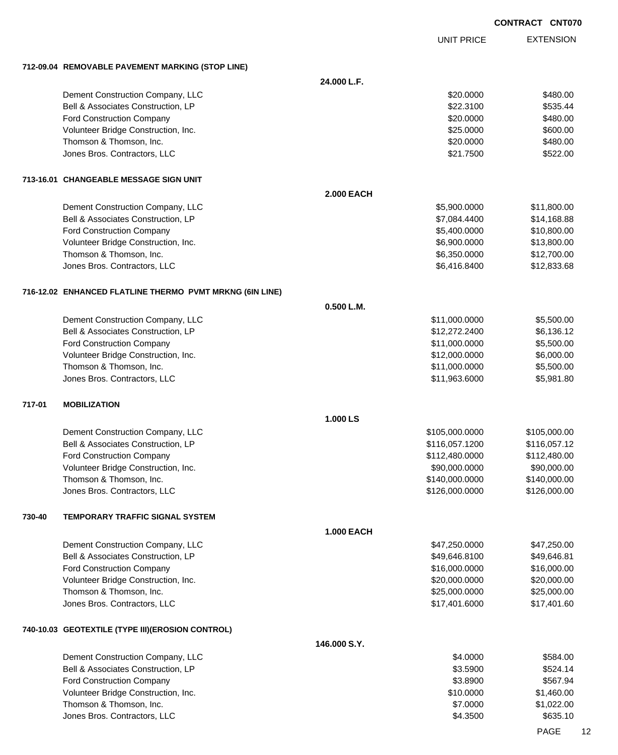UNIT PRICE

EXTENSION

**712-09.04 REMOVABLE PAVEMENT MARKING (STOP LINE)**

|        | 712-09.04 REMOVABLE PAVEMENT MARKING (STOP LINE)         |                   |                |              |
|--------|----------------------------------------------------------|-------------------|----------------|--------------|
|        |                                                          | 24.000 L.F.       |                |              |
|        | Dement Construction Company, LLC                         |                   | \$20,0000      | \$480.00     |
|        | Bell & Associates Construction, LP                       |                   | \$22.3100      | \$535.44     |
|        | <b>Ford Construction Company</b>                         |                   | \$20.0000      | \$480.00     |
|        | Volunteer Bridge Construction, Inc.                      |                   | \$25.0000      | \$600.00     |
|        | Thomson & Thomson, Inc.                                  |                   | \$20.0000      | \$480.00     |
|        | Jones Bros. Contractors, LLC                             |                   | \$21.7500      | \$522.00     |
|        | 713-16.01   CHANGEABLE MESSAGE SIGN UNIT                 |                   |                |              |
|        |                                                          | <b>2.000 EACH</b> |                |              |
|        | Dement Construction Company, LLC                         |                   | \$5,900.0000   | \$11,800.00  |
|        | Bell & Associates Construction, LP                       |                   | \$7,084.4400   | \$14,168.88  |
|        | Ford Construction Company                                |                   | \$5,400.0000   | \$10,800.00  |
|        | Volunteer Bridge Construction, Inc.                      |                   | \$6,900.0000   | \$13,800.00  |
|        | Thomson & Thomson, Inc.                                  |                   | \$6,350.0000   | \$12,700.00  |
|        | Jones Bros. Contractors, LLC                             |                   | \$6,416.8400   | \$12,833.68  |
|        | 716-12.02 ENHANCED FLATLINE THERMO PVMT MRKNG (6IN LINE) |                   |                |              |
|        |                                                          | 0.500 L.M.        |                |              |
|        | Dement Construction Company, LLC                         |                   | \$11,000.0000  | \$5,500.00   |
|        | Bell & Associates Construction, LP                       |                   | \$12,272.2400  | \$6,136.12   |
|        | Ford Construction Company                                |                   | \$11,000.0000  | \$5,500.00   |
|        | Volunteer Bridge Construction, Inc.                      |                   | \$12,000.0000  | \$6,000.00   |
|        | Thomson & Thomson, Inc.                                  |                   | \$11,000.0000  | \$5,500.00   |
|        | Jones Bros. Contractors, LLC                             |                   | \$11,963.6000  | \$5,981.80   |
| 717-01 | <b>MOBILIZATION</b>                                      |                   |                |              |
|        |                                                          | 1.000 LS          |                |              |
|        | Dement Construction Company, LLC                         |                   | \$105,000.0000 | \$105,000.00 |
|        | Bell & Associates Construction, LP                       |                   | \$116,057.1200 | \$116,057.12 |
|        | Ford Construction Company                                |                   | \$112,480.0000 | \$112,480.00 |
|        | Volunteer Bridge Construction, Inc.                      |                   | \$90,000.0000  | \$90,000.00  |
|        | Thomson & Thomson, Inc.                                  |                   | \$140,000.0000 | \$140,000.00 |
|        | Jones Bros. Contractors, LLC                             |                   | \$126,000.0000 | \$126,000.00 |
| 730-40 | TEMPORARY TRAFFIC SIGNAL SYSTEM                          |                   |                |              |
|        |                                                          | <b>1.000 EACH</b> |                |              |
|        | Dement Construction Company, LLC                         |                   | \$47,250.0000  | \$47,250.00  |
|        | Bell & Associates Construction, LP                       |                   | \$49,646.8100  | \$49,646.81  |
|        | Ford Construction Company                                |                   | \$16,000.0000  | \$16,000.00  |
|        | Volunteer Bridge Construction, Inc.                      |                   | \$20,000.0000  | \$20,000.00  |
|        | Thomson & Thomson, Inc.                                  |                   | \$25,000.0000  | \$25,000.00  |
|        | Jones Bros. Contractors, LLC                             |                   | \$17,401.6000  | \$17,401.60  |
|        | 740-10.03 GEOTEXTILE (TYPE III)(EROSION CONTROL)         |                   |                |              |
|        |                                                          | 146.000 S.Y.      |                |              |
|        | Dement Construction Company, LLC                         |                   | \$4.0000       | \$584.00     |
|        | Bell & Associates Construction, LP                       |                   | \$3.5900       | \$524.14     |
|        | Ford Construction Company                                |                   | \$3.8900       | \$567.94     |
|        | Volunteer Bridge Construction, Inc.                      |                   | \$10.0000      | \$1,460.00   |
|        | Thomson & Thomson, Inc.                                  |                   | \$7.0000       | \$1,022.00   |
|        | Jones Bros. Contractors, LLC                             |                   | \$4.3500       | \$635.10     |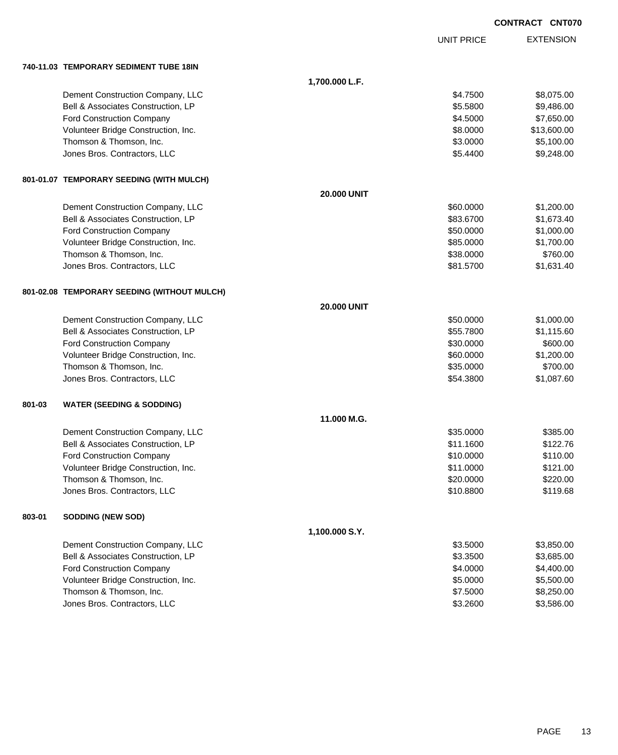|        |                                             |                    |                   | <b>CONTRACT CNT070</b> |
|--------|---------------------------------------------|--------------------|-------------------|------------------------|
|        |                                             |                    | <b>UNIT PRICE</b> | <b>EXTENSION</b>       |
|        | 740-11.03 TEMPORARY SEDIMENT TUBE 18IN      |                    |                   |                        |
|        |                                             | 1,700.000 L.F.     |                   |                        |
|        | Dement Construction Company, LLC            |                    | \$4.7500          | \$8,075.00             |
|        | Bell & Associates Construction, LP          |                    | \$5.5800          | \$9,486.00             |
|        | Ford Construction Company                   |                    | \$4.5000          | \$7,650.00             |
|        | Volunteer Bridge Construction, Inc.         |                    | \$8.0000          | \$13,600.00            |
|        | Thomson & Thomson, Inc.                     |                    | \$3.0000          | \$5,100.00             |
|        | Jones Bros. Contractors, LLC                |                    | \$5.4400          | \$9,248.00             |
|        | 801-01.07 TEMPORARY SEEDING (WITH MULCH)    |                    |                   |                        |
|        |                                             | <b>20,000 UNIT</b> |                   |                        |
|        | Dement Construction Company, LLC            |                    | \$60,0000         | \$1,200.00             |
|        | Bell & Associates Construction, LP          |                    | \$83.6700         | \$1,673.40             |
|        | Ford Construction Company                   |                    | \$50.0000         | \$1,000.00             |
|        | Volunteer Bridge Construction, Inc.         |                    | \$85.0000         | \$1,700.00             |
|        | Thomson & Thomson, Inc.                     |                    | \$38.0000         | \$760.00               |
|        | Jones Bros. Contractors, LLC                |                    | \$81.5700         | \$1,631.40             |
|        | 801-02.08 TEMPORARY SEEDING (WITHOUT MULCH) |                    |                   |                        |
|        |                                             | <b>20,000 UNIT</b> |                   |                        |
|        | Dement Construction Company, LLC            |                    | \$50.0000         | \$1,000.00             |
|        | Bell & Associates Construction, LP          |                    | \$55.7800         | \$1,115.60             |
|        | Ford Construction Company                   |                    | \$30.0000         | \$600.00               |
|        | Volunteer Bridge Construction, Inc.         |                    | \$60.0000         | \$1,200.00             |
|        | Thomson & Thomson, Inc.                     |                    | \$35.0000         | \$700.00               |
|        | Jones Bros. Contractors, LLC                |                    | \$54.3800         | \$1,087.60             |
| 801-03 | <b>WATER (SEEDING &amp; SODDING)</b>        |                    |                   |                        |
|        |                                             | 11.000 M.G.        |                   |                        |
|        | Dement Construction Company, LLC            |                    | \$35.0000         | \$385.00               |
|        | Bell & Associates Construction, LP          |                    | \$11.1600         | \$122.76               |
|        | <b>Ford Construction Company</b>            |                    | \$10.0000         | \$110.00               |
|        | Volunteer Bridge Construction, Inc.         |                    | \$11.0000         | \$121.00               |
|        | Thomson & Thomson, Inc.                     |                    | \$20.0000         | \$220.00               |
|        | Jones Bros. Contractors, LLC                |                    | \$10.8800         | \$119.68               |
| 803-01 | <b>SODDING (NEW SOD)</b>                    |                    |                   |                        |
|        |                                             | 1,100.000 S.Y.     |                   |                        |
|        | Dement Construction Company, LLC            |                    | \$3.5000          | \$3,850.00             |
|        | Bell & Associates Construction, LP          |                    | \$3.3500          | \$3,685.00             |
|        | Ford Construction Company                   |                    | \$4.0000          | \$4,400.00             |
|        | Volunteer Bridge Construction, Inc.         |                    | \$5.0000          | \$5,500.00             |
|        | Thomson & Thomson, Inc.                     |                    | \$7.5000          | \$8,250.00             |
|        | Jones Bros. Contractors, LLC                |                    | \$3.2600          | \$3,586.00             |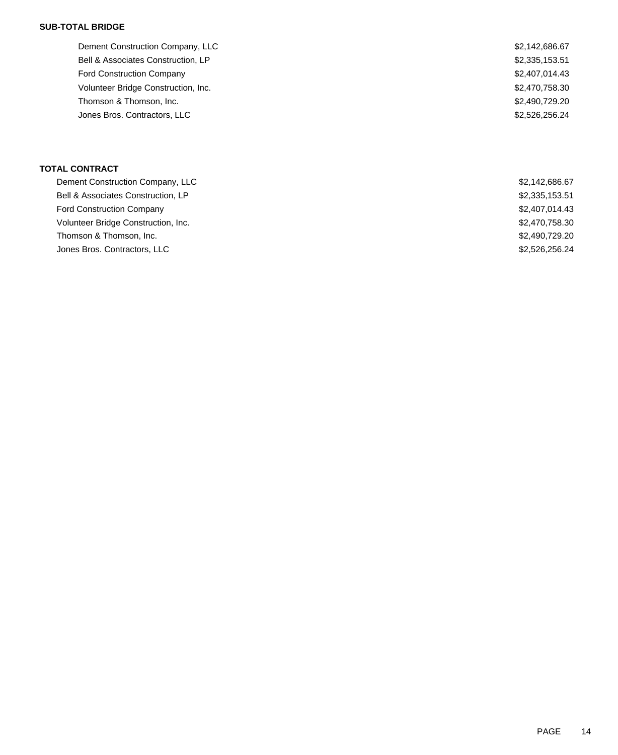### **SUB-TOTAL BRIDGE**

| Dement Construction Company, LLC    | \$2,142,686.67 |
|-------------------------------------|----------------|
| Bell & Associates Construction, LP  | \$2,335,153.51 |
| <b>Ford Construction Company</b>    | \$2,407,014.43 |
| Volunteer Bridge Construction, Inc. | \$2,470,758.30 |
| Thomson & Thomson, Inc.             | \$2,490,729.20 |
| Jones Bros. Contractors, LLC        | \$2,526,256,24 |
|                                     |                |

## **TOTAL CONTRACT**

| Dement Construction Company, LLC    | \$2,142,686.67 |
|-------------------------------------|----------------|
| Bell & Associates Construction, LP  | \$2,335,153.51 |
| <b>Ford Construction Company</b>    | \$2,407,014.43 |
| Volunteer Bridge Construction, Inc. | \$2,470,758.30 |
| Thomson & Thomson, Inc.             | \$2,490,729,20 |
| Jones Bros. Contractors, LLC        | \$2,526,256.24 |
|                                     |                |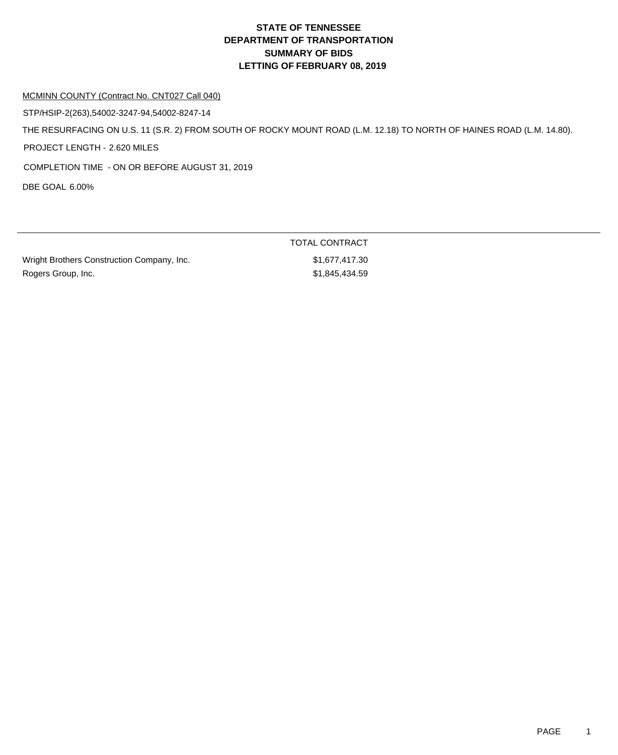## **DEPARTMENT OF TRANSPORTATION SUMMARY OF BIDS LETTING OF FEBRUARY 08, 2019 STATE OF TENNESSEE**

#### MCMINN COUNTY (Contract No. CNT027 Call 040)

STP/HSIP-2(263),54002-3247-94,54002-8247-14

THE RESURFACING ON U.S. 11 (S.R. 2) FROM SOUTH OF ROCKY MOUNT ROAD (L.M. 12.18) TO NORTH OF HAINES ROAD (L.M. 14.80).

PROJECT LENGTH - 2.620 MILES

COMPLETION TIME - ON OR BEFORE AUGUST 31, 2019

DBE GOAL 6.00%

| Wright Brothers Construction Company, Inc. | \$1,677,417.30 |
|--------------------------------------------|----------------|
| Rogers Group, Inc.                         | \$1,845,434.59 |

TOTAL CONTRACT  $$1,677,417.30$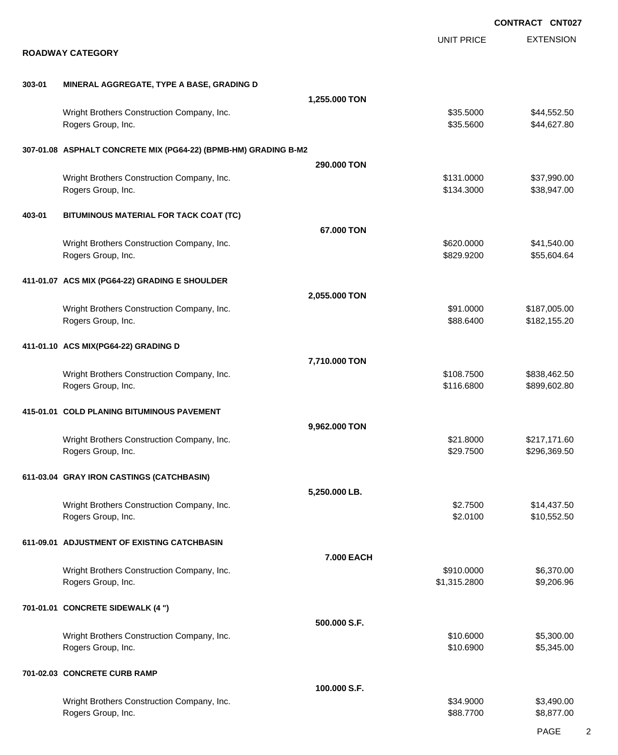|        |                                                                  |               |                            | <b>CONTRACT CNT027</b>       |
|--------|------------------------------------------------------------------|---------------|----------------------------|------------------------------|
|        | <b>ROADWAY CATEGORY</b>                                          |               | <b>UNIT PRICE</b>          | <b>EXTENSION</b>             |
| 303-01 | MINERAL AGGREGATE, TYPE A BASE, GRADING D                        |               |                            |                              |
|        |                                                                  | 1,255.000 TON |                            |                              |
|        | Wright Brothers Construction Company, Inc.<br>Rogers Group, Inc. |               | \$35.5000<br>\$35.5600     | \$44,552.50<br>\$44,627.80   |
|        | 307-01.08 ASPHALT CONCRETE MIX (PG64-22) (BPMB-HM) GRADING B-M2  |               |                            |                              |
|        |                                                                  | 290.000 TON   |                            |                              |
|        | Wright Brothers Construction Company, Inc.<br>Rogers Group, Inc. |               | \$131.0000<br>\$134.3000   | \$37,990.00<br>\$38,947.00   |
| 403-01 | BITUMINOUS MATERIAL FOR TACK COAT (TC)                           |               |                            |                              |
|        |                                                                  | 67.000 TON    |                            |                              |
|        | Wright Brothers Construction Company, Inc.<br>Rogers Group, Inc. |               | \$620.0000<br>\$829.9200   | \$41,540.00<br>\$55,604.64   |
|        | 411-01.07 ACS MIX (PG64-22) GRADING E SHOULDER                   |               |                            |                              |
|        |                                                                  | 2,055.000 TON |                            |                              |
|        | Wright Brothers Construction Company, Inc.<br>Rogers Group, Inc. |               | \$91.0000<br>\$88.6400     | \$187,005.00<br>\$182,155.20 |
|        | 411-01.10 ACS MIX(PG64-22) GRADING D                             |               |                            |                              |
|        |                                                                  | 7,710.000 TON |                            |                              |
|        | Wright Brothers Construction Company, Inc.<br>Rogers Group, Inc. |               | \$108.7500<br>\$116.6800   | \$838,462.50<br>\$899,602.80 |
|        | 415-01.01 COLD PLANING BITUMINOUS PAVEMENT                       |               |                            |                              |
|        |                                                                  | 9,962.000 TON |                            |                              |
|        | Wright Brothers Construction Company, Inc.<br>Rogers Group, Inc. |               | \$21.8000<br>\$29.7500     | \$217,171.60<br>\$296,369.50 |
|        | 611-03.04 GRAY IRON CASTINGS (CATCHBASIN)                        |               |                            |                              |
|        |                                                                  | 5,250.000 LB. |                            |                              |
|        | Wright Brothers Construction Company, Inc.<br>Rogers Group, Inc. |               | \$2.7500<br>\$2.0100       | \$14,437.50<br>\$10,552.50   |
|        | 611-09.01 ADJUSTMENT OF EXISTING CATCHBASIN                      |               |                            |                              |
|        |                                                                  | 7.000 EACH    |                            |                              |
|        | Wright Brothers Construction Company, Inc.<br>Rogers Group, Inc. |               | \$910.0000<br>\$1,315.2800 | \$6,370.00<br>\$9,206.96     |
|        | 701-01.01 CONCRETE SIDEWALK (4 ")                                |               |                            |                              |
|        |                                                                  | 500.000 S.F.  |                            |                              |
|        | Wright Brothers Construction Company, Inc.<br>Rogers Group, Inc. |               | \$10.6000<br>\$10.6900     | \$5,300.00<br>\$5,345.00     |
|        | 701-02.03 CONCRETE CURB RAMP                                     |               |                            |                              |
|        |                                                                  | 100.000 S.F.  |                            |                              |
|        | Wright Brothers Construction Company, Inc.<br>Rogers Group, Inc. |               | \$34.9000<br>\$88.7700     | \$3,490.00<br>\$8,877.00     |
|        |                                                                  |               |                            |                              |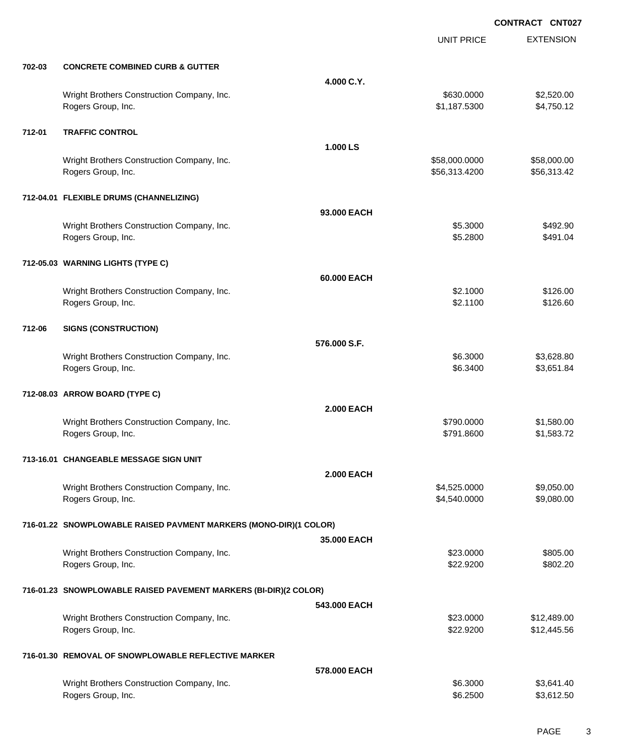|        |                                                                   |                   | <b>UNIT PRICE</b> | <b>EXTENSION</b> |
|--------|-------------------------------------------------------------------|-------------------|-------------------|------------------|
| 702-03 | <b>CONCRETE COMBINED CURB &amp; GUTTER</b>                        |                   |                   |                  |
|        |                                                                   | 4.000 C.Y.        |                   |                  |
|        | Wright Brothers Construction Company, Inc.                        |                   | \$630.0000        | \$2,520.00       |
|        | Rogers Group, Inc.                                                |                   | \$1,187.5300      | \$4,750.12       |
| 712-01 | <b>TRAFFIC CONTROL</b>                                            |                   |                   |                  |
|        |                                                                   | 1.000 LS          |                   |                  |
|        | Wright Brothers Construction Company, Inc.                        |                   | \$58,000.0000     | \$58,000.00      |
|        | Rogers Group, Inc.                                                |                   | \$56,313.4200     | \$56,313.42      |
|        | 712-04.01 FLEXIBLE DRUMS (CHANNELIZING)                           |                   |                   |                  |
|        |                                                                   | 93.000 EACH       |                   |                  |
|        | Wright Brothers Construction Company, Inc.                        |                   | \$5.3000          | \$492.90         |
|        | Rogers Group, Inc.                                                |                   | \$5.2800          | \$491.04         |
|        | 712-05.03 WARNING LIGHTS (TYPE C)                                 |                   |                   |                  |
|        |                                                                   | 60,000 EACH       |                   |                  |
|        | Wright Brothers Construction Company, Inc.                        |                   | \$2.1000          | \$126.00         |
|        | Rogers Group, Inc.                                                |                   | \$2.1100          | \$126.60         |
| 712-06 | <b>SIGNS (CONSTRUCTION)</b>                                       |                   |                   |                  |
|        |                                                                   | 576.000 S.F.      |                   |                  |
|        | Wright Brothers Construction Company, Inc.                        |                   | \$6.3000          | \$3,628.80       |
|        | Rogers Group, Inc.                                                |                   | \$6.3400          | \$3,651.84       |
|        | 712-08.03 ARROW BOARD (TYPE C)                                    |                   |                   |                  |
|        |                                                                   | <b>2.000 EACH</b> |                   |                  |
|        | Wright Brothers Construction Company, Inc.                        |                   | \$790.0000        | \$1,580.00       |
|        | Rogers Group, Inc.                                                |                   | \$791.8600        | \$1,583.72       |
|        | 713-16.01 CHANGEABLE MESSAGE SIGN UNIT                            |                   |                   |                  |
|        |                                                                   | <b>2.000 EACH</b> |                   |                  |
|        | Wright Brothers Construction Company, Inc.                        |                   | \$4,525.0000      | \$9,050.00       |
|        | Rogers Group, Inc.                                                |                   | \$4,540.0000      | \$9,080.00       |
|        | 716-01.22 SNOWPLOWABLE RAISED PAVMENT MARKERS (MONO-DIR)(1 COLOR) |                   |                   |                  |
|        |                                                                   | 35.000 EACH       |                   |                  |
|        | Wright Brothers Construction Company, Inc.                        |                   | \$23.0000         | \$805.00         |
|        | Rogers Group, Inc.                                                |                   | \$22.9200         | \$802.20         |
|        | 716-01.23 SNOWPLOWABLE RAISED PAVEMENT MARKERS (BI-DIR)(2 COLOR)  |                   |                   |                  |
|        |                                                                   | 543.000 EACH      |                   |                  |
|        | Wright Brothers Construction Company, Inc.                        |                   | \$23.0000         | \$12,489.00      |
|        | Rogers Group, Inc.                                                |                   | \$22.9200         | \$12,445.56      |
|        | 716-01.30 REMOVAL OF SNOWPLOWABLE REFLECTIVE MARKER               |                   |                   |                  |
|        |                                                                   | 578,000 EACH      |                   |                  |
|        | Wright Brothers Construction Company, Inc.                        |                   | \$6.3000          | \$3,641.40       |
|        | Rogers Group, Inc.                                                |                   | \$6.2500          | \$3,612.50       |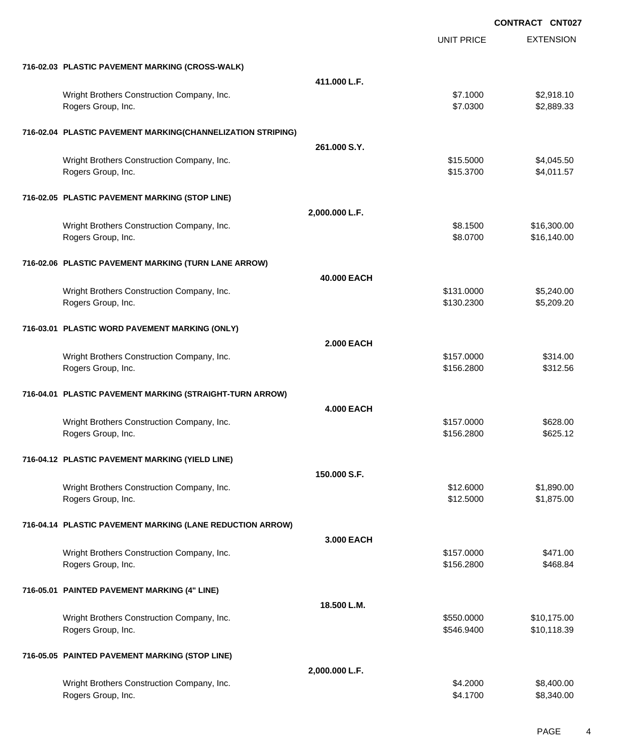|                                                                  |                   |                          | <b>CONTRACT CNT027</b>   |
|------------------------------------------------------------------|-------------------|--------------------------|--------------------------|
|                                                                  |                   | <b>UNIT PRICE</b>        | <b>EXTENSION</b>         |
| 716-02.03 PLASTIC PAVEMENT MARKING (CROSS-WALK)                  |                   |                          |                          |
|                                                                  | 411.000 L.F.      |                          |                          |
| Wright Brothers Construction Company, Inc.                       |                   | \$7.1000                 | \$2,918.10               |
| Rogers Group, Inc.                                               |                   | \$7.0300                 | \$2,889.33               |
| 716-02.04 PLASTIC PAVEMENT MARKING(CHANNELIZATION STRIPING)      |                   |                          |                          |
|                                                                  | 261.000 S.Y.      |                          |                          |
| Wright Brothers Construction Company, Inc.                       |                   | \$15.5000                | \$4,045.50               |
| Rogers Group, Inc.                                               |                   | \$15.3700                | \$4,011.57               |
| 716-02.05 PLASTIC PAVEMENT MARKING (STOP LINE)                   |                   |                          |                          |
|                                                                  | 2,000.000 L.F.    |                          |                          |
| Wright Brothers Construction Company, Inc.                       |                   | \$8.1500                 | \$16,300.00              |
| Rogers Group, Inc.                                               |                   | \$8.0700                 | \$16,140.00              |
| 716-02.06 PLASTIC PAVEMENT MARKING (TURN LANE ARROW)             |                   |                          |                          |
|                                                                  | 40,000 EACH       |                          |                          |
| Wright Brothers Construction Company, Inc.                       |                   | \$131.0000               | \$5,240.00               |
| Rogers Group, Inc.                                               |                   | \$130.2300               | \$5,209.20               |
| 716-03.01 PLASTIC WORD PAVEMENT MARKING (ONLY)                   |                   |                          |                          |
|                                                                  | <b>2.000 EACH</b> |                          |                          |
| Wright Brothers Construction Company, Inc.                       |                   | \$157.0000               | \$314.00                 |
| Rogers Group, Inc.                                               |                   | \$156.2800               | \$312.56                 |
| 716-04.01 PLASTIC PAVEMENT MARKING (STRAIGHT-TURN ARROW)         |                   |                          |                          |
|                                                                  | <b>4.000 EACH</b> |                          |                          |
| Wright Brothers Construction Company, Inc.                       |                   | \$157.0000               | \$628.00                 |
| Rogers Group, Inc.                                               |                   | \$156.2800               | \$625.12                 |
| 716-04.12 PLASTIC PAVEMENT MARKING (YIELD LINE)                  |                   |                          |                          |
|                                                                  | 150,000 S.F.      |                          |                          |
| Wright Brothers Construction Company, Inc.                       |                   | \$12.6000                | \$1,890.00               |
| Rogers Group, Inc.                                               |                   | \$12.5000                | \$1,875.00               |
| 716-04.14 PLASTIC PAVEMENT MARKING (LANE REDUCTION ARROW)        |                   |                          |                          |
|                                                                  | 3,000 EACH        |                          |                          |
| Wright Brothers Construction Company, Inc.<br>Rogers Group, Inc. |                   | \$157.0000<br>\$156.2800 | \$471.00                 |
|                                                                  |                   |                          | \$468.84                 |
| 716-05.01 PAINTED PAVEMENT MARKING (4" LINE)                     |                   |                          |                          |
|                                                                  | 18.500 L.M.       |                          |                          |
| Wright Brothers Construction Company, Inc.                       |                   | \$550.0000               | \$10,175.00              |
| Rogers Group, Inc.                                               |                   | \$546.9400               | \$10,118.39              |
| 716-05.05 PAINTED PAVEMENT MARKING (STOP LINE)                   |                   |                          |                          |
|                                                                  | 2,000.000 L.F.    |                          |                          |
| Wright Brothers Construction Company, Inc.<br>Rogers Group, Inc. |                   | \$4.2000<br>\$4.1700     | \$8,400.00<br>\$8,340.00 |
|                                                                  |                   |                          |                          |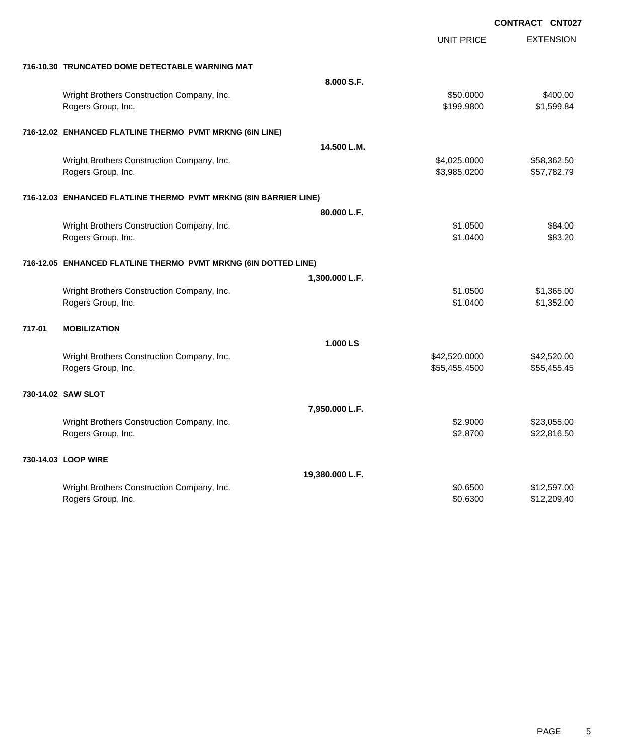|                                                                  |                 | UNIT PRICE    | <b>EXTENSION</b> |
|------------------------------------------------------------------|-----------------|---------------|------------------|
| 716-10.30 TRUNCATED DOME DETECTABLE WARNING MAT                  |                 |               |                  |
|                                                                  | 8.000 S.F.      |               |                  |
| Wright Brothers Construction Company, Inc.                       |                 | \$50.0000     | \$400.00         |
| Rogers Group, Inc.                                               |                 | \$199.9800    | \$1,599.84       |
| 716-12.02 ENHANCED FLATLINE THERMO PVMT MRKNG (6IN LINE)         |                 |               |                  |
|                                                                  | 14.500 L.M.     |               |                  |
| Wright Brothers Construction Company, Inc.                       |                 | \$4,025.0000  | \$58,362.50      |
| Rogers Group, Inc.                                               |                 | \$3,985.0200  | \$57,782.79      |
| 716-12.03 ENHANCED FLATLINE THERMO PVMT MRKNG (8IN BARRIER LINE) |                 |               |                  |
|                                                                  | 80.000 L.F.     |               |                  |
| Wright Brothers Construction Company, Inc.                       |                 | \$1.0500      | \$84.00          |
| Rogers Group, Inc.                                               |                 | \$1.0400      | \$83.20          |
| 716-12.05 ENHANCED FLATLINE THERMO PVMT MRKNG (6IN DOTTED LINE)  |                 |               |                  |
|                                                                  | 1,300.000 L.F.  |               |                  |
| Wright Brothers Construction Company, Inc.                       |                 | \$1.0500      | \$1,365.00       |
| Rogers Group, Inc.                                               |                 | \$1,0400      | \$1,352.00       |
| 717-01<br><b>MOBILIZATION</b>                                    |                 |               |                  |
|                                                                  | 1.000 LS        |               |                  |
| Wright Brothers Construction Company, Inc.                       |                 | \$42,520.0000 | \$42,520.00      |
| Rogers Group, Inc.                                               |                 | \$55,455.4500 | \$55,455.45      |
| 730-14.02 SAW SLOT                                               |                 |               |                  |
|                                                                  | 7,950.000 L.F.  |               |                  |
| Wright Brothers Construction Company, Inc.                       |                 | \$2.9000      | \$23,055.00      |
| Rogers Group, Inc.                                               |                 | \$2.8700      | \$22,816.50      |
| 730-14.03 LOOP WIRE                                              |                 |               |                  |
|                                                                  | 19,380.000 L.F. |               |                  |
| Wright Brothers Construction Company, Inc.                       |                 | \$0.6500      | \$12,597.00      |
| Rogers Group, Inc.                                               |                 | \$0.6300      | \$12,209.40      |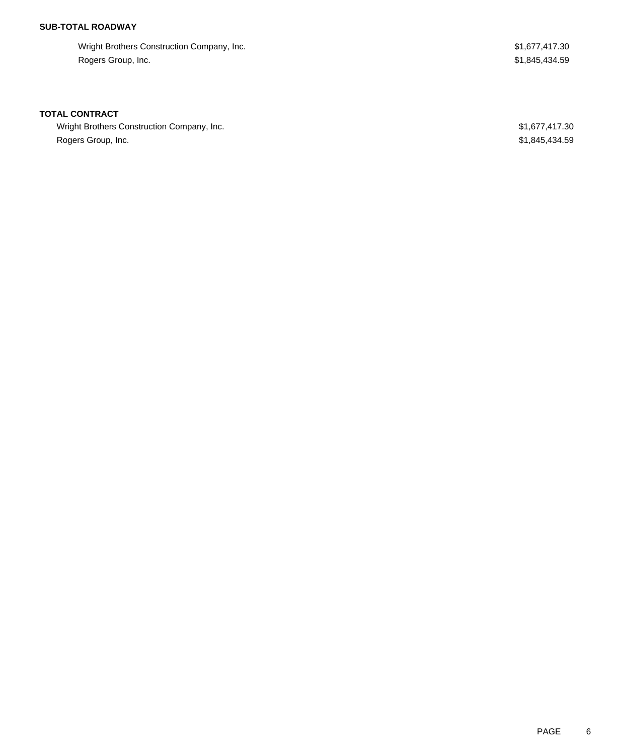## **SUB-TOTAL ROADWAY**

Wright Brothers Construction Company, Inc. 6. The State of the State of the State of State State State State St Rogers Group, Inc. \$1,845,434.59

### **TOTAL CONTRACT**

Wright Brothers Construction Company, Inc. 6. The Superior Company, Inc. 6. The Superior Company, Inc. 6. The Superior Company, Inc. 6. The Superior Company, Inc. 6. The Superior Company, Inc. 6. The Superior Company, Inc. Rogers Group, Inc. \$1,845,434.59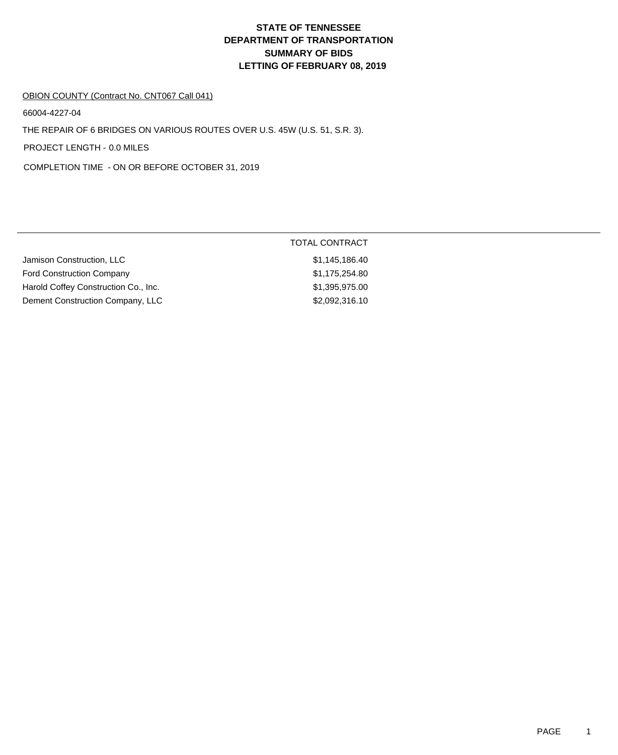# **DEPARTMENT OF TRANSPORTATION SUMMARY OF BIDS LETTING OF FEBRUARY 08, 2019 STATE OF TENNESSEE**

#### OBION COUNTY (Contract No. CNT067 Call 041)

66004-4227-04

THE REPAIR OF 6 BRIDGES ON VARIOUS ROUTES OVER U.S. 45W (U.S. 51, S.R. 3).

PROJECT LENGTH - 0.0 MILES

COMPLETION TIME - ON OR BEFORE OCTOBER 31, 2019

|                                      | <b>TOTAL CONTRACT</b> |
|--------------------------------------|-----------------------|
| Jamison Construction, LLC            | \$1,145,186.40        |
| <b>Ford Construction Company</b>     | \$1,175,254.80        |
| Harold Coffey Construction Co., Inc. | \$1,395,975.00        |
| Dement Construction Company, LLC     | \$2,092,316.10        |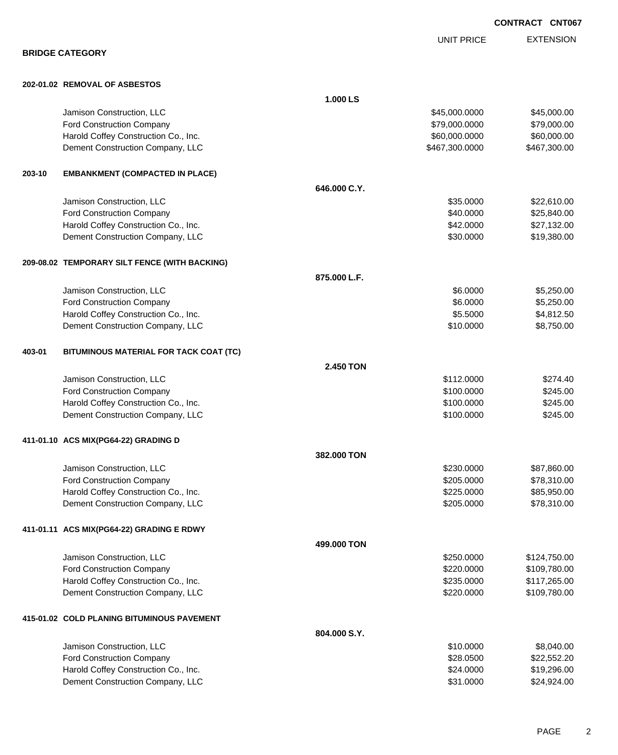EXTENSION UNIT PRICE

**BRIDGE CATEGORY**

### **202-01.02 REMOVAL OF ASBESTOS**

|        |                                               | 1.000 LS     |                |              |
|--------|-----------------------------------------------|--------------|----------------|--------------|
|        | Jamison Construction, LLC                     |              | \$45,000.0000  | \$45,000.00  |
|        | <b>Ford Construction Company</b>              |              | \$79,000.0000  | \$79,000.00  |
|        | Harold Coffey Construction Co., Inc.          |              | \$60,000.0000  | \$60,000.00  |
|        | Dement Construction Company, LLC              |              | \$467,300.0000 | \$467,300.00 |
| 203-10 | <b>EMBANKMENT (COMPACTED IN PLACE)</b>        |              |                |              |
|        |                                               | 646,000 C.Y. |                |              |
|        | Jamison Construction, LLC                     |              | \$35.0000      | \$22,610.00  |
|        | Ford Construction Company                     |              | \$40.0000      | \$25,840.00  |
|        | Harold Coffey Construction Co., Inc.          |              | \$42.0000      | \$27,132.00  |
|        | Dement Construction Company, LLC              |              | \$30.0000      | \$19,380.00  |
|        | 209-08.02 TEMPORARY SILT FENCE (WITH BACKING) |              |                |              |
|        |                                               | 875,000 L.F. |                |              |
|        | Jamison Construction, LLC                     |              | \$6.0000       | \$5,250.00   |
|        | <b>Ford Construction Company</b>              |              | \$6.0000       | \$5,250.00   |
|        | Harold Coffey Construction Co., Inc.          |              | \$5.5000       | \$4,812.50   |
|        | Dement Construction Company, LLC              |              | \$10.0000      | \$8,750.00   |
| 403-01 | BITUMINOUS MATERIAL FOR TACK COAT (TC)        |              |                |              |
|        |                                               | 2.450 TON    |                |              |
|        | Jamison Construction, LLC                     |              | \$112.0000     | \$274.40     |
|        | <b>Ford Construction Company</b>              |              | \$100.0000     | \$245.00     |
|        | Harold Coffey Construction Co., Inc.          |              | \$100.0000     | \$245.00     |
|        | Dement Construction Company, LLC              |              | \$100.0000     | \$245.00     |
|        | 411-01.10 ACS MIX(PG64-22) GRADING D          |              |                |              |
|        |                                               | 382,000 TON  |                |              |
|        | Jamison Construction, LLC                     |              | \$230.0000     | \$87,860.00  |
|        | <b>Ford Construction Company</b>              |              | \$205.0000     | \$78,310.00  |
|        | Harold Coffey Construction Co., Inc.          |              | \$225.0000     | \$85,950.00  |
|        | Dement Construction Company, LLC              |              | \$205.0000     | \$78,310.00  |
|        | 411-01.11 ACS MIX(PG64-22) GRADING E RDWY     |              |                |              |
|        |                                               | 499.000 TON  |                |              |
|        | Jamison Construction, LLC                     |              | \$250.0000     | \$124,750.00 |
|        | Ford Construction Company                     |              | \$220.0000     | \$109,780.00 |
|        | Harold Coffey Construction Co., Inc.          |              | \$235.0000     | \$117,265.00 |
|        | Dement Construction Company, LLC              |              | \$220.0000     | \$109,780.00 |
|        | 415-01.02 COLD PLANING BITUMINOUS PAVEMENT    |              |                |              |
|        |                                               | 804.000 S.Y. |                |              |
|        | Jamison Construction, LLC                     |              | \$10.0000      | \$8,040.00   |
|        | Ford Construction Company                     |              | \$28.0500      | \$22,552.20  |
|        | Harold Coffey Construction Co., Inc.          |              | \$24.0000      | \$19,296.00  |
|        | Dement Construction Company, LLC              |              | \$31.0000      | \$24,924.00  |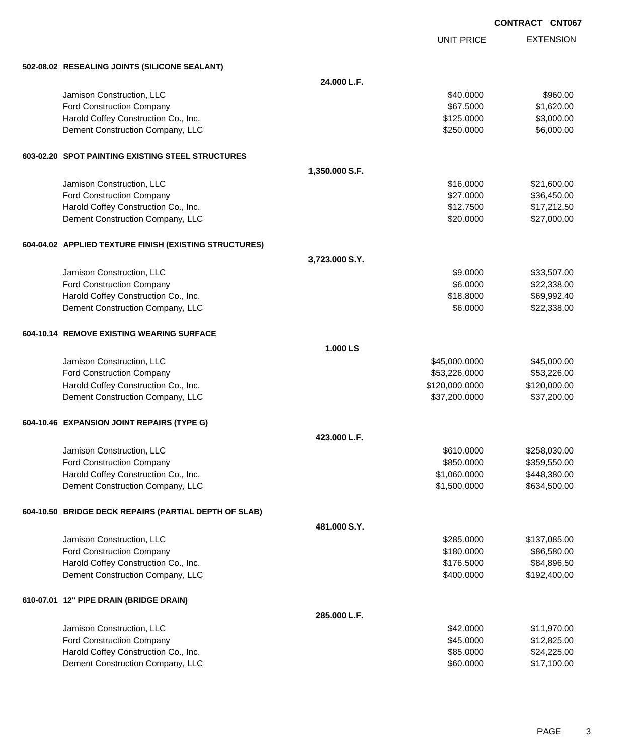UNIT PRICE

| 502-08.02 RESEALING JOINTS (SILICONE SEALANT)          |                |                |              |
|--------------------------------------------------------|----------------|----------------|--------------|
|                                                        | 24.000 L.F.    |                |              |
| Jamison Construction, LLC                              |                | \$40.0000      | \$960.00     |
| Ford Construction Company                              |                | \$67.5000      | \$1,620.00   |
| Harold Coffey Construction Co., Inc.                   |                | \$125.0000     | \$3,000.00   |
| Dement Construction Company, LLC                       |                | \$250.0000     | \$6,000.00   |
| 603-02.20 SPOT PAINTING EXISTING STEEL STRUCTURES      |                |                |              |
|                                                        | 1,350.000 S.F. |                |              |
| Jamison Construction, LLC                              |                | \$16,0000      | \$21,600.00  |
| <b>Ford Construction Company</b>                       |                | \$27.0000      | \$36,450.00  |
| Harold Coffey Construction Co., Inc.                   |                | \$12.7500      | \$17,212.50  |
| Dement Construction Company, LLC                       |                | \$20.0000      | \$27,000.00  |
| 604-04.02 APPLIED TEXTURE FINISH (EXISTING STRUCTURES) |                |                |              |
|                                                        | 3,723.000 S.Y. |                |              |
| Jamison Construction, LLC                              |                | \$9.0000       | \$33,507.00  |
| <b>Ford Construction Company</b>                       |                | \$6.0000       | \$22,338.00  |
| Harold Coffey Construction Co., Inc.                   |                | \$18.8000      | \$69,992.40  |
| Dement Construction Company, LLC                       |                | \$6.0000       | \$22,338.00  |
| 604-10.14 REMOVE EXISTING WEARING SURFACE              |                |                |              |
|                                                        | 1.000 LS       |                |              |
| Jamison Construction, LLC                              |                | \$45,000.0000  | \$45,000.00  |
| Ford Construction Company                              |                | \$53,226.0000  | \$53,226.00  |
| Harold Coffey Construction Co., Inc.                   |                | \$120,000.0000 | \$120,000.00 |
| Dement Construction Company, LLC                       |                | \$37,200.0000  | \$37,200.00  |
| 604-10.46 EXPANSION JOINT REPAIRS (TYPE G)             |                |                |              |
|                                                        | 423.000 L.F.   |                |              |
| Jamison Construction, LLC                              |                | \$610.0000     | \$258,030.00 |
| <b>Ford Construction Company</b>                       |                | \$850.0000     | \$359,550.00 |
| Harold Coffey Construction Co., Inc.                   |                | \$1,060.0000   | \$448,380.00 |
| Dement Construction Company, LLC                       |                | \$1,500.0000   | \$634,500.00 |
| 604-10.50 BRIDGE DECK REPAIRS (PARTIAL DEPTH OF SLAB)  |                |                |              |
|                                                        | 481.000 S.Y.   |                |              |
| Jamison Construction, LLC                              |                | \$285.0000     | \$137,085.00 |
| Ford Construction Company                              |                | \$180.0000     | \$86,580.00  |
| Harold Coffey Construction Co., Inc.                   |                | \$176.5000     | \$84,896.50  |
| Dement Construction Company, LLC                       |                | \$400.0000     | \$192,400.00 |
| 610-07.01 12" PIPE DRAIN (BRIDGE DRAIN)                |                |                |              |
|                                                        | 285.000 L.F.   |                |              |
| Jamison Construction, LLC                              |                | \$42.0000      | \$11,970.00  |
| Ford Construction Company                              |                | \$45.0000      | \$12,825.00  |
| Harold Coffey Construction Co., Inc.                   |                | \$85.0000      | \$24,225.00  |
| Dement Construction Company, LLC                       |                | \$60.0000      | \$17,100.00  |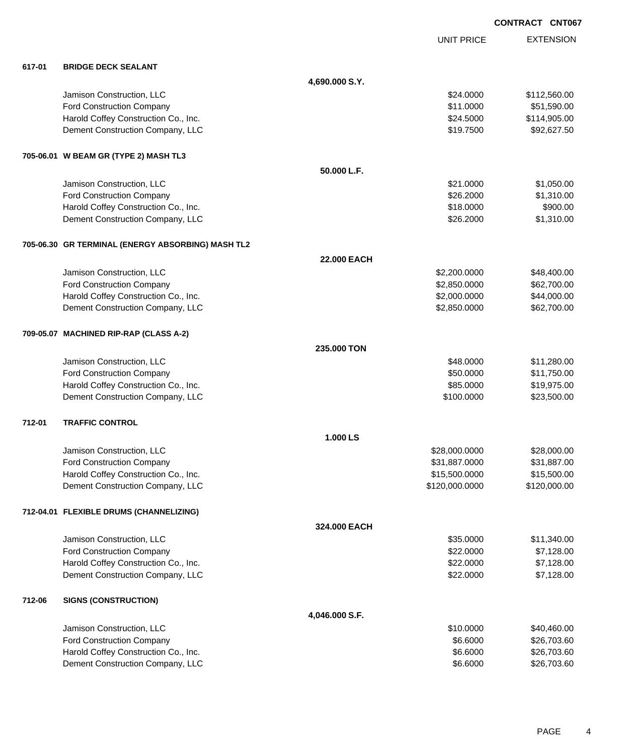|        |                                                   |                |                   | <b>CONTRACT CNT067</b> |                  |
|--------|---------------------------------------------------|----------------|-------------------|------------------------|------------------|
|        |                                                   |                | <b>UNIT PRICE</b> |                        | <b>EXTENSION</b> |
| 617-01 | <b>BRIDGE DECK SEALANT</b>                        |                |                   |                        |                  |
|        |                                                   | 4,690.000 S.Y. |                   |                        |                  |
|        | Jamison Construction, LLC                         |                | \$24.0000         |                        | \$112,560.00     |
|        | Ford Construction Company                         |                | \$11.0000         |                        | \$51,590.00      |
|        | Harold Coffey Construction Co., Inc.              |                | \$24.5000         |                        | \$114,905.00     |
|        | Dement Construction Company, LLC                  |                | \$19.7500         |                        | \$92,627.50      |
|        | 705-06.01 W BEAM GR (TYPE 2) MASH TL3             |                |                   |                        |                  |
|        |                                                   | 50.000 L.F.    |                   |                        |                  |
|        | Jamison Construction, LLC                         |                | \$21.0000         |                        | \$1,050.00       |
|        | Ford Construction Company                         |                | \$26.2000         |                        | \$1,310.00       |
|        | Harold Coffey Construction Co., Inc.              |                | \$18.0000         |                        | \$900.00         |
|        | Dement Construction Company, LLC                  |                | \$26.2000         |                        | \$1,310.00       |
|        | 705-06.30 GR TERMINAL (ENERGY ABSORBING) MASH TL2 |                |                   |                        |                  |
|        |                                                   | 22.000 EACH    |                   |                        |                  |
|        | Jamison Construction, LLC                         |                | \$2,200.0000      |                        | \$48,400.00      |
|        | Ford Construction Company                         |                | \$2,850.0000      |                        | \$62,700.00      |
|        | Harold Coffey Construction Co., Inc.              |                | \$2,000.0000      |                        | \$44,000.00      |
|        | Dement Construction Company, LLC                  |                | \$2,850.0000      |                        | \$62,700.00      |
|        | 709-05.07 MACHINED RIP-RAP (CLASS A-2)            |                |                   |                        |                  |
|        |                                                   | 235.000 TON    |                   |                        |                  |
|        | Jamison Construction, LLC                         |                | \$48.0000         |                        | \$11,280.00      |
|        | Ford Construction Company                         |                | \$50.0000         |                        | \$11,750.00      |
|        | Harold Coffey Construction Co., Inc.              |                | \$85.0000         |                        | \$19,975.00      |
|        | Dement Construction Company, LLC                  |                | \$100.0000        |                        | \$23,500.00      |
| 712-01 | <b>TRAFFIC CONTROL</b>                            |                |                   |                        |                  |
|        |                                                   | 1.000 LS       |                   |                        |                  |
|        | Jamison Construction, LLC                         |                | \$28,000.0000     |                        | \$28,000.00      |
|        | Ford Construction Company                         |                | \$31,887.0000     |                        | \$31,887.00      |
|        | Harold Coffey Construction Co., Inc.              |                | \$15,500.0000     |                        | \$15,500.00      |
|        | Dement Construction Company, LLC                  |                | \$120,000.0000    |                        | \$120,000.00     |
|        | 712-04.01 FLEXIBLE DRUMS (CHANNELIZING)           |                |                   |                        |                  |
|        |                                                   | 324.000 EACH   |                   |                        |                  |
|        | Jamison Construction, LLC                         |                | \$35.0000         |                        | \$11,340.00      |
|        | <b>Ford Construction Company</b>                  |                | \$22.0000         |                        | \$7,128.00       |
|        | Harold Coffey Construction Co., Inc.              |                | \$22.0000         |                        | \$7,128.00       |
|        | Dement Construction Company, LLC                  |                | \$22.0000         |                        | \$7,128.00       |
| 712-06 | <b>SIGNS (CONSTRUCTION)</b>                       |                |                   |                        |                  |
|        |                                                   | 4,046.000 S.F. |                   |                        |                  |

| Jamison Construction, LLC            | \$10,0000 | \$40.460.00 |
|--------------------------------------|-----------|-------------|
| <b>Ford Construction Company</b>     | \$6,6000  | \$26,703,60 |
| Harold Coffey Construction Co., Inc. | \$6,6000  | \$26,703,60 |
| Dement Construction Company, LLC     | \$6.6000  | \$26,703,60 |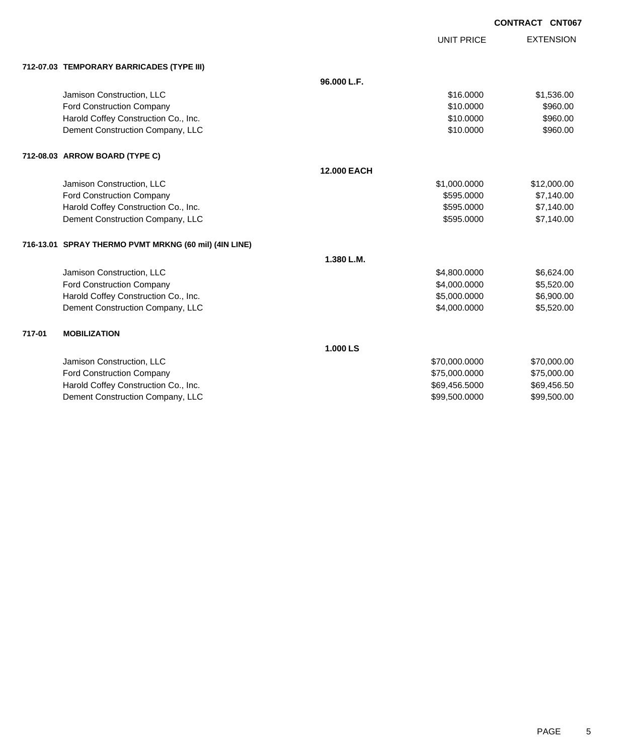UNIT PRICE

|  | 712-07.03 TEMPORARY BARRICADES (TYPE III) |  |
|--|-------------------------------------------|--|
|  |                                           |  |

|        | 712-07.03 TEMPORARY BARRICADES (TYPE III)             |                    |               |             |
|--------|-------------------------------------------------------|--------------------|---------------|-------------|
|        |                                                       | 96.000 L.F.        |               |             |
|        | Jamison Construction, LLC                             |                    | \$16,0000     | \$1,536.00  |
|        | <b>Ford Construction Company</b>                      |                    | \$10,0000     | \$960.00    |
|        | Harold Coffey Construction Co., Inc.                  |                    | \$10,0000     | \$960.00    |
|        | Dement Construction Company, LLC                      |                    | \$10.0000     | \$960.00    |
|        | 712-08.03 ARROW BOARD (TYPE C)                        |                    |               |             |
|        |                                                       | <b>12.000 EACH</b> |               |             |
|        | Jamison Construction, LLC                             |                    | \$1,000.0000  | \$12,000.00 |
|        | <b>Ford Construction Company</b>                      |                    | \$595,0000    | \$7,140.00  |
|        | Harold Coffey Construction Co., Inc.                  |                    | \$595,0000    | \$7,140.00  |
|        | Dement Construction Company, LLC                      |                    | \$595.0000    | \$7,140.00  |
|        | 716-13.01 SPRAY THERMO PVMT MRKNG (60 mil) (4IN LINE) |                    |               |             |
|        |                                                       | 1.380 L.M.         |               |             |
|        | Jamison Construction, LLC                             |                    | \$4,800.0000  | \$6,624.00  |
|        | <b>Ford Construction Company</b>                      |                    | \$4,000.0000  | \$5,520.00  |
|        | Harold Coffey Construction Co., Inc.                  |                    | \$5,000.0000  | \$6,900.00  |
|        | Dement Construction Company, LLC                      |                    | \$4,000.0000  | \$5,520.00  |
| 717-01 | <b>MOBILIZATION</b>                                   |                    |               |             |
|        |                                                       | 1.000 LS           |               |             |
|        | Jamison Construction, LLC                             |                    | \$70,000.0000 | \$70,000.00 |
|        | <b>Ford Construction Company</b>                      |                    | \$75,000.0000 | \$75,000.00 |
|        | Harold Coffey Construction Co., Inc.                  |                    | \$69,456.5000 | \$69,456.50 |
|        | Dement Construction Company, LLC                      |                    | \$99,500.0000 | \$99,500.00 |
|        |                                                       |                    |               |             |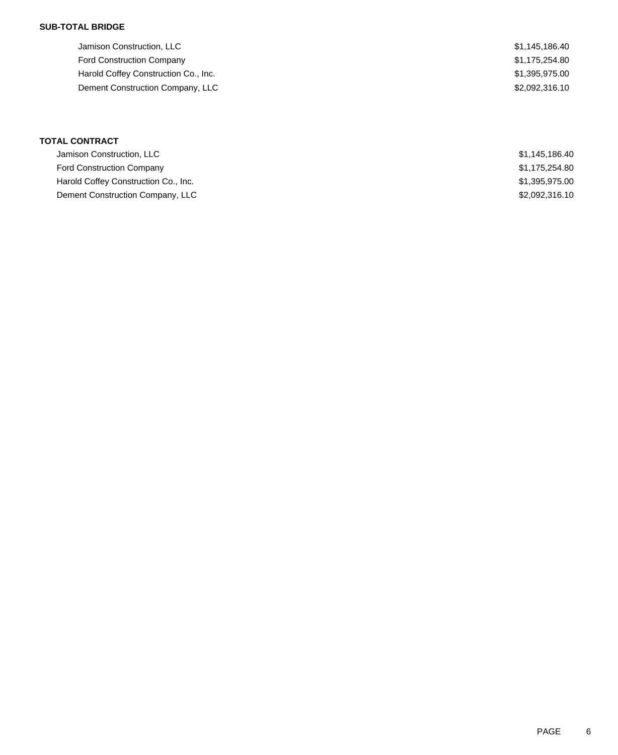## **SUB-TOTAL BRIDGE**

| Jamison Construction, LLC            | \$1,145,186.40 |
|--------------------------------------|----------------|
| <b>Ford Construction Company</b>     | \$1,175,254.80 |
| Harold Coffey Construction Co., Inc. | \$1,395,975.00 |
| Dement Construction Company, LLC     | \$2,092,316.10 |
|                                      |                |

| <b>TOTAL CONTRACT</b>                |                |
|--------------------------------------|----------------|
| Jamison Construction, LLC            | \$1,145,186.40 |
| <b>Ford Construction Company</b>     | \$1,175,254.80 |
| Harold Coffey Construction Co., Inc. | \$1,395,975.00 |
| Dement Construction Company, LLC     | \$2,092,316.10 |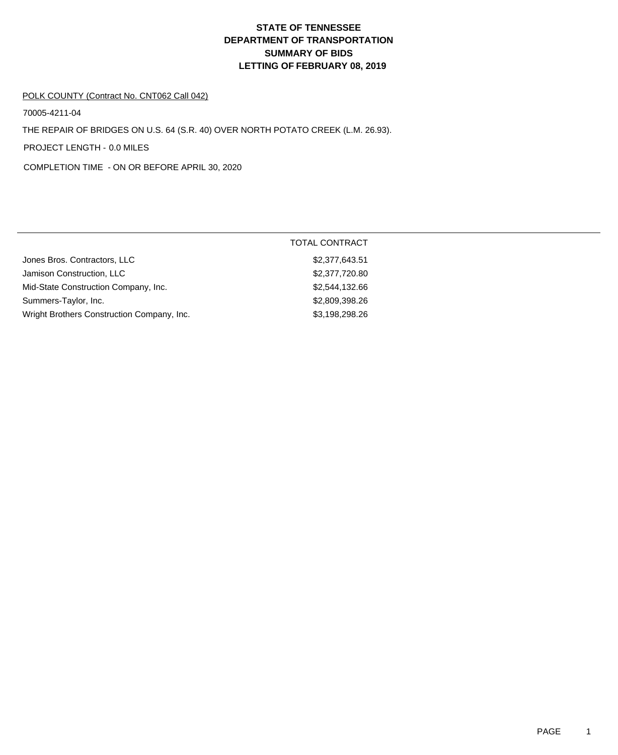# **DEPARTMENT OF TRANSPORTATION SUMMARY OF BIDS LETTING OF FEBRUARY 08, 2019 STATE OF TENNESSEE**

#### POLK COUNTY (Contract No. CNT062 Call 042)

70005-4211-04

THE REPAIR OF BRIDGES ON U.S. 64 (S.R. 40) OVER NORTH POTATO CREEK (L.M. 26.93).

PROJECT LENGTH - 0.0 MILES

COMPLETION TIME - ON OR BEFORE APRIL 30, 2020

|                                            | <b>TOTAL CONTRACT</b> |
|--------------------------------------------|-----------------------|
| Jones Bros. Contractors, LLC               | \$2,377,643.51        |
| Jamison Construction, LLC                  | \$2,377,720.80        |
| Mid-State Construction Company, Inc.       | \$2,544,132.66        |
| Summers-Taylor, Inc.                       | \$2,809,398.26        |
| Wright Brothers Construction Company, Inc. | \$3,198,298.26        |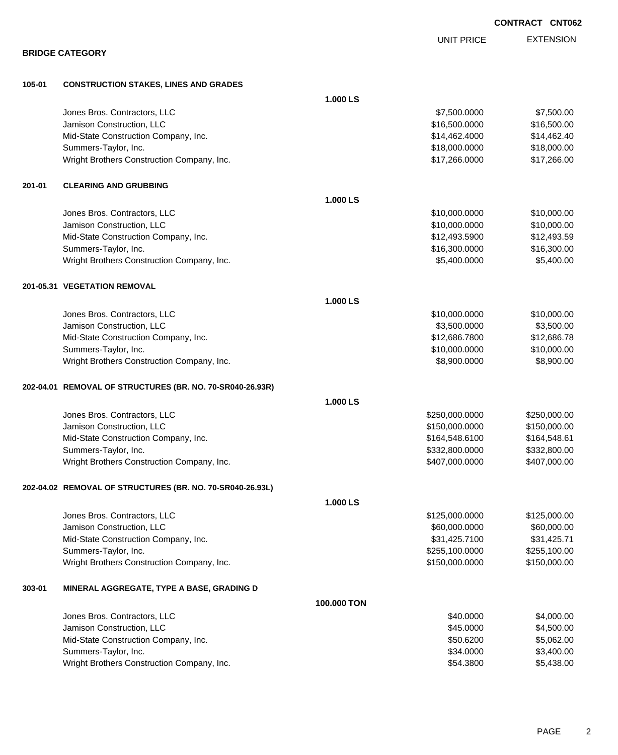|        |                                                           |             |                   | CONTRACT CNT062  |
|--------|-----------------------------------------------------------|-------------|-------------------|------------------|
|        |                                                           |             | <b>UNIT PRICE</b> | <b>EXTENSION</b> |
|        | <b>BRIDGE CATEGORY</b>                                    |             |                   |                  |
| 105-01 | <b>CONSTRUCTION STAKES, LINES AND GRADES</b>              |             |                   |                  |
|        |                                                           | 1.000 LS    |                   |                  |
|        | Jones Bros. Contractors, LLC                              |             | \$7,500.0000      | \$7,500.00       |
|        | Jamison Construction, LLC                                 |             | \$16,500.0000     | \$16,500.00      |
|        | Mid-State Construction Company, Inc.                      |             | \$14,462.4000     | \$14,462.40      |
|        | Summers-Taylor, Inc.                                      |             | \$18,000.0000     | \$18,000.00      |
|        | Wright Brothers Construction Company, Inc.                |             | \$17,266.0000     | \$17,266.00      |
| 201-01 | <b>CLEARING AND GRUBBING</b>                              |             |                   |                  |
|        |                                                           | 1.000 LS    |                   |                  |
|        | Jones Bros. Contractors, LLC                              |             | \$10,000.0000     | \$10,000.00      |
|        | Jamison Construction, LLC                                 |             | \$10,000.0000     | \$10,000.00      |
|        | Mid-State Construction Company, Inc.                      |             | \$12,493.5900     | \$12,493.59      |
|        | Summers-Taylor, Inc.                                      |             | \$16,300.0000     | \$16,300.00      |
|        | Wright Brothers Construction Company, Inc.                |             | \$5,400.0000      | \$5,400.00       |
|        | 201-05.31 VEGETATION REMOVAL                              |             |                   |                  |
|        |                                                           | 1.000 LS    |                   |                  |
|        | Jones Bros. Contractors, LLC                              |             | \$10,000.0000     | \$10,000.00      |
|        | Jamison Construction, LLC                                 |             | \$3,500.0000      | \$3,500.00       |
|        | Mid-State Construction Company, Inc.                      |             | \$12,686.7800     | \$12,686.78      |
|        | Summers-Taylor, Inc.                                      |             | \$10,000.0000     | \$10,000.00      |
|        | Wright Brothers Construction Company, Inc.                |             | \$8,900.0000      | \$8,900.00       |
|        | 202-04.01 REMOVAL OF STRUCTURES (BR. NO. 70-SR040-26.93R) |             |                   |                  |
|        |                                                           | 1.000 LS    |                   |                  |
|        | Jones Bros. Contractors, LLC                              |             | \$250,000.0000    | \$250,000.00     |
|        | Jamison Construction, LLC                                 |             | \$150,000.0000    | \$150,000.00     |
|        | Mid-State Construction Company, Inc.                      |             | \$164,548.6100    | \$164,548.61     |
|        | Summers-Taylor, Inc.                                      |             | \$332,800.0000    | \$332,800.00     |
|        | Wright Brothers Construction Company, Inc.                |             | \$407,000.0000    | \$407,000.00     |
|        | 202-04.02 REMOVAL OF STRUCTURES (BR. NO. 70-SR040-26.93L) |             |                   |                  |
|        |                                                           | 1.000 LS    |                   |                  |
|        | Jones Bros. Contractors, LLC                              |             | \$125,000.0000    | \$125,000.00     |
|        | Jamison Construction, LLC                                 |             | \$60,000.0000     | \$60,000.00      |
|        | Mid-State Construction Company, Inc.                      |             | \$31,425.7100     | \$31,425.71      |
|        | Summers-Taylor, Inc.                                      |             | \$255,100.0000    | \$255,100.00     |
|        | Wright Brothers Construction Company, Inc.                |             | \$150,000.0000    | \$150,000.00     |
| 303-01 | MINERAL AGGREGATE, TYPE A BASE, GRADING D                 |             |                   |                  |
|        |                                                           | 100.000 TON |                   |                  |
|        | Jones Bros. Contractors, LLC                              |             | \$40.0000         | \$4,000.00       |
|        | Jamison Construction, LLC                                 |             | \$45.0000         | \$4,500.00       |
|        | Mid-State Construction Company, Inc.                      |             | \$50.6200         | \$5,062.00       |
|        | Summers-Taylor, Inc.                                      |             | \$34.0000         | \$3,400.00       |
|        | Wright Brothers Construction Company, Inc.                |             | \$54.3800         | \$5,438.00       |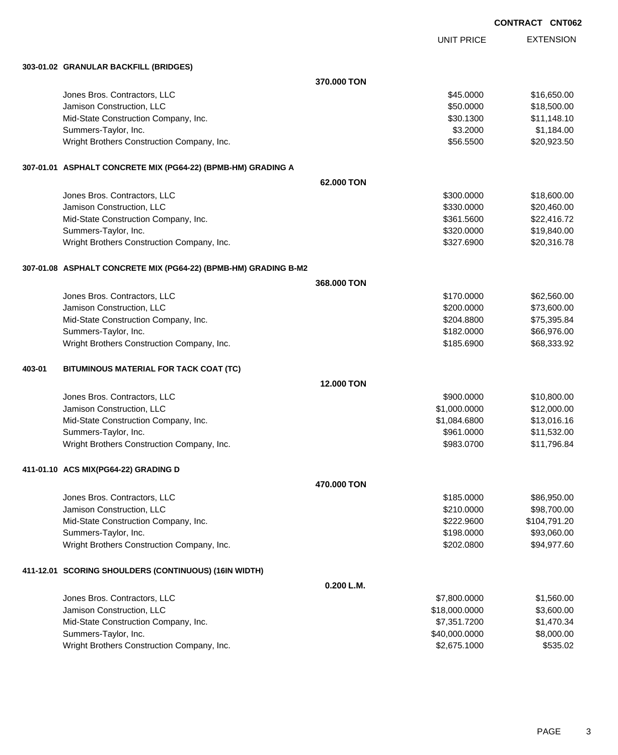UNIT PRICE EXTENSION

**303-01.02 GRANULAR BACKFILL (BRIDGES)**

|        | 303-01.02  GRANULAR BACKFILL (BRIDGES)                          |                   |               |              |
|--------|-----------------------------------------------------------------|-------------------|---------------|--------------|
|        |                                                                 | 370,000 TON       |               |              |
|        | Jones Bros. Contractors, LLC                                    |                   | \$45.0000     | \$16,650.00  |
|        | Jamison Construction, LLC                                       |                   | \$50.0000     | \$18,500.00  |
|        | Mid-State Construction Company, Inc.                            |                   | \$30.1300     | \$11,148.10  |
|        | Summers-Taylor, Inc.                                            |                   | \$3.2000      | \$1,184.00   |
|        | Wright Brothers Construction Company, Inc.                      |                   | \$56.5500     | \$20,923.50  |
|        | 307-01.01 ASPHALT CONCRETE MIX (PG64-22) (BPMB-HM) GRADING A    |                   |               |              |
|        |                                                                 | 62,000 TON        |               |              |
|        | Jones Bros. Contractors, LLC                                    |                   | \$300.0000    | \$18,600.00  |
|        | Jamison Construction, LLC                                       |                   | \$330.0000    | \$20,460.00  |
|        | Mid-State Construction Company, Inc.                            |                   | \$361.5600    | \$22,416.72  |
|        | Summers-Taylor, Inc.                                            |                   | \$320.0000    | \$19,840.00  |
|        | Wright Brothers Construction Company, Inc.                      |                   | \$327.6900    | \$20,316.78  |
|        | 307-01.08 ASPHALT CONCRETE MIX (PG64-22) (BPMB-HM) GRADING B-M2 |                   |               |              |
|        |                                                                 | 368,000 TON       |               |              |
|        | Jones Bros. Contractors, LLC                                    |                   | \$170.0000    | \$62,560.00  |
|        | Jamison Construction, LLC                                       |                   | \$200.0000    | \$73,600.00  |
|        | Mid-State Construction Company, Inc.                            |                   | \$204.8800    | \$75,395.84  |
|        | Summers-Taylor, Inc.                                            |                   | \$182.0000    | \$66,976.00  |
|        | Wright Brothers Construction Company, Inc.                      |                   | \$185.6900    | \$68,333.92  |
| 403-01 | BITUMINOUS MATERIAL FOR TACK COAT (TC)                          |                   |               |              |
|        |                                                                 | <b>12,000 TON</b> |               |              |
|        | Jones Bros. Contractors, LLC                                    |                   | \$900.0000    | \$10,800.00  |
|        | Jamison Construction, LLC                                       |                   | \$1,000.0000  | \$12,000.00  |
|        | Mid-State Construction Company, Inc.                            |                   | \$1,084.6800  | \$13,016.16  |
|        | Summers-Taylor, Inc.                                            |                   | \$961.0000    | \$11,532.00  |
|        | Wright Brothers Construction Company, Inc.                      |                   | \$983.0700    | \$11,796.84  |
|        | 411-01.10 ACS MIX(PG64-22) GRADING D                            |                   |               |              |
|        |                                                                 | 470.000 TON       |               |              |
|        | Jones Bros. Contractors, LLC                                    |                   | \$185.0000    | \$86,950.00  |
|        | Jamison Construction, LLC                                       |                   | \$210.0000    | \$98,700.00  |
|        | Mid-State Construction Company, Inc.                            |                   | \$222.9600    | \$104,791.20 |
|        | Summers-Taylor, Inc.                                            |                   | \$198.0000    | \$93,060.00  |
|        | Wright Brothers Construction Company, Inc.                      |                   | \$202.0800    | \$94,977.60  |
|        | 411-12.01 SCORING SHOULDERS (CONTINUOUS) (16IN WIDTH)           |                   |               |              |
|        |                                                                 | 0.200 L.M.        |               |              |
|        | Jones Bros. Contractors, LLC                                    |                   | \$7,800.0000  | \$1,560.00   |
|        | Jamison Construction, LLC                                       |                   | \$18,000.0000 | \$3,600.00   |
|        | Mid-State Construction Company, Inc.                            |                   | \$7,351.7200  | \$1,470.34   |
|        | Summers-Taylor, Inc.                                            |                   | \$40,000.0000 | \$8,000.00   |
|        | Wright Brothers Construction Company, Inc.                      |                   | \$2,675.1000  | \$535.02     |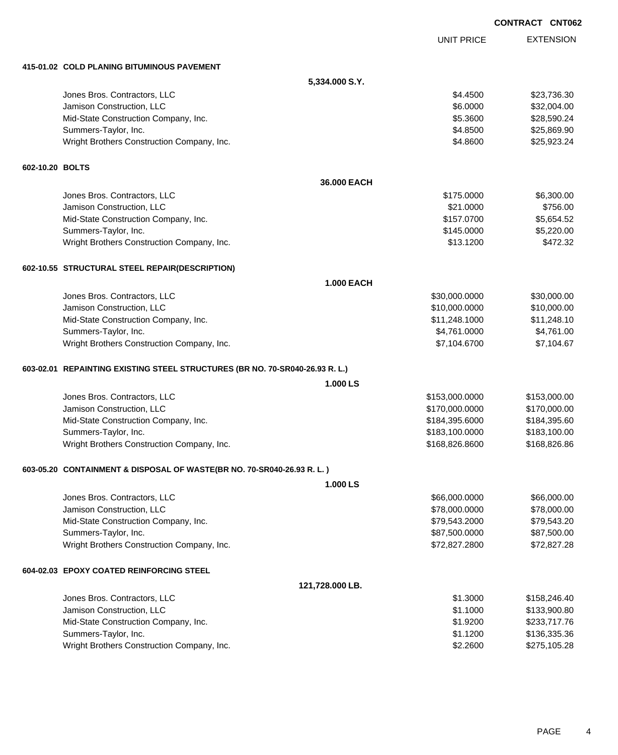|                 |                                                                              |                   |                   | <b>CONTRACT CNT06</b> |
|-----------------|------------------------------------------------------------------------------|-------------------|-------------------|-----------------------|
|                 |                                                                              |                   | <b>UNIT PRICE</b> | <b>EXTENSION</b>      |
|                 | 415-01.02 COLD PLANING BITUMINOUS PAVEMENT                                   |                   |                   |                       |
|                 |                                                                              | 5,334.000 S.Y.    |                   |                       |
|                 | Jones Bros. Contractors, LLC                                                 |                   | \$4.4500          | \$23,736.30           |
|                 | Jamison Construction, LLC                                                    |                   | \$6.0000          | \$32,004.00           |
|                 | Mid-State Construction Company, Inc.                                         |                   | \$5.3600          | \$28,590.24           |
|                 | Summers-Taylor, Inc.                                                         |                   | \$4.8500          | \$25,869.90           |
|                 | Wright Brothers Construction Company, Inc.                                   |                   | \$4.8600          | \$25,923.24           |
| 602-10.20 BOLTS |                                                                              |                   |                   |                       |
|                 |                                                                              | 36.000 EACH       |                   |                       |
|                 | Jones Bros. Contractors, LLC                                                 |                   | \$175.0000        | \$6,300.00            |
|                 | Jamison Construction, LLC                                                    |                   | \$21.0000         | \$756.00              |
|                 | Mid-State Construction Company, Inc.                                         |                   | \$157.0700        | \$5,654.52            |
|                 | Summers-Taylor, Inc.                                                         |                   | \$145.0000        | \$5,220.00            |
|                 | Wright Brothers Construction Company, Inc.                                   |                   | \$13.1200         | \$472.32              |
|                 | 602-10.55 STRUCTURAL STEEL REPAIR(DESCRIPTION)                               |                   |                   |                       |
|                 |                                                                              | <b>1.000 EACH</b> |                   |                       |
|                 | Jones Bros. Contractors, LLC                                                 |                   | \$30,000.0000     | \$30,000.00           |
|                 | Jamison Construction, LLC                                                    |                   | \$10,000.0000     | \$10,000.00           |
|                 | Mid-State Construction Company, Inc.                                         |                   | \$11,248.1000     | \$11,248.10           |
|                 | Summers-Taylor, Inc.                                                         |                   | \$4,761.0000      | \$4,761.00            |
|                 | Wright Brothers Construction Company, Inc.                                   |                   | \$7,104.6700      | \$7,104.67            |
|                 | 603-02.01 REPAINTING EXISTING STEEL STRUCTURES (BR NO. 70-SR040-26.93 R. L.) |                   |                   |                       |
|                 |                                                                              | 1.000 LS          |                   |                       |
|                 | Jones Bros. Contractors, LLC                                                 |                   | \$153,000.0000    | \$153,000.00          |
|                 | Jamison Construction, LLC                                                    |                   | \$170,000.0000    | \$170,000.00          |
|                 | Mid-State Construction Company, Inc.                                         |                   | \$184,395.6000    | \$184,395.60          |
|                 | Summers-Taylor, Inc.                                                         |                   | \$183,100.0000    | \$183,100.00          |
|                 | Wright Brothers Construction Company, Inc.                                   |                   | \$168,826.8600    | \$168,826.86          |
|                 | 603-05.20 CONTAINMENT & DISPOSAL OF WASTE(BR NO. 70-SR040-26.93 R. L.)       |                   |                   |                       |
|                 |                                                                              | 1.000 LS          |                   |                       |
|                 | Jones Bros. Contractors, LLC                                                 |                   | \$66,000.0000     | \$66,000.00           |
|                 | Jamison Construction, LLC                                                    |                   | \$78,000.0000     | \$78,000.00           |
|                 | Mid-State Construction Company, Inc.                                         |                   | \$79,543.2000     | \$79,543.20           |
|                 | Summers-Taylor, Inc.                                                         |                   | \$87,500.0000     | \$87,500.00           |
|                 | Wright Brothers Construction Company, Inc.                                   |                   | \$72,827.2800     | \$72,827.28           |
|                 | 604-02.03 EPOXY COATED REINFORCING STEEL                                     |                   |                   |                       |
|                 |                                                                              | 121,728.000 LB.   |                   |                       |
|                 | Jones Bros. Contractors, LLC                                                 |                   | \$1.3000          | \$158,246.40          |
|                 | Jamison Construction, LLC                                                    |                   | \$1.1000          | \$133,900.80          |
|                 | Mid-State Construction Company, Inc.                                         |                   | \$1.9200          | \$233,717.76          |
|                 | Summers-Taylor, Inc.                                                         |                   | \$1.1200          | \$136,335.36          |
|                 | Wright Brothers Construction Company, Inc.                                   |                   | \$2.2600          | \$275,105.28          |

**CO**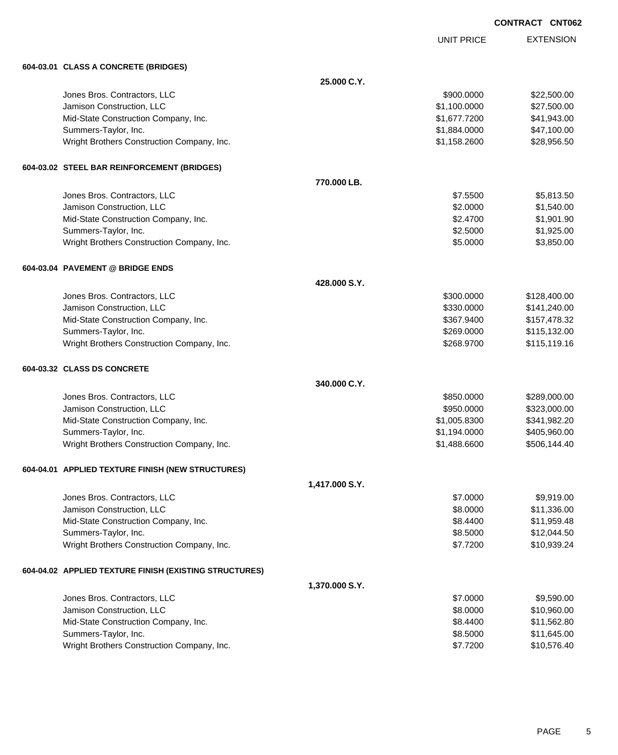|  | <b>CONTRACT CNT062</b> |
|--|------------------------|
|  |                        |

UNIT PRICE

| 604-03.01 CLASS A CONCRETE (BRIDGES)                   |                |              |              |
|--------------------------------------------------------|----------------|--------------|--------------|
|                                                        | 25.000 C.Y.    |              |              |
| Jones Bros. Contractors, LLC                           |                | \$900.0000   | \$22,500.00  |
| Jamison Construction, LLC                              |                | \$1,100.0000 | \$27,500.00  |
| Mid-State Construction Company, Inc.                   |                | \$1,677.7200 | \$41,943.00  |
| Summers-Taylor, Inc.                                   |                | \$1,884.0000 | \$47,100.00  |
| Wright Brothers Construction Company, Inc.             |                | \$1,158.2600 | \$28,956.50  |
| 604-03.02 STEEL BAR REINFORCEMENT (BRIDGES)            |                |              |              |
|                                                        | 770.000 LB.    |              |              |
| Jones Bros. Contractors, LLC                           |                | \$7.5500     | \$5,813.50   |
| Jamison Construction, LLC                              |                | \$2.0000     | \$1,540.00   |
| Mid-State Construction Company, Inc.                   |                | \$2.4700     | \$1,901.90   |
| Summers-Taylor, Inc.                                   |                | \$2.5000     | \$1,925.00   |
| Wright Brothers Construction Company, Inc.             |                | \$5.0000     | \$3,850.00   |
| 604-03.04 PAVEMENT @ BRIDGE ENDS                       |                |              |              |
|                                                        | 428,000 S.Y.   |              |              |
| Jones Bros. Contractors, LLC                           |                | \$300.0000   | \$128,400.00 |
| Jamison Construction, LLC                              |                | \$330.0000   | \$141,240.00 |
| Mid-State Construction Company, Inc.                   |                | \$367.9400   | \$157,478.32 |
| Summers-Taylor, Inc.                                   |                | \$269.0000   | \$115,132.00 |
| Wright Brothers Construction Company, Inc.             |                | \$268.9700   | \$115,119.16 |
| 604-03.32 CLASS DS CONCRETE                            |                |              |              |
|                                                        | 340,000 C.Y.   |              |              |
| Jones Bros. Contractors, LLC                           |                | \$850.0000   | \$289,000.00 |
| Jamison Construction, LLC                              |                | \$950.0000   | \$323,000.00 |
| Mid-State Construction Company, Inc.                   |                | \$1,005.8300 | \$341,982.20 |
| Summers-Taylor, Inc.                                   |                | \$1,194.0000 | \$405,960.00 |
| Wright Brothers Construction Company, Inc.             |                | \$1,488.6600 | \$506,144.40 |
| 604-04.01 APPLIED TEXTURE FINISH (NEW STRUCTURES)      |                |              |              |
|                                                        | 1,417.000 S.Y. |              |              |
| Jones Bros. Contractors, LLC                           |                | \$7.0000     | \$9,919.00   |
| Jamison Construction, LLC                              |                | \$8.0000     | \$11,336.00  |
| Mid-State Construction Company, Inc.                   |                | \$8.4400     | \$11,959.48  |
| Summers-Taylor, Inc.                                   |                | \$8.5000     | \$12,044.50  |
| Wright Brothers Construction Company, Inc.             |                | \$7.7200     | \$10,939.24  |
| 604-04.02 APPLIED TEXTURE FINISH (EXISTING STRUCTURES) |                |              |              |
|                                                        | 1,370.000 S.Y. |              |              |
| Jones Bros. Contractors, LLC                           |                | \$7.0000     | \$9,590.00   |
| Jamison Construction, LLC                              |                | \$8.0000     | \$10,960.00  |
| Mid-State Construction Company, Inc.                   |                | \$8.4400     | \$11,562.80  |
| Summers-Taylor, Inc.                                   |                | \$8.5000     | \$11,645.00  |
| Wright Brothers Construction Company, Inc.             |                | \$7.7200     | \$10,576.40  |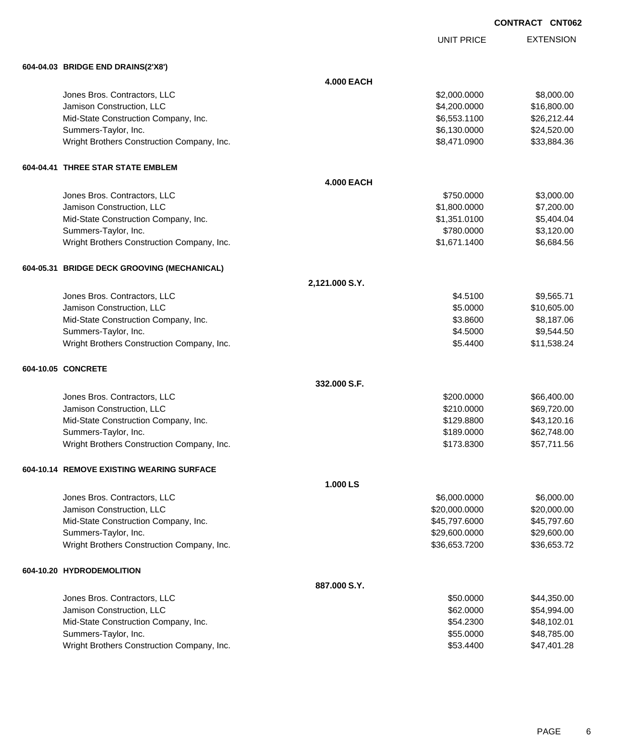|  | <b>CONTRACT CNT062</b> |
|--|------------------------|
|  |                        |

UNIT PRICE

| 604-04.03 BRIDGE END DRAINS(2'X8')          |                   |               |             |
|---------------------------------------------|-------------------|---------------|-------------|
|                                             | <b>4.000 EACH</b> |               |             |
| Jones Bros. Contractors, LLC                |                   | \$2,000.0000  | \$8,000.00  |
| Jamison Construction, LLC                   |                   | \$4,200.0000  | \$16,800.00 |
| Mid-State Construction Company, Inc.        |                   | \$6,553.1100  | \$26,212.44 |
| Summers-Taylor, Inc.                        |                   | \$6,130.0000  | \$24,520.00 |
| Wright Brothers Construction Company, Inc.  |                   | \$8,471.0900  | \$33,884.36 |
| 604-04.41 THREE STAR STATE EMBLEM           |                   |               |             |
|                                             | <b>4.000 EACH</b> |               |             |
| Jones Bros. Contractors, LLC                |                   | \$750.0000    | \$3,000.00  |
| Jamison Construction, LLC                   |                   | \$1,800.0000  | \$7,200.00  |
| Mid-State Construction Company, Inc.        |                   | \$1,351.0100  | \$5,404.04  |
| Summers-Taylor, Inc.                        |                   | \$780.0000    | \$3,120.00  |
| Wright Brothers Construction Company, Inc.  |                   | \$1,671.1400  | \$6,684.56  |
| 604-05.31 BRIDGE DECK GROOVING (MECHANICAL) |                   |               |             |
|                                             | 2,121.000 S.Y.    |               |             |
| Jones Bros. Contractors, LLC                |                   | \$4.5100      | \$9,565.71  |
| Jamison Construction, LLC                   |                   | \$5.0000      | \$10,605.00 |
| Mid-State Construction Company, Inc.        |                   | \$3.8600      | \$8,187.06  |
| Summers-Taylor, Inc.                        |                   | \$4.5000      | \$9,544.50  |
| Wright Brothers Construction Company, Inc.  |                   | \$5.4400      | \$11,538.24 |
| 604-10.05 CONCRETE                          |                   |               |             |
|                                             | 332,000 S.F.      |               |             |
| Jones Bros. Contractors, LLC                |                   | \$200.0000    | \$66,400.00 |
| Jamison Construction, LLC                   |                   | \$210.0000    | \$69,720.00 |
| Mid-State Construction Company, Inc.        |                   | \$129.8800    | \$43,120.16 |
| Summers-Taylor, Inc.                        |                   | \$189.0000    | \$62,748.00 |
| Wright Brothers Construction Company, Inc.  |                   | \$173.8300    | \$57,711.56 |
| 604-10.14 REMOVE EXISTING WEARING SURFACE   |                   |               |             |
|                                             | 1.000 LS          |               |             |
| Jones Bros. Contractors, LLC                |                   | \$6,000.0000  | \$6,000.00  |
| Jamison Construction, LLC                   |                   | \$20,000.0000 | \$20,000.00 |
| Mid-State Construction Company, Inc.        |                   | \$45,797.6000 | \$45,797.60 |
| Summers-Taylor, Inc.                        |                   | \$29,600.0000 | \$29,600.00 |
| Wright Brothers Construction Company, Inc.  |                   | \$36,653.7200 | \$36,653.72 |
| 604-10.20 HYDRODEMOLITION                   |                   |               |             |
|                                             | 887.000 S.Y.      |               |             |
| Jones Bros. Contractors, LLC                |                   | \$50.0000     | \$44,350.00 |
| Jamison Construction, LLC                   |                   | \$62.0000     | \$54,994.00 |
| Mid-State Construction Company, Inc.        |                   | \$54.2300     | \$48,102.01 |
| Summers-Taylor, Inc.                        |                   | \$55.0000     | \$48,785.00 |
| Wright Brothers Construction Company, Inc.  |                   | \$53.4400     | \$47,401.28 |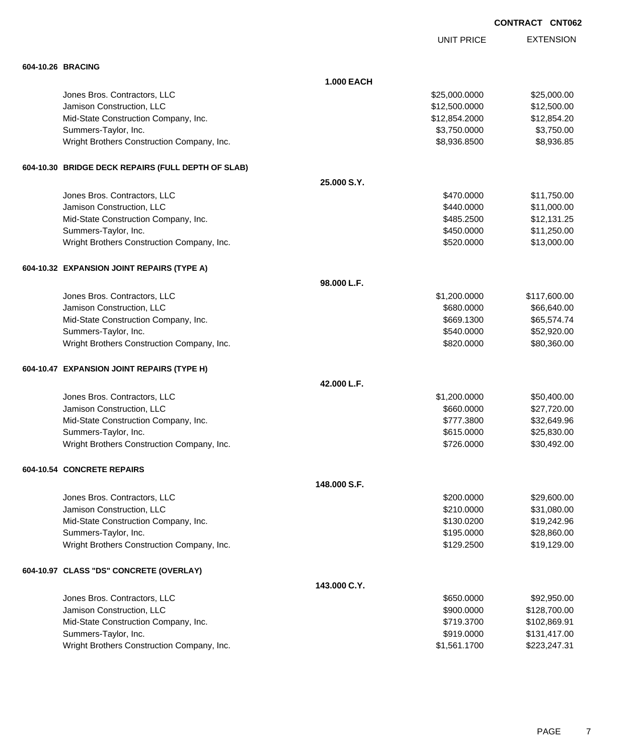|                                                    |                   | <b>UNIT PRICE</b> | <b>EXTENSION</b> |
|----------------------------------------------------|-------------------|-------------------|------------------|
| 604-10.26 BRACING                                  |                   |                   |                  |
|                                                    | <b>1.000 EACH</b> |                   |                  |
| Jones Bros. Contractors, LLC                       |                   | \$25,000.0000     | \$25,000.00      |
| Jamison Construction, LLC                          |                   | \$12,500.0000     | \$12,500.00      |
| Mid-State Construction Company, Inc.               |                   | \$12,854.2000     | \$12,854.20      |
| Summers-Taylor, Inc.                               |                   | \$3,750.0000      | \$3,750.00       |
| Wright Brothers Construction Company, Inc.         |                   | \$8,936.8500      | \$8,936.85       |
| 604-10.30 BRIDGE DECK REPAIRS (FULL DEPTH OF SLAB) |                   |                   |                  |
|                                                    | 25,000 S.Y.       |                   |                  |
| Jones Bros. Contractors, LLC                       |                   | \$470.0000        | \$11,750.00      |
| Jamison Construction, LLC                          |                   | \$440.0000        | \$11,000.00      |
| Mid-State Construction Company, Inc.               |                   | \$485.2500        | \$12,131.25      |
| Summers-Taylor, Inc.                               |                   | \$450.0000        | \$11,250.00      |
| Wright Brothers Construction Company, Inc.         |                   | \$520.0000        | \$13,000.00      |
| 604-10.32 EXPANSION JOINT REPAIRS (TYPE A)         |                   |                   |                  |
|                                                    | 98.000 L.F.       |                   |                  |
| Jones Bros. Contractors, LLC                       |                   | \$1,200.0000      | \$117,600.00     |
| Jamison Construction, LLC                          |                   | \$680.0000        | \$66,640.00      |
| Mid-State Construction Company, Inc.               |                   | \$669.1300        | \$65,574.74      |
| Summers-Taylor, Inc.                               |                   | \$540.0000        | \$52,920.00      |
| Wright Brothers Construction Company, Inc.         |                   | \$820.0000        | \$80,360.00      |
| 604-10.47 EXPANSION JOINT REPAIRS (TYPE H)         |                   |                   |                  |
|                                                    | 42.000 L.F.       |                   |                  |
| Jones Bros. Contractors, LLC                       |                   | \$1,200.0000      | \$50,400.00      |
| Jamison Construction, LLC                          |                   | \$660.0000        | \$27,720.00      |
| Mid-State Construction Company, Inc.               |                   | \$777.3800        | \$32,649.96      |
| Summers-Taylor, Inc.                               |                   | \$615.0000        | \$25,830.00      |
| Wright Brothers Construction Company, Inc.         |                   | \$726,0000        | \$30,492.00      |
| 604-10.54 CONCRETE REPAIRS                         |                   |                   |                  |
|                                                    | 148,000 S.F.      |                   |                  |
| Jones Bros. Contractors, LLC                       |                   | \$200.0000        | \$29,600.00      |
| Jamison Construction, LLC                          |                   | \$210.0000        | \$31,080.00      |
| Mid-State Construction Company, Inc.               |                   | \$130.0200        | \$19,242.96      |
| Summers-Taylor, Inc.                               |                   | \$195.0000        | \$28,860.00      |
| Wright Brothers Construction Company, Inc.         |                   | \$129.2500        | \$19,129.00      |
| 604-10.97 CLASS "DS" CONCRETE (OVERLAY)            |                   |                   |                  |
|                                                    | 143,000 C.Y.      |                   |                  |
| Jones Bros. Contractors, LLC                       |                   | \$650.0000        | \$92,950.00      |
| Jamison Construction, LLC                          |                   | \$900.0000        | \$128,700.00     |
| Mid-State Construction Company, Inc.               |                   | \$719.3700        | \$102,869.91     |
| Summers-Taylor, Inc.                               |                   | \$919.0000        | \$131,417.00     |
| Wright Brothers Construction Company, Inc.         |                   | \$1,561.1700      | \$223,247.31     |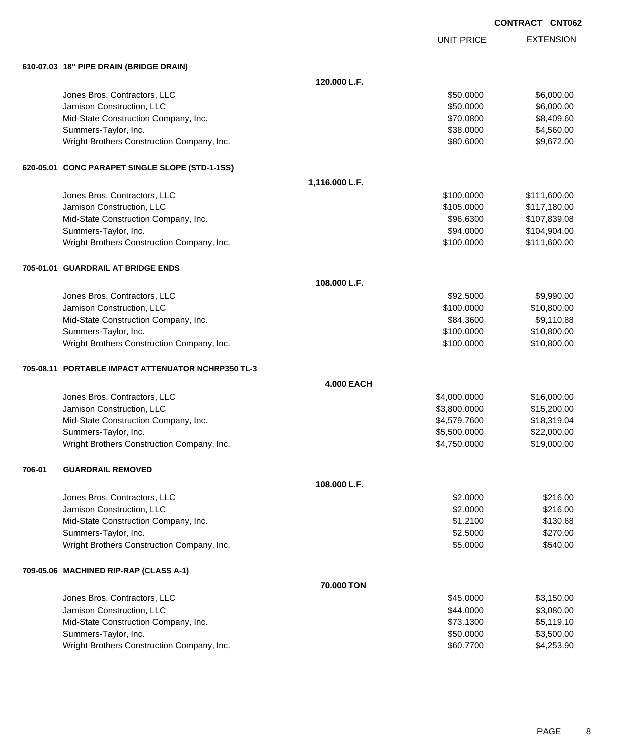| <b>CONTRACT</b> | <b>CNT062</b> |
|-----------------|---------------|
|                 |               |

|        |                                                    |                   |                   | <b>UNIVO</b>     |
|--------|----------------------------------------------------|-------------------|-------------------|------------------|
|        |                                                    |                   | <b>UNIT PRICE</b> | <b>EXTENSION</b> |
|        | 610-07.03 18" PIPE DRAIN (BRIDGE DRAIN)            |                   |                   |                  |
|        |                                                    | 120.000 L.F.      |                   |                  |
|        | Jones Bros. Contractors, LLC                       |                   | \$50.0000         | \$6,000.00       |
|        | Jamison Construction, LLC                          |                   | \$50.0000         | \$6,000.00       |
|        | Mid-State Construction Company, Inc.               |                   | \$70.0800         | \$8,409.60       |
|        | Summers-Taylor, Inc.                               |                   | \$38.0000         | \$4,560.00       |
|        | Wright Brothers Construction Company, Inc.         |                   | \$80.6000         | \$9,672.00       |
|        | 620-05.01 CONC PARAPET SINGLE SLOPE (STD-1-1SS)    |                   |                   |                  |
|        |                                                    | 1,116.000 L.F.    |                   |                  |
|        | Jones Bros. Contractors, LLC                       |                   | \$100.0000        | \$111,600.00     |
|        | Jamison Construction, LLC                          |                   | \$105.0000        | \$117,180.00     |
|        | Mid-State Construction Company, Inc.               |                   | \$96.6300         | \$107,839.08     |
|        | Summers-Taylor, Inc.                               |                   | \$94.0000         | \$104,904.00     |
|        | Wright Brothers Construction Company, Inc.         |                   | \$100.0000        | \$111,600.00     |
|        | 705-01.01 GUARDRAIL AT BRIDGE ENDS                 |                   |                   |                  |
|        |                                                    | 108.000 L.F.      |                   |                  |
|        | Jones Bros. Contractors, LLC                       |                   | \$92.5000         | \$9,990.00       |
|        | Jamison Construction, LLC                          |                   | \$100.0000        | \$10,800.00      |
|        | Mid-State Construction Company, Inc.               |                   | \$84.3600         | \$9,110.88       |
|        | Summers-Taylor, Inc.                               |                   | \$100.0000        | \$10,800.00      |
|        | Wright Brothers Construction Company, Inc.         |                   | \$100.0000        | \$10,800.00      |
|        | 705-08.11 PORTABLE IMPACT ATTENUATOR NCHRP350 TL-3 |                   |                   |                  |
|        |                                                    | <b>4.000 EACH</b> |                   |                  |
|        | Jones Bros. Contractors, LLC                       |                   | \$4,000.0000      | \$16,000.00      |
|        | Jamison Construction, LLC                          |                   | \$3,800.0000      | \$15,200.00      |
|        | Mid-State Construction Company, Inc.               |                   | \$4,579.7600      | \$18,319.04      |
|        | Summers-Taylor, Inc.                               |                   | \$5,500.0000      | \$22,000.00      |
|        | Wright Brothers Construction Company, Inc.         |                   | \$4,750.0000      | \$19,000.00      |
| 706-01 | <b>GUARDRAIL REMOVED</b>                           |                   |                   |                  |
|        |                                                    | 108.000 L.F.      |                   |                  |
|        | Jones Bros. Contractors, LLC                       |                   | \$2.0000          | \$216.00         |
|        | Jamison Construction, LLC                          |                   | \$2.0000          | \$216.00         |
|        | Mid-State Construction Company, Inc.               |                   | \$1.2100          | \$130.68         |
|        | Summers-Taylor, Inc.                               |                   | \$2.5000          | \$270.00         |
|        | Wright Brothers Construction Company, Inc.         |                   | \$5.0000          | \$540.00         |
|        | 709-05.06 MACHINED RIP-RAP (CLASS A-1)             |                   |                   |                  |
|        |                                                    | 70,000 TON        |                   |                  |
|        | Jones Bros. Contractors, LLC                       |                   | \$45.0000         | \$3,150.00       |
|        | Jamison Construction, LLC                          |                   | \$44.0000         | \$3,080.00       |
|        | Mid-State Construction Company, Inc.               |                   | \$73.1300         | \$5,119.10       |
|        | Summers-Taylor, Inc.                               |                   | \$50.0000         | \$3,500.00       |
|        | Wright Brothers Construction Company, Inc.         |                   | \$60.7700         | \$4,253.90       |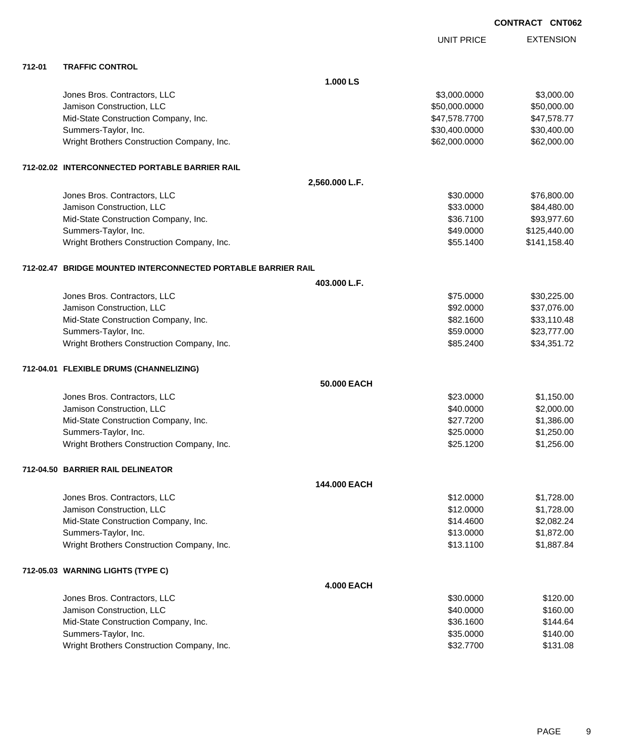UNIT PRICE

EXTENSION

| 712-01 | <b>TRAFFIC CONTROL</b>                                        |                   |               |              |
|--------|---------------------------------------------------------------|-------------------|---------------|--------------|
|        |                                                               | 1.000 LS          |               |              |
|        | Jones Bros. Contractors, LLC                                  |                   | \$3,000.0000  | \$3,000.00   |
|        | Jamison Construction, LLC                                     |                   | \$50,000.0000 | \$50,000.00  |
|        | Mid-State Construction Company, Inc.                          |                   | \$47,578.7700 | \$47,578.77  |
|        | Summers-Taylor, Inc.                                          |                   | \$30,400.0000 | \$30,400.00  |
|        | Wright Brothers Construction Company, Inc.                    |                   | \$62,000.0000 | \$62,000.00  |
|        | 712-02.02 INTERCONNECTED PORTABLE BARRIER RAIL                |                   |               |              |
|        |                                                               | 2,560.000 L.F.    |               |              |
|        | Jones Bros. Contractors, LLC                                  |                   | \$30.0000     | \$76,800.00  |
|        | Jamison Construction, LLC                                     |                   | \$33.0000     | \$84,480.00  |
|        | Mid-State Construction Company, Inc.                          |                   | \$36.7100     | \$93,977.60  |
|        | Summers-Taylor, Inc.                                          |                   | \$49.0000     | \$125,440.00 |
|        | Wright Brothers Construction Company, Inc.                    |                   | \$55.1400     | \$141,158.40 |
|        | 712-02.47 BRIDGE MOUNTED INTERCONNECTED PORTABLE BARRIER RAIL |                   |               |              |
|        |                                                               | 403.000 L.F.      |               |              |
|        | Jones Bros. Contractors, LLC                                  |                   | \$75,0000     | \$30,225.00  |
|        | Jamison Construction, LLC                                     |                   | \$92.0000     | \$37,076.00  |
|        | Mid-State Construction Company, Inc.                          |                   | \$82.1600     | \$33,110.48  |
|        | Summers-Taylor, Inc.                                          |                   | \$59.0000     | \$23,777.00  |
|        | Wright Brothers Construction Company, Inc.                    |                   | \$85.2400     | \$34,351.72  |
|        |                                                               |                   |               |              |
|        | 712-04.01 FLEXIBLE DRUMS (CHANNELIZING)                       |                   |               |              |
|        |                                                               | 50,000 EACH       |               |              |
|        | Jones Bros. Contractors, LLC                                  |                   | \$23.0000     | \$1,150.00   |
|        | Jamison Construction, LLC                                     |                   | \$40.0000     | \$2,000.00   |
|        | Mid-State Construction Company, Inc.                          |                   | \$27.7200     | \$1,386.00   |
|        | Summers-Taylor, Inc.                                          |                   | \$25.0000     | \$1,250.00   |
|        | Wright Brothers Construction Company, Inc.                    |                   | \$25.1200     | \$1,256.00   |
|        | 712-04.50 BARRIER RAIL DELINEATOR                             |                   |               |              |
|        |                                                               | 144.000 EACH      |               |              |
|        | Jones Bros. Contractors, LLC                                  |                   | \$12.0000     | \$1,728.00   |
|        | Jamison Construction, LLC                                     |                   | \$12.0000     | \$1,728.00   |
|        | Mid-State Construction Company, Inc.                          |                   | \$14.4600     | \$2,082.24   |
|        | Summers-Taylor, Inc.                                          |                   | \$13.0000     | \$1,872.00   |
|        | Wright Brothers Construction Company, Inc.                    |                   | \$13.1100     | \$1,887.84   |
|        | 712-05.03 WARNING LIGHTS (TYPE C)                             |                   |               |              |
|        |                                                               | <b>4.000 EACH</b> |               |              |
|        | Jones Bros. Contractors, LLC                                  |                   | \$30.0000     | \$120.00     |
|        | Jamison Construction, LLC                                     |                   | \$40.0000     | \$160.00     |
|        | Mid-State Construction Company, Inc.                          |                   | \$36.1600     | \$144.64     |
|        | Summers-Taylor, Inc.                                          |                   | \$35.0000     | \$140.00     |
|        |                                                               |                   |               |              |

Wright Brothers Construction Company, Inc. 6. The State of the State of State State State State State State State State State State State State State State State State State State State State State State State State State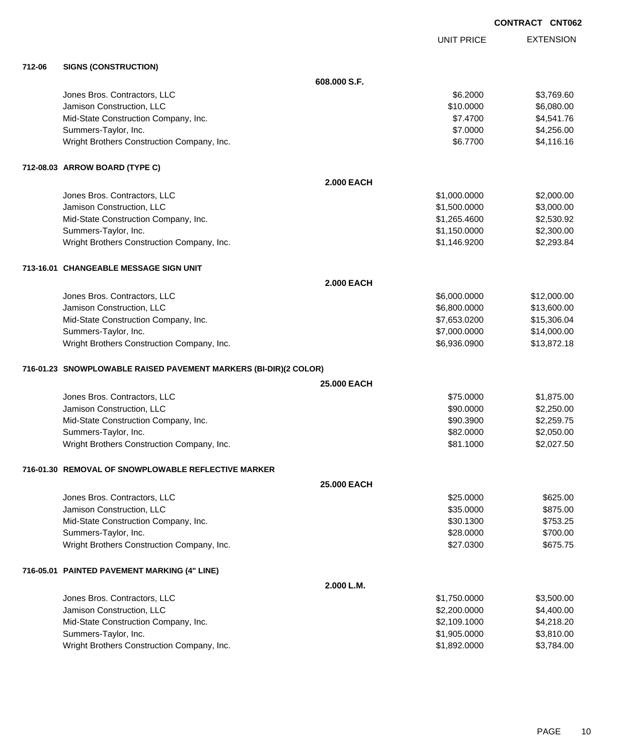| <b>CONTRACT CNT062</b> |  |
|------------------------|--|
|                        |  |

UNIT PRICE

| 712-06 | <b>SIGNS (CONSTRUCTION)</b> |
|--------|-----------------------------|

| 712-06 | <b>SIGNS (CONSTRUCTION)</b>                                      |                    |              |             |
|--------|------------------------------------------------------------------|--------------------|--------------|-------------|
|        |                                                                  | 608.000 S.F.       |              |             |
|        | Jones Bros. Contractors, LLC                                     |                    | \$6.2000     | \$3,769.60  |
|        | Jamison Construction, LLC                                        |                    | \$10.0000    | \$6,080.00  |
|        | Mid-State Construction Company, Inc.                             |                    | \$7.4700     | \$4,541.76  |
|        | Summers-Taylor, Inc.                                             |                    | \$7.0000     | \$4,256.00  |
|        | Wright Brothers Construction Company, Inc.                       |                    | \$6.7700     | \$4,116.16  |
|        | 712-08.03 ARROW BOARD (TYPE C)                                   |                    |              |             |
|        |                                                                  | <b>2.000 EACH</b>  |              |             |
|        | Jones Bros. Contractors, LLC                                     |                    | \$1,000.0000 | \$2,000.00  |
|        | Jamison Construction, LLC                                        |                    | \$1,500.0000 | \$3,000.00  |
|        | Mid-State Construction Company, Inc.                             |                    | \$1,265.4600 | \$2,530.92  |
|        | Summers-Taylor, Inc.                                             |                    | \$1,150.0000 | \$2,300.00  |
|        | Wright Brothers Construction Company, Inc.                       |                    | \$1,146.9200 | \$2,293.84  |
|        | 713-16.01 CHANGEABLE MESSAGE SIGN UNIT                           |                    |              |             |
|        |                                                                  | <b>2.000 EACH</b>  |              |             |
|        | Jones Bros. Contractors, LLC                                     |                    | \$6,000.0000 | \$12,000.00 |
|        | Jamison Construction, LLC                                        |                    | \$6,800.0000 | \$13,600.00 |
|        | Mid-State Construction Company, Inc.                             |                    | \$7,653.0200 | \$15,306.04 |
|        | Summers-Taylor, Inc.                                             |                    | \$7,000.0000 | \$14,000.00 |
|        | Wright Brothers Construction Company, Inc.                       |                    | \$6,936.0900 | \$13,872.18 |
|        | 716-01.23 SNOWPLOWABLE RAISED PAVEMENT MARKERS (BI-DIR)(2 COLOR) |                    |              |             |
|        |                                                                  | 25.000 EACH        |              |             |
|        | Jones Bros. Contractors, LLC                                     |                    | \$75.0000    | \$1,875.00  |
|        | Jamison Construction, LLC                                        |                    | \$90.0000    | \$2,250.00  |
|        | Mid-State Construction Company, Inc.                             |                    | \$90.3900    | \$2,259.75  |
|        | Summers-Taylor, Inc.                                             |                    | \$82.0000    | \$2,050.00  |
|        | Wright Brothers Construction Company, Inc.                       |                    | \$81.1000    | \$2,027.50  |
|        | 716-01.30 REMOVAL OF SNOWPLOWABLE REFLECTIVE MARKER              |                    |              |             |
|        |                                                                  | <b>25,000 EACH</b> |              |             |
|        | Jones Bros. Contractors, LLC                                     |                    | \$25.0000    | \$625.00    |
|        | Jamison Construction, LLC                                        |                    | \$35.0000    | \$875.00    |
|        | Mid-State Construction Company, Inc.                             |                    | \$30.1300    | \$753.25    |
|        | Summers-Taylor, Inc.                                             |                    | \$28.0000    | \$700.00    |
|        | Wright Brothers Construction Company, Inc.                       |                    | \$27.0300    | \$675.75    |
|        | 716-05.01 PAINTED PAVEMENT MARKING (4" LINE)                     |                    |              |             |
|        |                                                                  | 2.000 L.M.         |              |             |
|        | Jones Bros. Contractors, LLC                                     |                    | \$1,750.0000 | \$3,500.00  |
|        | Jamison Construction, LLC                                        |                    | \$2,200.0000 | \$4,400.00  |
|        | Mid-State Construction Company, Inc.                             |                    | \$2,109.1000 | \$4,218.20  |
|        | Summers-Taylor, Inc.                                             |                    | \$1,905.0000 | \$3,810.00  |
|        | Wright Brothers Construction Company, Inc.                       |                    | \$1,892.0000 | \$3,784.00  |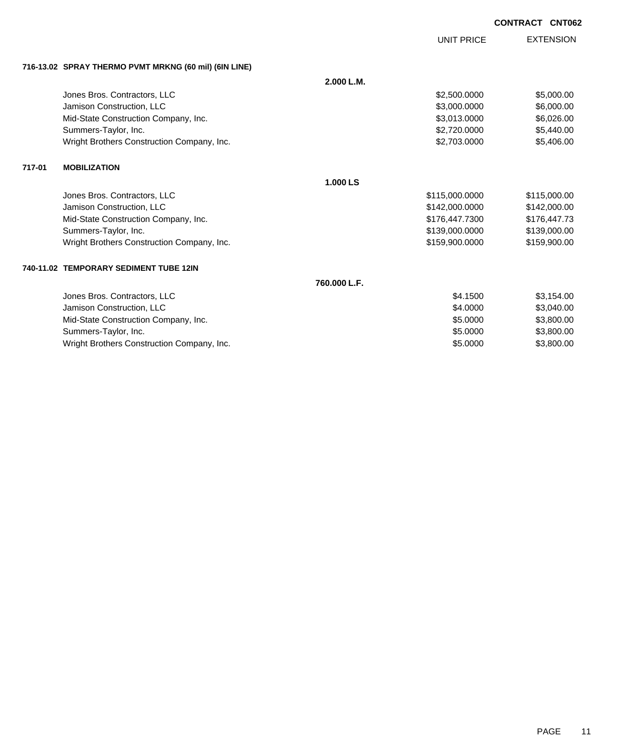UNIT PRICE

EXTENSION

| 716-13.02 SPRAY THERMO PVMT MRKNG (60 mil) (6IN LINE) |  |  |
|-------------------------------------------------------|--|--|
|                                                       |  |  |

|        |                                            | 2.000 L.M. |                |              |
|--------|--------------------------------------------|------------|----------------|--------------|
|        | Jones Bros. Contractors, LLC               |            | \$2,500.0000   | \$5,000.00   |
|        | Jamison Construction, LLC                  |            | \$3,000.0000   | \$6,000.00   |
|        | Mid-State Construction Company, Inc.       |            | \$3,013.0000   | \$6,026.00   |
|        | Summers-Taylor, Inc.                       |            | \$2,720.0000   | \$5,440.00   |
|        | Wright Brothers Construction Company, Inc. |            | \$2,703.0000   | \$5,406.00   |
| 717-01 | <b>MOBILIZATION</b>                        |            |                |              |
|        |                                            | 1.000 LS   |                |              |
|        | Jones Bros. Contractors, LLC               |            | \$115,000.0000 | \$115,000.00 |
|        | Jamison Construction, LLC                  |            | \$142,000,0000 | \$142.000.00 |

| Jamison Construction, LLC                  | \$142.000.0000 | \$142,000.00 |
|--------------------------------------------|----------------|--------------|
| Mid-State Construction Company, Inc.       | \$176.447.7300 | \$176.447.73 |
| Summers-Taylor, Inc.                       | \$139,000,0000 | \$139,000.00 |
| Wright Brothers Construction Company, Inc. | \$159.900.0000 | \$159,900.00 |
|                                            |                |              |

### **740-11.02 TEMPORARY SEDIMENT TUBE 12IN**

**760.000 L.F.**

| Jones Bros. Contractors, LLC               | \$4.1500 | \$3.154.00 |
|--------------------------------------------|----------|------------|
| Jamison Construction, LLC                  | \$4,0000 | \$3,040,00 |
| Mid-State Construction Company, Inc.       | \$5,0000 | \$3,800,00 |
| Summers-Taylor, Inc.                       | \$5,0000 | \$3,800,00 |
| Wright Brothers Construction Company, Inc. | \$5,0000 | \$3,800,00 |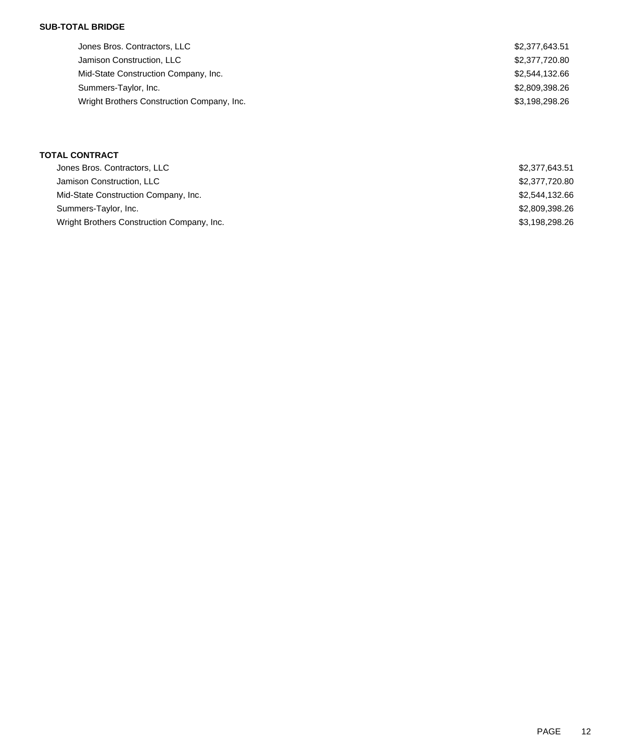### **SUB-TOTAL BRIDGE**

| Jones Bros. Contractors, LLC               | \$2,377,643.51 |
|--------------------------------------------|----------------|
| Jamison Construction, LLC                  | \$2,377,720.80 |
| Mid-State Construction Company, Inc.       | \$2,544,132.66 |
| Summers-Taylor, Inc.                       | \$2,809,398.26 |
| Wright Brothers Construction Company, Inc. | \$3,198,298.26 |

### **TOTAL CONTRACT**

| Jones Bros. Contractors, LLC               | \$2,377,643.51 |
|--------------------------------------------|----------------|
| Jamison Construction, LLC                  | \$2,377,720.80 |
| Mid-State Construction Company, Inc.       | \$2,544,132.66 |
| Summers-Taylor, Inc.                       | \$2,809,398.26 |
| Wright Brothers Construction Company, Inc. | \$3,198,298.26 |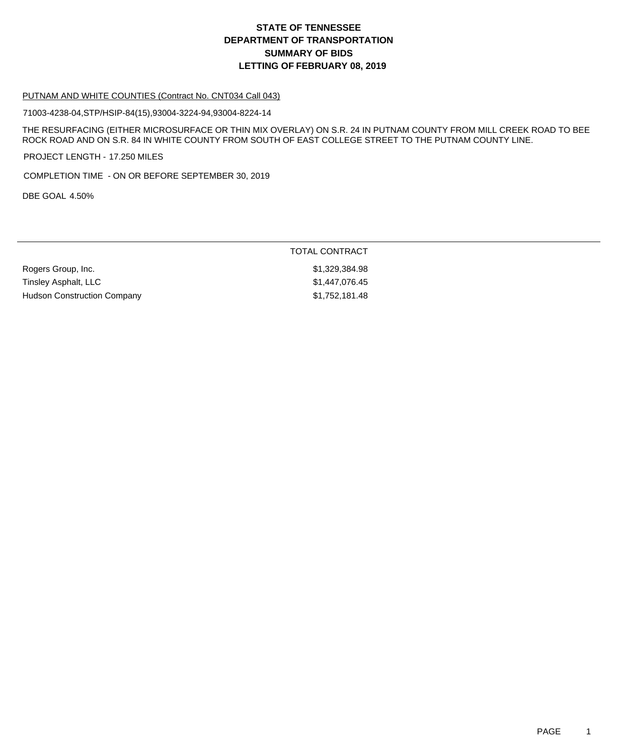## **DEPARTMENT OF TRANSPORTATION SUMMARY OF BIDS LETTING OF FEBRUARY 08, 2019 STATE OF TENNESSEE**

#### PUTNAM AND WHITE COUNTIES (Contract No. CNT034 Call 043)

71003-4238-04,STP/HSIP-84(15),93004-3224-94,93004-8224-14

THE RESURFACING (EITHER MICROSURFACE OR THIN MIX OVERLAY) ON S.R. 24 IN PUTNAM COUNTY FROM MILL CREEK ROAD TO BEE ROCK ROAD AND ON S.R. 84 IN WHITE COUNTY FROM SOUTH OF EAST COLLEGE STREET TO THE PUTNAM COUNTY LINE.

PROJECT LENGTH - 17.250 MILES

COMPLETION TIME - ON OR BEFORE SEPTEMBER 30, 2019

DBE GOAL 4.50%

|                             | TOTAL CONTRACT |
|-----------------------------|----------------|
| Rogers Group, Inc.          | \$1.329.384.98 |
| Tinsley Asphalt, LLC        | \$1.447.076.45 |
| Hudson Construction Company | \$1,752,181.48 |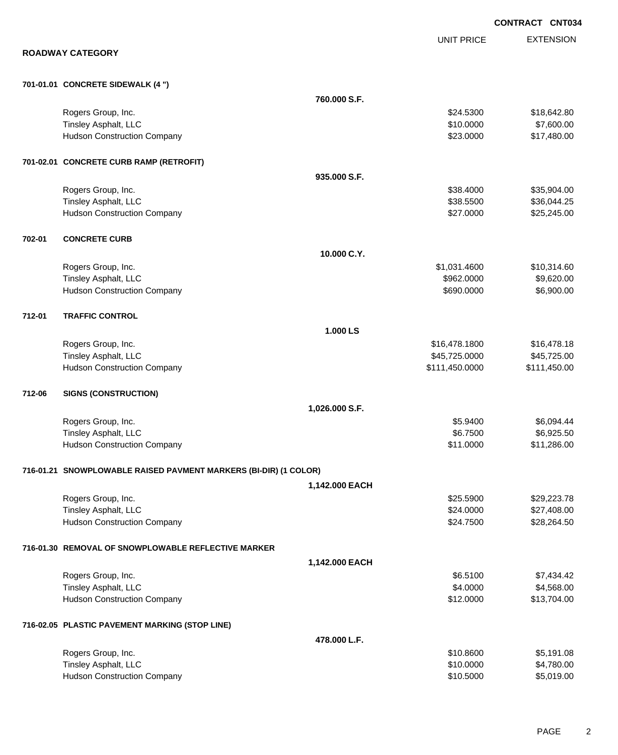|        |                                                                  |                |                   | <b>CONTRACT CNT034</b> |
|--------|------------------------------------------------------------------|----------------|-------------------|------------------------|
|        |                                                                  |                | <b>UNIT PRICE</b> | <b>EXTENSION</b>       |
|        | <b>ROADWAY CATEGORY</b>                                          |                |                   |                        |
|        | 701-01.01 CONCRETE SIDEWALK (4 ")                                |                |                   |                        |
|        |                                                                  | 760.000 S.F.   |                   |                        |
|        | Rogers Group, Inc.                                               |                | \$24.5300         | \$18,642.80            |
|        | Tinsley Asphalt, LLC                                             |                | \$10.0000         | \$7,600.00             |
|        | <b>Hudson Construction Company</b>                               |                | \$23.0000         | \$17,480.00            |
|        | 701-02.01 CONCRETE CURB RAMP (RETROFIT)                          |                |                   |                        |
|        |                                                                  | 935,000 S.F.   |                   |                        |
|        | Rogers Group, Inc.                                               |                | \$38.4000         | \$35,904.00            |
|        | Tinsley Asphalt, LLC                                             |                | \$38.5500         | \$36,044.25            |
|        | <b>Hudson Construction Company</b>                               |                | \$27.0000         | \$25,245.00            |
| 702-01 | <b>CONCRETE CURB</b>                                             |                |                   |                        |
|        |                                                                  | 10.000 C.Y.    |                   |                        |
|        | Rogers Group, Inc.                                               |                | \$1,031.4600      | \$10,314.60            |
|        | <b>Tinsley Asphalt, LLC</b>                                      |                | \$962.0000        | \$9,620.00             |
|        | <b>Hudson Construction Company</b>                               |                | \$690.0000        | \$6,900.00             |
| 712-01 | <b>TRAFFIC CONTROL</b>                                           |                |                   |                        |
|        |                                                                  | 1.000 LS       |                   |                        |
|        | Rogers Group, Inc.                                               |                | \$16,478.1800     | \$16,478.18            |
|        | Tinsley Asphalt, LLC                                             |                | \$45,725.0000     | \$45,725.00            |
|        | <b>Hudson Construction Company</b>                               |                | \$111,450.0000    | \$111,450.00           |
| 712-06 | <b>SIGNS (CONSTRUCTION)</b>                                      |                |                   |                        |
|        |                                                                  | 1,026.000 S.F. |                   |                        |
|        | Rogers Group, Inc.                                               |                | \$5.9400          | \$6,094.44             |
|        | <b>Tinsley Asphalt, LLC</b>                                      |                | \$6.7500          | \$6,925.50             |
|        | <b>Hudson Construction Company</b>                               |                | \$11.0000         | \$11,286.00            |
|        | 716-01.21 SNOWPLOWABLE RAISED PAVMENT MARKERS (BI-DIR) (1 COLOR) |                |                   |                        |
|        |                                                                  | 1,142.000 EACH |                   |                        |
|        | Rogers Group, Inc.                                               |                | \$25.5900         | \$29,223.78            |
|        | Tinsley Asphalt, LLC                                             |                | \$24.0000         | \$27,408.00            |
|        | <b>Hudson Construction Company</b>                               |                | \$24.7500         | \$28,264.50            |
|        | 716-01.30 REMOVAL OF SNOWPLOWABLE REFLECTIVE MARKER              |                |                   |                        |
|        |                                                                  | 1,142.000 EACH |                   |                        |
|        | Rogers Group, Inc.                                               |                | \$6.5100          | \$7,434.42             |
|        | Tinsley Asphalt, LLC                                             |                | \$4.0000          | \$4,568.00             |
|        | <b>Hudson Construction Company</b>                               |                | \$12.0000         | \$13,704.00            |
|        | 716-02.05 PLASTIC PAVEMENT MARKING (STOP LINE)                   |                |                   |                        |
|        |                                                                  | 478.000 L.F.   |                   |                        |
|        | Rogers Group, Inc.                                               |                | \$10.8600         | \$5,191.08             |
|        | Tinsley Asphalt, LLC                                             |                | \$10.0000         | \$4,780.00             |
|        | <b>Hudson Construction Company</b>                               |                | \$10.5000         | \$5,019.00             |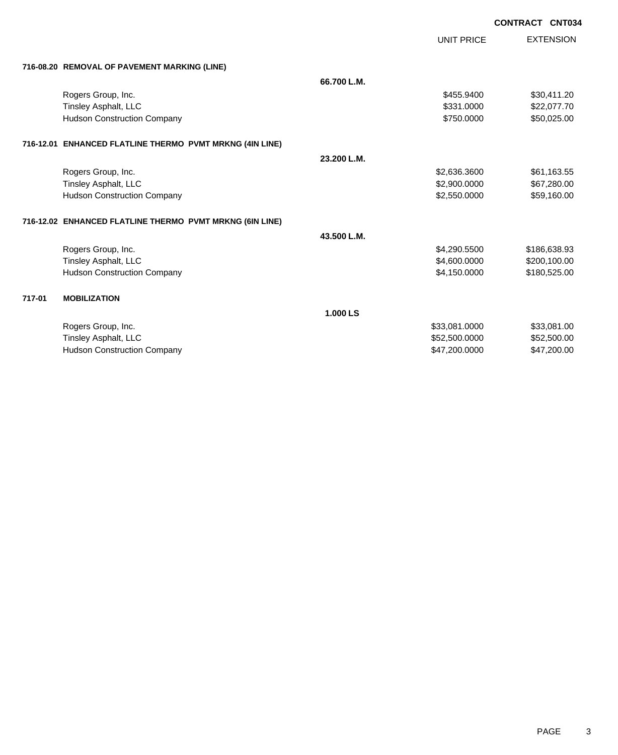UNIT PRICE

|  | 716-08.20 REMOVAL OF PAVEMENT MARKING (LINE) |  |
|--|----------------------------------------------|--|
|  |                                              |  |

|        | 716-08.20 REMOVAL OF PAVEMENT MARKING (LINE)             |             |               |              |
|--------|----------------------------------------------------------|-------------|---------------|--------------|
|        |                                                          | 66.700 L.M. |               |              |
|        | Rogers Group, Inc.                                       |             | \$455.9400    | \$30,411.20  |
|        | Tinsley Asphalt, LLC                                     |             | \$331.0000    | \$22,077.70  |
|        | <b>Hudson Construction Company</b>                       |             | \$750.0000    | \$50,025.00  |
|        | 716-12.01 ENHANCED FLATLINE THERMO PVMT MRKNG (4IN LINE) |             |               |              |
|        |                                                          | 23.200 L.M. |               |              |
|        | Rogers Group, Inc.                                       |             | \$2,636.3600  | \$61,163.55  |
|        | Tinsley Asphalt, LLC                                     |             | \$2,900.0000  | \$67,280.00  |
|        | <b>Hudson Construction Company</b>                       |             | \$2,550.0000  | \$59,160.00  |
|        | 716-12.02 ENHANCED FLATLINE THERMO PVMT MRKNG (6IN LINE) |             |               |              |
|        |                                                          | 43.500 L.M. |               |              |
|        | Rogers Group, Inc.                                       |             | \$4,290.5500  | \$186,638.93 |
|        | Tinsley Asphalt, LLC                                     |             | \$4,600.0000  | \$200,100.00 |
|        | <b>Hudson Construction Company</b>                       |             | \$4,150.0000  | \$180,525.00 |
| 717-01 | <b>MOBILIZATION</b>                                      |             |               |              |
|        |                                                          | 1.000 LS    |               |              |
|        | Rogers Group, Inc.                                       |             | \$33,081.0000 | \$33,081.00  |
|        | Tinsley Asphalt, LLC                                     |             | \$52,500.0000 | \$52,500.00  |
|        | <b>Hudson Construction Company</b>                       |             | \$47,200.0000 | \$47,200.00  |
|        |                                                          |             |               |              |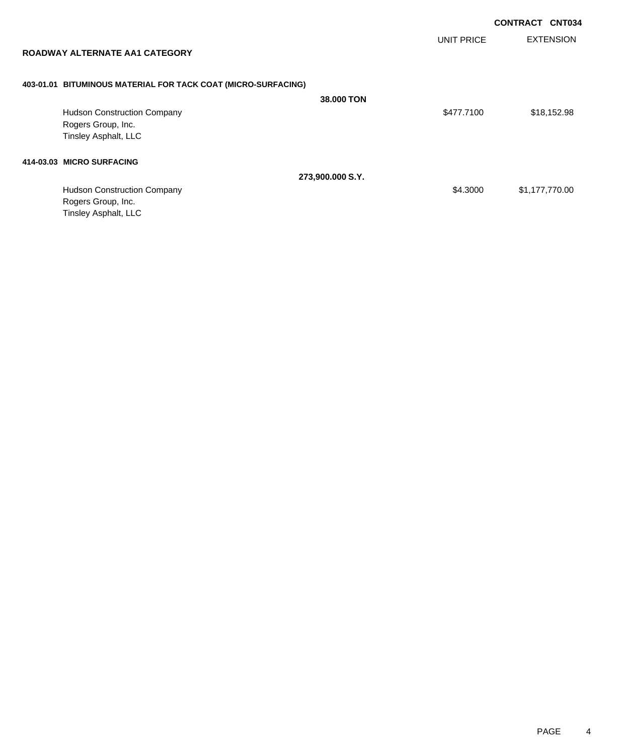| <b>ROADWAY ALTERNATE AA1 CATEGORY</b> |                                                               | <b>UNIT PRICE</b> | <b>EXTENSION</b> |
|---------------------------------------|---------------------------------------------------------------|-------------------|------------------|
|                                       | 403-01.01 BITUMINOUS MATERIAL FOR TACK COAT (MICRO-SURFACING) |                   |                  |
|                                       |                                                               | 38,000 TON        |                  |
| <b>Hudson Construction Company</b>    |                                                               | \$477.7100        | \$18,152.98      |
| Rogers Group, Inc.                    |                                                               |                   |                  |
| Tinsley Asphalt, LLC                  |                                                               |                   |                  |
| 414-03.03 MICRO SURFACING             |                                                               |                   |                  |
|                                       | 273,900.000 S.Y.                                              |                   |                  |
| <b>Hudson Construction Company</b>    |                                                               | \$4.3000          | \$1,177,770.00   |
| Rogers Group, Inc.                    |                                                               |                   |                  |

Tinsley Asphalt, LLC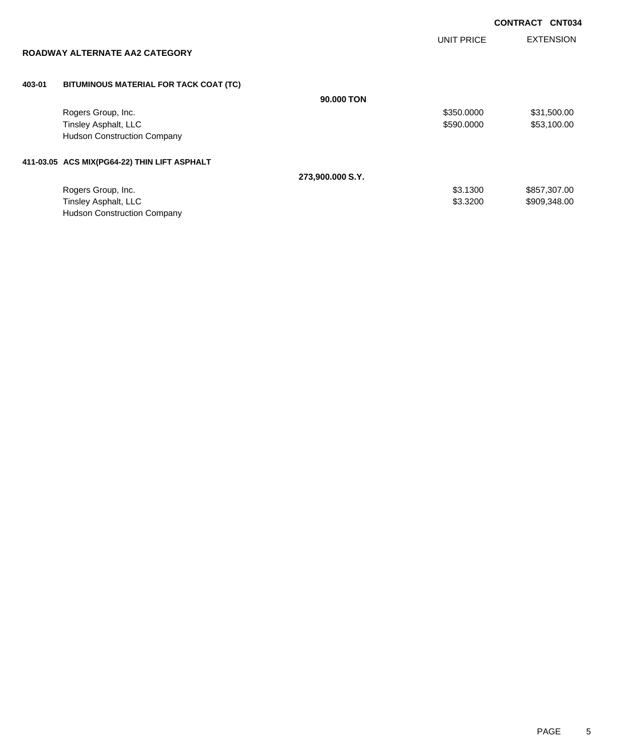| <b>CONTRACT CNT034</b> |  |
|------------------------|--|
|                        |  |

UNIT PRICE

EXTENSION

| ROADWAY ALTERNATE AA2 CATEGORY |  |
|--------------------------------|--|
|--------------------------------|--|

## **403-01 BITUMINOUS MATERIAL FOR TACK COAT (TC)**

|                                              | 90,000 TON       |            |              |
|----------------------------------------------|------------------|------------|--------------|
| Rogers Group, Inc.                           |                  | \$350,0000 | \$31,500.00  |
| Tinsley Asphalt, LLC                         |                  | \$590.0000 | \$53,100.00  |
| <b>Hudson Construction Company</b>           |                  |            |              |
| 411-03.05 ACS MIX(PG64-22) THIN LIFT ASPHALT |                  |            |              |
|                                              | 273,900.000 S.Y. |            |              |
| Rogers Group, Inc.                           |                  | \$3.1300   | \$857,307.00 |
| Tinsley Asphalt, LLC                         |                  | \$3.3200   | \$909,348.00 |
| <b>Hudson Construction Company</b>           |                  |            |              |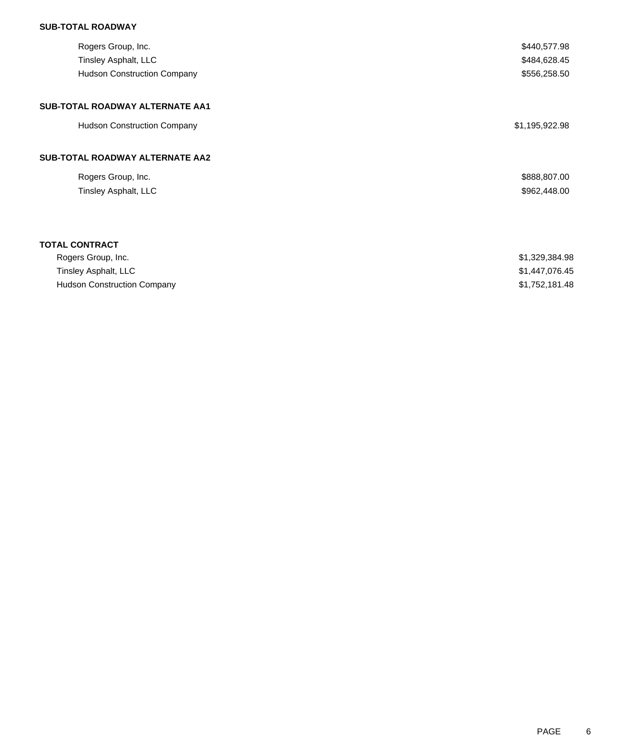## **SUB-TOTAL ROADWAY**

| Rogers Group, Inc.                 | \$440,577.98   |
|------------------------------------|----------------|
| Tinsley Asphalt, LLC               | \$484,628.45   |
| <b>Hudson Construction Company</b> | \$556,258.50   |
| SUB-TOTAL ROADWAY ALTERNATE AA1    |                |
| <b>Hudson Construction Company</b> | \$1,195,922.98 |
| SUB-TOTAL ROADWAY ALTERNATE AA2    |                |
| Rogers Group, Inc.                 | \$888,807.00   |
| Tinsley Asphalt, LLC               | \$962,448.00   |
|                                    |                |
| <b>TOTAL CONTRACT</b>              |                |
| Rogers Group, Inc.                 | \$1,329,384.98 |
| Tinsley Asphalt, LLC               | \$1,447,076.45 |
| <b>Hudson Construction Company</b> | \$1,752,181.48 |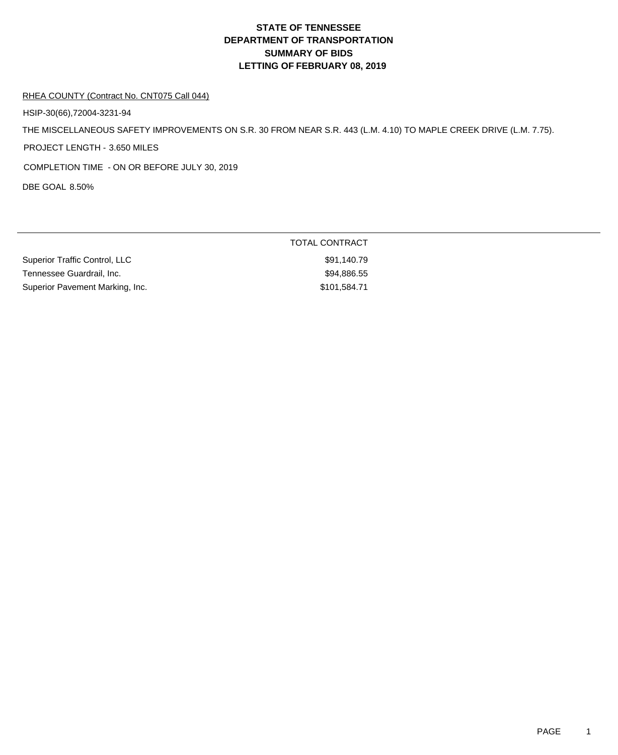# **DEPARTMENT OF TRANSPORTATION SUMMARY OF BIDS LETTING OF FEBRUARY 08, 2019 STATE OF TENNESSEE**

#### RHEA COUNTY (Contract No. CNT075 Call 044)

HSIP-30(66),72004-3231-94

THE MISCELLANEOUS SAFETY IMPROVEMENTS ON S.R. 30 FROM NEAR S.R. 443 (L.M. 4.10) TO MAPLE CREEK DRIVE (L.M. 7.75).

PROJECT LENGTH - 3.650 MILES

COMPLETION TIME - ON OR BEFORE JULY 30, 2019

DBE GOAL 8.50%

|                                 | TOTAL CONTRACT |
|---------------------------------|----------------|
| Superior Traffic Control, LLC   | \$91.140.79    |
| Tennessee Guardrail, Inc.       | \$94,886.55    |
| Superior Pavement Marking, Inc. | \$101,584.71   |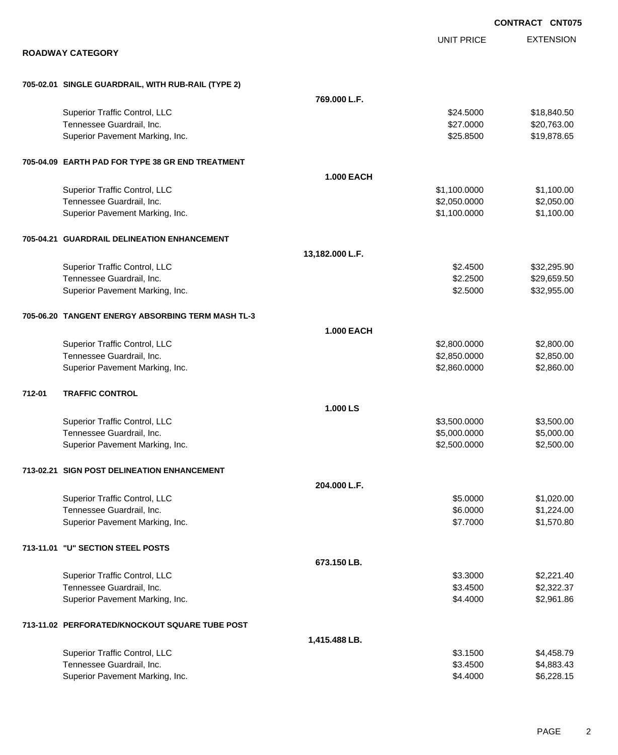|        |                                                    |                   |                   | <b>CONTRACT CNT075</b> |
|--------|----------------------------------------------------|-------------------|-------------------|------------------------|
|        |                                                    |                   | <b>UNIT PRICE</b> | <b>EXTENSION</b>       |
|        | <b>ROADWAY CATEGORY</b>                            |                   |                   |                        |
|        | 705-02.01 SINGLE GUARDRAIL, WITH RUB-RAIL (TYPE 2) |                   |                   |                        |
|        |                                                    | 769.000 L.F.      |                   |                        |
|        | Superior Traffic Control, LLC                      |                   | \$24,5000         | \$18,840.50            |
|        | Tennessee Guardrail, Inc.                          |                   | \$27.0000         | \$20,763.00            |
|        | Superior Pavement Marking, Inc.                    |                   | \$25.8500         | \$19,878.65            |
|        | 705-04.09 EARTH PAD FOR TYPE 38 GR END TREATMENT   |                   |                   |                        |
|        |                                                    | <b>1.000 EACH</b> |                   |                        |
|        | Superior Traffic Control, LLC                      |                   | \$1,100.0000      | \$1,100.00             |
|        | Tennessee Guardrail, Inc.                          |                   | \$2,050.0000      | \$2,050.00             |
|        | Superior Pavement Marking, Inc.                    |                   | \$1,100.0000      | \$1,100.00             |
|        | 705-04.21 GUARDRAIL DELINEATION ENHANCEMENT        |                   |                   |                        |
|        |                                                    | 13,182.000 L.F.   |                   |                        |
|        | Superior Traffic Control, LLC                      |                   | \$2.4500          | \$32,295.90            |
|        | Tennessee Guardrail, Inc.                          |                   | \$2.2500          | \$29,659.50            |
|        | Superior Pavement Marking, Inc.                    |                   | \$2.5000          | \$32,955.00            |
|        | 705-06.20 TANGENT ENERGY ABSORBING TERM MASH TL-3  |                   |                   |                        |
|        |                                                    | <b>1.000 EACH</b> |                   |                        |
|        | Superior Traffic Control, LLC                      |                   | \$2,800.0000      | \$2,800.00             |
|        | Tennessee Guardrail, Inc.                          |                   | \$2,850.0000      | \$2,850.00             |
|        | Superior Pavement Marking, Inc.                    |                   | \$2,860.0000      | \$2,860.00             |
| 712-01 | <b>TRAFFIC CONTROL</b>                             |                   |                   |                        |
|        |                                                    | 1.000 LS          |                   |                        |
|        | Superior Traffic Control, LLC                      |                   | \$3,500.0000      | \$3,500.00             |
|        | Tennessee Guardrail, Inc.                          |                   | \$5,000.0000      | \$5,000.00             |
|        | Superior Pavement Marking, Inc.                    |                   | \$2,500.0000      | \$2,500.00             |
|        | 713-02.21 SIGN POST DELINEATION ENHANCEMENT        |                   |                   |                        |
|        |                                                    | 204.000 L.F.      |                   |                        |
|        | Superior Traffic Control, LLC                      |                   | \$5.0000          | \$1,020.00             |
|        | Tennessee Guardrail, Inc.                          |                   | \$6.0000          | \$1,224.00             |
|        | Superior Pavement Marking, Inc.                    |                   | \$7.7000          | \$1,570.80             |
|        | 713-11.01 "U" SECTION STEEL POSTS                  |                   |                   |                        |
|        |                                                    | 673.150 LB.       |                   |                        |
|        | Superior Traffic Control, LLC                      |                   | \$3.3000          | \$2,221.40             |
|        | Tennessee Guardrail, Inc.                          |                   | \$3.4500          | \$2,322.37             |
|        | Superior Pavement Marking, Inc.                    |                   | \$4.4000          | \$2,961.86             |
|        | 713-11.02 PERFORATED/KNOCKOUT SQUARE TUBE POST     |                   |                   |                        |
|        |                                                    | 1,415.488 LB.     |                   |                        |
|        | Superior Traffic Control, LLC                      |                   | \$3.1500          | \$4,458.79             |
|        | Tennessee Guardrail, Inc.                          |                   | \$3.4500          | \$4,883.43             |
|        | Superior Pavement Marking, Inc.                    |                   | \$4.4000          | \$6,228.15             |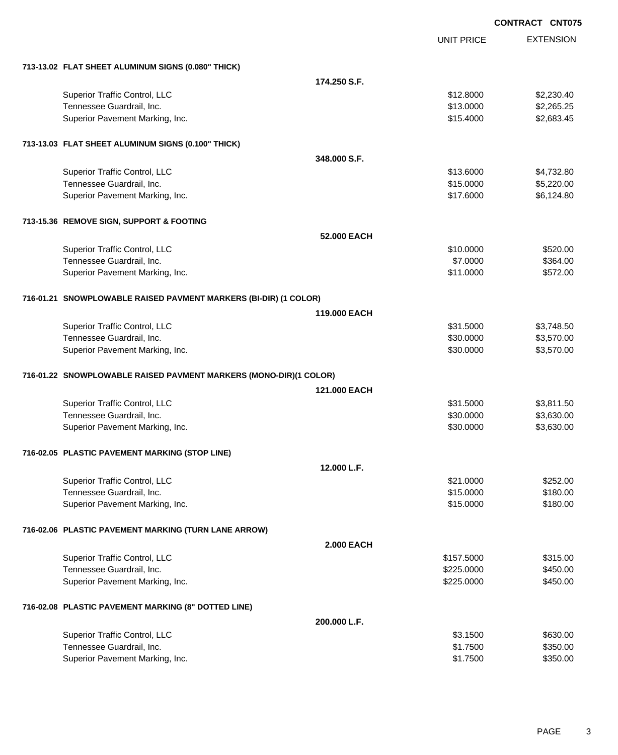|                                                                   |                   | <b>CONTRACT CNT075</b> |                  |
|-------------------------------------------------------------------|-------------------|------------------------|------------------|
|                                                                   |                   | <b>UNIT PRICE</b>      | <b>EXTENSION</b> |
| 713-13.02 FLAT SHEET ALUMINUM SIGNS (0.080" THICK)                |                   |                        |                  |
|                                                                   | 174.250 S.F.      |                        |                  |
| Superior Traffic Control, LLC                                     |                   | \$12.8000              | \$2,230.40       |
| Tennessee Guardrail, Inc.                                         |                   | \$13.0000              | \$2,265.25       |
| Superior Pavement Marking, Inc.                                   |                   | \$15.4000              | \$2,683.45       |
| 713-13.03 FLAT SHEET ALUMINUM SIGNS (0.100" THICK)                |                   |                        |                  |
|                                                                   | 348,000 S.F.      |                        |                  |
| Superior Traffic Control, LLC                                     |                   | \$13.6000              | \$4,732.80       |
| Tennessee Guardrail, Inc.                                         |                   | \$15.0000              | \$5,220.00       |
| Superior Pavement Marking, Inc.                                   |                   | \$17.6000              | \$6,124.80       |
| 713-15.36 REMOVE SIGN, SUPPORT & FOOTING                          |                   |                        |                  |
|                                                                   | 52.000 EACH       |                        |                  |
| Superior Traffic Control, LLC                                     |                   | \$10.0000              | \$520.00         |
| Tennessee Guardrail, Inc.                                         |                   | \$7.0000               | \$364.00         |
| Superior Pavement Marking, Inc.                                   |                   | \$11.0000              | \$572.00         |
| 716-01.21 SNOWPLOWABLE RAISED PAVMENT MARKERS (BI-DIR) (1 COLOR)  |                   |                        |                  |
|                                                                   | 119.000 EACH      |                        |                  |
| Superior Traffic Control, LLC                                     |                   | \$31.5000              | \$3,748.50       |
| Tennessee Guardrail, Inc.                                         |                   | \$30.0000              | \$3,570.00       |
| Superior Pavement Marking, Inc.                                   |                   | \$30.0000              | \$3,570.00       |
| 716-01.22 SNOWPLOWABLE RAISED PAVMENT MARKERS (MONO-DIR)(1 COLOR) |                   |                        |                  |
|                                                                   | 121.000 EACH      |                        |                  |
| Superior Traffic Control, LLC                                     |                   | \$31.5000              | \$3,811.50       |
| Tennessee Guardrail, Inc.                                         |                   | \$30.0000              | \$3,630.00       |
| Superior Pavement Marking, Inc.                                   |                   | \$30.0000              | \$3,630.00       |
| 716-02.05 PLASTIC PAVEMENT MARKING (STOP LINE)                    |                   |                        |                  |
|                                                                   | 12.000 L.F.       |                        |                  |
| Superior Traffic Control, LLC                                     |                   | \$21.0000              | \$252.00         |
| Tennessee Guardrail, Inc.                                         |                   | \$15.0000              | \$180.00         |
| Superior Pavement Marking, Inc.                                   |                   | \$15.0000              | \$180.00         |
| 716-02.06 PLASTIC PAVEMENT MARKING (TURN LANE ARROW)              |                   |                        |                  |
|                                                                   | <b>2.000 EACH</b> |                        |                  |
| Superior Traffic Control, LLC                                     |                   | \$157.5000             | \$315.00         |
| Tennessee Guardrail, Inc.                                         |                   | \$225.0000             | \$450.00         |
| Superior Pavement Marking, Inc.                                   |                   | \$225.0000             | \$450.00         |
| 716-02.08 PLASTIC PAVEMENT MARKING (8" DOTTED LINE)               |                   |                        |                  |
|                                                                   | 200.000 L.F.      |                        |                  |
| Superior Traffic Control, LLC                                     |                   | \$3.1500               | \$630.00         |
| Tennessee Guardrail, Inc.                                         |                   | \$1.7500               | \$350.00         |
| Superior Pavement Marking, Inc.                                   |                   | \$1.7500               | \$350.00         |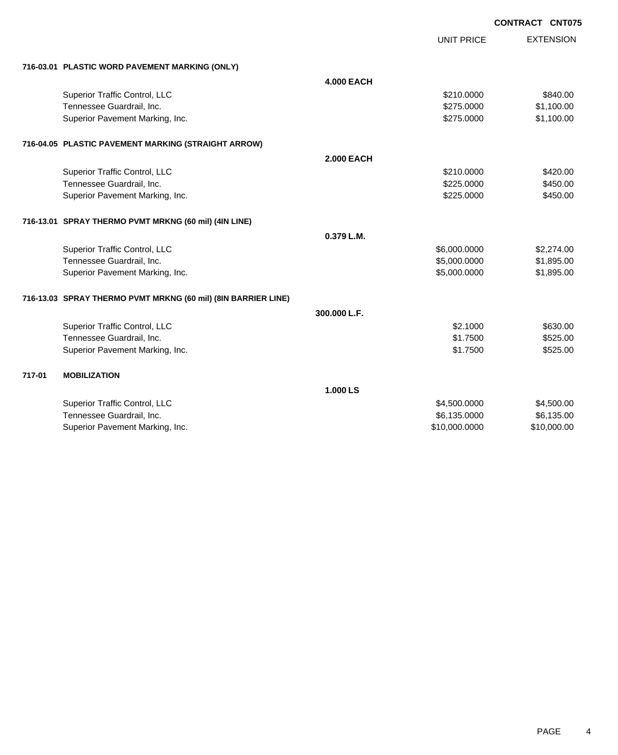|        |                                                               |                   |                   | <b>CONIRACI CNIU</b> |
|--------|---------------------------------------------------------------|-------------------|-------------------|----------------------|
|        |                                                               |                   | <b>UNIT PRICE</b> | <b>EXTENSION</b>     |
|        | 716-03.01 PLASTIC WORD PAVEMENT MARKING (ONLY)                |                   |                   |                      |
|        |                                                               | <b>4.000 EACH</b> |                   |                      |
|        | Superior Traffic Control, LLC                                 |                   | \$210,0000        | \$840.00             |
|        | Tennessee Guardrail, Inc.                                     |                   | \$275.0000        | \$1,100.00           |
|        | Superior Pavement Marking, Inc.                               |                   | \$275.0000        | \$1,100.00           |
|        | 716-04.05 PLASTIC PAVEMENT MARKING (STRAIGHT ARROW)           |                   |                   |                      |
|        |                                                               | <b>2.000 EACH</b> |                   |                      |
|        | Superior Traffic Control, LLC                                 |                   | \$210,0000        | \$420.00             |
|        | Tennessee Guardrail, Inc.                                     |                   | \$225.0000        | \$450.00             |
|        | Superior Pavement Marking, Inc.                               |                   | \$225.0000        | \$450.00             |
|        | 716-13.01 SPRAY THERMO PVMT MRKNG (60 mil) (4IN LINE)         |                   |                   |                      |
|        |                                                               | 0.379 L.M.        |                   |                      |
|        | Superior Traffic Control, LLC                                 |                   | \$6,000.0000      | \$2,274.00           |
|        | Tennessee Guardrail, Inc.                                     |                   | \$5,000.0000      | \$1,895.00           |
|        | Superior Pavement Marking, Inc.                               |                   | \$5,000.0000      | \$1,895.00           |
|        | 716-13.03 SPRAY THERMO PVMT MRKNG (60 mil) (8IN BARRIER LINE) |                   |                   |                      |
|        |                                                               | 300,000 L.F.      |                   |                      |
|        | Superior Traffic Control, LLC                                 |                   | \$2,1000          | \$630.00             |
|        | Tennessee Guardrail, Inc.                                     |                   | \$1.7500          | \$525.00             |
|        | Superior Pavement Marking, Inc.                               |                   | \$1.7500          | \$525.00             |
| 717-01 | <b>MOBILIZATION</b>                                           |                   |                   |                      |
|        |                                                               | 1.000 LS          |                   |                      |
|        | Superior Traffic Control, LLC                                 |                   | \$4,500.0000      | \$4,500.00           |
|        | Tennessee Guardrail, Inc.                                     |                   | \$6,135.0000      | \$6,135.00           |
|        | Superior Pavement Marking, Inc.                               |                   | \$10,000.0000     | \$10,000.00          |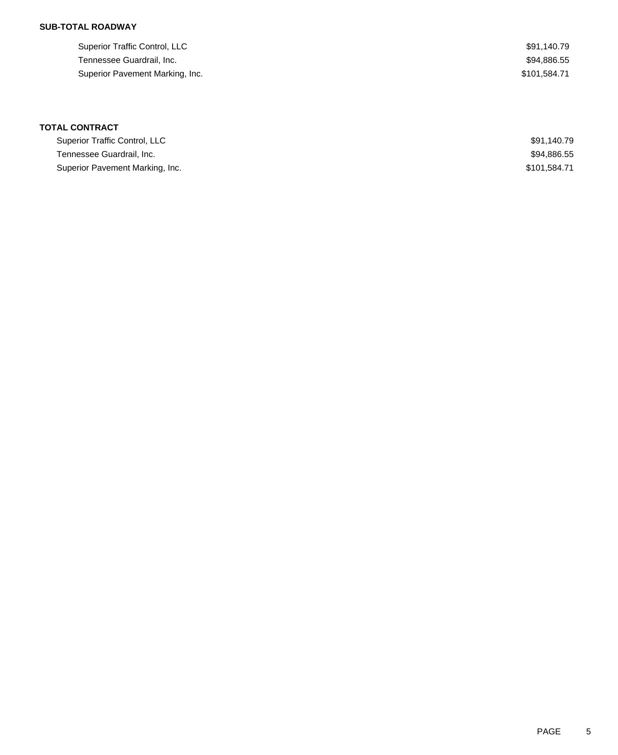## **SUB-TOTAL ROADWAY**

| Superior Traffic Control, LLC   | \$91.140.79  |
|---------------------------------|--------------|
| Tennessee Guardrail, Inc.       | \$94.886.55  |
| Superior Pavement Marking, Inc. | \$101.584.71 |

## **TOTAL CONTRACT**

| Superior Traffic Control, LLC   | \$91.140.79  |
|---------------------------------|--------------|
| Tennessee Guardrail, Inc.       | \$94,886.55  |
| Superior Pavement Marking, Inc. | \$101.584.71 |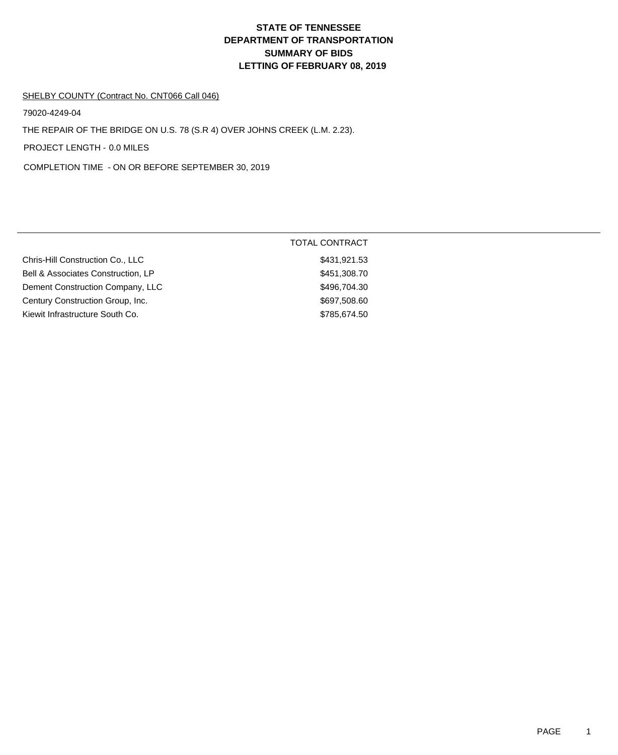# **DEPARTMENT OF TRANSPORTATION SUMMARY OF BIDS LETTING OF FEBRUARY 08, 2019 STATE OF TENNESSEE**

#### SHELBY COUNTY (Contract No. CNT066 Call 046)

79020-4249-04

THE REPAIR OF THE BRIDGE ON U.S. 78 (S.R 4) OVER JOHNS CREEK (L.M. 2.23).

PROJECT LENGTH - 0.0 MILES

COMPLETION TIME - ON OR BEFORE SEPTEMBER 30, 2019

|                                    | <b>TOTAL CONTRACT</b> |
|------------------------------------|-----------------------|
| Chris-Hill Construction Co., LLC   | \$431,921.53          |
| Bell & Associates Construction, LP | \$451,308.70          |
| Dement Construction Company, LLC   | \$496,704.30          |
| Century Construction Group, Inc.   | \$697,508.60          |
| Kiewit Infrastructure South Co.    | \$785,674.50          |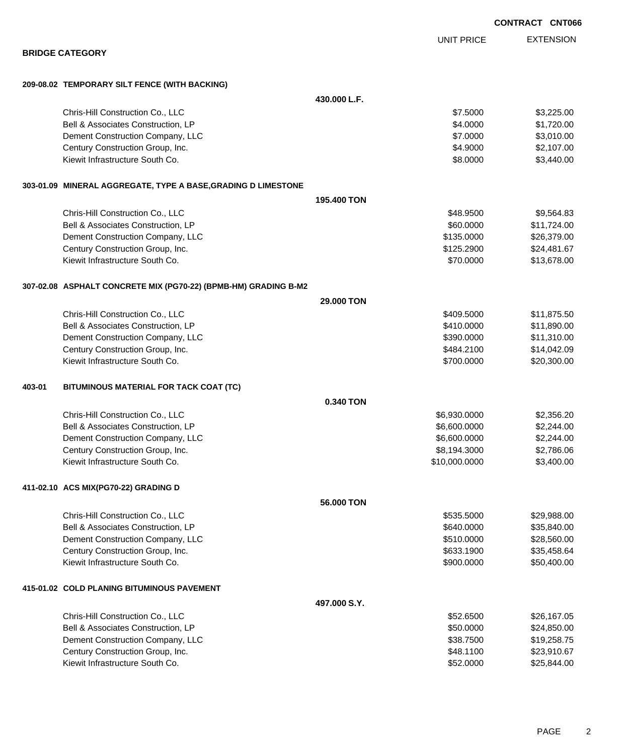EXTENSION UNIT PRICE **BRIDGE CATEGORY 209-08.02 TEMPORARY SILT FENCE (WITH BACKING) 430.000 L.F.** Chris-Hill Construction Co., LLC **87.5000** \$3,225.00 Bell & Associates Construction, LP 64.0000 \$1,720.00 Dement Construction Company, LLC 6 and the construction Company, LLC 6 and the construction Company, LLC 6 and the construction of  $\sim$  57.0000 \$3,010.00 Century Construction Group, Inc. 6. The Construction Croup, Inc. 6. The Construction Croup, Inc. 6. The Construction Croup, Inc. 6. The Construction Croup, Inc. 6. The Construction Croup, Inc. 6. The Construction Croup, In Kiewit Infrastructure South Co. **68.0000** \$3,440.00 **303-01.09 MINERAL AGGREGATE, TYPE A BASE,GRADING D LIMESTONE 195.400 TON** Chris-Hill Construction Co., LLC 6848.9500 \$9,564.83 Bell & Associates Construction, LP 60.0000 \$11,724.00 Dement Construction Company, LLC 6 and the state of the state of the state  $$135.0000$  \$26,379.00 Century Construction Group, Inc. 624,481.67 (1992) 12:52900 \$24,481.67 Kiewit Infrastructure South Co. **\$70.0000 \$13,678.00** \$13,678.00 **307-02.08 ASPHALT CONCRETE MIX (PG70-22) (BPMB-HM) GRADING B-M2 29.000 TON** Chris-Hill Construction Co., LLC \$409.5000 \$11,875.50 Bell & Associates Construction, LP 611,890.00 Dement Construction Company, LLC **but a struction Company, LLC**  $$390.0000$  \$11,310.00 Century Construction Group, Inc. 6. The Construction Croup, Inc. 6. The Construction Group, Inc. 6. The Construction Croup, Inc. 6. The Construction Croup, Inc. 6. The Construction Croup, Inc. 6. The Construction Croup, In Kiewit Infrastructure South Co. **\$20,300.00** \$20,300.00 \$20,300.00 **403-01 BITUMINOUS MATERIAL FOR TACK COAT (TC) 0.340 TON** Chris-Hill Construction Co., LLC 6. 2010 12:00:000 \$2,356.20 Bell & Associates Construction, LP 6,600.0000 \$2,244.00 Dement Construction Company, LLC 6.600.0000 \$2,244.00 Century Construction Group, Inc. 6. The Construction Croup, Inc. 6. The Construction Croup, Inc. 6.194.3000 \$2,786.06 Kiewit Infrastructure South Co. **\$10,000.0000 \$3,400.00** \$3,400.00 **411-02.10 ACS MIX(PG70-22) GRADING D 56.000 TON** Chris-Hill Construction Co., LLC 6. 2008.00 \$29,988.00 Bell & Associates Construction, LP 635,840.000 \$35,840.000 \$35,840.000 Dement Construction Company, LLC 60000 \$28,560.00 Century Construction Group, Inc. 635,458.64 and the state of the state of the state of the state of the state of the state of the state of the state of the state of the state of the state of the state of the state of the s Kiewit Infrastructure South Co. **\$900.000 \$50,400.00** \$50,400.00 **415-01.02 COLD PLANING BITUMINOUS PAVEMENT 497.000 S.Y.** Chris-Hill Construction Co., LLC 6. 2008 10:00 \$26,167.05 Bell & Associates Construction, LP 624,850.000 \$24,850.000 \$24,850.000 Dement Construction Company, LLC **but a struction Company, LLC** \$38.7500 \$19,258.75

Century Construction Group, Inc. 688.91100 \$23,910.67 Kiewit Infrastructure South Co. **\$52.0000 \$25,844.00** \$25,844.00

**CONTRACT CNT066**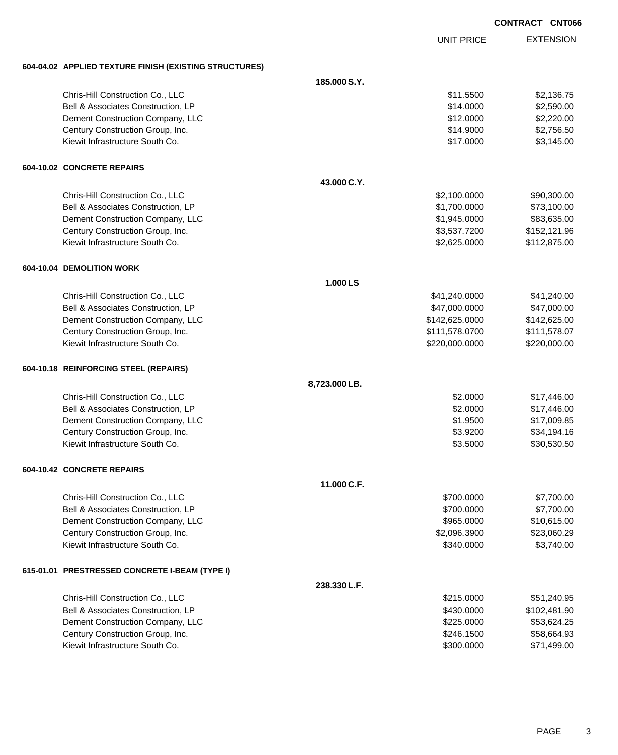|                                                        |               |                   | <b>CONTRACT CNT066</b> |                  |
|--------------------------------------------------------|---------------|-------------------|------------------------|------------------|
|                                                        |               | <b>UNIT PRICE</b> |                        | <b>EXTENSION</b> |
| 604-04.02 APPLIED TEXTURE FINISH (EXISTING STRUCTURES) |               |                   |                        |                  |
|                                                        | 185.000 S.Y.  |                   |                        |                  |
| Chris-Hill Construction Co., LLC                       |               | \$11.5500         |                        | \$2,136.75       |
| Bell & Associates Construction, LP                     |               | \$14.0000         |                        | \$2,590.00       |
| Dement Construction Company, LLC                       |               | \$12.0000         |                        | \$2,220.00       |
| Century Construction Group, Inc.                       |               | \$14.9000         |                        | \$2,756.50       |
| Kiewit Infrastructure South Co.                        |               | \$17.0000         |                        | \$3,145.00       |
| 604-10.02 CONCRETE REPAIRS                             |               |                   |                        |                  |
|                                                        | 43.000 C.Y.   |                   |                        |                  |
| Chris-Hill Construction Co., LLC                       |               | \$2,100.0000      |                        | \$90,300.00      |
| Bell & Associates Construction, LP                     |               | \$1,700.0000      |                        | \$73,100.00      |
| Dement Construction Company, LLC                       |               | \$1,945.0000      |                        | \$83,635.00      |
| Century Construction Group, Inc.                       |               | \$3,537.7200      |                        | \$152,121.96     |
| Kiewit Infrastructure South Co.                        |               | \$2,625.0000      |                        | \$112,875.00     |
| 604-10.04 DEMOLITION WORK                              |               |                   |                        |                  |
|                                                        | 1.000 LS      |                   |                        |                  |
| Chris-Hill Construction Co., LLC                       |               | \$41,240.0000     |                        | \$41,240.00      |
| Bell & Associates Construction, LP                     |               | \$47,000.0000     |                        | \$47,000.00      |
| Dement Construction Company, LLC                       |               | \$142,625.0000    |                        | \$142,625.00     |
| Century Construction Group, Inc.                       |               | \$111,578.0700    |                        | \$111,578.07     |
| Kiewit Infrastructure South Co.                        |               | \$220,000.0000    |                        | \$220,000.00     |
| 604-10.18 REINFORCING STEEL (REPAIRS)                  |               |                   |                        |                  |
|                                                        | 8,723.000 LB. |                   |                        |                  |
| Chris-Hill Construction Co., LLC                       |               | \$2.0000          |                        | \$17,446.00      |
| Bell & Associates Construction, LP                     |               | \$2.0000          |                        | \$17,446.00      |
| Dement Construction Company, LLC                       |               | \$1.9500          |                        | \$17,009.85      |
| Century Construction Group, Inc.                       |               | \$3.9200          |                        | \$34,194.16      |
| Kiewit Infrastructure South Co.                        |               | \$3.5000          |                        | \$30,530.50      |
| 604-10.42 CONCRETE REPAIRS                             |               |                   |                        |                  |
|                                                        | 11.000 C.F.   |                   |                        |                  |
| Chris-Hill Construction Co., LLC                       |               | \$700.0000        |                        | \$7,700.00       |
| Bell & Associates Construction, LP                     |               | \$700.0000        |                        | \$7,700.00       |
| Dement Construction Company, LLC                       |               | \$965.0000        |                        | \$10,615.00      |
| Century Construction Group, Inc.                       |               | \$2,096.3900      |                        | \$23,060.29      |
| Kiewit Infrastructure South Co.                        |               | \$340.0000        |                        | \$3,740.00       |
| 615-01.01 PRESTRESSED CONCRETE I-BEAM (TYPE I)         |               |                   |                        |                  |
|                                                        | 238.330 L.F.  |                   |                        |                  |
| Chris-Hill Construction Co., LLC                       |               | \$215.0000        |                        | \$51,240.95      |
| Bell & Associates Construction, LP                     |               | \$430.0000        |                        | \$102,481.90     |
| Dement Construction Company, LLC                       |               | \$225.0000        |                        | \$53,624.25      |

Century Construction Group, Inc. 6. The Construction Group, Inc. 6. The Construction Group, Inc. 658,664.93 Kiewit Infrastructure South Co. 671,499.00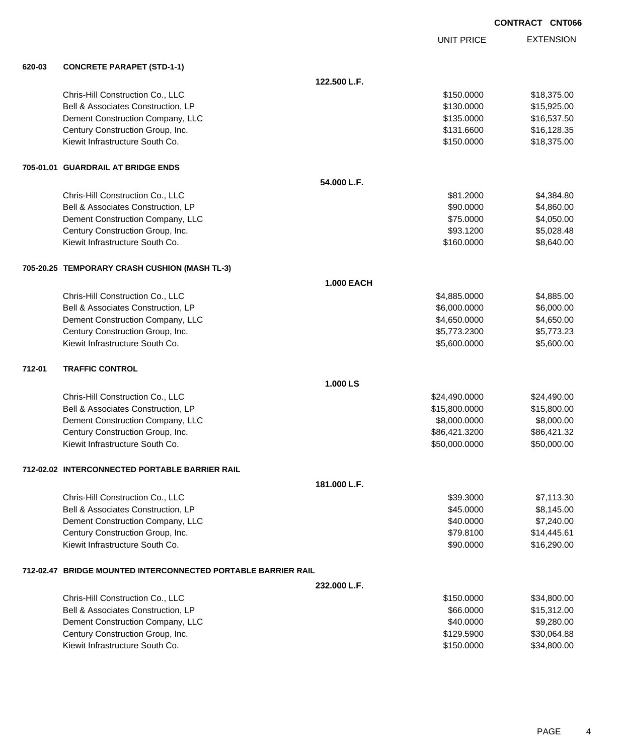| <b>CONTRACT CNT066</b> |  |
|------------------------|--|
|                        |  |

|        |                                                               |                   | <b>UNIT PRICE</b> | <b>EXTENSION</b> |
|--------|---------------------------------------------------------------|-------------------|-------------------|------------------|
| 620-03 | <b>CONCRETE PARAPET (STD-1-1)</b>                             |                   |                   |                  |
|        |                                                               | 122.500 L.F.      |                   |                  |
|        | Chris-Hill Construction Co., LLC                              |                   | \$150.0000        | \$18,375.00      |
|        | Bell & Associates Construction, LP                            |                   | \$130.0000        | \$15,925.00      |
|        | Dement Construction Company, LLC                              |                   | \$135.0000        | \$16,537.50      |
|        | Century Construction Group, Inc.                              |                   | \$131.6600        | \$16,128.35      |
|        | Kiewit Infrastructure South Co.                               |                   | \$150.0000        | \$18,375.00      |
|        | 705-01.01 GUARDRAIL AT BRIDGE ENDS                            |                   |                   |                  |
|        |                                                               | 54.000 L.F.       |                   |                  |
|        | Chris-Hill Construction Co., LLC                              |                   | \$81.2000         | \$4,384.80       |
|        | Bell & Associates Construction, LP                            |                   | \$90.0000         | \$4,860.00       |
|        | Dement Construction Company, LLC                              |                   | \$75.0000         | \$4,050.00       |
|        | Century Construction Group, Inc.                              |                   | \$93.1200         | \$5,028.48       |
|        | Kiewit Infrastructure South Co.                               |                   | \$160.0000        | \$8,640.00       |
|        | 705-20.25 TEMPORARY CRASH CUSHION (MASH TL-3)                 |                   |                   |                  |
|        |                                                               | <b>1.000 EACH</b> |                   |                  |
|        | Chris-Hill Construction Co., LLC                              |                   | \$4,885.0000      | \$4,885.00       |
|        | Bell & Associates Construction, LP                            |                   | \$6,000.0000      | \$6,000.00       |
|        | Dement Construction Company, LLC                              |                   | \$4,650.0000      | \$4,650.00       |
|        | Century Construction Group, Inc.                              |                   | \$5,773.2300      | \$5,773.23       |
|        | Kiewit Infrastructure South Co.                               |                   | \$5,600.0000      | \$5,600.00       |
| 712-01 | <b>TRAFFIC CONTROL</b>                                        |                   |                   |                  |
|        |                                                               | 1.000 LS          |                   |                  |
|        | Chris-Hill Construction Co., LLC                              |                   | \$24,490.0000     | \$24,490.00      |
|        | Bell & Associates Construction, LP                            |                   | \$15,800.0000     | \$15,800.00      |
|        | Dement Construction Company, LLC                              |                   | \$8,000.0000      | \$8,000.00       |
|        | Century Construction Group, Inc.                              |                   | \$86,421.3200     | \$86,421.32      |
|        | Kiewit Infrastructure South Co.                               |                   | \$50,000.0000     | \$50,000.00      |
|        | 712-02.02 INTERCONNECTED PORTABLE BARRIER RAIL                |                   |                   |                  |
|        |                                                               | 181.000 L.F.      |                   |                  |
|        | Chris-Hill Construction Co., LLC                              |                   | \$39.3000         | \$7,113.30       |
|        | Bell & Associates Construction, LP                            |                   | \$45.0000         | \$8,145.00       |
|        | Dement Construction Company, LLC                              |                   | \$40.0000         | \$7,240.00       |
|        | Century Construction Group, Inc.                              |                   | \$79.8100         | \$14,445.61      |
|        | Kiewit Infrastructure South Co.                               |                   | \$90.0000         | \$16,290.00      |
|        | 712-02.47 BRIDGE MOUNTED INTERCONNECTED PORTABLE BARRIER RAIL |                   |                   |                  |
|        |                                                               | 232.000 L.F.      |                   |                  |
|        | Chris-Hill Construction Co., LLC                              |                   | \$150.0000        | \$34,800.00      |
|        | Bell & Associates Construction, LP                            |                   | \$66.0000         | \$15,312.00      |
|        | Dement Construction Company, LLC                              |                   | \$40.0000         | \$9,280.00       |
|        | Century Construction Group, Inc.                              |                   | \$129.5900        | \$30,064.88      |
|        | Kiewit Infrastructure South Co.                               |                   | \$150.0000        | \$34,800.00      |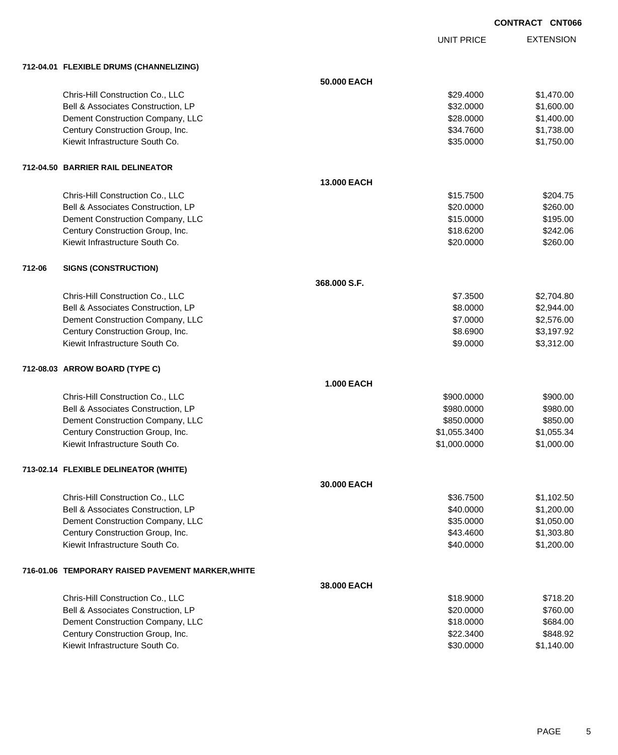UNIT PRICE

|        | 712-04.01 FLEXIBLE DRUMS (CHANNELIZING)           |                   |              |            |
|--------|---------------------------------------------------|-------------------|--------------|------------|
|        |                                                   | 50.000 EACH       |              |            |
|        | Chris-Hill Construction Co., LLC                  |                   | \$29.4000    | \$1,470.00 |
|        | Bell & Associates Construction, LP                |                   | \$32.0000    | \$1,600.00 |
|        | Dement Construction Company, LLC                  |                   | \$28.0000    | \$1,400.00 |
|        | Century Construction Group, Inc.                  |                   | \$34.7600    | \$1,738.00 |
|        | Kiewit Infrastructure South Co.                   |                   | \$35.0000    | \$1,750.00 |
|        | 712-04.50 BARRIER RAIL DELINEATOR                 |                   |              |            |
|        |                                                   | 13.000 EACH       |              |            |
|        | Chris-Hill Construction Co., LLC                  |                   | \$15.7500    | \$204.75   |
|        | Bell & Associates Construction, LP                |                   | \$20.0000    | \$260.00   |
|        | Dement Construction Company, LLC                  |                   | \$15.0000    | \$195.00   |
|        | Century Construction Group, Inc.                  |                   | \$18.6200    | \$242.06   |
|        | Kiewit Infrastructure South Co.                   |                   | \$20.0000    | \$260.00   |
| 712-06 | <b>SIGNS (CONSTRUCTION)</b>                       |                   |              |            |
|        |                                                   | 368.000 S.F.      |              |            |
|        | Chris-Hill Construction Co., LLC                  |                   | \$7.3500     | \$2,704.80 |
|        | Bell & Associates Construction, LP                |                   | \$8.0000     | \$2,944.00 |
|        | Dement Construction Company, LLC                  |                   | \$7.0000     | \$2,576.00 |
|        | Century Construction Group, Inc.                  |                   | \$8.6900     | \$3,197.92 |
|        | Kiewit Infrastructure South Co.                   |                   | \$9.0000     | \$3,312.00 |
|        | 712-08.03 ARROW BOARD (TYPE C)                    |                   |              |            |
|        |                                                   | <b>1.000 EACH</b> |              |            |
|        | Chris-Hill Construction Co., LLC                  |                   | \$900.0000   | \$900.00   |
|        | Bell & Associates Construction, LP                |                   | \$980.0000   | \$980.00   |
|        | Dement Construction Company, LLC                  |                   | \$850.0000   | \$850.00   |
|        | Century Construction Group, Inc.                  |                   | \$1,055.3400 | \$1,055.34 |
|        | Kiewit Infrastructure South Co.                   |                   | \$1,000.0000 | \$1,000.00 |
|        | 713-02.14 FLEXIBLE DELINEATOR (WHITE)             |                   |              |            |
|        |                                                   | 30,000 EACH       |              |            |
|        | Chris-Hill Construction Co., LLC                  |                   | \$36.7500    | \$1,102.50 |
|        | Bell & Associates Construction, LP                |                   | \$40.0000    | \$1,200.00 |
|        | Dement Construction Company, LLC                  |                   | \$35.0000    | \$1,050.00 |
|        | Century Construction Group, Inc.                  |                   | \$43.4600    | \$1,303.80 |
|        | Kiewit Infrastructure South Co.                   |                   | \$40.0000    | \$1,200.00 |
|        | 716-01.06 TEMPORARY RAISED PAVEMENT MARKER, WHITE |                   |              |            |
|        |                                                   | 38.000 EACH       |              |            |
|        | Chris-Hill Construction Co., LLC                  |                   | \$18.9000    | \$718.20   |
|        | Bell & Associates Construction, LP                |                   | \$20.0000    | \$760.00   |
|        | Dement Construction Company, LLC                  |                   | \$18.0000    | \$684.00   |
|        | Century Construction Group, Inc.                  |                   | \$22.3400    | \$848.92   |
|        | Kiewit Infrastructure South Co.                   |                   | \$30.0000    | \$1,140.00 |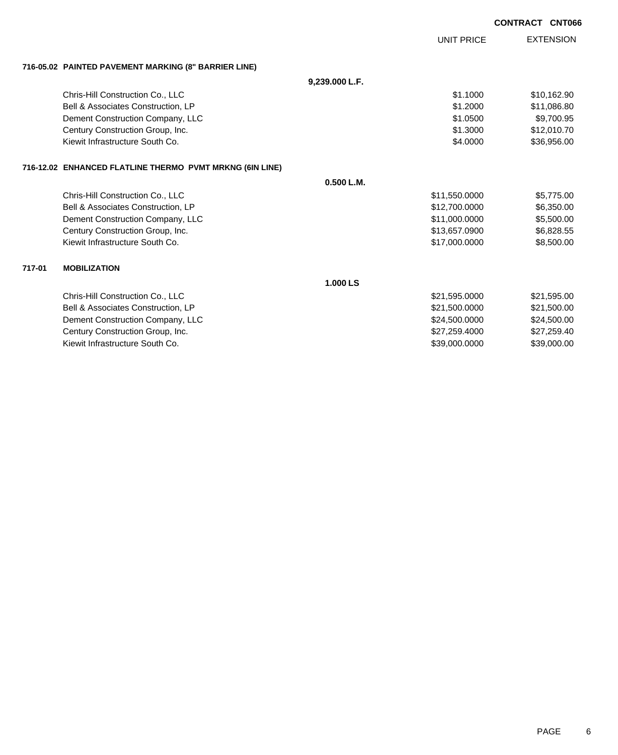|        |                                                          |                | <b>UNIT PRICE</b> | <b>EXTENSION</b> |
|--------|----------------------------------------------------------|----------------|-------------------|------------------|
|        | 716-05.02 PAINTED PAVEMENT MARKING (8" BARRIER LINE)     |                |                   |                  |
|        |                                                          | 9,239.000 L.F. |                   |                  |
|        | Chris-Hill Construction Co., LLC                         |                | \$1.1000          | \$10,162.90      |
|        | Bell & Associates Construction, LP                       |                | \$1,2000          | \$11,086.80      |
|        | Dement Construction Company, LLC                         |                | \$1.0500          | \$9,700.95       |
|        | Century Construction Group, Inc.                         |                | \$1,3000          | \$12,010.70      |
|        | Kiewit Infrastructure South Co.                          |                | \$4.0000          | \$36,956.00      |
|        | 716-12.02 ENHANCED FLATLINE THERMO PVMT MRKNG (6IN LINE) |                |                   |                  |
|        |                                                          | 0.500 L.M.     |                   |                  |
|        | Chris-Hill Construction Co., LLC                         |                | \$11,550.0000     | \$5,775.00       |
|        | Bell & Associates Construction, LP                       |                | \$12,700.0000     | \$6,350.00       |
|        | Dement Construction Company, LLC                         |                | \$11,000.0000     | \$5,500.00       |
|        | Century Construction Group, Inc.                         |                | \$13,657.0900     | \$6,828.55       |
|        | Kiewit Infrastructure South Co.                          |                | \$17,000.0000     | \$8,500.00       |
| 717-01 | <b>MOBILIZATION</b>                                      |                |                   |                  |
|        |                                                          | 1.000 LS       |                   |                  |
|        | Chris-Hill Construction Co., LLC                         |                | \$21,595.0000     | \$21,595.00      |
|        | Bell & Associates Construction, LP                       |                | \$21,500.0000     | \$21,500.00      |
|        | Dement Construction Company, LLC                         |                | \$24,500.0000     | \$24,500.00      |

Century Construction Group, Inc. \$27,259.4000 \$27,259.4000 \$27,259.4000 Kiewit Infrastructure South Co. \$39,000.0000 \$39,000.00

**CONTRACT CNT066**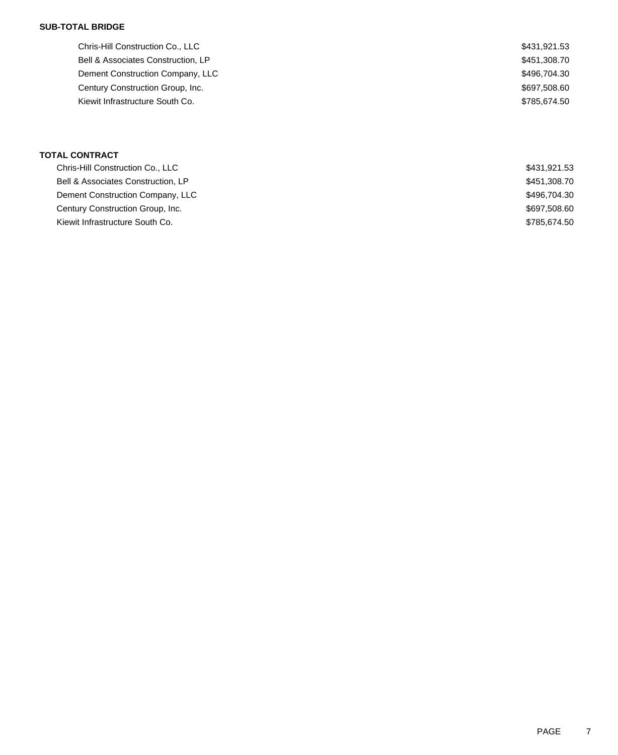### **SUB-TOTAL BRIDGE**

| Chris-Hill Construction Co., LLC   | \$431,921.53 |
|------------------------------------|--------------|
| Bell & Associates Construction, LP | \$451,308.70 |
| Dement Construction Company, LLC   | \$496,704,30 |
| Century Construction Group, Inc.   | \$697,508.60 |
| Kiewit Infrastructure South Co.    | \$785.674.50 |
|                                    |              |

### **TOTAL CONTRACT**

| Chris-Hill Construction Co., LLC   | \$431,921.53 |
|------------------------------------|--------------|
| Bell & Associates Construction, LP | \$451,308.70 |
| Dement Construction Company, LLC   | \$496,704.30 |
| Century Construction Group, Inc.   | \$697,508.60 |
| Kiewit Infrastructure South Co.    | \$785,674.50 |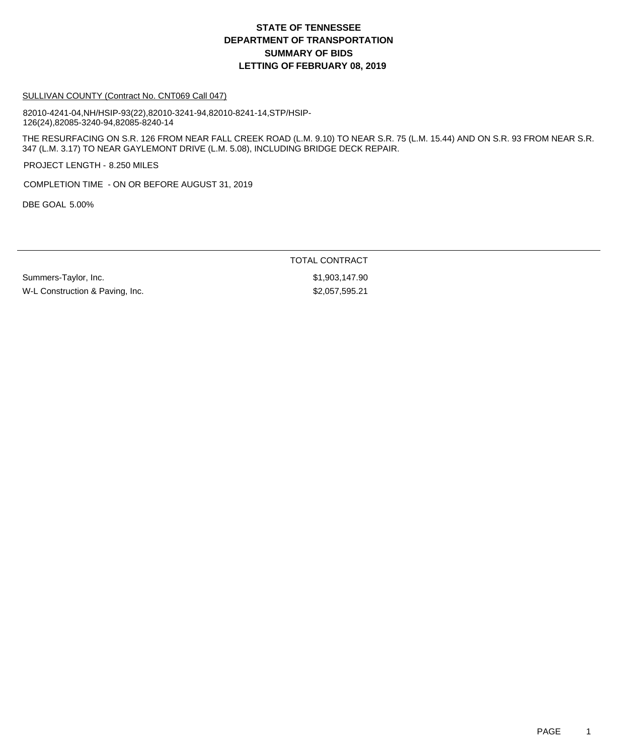## **DEPARTMENT OF TRANSPORTATION SUMMARY OF BIDS LETTING OF FEBRUARY 08, 2019 STATE OF TENNESSEE**

#### SULLIVAN COUNTY (Contract No. CNT069 Call 047)

82010-4241-04,NH/HSIP-93(22),82010-3241-94,82010-8241-14,STP/HSIP-126(24),82085-3240-94,82085-8240-14

THE RESURFACING ON S.R. 126 FROM NEAR FALL CREEK ROAD (L.M. 9.10) TO NEAR S.R. 75 (L.M. 15.44) AND ON S.R. 93 FROM NEAR S.R. 347 (L.M. 3.17) TO NEAR GAYLEMONT DRIVE (L.M. 5.08), INCLUDING BRIDGE DECK REPAIR.

PROJECT LENGTH - 8.250 MILES

COMPLETION TIME - ON OR BEFORE AUGUST 31, 2019

DBE GOAL 5.00%

TOTAL CONTRACT

Summers-Taylor, Inc. 6. 2008. The Summers-Taylor, Inc. 6. 2008. The St. 2008. The St. 2008. The St. 2008. The S W-L Construction & Paving, Inc. 6. The State of the State of S2,057,595.21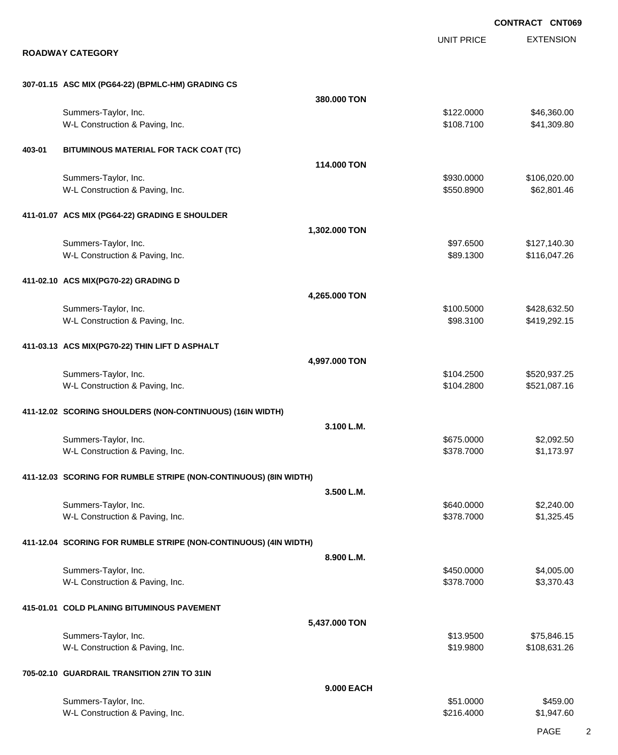EXTENSION **CONTRACT CNT069** UNIT PRICE **ROADWAY CATEGORY 307-01.15 ASC MIX (PG64-22) (BPMLC-HM) GRADING CS 380.000 TON** Summers-Taylor, Inc. \$122.0000 \$46,360.00 W-L Construction & Paving, Inc. 6. The Construction & Paving, Inc. 6. The Construction & Paving, Inc. 6. The Construction & Paving, Inc. 6. The Construction & Paving, Inc. 6. The Construction & Paving, Inc. 6. The Construc **403-01 BITUMINOUS MATERIAL FOR TACK COAT (TC) 114.000 TON** Summers-Taylor, Inc. 6. The Summers-Taylor, Inc. 6. The Summers-Taylor, Inc. 6. The Summers-Taylor, Inc. 6. The Summers-Taylor, Inc. 6. The Summers-Taylor, Inc. 6. The Summers-Taylor, Inc. 6. The Summers-Taylor, Inc. 6. Th W-L Construction & Paving, Inc. 6. The Construction & Paving, Inc. \$62,801.46 **411-01.07 ACS MIX (PG64-22) GRADING E SHOULDER 1,302.000 TON** Summers-Taylor, Inc. \$97.6500 \$127,140.30 W-L Construction & Paving, Inc. 6. The Construction & Paving, Inc. \$89.1300 \$116,047.26 **411-02.10 ACS MIX(PG70-22) GRADING D 4,265.000 TON** Summers-Taylor, Inc. \$100.5000 \$428,632.50 W-L Construction & Paving, Inc. \$98.3100 \$419,292.15 **411-03.13 ACS MIX(PG70-22) THIN LIFT D ASPHALT 4,997.000 TON** Summers-Taylor, Inc. \$104.2500 \$520,937.25 W-L Construction & Paving, Inc. 6. The Construction & Paving, Inc. 6. The Construction & Paving, Inc. 6. The Construction & Paving, Inc. 6. The Construction & Paving, Inc. 6. The Construction & Paving, Inc. 6. The Construc **411-12.02 SCORING SHOULDERS (NON-CONTINUOUS) (16IN WIDTH) 3.100 L.M.** Summers-Taylor, Inc. \$675.0000 \$2,092.50 W-L Construction & Paving, Inc. 6. The Construction & Paving, Inc. \$378.7000 \$1,173.97 **411-12.03 SCORING FOR RUMBLE STRIPE (NON-CONTINUOUS) (8IN WIDTH) 3.500 L.M.** Summers-Taylor, Inc. 6640.0000 \$2,240.00 W-L Construction & Paving, Inc. 6. The Construction & Paving, Inc. 6. The Construction & Paving, Inc. 6. The Construction of the Construction of the Construction of the Construction of the Construction of the Construction **411-12.04 SCORING FOR RUMBLE STRIPE (NON-CONTINUOUS) (4IN WIDTH) 8.900 L.M.** Summers-Taylor, Inc. 66 (1992) 2008. The set of the set of the set of the set of the set of the set of the set of the set of the set of the set of the set of the set of the set of the set of the set of the set of the set o W-L Construction & Paving, Inc. 63,370.43 **415-01.01 COLD PLANING BITUMINOUS PAVEMENT 5,437.000 TON** Summers-Taylor, Inc. \$13.9500 \$75,846.15 W-L Construction & Paving, Inc. 6. The Construction & Paving, Inc. \$19.9800 \$108,631.26 **705-02.10 GUARDRAIL TRANSITION 27IN TO 31IN 9.000 EACH** Summers-Taylor, Inc. \$459.00 \$459.00 \$459.00 \$459.00 \$459.00 \$459.00 \$459.00 \$459.00 \$459.00 \$459.00 \$459.00 \$ W-L Construction & Paving, Inc. 60 and the construction & Paving, Inc. 60 and the construction & Paving, Inc.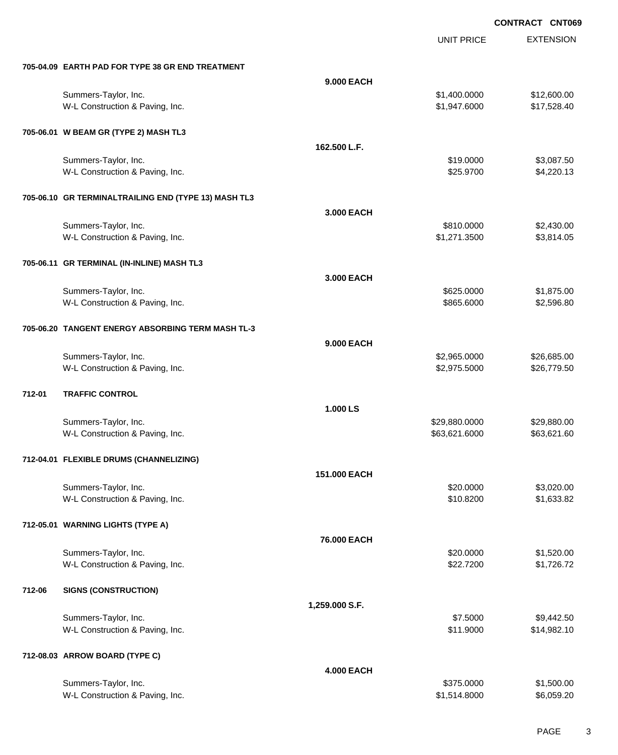UNIT PRICE

|        | 705-04.09 EARTH PAD FOR TYPE 38 GR END TREATMENT     |                   |               |             |
|--------|------------------------------------------------------|-------------------|---------------|-------------|
|        |                                                      | 9.000 EACH        |               |             |
|        | Summers-Taylor, Inc.                                 |                   | \$1,400.0000  | \$12,600.00 |
|        | W-L Construction & Paving, Inc.                      |                   | \$1,947.6000  | \$17,528.40 |
|        | 705-06.01 W BEAM GR (TYPE 2) MASH TL3                |                   |               |             |
|        |                                                      | 162.500 L.F.      |               |             |
|        | Summers-Taylor, Inc.                                 |                   | \$19.0000     | \$3,087.50  |
|        | W-L Construction & Paving, Inc.                      |                   | \$25.9700     | \$4,220.13  |
|        | 705-06.10 GR TERMINALTRAILING END (TYPE 13) MASH TL3 |                   |               |             |
|        |                                                      | 3.000 EACH        |               |             |
|        | Summers-Taylor, Inc.                                 |                   | \$810.0000    | \$2,430.00  |
|        | W-L Construction & Paving, Inc.                      |                   | \$1,271.3500  | \$3,814.05  |
|        | 705-06.11 GR TERMINAL (IN-INLINE) MASH TL3           |                   |               |             |
|        |                                                      | 3.000 EACH        |               |             |
|        | Summers-Taylor, Inc.                                 |                   | \$625.0000    | \$1,875.00  |
|        | W-L Construction & Paving, Inc.                      |                   | \$865.6000    | \$2,596.80  |
|        | 705-06.20 TANGENT ENERGY ABSORBING TERM MASH TL-3    |                   |               |             |
|        |                                                      | 9.000 EACH        |               |             |
|        | Summers-Taylor, Inc.                                 |                   | \$2,965.0000  | \$26,685.00 |
|        | W-L Construction & Paving, Inc.                      |                   | \$2,975.5000  | \$26,779.50 |
| 712-01 | <b>TRAFFIC CONTROL</b>                               |                   |               |             |
|        |                                                      | 1.000 LS          |               |             |
|        | Summers-Taylor, Inc.                                 |                   | \$29,880.0000 | \$29,880.00 |
|        | W-L Construction & Paving, Inc.                      |                   | \$63,621.6000 | \$63,621.60 |
|        | 712-04.01 FLEXIBLE DRUMS (CHANNELIZING)              |                   |               |             |
|        |                                                      | 151.000 EACH      |               |             |
|        | Summers-Taylor, Inc.                                 |                   | \$20.0000     | \$3,020.00  |
|        | W-L Construction & Paving, Inc.                      |                   | \$10.8200     | \$1,633.82  |
|        | 712-05.01 WARNING LIGHTS (TYPE A)                    |                   |               |             |
|        |                                                      | 76.000 EACH       |               |             |
|        | Summers-Taylor, Inc.                                 |                   | \$20.0000     | \$1,520.00  |
|        | W-L Construction & Paving, Inc.                      |                   | \$22.7200     | \$1,726.72  |
| 712-06 | <b>SIGNS (CONSTRUCTION)</b>                          |                   |               |             |
|        |                                                      | 1,259.000 S.F.    |               |             |
|        | Summers-Taylor, Inc.                                 |                   | \$7.5000      | \$9,442.50  |
|        | W-L Construction & Paving, Inc.                      |                   | \$11.9000     | \$14,982.10 |
|        | 712-08.03 ARROW BOARD (TYPE C)                       |                   |               |             |
|        |                                                      | <b>4.000 EACH</b> |               |             |
|        | Summers-Taylor, Inc.                                 |                   | \$375.0000    | \$1,500.00  |
|        | W-L Construction & Paving, Inc.                      |                   | \$1,514.8000  | \$6,059.20  |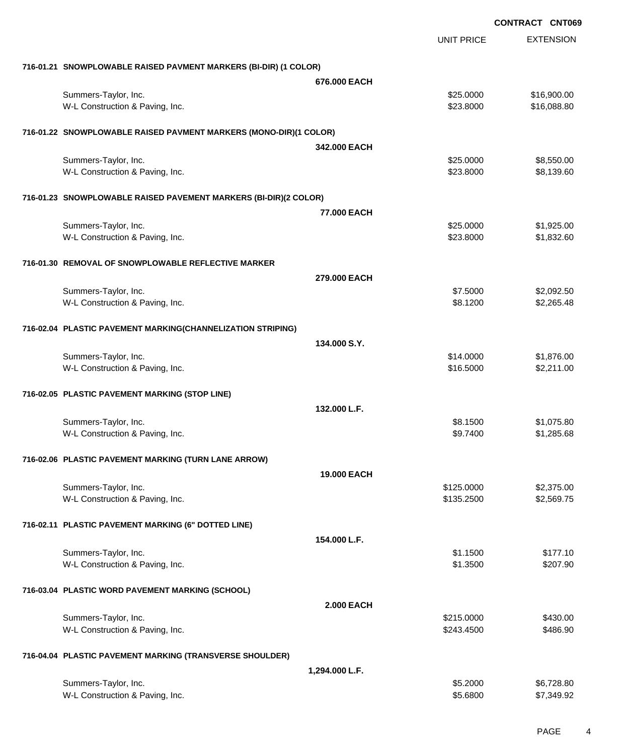|                                                                   |                    | <b>CONTRACT CNT069</b> |
|-------------------------------------------------------------------|--------------------|------------------------|
|                                                                   | <b>UNIT PRICE</b>  | <b>EXTENSION</b>       |
| 716-01.21 SNOWPLOWABLE RAISED PAVMENT MARKERS (BI-DIR) (1 COLOR)  |                    |                        |
|                                                                   | 676,000 EACH       |                        |
| Summers-Taylor, Inc.                                              | \$25.0000          | \$16,900.00            |
| W-L Construction & Paving, Inc.                                   | \$23.8000          | \$16,088.80            |
| 716-01.22 SNOWPLOWABLE RAISED PAVMENT MARKERS (MONO-DIR)(1 COLOR) |                    |                        |
|                                                                   | 342.000 EACH       |                        |
| Summers-Taylor, Inc.                                              | \$25.0000          | \$8,550.00             |
| W-L Construction & Paving, Inc.                                   | \$23.8000          | \$8,139.60             |
| 716-01.23 SNOWPLOWABLE RAISED PAVEMENT MARKERS (BI-DIR)(2 COLOR)  |                    |                        |
|                                                                   | 77.000 EACH        |                        |
| Summers-Taylor, Inc.                                              | \$25.0000          | \$1,925.00             |
| W-L Construction & Paving, Inc.                                   | \$23.8000          | \$1,832.60             |
| 716-01.30 REMOVAL OF SNOWPLOWABLE REFLECTIVE MARKER               |                    |                        |
|                                                                   | 279,000 EACH       |                        |
| Summers-Taylor, Inc.                                              | \$7.5000           | \$2,092.50             |
| W-L Construction & Paving, Inc.                                   | \$8.1200           | \$2,265.48             |
| 716-02.04 PLASTIC PAVEMENT MARKING(CHANNELIZATION STRIPING)       |                    |                        |
|                                                                   | 134.000 S.Y.       |                        |
| Summers-Taylor, Inc.                                              | \$14.0000          | \$1,876.00             |
| W-L Construction & Paving, Inc.                                   | \$16.5000          | \$2,211.00             |
| 716-02.05 PLASTIC PAVEMENT MARKING (STOP LINE)                    |                    |                        |
|                                                                   | 132.000 L.F.       |                        |
| Summers-Taylor, Inc.                                              | \$8.1500           | \$1,075.80             |
| W-L Construction & Paving, Inc.                                   | \$9.7400           | \$1,285.68             |
| 716-02.06 PLASTIC PAVEMENT MARKING (TURN LANE ARROW)              |                    |                        |
|                                                                   | <b>19,000 EACH</b> |                        |
| Summers-Taylor, Inc.                                              | \$125.0000         | \$2,375.00             |
| W-L Construction & Paving, Inc.                                   | \$135.2500         | \$2,569.75             |
| 716-02.11 PLASTIC PAVEMENT MARKING (6" DOTTED LINE)               |                    |                        |
|                                                                   | 154.000 L.F.       |                        |
| Summers-Taylor, Inc.                                              | \$1.1500           | \$177.10               |
| W-L Construction & Paving, Inc.                                   | \$1.3500           | \$207.90               |
| 716-03.04 PLASTIC WORD PAVEMENT MARKING (SCHOOL)                  |                    |                        |
|                                                                   | <b>2.000 EACH</b>  |                        |
| Summers-Taylor, Inc.                                              | \$215.0000         | \$430.00               |
| W-L Construction & Paving, Inc.                                   | \$243.4500         | \$486.90               |
| 716-04.04 PLASTIC PAVEMENT MARKING (TRANSVERSE SHOULDER)          |                    |                        |
|                                                                   | 1,294.000 L.F.     |                        |
| Summers-Taylor, Inc.                                              | \$5.2000           | \$6,728.80             |
| W-L Construction & Paving, Inc.                                   | \$5.6800           | \$7,349.92             |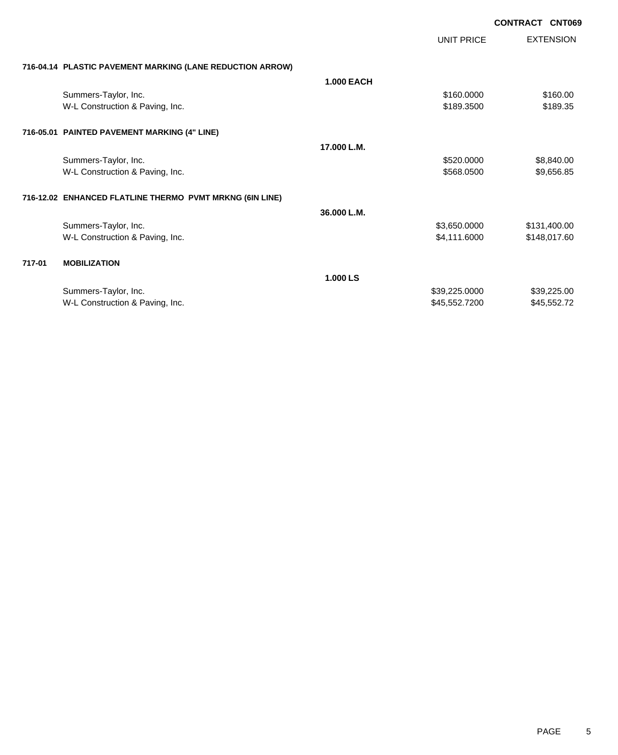|        |                                                           | <b>UNIT PRICE</b> | <b>EXTENSION</b> |
|--------|-----------------------------------------------------------|-------------------|------------------|
|        | 716-04.14 PLASTIC PAVEMENT MARKING (LANE REDUCTION ARROW) |                   |                  |
|        |                                                           | <b>1.000 EACH</b> |                  |
|        | Summers-Taylor, Inc.                                      | \$160.0000        | \$160.00         |
|        | W-L Construction & Paving, Inc.                           | \$189.3500        | \$189.35         |
|        | 716-05.01 PAINTED PAVEMENT MARKING (4" LINE)              |                   |                  |
|        |                                                           | 17.000 L.M.       |                  |
|        | Summers-Taylor, Inc.                                      | \$520.0000        | \$8,840.00       |
|        | W-L Construction & Paving, Inc.                           | \$568.0500        | \$9,656.85       |
|        | 716-12.02 ENHANCED FLATLINE THERMO PVMT MRKNG (6IN LINE)  |                   |                  |
|        |                                                           | 36.000 L.M.       |                  |
|        | Summers-Taylor, Inc.                                      | \$3,650.0000      | \$131,400.00     |
|        | W-L Construction & Paving, Inc.                           | \$4,111.6000      | \$148,017.60     |
| 717-01 | <b>MOBILIZATION</b>                                       |                   |                  |
|        |                                                           | 1.000 LS          |                  |
|        | Summers-Taylor, Inc.                                      | \$39,225.0000     | \$39,225.00      |
|        | W-L Construction & Paving, Inc.                           | \$45,552.7200     | \$45,552.72      |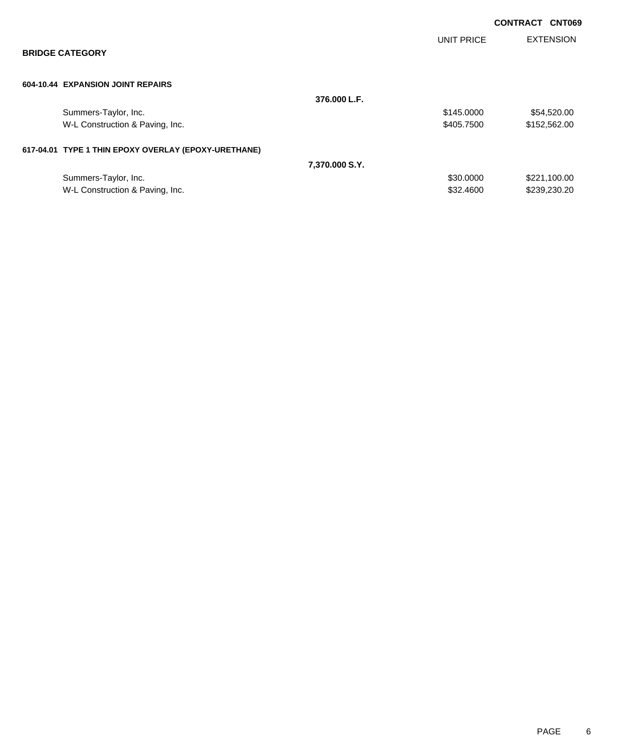|                                                      |                |                   | <b>CONTRACT CNT069</b> |
|------------------------------------------------------|----------------|-------------------|------------------------|
|                                                      |                | <b>UNIT PRICE</b> | <b>EXTENSION</b>       |
| <b>BRIDGE CATEGORY</b>                               |                |                   |                        |
| 604-10.44 EXPANSION JOINT REPAIRS                    |                |                   |                        |
|                                                      | 376.000 L.F.   |                   |                        |
| Summers-Taylor, Inc.                                 |                | \$145.0000        | \$54,520.00            |
| W-L Construction & Paving, Inc.                      |                | \$405.7500        | \$152,562.00           |
| 617-04.01 TYPE 1 THIN EPOXY OVERLAY (EPOXY-URETHANE) |                |                   |                        |
|                                                      | 7,370,000 S.Y. |                   |                        |
| Summers-Taylor, Inc.                                 |                | \$30.0000         | \$221,100.00           |
| W-L Construction & Paving, Inc.                      |                | \$32.4600         | \$239,230.20           |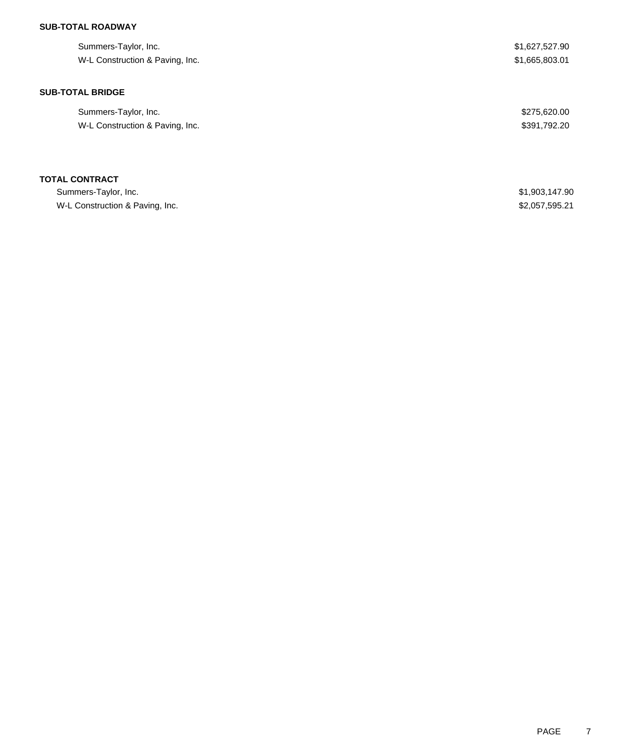## **SUB-TOTAL ROADWAY**

| Summers-Taylor, Inc.            | \$1,627,527.90 |
|---------------------------------|----------------|
| W-L Construction & Paving, Inc. | \$1,665,803.01 |
|                                 |                |
| <b>SUB-TOTAL BRIDGE</b>         |                |
| Summers-Taylor, Inc.            | \$275,620.00   |
| W-L Construction & Paving, Inc. | \$391,792.20   |
|                                 |                |
| <b>TOTAL CONTRACT</b>           |                |
| Summers-Taylor, Inc.            | \$1,903,147.90 |
| W-L Construction & Paving, Inc. | \$2,057,595.21 |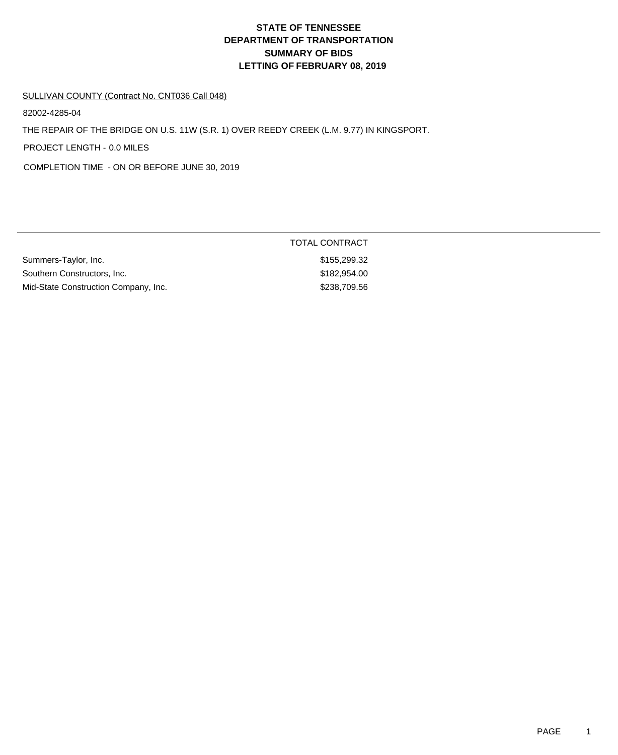# **DEPARTMENT OF TRANSPORTATION SUMMARY OF BIDS LETTING OF FEBRUARY 08, 2019 STATE OF TENNESSEE**

#### SULLIVAN COUNTY (Contract No. CNT036 Call 048)

82002-4285-04

THE REPAIR OF THE BRIDGE ON U.S. 11W (S.R. 1) OVER REEDY CREEK (L.M. 9.77) IN KINGSPORT.

PROJECT LENGTH - 0.0 MILES

COMPLETION TIME - ON OR BEFORE JUNE 30, 2019

|                                      | TOTAL CONTRACT |
|--------------------------------------|----------------|
| Summers-Taylor, Inc.                 | \$155,299.32   |
| Southern Constructors, Inc.          | \$182,954.00   |
| Mid-State Construction Company, Inc. | \$238,709.56   |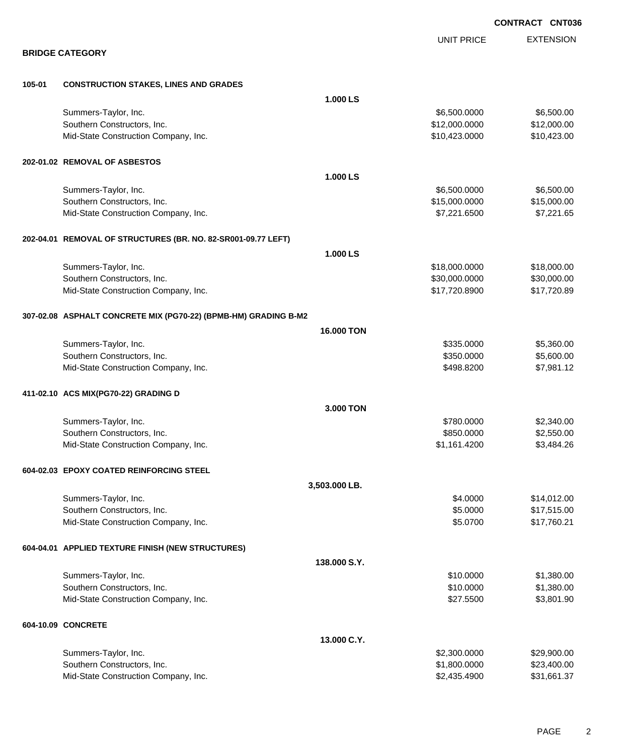|        |                                                                 |                   |                   | <b>CONTRACT CNT036</b> |
|--------|-----------------------------------------------------------------|-------------------|-------------------|------------------------|
|        |                                                                 |                   | <b>UNIT PRICE</b> | <b>EXTENSION</b>       |
|        | <b>BRIDGE CATEGORY</b>                                          |                   |                   |                        |
| 105-01 | <b>CONSTRUCTION STAKES, LINES AND GRADES</b>                    |                   |                   |                        |
|        |                                                                 | 1.000 LS          |                   |                        |
|        | Summers-Taylor, Inc.                                            |                   | \$6,500.0000      | \$6,500.00             |
|        | Southern Constructors, Inc.                                     |                   | \$12,000.0000     | \$12,000.00            |
|        | Mid-State Construction Company, Inc.                            |                   | \$10,423.0000     | \$10,423.00            |
|        | 202-01.02 REMOVAL OF ASBESTOS                                   |                   |                   |                        |
|        |                                                                 | 1.000 LS          |                   |                        |
|        | Summers-Taylor, Inc.                                            |                   | \$6,500.0000      | \$6,500.00             |
|        | Southern Constructors, Inc.                                     |                   | \$15,000.0000     | \$15,000.00            |
|        | Mid-State Construction Company, Inc.                            |                   | \$7,221.6500      | \$7,221.65             |
|        | 202-04.01 REMOVAL OF STRUCTURES (BR. NO. 82-SR001-09.77 LEFT)   |                   |                   |                        |
|        |                                                                 | 1.000 LS          |                   |                        |
|        | Summers-Taylor, Inc.                                            |                   | \$18,000.0000     | \$18,000.00            |
|        | Southern Constructors, Inc.                                     |                   | \$30,000.0000     | \$30,000.00            |
|        | Mid-State Construction Company, Inc.                            |                   | \$17,720.8900     | \$17,720.89            |
|        | 307-02.08 ASPHALT CONCRETE MIX (PG70-22) (BPMB-HM) GRADING B-M2 |                   |                   |                        |
|        |                                                                 | <b>16.000 TON</b> |                   |                        |
|        | Summers-Taylor, Inc.                                            |                   | \$335.0000        | \$5,360.00             |
|        | Southern Constructors, Inc.                                     |                   | \$350.0000        | \$5,600.00             |
|        | Mid-State Construction Company, Inc.                            |                   | \$498.8200        | \$7,981.12             |
|        | 411-02.10 ACS MIX(PG70-22) GRADING D                            |                   |                   |                        |
|        |                                                                 | 3.000 TON         |                   |                        |
|        | Summers-Taylor, Inc.                                            |                   | \$780.0000        | \$2,340.00             |
|        | Southern Constructors, Inc.                                     |                   | \$850.0000        | \$2,550.00             |
|        | Mid-State Construction Company, Inc.                            |                   | \$1,161.4200      | \$3,484.26             |
|        | 604-02.03 EPOXY COATED REINFORCING STEEL                        |                   |                   |                        |
|        |                                                                 | 3,503.000 LB.     |                   |                        |
|        | Summers-Taylor, Inc.                                            |                   | \$4.0000          | \$14,012.00            |
|        | Southern Constructors, Inc.                                     |                   | \$5.0000          | \$17,515.00            |
|        | Mid-State Construction Company, Inc.                            |                   | \$5.0700          | \$17,760.21            |
|        | 604-04.01 APPLIED TEXTURE FINISH (NEW STRUCTURES)               |                   |                   |                        |
|        |                                                                 | 138.000 S.Y.      |                   |                        |
|        | Summers-Taylor, Inc.                                            |                   | \$10.0000         | \$1,380.00             |
|        | Southern Constructors, Inc.                                     |                   | \$10.0000         | \$1,380.00             |
|        | Mid-State Construction Company, Inc.                            |                   | \$27.5500         | \$3,801.90             |
|        | 604-10.09 CONCRETE                                              |                   |                   |                        |
|        |                                                                 | 13.000 C.Y.       |                   |                        |
|        | Summers-Taylor, Inc.                                            |                   | \$2,300.0000      | \$29,900.00            |
|        | Southern Constructors, Inc.                                     |                   | \$1,800.0000      | \$23,400.00            |
|        | Mid-State Construction Company, Inc.                            |                   | \$2,435.4900      | \$31,661.37            |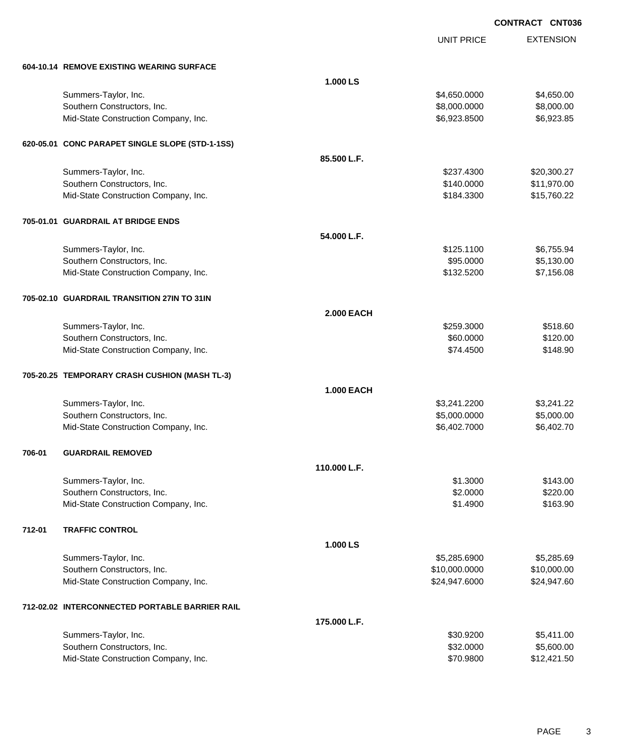UNIT PRICE

|        | 604-10.14 REMOVE EXISTING WEARING SURFACE       |                   |               |             |
|--------|-------------------------------------------------|-------------------|---------------|-------------|
|        |                                                 | 1.000 LS          |               |             |
|        | Summers-Taylor, Inc.                            |                   | \$4,650.0000  | \$4,650.00  |
|        | Southern Constructors, Inc.                     |                   | \$8,000.0000  | \$8,000.00  |
|        | Mid-State Construction Company, Inc.            |                   | \$6,923.8500  | \$6,923.85  |
|        |                                                 |                   |               |             |
|        | 620-05.01 CONC PARAPET SINGLE SLOPE (STD-1-1SS) |                   |               |             |
|        |                                                 | 85.500 L.F.       |               |             |
|        | Summers-Taylor, Inc.                            |                   | \$237.4300    | \$20,300.27 |
|        | Southern Constructors, Inc.                     |                   | \$140.0000    | \$11,970.00 |
|        | Mid-State Construction Company, Inc.            |                   | \$184.3300    | \$15,760.22 |
|        |                                                 |                   |               |             |
|        | 705-01.01 GUARDRAIL AT BRIDGE ENDS              |                   |               |             |
|        |                                                 | 54.000 L.F.       |               |             |
|        | Summers-Taylor, Inc.                            |                   | \$125.1100    | \$6,755.94  |
|        | Southern Constructors, Inc.                     |                   | \$95.0000     | \$5,130.00  |
|        | Mid-State Construction Company, Inc.            |                   | \$132.5200    | \$7,156.08  |
|        | 705-02.10 GUARDRAIL TRANSITION 27IN TO 31IN     |                   |               |             |
|        |                                                 | <b>2.000 EACH</b> |               |             |
|        | Summers-Taylor, Inc.                            |                   | \$259.3000    | \$518.60    |
|        | Southern Constructors, Inc.                     |                   | \$60.0000     | \$120.00    |
|        | Mid-State Construction Company, Inc.            |                   | \$74.4500     | \$148.90    |
|        |                                                 |                   |               |             |
|        | 705-20.25 TEMPORARY CRASH CUSHION (MASH TL-3)   |                   |               |             |
|        |                                                 | <b>1.000 EACH</b> |               |             |
|        | Summers-Taylor, Inc.                            |                   | \$3,241.2200  | \$3,241.22  |
|        | Southern Constructors, Inc.                     |                   | \$5,000.0000  | \$5,000.00  |
|        | Mid-State Construction Company, Inc.            |                   | \$6,402.7000  | \$6,402.70  |
| 706-01 | <b>GUARDRAIL REMOVED</b>                        |                   |               |             |
|        |                                                 | 110.000 L.F.      |               |             |
|        | Summers-Taylor, Inc.                            |                   | \$1.3000      | \$143.00    |
|        | Southern Constructors, Inc.                     |                   | \$2.0000      | \$220.00    |
|        | Mid-State Construction Company, Inc.            |                   | \$1.4900      | \$163.90    |
|        |                                                 |                   |               |             |
| 712-01 | <b>TRAFFIC CONTROL</b>                          |                   |               |             |
|        |                                                 | 1.000 LS          |               |             |
|        | Summers-Taylor, Inc.                            |                   | \$5,285.6900  | \$5,285.69  |
|        | Southern Constructors, Inc.                     |                   | \$10,000.0000 | \$10,000.00 |
|        | Mid-State Construction Company, Inc.            |                   | \$24,947.6000 | \$24,947.60 |
|        | 712-02.02 INTERCONNECTED PORTABLE BARRIER RAIL  |                   |               |             |
|        |                                                 | 175.000 L.F.      |               |             |
|        | Summers-Taylor, Inc.                            |                   | \$30.9200     | \$5,411.00  |
|        | Southern Constructors, Inc.                     |                   | \$32.0000     | \$5,600.00  |
|        | Mid-State Construction Company, Inc.            |                   | \$70.9800     | \$12,421.50 |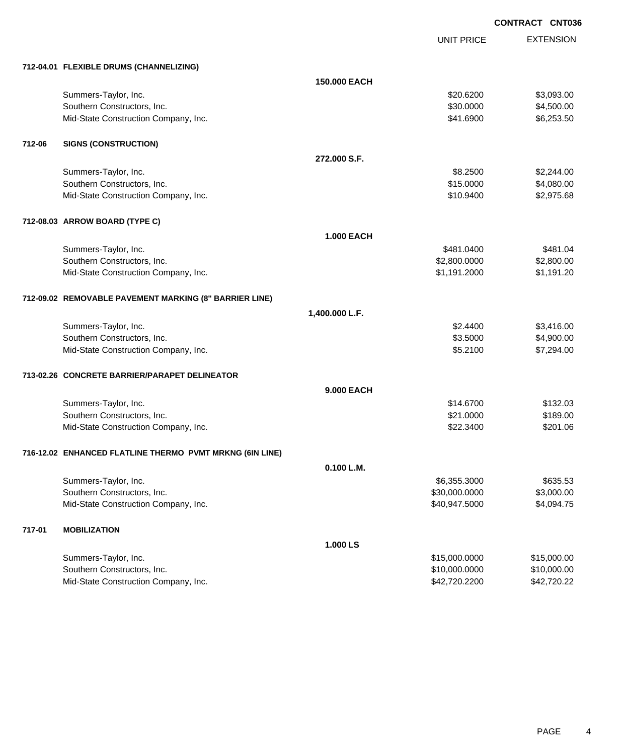UNIT PRICE EXTENSION

|        | 712-04.01 FLEXIBLE DRUMS (CHANNELIZING)                  |                   |               |             |
|--------|----------------------------------------------------------|-------------------|---------------|-------------|
|        |                                                          | 150.000 EACH      |               |             |
|        | Summers-Taylor, Inc.                                     |                   | \$20.6200     | \$3,093.00  |
|        | Southern Constructors, Inc.                              |                   | \$30.0000     | \$4,500.00  |
|        | Mid-State Construction Company, Inc.                     |                   | \$41.6900     | \$6,253.50  |
| 712-06 | <b>SIGNS (CONSTRUCTION)</b>                              |                   |               |             |
|        |                                                          | 272,000 S.F.      |               |             |
|        | Summers-Taylor, Inc.                                     |                   | \$8.2500      | \$2,244.00  |
|        | Southern Constructors, Inc.                              |                   | \$15.0000     | \$4,080.00  |
|        | Mid-State Construction Company, Inc.                     |                   | \$10.9400     | \$2,975.68  |
|        | 712-08.03 ARROW BOARD (TYPE C)                           |                   |               |             |
|        |                                                          | <b>1.000 EACH</b> |               |             |
|        | Summers-Taylor, Inc.                                     |                   | \$481.0400    | \$481.04    |
|        | Southern Constructors, Inc.                              |                   | \$2,800.0000  | \$2,800.00  |
|        | Mid-State Construction Company, Inc.                     |                   | \$1,191.2000  | \$1,191.20  |
|        | 712-09.02 REMOVABLE PAVEMENT MARKING (8" BARRIER LINE)   |                   |               |             |
|        |                                                          | 1,400.000 L.F.    |               |             |
|        | Summers-Taylor, Inc.                                     |                   | \$2.4400      | \$3,416.00  |
|        | Southern Constructors, Inc.                              |                   | \$3.5000      | \$4,900.00  |
|        | Mid-State Construction Company, Inc.                     |                   | \$5.2100      | \$7,294.00  |
|        | 713-02.26 CONCRETE BARRIER/PARAPET DELINEATOR            |                   |               |             |
|        |                                                          | <b>9.000 EACH</b> |               |             |
|        | Summers-Taylor, Inc.                                     |                   | \$14.6700     | \$132.03    |
|        | Southern Constructors, Inc.                              |                   | \$21.0000     | \$189.00    |
|        | Mid-State Construction Company, Inc.                     |                   | \$22.3400     | \$201.06    |
|        | 716-12.02 ENHANCED FLATLINE THERMO PVMT MRKNG (6IN LINE) |                   |               |             |
|        |                                                          | 0.100 L.M.        |               |             |
|        | Summers-Taylor, Inc.                                     |                   | \$6,355.3000  | \$635.53    |
|        | Southern Constructors, Inc.                              |                   | \$30,000.0000 | \$3,000.00  |
|        | Mid-State Construction Company, Inc.                     |                   | \$40,947.5000 | \$4,094.75  |
| 717-01 | <b>MOBILIZATION</b>                                      |                   |               |             |
|        |                                                          | 1.000 LS          |               |             |
|        | Summers-Taylor, Inc.                                     |                   | \$15,000.0000 | \$15,000.00 |
|        | Southern Constructors, Inc.                              |                   | \$10,000.0000 | \$10,000.00 |
|        | Mid-State Construction Company, Inc.                     |                   | \$42,720.2200 | \$42,720.22 |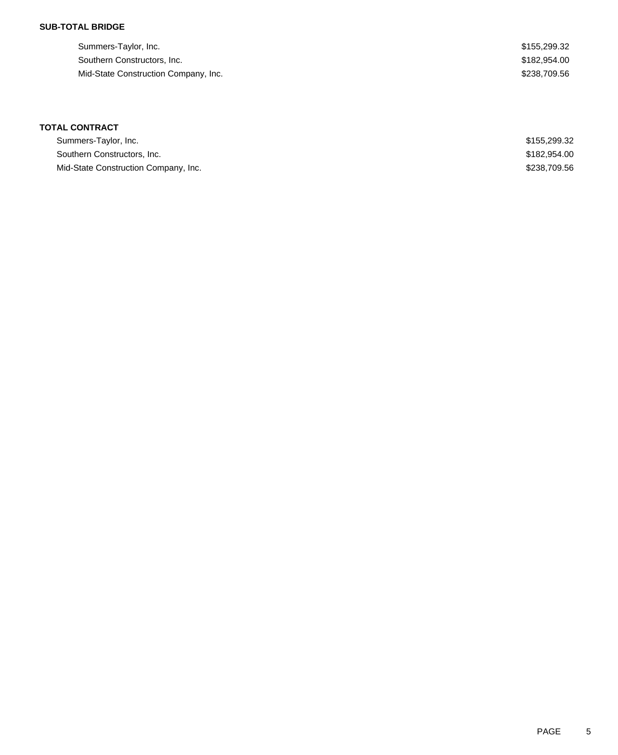### **SUB-TOTAL BRIDGE**

| Summers-Taylor, Inc.                 | \$155,299.32 |
|--------------------------------------|--------------|
| Southern Constructors, Inc.          | \$182,954,00 |
| Mid-State Construction Company, Inc. | \$238,709.56 |

## **TOTAL CONTRACT**

| Summers-Taylor, Inc.                 | \$155,299.32 |
|--------------------------------------|--------------|
| Southern Constructors, Inc.          | \$182,954.00 |
| Mid-State Construction Company, Inc. | \$238,709.56 |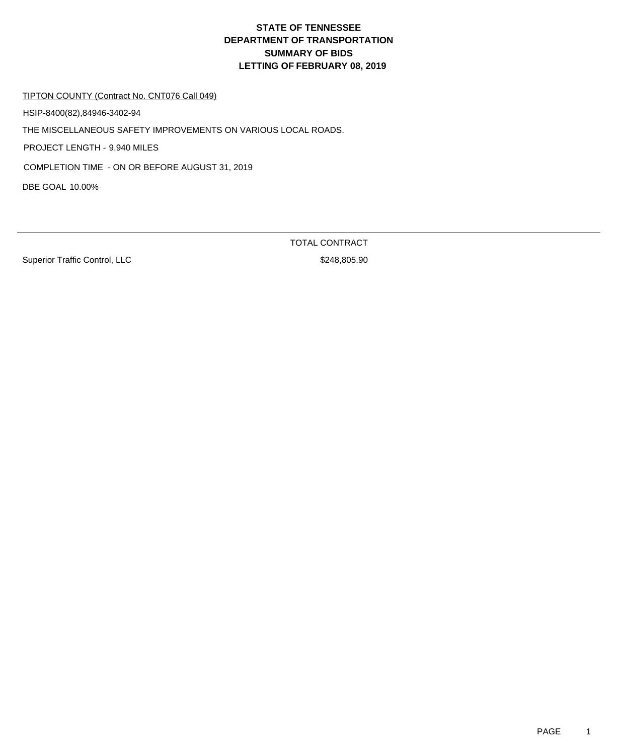# **DEPARTMENT OF TRANSPORTATION SUMMARY OF BIDS LETTING OF FEBRUARY 08, 2019 STATE OF TENNESSEE**

#### TIPTON COUNTY (Contract No. CNT076 Call 049)

HSIP-8400(82),84946-3402-94

THE MISCELLANEOUS SAFETY IMPROVEMENTS ON VARIOUS LOCAL ROADS.

PROJECT LENGTH - 9.940 MILES

COMPLETION TIME - ON OR BEFORE AUGUST 31, 2019

DBE GOAL 10.00%

Superior Traffic Control, LLC \$248,805.90

TOTAL CONTRACT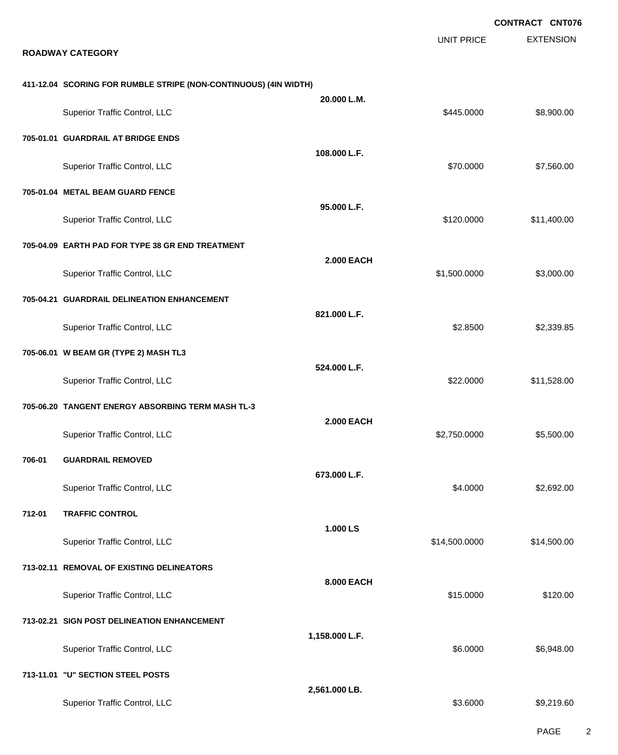|                                                                  |                   |                   | <b>CONTRACT CNT076</b> |
|------------------------------------------------------------------|-------------------|-------------------|------------------------|
| <b>ROADWAY CATEGORY</b>                                          |                   | <b>UNIT PRICE</b> | <b>EXTENSION</b>       |
| 411-12.04 SCORING FOR RUMBLE STRIPE (NON-CONTINUOUS) (4IN WIDTH) |                   |                   |                        |
| Superior Traffic Control, LLC                                    | 20.000 L.M.       | \$445.0000        | \$8,900.00             |
| 705-01.01 GUARDRAIL AT BRIDGE ENDS                               |                   |                   |                        |
| Superior Traffic Control, LLC                                    | 108.000 L.F.      | \$70.0000         | \$7,560.00             |
| 705-01.04 METAL BEAM GUARD FENCE                                 |                   |                   |                        |
| Superior Traffic Control, LLC                                    | 95.000 L.F.       | \$120.0000        | \$11,400.00            |
| 705-04.09 EARTH PAD FOR TYPE 38 GR END TREATMENT                 |                   |                   |                        |
| Superior Traffic Control, LLC                                    | <b>2.000 EACH</b> | \$1,500.0000      | \$3,000.00             |
| 705-04.21 GUARDRAIL DELINEATION ENHANCEMENT                      |                   |                   |                        |
| Superior Traffic Control, LLC                                    | 821.000 L.F.      | \$2.8500          | \$2,339.85             |
| 705-06.01 W BEAM GR (TYPE 2) MASH TL3                            |                   |                   |                        |
| Superior Traffic Control, LLC                                    | 524.000 L.F.      | \$22.0000         | \$11,528.00            |
| 705-06.20 TANGENT ENERGY ABSORBING TERM MASH TL-3                |                   |                   |                        |
| Superior Traffic Control, LLC                                    | <b>2.000 EACH</b> | \$2,750.0000      | \$5,500.00             |
| <b>GUARDRAIL REMOVED</b><br>706-01                               |                   |                   |                        |
| Superior Traffic Control, LLC                                    | 673.000 L.F.      | \$4.0000          | \$2,692.00             |
| 712-01<br><b>TRAFFIC CONTROL</b>                                 |                   |                   |                        |
| Superior Traffic Control, LLC                                    | 1.000 LS          | \$14,500.0000     | \$14,500.00            |
| 713-02.11 REMOVAL OF EXISTING DELINEATORS                        |                   |                   |                        |
| Superior Traffic Control, LLC                                    | 8.000 EACH        | \$15.0000         | \$120.00               |
| 713-02.21 SIGN POST DELINEATION ENHANCEMENT                      |                   |                   |                        |
| Superior Traffic Control, LLC                                    | 1,158.000 L.F.    | \$6.0000          | \$6,948.00             |
| 713-11.01 "U" SECTION STEEL POSTS                                |                   |                   |                        |
| Superior Traffic Control, LLC                                    | 2,561.000 LB.     | \$3.6000          | \$9,219.60             |

PAGE 2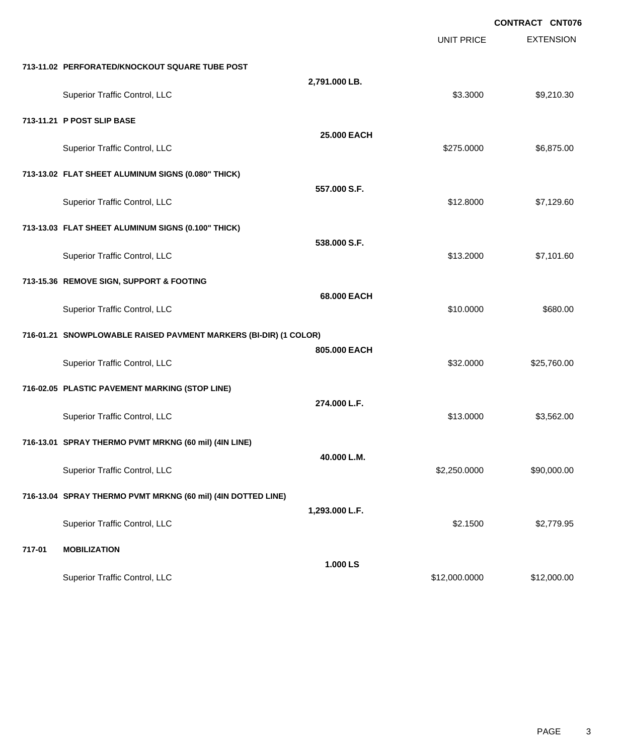|        |                                                                  |                |                   | <b>CONTRACT CNT076</b> |
|--------|------------------------------------------------------------------|----------------|-------------------|------------------------|
|        |                                                                  |                | <b>UNIT PRICE</b> | <b>EXTENSION</b>       |
|        | 713-11.02 PERFORATED/KNOCKOUT SQUARE TUBE POST                   |                |                   |                        |
|        | Superior Traffic Control, LLC                                    | 2,791.000 LB.  | \$3.3000          | \$9,210.30             |
|        | 713-11.21 P POST SLIP BASE                                       |                |                   |                        |
|        | Superior Traffic Control, LLC                                    | 25.000 EACH    | \$275.0000        | \$6,875.00             |
|        | 713-13.02 FLAT SHEET ALUMINUM SIGNS (0.080" THICK)               |                |                   |                        |
|        | <b>Superior Traffic Control, LLC</b>                             | 557.000 S.F.   | \$12.8000         | \$7,129.60             |
|        | 713-13.03 FLAT SHEET ALUMINUM SIGNS (0.100" THICK)               |                |                   |                        |
|        | Superior Traffic Control, LLC                                    | 538.000 S.F.   | \$13.2000         | \$7,101.60             |
|        | 713-15.36 REMOVE SIGN, SUPPORT & FOOTING                         |                |                   |                        |
|        | Superior Traffic Control, LLC                                    | 68.000 EACH    | \$10.0000         | \$680.00               |
|        | 716-01.21 SNOWPLOWABLE RAISED PAVMENT MARKERS (BI-DIR) (1 COLOR) |                |                   |                        |
|        | Superior Traffic Control, LLC                                    | 805.000 EACH   | \$32.0000         | \$25,760.00            |
|        | 716-02.05 PLASTIC PAVEMENT MARKING (STOP LINE)                   |                |                   |                        |
|        | Superior Traffic Control, LLC                                    | 274.000 L.F.   | \$13,0000         | \$3,562.00             |
|        | 716-13.01 SPRAY THERMO PVMT MRKNG (60 mil) (4IN LINE)            |                |                   |                        |
|        | Superior Traffic Control, LLC                                    | 40.000 L.M.    | \$2,250.0000      | \$90,000.00            |
|        | 716-13.04 SPRAY THERMO PVMT MRKNG (60 mil) (4IN DOTTED LINE)     |                |                   |                        |
|        | Superior Traffic Control, LLC                                    | 1,293.000 L.F. | \$2.1500          | \$2,779.95             |
| 717-01 | <b>MOBILIZATION</b>                                              |                |                   |                        |
|        | Superior Traffic Control, LLC                                    | 1.000 LS       | \$12,000.0000     | \$12,000.00            |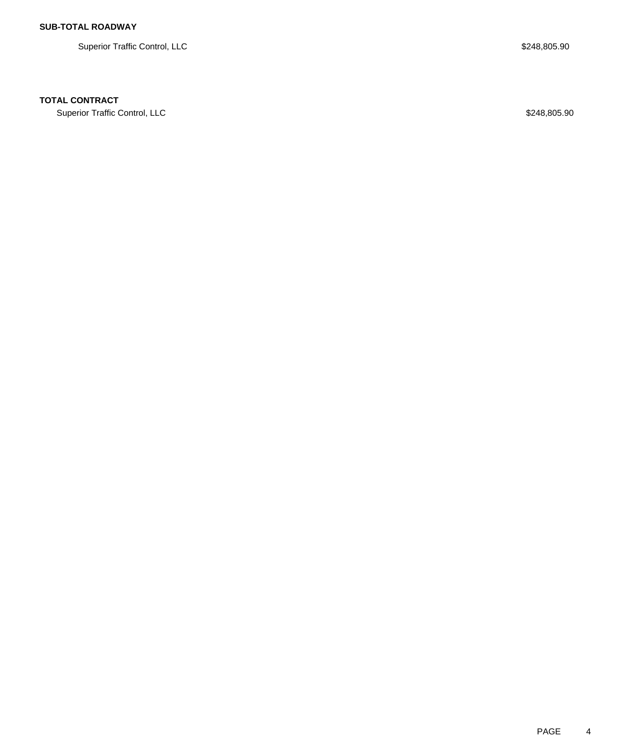Superior Traffic Control, LLC \$248,805.90

## **TOTAL CONTRACT**

Superior Traffic Control, LLC \$248,805.90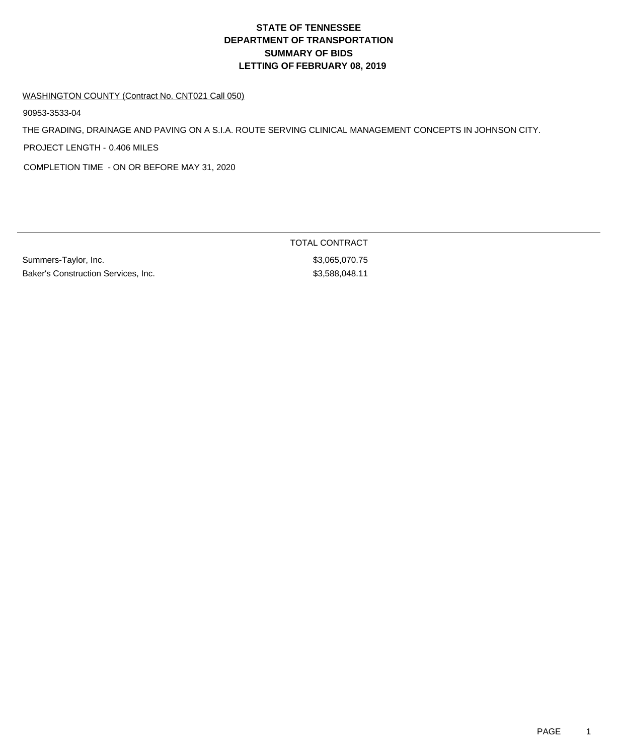# **DEPARTMENT OF TRANSPORTATION SUMMARY OF BIDS LETTING OF FEBRUARY 08, 2019 STATE OF TENNESSEE**

#### WASHINGTON COUNTY (Contract No. CNT021 Call 050)

90953-3533-04

THE GRADING, DRAINAGE AND PAVING ON A S.I.A. ROUTE SERVING CLINICAL MANAGEMENT CONCEPTS IN JOHNSON CITY.

PROJECT LENGTH - 0.406 MILES

COMPLETION TIME - ON OR BEFORE MAY 31, 2020

Summers-Taylor, Inc. \$3,065,070.75 Baker's Construction Services, Inc. 6. The State of the State of S3,588,048.11

TOTAL CONTRACT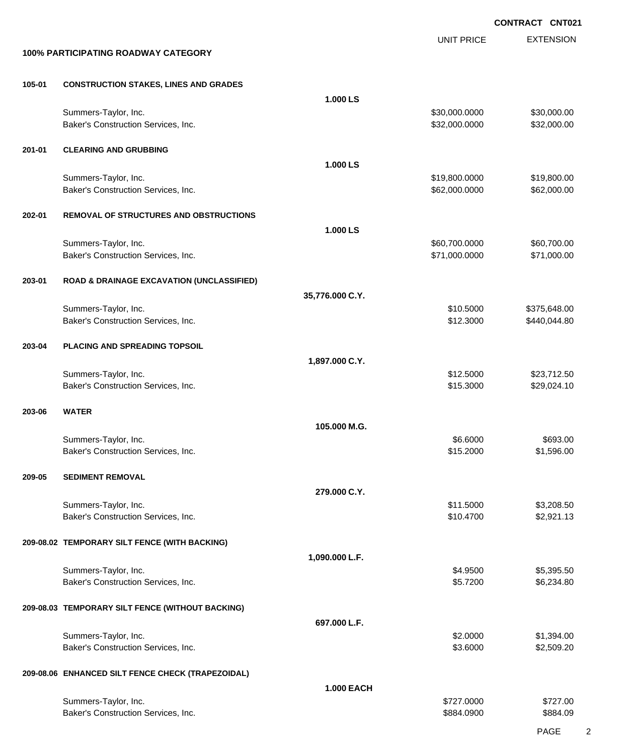EXTENSION **CONTRACT CNT021** UNIT PRICE **100% PARTICIPATING ROADWAY CATEGORY 105-01 CONSTRUCTION STAKES, LINES AND GRADES 1.000 LS** Summers-Taylor, Inc. \$30,000.000 \$30,000.000 \$30,000.000 \$30,000.000 \$30,000.000 \$30,000.00 Baker's Construction Services, Inc. 6. 2010 12:00:000 \$32,000.000 \$32,000.000 \$32,000.000 \$32,000.00 **201-01 CLEARING AND GRUBBING 1.000 LS** Summers-Taylor, Inc. 6. The Summers-Taylor, Inc. 6. The Summers-Taylor, Inc. 6. The Summers-Taylor, Inc. 6. The Summers-Taylor, Inc. 6. The Summers-Taylor, Inc. 6. The Summers-Taylor, Inc. 6. The Summers-Taylor, Inc. 6. Th Baker's Construction Services, Inc. 662,000.000 \$62,000.000 \$62,000.000 \$62,000.000 \$62,000.00 **202-01 REMOVAL OF STRUCTURES AND OBSTRUCTIONS 1.000 LS** Summers-Taylor, Inc. \$60,700.000 \$60,700.000 \$60,700.000 \$60,700.000 \$60,700.000 \$60,700.00 Baker's Construction Services, Inc. 6. The Construction Services, Inc. 6. The Construction Services, Inc. 6. The Construction Services, Inc. 6. The Construction Services, Inc. 6. The Construction Services, Inc. 6. The Cons **203-01 ROAD & DRAINAGE EXCAVATION (UNCLASSIFIED) 35,776.000 C.Y.** Summers-Taylor, Inc. \$10.5000 \$375,648.00 Baker's Construction Services, Inc. \$12.3000 \$440,044.80 **203-04 PLACING AND SPREADING TOPSOIL 1,897.000 C.Y.** Summers-Taylor, Inc. \$12.5000 \$23,712.50 Baker's Construction Services, Inc. \$15.3000 \$29,024.10 **203-06 WATER 105.000 M.G.** Summers-Taylor, Inc. \$693.00 \$693.00 Baker's Construction Services, Inc. 6. 2000 \$1,596.00 **209-05 SEDIMENT REMOVAL 279.000 C.Y.** Summers-Taylor, Inc. \$11.5000 \$3,208.50 Baker's Construction Services, Inc. 6. The Construction Services, Inc. 6. The Construction Services, Inc. 6. The Construction Services, Inc. 6. The Construction Services, Inc. 6. The Construction Services, Inc. 6. The Cons **209-08.02 TEMPORARY SILT FENCE (WITH BACKING) 1,090.000 L.F.** Summers-Taylor, Inc. \$4.9500 \$5,395.50 Baker's Construction Services, Inc. \$5.7200 \$6,234.80 **209-08.03 TEMPORARY SILT FENCE (WITHOUT BACKING) 697.000 L.F.** Summers-Taylor, Inc. \$2.0000 \$1,394.00 Baker's Construction Services, Inc. 6. The Construction Services, Inc. 6. The Construction Services, Inc. 6. The Construction Services, Inc. 6. The Construction Services, Inc. 6. The Construction Services, Inc. 6. The Cons **209-08.06 ENHANCED SILT FENCE CHECK (TRAPEZOIDAL) 1.000 EACH** Summers-Taylor, Inc. \$727.000 \$727.000 \$727.000 \$727.000 \$727.000 \$727.000 \$727.000 \$127.00 \$ Baker's Construction Services, Inc. 6884.09 and the service of the services of the services, and the services of the services of the services of the services of the services of the services of the services of the services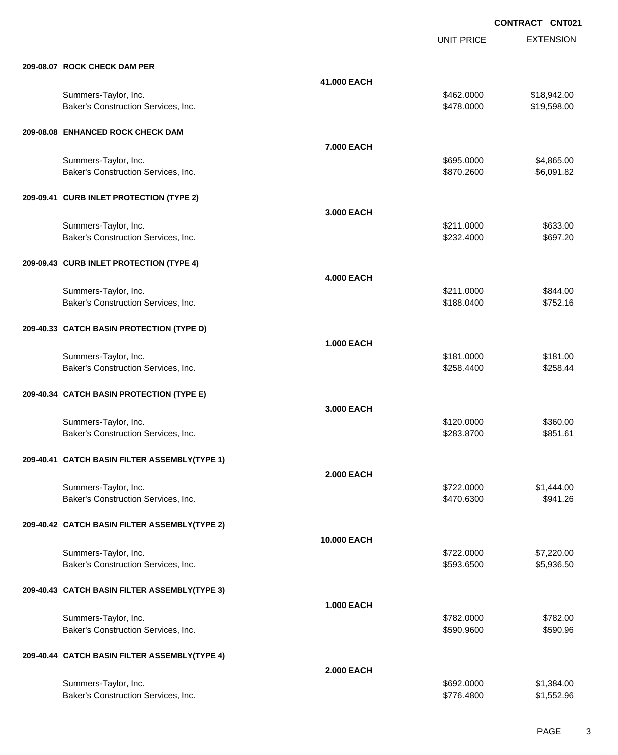UNIT PRICE

| 209-08.07 ROCK CHECK DAM PER |  |  |  |
|------------------------------|--|--|--|

| 209-08.07 ROCK CHECK DAM PER                                |                   |                          |                            |
|-------------------------------------------------------------|-------------------|--------------------------|----------------------------|
|                                                             | 41.000 EACH       |                          |                            |
| Summers-Taylor, Inc.<br>Baker's Construction Services, Inc. |                   | \$462.0000<br>\$478.0000 | \$18,942.00<br>\$19,598.00 |
| 209-08.08 ENHANCED ROCK CHECK DAM                           |                   |                          |                            |
|                                                             | 7.000 EACH        |                          |                            |
| Summers-Taylor, Inc.<br>Baker's Construction Services, Inc. |                   | \$695.0000<br>\$870.2600 | \$4,865.00<br>\$6,091.82   |
| 209-09.41 CURB INLET PROTECTION (TYPE 2)                    | 3,000 EACH        |                          |                            |
| Summers-Taylor, Inc.                                        |                   | \$211.0000               | \$633.00                   |
| Baker's Construction Services, Inc.                         |                   | \$232.4000               | \$697.20                   |
| 209-09.43 CURB INLET PROTECTION (TYPE 4)                    | <b>4.000 EACH</b> |                          |                            |
| Summers-Taylor, Inc.                                        |                   | \$211.0000               | \$844.00                   |
| Baker's Construction Services, Inc.                         |                   | \$188.0400               | \$752.16                   |
| 209-40.33 CATCH BASIN PROTECTION (TYPE D)                   | <b>1.000 EACH</b> |                          |                            |
| Summers-Taylor, Inc.                                        |                   | \$181.0000               | \$181.00                   |
| Baker's Construction Services, Inc.                         |                   | \$258.4400               | \$258.44                   |
| 209-40.34 CATCH BASIN PROTECTION (TYPE E)                   | 3.000 EACH        |                          |                            |
| Summers-Taylor, Inc.                                        |                   | \$120.0000               | \$360.00                   |
| Baker's Construction Services, Inc.                         |                   | \$283.8700               | \$851.61                   |
| 209-40.41 CATCH BASIN FILTER ASSEMBLY(TYPE 1)               | <b>2.000 EACH</b> |                          |                            |
| Summers-Taylor, Inc.                                        |                   | \$722.0000               | \$1,444.00                 |
| Baker's Construction Services, Inc.                         |                   | \$470.6300               | \$941.26                   |
| 209-40.42 CATCH BASIN FILTER ASSEMBLY(TYPE 2)               |                   |                          |                            |
| Summers-Taylor, Inc.                                        | 10.000 EACH       | \$722.0000               | \$7,220.00                 |
| Baker's Construction Services, Inc.                         |                   | \$593.6500               | \$5,936.50                 |
| 209-40.43 CATCH BASIN FILTER ASSEMBLY(TYPE 3)               |                   |                          |                            |
|                                                             | <b>1.000 EACH</b> |                          |                            |
| Summers-Taylor, Inc.<br>Baker's Construction Services, Inc. |                   | \$782.0000<br>\$590.9600 | \$782.00<br>\$590.96       |
| 209-40.44 CATCH BASIN FILTER ASSEMBLY(TYPE 4)               |                   |                          |                            |
| Summers-Taylor, Inc.                                        | <b>2.000 EACH</b> | \$692.0000               | \$1,384.00                 |
| Baker's Construction Services, Inc.                         |                   | \$776.4800               | \$1,552.96                 |
|                                                             |                   |                          |                            |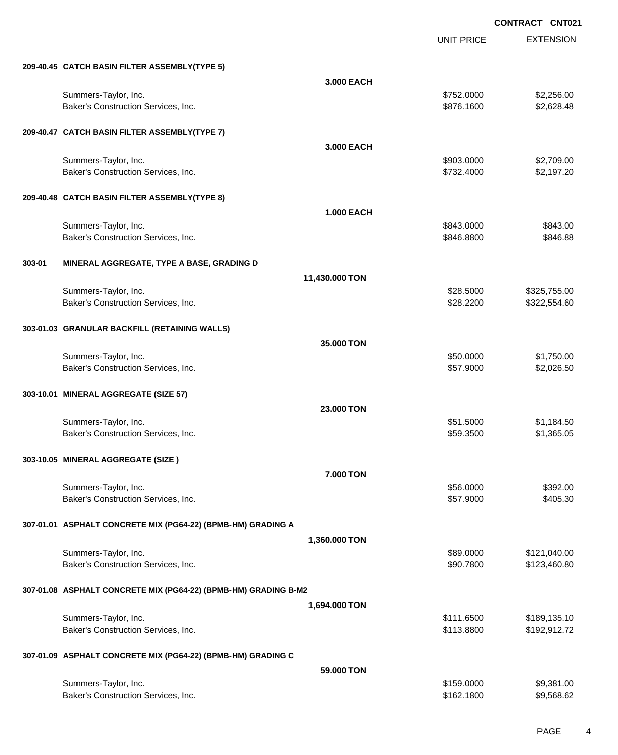UNIT PRICE EXTENSION

|        | 209-40.45 CATCH BASIN FILTER ASSEMBLY(TYPE 5)                   |                   |                        |                      |
|--------|-----------------------------------------------------------------|-------------------|------------------------|----------------------|
|        |                                                                 | 3.000 EACH        |                        |                      |
|        | Summers-Taylor, Inc.                                            |                   | \$752.0000             | \$2,256.00           |
|        | Baker's Construction Services, Inc.                             |                   | \$876.1600             | \$2,628.48           |
|        |                                                                 |                   |                        |                      |
|        | 209-40.47 CATCH BASIN FILTER ASSEMBLY(TYPE 7)                   |                   |                        |                      |
|        |                                                                 |                   |                        |                      |
|        |                                                                 | 3.000 EACH        |                        |                      |
|        | Summers-Taylor, Inc.                                            |                   | \$903.0000             | \$2,709.00           |
|        | Baker's Construction Services, Inc.                             |                   | \$732.4000             | \$2,197.20           |
|        |                                                                 |                   |                        |                      |
|        | 209-40.48 CATCH BASIN FILTER ASSEMBLY(TYPE 8)                   |                   |                        |                      |
|        |                                                                 | <b>1.000 EACH</b> |                        |                      |
|        | Summers-Taylor, Inc.                                            |                   | \$843.0000             | \$843.00             |
|        | Baker's Construction Services, Inc.                             |                   | \$846.8800             | \$846.88             |
|        |                                                                 |                   |                        |                      |
| 303-01 | MINERAL AGGREGATE, TYPE A BASE, GRADING D                       |                   |                        |                      |
|        |                                                                 | 11,430.000 TON    |                        |                      |
|        | Summers-Taylor, Inc.                                            |                   | \$28.5000              | \$325,755.00         |
|        | Baker's Construction Services, Inc.                             |                   | \$28.2200              | \$322,554.60         |
|        |                                                                 |                   |                        |                      |
|        |                                                                 |                   |                        |                      |
|        | 303-01.03 GRANULAR BACKFILL (RETAINING WALLS)                   |                   |                        |                      |
|        |                                                                 | 35.000 TON        |                        |                      |
|        | Summers-Taylor, Inc.                                            |                   | \$50.0000              | \$1,750.00           |
|        | Baker's Construction Services, Inc.                             |                   | \$57.9000              | \$2,026.50           |
|        |                                                                 |                   |                        |                      |
|        | 303-10.01 MINERAL AGGREGATE (SIZE 57)                           |                   |                        |                      |
|        |                                                                 | 23.000 TON        |                        |                      |
|        | Summers-Taylor, Inc.                                            |                   | \$51.5000              | \$1,184.50           |
|        | Baker's Construction Services, Inc.                             |                   | \$59.3500              | \$1,365.05           |
|        |                                                                 |                   |                        |                      |
|        | 303-10.05 MINERAL AGGREGATE (SIZE)                              |                   |                        |                      |
|        |                                                                 | 7.000 TON         |                        |                      |
|        |                                                                 |                   |                        |                      |
|        | Summers-Taylor, Inc.<br>Baker's Construction Services, Inc.     |                   | \$56.0000<br>\$57.9000 | \$392.00<br>\$405.30 |
|        |                                                                 |                   |                        |                      |
|        |                                                                 |                   |                        |                      |
|        | 307-01.01 ASPHALT CONCRETE MIX (PG64-22) (BPMB-HM) GRADING A    |                   |                        |                      |
|        |                                                                 | 1,360.000 TON     |                        |                      |
|        | Summers-Taylor, Inc.                                            |                   | \$89.0000              | \$121,040.00         |
|        | Baker's Construction Services, Inc.                             |                   | \$90.7800              | \$123,460.80         |
|        |                                                                 |                   |                        |                      |
|        | 307-01.08 ASPHALT CONCRETE MIX (PG64-22) (BPMB-HM) GRADING B-M2 |                   |                        |                      |
|        |                                                                 | 1,694.000 TON     |                        |                      |
|        | Summers-Taylor, Inc.                                            |                   | \$111.6500             | \$189,135.10         |
|        | Baker's Construction Services, Inc.                             |                   | \$113.8800             | \$192,912.72         |
|        |                                                                 |                   |                        |                      |
|        | 307-01.09 ASPHALT CONCRETE MIX (PG64-22) (BPMB-HM) GRADING C    |                   |                        |                      |
|        |                                                                 |                   |                        |                      |
|        |                                                                 | 59.000 TON        |                        |                      |
|        | Summers-Taylor, Inc.                                            |                   | \$159.0000             | \$9,381.00           |
|        | Baker's Construction Services, Inc.                             |                   | \$162.1800             | \$9,568.62           |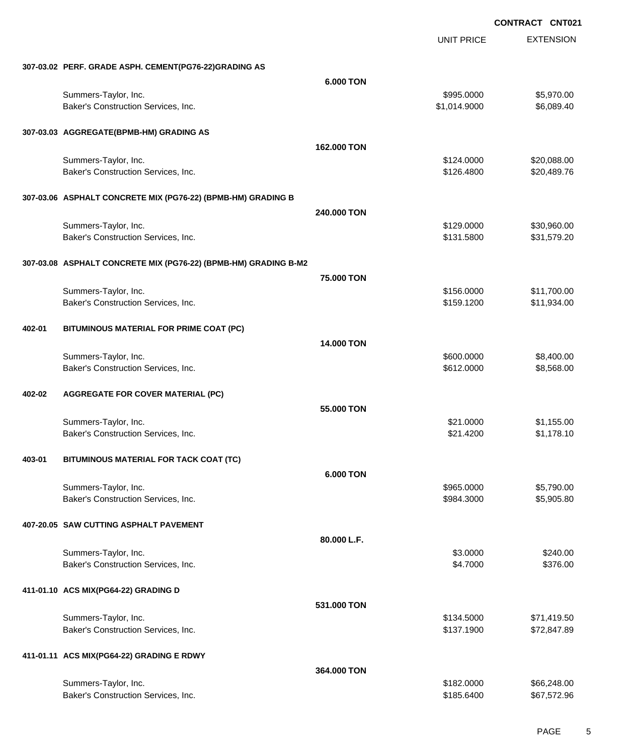UNIT PRICE EXTENSION

**307-03.02 PERF. GRADE ASPH. CEMENT(PG76-22)GRADING AS**

|        | 307-03.02 PERF. GRADE ASPH. CEMENT(PG76-22)GRADING AS           |                  |                          |                            |
|--------|-----------------------------------------------------------------|------------------|--------------------------|----------------------------|
|        |                                                                 | 6.000 TON        |                          |                            |
|        | Summers-Taylor, Inc.                                            |                  | \$995.0000               | \$5,970.00                 |
|        | Baker's Construction Services, Inc.                             |                  | \$1,014.9000             | \$6,089.40                 |
|        |                                                                 |                  |                          |                            |
|        | 307-03.03 AGGREGATE(BPMB-HM) GRADING AS                         |                  |                          |                            |
|        |                                                                 | 162,000 TON      |                          |                            |
|        | Summers-Taylor, Inc.                                            |                  | \$124.0000               | \$20,088.00                |
|        | Baker's Construction Services, Inc.                             |                  | \$126.4800               | \$20,489.76                |
|        |                                                                 |                  |                          |                            |
|        | 307-03.06 ASPHALT CONCRETE MIX (PG76-22) (BPMB-HM) GRADING B    |                  |                          |                            |
|        |                                                                 | 240.000 TON      |                          |                            |
|        | Summers-Taylor, Inc.                                            |                  | \$129.0000               | \$30,960.00                |
|        | Baker's Construction Services, Inc.                             |                  | \$131.5800               | \$31,579.20                |
|        |                                                                 |                  |                          |                            |
|        | 307-03.08 ASPHALT CONCRETE MIX (PG76-22) (BPMB-HM) GRADING B-M2 |                  |                          |                            |
|        |                                                                 |                  |                          |                            |
|        |                                                                 | 75.000 TON       |                          |                            |
|        | Summers-Taylor, Inc.                                            |                  | \$156.0000               | \$11,700.00                |
|        | Baker's Construction Services, Inc.                             |                  | \$159.1200               | \$11,934.00                |
|        |                                                                 |                  |                          |                            |
| 402-01 | BITUMINOUS MATERIAL FOR PRIME COAT (PC)                         |                  |                          |                            |
|        |                                                                 | 14.000 TON       |                          |                            |
|        | Summers-Taylor, Inc.                                            |                  | \$600.0000               | \$8,400.00                 |
|        | Baker's Construction Services, Inc.                             |                  | \$612.0000               | \$8,568.00                 |
|        |                                                                 |                  |                          |                            |
| 402-02 | <b>AGGREGATE FOR COVER MATERIAL (PC)</b>                        |                  |                          |                            |
|        |                                                                 | 55.000 TON       |                          |                            |
|        | Summers-Taylor, Inc.                                            |                  | \$21.0000                | \$1,155.00                 |
|        | Baker's Construction Services, Inc.                             |                  | \$21.4200                | \$1,178.10                 |
|        |                                                                 |                  |                          |                            |
| 403-01 | BITUMINOUS MATERIAL FOR TACK COAT (TC)                          |                  |                          |                            |
|        |                                                                 | <b>6.000 TON</b> |                          |                            |
|        | Summers-Taylor, Inc.                                            |                  | \$965.0000               | \$5,790.00                 |
|        | Baker's Construction Services, Inc.                             |                  | \$984.3000               | \$5,905.80                 |
|        |                                                                 |                  |                          |                            |
|        | 407-20.05 SAW CUTTING ASPHALT PAVEMENT                          |                  |                          |                            |
|        |                                                                 |                  |                          |                            |
|        |                                                                 |                  |                          |                            |
|        |                                                                 | 80.000 L.F.      |                          |                            |
|        | Summers-Taylor, Inc.                                            |                  | \$3.0000                 | \$240.00                   |
|        | Baker's Construction Services, Inc.                             |                  | \$4.7000                 | \$376.00                   |
|        |                                                                 |                  |                          |                            |
|        | 411-01.10 ACS MIX(PG64-22) GRADING D                            |                  |                          |                            |
|        |                                                                 | 531.000 TON      |                          |                            |
|        | Summers-Taylor, Inc.                                            |                  | \$134.5000               | \$71,419.50                |
|        | Baker's Construction Services, Inc.                             |                  | \$137.1900               | \$72,847.89                |
|        |                                                                 |                  |                          |                            |
|        | 411-01.11 ACS MIX(PG64-22) GRADING E RDWY                       |                  |                          |                            |
|        |                                                                 | 364.000 TON      |                          |                            |
|        | Summers-Taylor, Inc.<br>Baker's Construction Services, Inc.     |                  | \$182.0000<br>\$185.6400 | \$66,248.00<br>\$67,572.96 |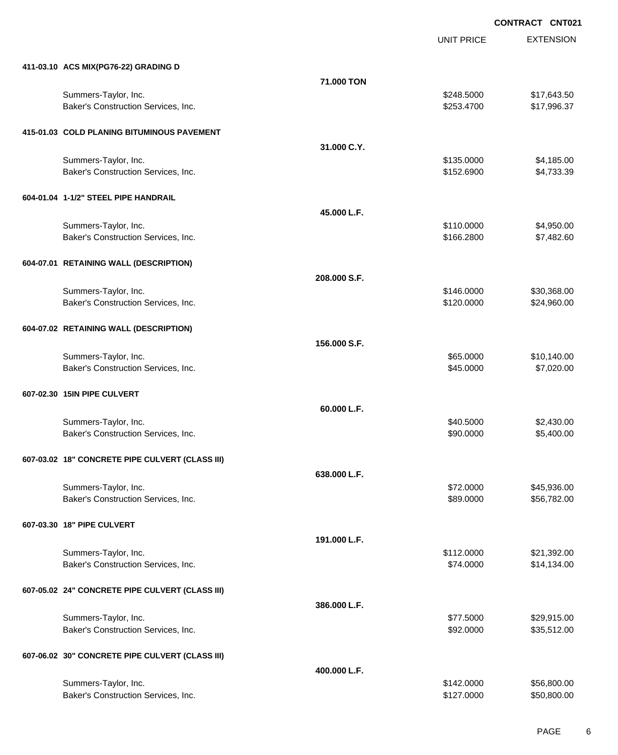UNIT PRICE

| 411-03.10 ACS MIX(PG76-22) GRADING D                        |              |                        |                          |
|-------------------------------------------------------------|--------------|------------------------|--------------------------|
|                                                             | 71.000 TON   |                        |                          |
| Summers-Taylor, Inc.                                        |              | \$248.5000             | \$17,643.50              |
| Baker's Construction Services, Inc.                         |              | \$253.4700             | \$17,996.37              |
|                                                             |              |                        |                          |
| 415-01.03 COLD PLANING BITUMINOUS PAVEMENT                  |              |                        |                          |
|                                                             | 31.000 C.Y.  |                        |                          |
| Summers-Taylor, Inc.                                        |              | \$135.0000             | \$4,185.00               |
| Baker's Construction Services, Inc.                         |              | \$152.6900             | \$4,733.39               |
| 604-01.04 1-1/2" STEEL PIPE HANDRAIL                        |              |                        |                          |
|                                                             | 45.000 L.F.  |                        |                          |
| Summers-Taylor, Inc.                                        |              | \$110.0000             | \$4,950.00               |
| Baker's Construction Services, Inc.                         |              | \$166.2800             | \$7,482.60               |
|                                                             |              |                        |                          |
| 604-07.01 RETAINING WALL (DESCRIPTION)                      |              |                        |                          |
|                                                             | 208.000 S.F. |                        |                          |
| Summers-Taylor, Inc.                                        |              | \$146.0000             | \$30,368.00              |
| Baker's Construction Services, Inc.                         |              | \$120.0000             | \$24,960.00              |
|                                                             |              |                        |                          |
| 604-07.02 RETAINING WALL (DESCRIPTION)                      |              |                        |                          |
|                                                             | 156.000 S.F. |                        |                          |
| Summers-Taylor, Inc.                                        |              | \$65.0000              | \$10,140.00              |
| Baker's Construction Services, Inc.                         |              | \$45.0000              | \$7,020.00               |
|                                                             |              |                        |                          |
| 607-02.30 15IN PIPE CULVERT                                 |              |                        |                          |
|                                                             | 60.000 L.F.  |                        |                          |
| Summers-Taylor, Inc.<br>Baker's Construction Services, Inc. |              | \$40.5000<br>\$90.0000 | \$2,430.00<br>\$5,400.00 |
|                                                             |              |                        |                          |
| 607-03.02 18" CONCRETE PIPE CULVERT (CLASS III)             |              |                        |                          |
|                                                             | 638.000 L.F. |                        |                          |
| Summers-Taylor, Inc.                                        |              | \$72.0000              | \$45,936.00              |
| Baker's Construction Services, Inc.                         |              | \$89.0000              | \$56,782.00              |
|                                                             |              |                        |                          |
| 607-03.30 18" PIPE CULVERT                                  |              |                        |                          |
|                                                             | 191.000 L.F. |                        |                          |
| Summers-Taylor, Inc.                                        |              | \$112.0000             | \$21,392.00              |
| Baker's Construction Services, Inc.                         |              | \$74.0000              | \$14,134.00              |
|                                                             |              |                        |                          |
| 607-05.02 24" CONCRETE PIPE CULVERT (CLASS III)             |              |                        |                          |
|                                                             | 386.000 L.F. |                        |                          |
| Summers-Taylor, Inc.                                        |              | \$77.5000              | \$29,915.00              |
| Baker's Construction Services, Inc.                         |              | \$92.0000              | \$35,512.00              |
| 607-06.02 30" CONCRETE PIPE CULVERT (CLASS III)             |              |                        |                          |
|                                                             | 400.000 L.F. |                        |                          |
| Summers-Taylor, Inc.                                        |              | \$142.0000             | \$56,800.00              |
| Baker's Construction Services, Inc.                         |              | \$127.0000             | \$50,800.00              |
|                                                             |              |                        |                          |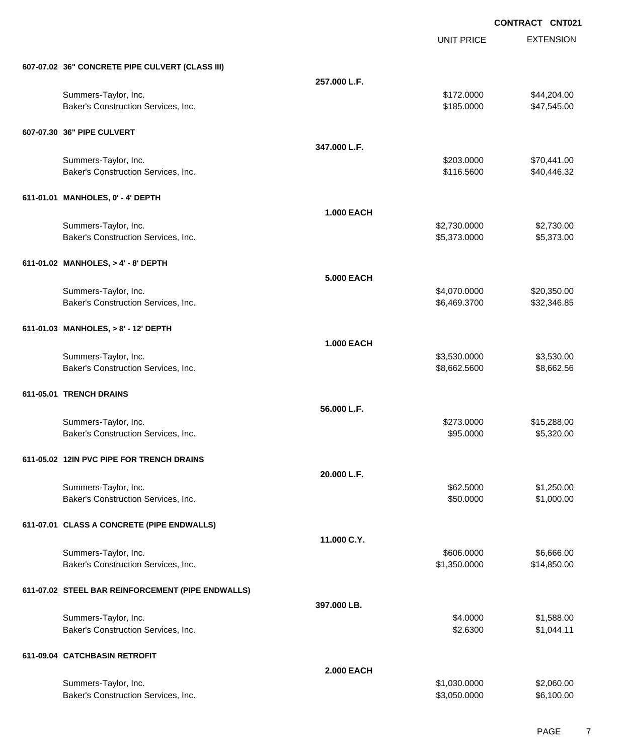UNIT PRICE EXTENSION

| 607-07.02 36" CONCRETE PIPE CULVERT (CLASS III)             |                   |                              |                            |
|-------------------------------------------------------------|-------------------|------------------------------|----------------------------|
|                                                             | 257.000 L.F.      |                              |                            |
| Summers-Taylor, Inc.                                        |                   | \$172.0000                   | \$44,204.00                |
| Baker's Construction Services, Inc.                         |                   | \$185.0000                   | \$47,545.00                |
| 607-07.30 36" PIPE CULVERT                                  |                   |                              |                            |
|                                                             | 347.000 L.F.      |                              |                            |
| Summers-Taylor, Inc.                                        |                   | \$203.0000                   | \$70,441.00                |
| Baker's Construction Services, Inc.                         |                   | \$116.5600                   | \$40,446.32                |
| 611-01.01 MANHOLES, 0' - 4' DEPTH                           |                   |                              |                            |
|                                                             | <b>1.000 EACH</b> |                              |                            |
| Summers-Taylor, Inc.                                        |                   | \$2,730.0000                 | \$2,730.00                 |
| Baker's Construction Services, Inc.                         |                   | \$5,373.0000                 | \$5,373.00                 |
|                                                             |                   |                              |                            |
| 611-01.02 MANHOLES, > 4' - 8' DEPTH                         |                   |                              |                            |
|                                                             | <b>5.000 EACH</b> |                              |                            |
| Summers-Taylor, Inc.<br>Baker's Construction Services, Inc. |                   | \$4,070.0000<br>\$6,469.3700 | \$20,350.00<br>\$32,346.85 |
|                                                             |                   |                              |                            |
| 611-01.03 MANHOLES, > 8' - 12' DEPTH                        |                   |                              |                            |
|                                                             | <b>1.000 EACH</b> |                              |                            |
| Summers-Taylor, Inc.                                        |                   | \$3,530.0000                 | \$3,530.00                 |
| Baker's Construction Services, Inc.                         |                   | \$8,662.5600                 | \$8,662.56                 |
| 611-05.01 TRENCH DRAINS                                     |                   |                              |                            |
|                                                             | 56.000 L.F.       |                              |                            |
| Summers-Taylor, Inc.                                        |                   | \$273.0000                   | \$15,288.00                |
| Baker's Construction Services, Inc.                         |                   | \$95.0000                    | \$5,320.00                 |
|                                                             |                   |                              |                            |
| 611-05.02 12IN PVC PIPE FOR TRENCH DRAINS                   |                   |                              |                            |
|                                                             | 20.000 L.F.       |                              |                            |
| Summers-Taylor, Inc.<br>Baker's Construction Services, Inc. |                   | \$62.5000<br>\$50.0000       | \$1,250.00<br>\$1,000.00   |
|                                                             |                   |                              |                            |
| 611-07.01 CLASS A CONCRETE (PIPE ENDWALLS)                  |                   |                              |                            |
|                                                             | 11.000 C.Y.       |                              |                            |
| Summers-Taylor, Inc.                                        |                   | \$606.0000                   | \$6,666.00                 |
| Baker's Construction Services, Inc.                         |                   | \$1,350.0000                 | \$14,850.00                |
| 611-07.02 STEEL BAR REINFORCEMENT (PIPE ENDWALLS)           |                   |                              |                            |
|                                                             | 397.000 LB.       |                              |                            |
| Summers-Taylor, Inc.                                        |                   | \$4.0000                     | \$1,588.00                 |
| Baker's Construction Services, Inc.                         |                   | \$2.6300                     | \$1,044.11                 |
|                                                             |                   |                              |                            |
| 611-09.04 CATCHBASIN RETROFIT                               | <b>2.000 EACH</b> |                              |                            |
| Summers-Taylor, Inc.                                        |                   | \$1,030.0000                 | \$2,060.00                 |
| Baker's Construction Services, Inc.                         |                   | \$3,050.0000                 | \$6,100.00                 |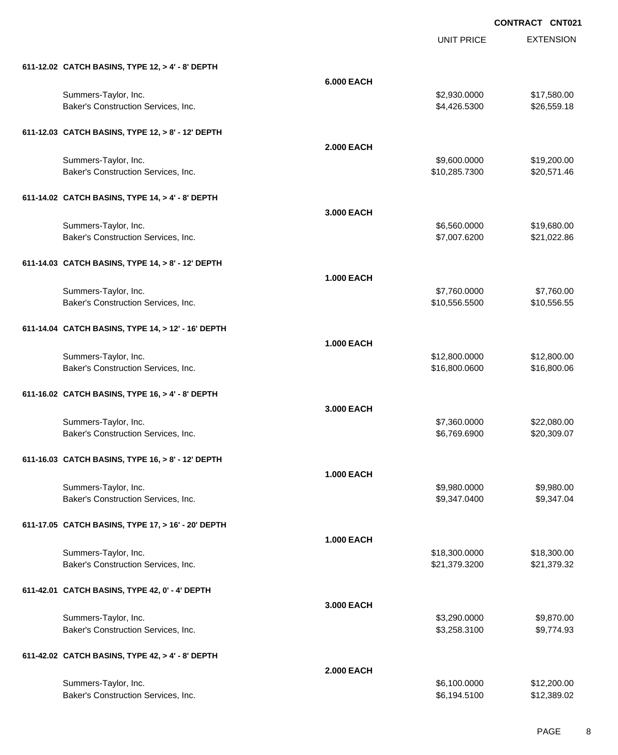UNIT PRICE

| 611-12.02 CATCH BASINS, TYPE 12, > 4' - 8' DEPTH   |                   |               |             |
|----------------------------------------------------|-------------------|---------------|-------------|
|                                                    | <b>6.000 EACH</b> |               |             |
| Summers-Taylor, Inc.                               |                   | \$2,930.0000  | \$17,580.00 |
| Baker's Construction Services, Inc.                |                   | \$4,426.5300  | \$26,559.18 |
| 611-12.03 CATCH BASINS, TYPE 12, > 8' - 12' DEPTH  |                   |               |             |
|                                                    | <b>2.000 EACH</b> |               |             |
| Summers-Taylor, Inc.                               |                   | \$9,600.0000  | \$19,200.00 |
| Baker's Construction Services, Inc.                |                   | \$10,285.7300 | \$20,571.46 |
| 611-14.02 CATCH BASINS, TYPE 14, > 4' - 8' DEPTH   |                   |               |             |
|                                                    | 3.000 EACH        |               |             |
| Summers-Taylor, Inc.                               |                   | \$6,560.0000  | \$19,680.00 |
| Baker's Construction Services, Inc.                |                   | \$7,007.6200  | \$21,022.86 |
| 611-14.03 CATCH BASINS, TYPE 14, > 8' - 12' DEPTH  |                   |               |             |
|                                                    | <b>1.000 EACH</b> |               |             |
| Summers-Taylor, Inc.                               |                   | \$7,760.0000  | \$7,760.00  |
| Baker's Construction Services, Inc.                |                   | \$10,556.5500 | \$10,556.55 |
| 611-14.04 CATCH BASINS, TYPE 14, > 12' - 16' DEPTH |                   |               |             |
|                                                    | <b>1.000 EACH</b> |               |             |
| Summers-Taylor, Inc.                               |                   | \$12,800.0000 | \$12,800.00 |
| Baker's Construction Services, Inc.                |                   | \$16,800.0600 | \$16,800.06 |
|                                                    |                   |               |             |
| 611-16.02 CATCH BASINS, TYPE 16, > 4' - 8' DEPTH   |                   |               |             |
|                                                    | 3.000 EACH        |               |             |
| Summers-Taylor, Inc.                               |                   | \$7,360.0000  | \$22,080.00 |
| Baker's Construction Services, Inc.                |                   | \$6,769.6900  | \$20,309.07 |
| 611-16.03 CATCH BASINS, TYPE 16, > 8' - 12' DEPTH  |                   |               |             |
|                                                    | <b>1.000 EACH</b> |               |             |
| Summers-Taylor, Inc.                               |                   | \$9,980.0000  | \$9,980.00  |
| Baker's Construction Services, Inc.                |                   | \$9,347.0400  | \$9,347.04  |
| 611-17.05 CATCH BASINS, TYPE 17, > 16' - 20' DEPTH |                   |               |             |
|                                                    | <b>1.000 EACH</b> |               |             |
| Summers-Taylor, Inc.                               |                   | \$18,300.0000 | \$18,300.00 |
| Baker's Construction Services, Inc.                |                   | \$21,379.3200 | \$21,379.32 |
| 611-42.01 CATCH BASINS, TYPE 42, 0' - 4' DEPTH     |                   |               |             |
|                                                    | 3.000 EACH        |               |             |
| Summers-Taylor, Inc.                               |                   | \$3,290.0000  | \$9,870.00  |
| Baker's Construction Services, Inc.                |                   | \$3,258.3100  | \$9,774.93  |
| 611-42.02 CATCH BASINS, TYPE 42, > 4' - 8' DEPTH   |                   |               |             |
|                                                    | <b>2.000 EACH</b> |               |             |
| Summers-Taylor, Inc.                               |                   | \$6,100.0000  | \$12,200.00 |
| Baker's Construction Services, Inc.                |                   | \$6,194.5100  | \$12,389.02 |
|                                                    |                   |               |             |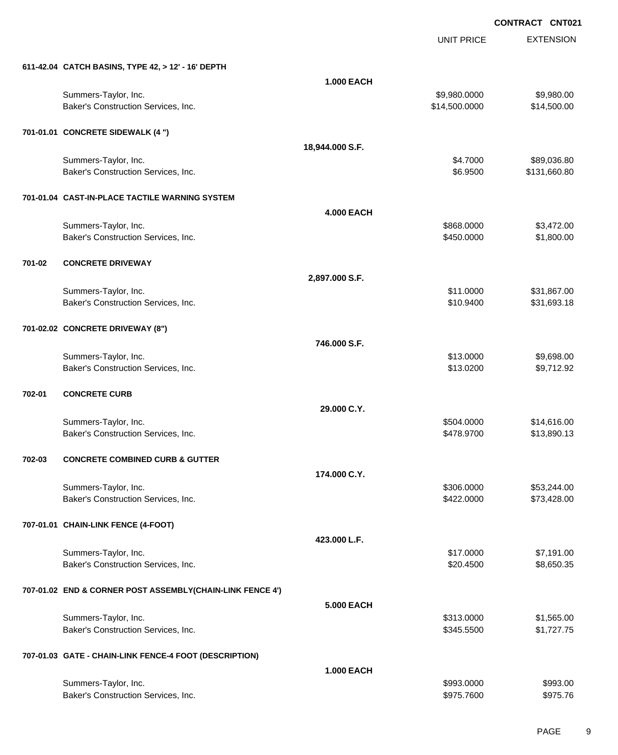UNIT PRICE

|        | 611-42.04 CATCH BASINS, TYPE 42, > 12' - 16' DEPTH          |                   |                               |                             |
|--------|-------------------------------------------------------------|-------------------|-------------------------------|-----------------------------|
|        |                                                             | <b>1.000 EACH</b> |                               |                             |
|        | Summers-Taylor, Inc.<br>Baker's Construction Services, Inc. |                   | \$9,980.0000<br>\$14,500.0000 | \$9,980.00<br>\$14,500.00   |
|        | 701-01.01 CONCRETE SIDEWALK (4 ")                           |                   |                               |                             |
|        |                                                             | 18,944.000 S.F.   |                               |                             |
|        | Summers-Taylor, Inc.<br>Baker's Construction Services, Inc. |                   | \$4.7000<br>\$6.9500          | \$89,036.80<br>\$131,660.80 |
|        | 701-01.04 CAST-IN-PLACE TACTILE WARNING SYSTEM              |                   |                               |                             |
|        |                                                             | <b>4.000 EACH</b> |                               |                             |
|        | Summers-Taylor, Inc.<br>Baker's Construction Services, Inc. |                   | \$868.0000<br>\$450.0000      | \$3,472.00<br>\$1,800.00    |
| 701-02 | <b>CONCRETE DRIVEWAY</b>                                    |                   |                               |                             |
|        |                                                             | 2,897.000 S.F.    |                               |                             |
|        | Summers-Taylor, Inc.<br>Baker's Construction Services, Inc. |                   | \$11.0000<br>\$10.9400        | \$31,867.00<br>\$31,693.18  |
|        | 701-02.02 CONCRETE DRIVEWAY (8")                            |                   |                               |                             |
|        |                                                             | 746.000 S.F.      |                               |                             |
|        | Summers-Taylor, Inc.                                        |                   | \$13.0000                     | \$9,698.00                  |
|        | Baker's Construction Services, Inc.                         |                   | \$13.0200                     | \$9,712.92                  |
| 702-01 | <b>CONCRETE CURB</b>                                        |                   |                               |                             |
|        |                                                             | 29.000 C.Y.       |                               |                             |
|        | Summers-Taylor, Inc.<br>Baker's Construction Services, Inc. |                   | \$504.0000<br>\$478.9700      | \$14,616.00<br>\$13,890.13  |
| 702-03 | <b>CONCRETE COMBINED CURB &amp; GUTTER</b>                  |                   |                               |                             |
|        |                                                             | 174.000 C.Y.      |                               |                             |
|        | Summers-Taylor, Inc.                                        |                   | \$306.0000                    | \$53,244.00                 |
|        | Baker's Construction Services, Inc.                         |                   | \$422.0000                    | \$73,428.00                 |
|        | 707-01.01 CHAIN-LINK FENCE (4-FOOT)                         |                   |                               |                             |
|        |                                                             | 423.000 L.F.      |                               |                             |
|        | Summers-Taylor, Inc.<br>Baker's Construction Services, Inc. |                   | \$17.0000<br>\$20.4500        | \$7,191.00<br>\$8,650.35    |
|        |                                                             |                   |                               |                             |
|        | 707-01.02 END & CORNER POST ASSEMBLY(CHAIN-LINK FENCE 4')   |                   |                               |                             |
|        |                                                             | <b>5.000 EACH</b> |                               |                             |
|        | Summers-Taylor, Inc.                                        |                   | \$313.0000                    | \$1,565.00                  |
|        | Baker's Construction Services, Inc.                         |                   | \$345.5500                    | \$1,727.75                  |
|        | 707-01.03 GATE - CHAIN-LINK FENCE-4 FOOT (DESCRIPTION)      |                   |                               |                             |
|        |                                                             | <b>1.000 EACH</b> | \$993.0000                    | \$993.00                    |
|        | Summers-Taylor, Inc.<br>Baker's Construction Services, Inc. |                   | \$975.7600                    | \$975.76                    |
|        |                                                             |                   |                               |                             |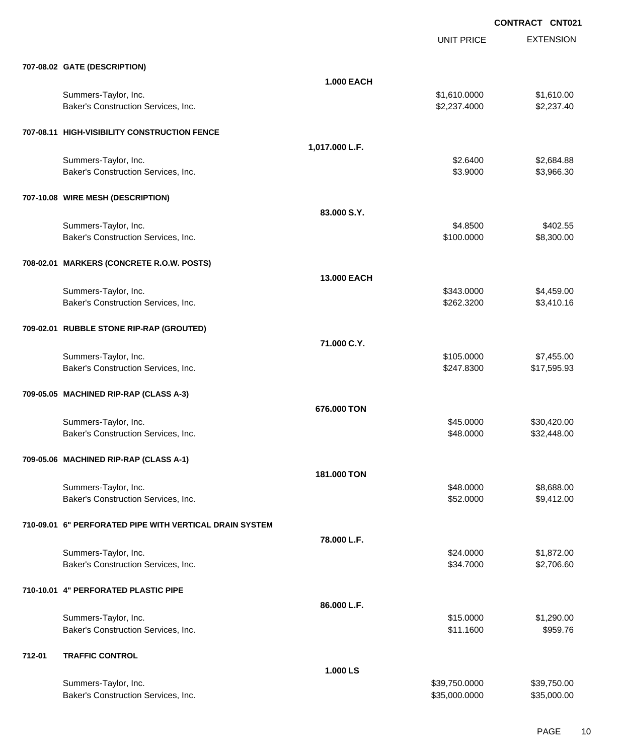|        |                                                         |                   | <b>UNIT PRICE</b> | <b>EXTENSION</b> |
|--------|---------------------------------------------------------|-------------------|-------------------|------------------|
|        | 707-08.02 GATE (DESCRIPTION)                            |                   |                   |                  |
|        |                                                         | <b>1.000 EACH</b> |                   |                  |
|        | Summers-Taylor, Inc.                                    |                   | \$1,610.0000      | \$1,610.00       |
|        | Baker's Construction Services, Inc.                     |                   | \$2,237.4000      | \$2,237.40       |
|        | 707-08.11 HIGH-VISIBILITY CONSTRUCTION FENCE            |                   |                   |                  |
|        |                                                         | 1,017.000 L.F.    |                   |                  |
|        | Summers-Taylor, Inc.                                    |                   | \$2.6400          | \$2,684.88       |
|        | Baker's Construction Services, Inc.                     |                   | \$3.9000          | \$3,966.30       |
|        | 707-10.08 WIRE MESH (DESCRIPTION)                       |                   |                   |                  |
|        |                                                         | 83.000 S.Y.       |                   |                  |
|        | Summers-Taylor, Inc.                                    |                   | \$4.8500          | \$402.55         |
|        | Baker's Construction Services, Inc.                     |                   | \$100.0000        | \$8,300.00       |
|        | 708-02.01 MARKERS (CONCRETE R.O.W. POSTS)               |                   |                   |                  |
|        |                                                         | 13.000 EACH       |                   |                  |
|        | Summers-Taylor, Inc.                                    |                   | \$343.0000        | \$4,459.00       |
|        | Baker's Construction Services, Inc.                     |                   | \$262.3200        | \$3,410.16       |
|        | 709-02.01 RUBBLE STONE RIP-RAP (GROUTED)                |                   |                   |                  |
|        |                                                         | 71.000 C.Y.       |                   |                  |
|        | Summers-Taylor, Inc.                                    |                   | \$105.0000        | \$7,455.00       |
|        | Baker's Construction Services, Inc.                     |                   | \$247.8300        | \$17,595.93      |
|        | 709-05.05 MACHINED RIP-RAP (CLASS A-3)                  |                   |                   |                  |
|        |                                                         | 676,000 TON       |                   |                  |
|        | Summers-Taylor, Inc.                                    |                   | \$45.0000         | \$30,420.00      |
|        | Baker's Construction Services, Inc.                     |                   | \$48.0000         | \$32,448.00      |
|        | 709-05.06 MACHINED RIP-RAP (CLASS A-1)                  |                   |                   |                  |
|        |                                                         | 181.000 TON       |                   |                  |
|        | Summers-Taylor, Inc.                                    |                   | \$48.0000         | \$8,688.00       |
|        | Baker's Construction Services, Inc.                     |                   | \$52.0000         | \$9,412.00       |
|        | 710-09.01 6" PERFORATED PIPE WITH VERTICAL DRAIN SYSTEM |                   |                   |                  |
|        |                                                         | 78.000 L.F.       |                   |                  |
|        | Summers-Taylor, Inc.                                    |                   | \$24.0000         | \$1,872.00       |
|        | Baker's Construction Services, Inc.                     |                   | \$34.7000         | \$2,706.60       |
|        | 710-10.01 4" PERFORATED PLASTIC PIPE                    |                   |                   |                  |
|        |                                                         | 86.000 L.F.       |                   |                  |
|        | Summers-Taylor, Inc.                                    |                   | \$15.0000         | \$1,290.00       |
|        | Baker's Construction Services, Inc.                     |                   | \$11.1600         | \$959.76         |
| 712-01 | <b>TRAFFIC CONTROL</b>                                  |                   |                   |                  |
|        |                                                         | 1.000 LS          |                   |                  |
|        | Summers-Taylor, Inc.                                    |                   | \$39,750.0000     | \$39,750.00      |
|        | Baker's Construction Services, Inc.                     |                   | \$35,000.0000     | \$35,000.00      |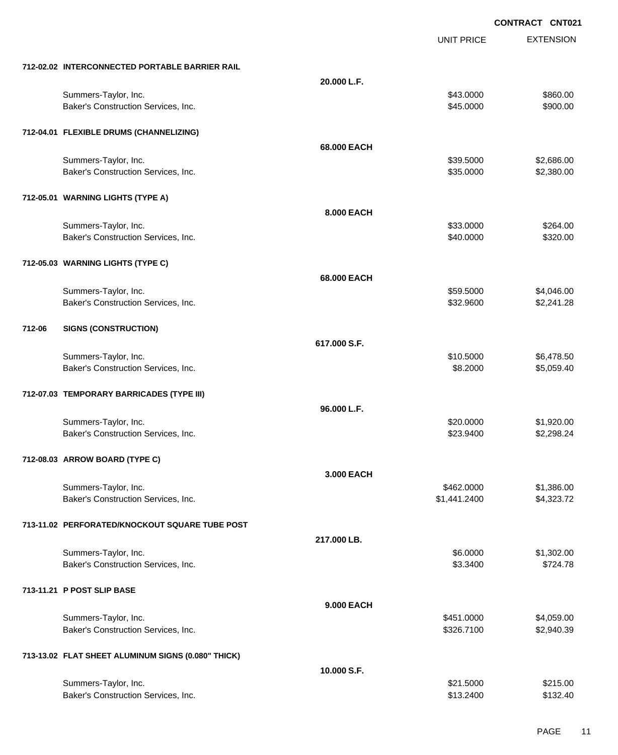UNIT PRICE

|        | 712-02.02 INTERCONNECTED PORTABLE BARRIER RAIL     |              |              |            |
|--------|----------------------------------------------------|--------------|--------------|------------|
|        |                                                    | 20.000 L.F.  |              |            |
|        | Summers-Taylor, Inc.                               |              | \$43.0000    | \$860.00   |
|        | Baker's Construction Services, Inc.                |              | \$45.0000    | \$900.00   |
|        |                                                    |              |              |            |
|        | 712-04.01 FLEXIBLE DRUMS (CHANNELIZING)            |              |              |            |
|        |                                                    | 68.000 EACH  |              |            |
|        | Summers-Taylor, Inc.                               |              | \$39.5000    | \$2,686.00 |
|        | Baker's Construction Services, Inc.                |              | \$35.0000    | \$2,380.00 |
|        |                                                    |              |              |            |
|        | 712-05.01 WARNING LIGHTS (TYPE A)                  |              |              |            |
|        |                                                    |              |              |            |
|        |                                                    | 8.000 EACH   |              |            |
|        | Summers-Taylor, Inc.                               |              | \$33.0000    | \$264.00   |
|        | Baker's Construction Services, Inc.                |              | \$40.0000    | \$320.00   |
|        |                                                    |              |              |            |
|        | 712-05.03 WARNING LIGHTS (TYPE C)                  |              |              |            |
|        |                                                    | 68.000 EACH  |              |            |
|        | Summers-Taylor, Inc.                               |              | \$59.5000    | \$4,046.00 |
|        | Baker's Construction Services, Inc.                |              | \$32.9600    | \$2,241.28 |
|        |                                                    |              |              |            |
| 712-06 | <b>SIGNS (CONSTRUCTION)</b>                        |              |              |            |
|        |                                                    | 617.000 S.F. |              |            |
|        | Summers-Taylor, Inc.                               |              | \$10.5000    | \$6,478.50 |
|        | Baker's Construction Services, Inc.                |              | \$8.2000     | \$5,059.40 |
|        |                                                    |              |              |            |
|        | 712-07.03 TEMPORARY BARRICADES (TYPE III)          |              |              |            |
|        |                                                    | 96.000 L.F.  |              |            |
|        | Summers-Taylor, Inc.                               |              | \$20.0000    | \$1,920.00 |
|        | Baker's Construction Services, Inc.                |              | \$23.9400    | \$2,298.24 |
|        |                                                    |              |              |            |
|        | 712-08.03 ARROW BOARD (TYPE C)                     |              |              |            |
|        |                                                    |              |              |            |
|        |                                                    | 3.000 EACH   |              |            |
|        | Summers-Taylor, Inc.                               |              | \$462.0000   | \$1,386.00 |
|        | Baker's Construction Services, Inc.                |              | \$1,441.2400 | \$4,323.72 |
|        |                                                    |              |              |            |
|        | 713-11.02 PERFORATED/KNOCKOUT SQUARE TUBE POST     |              |              |            |
|        |                                                    | 217.000 LB.  |              |            |
|        | Summers-Taylor, Inc.                               |              | \$6.0000     | \$1,302.00 |
|        | Baker's Construction Services, Inc.                |              | \$3.3400     | \$724.78   |
|        |                                                    |              |              |            |
|        | 713-11.21 P POST SLIP BASE                         |              |              |            |
|        |                                                    | 9.000 EACH   |              |            |
|        | Summers-Taylor, Inc.                               |              | \$451.0000   | \$4,059.00 |
|        | Baker's Construction Services, Inc.                |              | \$326.7100   | \$2,940.39 |
|        |                                                    |              |              |            |
|        | 713-13.02 FLAT SHEET ALUMINUM SIGNS (0.080" THICK) |              |              |            |
|        |                                                    | 10.000 S.F.  |              |            |
|        | Summers-Taylor, Inc.                               |              | \$21.5000    | \$215.00   |
|        | Baker's Construction Services, Inc.                |              | \$13.2400    | \$132.40   |
|        |                                                    |              |              |            |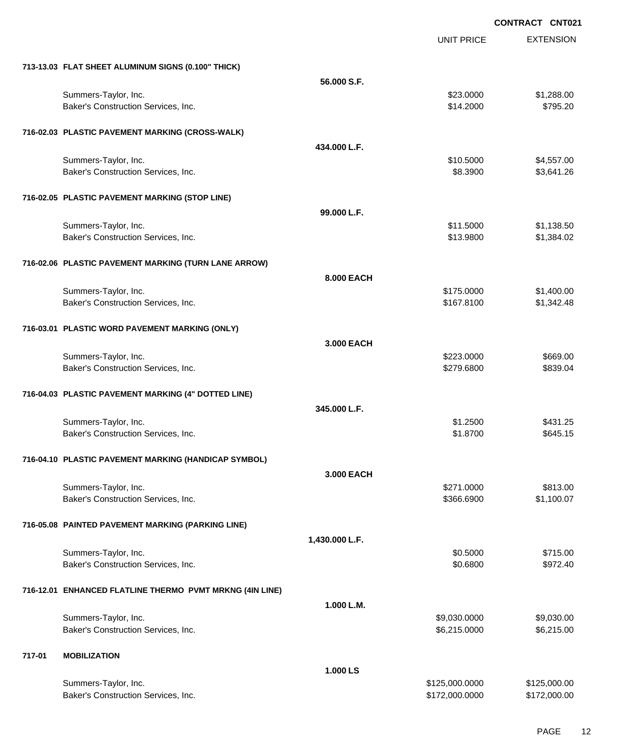|        |                                                          |                | <b>UNIT PRICE</b> | <b>EXTENSION</b> |
|--------|----------------------------------------------------------|----------------|-------------------|------------------|
|        | 713-13.03 FLAT SHEET ALUMINUM SIGNS (0.100" THICK)       |                |                   |                  |
|        |                                                          | 56.000 S.F.    |                   |                  |
|        | Summers-Taylor, Inc.                                     |                | \$23.0000         | \$1,288.00       |
|        | Baker's Construction Services, Inc.                      |                | \$14.2000         | \$795.20         |
|        | 716-02.03 PLASTIC PAVEMENT MARKING (CROSS-WALK)          |                |                   |                  |
|        |                                                          | 434.000 L.F.   |                   |                  |
|        | Summers-Taylor, Inc.                                     |                | \$10.5000         | \$4,557.00       |
|        | Baker's Construction Services, Inc.                      |                | \$8.3900          | \$3,641.26       |
|        | 716-02.05 PLASTIC PAVEMENT MARKING (STOP LINE)           |                |                   |                  |
|        |                                                          | 99.000 L.F.    |                   |                  |
|        | Summers-Taylor, Inc.                                     |                | \$11.5000         | \$1,138.50       |
|        | Baker's Construction Services, Inc.                      |                | \$13.9800         | \$1,384.02       |
|        | 716-02.06 PLASTIC PAVEMENT MARKING (TURN LANE ARROW)     |                |                   |                  |
|        |                                                          | 8.000 EACH     |                   |                  |
|        | Summers-Taylor, Inc.                                     |                | \$175.0000        | \$1,400.00       |
|        | Baker's Construction Services, Inc.                      |                | \$167.8100        | \$1,342.48       |
|        | 716-03.01 PLASTIC WORD PAVEMENT MARKING (ONLY)           |                |                   |                  |
|        |                                                          | 3.000 EACH     |                   |                  |
|        | Summers-Taylor, Inc.                                     |                | \$223.0000        | \$669.00         |
|        | Baker's Construction Services, Inc.                      |                | \$279.6800        | \$839.04         |
|        | 716-04.03 PLASTIC PAVEMENT MARKING (4" DOTTED LINE)      |                |                   |                  |
|        |                                                          | 345,000 L.F.   |                   |                  |
|        | Summers-Taylor, Inc.                                     |                | \$1.2500          | \$431.25         |
|        | Baker's Construction Services, Inc.                      |                | \$1.8700          | \$645.15         |
|        | 716-04.10 PLASTIC PAVEMENT MARKING (HANDICAP SYMBOL)     |                |                   |                  |
|        |                                                          | 3.000 EACH     |                   |                  |
|        | Summers-Taylor, Inc.                                     |                | \$271.0000        | \$813.00         |
|        | Baker's Construction Services, Inc.                      |                | \$366.6900        | \$1,100.07       |
|        | 716-05.08 PAINTED PAVEMENT MARKING (PARKING LINE)        |                |                   |                  |
|        |                                                          | 1,430.000 L.F. |                   |                  |
|        | Summers-Taylor, Inc.                                     |                | \$0.5000          | \$715.00         |
|        | Baker's Construction Services, Inc.                      |                | \$0.6800          | \$972.40         |
|        | 716-12.01 ENHANCED FLATLINE THERMO PVMT MRKNG (4IN LINE) |                |                   |                  |
|        |                                                          | 1.000 L.M.     |                   |                  |
|        | Summers-Taylor, Inc.                                     |                | \$9,030.0000      | \$9,030.00       |
|        | Baker's Construction Services, Inc.                      |                | \$6,215.0000      | \$6,215.00       |
| 717-01 | <b>MOBILIZATION</b>                                      |                |                   |                  |
|        |                                                          | 1.000 LS       |                   |                  |
|        | Summers-Taylor, Inc.                                     |                | \$125,000.0000    | \$125,000.00     |
|        | Baker's Construction Services, Inc.                      |                | \$172,000.0000    | \$172,000.00     |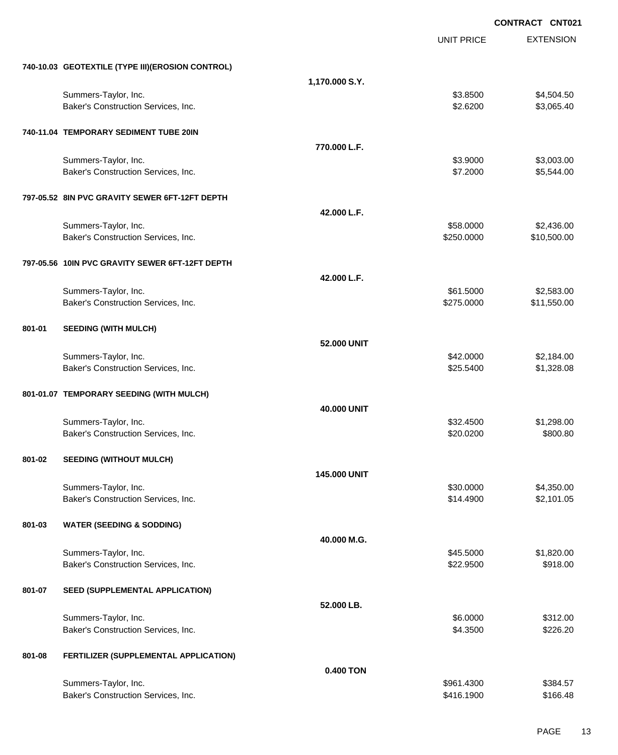|        |                                                  |                     |                   | <b>CONTRACT CNT021</b> |
|--------|--------------------------------------------------|---------------------|-------------------|------------------------|
|        |                                                  |                     | <b>UNIT PRICE</b> | <b>EXTENSION</b>       |
|        | 740-10.03 GEOTEXTILE (TYPE III)(EROSION CONTROL) |                     |                   |                        |
|        |                                                  | 1,170.000 S.Y.      |                   |                        |
|        | Summers-Taylor, Inc.                             |                     | \$3.8500          | \$4,504.50             |
|        | Baker's Construction Services, Inc.              |                     | \$2.6200          | \$3,065.40             |
|        | 740-11.04 TEMPORARY SEDIMENT TUBE 20IN           |                     |                   |                        |
|        |                                                  | 770.000 L.F.        |                   |                        |
|        | Summers-Taylor, Inc.                             |                     | \$3.9000          | \$3,003.00             |
|        | Baker's Construction Services, Inc.              |                     | \$7.2000          | \$5,544.00             |
|        | 797-05.52 8IN PVC GRAVITY SEWER 6FT-12FT DEPTH   |                     |                   |                        |
|        |                                                  | 42.000 L.F.         |                   |                        |
|        | Summers-Taylor, Inc.                             |                     | \$58.0000         | \$2,436.00             |
|        | Baker's Construction Services, Inc.              |                     | \$250.0000        | \$10,500.00            |
|        | 797-05.56 10IN PVC GRAVITY SEWER 6FT-12FT DEPTH  |                     |                   |                        |
|        |                                                  | 42.000 L.F.         |                   |                        |
|        | Summers-Taylor, Inc.                             |                     | \$61.5000         | \$2,583.00             |
|        | Baker's Construction Services, Inc.              |                     | \$275.0000        | \$11,550.00            |
| 801-01 | <b>SEEDING (WITH MULCH)</b>                      |                     |                   |                        |
|        |                                                  | 52.000 UNIT         |                   |                        |
|        | Summers-Taylor, Inc.                             |                     | \$42.0000         | \$2,184.00             |
|        | Baker's Construction Services, Inc.              |                     | \$25.5400         | \$1,328.08             |
|        | 801-01.07 TEMPORARY SEEDING (WITH MULCH)         |                     |                   |                        |
|        |                                                  | 40.000 UNIT         |                   |                        |
|        | Summers-Taylor, Inc.                             |                     | \$32.4500         | \$1,298.00             |
|        | Baker's Construction Services, Inc.              |                     | \$20.0200         | \$800.80               |
| 801-02 | <b>SEEDING (WITHOUT MULCH)</b>                   |                     |                   |                        |
|        |                                                  | <b>145,000 UNIT</b> |                   |                        |
|        | Summers-Taylor, Inc.                             |                     | \$30.0000         | \$4,350.00             |
|        | Baker's Construction Services, Inc.              |                     | \$14.4900         | \$2,101.05             |
| 801-03 | <b>WATER (SEEDING &amp; SODDING)</b>             |                     |                   |                        |
|        |                                                  | 40.000 M.G.         |                   |                        |
|        | Summers-Taylor, Inc.                             |                     | \$45.5000         | \$1,820.00             |
|        | Baker's Construction Services, Inc.              |                     | \$22.9500         | \$918.00               |
| 801-07 | SEED (SUPPLEMENTAL APPLICATION)                  |                     |                   |                        |
|        |                                                  | 52.000 LB.          |                   |                        |
|        | Summers-Taylor, Inc.                             |                     | \$6.0000          | \$312.00               |
|        | Baker's Construction Services, Inc.              |                     | \$4.3500          | \$226.20               |
| 801-08 | FERTILIZER (SUPPLEMENTAL APPLICATION)            |                     |                   |                        |
|        |                                                  | 0.400 TON           |                   |                        |
|        | Summers-Taylor, Inc.                             |                     | \$961.4300        | \$384.57               |
|        | Baker's Construction Services, Inc.              |                     | \$416.1900        | \$166.48               |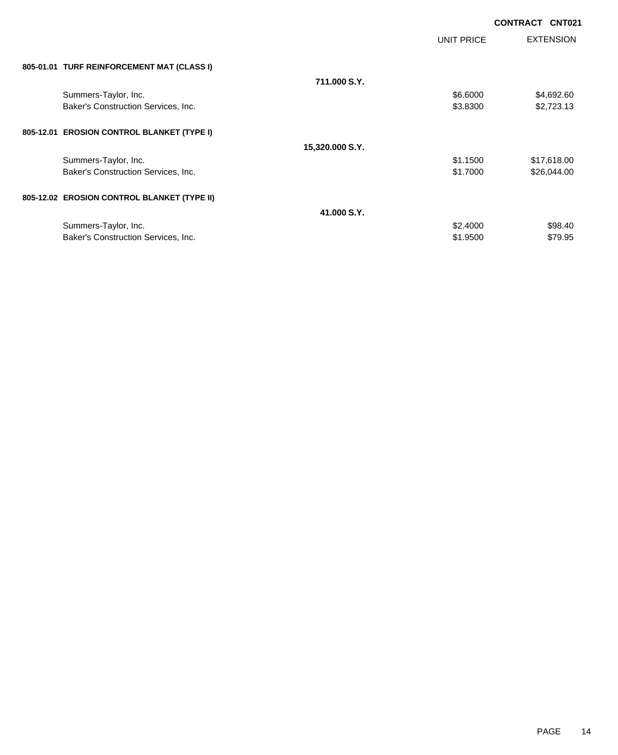|                                             |                 |            | <b>CONTRACT CNT021</b> |
|---------------------------------------------|-----------------|------------|------------------------|
|                                             |                 | UNIT PRICE | <b>EXTENSION</b>       |
| 805-01.01 TURF REINFORCEMENT MAT (CLASS I)  |                 |            |                        |
|                                             | 711,000 S.Y.    |            |                        |
| Summers-Taylor, Inc.                        |                 | \$6.6000   | \$4,692.60             |
| Baker's Construction Services, Inc.         |                 | \$3.8300   | \$2,723.13             |
| 805-12.01 EROSION CONTROL BLANKET (TYPE I)  |                 |            |                        |
|                                             | 15,320.000 S.Y. |            |                        |
| Summers-Taylor, Inc.                        |                 | \$1.1500   | \$17,618.00            |
| Baker's Construction Services, Inc.         |                 | \$1.7000   | \$26,044.00            |
| 805-12.02 EROSION CONTROL BLANKET (TYPE II) |                 |            |                        |
|                                             | 41.000 S.Y.     |            |                        |
| Summers-Taylor, Inc.                        |                 | \$2.4000   | \$98.40                |
| Baker's Construction Services, Inc.         |                 | \$1.9500   | \$79.95                |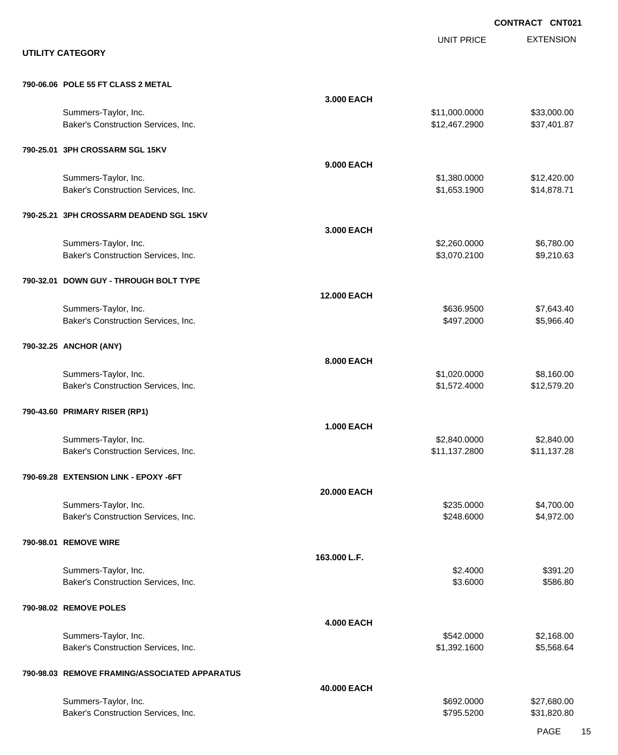|                                                             |                    |                                | <b>CONTRACT CNT021</b>     |
|-------------------------------------------------------------|--------------------|--------------------------------|----------------------------|
| <b>UTILITY CATEGORY</b>                                     |                    | <b>UNIT PRICE</b>              | <b>EXTENSION</b>           |
| 790-06.06 POLE 55 FT CLASS 2 METAL                          |                    |                                |                            |
| Summers-Taylor, Inc.<br>Baker's Construction Services, Inc. | 3.000 EACH         | \$11,000.0000<br>\$12,467.2900 | \$33,000.00<br>\$37,401.87 |
| 790-25.01 3PH CROSSARM SGL 15KV                             |                    |                                |                            |
| Summers-Taylor, Inc.                                        | 9.000 EACH         | \$1,380.0000                   | \$12,420.00                |
| Baker's Construction Services, Inc.                         |                    | \$1,653.1900                   | \$14,878.71                |
| 790-25.21 3PH CROSSARM DEADEND SGL 15KV                     | 3.000 EACH         |                                |                            |
| Summers-Taylor, Inc.<br>Baker's Construction Services, Inc. |                    | \$2,260.0000<br>\$3,070.2100   | \$6,780.00<br>\$9,210.63   |
| 790-32.01 DOWN GUY - THROUGH BOLT TYPE                      | <b>12.000 EACH</b> |                                |                            |
| Summers-Taylor, Inc.<br>Baker's Construction Services, Inc. |                    | \$636.9500<br>\$497.2000       | \$7,643.40<br>\$5,966.40   |
| 790-32.25 ANCHOR (ANY)                                      | 8.000 EACH         |                                |                            |
| Summers-Taylor, Inc.<br>Baker's Construction Services, Inc. |                    | \$1,020.0000<br>\$1,572.4000   | \$8,160.00<br>\$12,579.20  |
| 790-43.60 PRIMARY RISER (RP1)                               | <b>1.000 EACH</b>  |                                |                            |
| Summers-Taylor, Inc.<br>Baker's Construction Services, Inc. |                    | \$2,840.0000<br>\$11,137.2800  | \$2,840.00<br>\$11,137.28  |
| 790-69.28 EXTENSION LINK - EPOXY -6FT                       | 20.000 EACH        |                                |                            |
| Summers-Taylor, Inc.<br>Baker's Construction Services, Inc. |                    | \$235.0000<br>\$248.6000       | \$4,700.00<br>\$4,972.00   |
| 790-98.01 REMOVE WIRE                                       | 163.000 L.F.       |                                |                            |
| Summers-Taylor, Inc.<br>Baker's Construction Services, Inc. |                    | \$2.4000<br>\$3.6000           | \$391.20<br>\$586.80       |
| 790-98.02 REMOVE POLES                                      | <b>4.000 EACH</b>  |                                |                            |
| Summers-Taylor, Inc.<br>Baker's Construction Services, Inc. |                    | \$542.0000<br>\$1,392.1600     | \$2,168.00<br>\$5,568.64   |
| 790-98.03 REMOVE FRAMING/ASSOCIATED APPARATUS               | 40.000 EACH        |                                |                            |
| Summers-Taylor, Inc.<br>Baker's Construction Services, Inc. |                    | \$692.0000<br>\$795.5200       | \$27,680.00<br>\$31,820.80 |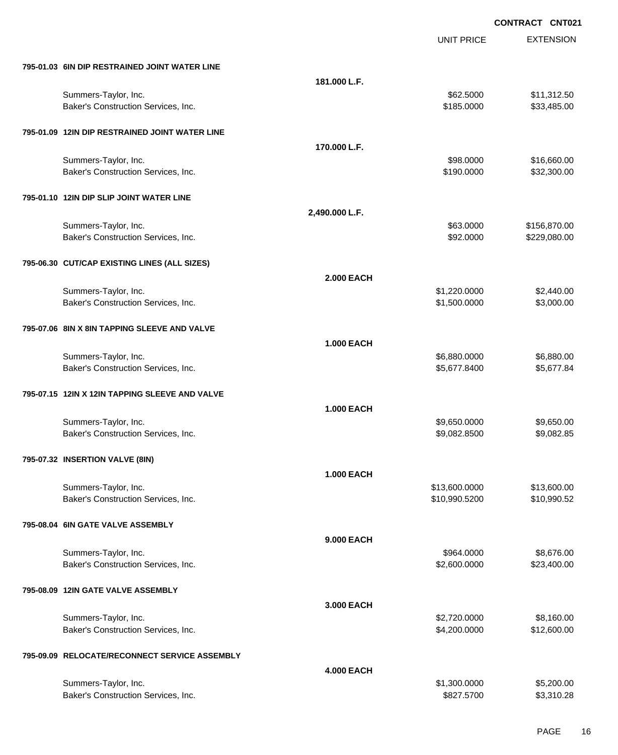UNIT PRICE

EXTENSION

| 795-01.03 6IN DIP RESTRAINED JOINT WATER LINE               |                   |                                |                            |
|-------------------------------------------------------------|-------------------|--------------------------------|----------------------------|
|                                                             | 181.000 L.F.      |                                |                            |
| Summers-Taylor, Inc.<br>Baker's Construction Services, Inc. |                   | \$62.5000<br>\$185.0000        | \$11,312.50<br>\$33,485.00 |
| 795-01.09 12IN DIP RESTRAINED JOINT WATER LINE              | 170.000 L.F.      |                                |                            |
| Summers-Taylor, Inc.                                        |                   | \$98.0000                      | \$16,660.00                |
| Baker's Construction Services, Inc.                         |                   | \$190.0000                     | \$32,300.00                |
| 795-01.10 12IN DIP SLIP JOINT WATER LINE                    |                   |                                |                            |
|                                                             | 2,490.000 L.F.    |                                |                            |
| Summers-Taylor, Inc.                                        |                   | \$63.0000                      | \$156,870.00               |
| Baker's Construction Services, Inc.                         |                   | \$92.0000                      | \$229,080.00               |
| 795-06.30 CUT/CAP EXISTING LINES (ALL SIZES)                |                   |                                |                            |
|                                                             | <b>2.000 EACH</b> |                                |                            |
| Summers-Taylor, Inc.<br>Baker's Construction Services, Inc. |                   | \$1,220.0000<br>\$1,500.0000   | \$2,440.00<br>\$3,000.00   |
|                                                             |                   |                                |                            |
| 795-07.06 8IN X 8IN TAPPING SLEEVE AND VALVE                |                   |                                |                            |
|                                                             | 1.000 EACH        |                                |                            |
| Summers-Taylor, Inc.<br>Baker's Construction Services, Inc. |                   | \$6,880.0000<br>\$5,677.8400   | \$6,880.00<br>\$5,677.84   |
|                                                             |                   |                                |                            |
| 795-07.15 12IN X 12IN TAPPING SLEEVE AND VALVE              |                   |                                |                            |
|                                                             | <b>1.000 EACH</b> |                                |                            |
| Summers-Taylor, Inc.                                        |                   | \$9,650.0000                   | \$9,650.00<br>\$9,082.85   |
| Baker's Construction Services, Inc.                         |                   | \$9,082.8500                   |                            |
| 795-07.32 INSERTION VALVE (8IN)                             |                   |                                |                            |
|                                                             | <b>1.000 EACH</b> |                                |                            |
| Summers-Taylor, Inc.<br>Baker's Construction Services, Inc. |                   | \$13,600.0000<br>\$10,990.5200 | \$13,600.00<br>\$10,990.52 |
|                                                             |                   |                                |                            |
| 795-08.04 6IN GATE VALVE ASSEMBLY                           |                   |                                |                            |
|                                                             | 9.000 EACH        |                                |                            |
| Summers-Taylor, Inc.<br>Baker's Construction Services, Inc. |                   | \$964.0000<br>\$2,600.0000     | \$8,676.00<br>\$23,400.00  |
|                                                             |                   |                                |                            |
| 795-08.09 12IN GATE VALVE ASSEMBLY                          |                   |                                |                            |
|                                                             | 3.000 EACH        | \$2,720.0000                   | \$8,160.00                 |
| Summers-Taylor, Inc.<br>Baker's Construction Services, Inc. |                   | \$4,200.0000                   | \$12,600.00                |
|                                                             |                   |                                |                            |
| 795-09.09 RELOCATE/RECONNECT SERVICE ASSEMBLY               | <b>4.000 EACH</b> |                                |                            |
| Summers-Taylor, Inc.                                        |                   | \$1,300.0000                   | \$5,200.00                 |
| Baker's Construction Services, Inc.                         |                   | \$827.5700                     | \$3,310.28                 |
|                                                             |                   |                                |                            |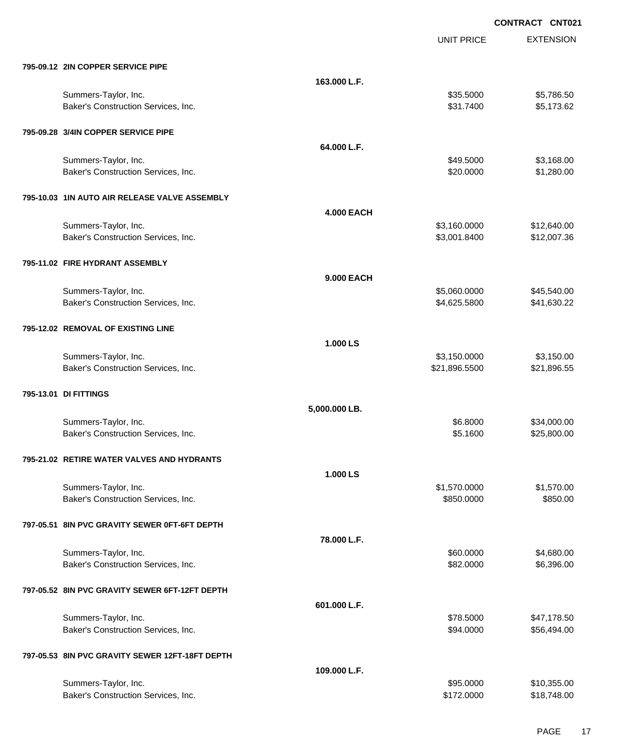**EXTENSION CONTRACT CNT021** UNIT PRICE **795-09.12 2IN COPPER SERVICE PIPE 163.000 L.F.** Summers-Taylor, Inc. \$35.5000 \$5,786.50 Baker's Construction Services, Inc. \$5,173.62 **795-09.28 3/4IN COPPER SERVICE PIPE 64.000 L.F.** Summers-Taylor, Inc. \$3,168.00 Baker's Construction Services, Inc. 6. The Same of the Same of the Same States of St. 380.000 \$1,280.00 **795-10.03 1IN AUTO AIR RELEASE VALVE ASSEMBLY 4.000 EACH** Summers-Taylor, Inc. \$3,160.0000 \$12,640.00 Baker's Construction Services, Inc. \$12,007.36 **795-11.02 FIRE HYDRANT ASSEMBLY 9.000 EACH** Summers-Taylor, Inc. \$5,060.0000 \$45,540.00 Baker's Construction Services, Inc. 6. The Construction Services, Inc. 6. The Construction Services, Inc. 6. The Construction Services, Inc. 6. The Construction Services, Inc. 6. The Construction Services, Inc. 6. The Cons **795-12.02 REMOVAL OF EXISTING LINE 1.000 LS** Summers-Taylor, Inc. \$3,150.000 \$3,150.000 \$3,150.000 \$3,150.000 \$3,150.000 \$3,150.00 Baker's Construction Services, Inc. 6. The Construction Services, Inc. 6. The Construction Services, Inc. 6. The Construction Services, Inc. 6. The Construction Services, Inc. 6. The Construction Services, Inc. 6. The Cons **795-13.01 DI FITTINGS 5,000.000 LB.** Summers-Taylor, Inc. \$6.8000 \$34,000.00 Baker's Construction Services, Inc. 6. The Construction Services, Inc. 6. The Construction Services, Inc. 6. The Construction Services, Inc. 6. The Construction Services, Inc. 6. The Construction Services, Inc. 6. The Cons **795-21.02 RETIRE WATER VALVES AND HYDRANTS 1.000 LS** Summers-Taylor, Inc. \$1,570.000 \$1,570.000 \$1,570.000 \$1,570.000 \$1,570.000 \$1,570.000 \$1,570.00 Baker's Construction Services, Inc. 6850.000 \$850.000 \$850.000 \$850.000 **797-05.51 8IN PVC GRAVITY SEWER 0FT-6FT DEPTH 78.000 L.F.** Summers-Taylor, Inc. 660.000 \$4,680.00 \$4,680.00 \$4,680.00 \$4,680.00 \$4,680.00 \$4,680.00 \$4,680.00 \$4,680.00 \$4,680.00 \$4,680.00 \$4,680.00 \$4,680.00 \$4,680.00 \$4,680.00 \$4,680.00 \$4,680.00 \$4,680.00 \$4,680.00 \$4,680.00 \$4, Baker's Construction Services, Inc. 6. The Construction Services, Inc. 6. The Construction Services, Inc. 6. S96.00 **797-05.52 8IN PVC GRAVITY SEWER 6FT-12FT DEPTH 601.000 L.F.** Summers-Taylor, Inc. \$78.5000 \$47,178.50 Baker's Construction Services, Inc. 6. The Construction Services, Inc. \$94.0000 \$56,494.000 **797-05.53 8IN PVC GRAVITY SEWER 12FT-18FT DEPTH**

| 109.000 L.F.                        |            |             |
|-------------------------------------|------------|-------------|
| Summers-Taylor, Inc.                | \$95,0000  | \$10,355.00 |
| Baker's Construction Services, Inc. | \$172,0000 | \$18.748.00 |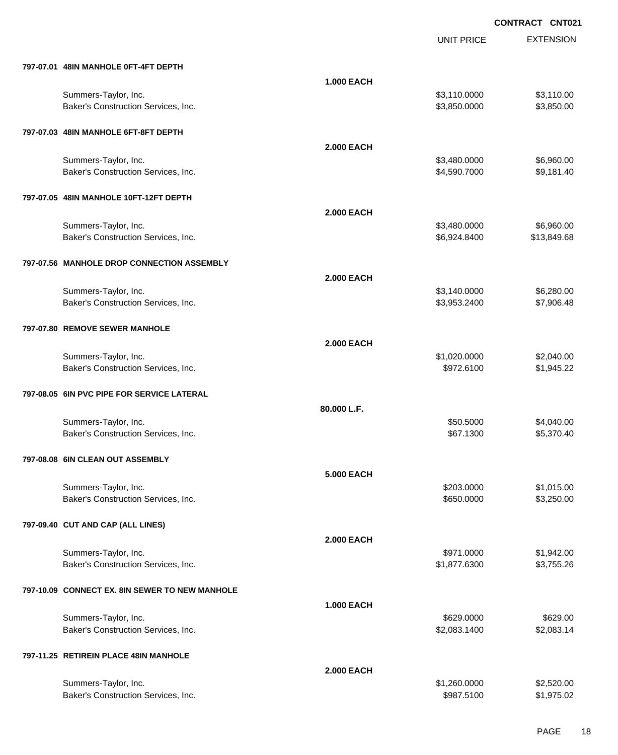UNIT PRICE

EXTENSION

| 797-07.01 48IN MANHOLE 0FT-4FT DEPTH                        |                   |              |             |
|-------------------------------------------------------------|-------------------|--------------|-------------|
|                                                             | <b>1.000 EACH</b> |              |             |
| Summers-Taylor, Inc.                                        |                   | \$3,110.0000 | \$3,110.00  |
| Baker's Construction Services, Inc.                         |                   | \$3,850.0000 | \$3,850.00  |
| 797-07.03 48IN MANHOLE 6FT-8FT DEPTH                        |                   |              |             |
|                                                             | <b>2.000 EACH</b> |              |             |
| Summers-Taylor, Inc.                                        |                   | \$3,480.0000 | \$6,960.00  |
| Baker's Construction Services, Inc.                         |                   | \$4,590.7000 | \$9,181.40  |
| 797-07.05 48IN MANHOLE 10FT-12FT DEPTH                      |                   |              |             |
|                                                             | <b>2.000 EACH</b> |              |             |
| Summers-Taylor, Inc.                                        |                   | \$3,480.0000 | \$6,960.00  |
| Baker's Construction Services, Inc.                         |                   | \$6,924.8400 | \$13,849.68 |
| 797-07.56 MANHOLE DROP CONNECTION ASSEMBLY                  |                   |              |             |
|                                                             | <b>2.000 EACH</b> |              |             |
| Summers-Taylor, Inc.                                        |                   | \$3,140.0000 | \$6,280.00  |
| Baker's Construction Services, Inc.                         |                   | \$3,953.2400 | \$7,906.48  |
| 797-07.80 REMOVE SEWER MANHOLE                              |                   |              |             |
|                                                             | <b>2.000 EACH</b> |              |             |
| Summers-Taylor, Inc.                                        |                   | \$1,020.0000 | \$2,040.00  |
| Baker's Construction Services, Inc.                         |                   | \$972.6100   | \$1,945.22  |
|                                                             |                   |              |             |
| 797-08.05 6IN PVC PIPE FOR SERVICE LATERAL                  |                   |              |             |
|                                                             | 80.000 L.F.       |              |             |
| Summers-Taylor, Inc.                                        |                   | \$50.5000    | \$4,040.00  |
| Baker's Construction Services, Inc.                         |                   | \$67.1300    | \$5,370.40  |
| 797-08.08 6IN CLEAN OUT ASSEMBLY                            |                   |              |             |
|                                                             | <b>5.000 EACH</b> |              |             |
| Summers-Taylor, Inc.                                        |                   | \$203.0000   | \$1,015.00  |
| Baker's Construction Services, Inc.                         |                   | \$650.0000   | \$3,250.00  |
|                                                             |                   |              |             |
| 797-09.40 CUT AND CAP (ALL LINES)                           |                   |              |             |
| Summers-Taylor, Inc.                                        | <b>2.000 EACH</b> | \$971.0000   | \$1,942.00  |
| Baker's Construction Services, Inc.                         |                   | \$1,877.6300 | \$3,755.26  |
|                                                             |                   |              |             |
| 797-10.09 CONNECT EX. 8IN SEWER TO NEW MANHOLE              |                   |              |             |
|                                                             | <b>1.000 EACH</b> | \$629.0000   | \$629.00    |
| Summers-Taylor, Inc.<br>Baker's Construction Services, Inc. |                   | \$2,083.1400 | \$2,083.14  |
|                                                             |                   |              |             |
| 797-11.25 RETIREIN PLACE 48IN MANHOLE                       | <b>2.000 EACH</b> |              |             |
| Summers-Taylor, Inc.                                        |                   | \$1,260.0000 | \$2,520.00  |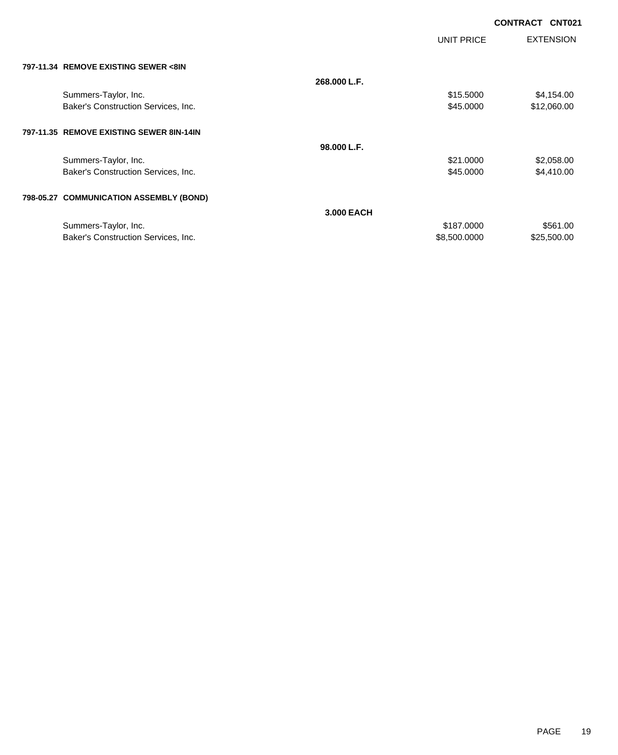| <b>CONTRACT CNT021</b> |  |
|------------------------|--|
|                        |  |

|                                          |              | UNIT PRICE   | <b>EXTENSION</b> |
|------------------------------------------|--------------|--------------|------------------|
| 797-11.34 REMOVE EXISTING SEWER <8IN     |              |              |                  |
|                                          | 268.000 L.F. |              |                  |
| Summers-Taylor, Inc.                     |              | \$15.5000    | \$4,154.00       |
| Baker's Construction Services, Inc.      |              | \$45.0000    | \$12,060.00      |
| 797-11.35 REMOVE EXISTING SEWER 8IN-14IN |              |              |                  |
|                                          | 98.000 L.F.  |              |                  |
| Summers-Taylor, Inc.                     |              | \$21.0000    | \$2,058.00       |
| Baker's Construction Services, Inc.      |              | \$45.0000    | \$4,410.00       |
| 798-05.27 COMMUNICATION ASSEMBLY (BOND)  |              |              |                  |
|                                          | 3,000 EACH   |              |                  |
| Summers-Taylor, Inc.                     |              | \$187.0000   | \$561.00         |
| Baker's Construction Services, Inc.      |              | \$8,500.0000 | \$25,500.00      |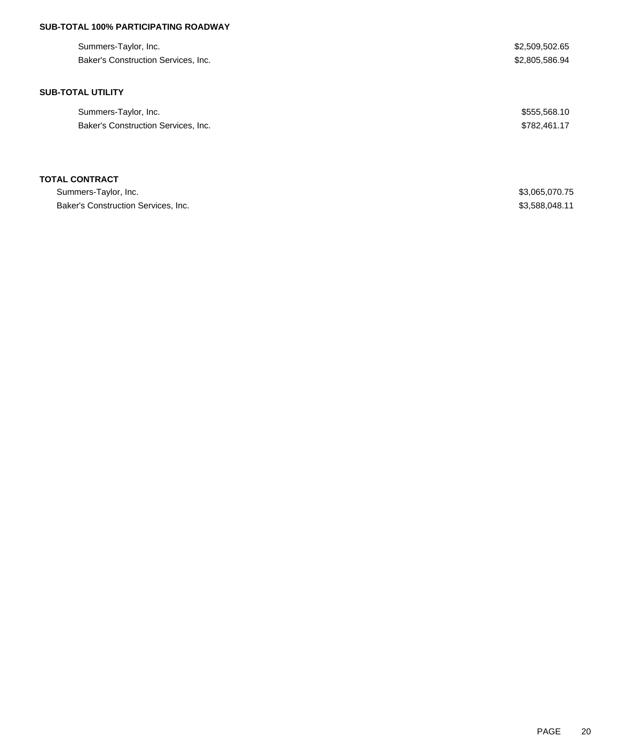# **SUB-TOTAL 100% PARTICIPATING ROADWAY**

| Summers-Taylor, Inc.                | \$2,509,502.65 |
|-------------------------------------|----------------|
| Baker's Construction Services, Inc. | \$2,805,586.94 |
|                                     |                |
| <b>SUB-TOTAL UTILITY</b>            |                |
| Summers-Taylor, Inc.                | \$555,568.10   |
| Baker's Construction Services, Inc. | \$782,461.17   |
|                                     |                |
|                                     |                |
| <b>TOTAL CONTRACT</b>               |                |

| Summers-Taylor, Inc.                | \$3,065,070.75 |
|-------------------------------------|----------------|
| Baker's Construction Services, Inc. | \$3,588,048.11 |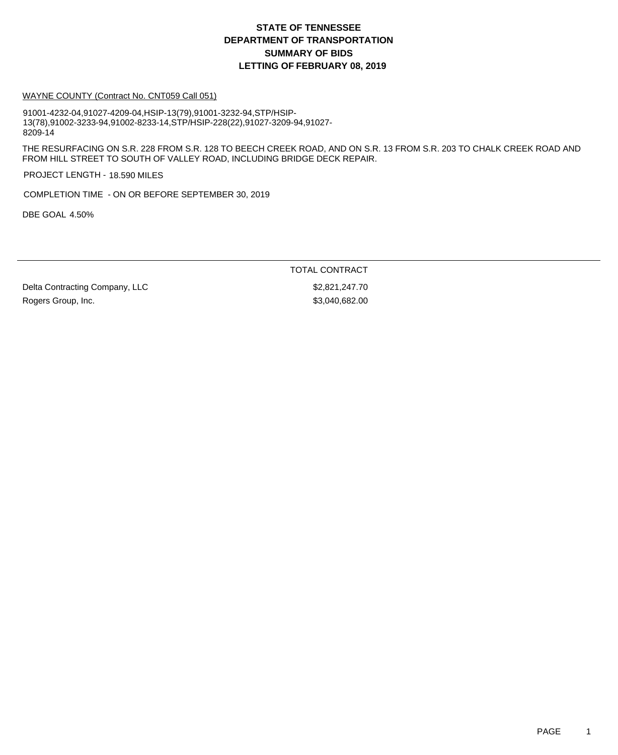#### WAYNE COUNTY (Contract No. CNT059 Call 051)

91001-4232-04,91027-4209-04,HSIP-13(79),91001-3232-94,STP/HSIP-13(78),91002-3233-94,91002-8233-14,STP/HSIP-228(22),91027-3209-94,91027- 8209-14

THE RESURFACING ON S.R. 228 FROM S.R. 128 TO BEECH CREEK ROAD, AND ON S.R. 13 FROM S.R. 203 TO CHALK CREEK ROAD AND FROM HILL STREET TO SOUTH OF VALLEY ROAD, INCLUDING BRIDGE DECK REPAIR.

PROJECT LENGTH - 18.590 MILES

COMPLETION TIME - ON OR BEFORE SEPTEMBER 30, 2019

DBE GOAL 4.50%

TOTAL CONTRACT

Delta Contracting Company, LLC  $$2,821,247.70$ Rogers Group, Inc. 682.00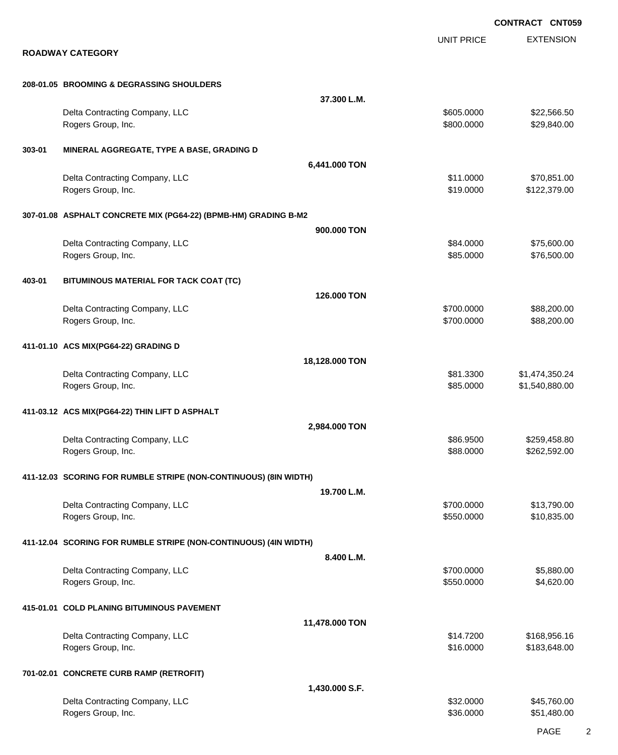EXTENSION **CONTRACT CNT059** UNIT PRICE **ROADWAY CATEGORY 208-01.05 BROOMING & DEGRASSING SHOULDERS 37.300 L.M.** Delta Contracting Company, LLC **but a contraction of the Contraction Contraction Contraction Contraction** S22,566.50 Rogers Group, Inc. \$800.0000 \$29,840.00 **303-01 MINERAL AGGREGATE, TYPE A BASE, GRADING D 6,441.000 TON** Delta Contracting Company, LLC **but a struck of the struck of the struck of the struck of the struck of the struck of the struck of the struck of the struck of the struck of the struck of the struck of the struck of the st** Rogers Group, Inc. \$122,379.00 \$122,379.00 \$122,379.00 \$122,379.00 \$122,379.00 \$122,379.00 \$122,379.00 \$123,379 **307-01.08 ASPHALT CONCRETE MIX (PG64-22) (BPMB-HM) GRADING B-M2 900.000 TON** Delta Contracting Company, LLC **but a contraction of the Contraction Contraction Contraction Contraction Contraction Contraction Contraction Contraction Contraction Contraction Contraction Contraction Contraction Contracti** Rogers Group, Inc. \$85.0000 \$76,500.00 **403-01 BITUMINOUS MATERIAL FOR TACK COAT (TC) 126.000 TON** Delta Contracting Company, LLC **688,200.000 \$88,200.000** \$88,200.000 Rogers Group, Inc. \$88,200.000 \$88,200.00 \$88,200.00 \$88,200.00 \$88,200.00 \$88,200.00 \$88,200.00 \$88,200.00 \$88 **411-01.10 ACS MIX(PG64-22) GRADING D 18,128.000 TON** Delta Contracting Company, LLC **but a struck of the struck of the struck of the S81.3300** \$1,474,350.24 Rogers Group, Inc. \$85.0000 \$1,540,880.00 **411-03.12 ACS MIX(PG64-22) THIN LIFT D ASPHALT 2,984.000 TON** Delta Contracting Company, LLC **1996, 1996, 1996, 1996, 1997, 1997, 1998, 1998, 1998, 1998, 1998, 1998, 1998, 199** Rogers Group, Inc. \$88.0000 \$262,592.00 **411-12.03 SCORING FOR RUMBLE STRIPE (NON-CONTINUOUS) (8IN WIDTH) 19.700 L.M.** Delta Contracting Company, LLC **but a contraction of the Contraction Contraction Contraction Contraction** S13,790.00 Rogers Group, Inc. \$10,835.00 \$10,835.00 \$10,835.00 \$10,835.00 \$10,835.00 \$10,835.00 \$10,835.00 \$10,835.00 \$10 **411-12.04 SCORING FOR RUMBLE STRIPE (NON-CONTINUOUS) (4IN WIDTH) 8.400 L.M.** Delta Contracting Company, LLC **1996 1997 12:30 12:30 13:30 13:30 14:30 14:30 14:30 14:30 14:30 14:30 14:30 14:30 14:30 14:30 14:30 14:30 14:30 14:30 14:30 14:30 14:30 14:30 14:30 14:30 14:30 14:30 14:30 14:30 14:30 14:3** Rogers Group, Inc. \$550.0000 \$4,620.00 **415-01.01 COLD PLANING BITUMINOUS PAVEMENT 11,478.000 TON** Delta Contracting Company, LLC **but a struck of the struck of the struck of the S14.7200** \$168,956.16 Rogers Group, Inc. \$183,648.00 \$183,648.00 \$183,648.00 \$183,648.00 \$183,648.00 **701-02.01 CONCRETE CURB RAMP (RETROFIT) 1,430.000 S.F.** Delta Contracting Company, LLC **6.6000 \$45,760.00** \$45,760.00 Rogers Group, Inc. \$36.000 \$51,480.00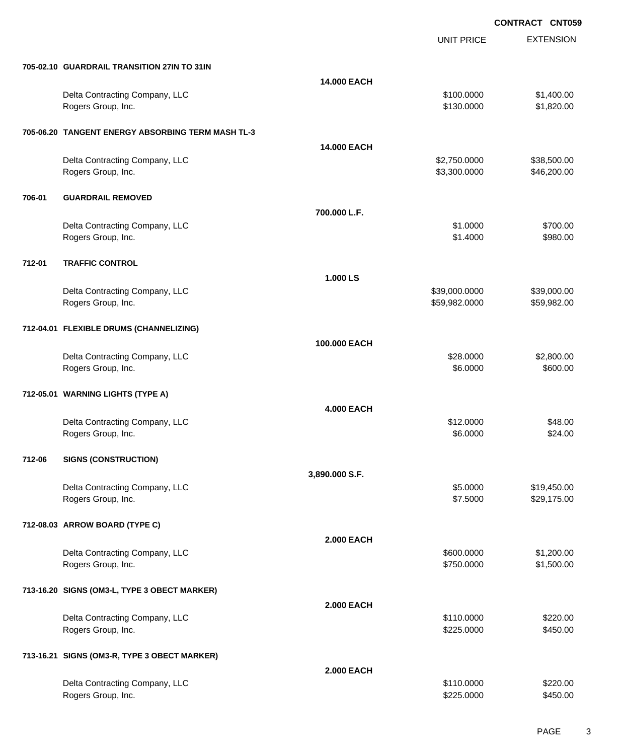UNIT PRICE

EXTENSION

|        | 705-02.10 GUARDRAIL TRANSITION 27IN TO 31IN          |                    |                                |                            |
|--------|------------------------------------------------------|--------------------|--------------------------------|----------------------------|
|        |                                                      | 14.000 EACH        |                                |                            |
|        | Delta Contracting Company, LLC<br>Rogers Group, Inc. |                    | \$100.0000<br>\$130.0000       | \$1,400.00<br>\$1,820.00   |
|        | 705-06.20 TANGENT ENERGY ABSORBING TERM MASH TL-3    |                    |                                |                            |
|        |                                                      | <b>14.000 EACH</b> |                                |                            |
|        | Delta Contracting Company, LLC<br>Rogers Group, Inc. |                    | \$2,750.0000<br>\$3,300.0000   | \$38,500.00<br>\$46,200.00 |
| 706-01 | <b>GUARDRAIL REMOVED</b>                             |                    |                                |                            |
|        |                                                      | 700.000 L.F.       |                                |                            |
|        | Delta Contracting Company, LLC<br>Rogers Group, Inc. |                    | \$1.0000<br>\$1.4000           | \$700.00<br>\$980.00       |
| 712-01 | <b>TRAFFIC CONTROL</b>                               |                    |                                |                            |
|        |                                                      | 1.000 LS           |                                |                            |
|        | Delta Contracting Company, LLC<br>Rogers Group, Inc. |                    | \$39,000.0000<br>\$59,982.0000 | \$39,000.00<br>\$59,982.00 |
|        | 712-04.01 FLEXIBLE DRUMS (CHANNELIZING)              |                    |                                |                            |
|        |                                                      | 100.000 EACH       |                                |                            |
|        | Delta Contracting Company, LLC<br>Rogers Group, Inc. |                    | \$28.0000<br>\$6.0000          | \$2,800.00<br>\$600.00     |
|        | 712-05.01 WARNING LIGHTS (TYPE A)                    |                    |                                |                            |
|        |                                                      | <b>4.000 EACH</b>  |                                |                            |
|        | Delta Contracting Company, LLC<br>Rogers Group, Inc. |                    | \$12.0000<br>\$6.0000          | \$48.00<br>\$24.00         |
| 712-06 | <b>SIGNS (CONSTRUCTION)</b>                          |                    |                                |                            |
|        |                                                      | 3,890.000 S.F.     |                                |                            |
|        | Delta Contracting Company, LLC                       |                    | \$5.0000                       | \$19,450.00                |
|        | Rogers Group, Inc.                                   |                    | \$7.5000                       | \$29,175.00                |
|        | 712-08.03 ARROW BOARD (TYPE C)                       |                    |                                |                            |
|        |                                                      | <b>2.000 EACH</b>  |                                |                            |
|        | Delta Contracting Company, LLC                       |                    | \$600.0000                     | \$1,200.00                 |
|        | Rogers Group, Inc.                                   |                    | \$750.0000                     | \$1,500.00                 |
|        |                                                      |                    |                                |                            |
|        | 713-16.20 SIGNS (OM3-L, TYPE 3 OBECT MARKER)         |                    |                                |                            |
|        |                                                      | <b>2.000 EACH</b>  |                                |                            |
|        | Delta Contracting Company, LLC                       |                    | \$110.0000                     | \$220.00                   |
|        | Rogers Group, Inc.                                   |                    | \$225.0000                     | \$450.00                   |
|        | 713-16.21 SIGNS (OM3-R, TYPE 3 OBECT MARKER)         |                    |                                |                            |
|        |                                                      | <b>2.000 EACH</b>  |                                |                            |
|        | Delta Contracting Company, LLC                       |                    | \$110.0000                     | \$220.00                   |
|        | Rogers Group, Inc.                                   |                    | \$225.0000                     | \$450.00                   |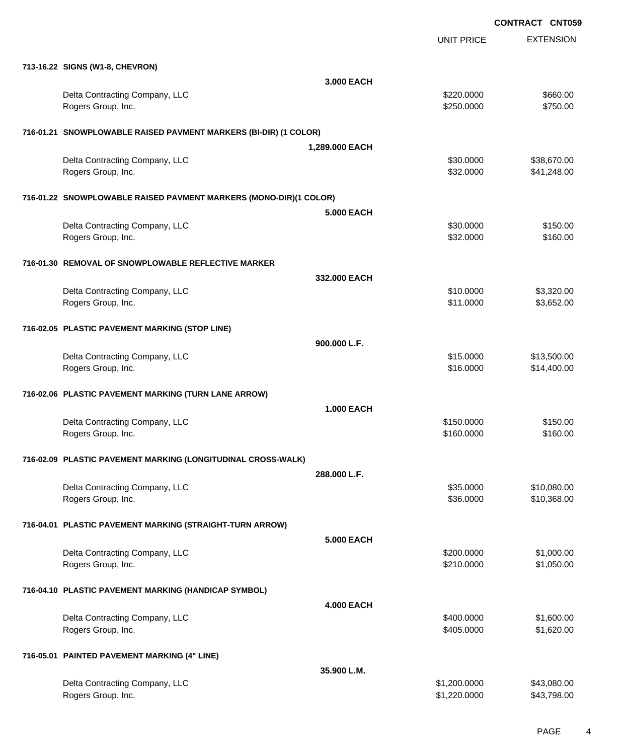|                                                                   |                   | UNIT PRICE   | <b>EXTENSION</b> |
|-------------------------------------------------------------------|-------------------|--------------|------------------|
| 713-16.22 SIGNS (W1-8, CHEVRON)                                   |                   |              |                  |
|                                                                   | 3.000 EACH        |              |                  |
| Delta Contracting Company, LLC                                    |                   | \$220.0000   | \$660.00         |
| Rogers Group, Inc.                                                |                   | \$250.0000   | \$750.00         |
| 716-01.21 SNOWPLOWABLE RAISED PAVMENT MARKERS (BI-DIR) (1 COLOR)  |                   |              |                  |
|                                                                   | 1,289.000 EACH    |              |                  |
| Delta Contracting Company, LLC                                    |                   | \$30.0000    | \$38,670.00      |
| Rogers Group, Inc.                                                |                   | \$32.0000    | \$41,248.00      |
| 716-01.22 SNOWPLOWABLE RAISED PAVMENT MARKERS (MONO-DIR)(1 COLOR) |                   |              |                  |
|                                                                   | <b>5.000 EACH</b> |              |                  |
| Delta Contracting Company, LLC                                    |                   | \$30.0000    | \$150.00         |
| Rogers Group, Inc.                                                |                   | \$32.0000    | \$160.00         |
| 716-01.30 REMOVAL OF SNOWPLOWABLE REFLECTIVE MARKER               |                   |              |                  |
|                                                                   | 332,000 EACH      |              |                  |
| Delta Contracting Company, LLC                                    |                   | \$10.0000    | \$3,320.00       |
| Rogers Group, Inc.                                                |                   | \$11.0000    | \$3,652.00       |
| 716-02.05 PLASTIC PAVEMENT MARKING (STOP LINE)                    |                   |              |                  |
|                                                                   | 900.000 L.F.      |              |                  |
| Delta Contracting Company, LLC                                    |                   | \$15.0000    | \$13,500.00      |
| Rogers Group, Inc.                                                |                   | \$16.0000    | \$14,400.00      |
| 716-02.06 PLASTIC PAVEMENT MARKING (TURN LANE ARROW)              |                   |              |                  |
|                                                                   | <b>1.000 EACH</b> |              |                  |
| Delta Contracting Company, LLC                                    |                   | \$150.0000   | \$150.00         |
| Rogers Group, Inc.                                                |                   | \$160.0000   | \$160.00         |
| 716-02.09 PLASTIC PAVEMENT MARKING (LONGITUDINAL CROSS-WALK)      |                   |              |                  |
|                                                                   | 288.000 L.F.      |              |                  |
| Delta Contracting Company, LLC                                    |                   | \$35.0000    | \$10,080.00      |
| Rogers Group, Inc.                                                |                   | \$36.0000    | \$10,368.00      |
| 716-04.01 PLASTIC PAVEMENT MARKING (STRAIGHT-TURN ARROW)          |                   |              |                  |
|                                                                   | <b>5.000 EACH</b> |              |                  |
| Delta Contracting Company, LLC                                    |                   | \$200.0000   | \$1,000.00       |
| Rogers Group, Inc.                                                |                   | \$210.0000   | \$1,050.00       |
| 716-04.10 PLASTIC PAVEMENT MARKING (HANDICAP SYMBOL)              |                   |              |                  |
|                                                                   | <b>4.000 EACH</b> |              |                  |
| Delta Contracting Company, LLC                                    |                   | \$400.0000   | \$1,600.00       |
| Rogers Group, Inc.                                                |                   | \$405.0000   | \$1,620.00       |
| 716-05.01 PAINTED PAVEMENT MARKING (4" LINE)                      |                   |              |                  |
|                                                                   | 35.900 L.M.       |              |                  |
| Delta Contracting Company, LLC                                    |                   | \$1,200.0000 | \$43,080.00      |
| Rogers Group, Inc.                                                |                   | \$1,220.0000 | \$43,798.00      |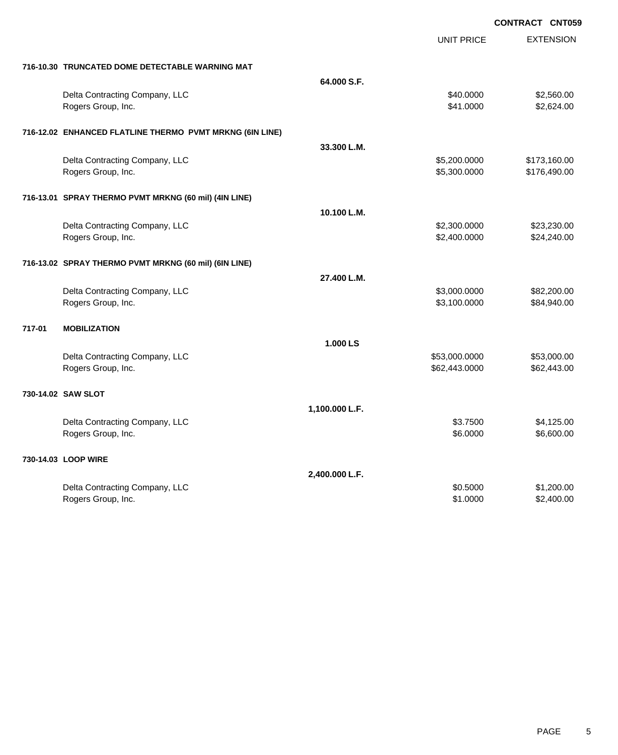|                                                          |                | <b>UNIT PRICE</b> | <b>EXTENSION</b> |
|----------------------------------------------------------|----------------|-------------------|------------------|
| 716-10.30 TRUNCATED DOME DETECTABLE WARNING MAT          |                |                   |                  |
|                                                          | 64.000 S.F.    |                   |                  |
| Delta Contracting Company, LLC                           |                | \$40.0000         | \$2,560.00       |
| Rogers Group, Inc.                                       |                | \$41,0000         | \$2,624.00       |
| 716-12.02 ENHANCED FLATLINE THERMO PVMT MRKNG (6IN LINE) |                |                   |                  |
|                                                          | 33.300 L.M.    |                   |                  |
| Delta Contracting Company, LLC                           |                | \$5,200.0000      | \$173,160.00     |
| Rogers Group, Inc.                                       |                | \$5,300.0000      | \$176,490.00     |
| 716-13.01 SPRAY THERMO PVMT MRKNG (60 mil) (4IN LINE)    |                |                   |                  |
|                                                          | 10.100 L.M.    |                   |                  |
| Delta Contracting Company, LLC                           |                | \$2,300.0000      | \$23,230.00      |
| Rogers Group, Inc.                                       |                | \$2,400.0000      | \$24,240.00      |
| 716-13.02 SPRAY THERMO PVMT MRKNG (60 mil) (6IN LINE)    |                |                   |                  |
|                                                          | 27.400 L.M.    |                   |                  |
| Delta Contracting Company, LLC                           |                | \$3,000.0000      | \$82,200.00      |
| Rogers Group, Inc.                                       |                | \$3,100.0000      | \$84,940.00      |
| 717-01<br><b>MOBILIZATION</b>                            |                |                   |                  |
|                                                          | 1.000 LS       |                   |                  |
| Delta Contracting Company, LLC                           |                | \$53,000.0000     | \$53,000.00      |
| Rogers Group, Inc.                                       |                | \$62,443.0000     | \$62,443.00      |
| 730-14.02 SAW SLOT                                       |                |                   |                  |
|                                                          | 1,100.000 L.F. |                   |                  |
| Delta Contracting Company, LLC                           |                | \$3.7500          | \$4,125.00       |
| Rogers Group, Inc.                                       |                | \$6.0000          | \$6,600.00       |
| 730-14.03 LOOP WIRE                                      |                |                   |                  |
|                                                          | 2,400.000 L.F. |                   |                  |
| Delta Contracting Company, LLC                           |                | \$0.5000          | \$1,200.00       |
| Rogers Group, Inc.                                       |                | \$1.0000          | \$2,400.00       |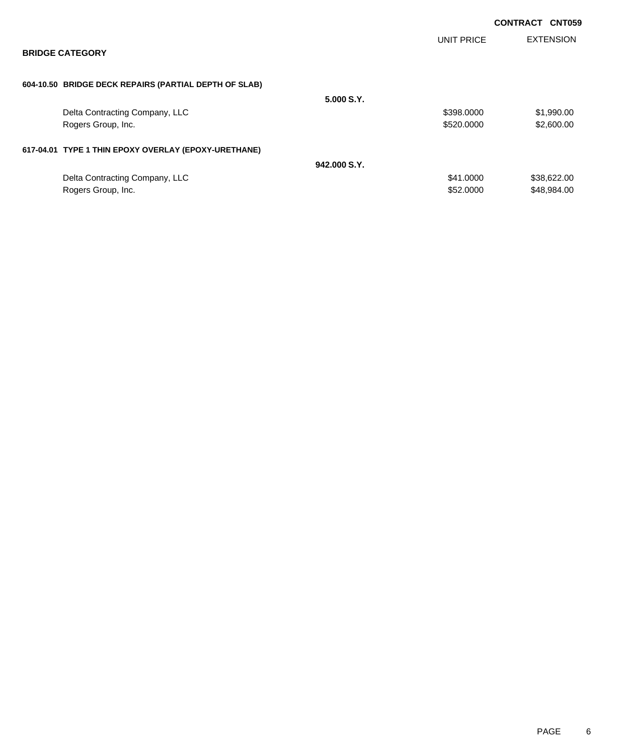|                                                       |              |                   | <b>CONTRACT CNT059</b> |
|-------------------------------------------------------|--------------|-------------------|------------------------|
| <b>BRIDGE CATEGORY</b>                                |              | <b>UNIT PRICE</b> | <b>EXTENSION</b>       |
|                                                       |              |                   |                        |
| 604-10.50 BRIDGE DECK REPAIRS (PARTIAL DEPTH OF SLAB) |              |                   |                        |
|                                                       | 5.000 S.Y.   |                   |                        |
| Delta Contracting Company, LLC                        |              | \$398.0000        | \$1,990.00             |
| Rogers Group, Inc.                                    |              | \$520,0000        | \$2,600.00             |
| 617-04.01 TYPE 1 THIN EPOXY OVERLAY (EPOXY-URETHANE)  |              |                   |                        |
|                                                       | 942.000 S.Y. |                   |                        |
| Delta Contracting Company, LLC                        |              | \$41.0000         | \$38,622.00            |
| Rogers Group, Inc.                                    |              | \$52,0000         | \$48,984.00            |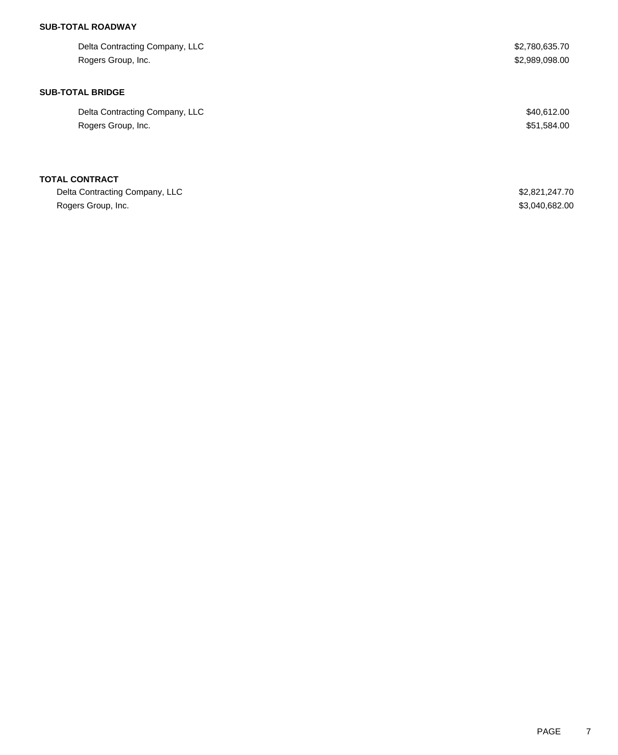# **SUB-TOTAL ROADWAY**

| Delta Contracting Company, LLC | \$2,780,635.70 |
|--------------------------------|----------------|
| Rogers Group, Inc.             | \$2,989,098.00 |
|                                |                |
| <b>SUB-TOTAL BRIDGE</b>        |                |
| Delta Contracting Company, LLC | \$40,612.00    |
| Rogers Group, Inc.             | \$51,584.00    |
|                                |                |
| <b>TOTAL CONTRACT</b>          |                |
| Delta Contracting Company, LLC | \$2,821,247.70 |
| Rogers Group, Inc.             | \$3,040,682.00 |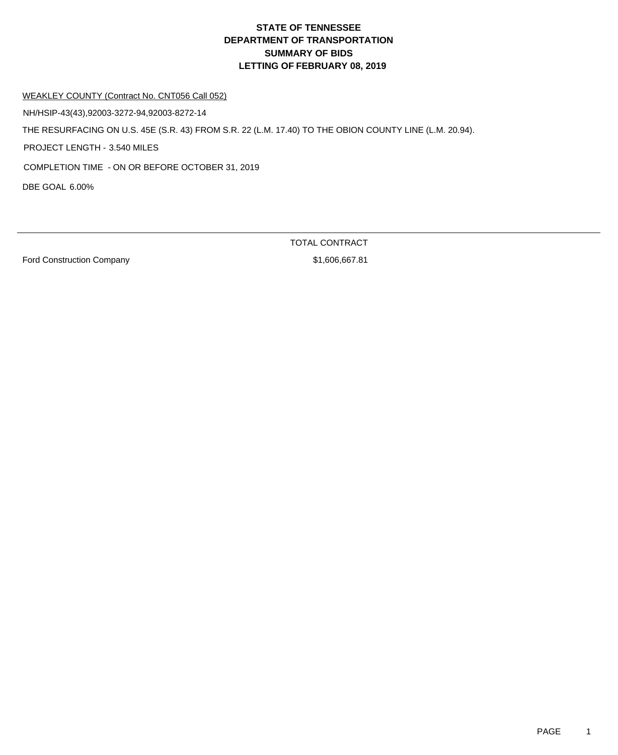#### WEAKLEY COUNTY (Contract No. CNT056 Call 052)

NH/HSIP-43(43),92003-3272-94,92003-8272-14

THE RESURFACING ON U.S. 45E (S.R. 43) FROM S.R. 22 (L.M. 17.40) TO THE OBION COUNTY LINE (L.M. 20.94).

PROJECT LENGTH - 3.540 MILES

COMPLETION TIME - ON OR BEFORE OCTOBER 31, 2019

DBE GOAL 6.00%

Ford Construction Company **\$1,606,667.81** 

TOTAL CONTRACT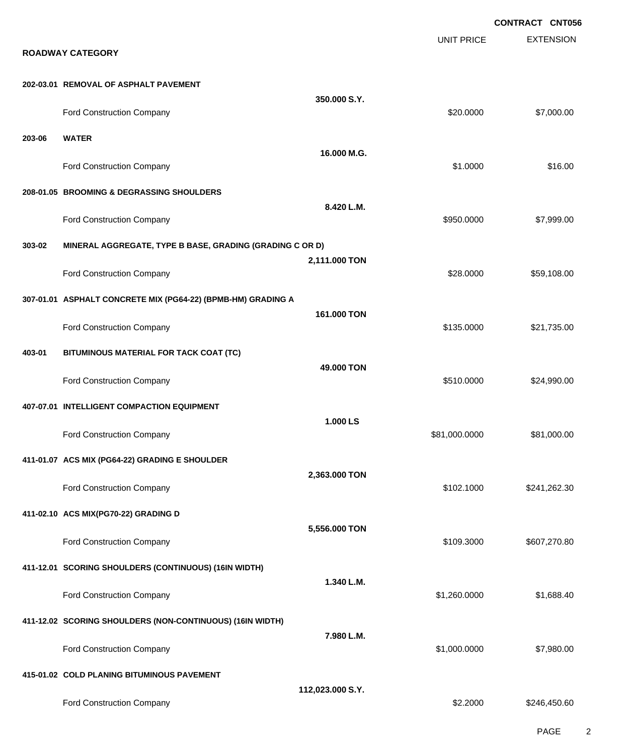**EXTENSION CONTRACT CNT056** UNIT PRICE **ROADWAY CATEGORY 202-03.01 REMOVAL OF ASPHALT PAVEMENT 350.000 S.Y.** Ford Construction Company 620.000 \$7,000.00 **203-06 WATER 16.000 M.G.** Ford Construction Company 616.00 \$16.00 \$16.00 \$16.00 \$1.0000 \$1.0000 \$16.00 **208-01.05 BROOMING & DEGRASSING SHOULDERS 8.420 L.M.** Ford Construction Company 6350.000 \$7,999.00 **303-02 MINERAL AGGREGATE, TYPE B BASE, GRADING (GRADING C OR D) 2,111.000 TON** Ford Construction Company 659,108.00 **307-01.01 ASPHALT CONCRETE MIX (PG64-22) (BPMB-HM) GRADING A 161.000 TON** Ford Construction Company 621,735.00 **403-01 BITUMINOUS MATERIAL FOR TACK COAT (TC) 49.000 TON** Ford Construction Company 624,990.00 **407-07.01 INTELLIGENT COMPACTION EQUIPMENT 1.000 LS** Ford Construction Company 681,000.000 \$81,000.000 \$81,000.000 \$81,000.000 \$81,000.00 **411-01.07 ACS MIX (PG64-22) GRADING E SHOULDER 2,363.000 TON** Ford Construction Company 6241,262.30 **411-02.10 ACS MIX(PG70-22) GRADING D 5,556.000 TON** Ford Construction Company **607,270.80 \$109.3000** \$607,270.80 **411-12.01 SCORING SHOULDERS (CONTINUOUS) (16IN WIDTH) 1.340 L.M.** Ford Construction Company 61,688.40 **411-12.02 SCORING SHOULDERS (NON-CONTINUOUS) (16IN WIDTH) 7.980 L.M.** Ford Construction Company 67,980.00 \$1,000.0000 \$7,980.00 **415-01.02 COLD PLANING BITUMINOUS PAVEMENT 112,023.000 S.Y.** Ford Construction Company 6246,450.60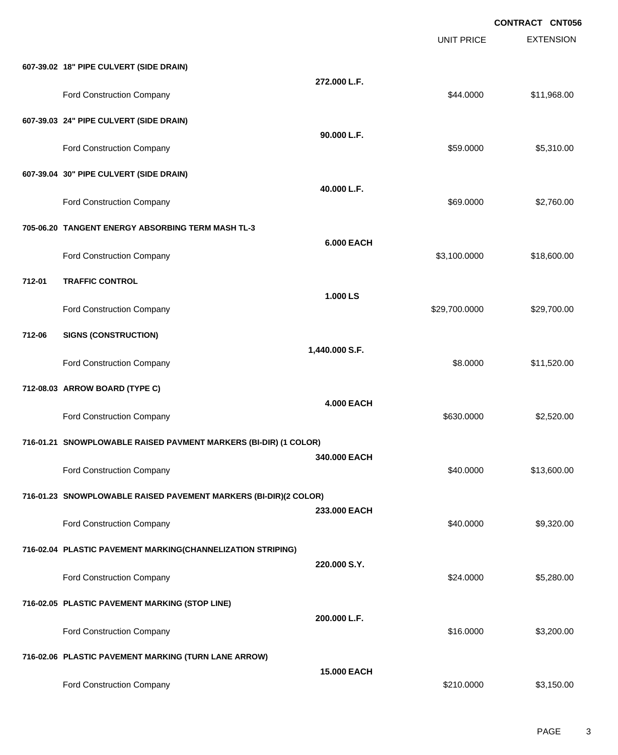|        |                                                                  |                    | <b>UNIT PRICE</b> | <b>CONTRACT CNT056</b><br><b>EXTENSION</b> |
|--------|------------------------------------------------------------------|--------------------|-------------------|--------------------------------------------|
|        | 607-39.02 18" PIPE CULVERT (SIDE DRAIN)                          |                    |                   |                                            |
|        | Ford Construction Company                                        | 272.000 L.F.       | \$44.0000         | \$11,968.00                                |
|        | 607-39.03 24" PIPE CULVERT (SIDE DRAIN)                          |                    |                   |                                            |
|        | Ford Construction Company                                        | 90.000 L.F.        | \$59,0000         | \$5,310.00                                 |
|        | 607-39.04 30" PIPE CULVERT (SIDE DRAIN)                          |                    |                   |                                            |
|        | <b>Ford Construction Company</b>                                 | 40.000 L.F.        | \$69.0000         | \$2,760.00                                 |
|        | 705-06.20 TANGENT ENERGY ABSORBING TERM MASH TL-3                |                    |                   |                                            |
|        | Ford Construction Company                                        | <b>6.000 EACH</b>  | \$3,100.0000      | \$18,600.00                                |
| 712-01 | <b>TRAFFIC CONTROL</b>                                           |                    |                   |                                            |
|        | Ford Construction Company                                        | 1.000 LS           | \$29,700.0000     | \$29,700.00                                |
| 712-06 | <b>SIGNS (CONSTRUCTION)</b>                                      |                    |                   |                                            |
|        | Ford Construction Company                                        | 1,440.000 S.F.     | \$8.0000          | \$11,520.00                                |
|        | 712-08.03 ARROW BOARD (TYPE C)                                   |                    |                   |                                            |
|        | Ford Construction Company                                        | <b>4.000 EACH</b>  | \$630,0000        | \$2,520.00                                 |
|        | 716-01.21 SNOWPLOWABLE RAISED PAVMENT MARKERS (BI-DIR) (1 COLOR) |                    |                   |                                            |
|        | Ford Construction Company                                        | 340.000 EACH       | \$40.0000         | \$13,600.00                                |
|        | 716-01.23 SNOWPLOWABLE RAISED PAVEMENT MARKERS (BI-DIR)(2 COLOR) |                    |                   |                                            |
|        | Ford Construction Company                                        | 233.000 EACH       | \$40.0000         | \$9,320.00                                 |
|        | 716-02.04 PLASTIC PAVEMENT MARKING(CHANNELIZATION STRIPING)      |                    |                   |                                            |
|        | Ford Construction Company                                        | 220.000 S.Y.       | \$24.0000         | \$5,280.00                                 |
|        | 716-02.05 PLASTIC PAVEMENT MARKING (STOP LINE)                   |                    |                   |                                            |
|        | Ford Construction Company                                        | 200.000 L.F.       | \$16.0000         | \$3,200.00                                 |
|        | 716-02.06 PLASTIC PAVEMENT MARKING (TURN LANE ARROW)             |                    |                   |                                            |
|        | Ford Construction Company                                        | <b>15.000 EACH</b> | \$210.0000        | \$3,150.00                                 |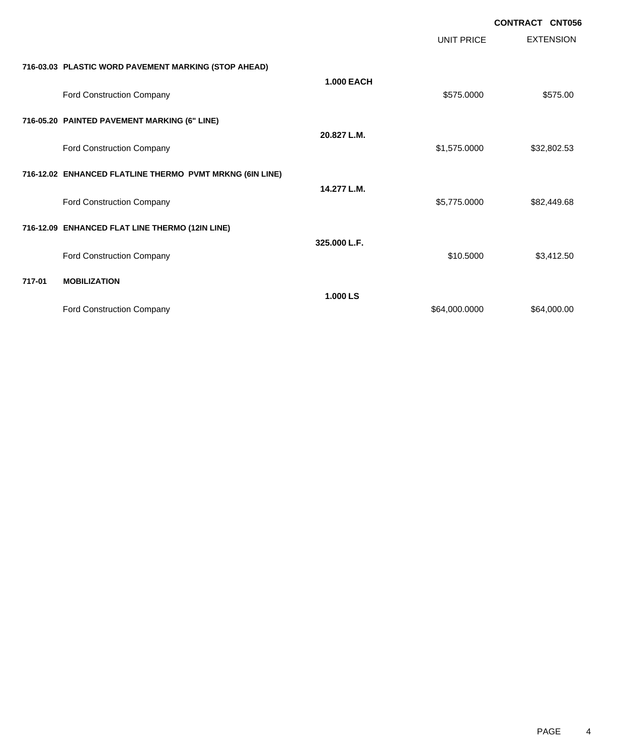|        |                                                          |                   |                   | <b>CONTRACT CNT056</b> |
|--------|----------------------------------------------------------|-------------------|-------------------|------------------------|
|        |                                                          |                   | <b>UNIT PRICE</b> | <b>EXTENSION</b>       |
|        | 716-03.03 PLASTIC WORD PAVEMENT MARKING (STOP AHEAD)     |                   |                   |                        |
|        | Ford Construction Company                                | <b>1.000 EACH</b> | \$575.0000        | \$575.00               |
|        | 716-05.20 PAINTED PAVEMENT MARKING (6" LINE)             |                   |                   |                        |
|        | <b>Ford Construction Company</b>                         | 20.827 L.M.       | \$1,575.0000      | \$32,802.53            |
|        | 716-12.02 ENHANCED FLATLINE THERMO PVMT MRKNG (6IN LINE) |                   |                   |                        |
|        | Ford Construction Company                                | 14.277 L.M.       | \$5,775.0000      | \$82,449.68            |
|        | 716-12.09 ENHANCED FLAT LINE THERMO (12IN LINE)          |                   |                   |                        |
|        | Ford Construction Company                                | 325.000 L.F.      | \$10.5000         | \$3,412.50             |
| 717-01 | <b>MOBILIZATION</b>                                      |                   |                   |                        |
|        | Ford Construction Company                                | 1.000 LS          | \$64,000.0000     | \$64,000.00            |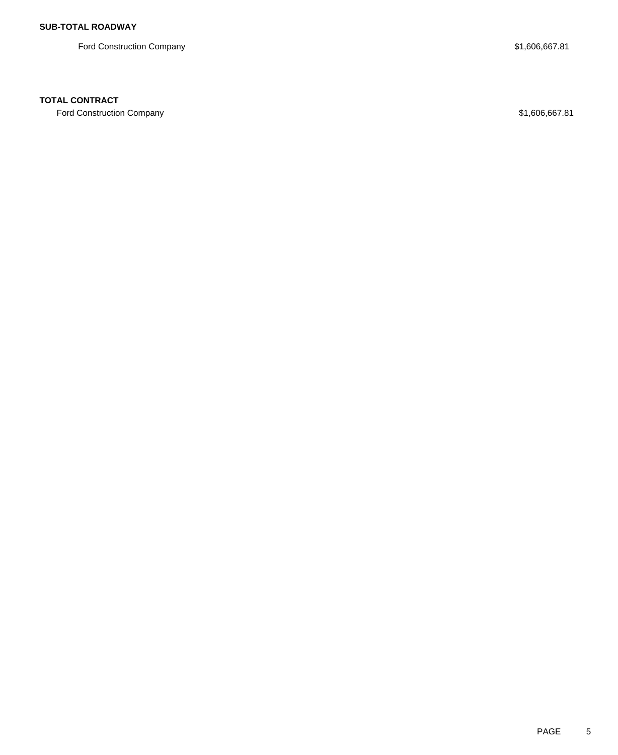Ford Construction Company **\$1,606,667.81** 

### **TOTAL CONTRACT**

Ford Construction Company \$1,606,667.81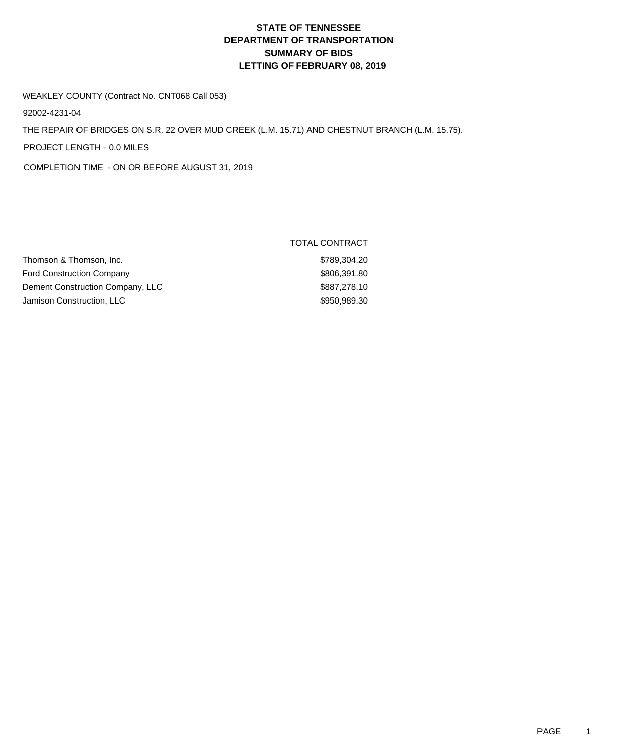#### WEAKLEY COUNTY (Contract No. CNT068 Call 053)

92002-4231-04

THE REPAIR OF BRIDGES ON S.R. 22 OVER MUD CREEK (L.M. 15.71) AND CHESTNUT BRANCH (L.M. 15.75).

PROJECT LENGTH - 0.0 MILES

COMPLETION TIME - ON OR BEFORE AUGUST 31, 2019

|                                  | TOTAL CONTRACT |
|----------------------------------|----------------|
| Thomson & Thomson, Inc.          | \$789,304.20   |
| <b>Ford Construction Company</b> | \$806,391.80   |
| Dement Construction Company, LLC | \$887,278.10   |
| Jamison Construction, LLC        | \$950,989.30   |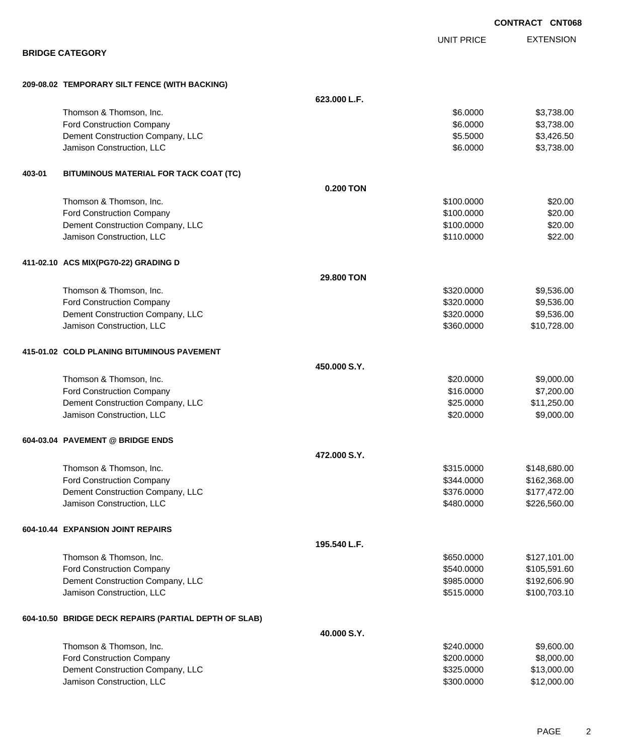|        |                                                       |              |                   | <b>CONTRACT CNT068</b> |
|--------|-------------------------------------------------------|--------------|-------------------|------------------------|
|        |                                                       |              | <b>UNIT PRICE</b> | <b>EXTENSION</b>       |
|        | <b>BRIDGE CATEGORY</b>                                |              |                   |                        |
|        | 209-08.02 TEMPORARY SILT FENCE (WITH BACKING)         |              |                   |                        |
|        |                                                       | 623.000 L.F. |                   |                        |
|        | Thomson & Thomson, Inc.                               |              | \$6.0000          | \$3,738.00             |
|        | <b>Ford Construction Company</b>                      |              | \$6.0000          | \$3,738.00             |
|        | Dement Construction Company, LLC                      |              | \$5.5000          | \$3,426.50             |
|        | Jamison Construction, LLC                             |              | \$6.0000          | \$3,738.00             |
| 403-01 | BITUMINOUS MATERIAL FOR TACK COAT (TC)                |              |                   |                        |
|        |                                                       | 0.200 TON    |                   |                        |
|        | Thomson & Thomson, Inc.                               |              | \$100.0000        | \$20.00                |
|        | Ford Construction Company                             |              | \$100.0000        | \$20.00                |
|        | Dement Construction Company, LLC                      |              | \$100.0000        | \$20.00                |
|        | Jamison Construction, LLC                             |              | \$110.0000        | \$22.00                |
|        | 411-02.10 ACS MIX(PG70-22) GRADING D                  |              |                   |                        |
|        |                                                       | 29,800 TON   |                   |                        |
|        | Thomson & Thomson, Inc.                               |              | \$320.0000        | \$9,536.00             |
|        | Ford Construction Company                             |              | \$320.0000        | \$9,536.00             |
|        | Dement Construction Company, LLC                      |              | \$320.0000        | \$9,536.00             |
|        | Jamison Construction, LLC                             |              | \$360.0000        | \$10,728.00            |
|        | 415-01.02 COLD PLANING BITUMINOUS PAVEMENT            |              |                   |                        |
|        |                                                       | 450,000 S.Y. |                   |                        |
|        | Thomson & Thomson, Inc.                               |              | \$20.0000         | \$9,000.00             |
|        | Ford Construction Company                             |              | \$16.0000         | \$7,200.00             |
|        | Dement Construction Company, LLC                      |              | \$25.0000         | \$11,250.00            |
|        | Jamison Construction, LLC                             |              | \$20.0000         | \$9,000.00             |
|        | 604-03.04 PAVEMENT @ BRIDGE ENDS                      |              |                   |                        |
|        |                                                       | 472,000 S.Y. |                   |                        |
|        | Thomson & Thomson, Inc.                               |              | \$315.0000        | \$148,680.00           |
|        | Ford Construction Company                             |              | \$344.0000        | \$162,368.00           |
|        | Dement Construction Company, LLC                      |              | \$376.0000        | \$177,472.00           |
|        | Jamison Construction, LLC                             |              | \$480.0000        | \$226,560.00           |
|        | 604-10.44 EXPANSION JOINT REPAIRS                     |              |                   |                        |
|        |                                                       | 195.540 L.F. |                   |                        |
|        | Thomson & Thomson, Inc.                               |              | \$650.0000        | \$127,101.00           |
|        | Ford Construction Company                             |              | \$540.0000        | \$105,591.60           |
|        | Dement Construction Company, LLC                      |              | \$985.0000        | \$192,606.90           |
|        | Jamison Construction, LLC                             |              | \$515.0000        | \$100,703.10           |
|        | 604-10.50 BRIDGE DECK REPAIRS (PARTIAL DEPTH OF SLAB) |              |                   |                        |
|        |                                                       | 40.000 S.Y.  |                   |                        |
|        | Thomson & Thomson, Inc.                               |              | \$240.0000        | \$9,600.00             |
|        | <b>Ford Construction Company</b>                      |              | \$200.0000        | \$8,000.00             |
|        | Dement Construction Company, LLC                      |              | \$325.0000        | \$13,000.00            |
|        | Jamison Construction, LLC                             |              | \$300.0000        | \$12,000.00            |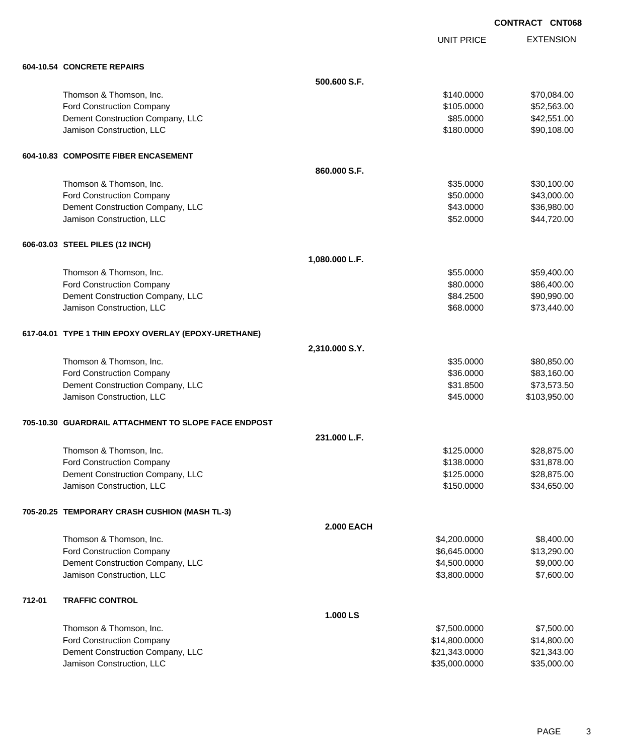UNIT PRICE

EXTENSION

|        | 604-10.54 CONCRETE REPAIRS                           |                   |               |              |
|--------|------------------------------------------------------|-------------------|---------------|--------------|
|        |                                                      | 500,600 S.F.      |               |              |
|        | Thomson & Thomson, Inc.                              |                   | \$140.0000    | \$70,084.00  |
|        | Ford Construction Company                            |                   | \$105.0000    | \$52,563.00  |
|        | Dement Construction Company, LLC                     |                   | \$85.0000     | \$42,551.00  |
|        | Jamison Construction, LLC                            |                   | \$180.0000    | \$90,108.00  |
|        | 604-10.83 COMPOSITE FIBER ENCASEMENT                 |                   |               |              |
|        |                                                      | 860.000 S.F.      |               |              |
|        | Thomson & Thomson, Inc.                              |                   | \$35.0000     | \$30,100.00  |
|        | <b>Ford Construction Company</b>                     |                   | \$50.0000     | \$43,000.00  |
|        | Dement Construction Company, LLC                     |                   | \$43.0000     | \$36,980.00  |
|        | Jamison Construction, LLC                            |                   | \$52.0000     | \$44,720.00  |
|        | 606-03.03 STEEL PILES (12 INCH)                      |                   |               |              |
|        |                                                      | 1,080.000 L.F.    |               |              |
|        | Thomson & Thomson, Inc.                              |                   | \$55.0000     | \$59,400.00  |
|        | Ford Construction Company                            |                   | \$80.0000     | \$86,400.00  |
|        | Dement Construction Company, LLC                     |                   | \$84.2500     | \$90,990.00  |
|        | Jamison Construction, LLC                            |                   | \$68.0000     | \$73,440.00  |
|        | 617-04.01 TYPE 1 THIN EPOXY OVERLAY (EPOXY-URETHANE) |                   |               |              |
|        |                                                      | 2,310.000 S.Y.    |               |              |
|        | Thomson & Thomson, Inc.                              |                   | \$35.0000     | \$80,850.00  |
|        | Ford Construction Company                            |                   | \$36.0000     | \$83,160.00  |
|        | Dement Construction Company, LLC                     |                   | \$31.8500     | \$73,573.50  |
|        | Jamison Construction, LLC                            |                   | \$45.0000     | \$103,950.00 |
|        | 705-10.30 GUARDRAIL ATTACHMENT TO SLOPE FACE ENDPOST |                   |               |              |
|        |                                                      | 231.000 L.F.      |               |              |
|        | Thomson & Thomson, Inc.                              |                   | \$125.0000    | \$28,875.00  |
|        | Ford Construction Company                            |                   | \$138.0000    | \$31,878.00  |
|        | Dement Construction Company, LLC                     |                   | \$125.0000    | \$28,875.00  |
|        | Jamison Construction, LLC                            |                   | \$150.0000    | \$34,650.00  |
|        | 705-20.25 TEMPORARY CRASH CUSHION (MASH TL-3)        |                   |               |              |
|        |                                                      | <b>2.000 EACH</b> |               |              |
|        | Thomson & Thomson, Inc.                              |                   | \$4,200.0000  | \$8,400.00   |
|        | Ford Construction Company                            |                   | \$6,645.0000  | \$13,290.00  |
|        | Dement Construction Company, LLC                     |                   | \$4,500.0000  | \$9,000.00   |
|        | Jamison Construction, LLC                            |                   | \$3,800.0000  | \$7,600.00   |
| 712-01 | <b>TRAFFIC CONTROL</b>                               |                   |               |              |
|        |                                                      | 1.000 LS          |               |              |
|        | Thomson & Thomson, Inc.                              |                   | \$7,500.0000  | \$7,500.00   |
|        | Ford Construction Company                            |                   | \$14,800.0000 | \$14,800.00  |
|        | Dement Construction Company, LLC                     |                   | \$21,343.0000 | \$21,343.00  |
|        | Jamison Construction, LLC                            |                   | \$35,000.0000 | \$35,000.00  |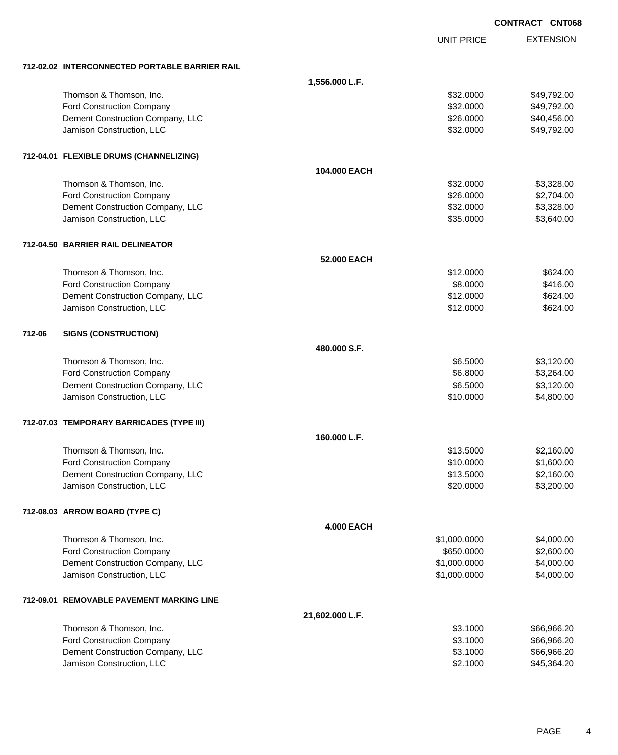|        |                                                |                   | <b>CONTRACT CNT068</b> |                  |  |
|--------|------------------------------------------------|-------------------|------------------------|------------------|--|
|        |                                                |                   | <b>UNIT PRICE</b>      | <b>EXTENSION</b> |  |
|        | 712-02.02 INTERCONNECTED PORTABLE BARRIER RAIL |                   |                        |                  |  |
|        |                                                | 1,556.000 L.F.    |                        |                  |  |
|        | Thomson & Thomson, Inc.                        |                   | \$32.0000              | \$49,792.00      |  |
|        | Ford Construction Company                      |                   | \$32.0000              | \$49,792.00      |  |
|        | Dement Construction Company, LLC               |                   | \$26.0000              | \$40,456.00      |  |
|        | Jamison Construction, LLC                      |                   | \$32.0000              | \$49,792.00      |  |
|        | 712-04.01 FLEXIBLE DRUMS (CHANNELIZING)        |                   |                        |                  |  |
|        |                                                | 104.000 EACH      |                        |                  |  |
|        | Thomson & Thomson, Inc.                        |                   | \$32.0000              | \$3,328.00       |  |
|        | Ford Construction Company                      |                   | \$26.0000              | \$2,704.00       |  |
|        | Dement Construction Company, LLC               |                   | \$32.0000              | \$3,328.00       |  |
|        | Jamison Construction, LLC                      |                   | \$35.0000              | \$3,640.00       |  |
|        | 712-04.50 BARRIER RAIL DELINEATOR              |                   |                        |                  |  |
|        |                                                | 52.000 EACH       |                        |                  |  |
|        | Thomson & Thomson, Inc.                        |                   | \$12.0000              | \$624.00         |  |
|        | Ford Construction Company                      |                   | \$8.0000               | \$416.00         |  |
|        | Dement Construction Company, LLC               |                   | \$12.0000              | \$624.00         |  |
|        | Jamison Construction, LLC                      |                   | \$12.0000              | \$624.00         |  |
| 712-06 | <b>SIGNS (CONSTRUCTION)</b>                    |                   |                        |                  |  |
|        |                                                | 480,000 S.F.      |                        |                  |  |
|        | Thomson & Thomson, Inc.                        |                   | \$6.5000               | \$3,120.00       |  |
|        | Ford Construction Company                      |                   | \$6.8000               | \$3,264.00       |  |
|        | Dement Construction Company, LLC               |                   | \$6.5000               | \$3,120.00       |  |
|        | Jamison Construction, LLC                      |                   | \$10.0000              | \$4,800.00       |  |
|        | 712-07.03 TEMPORARY BARRICADES (TYPE III)      |                   |                        |                  |  |
|        |                                                | 160.000 L.F.      |                        |                  |  |
|        | Thomson & Thomson, Inc.                        |                   | \$13.5000              | \$2,160.00       |  |
|        | Ford Construction Company                      |                   | \$10.0000              | \$1,600.00       |  |
|        | Dement Construction Company, LLC               |                   | \$13.5000              | \$2,160.00       |  |
|        | Jamison Construction, LLC                      |                   | \$20.0000              | \$3,200.00       |  |
|        | 712-08.03 ARROW BOARD (TYPE C)                 |                   |                        |                  |  |
|        |                                                | <b>4.000 EACH</b> |                        |                  |  |
|        | Thomson & Thomson, Inc.                        |                   | \$1,000.0000           | \$4,000.00       |  |
|        | Ford Construction Company                      |                   | \$650.0000             | \$2,600.00       |  |
|        | Dement Construction Company, LLC               |                   | \$1,000.0000           | \$4,000.00       |  |
|        | Jamison Construction, LLC                      |                   | \$1,000.0000           | \$4,000.00       |  |
|        | 712-09.01 REMOVABLE PAVEMENT MARKING LINE      |                   |                        |                  |  |
|        |                                                | 21,602.000 L.F.   |                        |                  |  |
|        | Thomson & Thomson, Inc.                        |                   | \$3.1000               | \$66,966.20      |  |
|        | Ford Construction Company                      |                   | \$3.1000               | \$66,966.20      |  |
|        | Dement Construction Company, LLC               |                   | \$3.1000               | \$66,966.20      |  |
|        | Jamison Construction, LLC                      |                   | \$2.1000               | \$45,364.20      |  |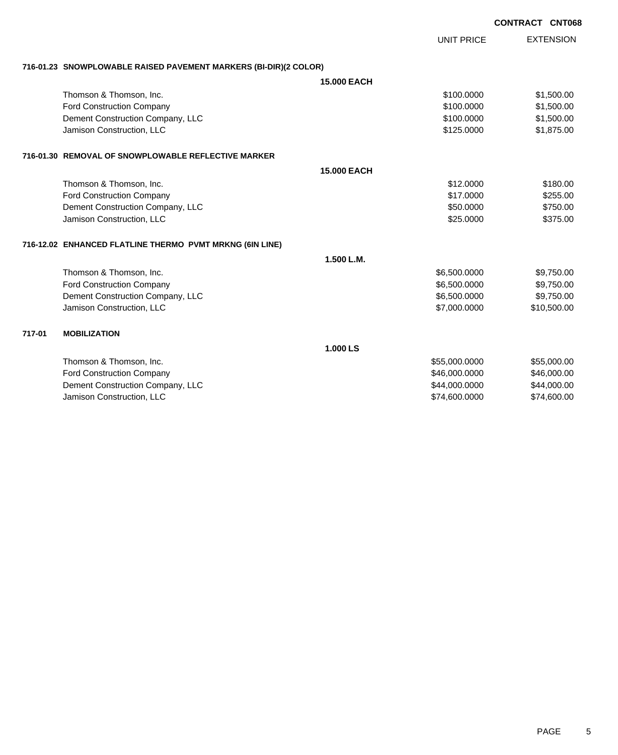|        |                                                                  |                    |                   | <b>CONTRACT CNT068</b> |                  |
|--------|------------------------------------------------------------------|--------------------|-------------------|------------------------|------------------|
|        |                                                                  |                    | <b>UNIT PRICE</b> |                        | <b>EXTENSION</b> |
|        | 716-01.23 SNOWPLOWABLE RAISED PAVEMENT MARKERS (BI-DIR)(2 COLOR) |                    |                   |                        |                  |
|        |                                                                  | <b>15.000 EACH</b> |                   |                        |                  |
|        | Thomson & Thomson, Inc.                                          |                    | \$100,0000        |                        | \$1,500.00       |
|        | Ford Construction Company                                        |                    | \$100,0000        |                        | \$1,500.00       |
|        | Dement Construction Company, LLC                                 |                    | \$100.0000        |                        | \$1,500.00       |
|        | Jamison Construction, LLC                                        |                    | \$125,0000        |                        | \$1,875.00       |
|        | 716-01.30   REMOVAL OF SNOWPLOWABLE REFLECTIVE MARKER            |                    |                   |                        |                  |
|        |                                                                  | <b>15,000 EACH</b> |                   |                        |                  |
|        | Thomson & Thomson, Inc.                                          |                    | \$12,0000         |                        | \$180.00         |
|        | Ford Construction Company                                        |                    | \$17,0000         |                        | \$255.00         |
|        | Dement Construction Company, LLC                                 |                    | \$50.0000         |                        | \$750.00         |
|        | Jamison Construction, LLC                                        |                    | \$25.0000         |                        | \$375.00         |
|        | 716-12.02 ENHANCED FLATLINE THERMO PVMT MRKNG (6IN LINE)         |                    |                   |                        |                  |
|        |                                                                  | 1.500 L.M.         |                   |                        |                  |
|        | Thomson & Thomson, Inc.                                          |                    | \$6,500.0000      |                        | \$9,750.00       |
|        | Ford Construction Company                                        |                    | \$6,500.0000      |                        | \$9,750.00       |
|        | Dement Construction Company, LLC                                 |                    | \$6,500.0000      |                        | \$9,750.00       |
|        | Jamison Construction, LLC                                        |                    | \$7,000.0000      |                        | \$10,500.00      |
| 717-01 | <b>MOBILIZATION</b>                                              |                    |                   |                        |                  |
|        |                                                                  | 1.000 LS           |                   |                        |                  |
|        | Thomson & Thomson, Inc.                                          |                    | \$55,000.0000     |                        | \$55,000.00      |
|        | Ford Construction Company                                        |                    | \$46,000.0000     |                        | \$46,000.00      |
|        | Dement Construction Company, LLC                                 |                    | \$44,000.0000     |                        | \$44,000.00      |
|        | Jamison Construction, LLC                                        |                    | \$74,600.0000     |                        | \$74,600.00      |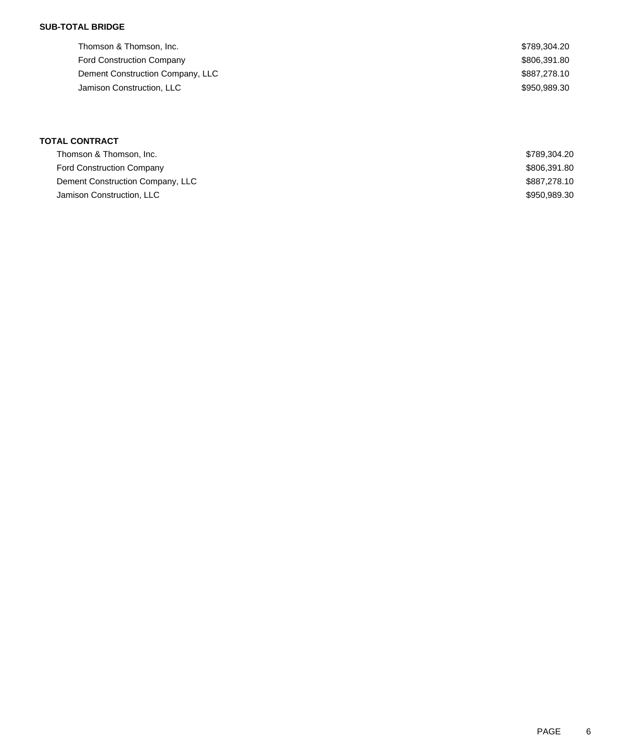### **SUB-TOTAL BRIDGE**

| Thomson & Thomson, Inc.          | \$789,304.20 |
|----------------------------------|--------------|
| <b>Ford Construction Company</b> | \$806,391.80 |
| Dement Construction Company, LLC | \$887,278.10 |
| Jamison Construction, LLC        | \$950,989.30 |
|                                  |              |

### **TOTAL CONTRACT**

| Thomson & Thomson, Inc.          | \$789.304.20 |
|----------------------------------|--------------|
| <b>Ford Construction Company</b> | \$806,391.80 |
| Dement Construction Company, LLC | \$887,278,10 |
| Jamison Construction, LLC        | \$950,989.30 |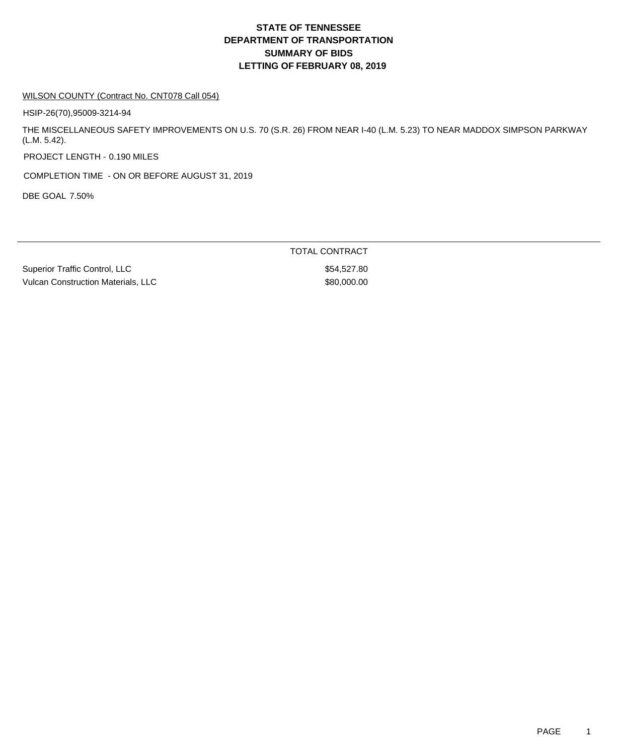#### WILSON COUNTY (Contract No. CNT078 Call 054)

HSIP-26(70),95009-3214-94

THE MISCELLANEOUS SAFETY IMPROVEMENTS ON U.S. 70 (S.R. 26) FROM NEAR I-40 (L.M. 5.23) TO NEAR MADDOX SIMPSON PARKWAY (L.M. 5.42).

PROJECT LENGTH - 0.190 MILES

COMPLETION TIME - ON OR BEFORE AUGUST 31, 2019

DBE GOAL 7.50%

TOTAL CONTRACT

Superior Traffic Control, LLC \$54,527.80 Vulcan Construction Materials, LLC \$80,000.00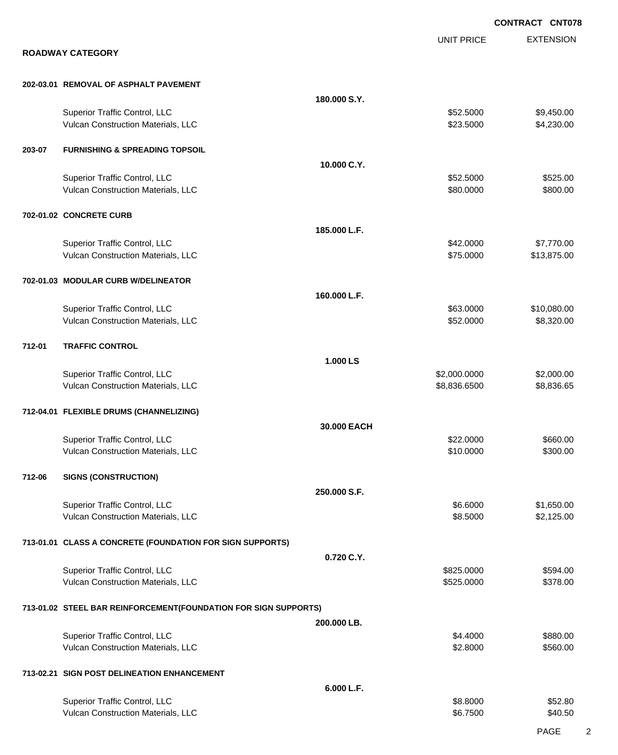|        |                                                                 |              |                   | <b>CONTRACT CNT078</b> |
|--------|-----------------------------------------------------------------|--------------|-------------------|------------------------|
|        |                                                                 |              | <b>UNIT PRICE</b> | <b>EXTENSION</b>       |
|        | <b>ROADWAY CATEGORY</b>                                         |              |                   |                        |
|        | 202-03.01 REMOVAL OF ASPHALT PAVEMENT                           |              |                   |                        |
|        |                                                                 | 180.000 S.Y. |                   |                        |
|        | Superior Traffic Control, LLC                                   |              | \$52.5000         | \$9,450.00             |
|        | Vulcan Construction Materials, LLC                              |              | \$23.5000         | \$4,230.00             |
| 203-07 | <b>FURNISHING &amp; SPREADING TOPSOIL</b>                       |              |                   |                        |
|        |                                                                 | 10.000 C.Y.  |                   |                        |
|        | Superior Traffic Control, LLC                                   |              | \$52.5000         | \$525.00               |
|        | Vulcan Construction Materials, LLC                              |              | \$80.0000         | \$800.00               |
|        | 702-01.02 CONCRETE CURB                                         |              |                   |                        |
|        |                                                                 | 185.000 L.F. |                   |                        |
|        | Superior Traffic Control, LLC                                   |              | \$42.0000         | \$7,770.00             |
|        | Vulcan Construction Materials, LLC                              |              | \$75.0000         | \$13,875.00            |
|        | 702-01.03 MODULAR CURB W/DELINEATOR                             |              |                   |                        |
|        |                                                                 | 160.000 L.F. |                   |                        |
|        | Superior Traffic Control, LLC                                   |              | \$63.0000         | \$10,080.00            |
|        | Vulcan Construction Materials, LLC                              |              | \$52.0000         | \$8,320.00             |
| 712-01 | <b>TRAFFIC CONTROL</b>                                          |              |                   |                        |
|        |                                                                 | 1.000 LS     |                   |                        |
|        | Superior Traffic Control, LLC                                   |              | \$2,000.0000      | \$2,000.00             |
|        | Vulcan Construction Materials, LLC                              |              | \$8,836.6500      | \$8,836.65             |
|        | 712-04.01 FLEXIBLE DRUMS (CHANNELIZING)                         |              |                   |                        |
|        |                                                                 | 30.000 EACH  |                   |                        |
|        | Superior Traffic Control, LLC                                   |              | \$22,0000         | \$660.00               |
|        | Vulcan Construction Materials, LLC                              |              | \$10.0000         | \$300.00               |
| 712-06 | <b>SIGNS (CONSTRUCTION)</b>                                     |              |                   |                        |
|        |                                                                 | 250.000 S.F. |                   |                        |
|        | Superior Traffic Control, LLC                                   |              | \$6.6000          | \$1,650.00             |
|        | Vulcan Construction Materials, LLC                              |              | \$8.5000          | \$2,125.00             |
|        | 713-01.01 CLASS A CONCRETE (FOUNDATION FOR SIGN SUPPORTS)       |              |                   |                        |
|        |                                                                 | 0.720 C.Y.   |                   |                        |
|        | Superior Traffic Control, LLC                                   |              | \$825.0000        | \$594.00               |
|        | Vulcan Construction Materials, LLC                              |              | \$525.0000        | \$378.00               |
|        | 713-01.02 STEEL BAR REINFORCEMENT(FOUNDATION FOR SIGN SUPPORTS) |              |                   |                        |
|        |                                                                 | 200.000 LB.  |                   |                        |
|        | Superior Traffic Control, LLC                                   |              | \$4.4000          | \$880.00               |
|        | Vulcan Construction Materials, LLC                              |              | \$2.8000          | \$560.00               |
|        | 713-02.21 SIGN POST DELINEATION ENHANCEMENT                     |              |                   |                        |
|        |                                                                 | 6.000 L.F.   |                   |                        |
|        | Superior Traffic Control, LLC                                   |              | \$8.8000          | \$52.80                |
|        | Vulcan Construction Materials, LLC                              |              | \$6.7500          | \$40.50                |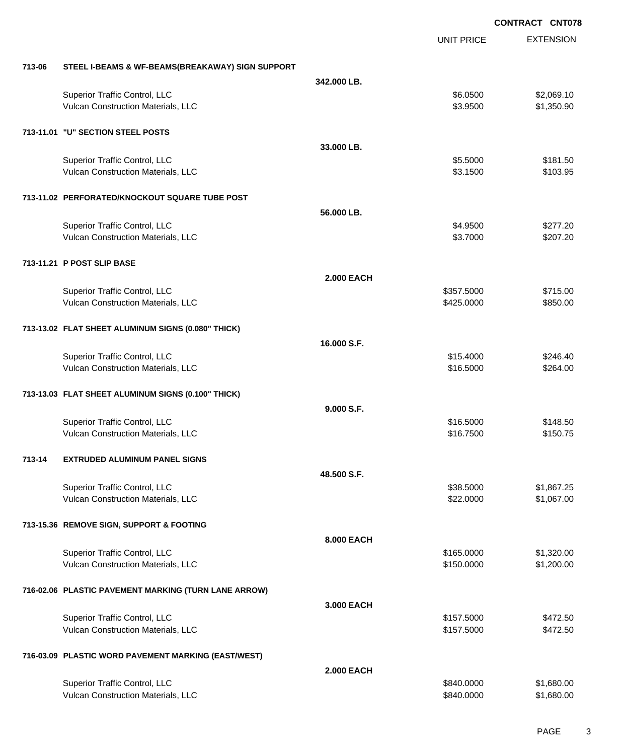|        |                                                      |                   | <b>UNIT PRICE</b> | <b>EXTENSION</b> |
|--------|------------------------------------------------------|-------------------|-------------------|------------------|
| 713-06 | STEEL I-BEAMS & WF-BEAMS(BREAKAWAY) SIGN SUPPORT     |                   |                   |                  |
|        |                                                      | 342.000 LB.       |                   |                  |
|        | Superior Traffic Control, LLC                        |                   | \$6.0500          | \$2,069.10       |
|        | Vulcan Construction Materials, LLC                   |                   | \$3.9500          | \$1,350.90       |
|        | 713-11.01 "U" SECTION STEEL POSTS                    |                   |                   |                  |
|        |                                                      | 33.000 LB.        |                   |                  |
|        | Superior Traffic Control, LLC                        |                   | \$5.5000          | \$181.50         |
|        | Vulcan Construction Materials, LLC                   |                   | \$3.1500          | \$103.95         |
|        | 713-11.02 PERFORATED/KNOCKOUT SQUARE TUBE POST       |                   |                   |                  |
|        |                                                      | 56.000 LB.        |                   |                  |
|        | Superior Traffic Control, LLC                        |                   | \$4.9500          | \$277.20         |
|        | Vulcan Construction Materials, LLC                   |                   | \$3.7000          | \$207.20         |
|        | 713-11.21 P POST SLIP BASE                           |                   |                   |                  |
|        |                                                      | <b>2.000 EACH</b> |                   |                  |
|        | Superior Traffic Control, LLC                        |                   | \$357.5000        | \$715.00         |
|        | Vulcan Construction Materials, LLC                   |                   | \$425.0000        | \$850.00         |
|        | 713-13.02 FLAT SHEET ALUMINUM SIGNS (0.080" THICK)   |                   |                   |                  |
|        |                                                      | 16.000 S.F.       |                   |                  |
|        | Superior Traffic Control, LLC                        |                   | \$15.4000         | \$246.40         |
|        | Vulcan Construction Materials, LLC                   |                   | \$16.5000         | \$264.00         |
|        | 713-13.03 FLAT SHEET ALUMINUM SIGNS (0.100" THICK)   |                   |                   |                  |
|        |                                                      | 9.000 S.F.        |                   |                  |
|        | Superior Traffic Control, LLC                        |                   | \$16.5000         | \$148.50         |
|        | Vulcan Construction Materials, LLC                   |                   | \$16.7500         | \$150.75         |
| 713-14 | <b>EXTRUDED ALUMINUM PANEL SIGNS</b>                 |                   |                   |                  |
|        |                                                      | 48.500 S.F.       |                   |                  |
|        | Superior Traffic Control, LLC                        |                   | \$38.5000         | \$1,867.25       |
|        | Vulcan Construction Materials, LLC                   |                   | \$22.0000         | \$1,067.00       |
|        | 713-15.36 REMOVE SIGN, SUPPORT & FOOTING             |                   |                   |                  |
|        |                                                      | 8.000 EACH        |                   |                  |
|        | Superior Traffic Control, LLC                        |                   | \$165.0000        | \$1,320.00       |
|        | Vulcan Construction Materials, LLC                   |                   | \$150.0000        | \$1,200.00       |
|        | 716-02.06 PLASTIC PAVEMENT MARKING (TURN LANE ARROW) |                   |                   |                  |
|        |                                                      | 3.000 EACH        |                   |                  |
|        | Superior Traffic Control, LLC                        |                   | \$157.5000        | \$472.50         |
|        | Vulcan Construction Materials, LLC                   |                   | \$157.5000        | \$472.50         |
|        | 716-03.09 PLASTIC WORD PAVEMENT MARKING (EAST/WEST)  |                   |                   |                  |
|        |                                                      | <b>2.000 EACH</b> |                   |                  |
|        | Superior Traffic Control, LLC                        |                   | \$840.0000        | \$1,680.00       |
|        | Vulcan Construction Materials, LLC                   |                   | \$840.0000        | \$1,680.00       |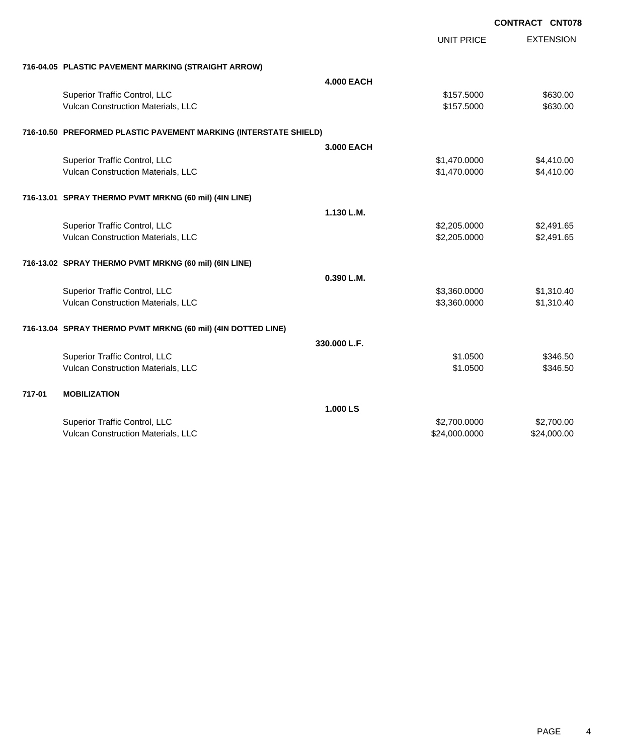|        |                                                                  |                   | <b>CONTRACT CNT078</b> |                  |
|--------|------------------------------------------------------------------|-------------------|------------------------|------------------|
|        |                                                                  |                   | <b>UNIT PRICE</b>      | <b>EXTENSION</b> |
|        | 716-04.05 PLASTIC PAVEMENT MARKING (STRAIGHT ARROW)              |                   |                        |                  |
|        |                                                                  | <b>4.000 EACH</b> |                        |                  |
|        | Superior Traffic Control, LLC                                    |                   | \$157.5000             | \$630.00         |
|        | Vulcan Construction Materials, LLC                               |                   | \$157.5000             | \$630.00         |
|        | 716-10.50 PREFORMED PLASTIC PAVEMENT MARKING (INTERSTATE SHIELD) |                   |                        |                  |
|        |                                                                  | 3.000 EACH        |                        |                  |
|        | Superior Traffic Control, LLC                                    |                   | \$1,470.0000           | \$4,410.00       |
|        | Vulcan Construction Materials, LLC                               |                   | \$1,470.0000           | \$4,410.00       |
|        | 716-13.01 SPRAY THERMO PVMT MRKNG (60 mil) (4IN LINE)            |                   |                        |                  |
|        |                                                                  | 1.130 L.M.        |                        |                  |
|        | Superior Traffic Control, LLC                                    |                   | \$2,205.0000           | \$2,491.65       |
|        | Vulcan Construction Materials, LLC                               |                   | \$2,205.0000           | \$2,491.65       |
|        | 716-13.02 SPRAY THERMO PVMT MRKNG (60 mil) (6IN LINE)            |                   |                        |                  |
|        |                                                                  | 0.390 L.M.        |                        |                  |
|        | Superior Traffic Control, LLC                                    |                   | \$3,360.0000           | \$1,310.40       |
|        | Vulcan Construction Materials, LLC                               |                   | \$3,360.0000           | \$1,310.40       |
|        | 716-13.04 SPRAY THERMO PVMT MRKNG (60 mil) (4IN DOTTED LINE)     |                   |                        |                  |
|        |                                                                  | 330.000 L.F.      |                        |                  |
|        | Superior Traffic Control, LLC                                    |                   | \$1.0500               | \$346.50         |
|        | Vulcan Construction Materials, LLC                               |                   | \$1.0500               | \$346.50         |
| 717-01 | <b>MOBILIZATION</b>                                              |                   |                        |                  |
|        |                                                                  | 1.000 LS          |                        |                  |
|        | Superior Traffic Control, LLC                                    |                   | \$2,700.0000           | \$2,700.00       |
|        | Vulcan Construction Materials, LLC                               |                   | \$24,000.0000          | \$24,000.00      |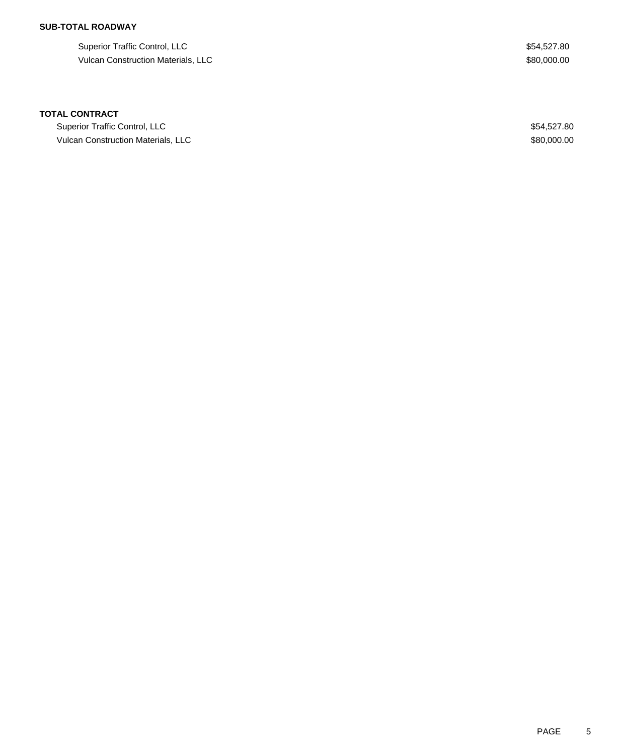## **SUB-TOTAL ROADWAY**

Superior Traffic Control, LLC \$54,527.80 Vulcan Construction Materials, LLC \$80,000.00

### **TOTAL CONTRACT**

Superior Traffic Control, LLC \$54,527.80 Vulcan Construction Materials, LLC \$80,000.00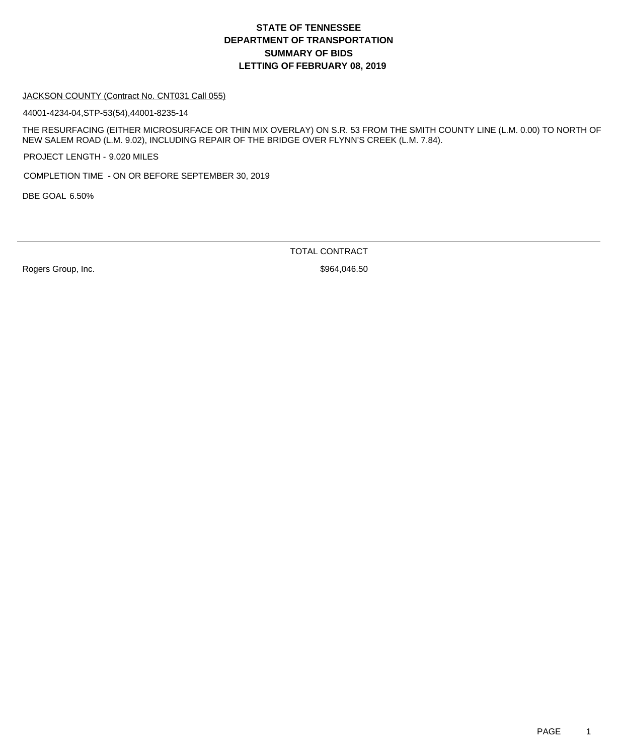#### JACKSON COUNTY (Contract No. CNT031 Call 055)

44001-4234-04,STP-53(54),44001-8235-14

THE RESURFACING (EITHER MICROSURFACE OR THIN MIX OVERLAY) ON S.R. 53 FROM THE SMITH COUNTY LINE (L.M. 0.00) TO NORTH OF NEW SALEM ROAD (L.M. 9.02), INCLUDING REPAIR OF THE BRIDGE OVER FLYNN'S CREEK (L.M. 7.84).

PROJECT LENGTH - 9.020 MILES

COMPLETION TIME - ON OR BEFORE SEPTEMBER 30, 2019

DBE GOAL 6.50%

TOTAL CONTRACT

Rogers Group, Inc. 600 and the Contract of the State of the State of State State State State State State State State State State State State State State State State State State State State State State State State State Sta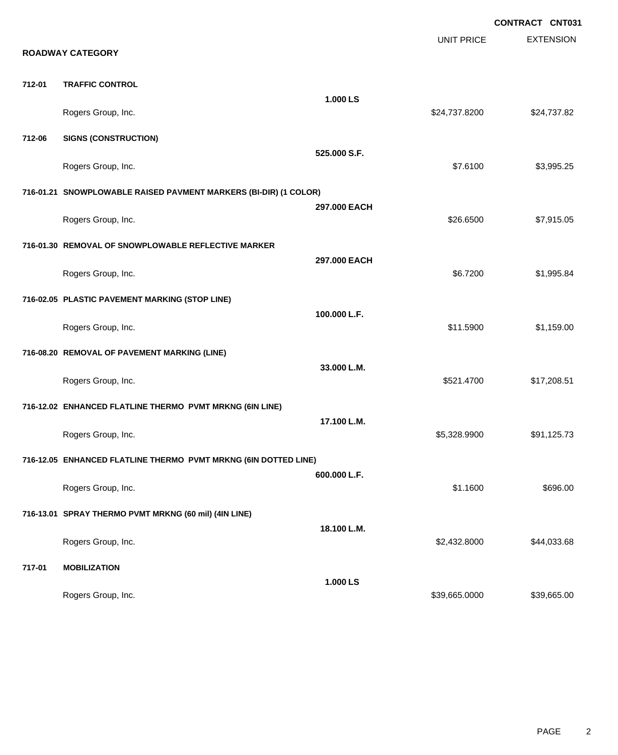|        |                                                                  |              | <b>UNIT PRICE</b> | <b>CONTRACT CNT031</b><br><b>EXTENSION</b> |
|--------|------------------------------------------------------------------|--------------|-------------------|--------------------------------------------|
|        | <b>ROADWAY CATEGORY</b>                                          |              |                   |                                            |
| 712-01 | <b>TRAFFIC CONTROL</b>                                           |              |                   |                                            |
|        | Rogers Group, Inc.                                               | 1.000 LS     | \$24,737.8200     | \$24,737.82                                |
| 712-06 | <b>SIGNS (CONSTRUCTION)</b>                                      |              |                   |                                            |
|        | Rogers Group, Inc.                                               | 525.000 S.F. | \$7.6100          | \$3,995.25                                 |
|        | 716-01.21 SNOWPLOWABLE RAISED PAVMENT MARKERS (BI-DIR) (1 COLOR) |              |                   |                                            |
|        | Rogers Group, Inc.                                               | 297.000 EACH | \$26.6500         | \$7,915.05                                 |
|        | 716-01.30 REMOVAL OF SNOWPLOWABLE REFLECTIVE MARKER              |              |                   |                                            |
|        | Rogers Group, Inc.                                               | 297.000 EACH | \$6.7200          | \$1,995.84                                 |
|        | 716-02.05 PLASTIC PAVEMENT MARKING (STOP LINE)                   |              |                   |                                            |
|        | Rogers Group, Inc.                                               | 100.000 L.F. | \$11.5900         | \$1,159.00                                 |
|        | 716-08.20 REMOVAL OF PAVEMENT MARKING (LINE)                     |              |                   |                                            |
|        | Rogers Group, Inc.                                               | 33.000 L.M.  | \$521.4700        | \$17,208.51                                |
|        | 716-12.02 ENHANCED FLATLINE THERMO PVMT MRKNG (6IN LINE)         |              |                   |                                            |
|        | Rogers Group, Inc.                                               | 17.100 L.M.  | \$5,328.9900      | \$91,125.73                                |
|        | 716-12.05 ENHANCED FLATLINE THERMO PVMT MRKNG (6IN DOTTED LINE)  |              |                   |                                            |
|        | Rogers Group, Inc.                                               | 600.000 L.F. | \$1.1600          | \$696.00                                   |
|        | 716-13.01 SPRAY THERMO PVMT MRKNG (60 mil) (4IN LINE)            |              |                   |                                            |
|        | Rogers Group, Inc.                                               | 18.100 L.M.  | \$2,432.8000      | \$44,033.68                                |
| 717-01 | <b>MOBILIZATION</b>                                              |              |                   |                                            |
|        | Rogers Group, Inc.                                               | 1.000 LS     | \$39,665.0000     | \$39,665.00                                |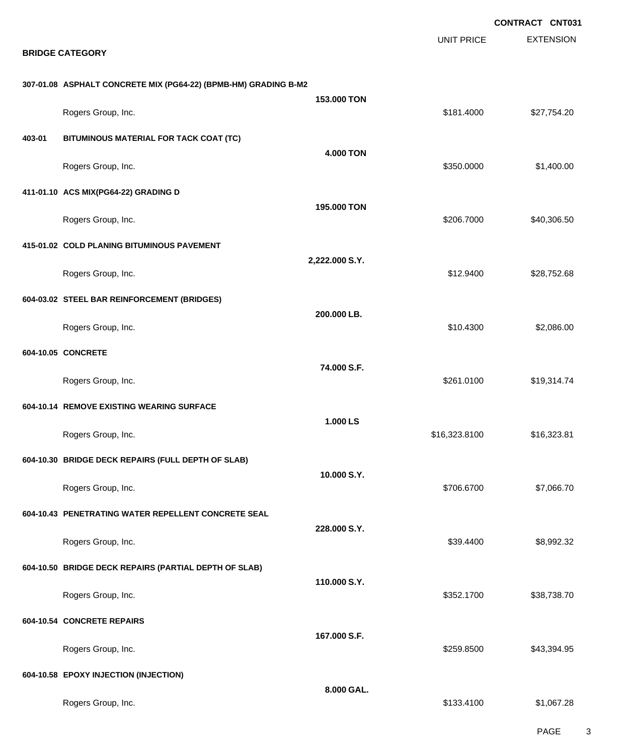|        |                                                                 |                  |                   | <b>CONTRACT CNT031</b> |
|--------|-----------------------------------------------------------------|------------------|-------------------|------------------------|
|        | <b>BRIDGE CATEGORY</b>                                          |                  | <b>UNIT PRICE</b> | <b>EXTENSION</b>       |
|        | 307-01.08 ASPHALT CONCRETE MIX (PG64-22) (BPMB-HM) GRADING B-M2 |                  |                   |                        |
|        | Rogers Group, Inc.                                              | 153.000 TON      | \$181.4000        | \$27,754.20            |
| 403-01 | BITUMINOUS MATERIAL FOR TACK COAT (TC)                          | <b>4.000 TON</b> |                   |                        |
|        | Rogers Group, Inc.                                              |                  | \$350.0000        | \$1,400.00             |
|        | 411-01.10 ACS MIX(PG64-22) GRADING D                            | 195.000 TON      |                   |                        |
|        | Rogers Group, Inc.                                              |                  | \$206.7000        | \$40,306.50            |
|        | 415-01.02 COLD PLANING BITUMINOUS PAVEMENT                      | 2,222.000 S.Y.   |                   |                        |
|        | Rogers Group, Inc.                                              |                  | \$12.9400         | \$28,752.68            |
|        | 604-03.02 STEEL BAR REINFORCEMENT (BRIDGES)                     | 200.000 LB.      |                   | \$2,086.00             |
|        | Rogers Group, Inc.                                              |                  | \$10.4300         |                        |
|        | 604-10.05 CONCRETE                                              | 74.000 S.F.      | \$261.0100        | \$19,314.74            |
|        | Rogers Group, Inc.<br>604-10.14 REMOVE EXISTING WEARING SURFACE |                  |                   |                        |
|        | Rogers Group, Inc.                                              | 1.000 LS         | \$16,323.8100     | \$16,323.81            |
|        | 604-10.30 BRIDGE DECK REPAIRS (FULL DEPTH OF SLAB)              |                  |                   |                        |
|        | Rogers Group, Inc.                                              | 10.000 S.Y.      | \$706.6700        | \$7,066.70             |
|        | 604-10.43 PENETRATING WATER REPELLENT CONCRETE SEAL             |                  |                   |                        |
|        | Rogers Group, Inc.                                              | 228.000 S.Y.     | \$39.4400         | \$8,992.32             |
|        | 604-10.50 BRIDGE DECK REPAIRS (PARTIAL DEPTH OF SLAB)           |                  |                   |                        |
|        | Rogers Group, Inc.                                              | 110,000 S.Y.     | \$352.1700        | \$38,738.70            |
|        | 604-10.54 CONCRETE REPAIRS                                      | 167.000 S.F.     |                   |                        |
|        | Rogers Group, Inc.                                              |                  | \$259.8500        | \$43,394.95            |
|        | 604-10.58 EPOXY INJECTION (INJECTION)                           | 8.000 GAL.       |                   |                        |
|        | Rogers Group, Inc.                                              |                  | \$133.4100        | \$1,067.28             |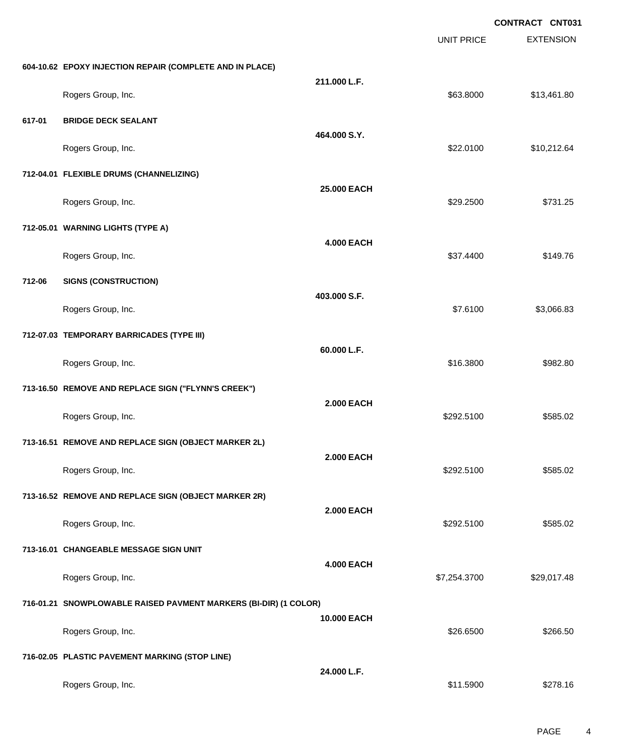**EXTENSION CONTRACT CNT031** UNIT PRICE **604-10.62 EPOXY INJECTION REPAIR (COMPLETE AND IN PLACE) 211.000 L.F.** Rogers Group, Inc. \$63.8000 \$13,461.80 **617-01 BRIDGE DECK SEALANT 464.000 S.Y.** Rogers Group, Inc. \$22.0100 \$10,212.64 **712-04.01 FLEXIBLE DRUMS (CHANNELIZING) 25.000 EACH** Rogers Group, Inc. \$29.2500 \$731.25 **712-05.01 WARNING LIGHTS (TYPE A) 4.000 EACH** Rogers Group, Inc. \$149.76 **712-06 SIGNS (CONSTRUCTION) 403.000 S.F.** Rogers Group, Inc. \$3,066.83 **712-07.03 TEMPORARY BARRICADES (TYPE III) 60.000 L.F.** Rogers Group, Inc. \$16.3800 \$982.80 **713-16.50 REMOVE AND REPLACE SIGN ("FLYNN'S CREEK") 2.000 EACH** Rogers Group, Inc. \$292.5100 \$585.02 **713-16.51 REMOVE AND REPLACE SIGN (OBJECT MARKER 2L) 2.000 EACH** Rogers Group, Inc. \$292.5100 \$585.02 **713-16.52 REMOVE AND REPLACE SIGN (OBJECT MARKER 2R) 2.000 EACH** Rogers Group, Inc. \$292.5100 \$585.02 **713-16.01 CHANGEABLE MESSAGE SIGN UNIT 4.000 EACH** Rogers Group, Inc. \$29,017.48 **716-01.21 SNOWPLOWABLE RAISED PAVMENT MARKERS (BI-DIR) (1 COLOR) 10.000 EACH** Rogers Group, Inc. \$266.500 \$266.500 \$266.500 \$266.500 \$26.6500 \$26.6500 \$26.6500 \$266.500 \$266.500 \$266.500 \$266.50 **716-02.05 PLASTIC PAVEMENT MARKING (STOP LINE) 24.000 L.F.** Rogers Group, Inc. \$11.5900 \$278.16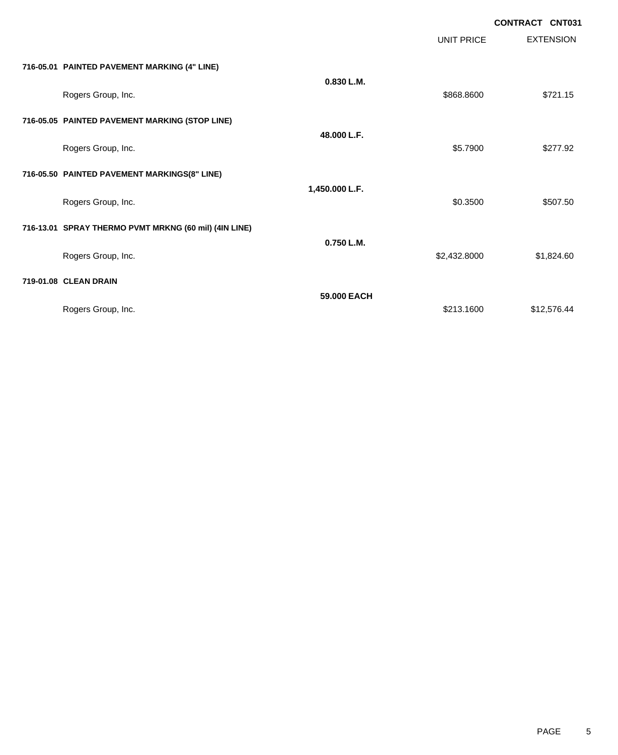|                                                       |                |                   | <b>CONTRACT CNT031</b> |
|-------------------------------------------------------|----------------|-------------------|------------------------|
|                                                       |                | <b>UNIT PRICE</b> | <b>EXTENSION</b>       |
| 716-05.01 PAINTED PAVEMENT MARKING (4" LINE)          |                |                   |                        |
| Rogers Group, Inc.                                    | 0.830 L.M.     | \$868.8600        | \$721.15               |
| 716-05.05 PAINTED PAVEMENT MARKING (STOP LINE)        |                |                   |                        |
| Rogers Group, Inc.                                    | 48.000 L.F.    | \$5.7900          | \$277.92               |
| 716-05.50 PAINTED PAVEMENT MARKINGS(8" LINE)          |                |                   |                        |
| Rogers Group, Inc.                                    | 1,450.000 L.F. | \$0.3500          | \$507.50               |
| 716-13.01 SPRAY THERMO PVMT MRKNG (60 mil) (4IN LINE) |                |                   |                        |
| Rogers Group, Inc.                                    | 0.750 L.M.     | \$2,432.8000      | \$1,824.60             |
| 719-01.08 CLEAN DRAIN                                 |                |                   |                        |
| Rogers Group, Inc.                                    | 59.000 EACH    | \$213.1600        | \$12,576.44            |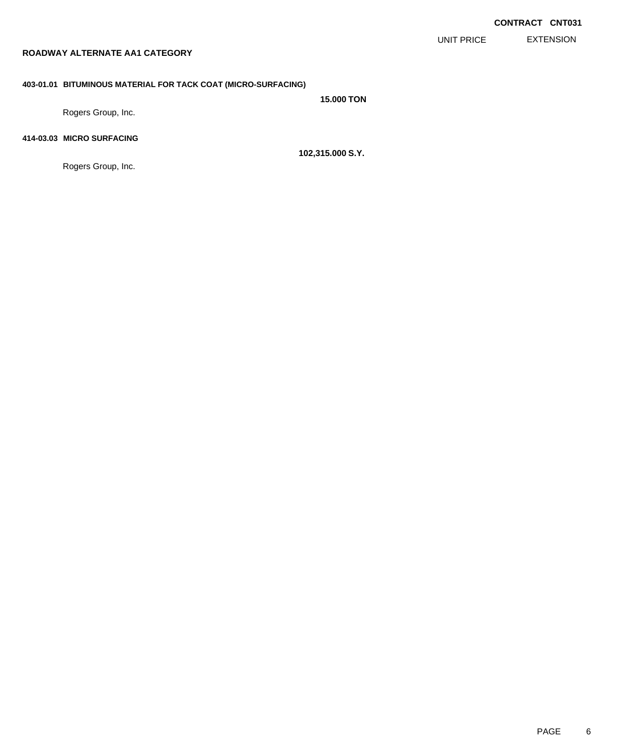EXTENSION UNIT PRICE

# **ROADWAY ALTERNATE AA1 CATEGORY**

### **403-01.01 BITUMINOUS MATERIAL FOR TACK COAT (MICRO-SURFACING)**

**15.000 TON**

Rogers Group, Inc.

# **414-03.03 MICRO SURFACING**

Rogers Group, Inc.

**102,315.000 S.Y.**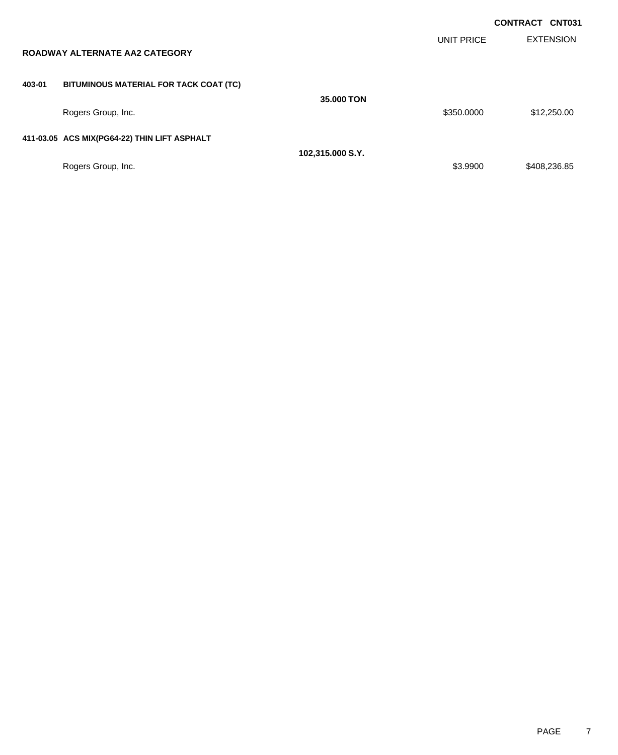|        |                                              |                  |                   | <b>CONTRACT CNT031</b> |
|--------|----------------------------------------------|------------------|-------------------|------------------------|
|        | <b>ROADWAY ALTERNATE AA2 CATEGORY</b>        |                  | <b>UNIT PRICE</b> | <b>EXTENSION</b>       |
| 403-01 | BITUMINOUS MATERIAL FOR TACK COAT (TC)       |                  |                   |                        |
|        | Rogers Group, Inc.                           | 35,000 TON       | \$350,0000        | \$12,250.00            |
|        | 411-03.05 ACS MIX(PG64-22) THIN LIFT ASPHALT |                  |                   |                        |
|        |                                              | 102,315.000 S.Y. |                   |                        |
|        | Rogers Group, Inc.                           |                  | \$3.9900          | \$408,236.85           |